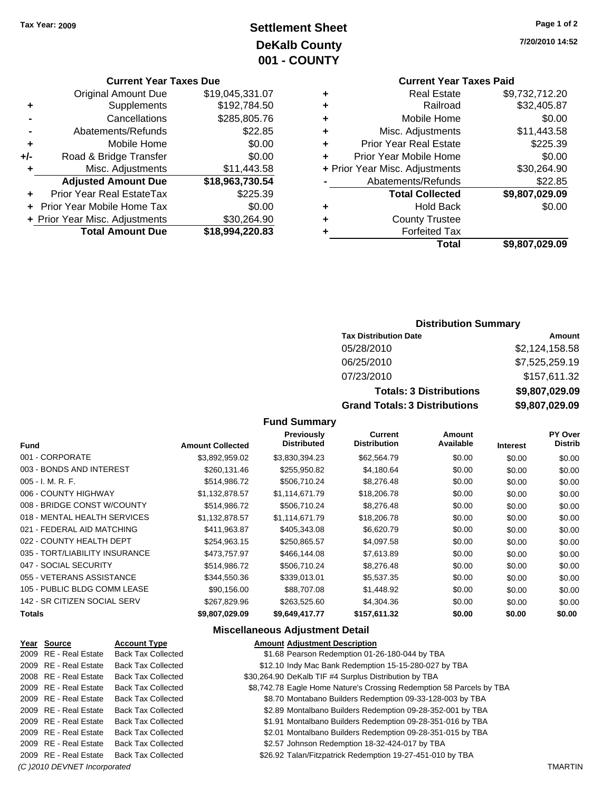### **Settlement Sheet Tax Year: 2009 Page 1 of 2 DeKalb County 001 - COUNTY**

**7/20/2010 14:52**

### **Current Year Taxes Paid**

|   | Total                          | \$9,807,029.09 |
|---|--------------------------------|----------------|
|   | <b>Forfeited Tax</b>           |                |
| ٠ | <b>County Trustee</b>          |                |
| ٠ | <b>Hold Back</b>               | \$0.00         |
|   | <b>Total Collected</b>         | \$9,807,029.09 |
|   | Abatements/Refunds             | \$22.85        |
|   | + Prior Year Misc. Adjustments | \$30,264.90    |
|   | Prior Year Mobile Home         | \$0.00         |
| ٠ | <b>Prior Year Real Estate</b>  | \$225.39       |
| ٠ | Misc. Adjustments              | \$11,443.58    |
| ٠ | Mobile Home                    | \$0.00         |
| ٠ | Railroad                       | \$32,405.87    |
| ٠ | <b>Real Estate</b>             | \$9,732,712.20 |
|   |                                |                |

### **Current Year Taxes Due**

|     | GUITENT TEAT TAXES DUE         |                 |
|-----|--------------------------------|-----------------|
|     | <b>Original Amount Due</b>     | \$19,045,331.07 |
| ٠   | Supplements                    | \$192,784.50    |
|     | Cancellations                  | \$285,805.76    |
|     | Abatements/Refunds             | \$22.85         |
| ÷   | Mobile Home                    | \$0.00          |
| +/- | Road & Bridge Transfer         | \$0.00          |
|     | Misc. Adjustments              | \$11,443.58     |
|     | <b>Adjusted Amount Due</b>     | \$18,963,730.54 |
| ÷   | Prior Year Real EstateTax      | \$225.39        |
|     | Prior Year Mobile Home Tax     | \$0.00          |
|     | + Prior Year Misc. Adjustments | \$30,264.90     |
|     | <b>Total Amount Due</b>        | \$18,994,220.83 |
|     |                                |                 |

### **Distribution Summary**

| <b>Tax Distribution Date</b>         | Amount         |
|--------------------------------------|----------------|
| 05/28/2010                           | \$2,124,158.58 |
| 06/25/2010                           | \$7,525,259.19 |
| 07/23/2010                           | \$157,611.32   |
| <b>Totals: 3 Distributions</b>       | \$9,807,029.09 |
| <b>Grand Totals: 3 Distributions</b> | \$9,807,029.09 |

#### **Fund Summary**

| <b>Fund</b>                    | <b>Amount Collected</b> | <b>Previously</b><br><b>Distributed</b> | <b>Current</b><br><b>Distribution</b> | <b>Amount</b><br>Available | <b>Interest</b> | <b>PY Over</b><br><b>Distrib</b> |
|--------------------------------|-------------------------|-----------------------------------------|---------------------------------------|----------------------------|-----------------|----------------------------------|
| 001 - CORPORATE                | \$3,892,959.02          | \$3,830,394.23                          | \$62,564.79                           | \$0.00                     | \$0.00          | \$0.00                           |
| 003 - BONDS AND INTEREST       | \$260,131.46            | \$255,950.82                            | \$4,180.64                            | \$0.00                     | \$0.00          | \$0.00                           |
| 005 - I. M. R. F.              | \$514,986.72            | \$506,710.24                            | \$8,276.48                            | \$0.00                     | \$0.00          | \$0.00                           |
| 006 - COUNTY HIGHWAY           | \$1,132,878.57          | \$1,114,671.79                          | \$18,206.78                           | \$0.00                     | \$0.00          | \$0.00                           |
| 008 - BRIDGE CONST W/COUNTY    | \$514,986.72            | \$506.710.24                            | \$8,276.48                            | \$0.00                     | \$0.00          | \$0.00                           |
| 018 - MENTAL HEALTH SERVICES   | \$1.132.878.57          | \$1.114.671.79                          | \$18,206.78                           | \$0.00                     | \$0.00          | \$0.00                           |
| 021 - FEDERAL AID MATCHING     | \$411,963.87            | \$405,343.08                            | \$6,620.79                            | \$0.00                     | \$0.00          | \$0.00                           |
| 022 - COUNTY HEALTH DEPT       | \$254,963.15            | \$250,865.57                            | \$4,097.58                            | \$0.00                     | \$0.00          | \$0.00                           |
| 035 - TORT/LIABILITY INSURANCE | \$473.757.97            | \$466,144.08                            | \$7,613.89                            | \$0.00                     | \$0.00          | \$0.00                           |
| 047 - SOCIAL SECURITY          | \$514,986.72            | \$506,710.24                            | \$8,276.48                            | \$0.00                     | \$0.00          | \$0.00                           |
| 055 - VETERANS ASSISTANCE      | \$344,550,36            | \$339,013,01                            | \$5,537.35                            | \$0.00                     | \$0.00          | \$0.00                           |
| 105 - PUBLIC BLDG COMM LEASE   | \$90.156.00             | \$88,707.08                             | \$1,448.92                            | \$0.00                     | \$0.00          | \$0.00                           |
| 142 - SR CITIZEN SOCIAL SERV   | \$267,829.96            | \$263,525.60                            | \$4,304.36                            | \$0.00                     | \$0.00          | \$0.00                           |
| Totals                         | \$9,807,029.09          | \$9,649,417.77                          | \$157,611.32                          | \$0.00                     | \$0.00          | \$0.00                           |
|                                |                         |                                         |                                       |                            |                 |                                  |

#### **Miscellaneous Adjustment Detail**

| Year Source                  | <b>Account Type</b>       | <b>Amount Adjustment Description</b>                                 |                |
|------------------------------|---------------------------|----------------------------------------------------------------------|----------------|
| 2009 RE - Real Estate        | <b>Back Tax Collected</b> | \$1.68 Pearson Redemption 01-26-180-044 by TBA                       |                |
| 2009 RE - Real Estate        | <b>Back Tax Collected</b> | \$12.10 Indy Mac Bank Redemption 15-15-280-027 by TBA                |                |
| 2008 RE - Real Estate        | <b>Back Tax Collected</b> | \$30,264.90 DeKalb TIF #4 Surplus Distribution by TBA                |                |
| 2009 RE - Real Estate        | <b>Back Tax Collected</b> | \$8,742.78 Eagle Home Nature's Crossing Redemption 58 Parcels by TBA |                |
| 2009 RE - Real Estate        | <b>Back Tax Collected</b> | \$8.70 Montabano Builders Redemption 09-33-128-003 by TBA            |                |
| 2009 RE - Real Estate        | <b>Back Tax Collected</b> | \$2.89 Montalbano Builders Redemption 09-28-352-001 by TBA           |                |
| 2009 RE - Real Estate        | <b>Back Tax Collected</b> | \$1.91 Montalbano Builders Redemption 09-28-351-016 by TBA           |                |
| 2009 RE - Real Estate        | <b>Back Tax Collected</b> | \$2.01 Montalbano Builders Redemption 09-28-351-015 by TBA           |                |
| 2009 RE - Real Estate        | <b>Back Tax Collected</b> | \$2.57 Johnson Redemption 18-32-424-017 by TBA                       |                |
| 2009 RE - Real Estate        | <b>Back Tax Collected</b> | \$26.92 Talan/Fitzpatrick Redemption 19-27-451-010 by TBA            |                |
| (C) 2010 DEVNET Incorporated |                           |                                                                      | <b>TMARTIN</b> |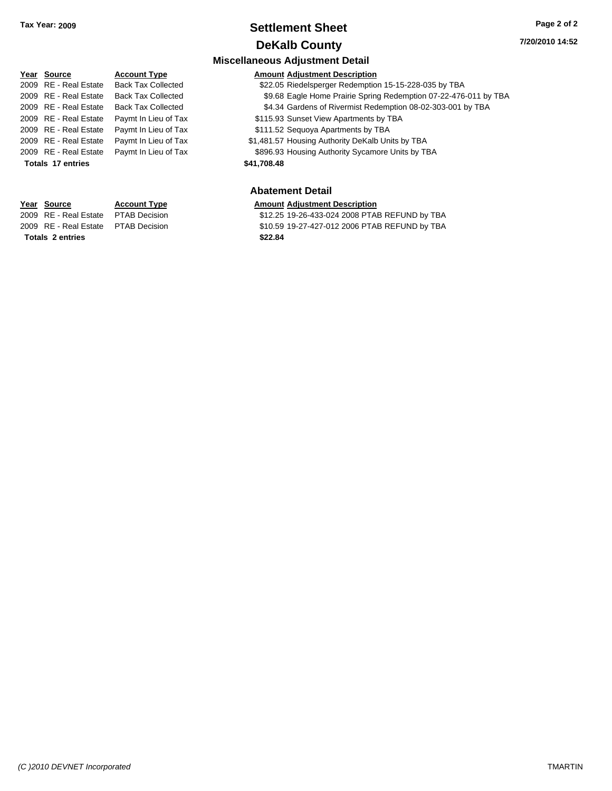### **Settlement Sheet Tax Year: 2009 Page 2 of 2 DeKalb County**

**7/20/2010 14:52**

#### **Miscellaneous Adjustment Detail Year Source Account Type Amount Adjustment Description** 2009 RE - Real Estate Back Tax Collected \$22.05 Riedelsperger Redemption 15-15-228-035 by TBA 2009 RE - Real Estate Back Tax Collected \$9.68 Eagle Home Prairie Spring Redemption 07-22-476-011 by TBA 2009 RE - Real Estate Back Tax Collected \$4.34 Gardens of Rivermist Redemption 08-02-303-001 by TBA 2009 RE - Real Estate Paymt In Lieu of Tax **Faymer State State State State State State** State State State State State State State State State State State State State State State State State State State State State State 2009 RE - Real Estate Paymt In Lieu of Tax Payments \$111.52 Sequoya Apartments by TBA 2009 RE - Real Estate Paymt In Lieu of Tax \$1,481.57 Housing Authority DeKalb Units by TBA 2009 RE - Real Estate Paymt In Lieu of Tax \$896.93 Housing Authority Sycamore Units by TBA **Totals \$41,708.48 17 entries**

#### **Abatement Detail**

#### **Year Source Account Type Amount Adjustment Description**

2009 RE - Real Estate \$12.25 19-26-433-024 2008 PTAB REFUND by TBA PTAB Decision 2009 RE - Real Estate \$10.59 19-27-427-012 2006 PTAB REFUND by TBA PTAB Decision

**Totals \$22.84 2 entries**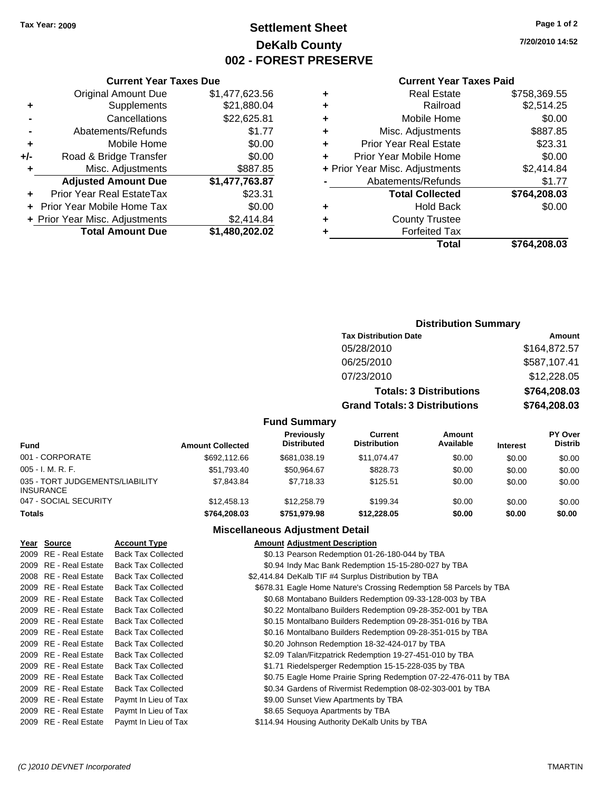### **Settlement Sheet Tax Year: 2009 Page 1 of 2 DeKalb County 002 - FOREST PRESERVE**

**7/20/2010 14:52**

#### **Current Year Taxes Paid**

|     | <b>Current Year Taxes Due</b>  |                |
|-----|--------------------------------|----------------|
|     | <b>Original Amount Due</b>     | \$1,477,623.56 |
| ٠   | Supplements                    | \$21,880.04    |
|     | Cancellations                  | \$22,625.81    |
|     | Abatements/Refunds             | \$1.77         |
| ٠   | Mobile Home                    | \$0.00         |
| +/- | Road & Bridge Transfer         | \$0.00         |
| ٠   | Misc. Adjustments              | \$887.85       |
|     | <b>Adjusted Amount Due</b>     | \$1,477,763.87 |
| ÷   | Prior Year Real EstateTax      | \$23.31        |
|     | Prior Year Mobile Home Tax     | \$0.00         |
|     | + Prior Year Misc. Adjustments | \$2,414.84     |
|     | <b>Total Amount Due</b>        | \$1,480,202.02 |
|     |                                |                |

| ٠ | <b>Real Estate</b>             | \$758,369.55 |
|---|--------------------------------|--------------|
| ٠ | Railroad                       | \$2,514.25   |
| ٠ | Mobile Home                    | \$0.00       |
| ٠ | Misc. Adjustments              | \$887.85     |
| ٠ | <b>Prior Year Real Estate</b>  | \$23.31      |
| ÷ | Prior Year Mobile Home         | \$0.00       |
|   | + Prior Year Misc. Adjustments | \$2,414.84   |
|   | Abatements/Refunds             | \$1.77       |
|   | <b>Total Collected</b>         | \$764,208.03 |
| ٠ | Hold Back                      | \$0.00       |
| ٠ | <b>County Trustee</b>          |              |
| ٠ | <b>Forfeited Tax</b>           |              |
|   | Total                          | \$764,208.03 |

## **Distribution Summary**

| <b>Tax Distribution Date</b>         | Amount       |
|--------------------------------------|--------------|
| 05/28/2010                           | \$164,872.57 |
| 06/25/2010                           | \$587,107.41 |
| 07/23/2010                           | \$12,228.05  |
| <b>Totals: 3 Distributions</b>       | \$764,208.03 |
| <b>Grand Totals: 3 Distributions</b> | \$764,208.03 |
|                                      |              |

### **Fund Summary**

| Fund                                                | <b>Amount Collected</b> | Previously<br><b>Distributed</b> | Current<br><b>Distribution</b> | Amount<br>Available | <b>Interest</b> | <b>PY Over</b><br><b>Distrib</b> |
|-----------------------------------------------------|-------------------------|----------------------------------|--------------------------------|---------------------|-----------------|----------------------------------|
| 001 - CORPORATE                                     | \$692,112.66            | \$681,038.19                     | \$11.074.47                    | \$0.00              | \$0.00          | \$0.00                           |
| $005 - I. M. R. F.$                                 | \$51.793.40             | \$50.964.67                      | \$828.73                       | \$0.00              | \$0.00          | \$0.00                           |
| 035 - TORT JUDGEMENTS/LIABILITY<br><b>INSURANCE</b> | \$7,843,84              | \$7.718.33                       | \$125.51                       | \$0.00              | \$0.00          | \$0.00                           |
| 047 - SOCIAL SECURITY                               | \$12,458.13             | \$12,258.79                      | \$199.34                       | \$0.00              | \$0.00          | \$0.00                           |
| <b>Totals</b>                                       | \$764,208.03            | \$751.979.98                     | \$12,228.05                    | \$0.00              | \$0.00          | \$0.00                           |

### **Miscellaneous Adjustment Detail**

| Year Source           | <b>Account Type</b>       | <b>Amount Adjustment Description</b>                               |
|-----------------------|---------------------------|--------------------------------------------------------------------|
| 2009 RE - Real Estate | <b>Back Tax Collected</b> | \$0.13 Pearson Redemption 01-26-180-044 by TBA                     |
| 2009 RE - Real Estate | <b>Back Tax Collected</b> | \$0.94 Indy Mac Bank Redemption 15-15-280-027 by TBA               |
| 2008 RE - Real Estate | <b>Back Tax Collected</b> | \$2,414.84 DeKalb TIF #4 Surplus Distribution by TBA               |
| 2009 RE - Real Estate | <b>Back Tax Collected</b> | \$678.31 Eagle Home Nature's Crossing Redemption 58 Parcels by TBA |
| 2009 RE - Real Estate | <b>Back Tax Collected</b> | \$0.68 Montabano Builders Redemption 09-33-128-003 by TBA          |
| 2009 RE - Real Estate | <b>Back Tax Collected</b> | \$0.22 Montalbano Builders Redemption 09-28-352-001 by TBA         |
| 2009 RE - Real Estate | <b>Back Tax Collected</b> | \$0.15 Montalbano Builders Redemption 09-28-351-016 by TBA         |
| 2009 RE - Real Estate | <b>Back Tax Collected</b> | \$0.16 Montalbano Builders Redemption 09-28-351-015 by TBA         |
| 2009 RE - Real Estate | <b>Back Tax Collected</b> | \$0.20 Johnson Redemption 18-32-424-017 by TBA                     |
| 2009 RE - Real Estate | <b>Back Tax Collected</b> | \$2.09 Talan/Fitzpatrick Redemption 19-27-451-010 by TBA           |
| 2009 RE - Real Estate | <b>Back Tax Collected</b> | \$1.71 Riedelsperger Redemption 15-15-228-035 by TBA               |
| 2009 RE - Real Estate | <b>Back Tax Collected</b> | \$0.75 Eagle Home Prairie Spring Redemption 07-22-476-011 by TBA   |
| 2009 RE - Real Estate | <b>Back Tax Collected</b> | \$0.34 Gardens of Rivermist Redemption 08-02-303-001 by TBA        |
| 2009 RE - Real Estate | Paymt In Lieu of Tax      | \$9.00 Sunset View Apartments by TBA                               |
| 2009 RE - Real Estate | Paymt In Lieu of Tax      | \$8.65 Sequoya Apartments by TBA                                   |
| 2009 RE - Real Estate | Paymt In Lieu of Tax      | \$114.94 Housing Authority DeKalb Units by TBA                     |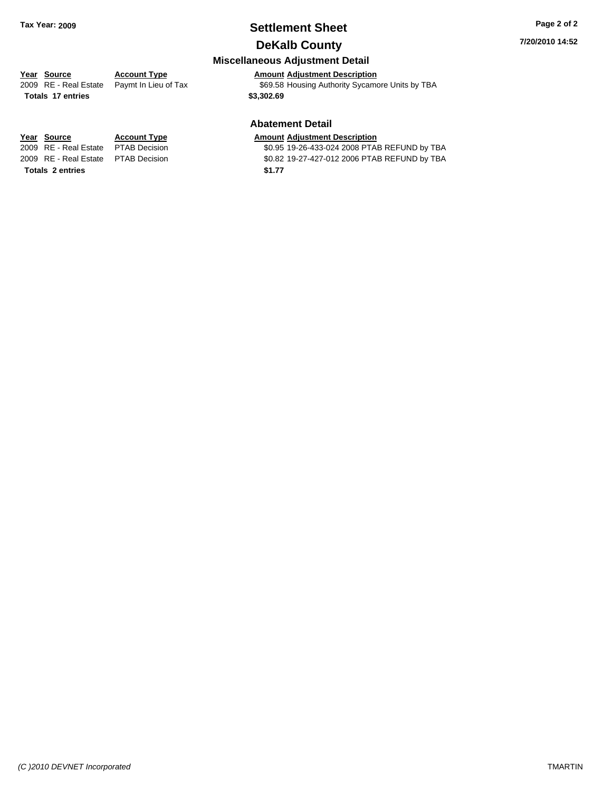### **Settlement Sheet Tax Year: 2009 Page 2 of 2 DeKalb County**

**7/20/2010 14:52**

## **Miscellaneous Adjustment Detail**

### **Year Source Account Type Amount Adjustment Description**

2009 RE - Real Estate Paymt In Lieu of Tax \$69.58 Housing Authority Sycamore Units by TBA

### **Totals \$3,302.69 17 entries**

#### **Abatement Detail**

#### **Year Source Account Type Amount Adjustment Description**

2009 RE - Real Estate \$0.95 19-26-433-024 2008 PTAB REFUND by TBA PTAB Decision 2009 RE - Real Estate \$0.82 19-27-427-012 2006 PTAB REFUND by TBA PTAB Decision

**Totals \$1.77 2 entries**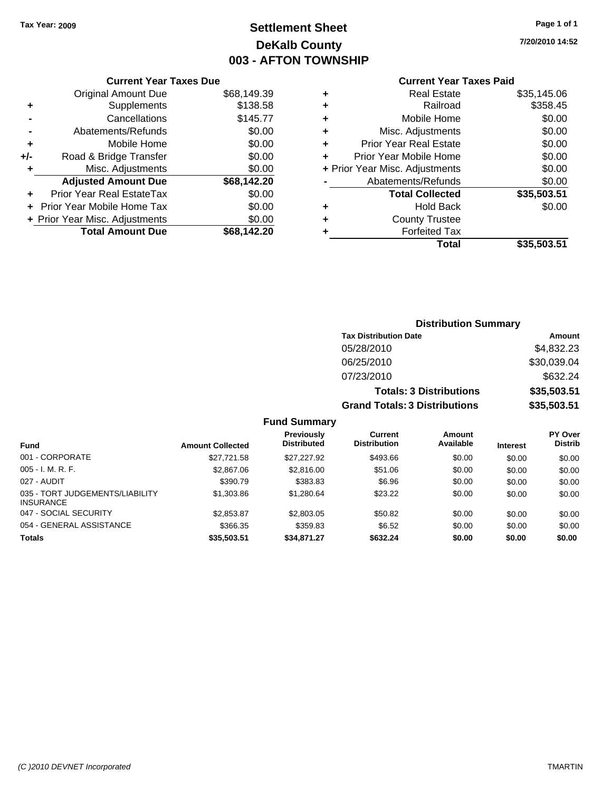### **Settlement Sheet Tax Year: 2009 Page 1 of 1 DeKalb County 003 - AFTON TOWNSHIP**

**7/20/2010 14:52**

|     | <b>Current Year Taxes Due</b>  |             |  |
|-----|--------------------------------|-------------|--|
|     | <b>Original Amount Due</b>     | \$68,149.39 |  |
| ٠   | Supplements                    | \$138.58    |  |
|     | Cancellations                  | \$145.77    |  |
|     | Abatements/Refunds             | \$0.00      |  |
| ٠   | Mobile Home                    | \$0.00      |  |
| +/- | Road & Bridge Transfer         | \$0.00      |  |
|     | \$0.00<br>Misc. Adjustments    |             |  |
|     | <b>Adjusted Amount Due</b>     | \$68,142.20 |  |
|     | Prior Year Real EstateTax      | \$0.00      |  |
|     | Prior Year Mobile Home Tax     | \$0.00      |  |
|     | + Prior Year Misc. Adjustments | \$0.00      |  |
|     | <b>Total Amount Due</b>        | \$68.142.20 |  |
|     |                                |             |  |

| ٠ | Real Estate                    | \$35,145.06 |
|---|--------------------------------|-------------|
| ٠ | Railroad                       | \$358.45    |
| ٠ | Mobile Home                    | \$0.00      |
| ٠ | Misc. Adjustments              | \$0.00      |
| ÷ | <b>Prior Year Real Estate</b>  | \$0.00      |
| ٠ | Prior Year Mobile Home         | \$0.00      |
|   | + Prior Year Misc. Adjustments | \$0.00      |
|   | Abatements/Refunds             | \$0.00      |
|   | <b>Total Collected</b>         | \$35,503.51 |
| ٠ | Hold Back                      | \$0.00      |
| ٠ | <b>County Trustee</b>          |             |
| ٠ | <b>Forfeited Tax</b>           |             |
|   | Total                          | \$35,503.51 |
|   |                                |             |

| Amount                                                                                                                                                                          |
|---------------------------------------------------------------------------------------------------------------------------------------------------------------------------------|
| \$4,832.23                                                                                                                                                                      |
| \$30,039.04                                                                                                                                                                     |
| \$632.24                                                                                                                                                                        |
| \$35,503.51                                                                                                                                                                     |
| \$35,503.51                                                                                                                                                                     |
|                                                                                                                                                                                 |
| <b>Distribution Summary</b><br><b>Tax Distribution Date</b><br>05/28/2010<br>06/25/2010<br>07/23/2010<br><b>Totals: 3 Distributions</b><br><b>Grand Totals: 3 Distributions</b> |

| <b>Fund</b>                                         | <b>Amount Collected</b> | Previously<br><b>Distributed</b> | Current<br><b>Distribution</b> | Amount<br>Available | <b>Interest</b> | <b>PY Over</b><br><b>Distrib</b> |
|-----------------------------------------------------|-------------------------|----------------------------------|--------------------------------|---------------------|-----------------|----------------------------------|
| 001 - CORPORATE                                     | \$27.721.58             | \$27,227.92                      | \$493.66                       | \$0.00              | \$0.00          | \$0.00                           |
| $005 - I. M. R. F.$                                 | \$2,867.06              | \$2,816,00                       | \$51.06                        | \$0.00              | \$0.00          | \$0.00                           |
| 027 - AUDIT                                         | \$390.79                | \$383.83                         | \$6.96                         | \$0.00              | \$0.00          | \$0.00                           |
| 035 - TORT JUDGEMENTS/LIABILITY<br><b>INSURANCE</b> | \$1,303.86              | \$1,280.64                       | \$23.22                        | \$0.00              | \$0.00          | \$0.00                           |
| 047 - SOCIAL SECURITY                               | \$2,853.87              | \$2,803.05                       | \$50.82                        | \$0.00              | \$0.00          | \$0.00                           |
| 054 - GENERAL ASSISTANCE                            | \$366.35                | \$359.83                         | \$6.52                         | \$0.00              | \$0.00          | \$0.00                           |
| <b>Totals</b>                                       | \$35,503.51             | \$34,871.27                      | \$632.24                       | \$0.00              | \$0.00          | \$0.00                           |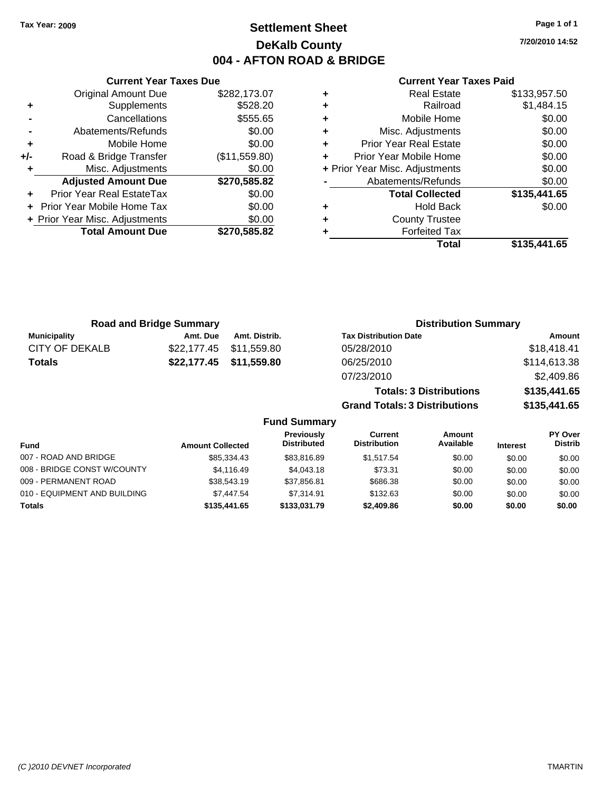### **Settlement Sheet Tax Year: 2009 Page 1 of 1 DeKalb County 004 - AFTON ROAD & BRIDGE**

**7/20/2010 14:52**

### **Current Year Taxes Paid**

|     | <b>Current Year Taxes Due</b>  |               |  |  |  |  |
|-----|--------------------------------|---------------|--|--|--|--|
|     | <b>Original Amount Due</b>     | \$282,173.07  |  |  |  |  |
| ٠   | Supplements                    | \$528.20      |  |  |  |  |
|     | Cancellations                  | \$555.65      |  |  |  |  |
|     | Abatements/Refunds             | \$0.00        |  |  |  |  |
| ٠   | Mobile Home                    | \$0.00        |  |  |  |  |
| +/- | Road & Bridge Transfer         | (\$11,559.80) |  |  |  |  |
| ٠   | Misc. Adjustments              | \$0.00        |  |  |  |  |
|     | <b>Adjusted Amount Due</b>     | \$270,585.82  |  |  |  |  |
|     | Prior Year Real EstateTax      | \$0.00        |  |  |  |  |
|     | Prior Year Mobile Home Tax     | \$0.00        |  |  |  |  |
|     | + Prior Year Misc. Adjustments | \$0.00        |  |  |  |  |
|     | <b>Total Amount Due</b>        | \$270,585.82  |  |  |  |  |
|     |                                |               |  |  |  |  |

|   | <b>Real Estate</b>             | \$133,957.50 |
|---|--------------------------------|--------------|
| ٠ | Railroad                       | \$1,484.15   |
| ٠ | Mobile Home                    | \$0.00       |
| ٠ | Misc. Adjustments              | \$0.00       |
| ٠ | <b>Prior Year Real Estate</b>  | \$0.00       |
|   | Prior Year Mobile Home         | \$0.00       |
|   | + Prior Year Misc. Adjustments | \$0.00       |
|   | Abatements/Refunds             | \$0.00       |
|   | <b>Total Collected</b>         | \$135,441.65 |
| ٠ | Hold Back                      | \$0.00       |
| ٠ | <b>County Trustee</b>          |              |
| ٠ | <b>Forfeited Tax</b>           |              |
|   | Total                          | \$135,441.65 |
|   |                                |              |

| <b>Road and Bridge Summary</b> |          | <b>Distribution Summary</b> |                                |              |
|--------------------------------|----------|-----------------------------|--------------------------------|--------------|
| <b>Municipality</b>            | Amt. Due | Amt. Distrib.               | <b>Tax Distribution Date</b>   | Amount       |
| CITY OF DEKALB                 |          | \$22,177.45 \$11,559.80     | 05/28/2010                     | \$18,418.41  |
| <b>Totals</b>                  |          | \$22,177.45 \$11,559.80     | 06/25/2010                     | \$114,613.38 |
|                                |          |                             | 07/23/2010                     | \$2,409.86   |
|                                |          |                             | <b>Totals: 3 Distributions</b> | \$135,441.65 |

**Grand Totals: 3 Distributions \$135,441.65**

| <b>Fund</b>                  | <b>Amount Collected</b> | Previously<br><b>Distributed</b> | Current<br><b>Distribution</b> | Amount<br>Available | <b>Interest</b> | <b>PY Over</b><br><b>Distrib</b> |
|------------------------------|-------------------------|----------------------------------|--------------------------------|---------------------|-----------------|----------------------------------|
| 007 - ROAD AND BRIDGE        | \$85,334.43             | \$83,816.89                      | \$1,517.54                     | \$0.00              | \$0.00          | \$0.00                           |
| 008 - BRIDGE CONST W/COUNTY  | \$4.116.49              | \$4,043.18                       | \$73.31                        | \$0.00              | \$0.00          | \$0.00                           |
| 009 - PERMANENT ROAD         | \$38,543.19             | \$37.856.81                      | \$686.38                       | \$0.00              | \$0.00          | \$0.00                           |
| 010 - EQUIPMENT AND BUILDING | \$7,447.54              | \$7.314.91                       | \$132.63                       | \$0.00              | \$0.00          | \$0.00                           |
| <b>Totals</b>                | \$135,441.65            | \$133,031.79                     | \$2,409.86                     | \$0.00              | \$0.00          | \$0.00                           |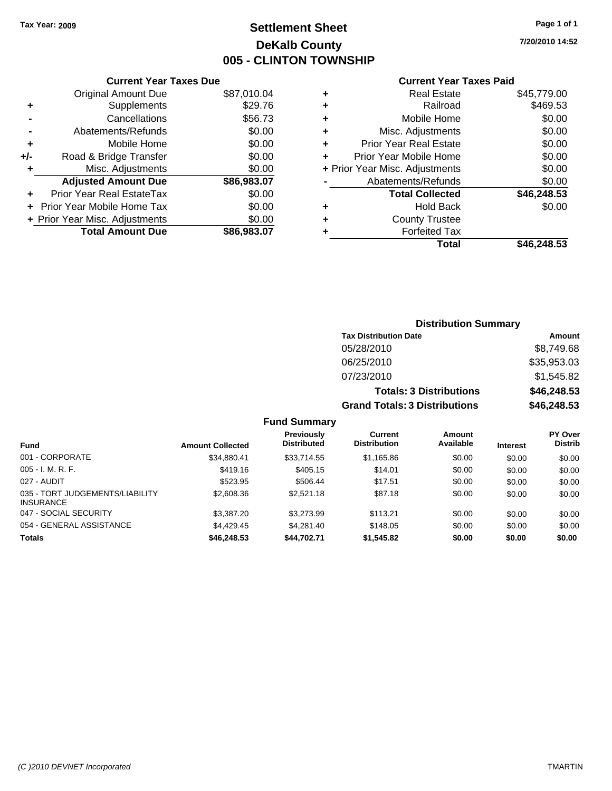### **Settlement Sheet Tax Year: 2009 Page 1 of 1 DeKalb County 005 - CLINTON TOWNSHIP**

**7/20/2010 14:52**

#### **Current Year Taxes Paid**

|     | <b>Current Year Taxes Due</b>  |             |
|-----|--------------------------------|-------------|
|     | <b>Original Amount Due</b>     | \$87,010.04 |
| ٠   | Supplements                    | \$29.76     |
|     | Cancellations                  | \$56.73     |
|     | Abatements/Refunds             | \$0.00      |
| ٠   | Mobile Home                    | \$0.00      |
| +/- | Road & Bridge Transfer         | \$0.00      |
| ÷   | Misc. Adjustments              | \$0.00      |
|     | <b>Adjusted Amount Due</b>     | \$86,983.07 |
|     | Prior Year Real EstateTax      | \$0.00      |
|     | Prior Year Mobile Home Tax     | \$0.00      |
|     | + Prior Year Misc. Adjustments | \$0.00      |
|     | <b>Total Amount Due</b>        | \$86,983.07 |
|     |                                |             |

|   | <b>Real Estate</b>             | \$45,779.00 |
|---|--------------------------------|-------------|
| ٠ | Railroad                       | \$469.53    |
| ٠ | Mobile Home                    | \$0.00      |
| ٠ | Misc. Adjustments              | \$0.00      |
| ٠ | <b>Prior Year Real Estate</b>  | \$0.00      |
|   | Prior Year Mobile Home         | \$0.00      |
|   | + Prior Year Misc. Adjustments | \$0.00      |
|   | Abatements/Refunds             | \$0.00      |
|   | <b>Total Collected</b>         | \$46,248.53 |
| ٠ | Hold Back                      | \$0.00      |
| ٠ | <b>County Trustee</b>          |             |
| ٠ | <b>Forfeited Tax</b>           |             |
|   | Total                          | \$46,248.53 |
|   |                                |             |

### **Distribution Summary Tax Distribution Date Amount** 05/28/2010 \$8,749.68 06/25/2010 \$35,953.03 07/23/2010 \$1,545.82 **Totals: 3 Distributions \$46,248.53 Grand Totals: 3 Distributions \$46,248.53 Fund Summary**

|                                                     |                         | Previously<br><b>Distributed</b> | Current<br><b>Distribution</b> | Amount<br>Available |                 | <b>PY Over</b><br><b>Distrib</b> |
|-----------------------------------------------------|-------------------------|----------------------------------|--------------------------------|---------------------|-----------------|----------------------------------|
| <b>Fund</b>                                         | <b>Amount Collected</b> |                                  |                                |                     | <b>Interest</b> |                                  |
| 001 - CORPORATE                                     | \$34,880.41             | \$33,714.55                      | \$1,165.86                     | \$0.00              | \$0.00          | \$0.00                           |
| $005 - I. M. R. F.$                                 | \$419.16                | \$405.15                         | \$14.01                        | \$0.00              | \$0.00          | \$0.00                           |
| 027 - AUDIT                                         | \$523.95                | \$506.44                         | \$17.51                        | \$0.00              | \$0.00          | \$0.00                           |
| 035 - TORT JUDGEMENTS/LIABILITY<br><b>INSURANCE</b> | \$2,608.36              | \$2,521.18                       | \$87.18                        | \$0.00              | \$0.00          | \$0.00                           |
| 047 - SOCIAL SECURITY                               | \$3,387.20              | \$3,273.99                       | \$113.21                       | \$0.00              | \$0.00          | \$0.00                           |
| 054 - GENERAL ASSISTANCE                            | \$4,429.45              | \$4,281.40                       | \$148.05                       | \$0.00              | \$0.00          | \$0.00                           |
| <b>Totals</b>                                       | \$46,248.53             | \$44.702.71                      | \$1,545.82                     | \$0.00              | \$0.00          | \$0.00                           |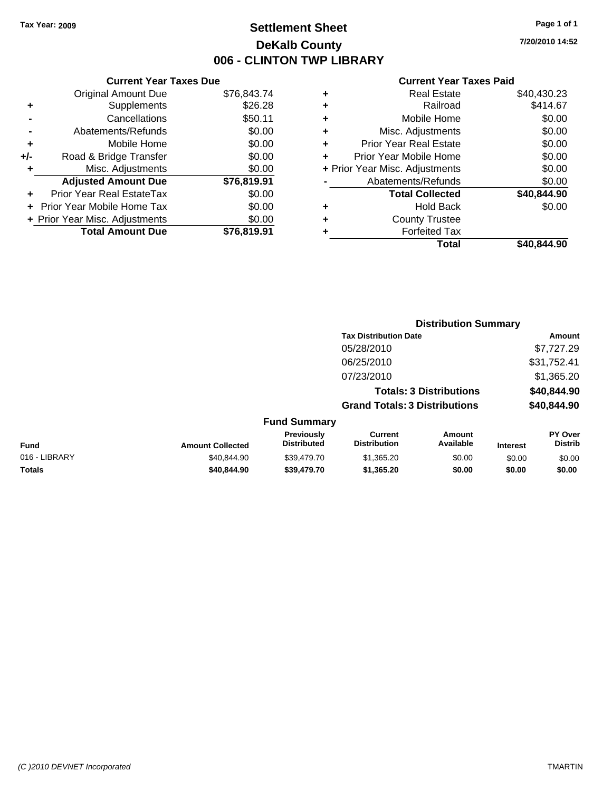### **Settlement Sheet Tax Year: 2009 Page 1 of 1 DeKalb County 006 - CLINTON TWP LIBRARY**

### **Current Year Taxes Due**

|     | <b>Original Amount Due</b>     | \$76,843.74 |
|-----|--------------------------------|-------------|
| ٠   | Supplements                    | \$26.28     |
|     | Cancellations                  | \$50.11     |
|     | Abatements/Refunds             | \$0.00      |
| ٠   | Mobile Home                    | \$0.00      |
| +/- | Road & Bridge Transfer         | \$0.00      |
| ÷   | Misc. Adjustments              | \$0.00      |
|     | <b>Adjusted Amount Due</b>     | \$76,819.91 |
|     | Prior Year Real EstateTax      | \$0.00      |
|     | Prior Year Mobile Home Tax     | \$0.00      |
|     | + Prior Year Misc. Adjustments | \$0.00      |
|     | <b>Total Amount Due</b>        | \$76.819.91 |

|   | <b>Real Estate</b>             | \$40,430.23 |
|---|--------------------------------|-------------|
| ٠ | Railroad                       | \$414.67    |
| ٠ | Mobile Home                    | \$0.00      |
| ٠ | Misc. Adjustments              | \$0.00      |
| ٠ | <b>Prior Year Real Estate</b>  | \$0.00      |
|   | Prior Year Mobile Home         | \$0.00      |
|   | + Prior Year Misc. Adjustments | \$0.00      |
|   | Abatements/Refunds             | \$0.00      |
|   | <b>Total Collected</b>         | \$40,844.90 |
| ٠ | Hold Back                      | \$0.00      |
| ٠ | <b>County Trustee</b>          |             |
|   | <b>Forfeited Tax</b>           |             |
|   | Total                          | \$40,844.90 |
|   |                                |             |

|   |                                  |                                      | <b>Distribution Summary</b>    |                                  |
|---|----------------------------------|--------------------------------------|--------------------------------|----------------------------------|
|   |                                  | <b>Tax Distribution Date</b>         |                                | Amount                           |
|   |                                  | 05/28/2010                           |                                | \$7,727.29                       |
|   |                                  | 06/25/2010                           |                                | \$31,752.41                      |
|   |                                  | 07/23/2010                           |                                | \$1,365.20                       |
|   |                                  |                                      | <b>Totals: 3 Distributions</b> | \$40,844.90                      |
|   |                                  | <b>Grand Totals: 3 Distributions</b> |                                | \$40,844.90                      |
|   | <b>Fund Summary</b>              |                                      |                                |                                  |
| . | <b>Previously</b><br>Diotributed | Current<br>Diotribution              | Amount<br><b>Avoilable</b>     | <b>PY Over</b><br><b>Diotrib</b> |

| <b>Fund</b>   | <b>Amount Collected</b> | <b>Previously</b><br><b>Distributed</b> | Current<br><b>Distribution</b> | Amount<br>Available | <b>Interest</b> | PY Over<br><b>Distrib</b> |
|---------------|-------------------------|-----------------------------------------|--------------------------------|---------------------|-----------------|---------------------------|
| 016 - LIBRARY | \$40.844.90             | \$39,479.70                             | \$1.365.20                     | \$0.00              | \$0.00          | \$0.00                    |
| <b>Totals</b> | \$40.844.90             | \$39,479.70                             | \$1,365,20                     | \$0.00              | \$0.00          | \$0.00                    |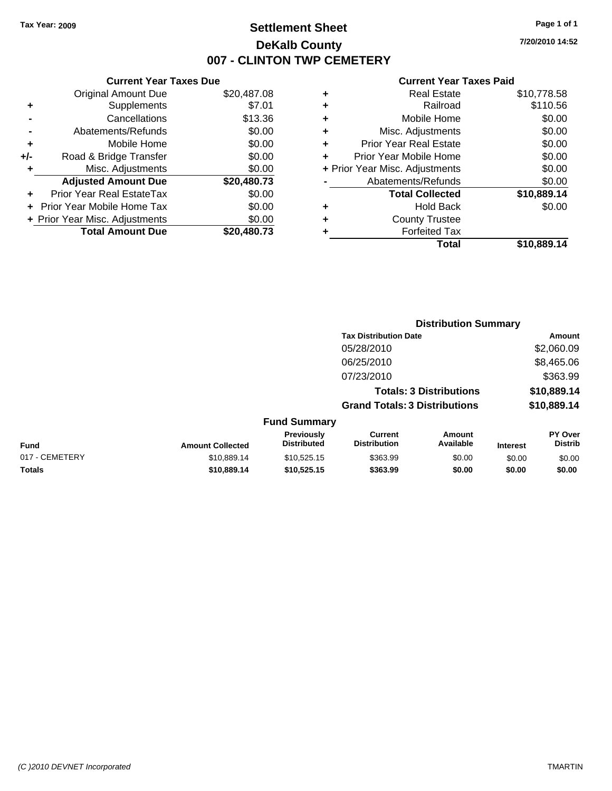**Current Year Taxes Due** Original Amount Due \$20,487.08

**Adjusted Amount Due \$20,480.73**

**+** Supplements \$7.01 **-** Cancellations \$13.36 **-** Abatements/Refunds \$0.00 **+** Mobile Home \$0.00 **+/-** Road & Bridge Transfer \$0.00 **+** Misc. Adjustments \$0.00

**+** Prior Year Real EstateTax \$0.00 **+** Prior Year Mobile Home Tax \$0.00

### **Settlement Sheet Tax Year: 2009 Page 1 of 1 DeKalb County 007 - CLINTON TWP CEMETERY**

**7/20/2010 14:52**

**Amount** \$2,060.09 06/25/2010 \$8,465.06 \$363.99 **Totals: 3 Distributions \$10,889.14 Grand Totals: 3 Distributions \$10,889.14**

| <b>Real Estate</b>            | \$10,778.58                    |
|-------------------------------|--------------------------------|
| Railroad                      | \$110.56                       |
| Mobile Home                   | \$0.00                         |
| Misc. Adjustments             | \$0.00                         |
| <b>Prior Year Real Estate</b> | \$0.00                         |
| Prior Year Mobile Home        | \$0.00                         |
|                               | \$0.00                         |
| Abatements/Refunds            | \$0.00                         |
| <b>Total Collected</b>        | \$10,889.14                    |
| <b>Hold Back</b>              | \$0.00                         |
| <b>County Trustee</b>         |                                |
| <b>Forfeited Tax</b>          |                                |
| Total                         | \$10,889.14                    |
|                               | + Prior Year Misc. Adjustments |

| + Prior Year Misc. Adjustments | \$0.00              | ٠ | <b>County Trustee</b>                |   |
|--------------------------------|---------------------|---|--------------------------------------|---|
| <b>Total Amount Due</b>        | \$20,480.73         | ٠ | <b>Forfeited Tax</b>                 |   |
|                                |                     |   | <b>Total</b>                         | S |
|                                |                     |   |                                      |   |
|                                |                     |   |                                      |   |
|                                |                     |   |                                      |   |
|                                |                     |   | <b>Distribution Summary</b>          |   |
|                                |                     |   | <b>Tax Distribution Date</b>         |   |
|                                |                     |   | 05/28/2010                           |   |
|                                |                     |   | 06/25/2010                           |   |
|                                |                     |   | 07/23/2010                           |   |
|                                |                     |   | <b>Totals: 3 Distributions</b>       |   |
|                                |                     |   | <b>Grand Totals: 3 Distributions</b> |   |
|                                | <b>Fund Summary</b> |   |                                      |   |

| Fund           | <b>Amount Collected</b> | <b>Previously</b><br><b>Distributed</b> | Current<br><b>Distribution</b> | Amount<br>Available | <b>Interest</b> | <b>PY Over</b><br><b>Distrib</b> |
|----------------|-------------------------|-----------------------------------------|--------------------------------|---------------------|-----------------|----------------------------------|
| 017 - CEMETERY | \$10.889.14             | \$10.525.15                             | \$363.99                       | \$0.00              | \$0.00          | \$0.00                           |
| <b>Totals</b>  | \$10.889.14             | \$10,525.15                             | \$363.99                       | \$0.00              | \$0.00          | \$0.00                           |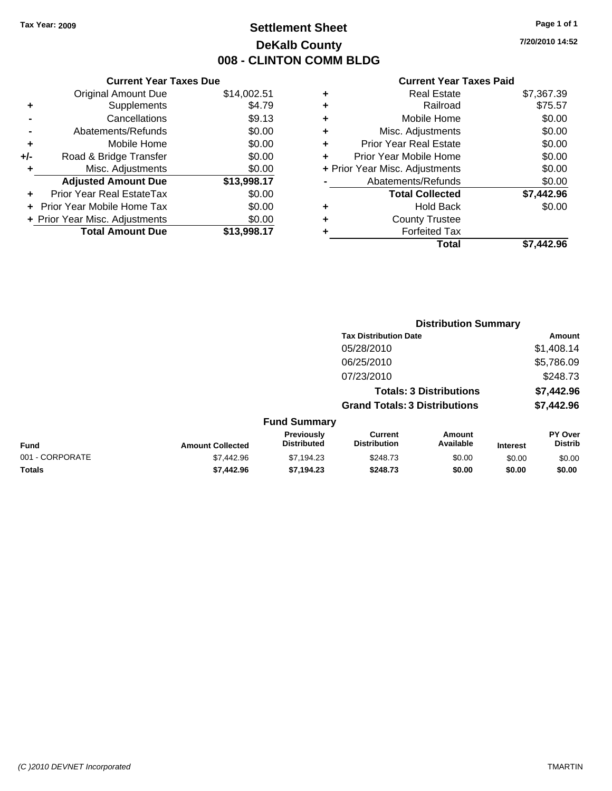### **Settlement Sheet Tax Year: 2009 Page 1 of 1 DeKalb County 008 - CLINTON COMM BLDG**

**7/20/2010 14:52**

|     | <b>Current Year Taxes Due</b>  |             |
|-----|--------------------------------|-------------|
|     | Original Amount Due            | \$14,002.51 |
|     | Supplements                    | \$4.79      |
|     | Cancellations                  | \$9.13      |
|     | Abatements/Refunds             | \$0.00      |
| ٠   | Mobile Home                    | \$0.00      |
| +/- | Road & Bridge Transfer         | \$0.00      |
| ٠   | Misc. Adjustments              | \$0.00      |
|     | <b>Adjusted Amount Due</b>     | \$13,998.17 |
|     | Prior Year Real EstateTax      | \$0.00      |
|     | Prior Year Mobile Home Tax     | \$0.00      |
|     | + Prior Year Misc. Adjustments | \$0.00      |
|     | <b>Total Amount Due</b>        | \$13,998.17 |
|     |                                |             |

|   | <b>Real Estate</b>             | \$7,367.39 |
|---|--------------------------------|------------|
| ٠ | Railroad                       | \$75.57    |
| ٠ | Mobile Home                    | \$0.00     |
| ٠ | Misc. Adjustments              | \$0.00     |
| ٠ | <b>Prior Year Real Estate</b>  | \$0.00     |
| ÷ | Prior Year Mobile Home         | \$0.00     |
|   | + Prior Year Misc. Adjustments | \$0.00     |
|   | Abatements/Refunds             | \$0.00     |
|   | <b>Total Collected</b>         | \$7,442.96 |
| ٠ | <b>Hold Back</b>               | \$0.00     |
| ٠ | <b>County Trustee</b>          |            |
|   | <b>Forfeited Tax</b>           |            |
|   | Total                          | \$7.442.96 |
|   |                                |            |

|                 |                         | <b>Distribution Summary</b>      |                                       |                                |                 |                                  |
|-----------------|-------------------------|----------------------------------|---------------------------------------|--------------------------------|-----------------|----------------------------------|
|                 |                         |                                  | <b>Tax Distribution Date</b>          |                                |                 | Amount                           |
|                 |                         |                                  | 05/28/2010                            |                                |                 | \$1,408.14                       |
|                 |                         |                                  | 06/25/2010                            |                                |                 | \$5,786.09                       |
|                 |                         |                                  | 07/23/2010                            |                                |                 | \$248.73                         |
|                 |                         |                                  |                                       | <b>Totals: 3 Distributions</b> |                 | \$7,442.96                       |
|                 |                         |                                  | <b>Grand Totals: 3 Distributions</b>  |                                |                 | \$7,442.96                       |
|                 |                         | <b>Fund Summary</b>              |                                       |                                |                 |                                  |
| <b>Fund</b>     | <b>Amount Collected</b> | Previously<br><b>Distributed</b> | <b>Current</b><br><b>Distribution</b> | Amount<br>Available            | <b>Interest</b> | <b>PY Over</b><br><b>Distrib</b> |
| 001 - CORPORATE | \$7,442.96              | \$7,194.23                       | \$248.73                              | \$0.00                         | \$0.00          | \$0.00                           |
| Totals          | \$7.442.96              | \$7.194.23                       | \$248.73                              | \$0.00                         | \$0.00          | \$0.00                           |
|                 |                         |                                  |                                       |                                |                 |                                  |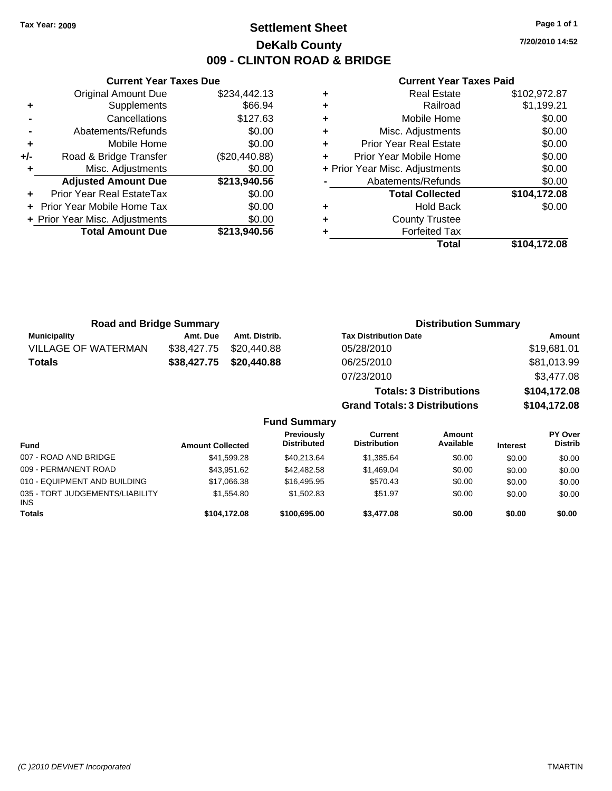### **Settlement Sheet Tax Year: 2009 Page 1 of 1 DeKalb County 009 - CLINTON ROAD & BRIDGE**

**7/20/2010 14:52**

### **Current Year Taxes Paid**

|     | <b>Current Year Taxes Due</b>  |               |
|-----|--------------------------------|---------------|
|     | <b>Original Amount Due</b>     | \$234,442.13  |
| ٠   | Supplements                    | \$66.94       |
|     | Cancellations                  | \$127.63      |
|     | Abatements/Refunds             | \$0.00        |
| ٠   | Mobile Home                    | \$0.00        |
| +/- | Road & Bridge Transfer         | (\$20,440.88) |
| ٠   | Misc. Adjustments              | \$0.00        |
|     | <b>Adjusted Amount Due</b>     | \$213,940.56  |
|     | Prior Year Real EstateTax      | \$0.00        |
|     | Prior Year Mobile Home Tax     | \$0.00        |
|     | + Prior Year Misc. Adjustments | \$0.00        |
|     | <b>Total Amount Due</b>        | \$213,940.56  |
|     |                                |               |

|   | <b>Real Estate</b>             | \$102,972.87 |
|---|--------------------------------|--------------|
| ٠ | Railroad                       | \$1,199.21   |
| ٠ | Mobile Home                    | \$0.00       |
| ٠ | Misc. Adjustments              | \$0.00       |
| ٠ | <b>Prior Year Real Estate</b>  | \$0.00       |
| ٠ | Prior Year Mobile Home         | \$0.00       |
|   | + Prior Year Misc. Adjustments | \$0.00       |
|   | Abatements/Refunds             | \$0.00       |
|   | <b>Total Collected</b>         | \$104,172.08 |
| ٠ | <b>Hold Back</b>               | \$0.00       |
| ٠ | <b>County Trustee</b>          |              |
|   | <b>Forfeited Tax</b>           |              |
|   | Total                          | \$104.172.08 |

| <b>Road and Bridge Summary</b> |             |               | <b>Distribution Summary</b>    |              |  |
|--------------------------------|-------------|---------------|--------------------------------|--------------|--|
| <b>Municipality</b>            | Amt. Due    | Amt. Distrib. | <b>Tax Distribution Date</b>   | Amount       |  |
| <b>VILLAGE OF WATERMAN</b>     | \$38,427.75 | \$20,440.88   | 05/28/2010                     | \$19,681.01  |  |
| <b>Totals</b>                  | \$38,427.75 | \$20,440.88   | 06/25/2010                     | \$81,013.99  |  |
|                                |             |               | 07/23/2010                     | \$3,477.08   |  |
|                                |             |               | <b>Totals: 3 Distributions</b> | \$104,172.08 |  |

**Grand Totals: 3 Distributions \$104,172.08**

| <b>Fund Summary</b>                           |                         |                                  |                                |                            |                 |                           |
|-----------------------------------------------|-------------------------|----------------------------------|--------------------------------|----------------------------|-----------------|---------------------------|
| <b>Fund</b>                                   | <b>Amount Collected</b> | Previously<br><b>Distributed</b> | Current<br><b>Distribution</b> | <b>Amount</b><br>Available | <b>Interest</b> | PY Over<br><b>Distrib</b> |
| 007 - ROAD AND BRIDGE                         | \$41,599.28             | \$40.213.64                      | \$1,385.64                     | \$0.00                     | \$0.00          | \$0.00                    |
| 009 - PERMANENT ROAD                          | \$43.951.62             | \$42,482.58                      | \$1,469.04                     | \$0.00                     | \$0.00          | \$0.00                    |
| 010 - EQUIPMENT AND BUILDING                  | \$17,066.38             | \$16,495.95                      | \$570.43                       | \$0.00                     | \$0.00          | \$0.00                    |
| 035 - TORT JUDGEMENTS/LIABILITY<br><b>INS</b> | \$1.554.80              | \$1,502.83                       | \$51.97                        | \$0.00                     | \$0.00          | \$0.00                    |
| <b>Totals</b>                                 | \$104.172.08            | \$100,695,00                     | \$3,477.08                     | \$0.00                     | \$0.00          | \$0.00                    |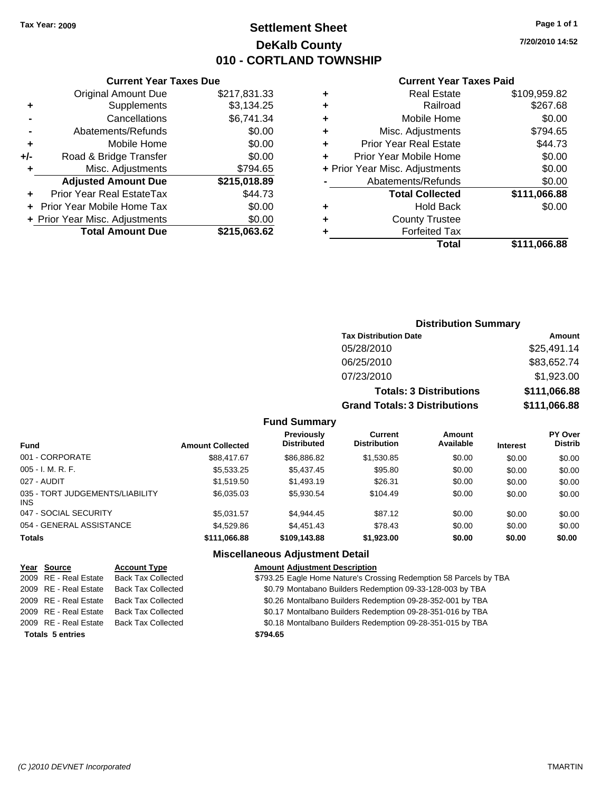### **Settlement Sheet Tax Year: 2009 Page 1 of 1 DeKalb County 010 - CORTLAND TOWNSHIP**

**7/20/2010 14:52**

#### **Current Year Taxes Paid**

|                                | \$111,066.88 |
|--------------------------------|--------------|
| <b>Forfeited Tax</b>           |              |
| <b>County Trustee</b>          |              |
| <b>Hold Back</b>               | \$0.00       |
| <b>Total Collected</b>         | \$111,066.88 |
| Abatements/Refunds             | \$0.00       |
| + Prior Year Misc. Adjustments | \$0.00       |
| Prior Year Mobile Home         | \$0.00       |
| <b>Prior Year Real Estate</b>  | \$44.73      |
| Misc. Adjustments              | \$794.65     |
| Mobile Home                    | \$0.00       |
| Railroad                       | \$267.68     |
| <b>Real Estate</b>             | \$109,959.82 |
|                                | Total        |

### **Current Year Taxes Due** Original Amount Due \$217,831.33

|     | + Prior Year Misc. Adjustments<br><b>Total Amount Due</b> | \$0.00<br>\$215,063.62 |
|-----|-----------------------------------------------------------|------------------------|
|     | + Prior Year Mobile Home Tax                              | \$0.00                 |
|     | Prior Year Real EstateTax                                 | \$44.73                |
|     | <b>Adjusted Amount Due</b>                                | \$215,018.89           |
| ÷   | Misc. Adjustments                                         | \$794.65               |
| +/- | Road & Bridge Transfer                                    | \$0.00                 |
| ÷   | Mobile Home                                               | \$0.00                 |
|     | Abatements/Refunds                                        | \$0.00                 |
|     | Cancellations                                             | \$6,741.34             |
| ٠   | Supplements                                               | \$3,134.25             |

| <b>Distribution Summary</b>    |               |  |  |  |
|--------------------------------|---------------|--|--|--|
| <b>Tax Distribution Date</b>   | <b>Amount</b> |  |  |  |
| 05/28/2010                     | \$25,491.14   |  |  |  |
| 06/25/2010                     | \$83,652.74   |  |  |  |
| 07/23/2010                     | \$1,923.00    |  |  |  |
| <b>Totals: 3 Distributions</b> | \$111,066.88  |  |  |  |

**Grand Totals: 3 Distributions \$111,066.88**

### **Fund Summary**

| <b>Fund</b>                                   | <b>Amount Collected</b> | <b>Previously</b><br><b>Distributed</b> | Current<br><b>Distribution</b> | <b>Amount</b><br>Available | <b>Interest</b> | <b>PY Over</b><br><b>Distrib</b> |
|-----------------------------------------------|-------------------------|-----------------------------------------|--------------------------------|----------------------------|-----------------|----------------------------------|
| 001 - CORPORATE                               | \$88,417.67             | \$86,886.82                             | \$1,530.85                     | \$0.00                     | \$0.00          | \$0.00                           |
| $005 - I. M. R. F.$                           | \$5,533.25              | \$5,437.45                              | \$95.80                        | \$0.00                     | \$0.00          | \$0.00                           |
| 027 - AUDIT                                   | \$1.519.50              | \$1,493.19                              | \$26.31                        | \$0.00                     | \$0.00          | \$0.00                           |
| 035 - TORT JUDGEMENTS/LIABILITY<br><b>INS</b> | \$6,035.03              | \$5.930.54                              | \$104.49                       | \$0.00                     | \$0.00          | \$0.00                           |
| 047 - SOCIAL SECURITY                         | \$5.031.57              | \$4.944.45                              | \$87.12                        | \$0.00                     | \$0.00          | \$0.00                           |
| 054 - GENERAL ASSISTANCE                      | \$4,529.86              | \$4,451.43                              | \$78.43                        | \$0.00                     | \$0.00          | \$0.00                           |
| <b>Totals</b>                                 | \$111,066.88            | \$109,143.88                            | \$1,923.00                     | \$0.00                     | \$0.00          | \$0.00                           |

#### **Miscellaneous Adjustment Detail**

| Year Source             | <b>Account Type</b>       | <b>Amount Adjustment Description</b>                               |
|-------------------------|---------------------------|--------------------------------------------------------------------|
| 2009 RE - Real Estate   | <b>Back Tax Collected</b> | \$793.25 Eagle Home Nature's Crossing Redemption 58 Parcels by TBA |
| 2009 RE - Real Estate   | <b>Back Tax Collected</b> | \$0.79 Montabano Builders Redemption 09-33-128-003 by TBA          |
| 2009 RE - Real Estate   | <b>Back Tax Collected</b> | \$0.26 Montalbano Builders Redemption 09-28-352-001 by TBA         |
| 2009 RE - Real Estate   | <b>Back Tax Collected</b> | \$0.17 Montalbano Builders Redemption 09-28-351-016 by TBA         |
| 2009 RE - Real Estate   | <b>Back Tax Collected</b> | \$0.18 Montalbano Builders Redemption 09-28-351-015 by TBA         |
| <b>Totals 5 entries</b> |                           | \$794.65                                                           |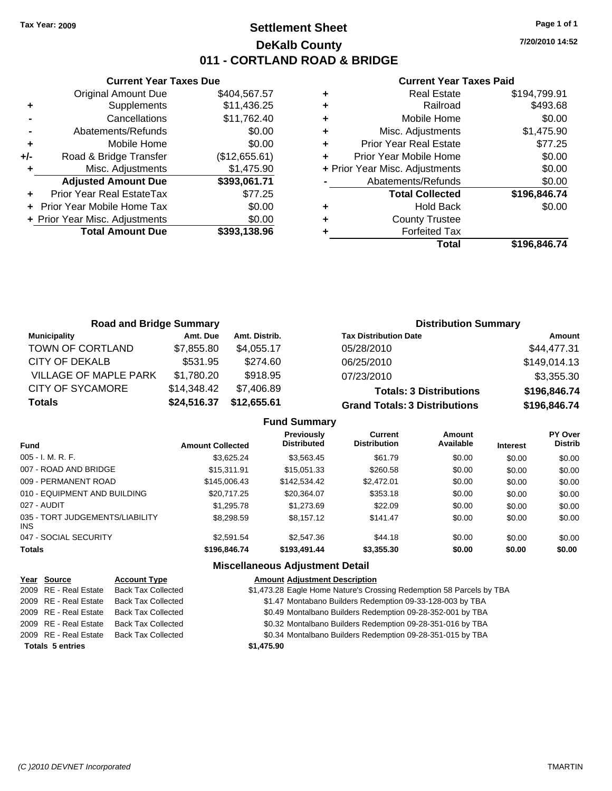### **Settlement Sheet Tax Year: 2009 Page 1 of 1 DeKalb County 011 - CORTLAND ROAD & BRIDGE**

**7/20/2010 14:52**

### **Current Year Taxes Paid**

|       | <b>Current Year Taxes Due</b>  |               |
|-------|--------------------------------|---------------|
|       | <b>Original Amount Due</b>     | \$404,567.57  |
| ٠     | Supplements                    | \$11,436.25   |
|       | Cancellations                  | \$11,762.40   |
|       | Abatements/Refunds             | \$0.00        |
| ٠     | Mobile Home                    | \$0.00        |
| $+/-$ | Road & Bridge Transfer         | (\$12,655.61) |
| ٠     | Misc. Adjustments              | \$1,475.90    |
|       | <b>Adjusted Amount Due</b>     | \$393,061.71  |
|       | Prior Year Real EstateTax      | \$77.25       |
|       | Prior Year Mobile Home Tax     | \$0.00        |
|       | + Prior Year Misc. Adjustments | \$0.00        |
|       | <b>Total Amount Due</b>        | \$393,138.96  |
|       |                                |               |

|   | <b>Real Estate</b>             | \$194,799.91 |
|---|--------------------------------|--------------|
| ٠ | Railroad                       | \$493.68     |
| ٠ | Mobile Home                    | \$0.00       |
| ٠ | Misc. Adjustments              | \$1,475.90   |
| ٠ | <b>Prior Year Real Estate</b>  | \$77.25      |
|   | Prior Year Mobile Home         | \$0.00       |
|   | + Prior Year Misc. Adjustments | \$0.00       |
|   | Abatements/Refunds             | \$0.00       |
|   | <b>Total Collected</b>         | \$196,846.74 |
|   | <b>Hold Back</b>               | \$0.00       |
| ٠ | <b>County Trustee</b>          |              |
|   | <b>Forfeited Tax</b>           |              |
|   | Total                          | \$196,846.74 |

| <b>Road and Bridge Summary</b> |             |               | <b>Distribution Summary</b>          |              |  |
|--------------------------------|-------------|---------------|--------------------------------------|--------------|--|
| <b>Municipality</b>            | Amt. Due    | Amt. Distrib. | <b>Tax Distribution Date</b>         | Amount       |  |
| TOWN OF CORTLAND               | \$7,855.80  | \$4.055.17    | 05/28/2010                           | \$44,477.31  |  |
| CITY OF DEKALB                 | \$531.95    | \$274.60      | 06/25/2010                           | \$149,014.13 |  |
| <b>VILLAGE OF MAPLE PARK</b>   | \$1,780.20  | \$918.95      | 07/23/2010                           | \$3,355.30   |  |
| <b>CITY OF SYCAMORE</b>        | \$14,348.42 | \$7,406.89    | <b>Totals: 3 Distributions</b>       | \$196,846.74 |  |
| <b>Totals</b>                  | \$24,516.37 | \$12,655.61   | <b>Grand Totals: 3 Distributions</b> | \$196,846.74 |  |

| <b>Fund Summary</b> |  |  |
|---------------------|--|--|
|---------------------|--|--|

| <b>Fund</b>                             | <b>Amount Collected</b> | <b>Previously</b><br><b>Distributed</b> | <b>Current</b><br><b>Distribution</b> | Amount<br>Available | <b>Interest</b> | <b>PY Over</b><br><b>Distrib</b> |
|-----------------------------------------|-------------------------|-----------------------------------------|---------------------------------------|---------------------|-----------------|----------------------------------|
| 005 - I. M. R. F.                       | \$3.625.24              | \$3,563.45                              | \$61.79                               | \$0.00              | \$0.00          | \$0.00                           |
| 007 - ROAD AND BRIDGE                   | \$15,311.91             | \$15,051.33                             | \$260.58                              | \$0.00              | \$0.00          | \$0.00                           |
| 009 - PERMANENT ROAD                    | \$145,006.43            | \$142,534.42                            | \$2,472.01                            | \$0.00              | \$0.00          | \$0.00                           |
| 010 - EQUIPMENT AND BUILDING            | \$20,717.25             | \$20,364.07                             | \$353.18                              | \$0.00              | \$0.00          | \$0.00                           |
| 027 - AUDIT                             | \$1,295.78              | \$1,273.69                              | \$22.09                               | \$0.00              | \$0.00          | \$0.00                           |
| 035 - TORT JUDGEMENTS/LIABILITY<br>INS. | \$8,298.59              | \$8.157.12                              | \$141.47                              | \$0.00              | \$0.00          | \$0.00                           |
| 047 - SOCIAL SECURITY                   | \$2,591.54              | \$2,547.36                              | \$44.18                               | \$0.00              | \$0.00          | \$0.00                           |
| <b>Totals</b>                           | \$196,846.74            | \$193,491.44                            | \$3,355.30                            | \$0.00              | \$0.00          | \$0.00                           |

### **Miscellaneous Adjustment Detail**

| Year Source             | <b>Account Type</b>       | <b>Amount Adjustment Description</b>                                 |
|-------------------------|---------------------------|----------------------------------------------------------------------|
| 2009 RE - Real Estate   | <b>Back Tax Collected</b> | \$1,473.28 Eagle Home Nature's Crossing Redemption 58 Parcels by TBA |
| 2009 RE - Real Estate   | <b>Back Tax Collected</b> | \$1.47 Montabano Builders Redemption 09-33-128-003 by TBA            |
| 2009 RE - Real Estate   | <b>Back Tax Collected</b> | \$0.49 Montalbano Builders Redemption 09-28-352-001 by TBA           |
| 2009 RE - Real Estate   | <b>Back Tax Collected</b> | \$0.32 Montalbano Builders Redemption 09-28-351-016 by TBA           |
| 2009 RE - Real Estate   | <b>Back Tax Collected</b> | \$0.34 Montalbano Builders Redemption 09-28-351-015 by TBA           |
| <b>Totals 5 entries</b> |                           | \$1,475.90                                                           |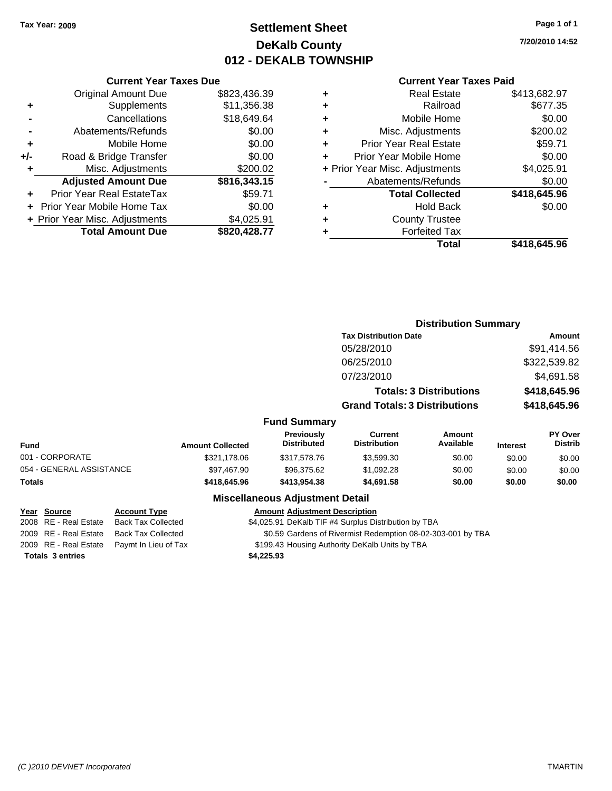### **Settlement Sheet Tax Year: 2009 Page 1 of 1 DeKalb County 012 - DEKALB TOWNSHIP**

**7/20/2010 14:52**

|     | <b>Current Year Taxes Due</b>  |              |
|-----|--------------------------------|--------------|
|     | <b>Original Amount Due</b>     | \$823,436.39 |
| ٠   | Supplements                    | \$11,356.38  |
|     | Cancellations                  | \$18,649.64  |
|     | Abatements/Refunds             | \$0.00       |
| ٠   | Mobile Home                    | \$0.00       |
| +/- | Road & Bridge Transfer         | \$0.00       |
| ٠   | Misc. Adjustments              | \$200.02     |
|     | <b>Adjusted Amount Due</b>     | \$816,343.15 |
|     | Prior Year Real EstateTax      | \$59.71      |
|     | Prior Year Mobile Home Tax     | \$0.00       |
|     | + Prior Year Misc. Adjustments | \$4,025.91   |
|     | <b>Total Amount Due</b>        | \$820,428.77 |
|     |                                |              |

#### **Current Year Taxes Paid**

| \$413,682.97 |
|--------------|
| \$677.35     |
| \$0.00       |
| \$200.02     |
| \$59.71      |
| \$0.00       |
| \$4,025.91   |
| \$0.00       |
| \$418,645.96 |
| \$0.00       |
|              |
|              |
| \$418,645.96 |
|              |

#### **Distribution Summary Tax Distribution Date Amount** 05/28/2010 \$91,414.56 06/25/2010 \$322,539.82 07/23/2010 \$4,691.58 **Totals: 3 Distributions \$418,645.96 Grand Totals: 3 Distributions \$418,645.96 Fund Summary Fund Interest Amount Collected Distributed PY Over Distrib Amount Available Current Distribution Previously** 001 - CORPORATE \$321,178.06 \$317,578.76 \$3,599.30 \$0.00 \$0.00 \$0.00 054 - GENERAL ASSISTANCE \$97,467.90 \$96,375.62 \$1,092.28 \$0.00 \$0.00 \$0.00 **Totals \$418,645.96 \$413,954.38 \$4,691.58 \$0.00 \$0.00 \$0.00**

### **Miscellaneous Adjustment Detail**

**Year Source Account Type Amount Adjustment Description**

2008 RE - Real Estate Back Tax Collected \$4,025.91 DeKalb TIF #4 Surplus Distribution by TBA

2009 RE - Real Estate Back Tax Collected \$0.59 Gardens of Rivermist Redemption 08-02-303-001 by TBA

2009 RE - Real Estate Paymt In Lieu of Tax \$199.43 Housing Authority DeKalb Units by TBA

**Totals \$4,225.93 3 entries**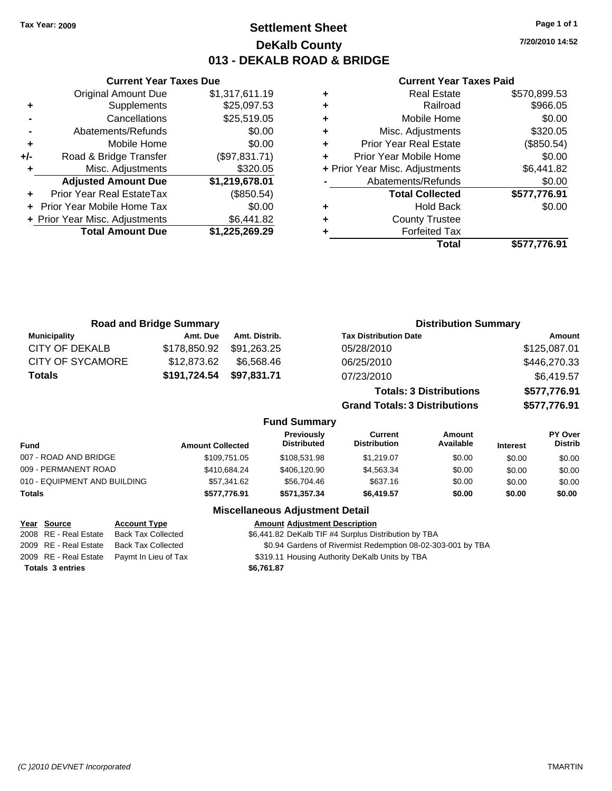**Current Year Taxes Due** Original Amount Due \$1,317,611.19

**Adjusted Amount Due \$1,219,678.01**

**Total Amount Due \$1,225,269.29**

**+** Supplements \$25,097.53 **-** Cancellations \$25,519.05 **-** Abatements/Refunds \$0.00 **+** Mobile Home \$0.00 **+/-** Road & Bridge Transfer (\$97,831.71) **+** Misc. Adjustments \$320.05

**+** Prior Year Real EstateTax (\$850.54) **+** Prior Year Mobile Home Tax \$0.00 **+** Prior Year Misc. Adjustments \$6,441.82

### **Settlement Sheet Tax Year: 2009 Page 1 of 1 DeKalb County 013 - DEKALB ROAD & BRIDGE**

**7/20/2010 14:52**

#### **Current Year Taxes Paid**

| <b>Real Estate</b><br>٠            | \$570,899.53 |
|------------------------------------|--------------|
| Railroad<br>٠                      | \$966.05     |
| Mobile Home<br>٠                   | \$0.00       |
| Misc. Adjustments<br>٠             | \$320.05     |
| <b>Prior Year Real Estate</b><br>٠ | (\$850.54)   |
| Prior Year Mobile Home<br>÷        | \$0.00       |
| + Prior Year Misc. Adjustments     | \$6,441.82   |
| Abatements/Refunds                 | \$0.00       |
| <b>Total Collected</b>             | \$577,776.91 |
| <b>Hold Back</b><br>٠              | \$0.00       |
| <b>County Trustee</b><br>٠         |              |
| <b>Forfeited Tax</b>               |              |
| Total                              | \$577,776.91 |

|                         | <b>Road and Bridge Summary</b> |               |                                  |                                       | <b>Distribution Summary</b>    |                 |                           |
|-------------------------|--------------------------------|---------------|----------------------------------|---------------------------------------|--------------------------------|-----------------|---------------------------|
| <b>Municipality</b>     | Amt. Due                       | Amt. Distrib. |                                  | <b>Tax Distribution Date</b>          |                                |                 | Amount                    |
| <b>CITY OF DEKALB</b>   | \$178,850.92                   | \$91,263.25   |                                  | 05/28/2010                            |                                |                 | \$125,087.01              |
| <b>CITY OF SYCAMORE</b> | \$12,873.62                    | \$6,568.46    |                                  | 06/25/2010                            |                                |                 | \$446,270.33              |
| <b>Totals</b>           | \$191,724.54                   | \$97,831.71   |                                  | 07/23/2010                            |                                |                 | \$6,419.57                |
|                         |                                |               |                                  |                                       | <b>Totals: 3 Distributions</b> |                 | \$577,776.91              |
|                         |                                |               |                                  | <b>Grand Totals: 3 Distributions</b>  |                                |                 | \$577,776.91              |
|                         |                                |               | <b>Fund Summary</b>              |                                       |                                |                 |                           |
| <b>Fund</b>             | <b>Amount Collected</b>        |               | Previously<br><b>Distributed</b> | <b>Current</b><br><b>Distribution</b> | Amount<br>Available            | <b>Interest</b> | PY Over<br><b>Distrib</b> |
| 007 - ROAD AND BRIDGE   |                                | \$109.751.05  | \$10852198                       | \$1 210 07                            | ደሰ ሰሰ                          | ድስ ሰሰ           | 2000                      |

|                              |              | <b>Missellanesse Adioatorent Batall</b> |            |        |        |        |
|------------------------------|--------------|-----------------------------------------|------------|--------|--------|--------|
| Totals                       | \$577.776.91 | \$571.357.34                            | \$6.419.57 | \$0.00 | \$0.00 | \$0.00 |
| 010 - EQUIPMENT AND BUILDING | \$57,341.62  | \$56,704.46                             | \$637.16   | \$0.00 | \$0.00 | \$0.00 |
| 009 - PERMANENT ROAD         | \$410.684.24 | \$406,120.90                            | \$4.563.34 | \$0.00 | \$0.00 | \$0.00 |
| 007 - ROAD AND BRIDGE        | \$109,751.05 | \$108.531.98                            | \$1.219.07 | \$0.00 | \$0.00 | \$0.00 |
| .                            |              |                                         |            |        |        |        |

### **Miscellaneous Adjustment Detail**

#### **Year Source Account Type Amount Adjustment Description**

2008 RE - Real Estate Back Tax Collected \$6,441.82 DeKalb TIF #4 Surplus Distribution by TBA 2009 RE - Real Estate Back Tax Collected \$0.94 Gardens of Rivermist Redemption 08-02-303-001 by TBA 2009 RE - Real Estate Paymt In Lieu of Tax \$319.11 Housing Authority DeKalb Units by TBA **Totals \$6,761.87 3 entries**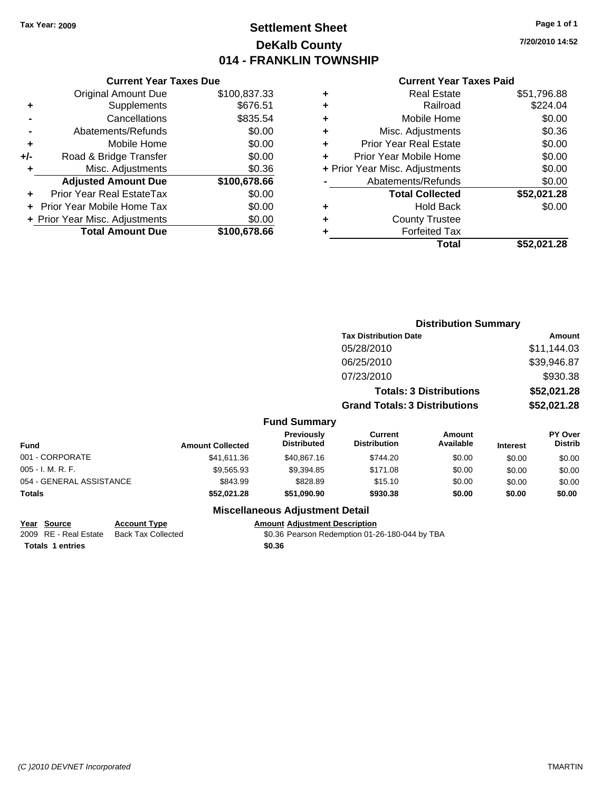### **Settlement Sheet Tax Year: 2009 Page 1 of 1 DeKalb County 014 - FRANKLIN TOWNSHIP**

**7/20/2010 14:52**

#### **Current Year Taxes Paid**

| <b>Currer</b>            |   |              | <b>Current Year Taxes Due</b>  |       |
|--------------------------|---|--------------|--------------------------------|-------|
| Rea                      |   | \$100,837.33 | Original Amount Due            |       |
| Б                        |   | \$676.51     | Supplements                    | ٠     |
| Mobile                   |   | \$835.54     | Cancellations                  |       |
| Misc. Adjus              | ٠ | \$0.00       | Abatements/Refunds             |       |
| Prior Year Rea           |   | \$0.00       | Mobile Home                    | ٠     |
| <b>Prior Year Mobile</b> |   | \$0.00       | Road & Bridge Transfer         | $+/-$ |
| + Prior Year Misc. Adjus |   | \$0.36       | Misc. Adjustments              | ٠     |
| Abatements/F             |   | \$100,678.66 | <b>Adjusted Amount Due</b>     |       |
| <b>Total Co</b>          |   | \$0.00       | Prior Year Real EstateTax      |       |
| Ho                       |   | \$0.00       | + Prior Year Mobile Home Tax   |       |
| County                   | ٠ | \$0.00       | + Prior Year Misc. Adjustments |       |
| Forfei                   |   | \$100,678.66 | <b>Total Amount Due</b>        |       |
|                          |   |              |                                |       |

| ٠ | <b>Real Estate</b>             | \$51,796.88 |
|---|--------------------------------|-------------|
|   | Railroad                       | \$224.04    |
|   | Mobile Home                    | \$0.00      |
| ٠ | Misc. Adjustments              | \$0.36      |
|   | <b>Prior Year Real Estate</b>  | \$0.00      |
| ÷ | Prior Year Mobile Home         | \$0.00      |
|   | + Prior Year Misc. Adjustments | \$0.00      |
|   | Abatements/Refunds             | \$0.00      |
|   | <b>Total Collected</b>         | \$52,021.28 |
| ٠ | Hold Back                      | \$0.00      |
|   | <b>County Trustee</b>          |             |
|   | <b>Forfeited Tax</b>           |             |
|   | Total                          | \$52,021.28 |
|   |                                |             |

|                          |                         |                                         | <b>Distribution Summary</b>           |                                |                 |                           |
|--------------------------|-------------------------|-----------------------------------------|---------------------------------------|--------------------------------|-----------------|---------------------------|
|                          |                         |                                         | <b>Tax Distribution Date</b>          |                                |                 | Amount                    |
|                          |                         |                                         | 05/28/2010                            |                                |                 | \$11,144.03               |
|                          |                         |                                         | 06/25/2010                            |                                |                 | \$39,946.87               |
|                          |                         |                                         | 07/23/2010                            |                                |                 | \$930.38                  |
|                          |                         |                                         |                                       | <b>Totals: 3 Distributions</b> |                 | \$52,021.28               |
|                          |                         |                                         | <b>Grand Totals: 3 Distributions</b>  |                                |                 | \$52,021.28               |
|                          |                         | <b>Fund Summary</b>                     |                                       |                                |                 |                           |
| <b>Fund</b>              | <b>Amount Collected</b> | <b>Previously</b><br><b>Distributed</b> | <b>Current</b><br><b>Distribution</b> | Amount<br>Available            | <b>Interest</b> | PY Over<br><b>Distrib</b> |
| 001 - CORPORATE          | \$41,611.36             | \$40,867.16                             | \$744.20                              | \$0.00                         | \$0.00          | \$0.00                    |
| 005 - I. M. R. F.        | \$9,565.93              | \$9,394.85                              | \$171.08                              | \$0.00                         | \$0.00          | \$0.00                    |
| 054 - GENERAL ASSISTANCE | \$843.99                | \$828.89                                | \$15.10                               | \$0.00                         | \$0.00          | \$0.00                    |
| Totals                   | \$52,021.28             | \$51,090.90                             | \$930.38                              | \$0.00                         | \$0.00          | \$0.00                    |
|                          | ---                     | .                                       |                                       |                                |                 |                           |

### **Miscellaneous Adjustment Detail**

**Year Source Account Type Amount Adjustment Description Totals \$0.36 1 entries**

2009 RE - Real Estate Back Tax Collected \$0.36 Pearson Redemption 01-26-180-044 by TBA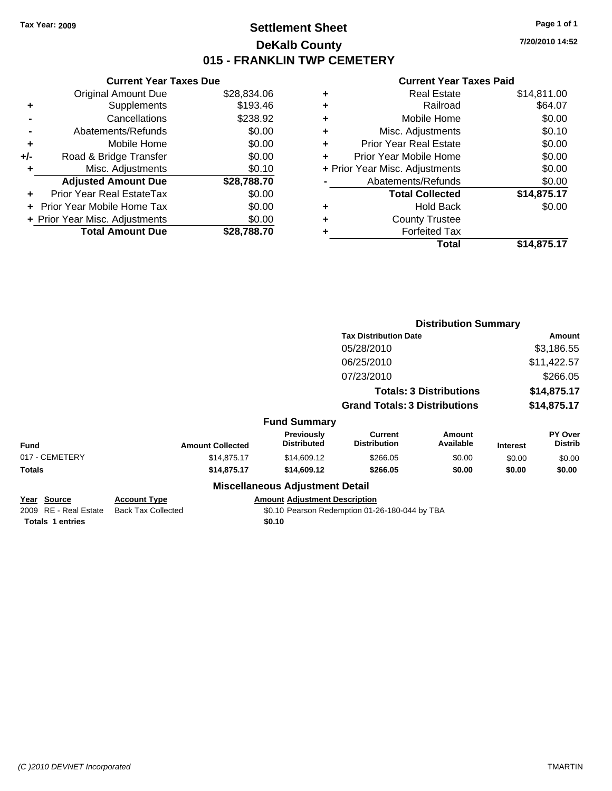**Original Amount Due** 

**Adjusted Amount Due** 

**Total Amount Due** 

**+** Supplements **-** Cancellations **-** Abatements/Refunds **+** Mobile Home **+/-** Road & Bridge Transfer **+** Misc. Adjustments

**+** Prior Year Real EstateTax \$0.00 **+** Prior Year Mobile Home Tax **+ Prior Year Misc. Adjustments** 

### **Settlement Sheet Tax Year: 2009 Page 1 of 1 DeKalb County 015 - FRANKLIN TWP CEMETERY**

**7/20/2010 14:52**

| <b>Current Year Taxes Due</b> |             |   | <b>Current Year Taxes Paid</b> |             |
|-------------------------------|-------------|---|--------------------------------|-------------|
| ่<br>al Amount Due            | \$28,834.06 | ÷ | <b>Real Estate</b>             | \$14,811.00 |
| Supplements                   | \$193.46    | ÷ | Railroad                       | \$64.07     |
| Cancellations                 | \$238.92    | ÷ | Mobile Home                    | \$0.00      |
| าents/Refunds                 | \$0.00      | ÷ | Misc. Adjustments              | \$0.10      |
| Mobile Home                   | \$0.00      | ÷ | <b>Prior Year Real Estate</b>  | \$0.00      |
| ridge Transfer                | \$0.00      | ٠ | Prior Year Mobile Home         | \$0.00      |
| . Adjustments                 | \$0.10      |   | + Prior Year Misc. Adjustments | \$0.00      |
| <b>Amount Due</b>             | \$28,788.70 |   | Abatements/Refunds             | \$0.00      |
| leal EstateTax:               | \$0.00      |   | <b>Total Collected</b>         | \$14,875.17 |
| pile Home Tax                 | \$0.00      | ٠ | <b>Hold Back</b>               | \$0.00      |
| c. Adjustments                | \$0.00      | ٠ | <b>County Trustee</b>          |             |
| <b>Amount Due</b>             | \$28,788.70 | ٠ | <b>Forfeited Tax</b>           |             |
|                               |             |   | Total                          | \$14,875.17 |

|                                      |                                                  |                                         |                                                | <b>Distribution Summary</b>    |                 |                                  |
|--------------------------------------|--------------------------------------------------|-----------------------------------------|------------------------------------------------|--------------------------------|-----------------|----------------------------------|
|                                      |                                                  |                                         | <b>Tax Distribution Date</b>                   |                                |                 | Amount                           |
|                                      |                                                  |                                         | 05/28/2010                                     |                                |                 | \$3,186.55                       |
|                                      |                                                  |                                         | 06/25/2010                                     |                                |                 | \$11,422.57                      |
|                                      |                                                  |                                         | 07/23/2010                                     |                                |                 | \$266.05                         |
|                                      |                                                  |                                         |                                                | <b>Totals: 3 Distributions</b> |                 | \$14,875.17                      |
|                                      |                                                  |                                         | <b>Grand Totals: 3 Distributions</b>           |                                |                 | \$14,875.17                      |
|                                      |                                                  | <b>Fund Summary</b>                     |                                                |                                |                 |                                  |
| Fund                                 | <b>Amount Collected</b>                          | <b>Previously</b><br><b>Distributed</b> | Current<br><b>Distribution</b>                 | Amount<br>Available            | <b>Interest</b> | <b>PY Over</b><br><b>Distrib</b> |
| 017 - CEMETERY                       | \$14,875.17                                      | \$14,609.12                             | \$266.05                                       | \$0.00                         | \$0.00          | \$0.00                           |
| Totals                               | \$14,875.17                                      | \$14,609.12                             | \$266.05                                       | \$0.00                         | \$0.00          | \$0.00                           |
|                                      |                                                  | <b>Miscellaneous Adjustment Detail</b>  |                                                |                                |                 |                                  |
| Year Source<br>2009 RE - Real Estate | <b>Account Type</b><br><b>Back Tax Collected</b> | <b>Amount Adjustment Description</b>    | \$0.10 Pearson Redemption 01-26-180-044 by TBA |                                |                 |                                  |
| <b>Totals 1 entries</b>              |                                                  | \$0.10                                  |                                                |                                |                 |                                  |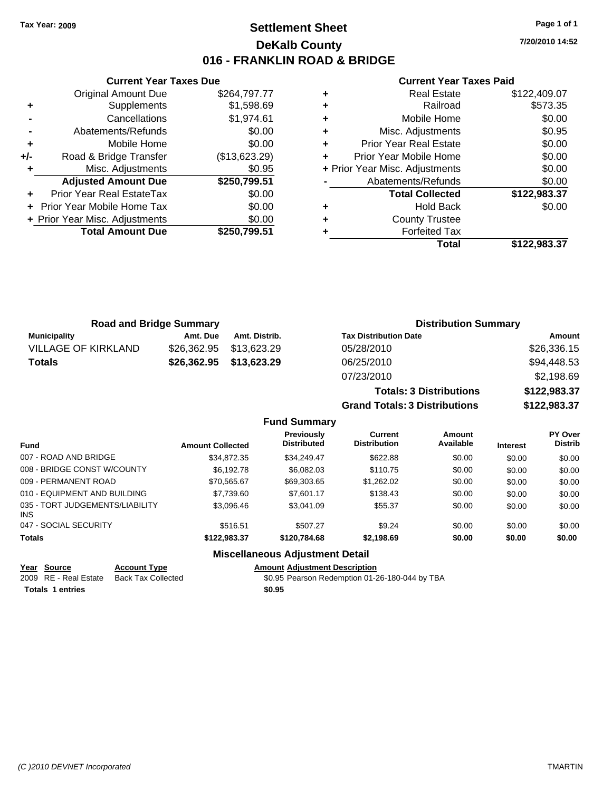### **Settlement Sheet Tax Year: 2009 Page 1 of 1 DeKalb County 016 - FRANKLIN ROAD & BRIDGE**

**7/20/2010 14:52**

#### **Current Year Taxes Paid**

|     | <b>Current Year Taxes Due</b>  |               |
|-----|--------------------------------|---------------|
|     | <b>Original Amount Due</b>     | \$264,797.77  |
| ٠   | Supplements                    | \$1,598.69    |
|     | Cancellations                  | \$1,974.61    |
|     | Abatements/Refunds             | \$0.00        |
| ٠   | Mobile Home                    | \$0.00        |
| +/- | Road & Bridge Transfer         | (\$13,623.29) |
| ٠   | Misc. Adjustments              | \$0.95        |
|     | <b>Adjusted Amount Due</b>     | \$250,799.51  |
| ٠   | Prior Year Real EstateTax      | \$0.00        |
|     | Prior Year Mobile Home Tax     | \$0.00        |
|     | + Prior Year Misc. Adjustments | \$0.00        |
|     | <b>Total Amount Due</b>        | \$250,799.51  |
|     |                                |               |

| ٠ | <b>Real Estate</b><br>Railroad | \$122,409.07<br>\$573.35 |
|---|--------------------------------|--------------------------|
|   |                                |                          |
| ٠ | Mobile Home                    | \$0.00                   |
| ٠ | Misc. Adjustments              | \$0.95                   |
| ٠ | <b>Prior Year Real Estate</b>  | \$0.00                   |
| ٠ | Prior Year Mobile Home         | \$0.00                   |
|   | + Prior Year Misc. Adjustments | \$0.00                   |
|   | Abatements/Refunds             | \$0.00                   |
|   | <b>Total Collected</b>         | \$122,983.37             |
| ٠ | <b>Hold Back</b>               | \$0.00                   |
| ٠ | <b>County Trustee</b>          |                          |
| ٠ | <b>Forfeited Tax</b>           |                          |
|   |                                |                          |

| <b>Road and Bridge Summary</b> |             |               | <b>Distribution Summary</b>    |              |  |
|--------------------------------|-------------|---------------|--------------------------------|--------------|--|
| <b>Municipality</b>            | Amt. Due    | Amt. Distrib. | <b>Tax Distribution Date</b>   | Amount       |  |
| <b>VILLAGE OF KIRKLAND</b>     | \$26,362.95 | \$13,623.29   | 05/28/2010                     | \$26,336.15  |  |
| <b>Totals</b>                  | \$26,362.95 | \$13,623.29   | 06/25/2010                     | \$94,448.53  |  |
|                                |             |               | 07/23/2010                     | \$2,198.69   |  |
|                                |             |               | <b>Totals: 3 Distributions</b> | \$122,983.37 |  |

**Grand Totals: 3 Distributions \$122,983.37**

#### **Fund Summary**

| <b>Fund</b>                                   | <b>Amount Collected</b> | <b>Previously</b><br><b>Distributed</b> | Current<br><b>Distribution</b> | <b>Amount</b><br>Available | <b>Interest</b> | <b>PY Over</b><br><b>Distrib</b> |
|-----------------------------------------------|-------------------------|-----------------------------------------|--------------------------------|----------------------------|-----------------|----------------------------------|
| 007 - ROAD AND BRIDGE                         | \$34,872,35             | \$34,249.47                             | \$622.88                       | \$0.00                     | \$0.00          | \$0.00                           |
| 008 - BRIDGE CONST W/COUNTY                   | \$6.192.78              | \$6,082,03                              | \$110.75                       | \$0.00                     | \$0.00          | \$0.00                           |
| 009 - PERMANENT ROAD                          | \$70.565.67             | \$69,303.65                             | \$1,262.02                     | \$0.00                     | \$0.00          | \$0.00                           |
| 010 - EQUIPMENT AND BUILDING                  | \$7,739.60              | \$7,601.17                              | \$138.43                       | \$0.00                     | \$0.00          | \$0.00                           |
| 035 - TORT JUDGEMENTS/LIABILITY<br><b>INS</b> | \$3,096.46              | \$3,041.09                              | \$55.37                        | \$0.00                     | \$0.00          | \$0.00                           |
| 047 - SOCIAL SECURITY                         | \$516.51                | \$507.27                                | \$9.24                         | \$0.00                     | \$0.00          | \$0.00                           |
| <b>Totals</b>                                 | \$122,983.37            | \$120,784,68                            | \$2,198.69                     | \$0.00                     | \$0.00          | \$0.00                           |

#### **Miscellaneous Adjustment Detail**

#### **Year Source Account Type Amount Adjustment Description**

2009 RE - Real Estate Back Tax Collected \$0.95 Pearson Redemption 01-26-180-044 by TBA **Totals \$0.95 1 entries**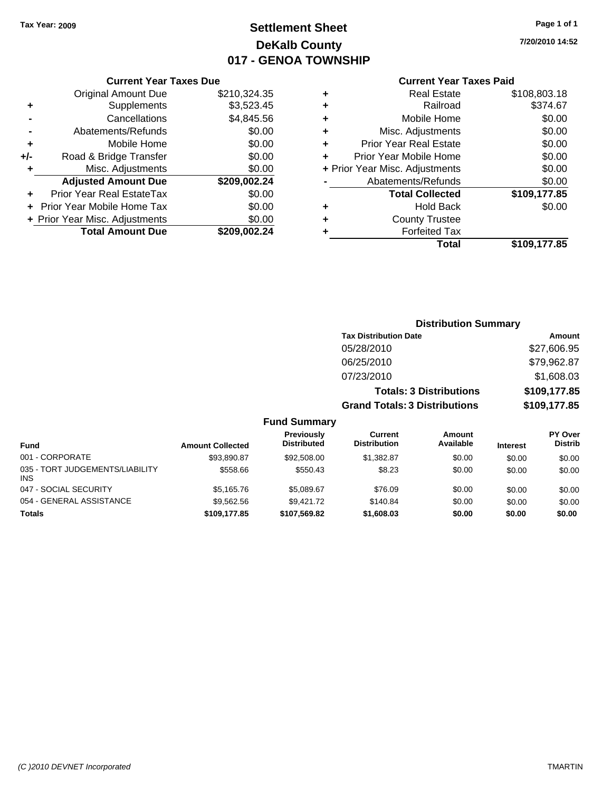### **Settlement Sheet Tax Year: 2009 Page 1 of 1 DeKalb County 017 - GENOA TOWNSHIP**

**7/20/2010 14:52**

#### **Current Year Taxes Paid**

| <b>Original Amount Due</b> | \$210,324.35                   |                               |
|----------------------------|--------------------------------|-------------------------------|
| Supplements                | \$3,523.45                     |                               |
| Cancellations              | \$4,845.56                     |                               |
| Abatements/Refunds         | \$0.00                         | ٠                             |
| Mobile Home                | \$0.00                         |                               |
| Road & Bridge Transfer     | \$0.00                         |                               |
| Misc. Adjustments          | \$0.00                         | + Pr                          |
| <b>Adjusted Amount Due</b> | \$209,002.24                   |                               |
| Prior Year Real EstateTax  | \$0.00                         |                               |
| Prior Year Mobile Home Tax | \$0.00                         |                               |
|                            | \$0.00                         |                               |
| <b>Total Amount Due</b>    | \$209,002.24                   |                               |
|                            | + Prior Year Misc. Adjustments | <b>Current Year Taxes Due</b> |

|   | <b>Real Estate</b>             | \$108,803.18 |
|---|--------------------------------|--------------|
| ٠ | Railroad                       | \$374.67     |
| ٠ | Mobile Home                    | \$0.00       |
| ٠ | Misc. Adjustments              | \$0.00       |
| ٠ | <b>Prior Year Real Estate</b>  | \$0.00       |
|   | Prior Year Mobile Home         | \$0.00       |
|   | + Prior Year Misc. Adjustments | \$0.00       |
|   | Abatements/Refunds             | \$0.00       |
|   | <b>Total Collected</b>         | \$109,177.85 |
| ٠ | <b>Hold Back</b>               | \$0.00       |
| ٠ | <b>County Trustee</b>          |              |
| ٠ | <b>Forfeited Tax</b>           |              |
|   | Total                          | \$109,177.85 |
|   |                                |              |

|                                         |                         |                                         |                                      | <b>Distribution Summary</b>    |                 |                                  |
|-----------------------------------------|-------------------------|-----------------------------------------|--------------------------------------|--------------------------------|-----------------|----------------------------------|
|                                         |                         |                                         | <b>Tax Distribution Date</b>         |                                |                 | Amount                           |
|                                         |                         |                                         | 05/28/2010                           |                                |                 | \$27,606.95                      |
|                                         |                         |                                         | 06/25/2010                           |                                |                 | \$79,962.87                      |
|                                         |                         |                                         | 07/23/2010                           |                                |                 | \$1,608.03                       |
|                                         |                         |                                         |                                      | <b>Totals: 3 Distributions</b> |                 | \$109,177.85                     |
|                                         |                         |                                         | <b>Grand Totals: 3 Distributions</b> |                                |                 | \$109,177.85                     |
|                                         |                         | <b>Fund Summary</b>                     |                                      |                                |                 |                                  |
| <b>Fund</b>                             | <b>Amount Collected</b> | <b>Previously</b><br><b>Distributed</b> | Current<br><b>Distribution</b>       | Amount<br>Available            | <b>Interest</b> | <b>PY Over</b><br><b>Distrib</b> |
| 001 - CORPORATE                         | \$93,890.87             | \$92,508.00                             | \$1,382.87                           | \$0.00                         | \$0.00          | \$0.00                           |
| 035 - TORT JUDGEMENTS/LIABILITY<br>INS. | \$558.66                | \$550.43                                | \$8.23                               | \$0.00                         | \$0.00          | \$0.00                           |
| 047 - SOCIAL SECURITY                   | \$5,165.76              | \$5,089.67                              | \$76.09                              | \$0.00                         | \$0.00          | \$0.00                           |
| 054 - GENERAL ASSISTANCE                | \$9,562.56              | \$9,421.72                              | \$140.84                             | \$0.00                         | \$0.00          | \$0.00                           |

**Totals \$109,177.85 \$107,569.82 \$1,608.03 \$0.00 \$0.00 \$0.00**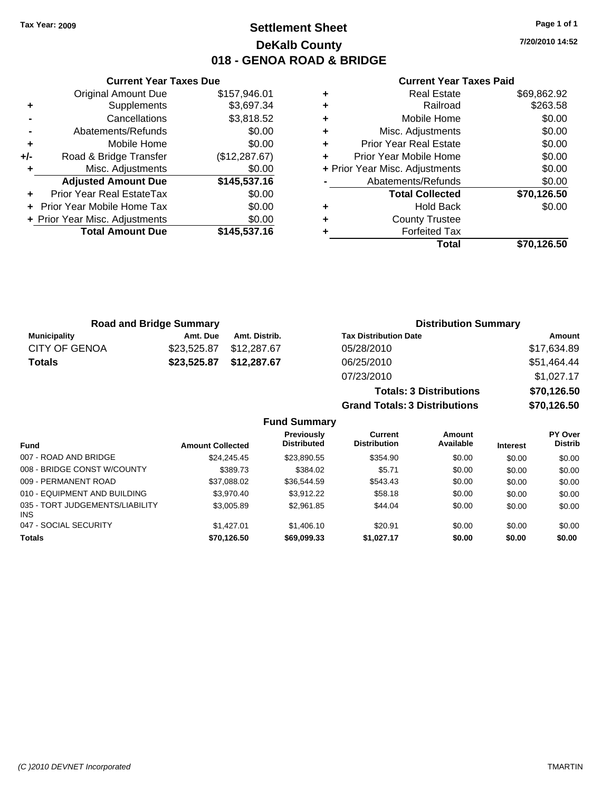### **Settlement Sheet Tax Year: 2009 Page 1 of 1 DeKalb County 018 - GENOA ROAD & BRIDGE**

**7/20/2010 14:52**

#### **Current Year Taxes Paid**

|       | <b>Original Amount Due</b>     | \$157,946.01  |
|-------|--------------------------------|---------------|
| ٠     | Supplements                    | \$3,697.34    |
|       | Cancellations                  | \$3,818.52    |
|       | Abatements/Refunds             | \$0.00        |
| ٠     | Mobile Home                    | \$0.00        |
| $+/-$ | Road & Bridge Transfer         | (\$12,287.67) |
| ٠     | Misc. Adjustments              | \$0.00        |
|       | <b>Adjusted Amount Due</b>     | \$145,537.16  |
| ٠     | Prior Year Real EstateTax      | \$0.00        |
| ÷     | Prior Year Mobile Home Tax     | \$0.00        |
|       | + Prior Year Misc. Adjustments | \$0.00        |
|       | <b>Total Amount Due</b>        | \$145,537.16  |
|       |                                |               |

**Current Year Taxes Due**

|   | Real Estate                    | \$69,862.92 |
|---|--------------------------------|-------------|
| ٠ | Railroad                       | \$263.58    |
| ٠ | Mobile Home                    | \$0.00      |
| ٠ | Misc. Adjustments              | \$0.00      |
| ÷ | <b>Prior Year Real Estate</b>  | \$0.00      |
| ٠ | Prior Year Mobile Home         | \$0.00      |
|   | + Prior Year Misc. Adjustments | \$0.00      |
|   | Abatements/Refunds             | \$0.00      |
|   | <b>Total Collected</b>         | \$70,126.50 |
| ٠ | <b>Hold Back</b>               | \$0.00      |
| ٠ | <b>County Trustee</b>          |             |
|   | <b>Forfeited Tax</b>           |             |
|   | Total                          | \$70,126.50 |

**Grand Totals: 3 Distributions \$70,126.50**

| <b>Road and Bridge Summary</b> |             | <b>Distribution Summary</b> |                                |             |
|--------------------------------|-------------|-----------------------------|--------------------------------|-------------|
| <b>Municipality</b>            | Amt. Due    | Amt. Distrib.               | <b>Tax Distribution Date</b>   | Amount      |
| <b>CITY OF GENOA</b>           | \$23,525.87 | \$12.287.67                 | 05/28/2010                     | \$17,634.89 |
| <b>Totals</b>                  | \$23,525.87 | \$12,287.67                 | 06/25/2010                     | \$51,464.44 |
|                                |             |                             | 07/23/2010                     | \$1,027.17  |
|                                |             |                             | <b>Totals: 3 Distributions</b> | \$70,126.50 |

**Fund Summary Fund Interest Amount Collected Distributed PY Over Distrib Amount Available Current Distribution Previously** 007 - ROAD AND BRIDGE 60.00 \$24,245.45 \$23,890.55 \$354.90 \$0.00 \$0.00 \$0.00 \$0.00 008 - BRIDGE CONST W/COUNTY  $$389.73$   $$384.02$   $$5.71$   $$0.00$   $$0.00$   $$0.00$ 009 - PERMANENT ROAD \$37,088.02 \$36,544.59 \$543.43 \$0.00 \$0.00 \$0.00 010 - EQUIPMENT AND BUILDING \$3,970.40 \$3,970.40 \$3,912.22 \$58.18 \$0.00 \$0.00 \$0.00 035 - TORT JUDGEMENTS/LIABILITY INS \$3,005.89 \$2,961.85 \$44.04 \$0.00 \$0.00 \$0.00 \$0.00 047 - SOCIAL SECURITY \$1,427.01 \$1,406.10 \$20.91 \$0.00 \$0.00 \$0.00 \$0.00 **Totals \$70,126.50 \$69,099.33 \$1,027.17 \$0.00 \$0.00 \$0.00**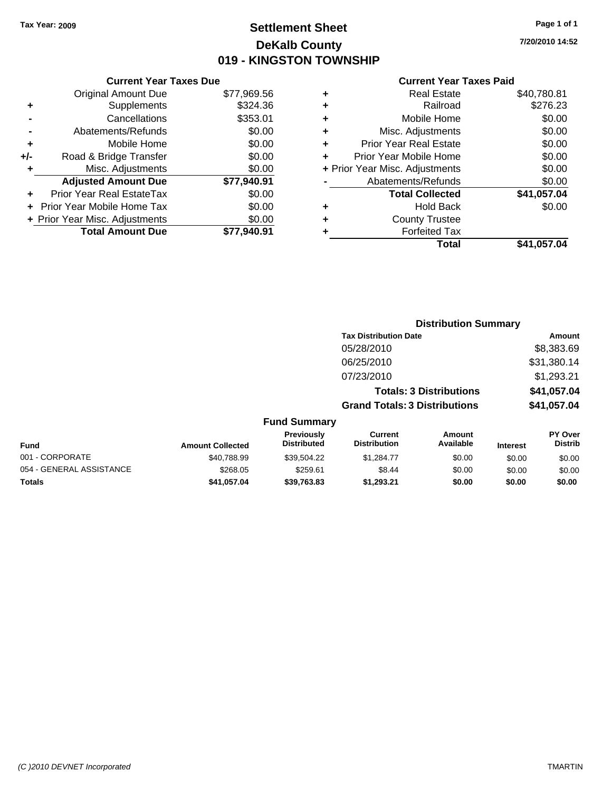### **Settlement Sheet Tax Year: 2009 Page 1 of 1 DeKalb County 019 - KINGSTON TOWNSHIP**

**7/20/2010 14:52**

|     | <b>Current Year Taxes Due</b>  |             |  |
|-----|--------------------------------|-------------|--|
|     | <b>Original Amount Due</b>     | \$77,969.56 |  |
| ٠   | Supplements                    | \$324.36    |  |
|     | Cancellations                  | \$353.01    |  |
|     | Abatements/Refunds             | \$0.00      |  |
| ٠   | Mobile Home                    | \$0.00      |  |
| +/- | Road & Bridge Transfer         | \$0.00      |  |
| ٠   | Misc. Adjustments              | \$0.00      |  |
|     | <b>Adjusted Amount Due</b>     | \$77,940.91 |  |
| ٠   | Prior Year Real EstateTax      | \$0.00      |  |
|     | Prior Year Mobile Home Tax     | \$0.00      |  |
|     | + Prior Year Misc. Adjustments | \$0.00      |  |
|     | <b>Total Amount Due</b>        | \$77.940.91 |  |

| ٠ | <b>Real Estate</b>             | \$40,780.81 |
|---|--------------------------------|-------------|
| ٠ | Railroad                       | \$276.23    |
| ٠ | Mobile Home                    | \$0.00      |
| ٠ | Misc. Adjustments              | \$0.00      |
| ÷ | <b>Prior Year Real Estate</b>  | \$0.00      |
|   | Prior Year Mobile Home         | \$0.00      |
|   | + Prior Year Misc. Adjustments | \$0.00      |
|   | Abatements/Refunds             | \$0.00      |
|   | <b>Total Collected</b>         | \$41,057.04 |
| ٠ | <b>Hold Back</b>               | \$0.00      |
| ٠ | <b>County Trustee</b>          |             |
|   | <b>Forfeited Tax</b>           |             |
|   | Total                          | \$41,057.04 |
|   |                                |             |

|                          |                         |                                  |                                       | <b>Distribution Summary</b>    |                 |                           |
|--------------------------|-------------------------|----------------------------------|---------------------------------------|--------------------------------|-----------------|---------------------------|
|                          |                         |                                  | <b>Tax Distribution Date</b>          |                                |                 | Amount                    |
|                          |                         |                                  | 05/28/2010                            |                                |                 | \$8,383.69                |
|                          |                         |                                  | 06/25/2010                            |                                |                 | \$31,380.14               |
|                          |                         |                                  | 07/23/2010                            |                                |                 | \$1,293.21                |
|                          |                         |                                  |                                       | <b>Totals: 3 Distributions</b> |                 | \$41,057.04               |
|                          |                         |                                  | <b>Grand Totals: 3 Distributions</b>  |                                |                 | \$41,057.04               |
|                          |                         | <b>Fund Summary</b>              |                                       |                                |                 |                           |
| Fund                     | <b>Amount Collected</b> | Previously<br><b>Distributed</b> | <b>Current</b><br><b>Distribution</b> | Amount<br>Available            | <b>Interest</b> | PY Over<br><b>Distrib</b> |
| 001 - CORPORATE          | \$40.788.99             | \$39,504.22                      | \$1,284.77                            | \$0.00                         | \$0.00          | \$0.00                    |
| 054 - GENERAL ASSISTANCE | \$268.05                | \$259.61                         | \$8.44                                | \$0.00                         | \$0.00          | \$0.00                    |
| Totals                   | \$41,057.04             | \$39,763.83                      | \$1,293.21                            | \$0.00                         | \$0.00          | \$0.00                    |
|                          |                         |                                  |                                       |                                |                 |                           |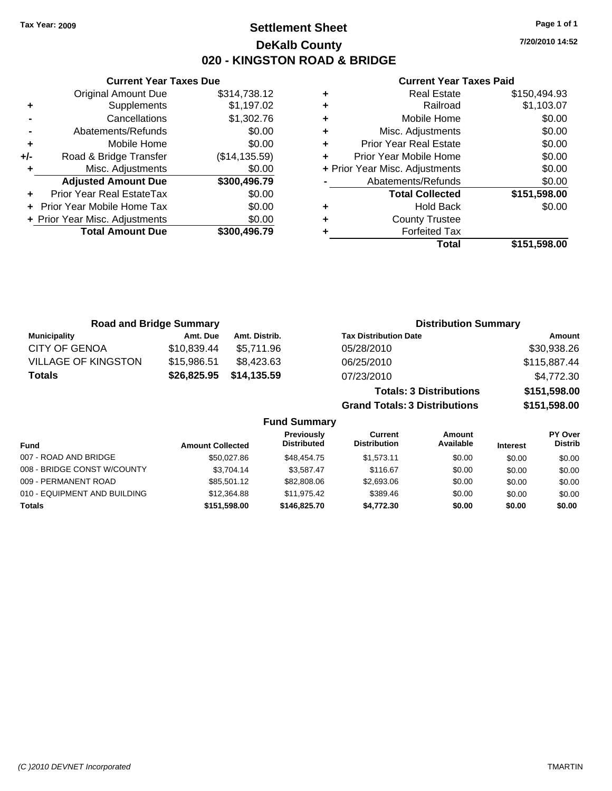**Current Year Taxes Due** Original Amount Due \$314,738.12

**Adjusted Amount Due \$300,496.79**

**+** Supplements \$1,197.02 **-** Cancellations \$1,302.76 **-** Abatements/Refunds \$0.00 **+** Mobile Home \$0.00 **+/-** Road & Bridge Transfer (\$14,135.59) **+** Misc. Adjustments \$0.00

**+** Prior Year Real EstateTax \$0.00 **+** Prior Year Mobile Home Tax \$0.00 **+ Prior Year Misc. Adjustments \$0.00<br>Total Amount Due \$300,496.79** 

**Total Amount Due** 

### **Settlement Sheet Tax Year: 2009 Page 1 of 1 DeKalb County 020 - KINGSTON ROAD & BRIDGE**

**7/20/2010 14:52**

| <b>County Trustee</b><br><b>Forfeited Tax</b> |                                                                                             |
|-----------------------------------------------|---------------------------------------------------------------------------------------------|
|                                               |                                                                                             |
|                                               |                                                                                             |
|                                               | \$0.00                                                                                      |
|                                               | \$151,598.00                                                                                |
| Abatements/Refunds                            | \$0.00                                                                                      |
| + Prior Year Misc. Adjustments                | \$0.00                                                                                      |
| Prior Year Mobile Home                        | \$0.00                                                                                      |
| <b>Prior Year Real Estate</b>                 | \$0.00                                                                                      |
| Misc. Adjustments                             | \$0.00                                                                                      |
|                                               | \$0.00                                                                                      |
|                                               | \$1,103.07                                                                                  |
|                                               | \$150,494.93                                                                                |
|                                               | <b>Real Estate</b><br>Railroad<br>Mobile Home<br><b>Total Collected</b><br><b>Hold Back</b> |

|                            | <b>Road and Bridge Summary</b> |               | <b>Distribution Summary</b>          |              |
|----------------------------|--------------------------------|---------------|--------------------------------------|--------------|
| <b>Municipality</b>        | Amt. Due                       | Amt. Distrib. | <b>Tax Distribution Date</b>         | Amount       |
| <b>CITY OF GENOA</b>       | \$10,839.44                    | \$5.711.96    | 05/28/2010                           | \$30,938.26  |
| <b>VILLAGE OF KINGSTON</b> | \$15,986.51                    | \$8,423.63    | 06/25/2010                           | \$115,887.44 |
| <b>Totals</b>              | \$26,825.95                    | \$14,135.59   | 07/23/2010                           | \$4,772.30   |
|                            |                                |               | <b>Totals: 3 Distributions</b>       | \$151,598.00 |
|                            |                                |               | <b>Grand Totals: 3 Distributions</b> | \$151,598.00 |

|                              |                         | <b>Fund Summary</b>              |                                |                     |                 |                           |
|------------------------------|-------------------------|----------------------------------|--------------------------------|---------------------|-----------------|---------------------------|
| <b>Fund</b>                  | <b>Amount Collected</b> | Previously<br><b>Distributed</b> | Current<br><b>Distribution</b> | Amount<br>Available | <b>Interest</b> | PY Over<br><b>Distrib</b> |
| 007 - ROAD AND BRIDGE        | \$50,027.86             | \$48,454.75                      | \$1.573.11                     | \$0.00              | \$0.00          | \$0.00                    |
| 008 - BRIDGE CONST W/COUNTY  | \$3.704.14              | \$3.587.47                       | \$116.67                       | \$0.00              | \$0.00          | \$0.00                    |
| 009 - PERMANENT ROAD         | \$85,501.12             | \$82,808,06                      | \$2,693.06                     | \$0.00              | \$0.00          | \$0.00                    |
| 010 - EQUIPMENT AND BUILDING | \$12,364.88             | \$11.975.42                      | \$389.46                       | \$0.00              | \$0.00          | \$0.00                    |
| <b>Totals</b>                | \$151.598.00            | \$146,825,70                     | \$4.772.30                     | \$0.00              | \$0.00          | \$0.00                    |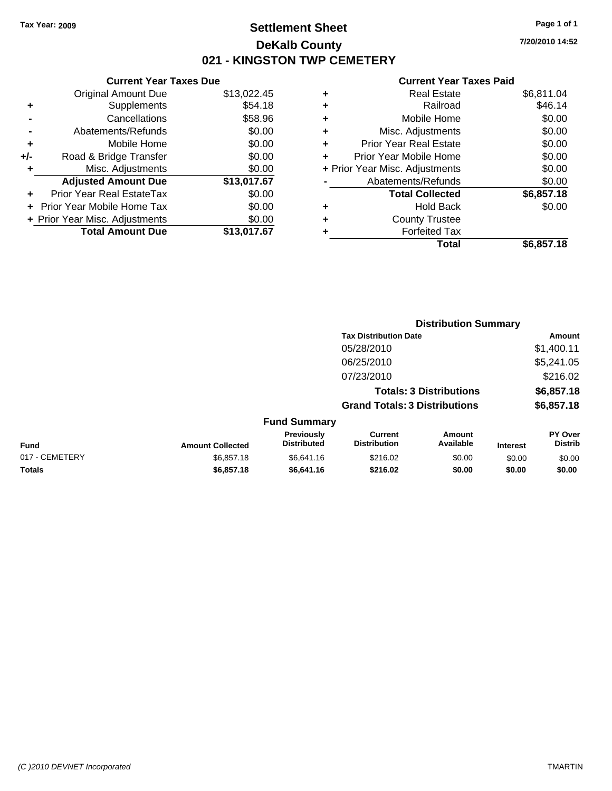### **Settlement Sheet Tax Year: 2009 Page 1 of 1 DeKalb County 021 - KINGSTON TWP CEMETERY**

### **Current Year Taxes Due**

|       | <b>Original Amount Due</b>     | \$13,022.45 |
|-------|--------------------------------|-------------|
| ٠     | Supplements                    | \$54.18     |
|       | Cancellations                  | \$58.96     |
|       | Abatements/Refunds             | \$0.00      |
| ٠     | Mobile Home                    | \$0.00      |
| $+/-$ | Road & Bridge Transfer         | \$0.00      |
| ٠     | Misc. Adjustments              | \$0.00      |
|       | <b>Adjusted Amount Due</b>     | \$13,017.67 |
|       | Prior Year Real EstateTax      | \$0.00      |
|       | Prior Year Mobile Home Tax     | \$0.00      |
|       | + Prior Year Misc. Adjustments | \$0.00      |
|       | <b>Total Amount Due</b>        | \$13,017.67 |

|   | <b>Real Estate</b>             | \$6,811.04 |
|---|--------------------------------|------------|
| ٠ | Railroad                       | \$46.14    |
| ٠ | Mobile Home                    | \$0.00     |
| ٠ | Misc. Adjustments              | \$0.00     |
| ٠ | <b>Prior Year Real Estate</b>  | \$0.00     |
|   | Prior Year Mobile Home         | \$0.00     |
|   | + Prior Year Misc. Adjustments | \$0.00     |
|   | Abatements/Refunds             | \$0.00     |
|   | <b>Total Collected</b>         | \$6,857.18 |
| ٠ | <b>Hold Back</b>               | \$0.00     |
| ٠ | <b>County Trustee</b>          |            |
| ٠ | <b>Forfeited Tax</b>           |            |
|   | Total                          | \$6,857.18 |
|   |                                |            |

|                |                         |                                  |                                       | <b>Distribution Summary</b>    |                 |                           |  |
|----------------|-------------------------|----------------------------------|---------------------------------------|--------------------------------|-----------------|---------------------------|--|
|                |                         |                                  | <b>Tax Distribution Date</b>          |                                |                 | Amount                    |  |
|                |                         |                                  | 05/28/2010                            |                                |                 | \$1,400.11                |  |
|                |                         |                                  | 06/25/2010                            |                                |                 | \$5,241.05                |  |
|                |                         |                                  | 07/23/2010                            |                                |                 | \$216.02                  |  |
|                |                         |                                  |                                       | <b>Totals: 3 Distributions</b> |                 | \$6,857.18                |  |
|                |                         |                                  | <b>Grand Totals: 3 Distributions</b>  |                                |                 | \$6,857.18                |  |
|                |                         | <b>Fund Summary</b>              |                                       |                                |                 |                           |  |
| <b>Fund</b>    | <b>Amount Collected</b> | Previously<br><b>Distributed</b> | <b>Current</b><br><b>Distribution</b> | Amount<br>Available            | <b>Interest</b> | PY Over<br><b>Distrib</b> |  |
| 017 - CEMETERY | \$6,857.18              | \$6,641.16                       | \$216.02                              | \$0.00                         | \$0.00          | \$0.00                    |  |
| Totals         | \$6,857.18              | \$6,641.16                       | \$216.02                              | \$0.00                         | \$0.00          | \$0.00                    |  |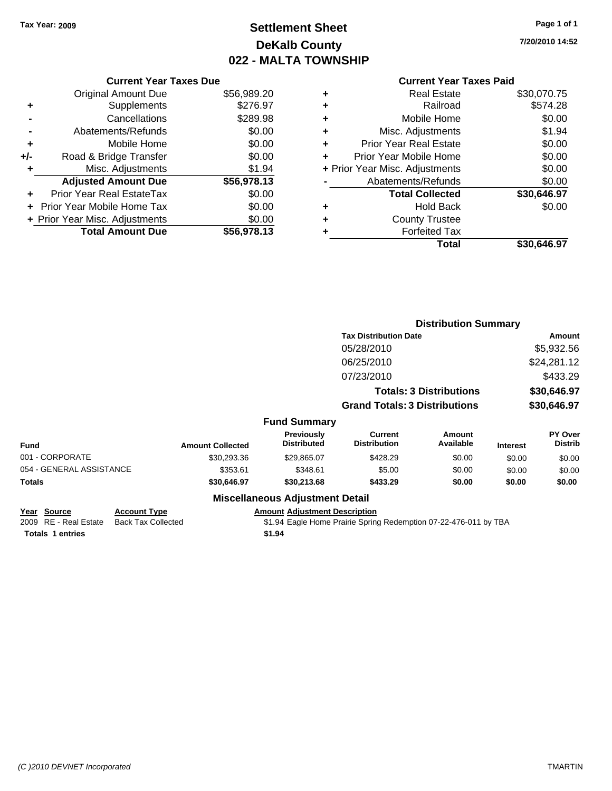### **Settlement Sheet Tax Year: 2009 Page 1 of 1 DeKalb County 022 - MALTA TOWNSHIP**

**7/20/2010 14:52**

|     | <b>Current Year Taxes Due</b>     |             |
|-----|-----------------------------------|-------------|
|     | <b>Original Amount Due</b>        | \$56,989.20 |
| ٠   | Supplements                       | \$276.97    |
|     | Cancellations                     | \$289.98    |
|     | Abatements/Refunds                | \$0.00      |
| ٠   | Mobile Home                       | \$0.00      |
| +/- | Road & Bridge Transfer            | \$0.00      |
| ٠   | Misc. Adjustments                 | \$1.94      |
|     | <b>Adjusted Amount Due</b>        | \$56,978.13 |
|     | Prior Year Real EstateTax         | \$0.00      |
|     | <b>Prior Year Mobile Home Tax</b> | \$0.00      |
|     | + Prior Year Misc. Adjustments    | \$0.00      |
|     | <b>Total Amount Due</b>           | \$56,978.13 |

| ٠ | <b>Real Estate</b>             | \$30,070.75 |
|---|--------------------------------|-------------|
| ٠ | Railroad                       | \$574.28    |
| ٠ | Mobile Home                    | \$0.00      |
| ٠ | Misc. Adjustments              | \$1.94      |
| ٠ | <b>Prior Year Real Estate</b>  | \$0.00      |
| ÷ | Prior Year Mobile Home         | \$0.00      |
|   | + Prior Year Misc. Adjustments | \$0.00      |
|   | Abatements/Refunds             | \$0.00      |
|   | <b>Total Collected</b>         | \$30,646.97 |
| ٠ | <b>Hold Back</b>               | \$0.00      |
| ٠ | <b>County Trustee</b>          |             |
| ٠ | <b>Forfeited Tax</b>           |             |
|   | Total                          | \$30,646.97 |
|   |                                |             |

|                          |                         |                                  | <b>Distribution Summary</b>           |                                |                 |                           |
|--------------------------|-------------------------|----------------------------------|---------------------------------------|--------------------------------|-----------------|---------------------------|
|                          |                         |                                  | <b>Tax Distribution Date</b>          |                                |                 | Amount                    |
|                          |                         |                                  | 05/28/2010                            |                                |                 | \$5,932.56                |
|                          |                         |                                  | 06/25/2010                            |                                |                 | \$24,281.12               |
|                          |                         |                                  | 07/23/2010                            |                                |                 | \$433.29                  |
|                          |                         |                                  |                                       | <b>Totals: 3 Distributions</b> |                 | \$30,646.97               |
|                          |                         |                                  | <b>Grand Totals: 3 Distributions</b>  |                                |                 | \$30,646.97               |
|                          |                         | <b>Fund Summary</b>              |                                       |                                |                 |                           |
| <b>Fund</b>              | <b>Amount Collected</b> | Previously<br><b>Distributed</b> | <b>Current</b><br><b>Distribution</b> | <b>Amount</b><br>Available     | <b>Interest</b> | PY Over<br><b>Distrib</b> |
| 001 - CORPORATE          | \$30,293.36             | \$29,865.07                      | \$428.29                              | \$0.00                         | \$0.00          | \$0.00                    |
| 054 - GENERAL ASSISTANCE | \$353.61                | \$348.61                         | \$5.00                                | \$0.00                         | \$0.00          | \$0.00                    |
| Totals                   | \$30,646.97             | \$30,213.68                      | \$433.29                              | \$0.00                         | \$0.00          | \$0.00                    |
|                          |                         |                                  |                                       |                                |                 |                           |

### **Miscellaneous Adjustment Detail**

## **<u>Year Source</u> <b>Account Type Amount Amount Adjustment Description**<br>
2009 RE - Real Estate Back Tax Collected \$1.94 Eagle Home Prairie Spring

\$1.94 Eagle Home Prairie Spring Redemption 07-22-476-011 by TBA

**Totals \$1.94 1 entries**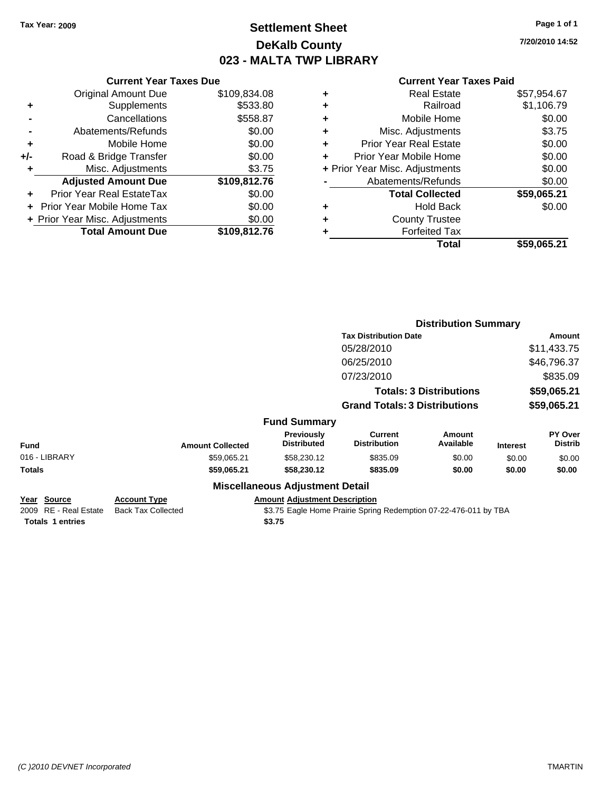### **Settlement Sheet Tax Year: 2009 Page 1 of 1 DeKalb County 023 - MALTA TWP LIBRARY**

**7/20/2010 14:52**

|     | <b>Current Year Taxes Due</b>  |              |
|-----|--------------------------------|--------------|
|     | <b>Original Amount Due</b>     | \$109,834.08 |
| ٠   | Supplements                    | \$533.80     |
|     | Cancellations                  | \$558.87     |
|     | Abatements/Refunds             | \$0.00       |
| ٠   | Mobile Home                    | \$0.00       |
| +/- | Road & Bridge Transfer         | \$0.00       |
| ٠   | Misc. Adjustments              | \$3.75       |
|     | <b>Adjusted Amount Due</b>     | \$109,812.76 |
|     | Prior Year Real EstateTax      | \$0.00       |
|     | Prior Year Mobile Home Tax     | \$0.00       |
|     | + Prior Year Misc. Adjustments | \$0.00       |
|     | <b>Total Amount Due</b>        | \$109,812.76 |

|   | <b>Real Estate</b>             | \$57,954.67 |
|---|--------------------------------|-------------|
| ٠ | Railroad                       | \$1,106.79  |
| ٠ | Mobile Home                    | \$0.00      |
| ٠ | Misc. Adjustments              | \$3.75      |
| ٠ | Prior Year Real Estate         | \$0.00      |
| ÷ | Prior Year Mobile Home         | \$0.00      |
|   | + Prior Year Misc. Adjustments | \$0.00      |
|   | Abatements/Refunds             | \$0.00      |
|   | <b>Total Collected</b>         | \$59,065.21 |
| ٠ | <b>Hold Back</b>               | \$0.00      |
| ٠ | <b>County Trustee</b>          |             |
| ٠ | <b>Forfeited Tax</b>           |             |
|   | Total                          | \$59,065.21 |
|   |                                |             |

|                                                                 |                                                  |                                                | <b>Distribution Summary</b>                                      |                                |                 |                           |
|-----------------------------------------------------------------|--------------------------------------------------|------------------------------------------------|------------------------------------------------------------------|--------------------------------|-----------------|---------------------------|
|                                                                 |                                                  |                                                | <b>Tax Distribution Date</b>                                     |                                | <b>Amount</b>   |                           |
|                                                                 |                                                  |                                                | 05/28/2010                                                       |                                |                 | \$11,433.75               |
|                                                                 |                                                  |                                                | 06/25/2010                                                       |                                |                 | \$46,796.37               |
|                                                                 |                                                  |                                                | 07/23/2010                                                       |                                |                 | \$835.09                  |
|                                                                 |                                                  |                                                |                                                                  | <b>Totals: 3 Distributions</b> |                 | \$59,065.21               |
|                                                                 |                                                  |                                                | <b>Grand Totals: 3 Distributions</b>                             |                                |                 | \$59,065.21               |
|                                                                 |                                                  | <b>Fund Summary</b>                            |                                                                  |                                |                 |                           |
| Fund                                                            | <b>Amount Collected</b>                          | Previously<br><b>Distributed</b>               | <b>Current</b><br><b>Distribution</b>                            | Amount<br>Available            | <b>Interest</b> | PY Over<br><b>Distrib</b> |
| 016 - LIBRARY                                                   | \$59,065.21                                      | \$58,230.12                                    | \$835.09                                                         | \$0.00                         | \$0.00          | \$0.00                    |
| Totals                                                          | \$59,065.21                                      | \$58,230.12                                    | \$835.09                                                         | \$0.00                         | \$0.00          | \$0.00                    |
|                                                                 |                                                  | <b>Miscellaneous Adjustment Detail</b>         |                                                                  |                                |                 |                           |
| Year Source<br>2009 RE - Real Estate<br><b>Totals 1 entries</b> | <b>Account Type</b><br><b>Back Tax Collected</b> | <b>Amount Adjustment Description</b><br>\$3.75 | \$3.75 Eagle Home Prairie Spring Redemption 07-22-476-011 by TBA |                                |                 |                           |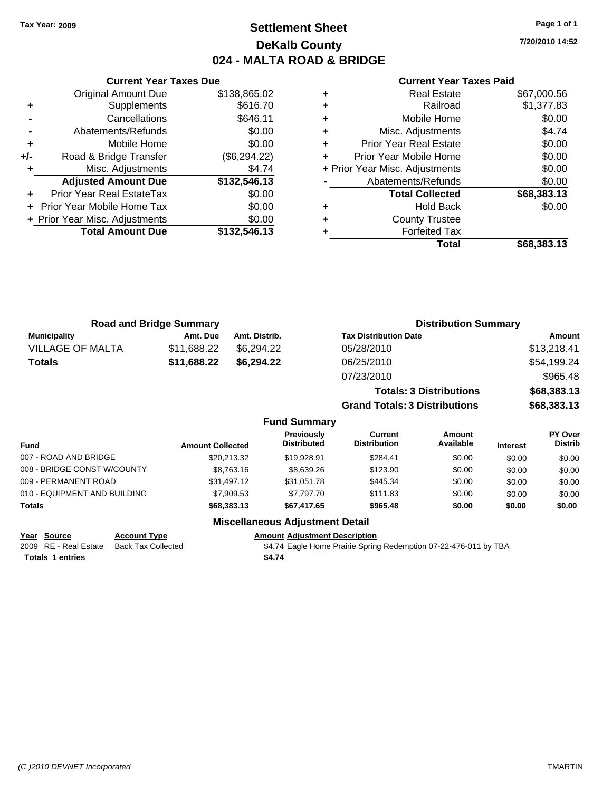### **Settlement Sheet Tax Year: 2009 Page 1 of 1 DeKalb County 024 - MALTA ROAD & BRIDGE**

**7/20/2010 14:52**

#### **Current Year Taxes Paid**

|       | <b>Current Year Taxes Due</b>  |              |  |  |  |
|-------|--------------------------------|--------------|--|--|--|
|       | <b>Original Amount Due</b>     | \$138,865.02 |  |  |  |
| ٠     | Supplements                    | \$616.70     |  |  |  |
|       | Cancellations                  | \$646.11     |  |  |  |
|       | Abatements/Refunds             | \$0.00       |  |  |  |
| ٠     | Mobile Home                    | \$0.00       |  |  |  |
| $+/-$ | Road & Bridge Transfer         | (\$6,294.22) |  |  |  |
| ٠     | Misc. Adjustments              | \$4.74       |  |  |  |
|       | <b>Adjusted Amount Due</b>     | \$132,546.13 |  |  |  |
|       | Prior Year Real EstateTax      | \$0.00       |  |  |  |
|       | Prior Year Mobile Home Tax     | \$0.00       |  |  |  |
|       | + Prior Year Misc. Adjustments | \$0.00       |  |  |  |
|       | <b>Total Amount Due</b>        | \$132,546.13 |  |  |  |
|       |                                |              |  |  |  |

| <b>Real Estate</b> | \$67,000.56                                                                                                                                                                                                                    |
|--------------------|--------------------------------------------------------------------------------------------------------------------------------------------------------------------------------------------------------------------------------|
| Railroad           | \$1,377.83                                                                                                                                                                                                                     |
|                    | \$0.00                                                                                                                                                                                                                         |
|                    | \$4.74                                                                                                                                                                                                                         |
|                    | \$0.00                                                                                                                                                                                                                         |
|                    | \$0.00                                                                                                                                                                                                                         |
|                    | \$0.00                                                                                                                                                                                                                         |
|                    | \$0.00                                                                                                                                                                                                                         |
|                    | \$68,383.13                                                                                                                                                                                                                    |
| <b>Hold Back</b>   | \$0.00                                                                                                                                                                                                                         |
|                    |                                                                                                                                                                                                                                |
|                    |                                                                                                                                                                                                                                |
| Total              | \$68,383.13                                                                                                                                                                                                                    |
|                    | Mobile Home<br>Misc. Adjustments<br><b>Prior Year Real Estate</b><br>Prior Year Mobile Home<br>+ Prior Year Misc. Adjustments<br>Abatements/Refunds<br><b>Total Collected</b><br><b>County Trustee</b><br><b>Forfeited Tax</b> |

| <b>Road and Bridge Summary</b> |             |               | <b>Distribution Summary</b>    |             |  |
|--------------------------------|-------------|---------------|--------------------------------|-------------|--|
| <b>Municipality</b>            | Amt. Due    | Amt. Distrib. | <b>Tax Distribution Date</b>   | Amount      |  |
| <b>VILLAGE OF MALTA</b>        | \$11.688.22 | \$6.294.22    | 05/28/2010                     | \$13,218.41 |  |
| Totals                         | \$11,688.22 | \$6.294.22    | 06/25/2010                     | \$54,199.24 |  |
|                                |             |               | 07/23/2010                     | \$965.48    |  |
|                                |             |               | <b>Totals: 3 Distributions</b> | \$68,383.13 |  |

**Grand Totals: 3 Distributions \$68,383.13**

#### **Fund Summary**

| <b>Fund</b>                  | <b>Amount Collected</b> | Previously<br><b>Distributed</b> | Current<br><b>Distribution</b> | Amount<br>Available | <b>Interest</b> | <b>PY Over</b><br><b>Distrib</b> |
|------------------------------|-------------------------|----------------------------------|--------------------------------|---------------------|-----------------|----------------------------------|
| 007 - ROAD AND BRIDGE        | \$20.213.32             | \$19,928.91                      | \$284.41                       | \$0.00              | \$0.00          | \$0.00                           |
| 008 - BRIDGE CONST W/COUNTY  | \$8,763.16              | \$8,639.26                       | \$123.90                       | \$0.00              | \$0.00          | \$0.00                           |
| 009 - PERMANENT ROAD         | \$31.497.12             | \$31.051.78                      | \$445.34                       | \$0.00              | \$0.00          | \$0.00                           |
| 010 - EQUIPMENT AND BUILDING | \$7,909.53              | \$7.797.70                       | \$111.83                       | \$0.00              | \$0.00          | \$0.00                           |
| Totals                       | \$68,383,13             | \$67,417.65                      | \$965.48                       | \$0.00              | \$0.00          | \$0.00                           |

#### **Miscellaneous Adjustment Detail**

**Year Source Account Type Amount Adjustment Description**

**Totals \$4.74 1 entries**

2009 RE - Real Estate Back Tax Collected **\$4.74 Eagle Home Prairie Spring Redemption 07-22-476-011 by TBA**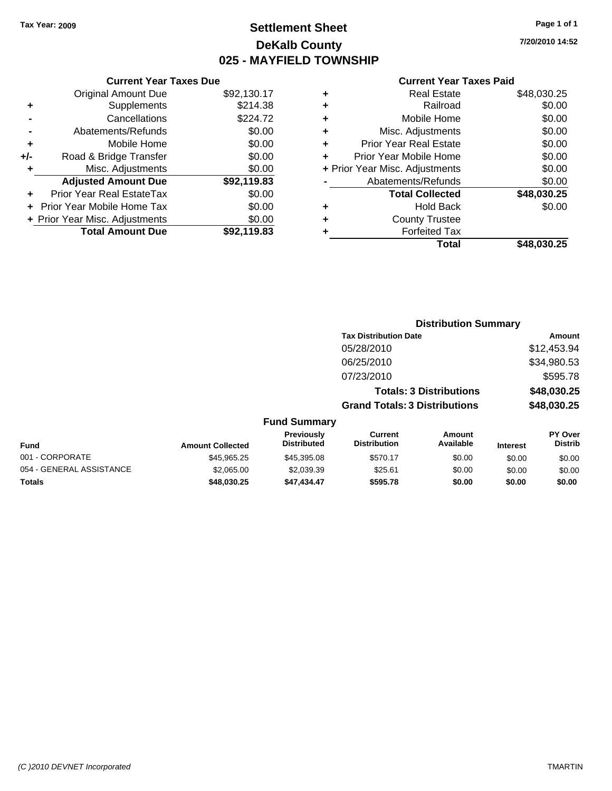**Current Year Taxes Due** Original Amount Due \$92,130.17

**Adjusted Amount Due \$92,119.83**

**Total Amount Due \$92,119.83**

**+** Supplements \$214.38 **-** Cancellations \$224.72 **-** Abatements/Refunds \$0.00 **+** Mobile Home \$0.00 **+/-** Road & Bridge Transfer \$0.00 **+** Misc. Adjustments \$0.00

**+** Prior Year Real EstateTax \$0.00 **+** Prior Year Mobile Home Tax \$0.00 **+ Prior Year Misc. Adjustments**  $$0.00$ 

### **Settlement Sheet Tax Year: 2009 Page 1 of 1 DeKalb County 025 - MAYFIELD TOWNSHIP**

**7/20/2010 14:52**

| ٠ | <b>Real Estate</b>             | \$48,030.25 |
|---|--------------------------------|-------------|
| ٠ | Railroad                       | \$0.00      |
| ٠ | Mobile Home                    | \$0.00      |
| ÷ | Misc. Adjustments              | \$0.00      |
| ٠ | <b>Prior Year Real Estate</b>  | \$0.00      |
| ÷ | Prior Year Mobile Home         | \$0.00      |
|   | + Prior Year Misc. Adjustments | \$0.00      |
|   | Abatements/Refunds             | \$0.00      |
|   | <b>Total Collected</b>         | \$48,030.25 |
| ٠ | <b>Hold Back</b>               | \$0.00      |
| ٠ | <b>County Trustee</b>          |             |
|   | <b>Forfeited Tax</b>           |             |
|   | Total                          | \$48.030.25 |

|                          |                         |                                  | <b>Distribution Summary</b>          |                                |                 |                           |
|--------------------------|-------------------------|----------------------------------|--------------------------------------|--------------------------------|-----------------|---------------------------|
|                          |                         |                                  | <b>Tax Distribution Date</b>         |                                |                 | Amount                    |
|                          |                         |                                  | 05/28/2010                           |                                |                 | \$12,453.94               |
|                          |                         |                                  | 06/25/2010                           |                                |                 | \$34,980.53               |
|                          |                         |                                  | 07/23/2010                           |                                |                 | \$595.78                  |
|                          |                         |                                  |                                      | <b>Totals: 3 Distributions</b> |                 | \$48,030.25               |
|                          |                         |                                  | <b>Grand Totals: 3 Distributions</b> |                                |                 | \$48,030.25               |
|                          |                         | <b>Fund Summary</b>              |                                      |                                |                 |                           |
| <b>Fund</b>              | <b>Amount Collected</b> | Previously<br><b>Distributed</b> | Current<br><b>Distribution</b>       | Amount<br>Available            | <b>Interest</b> | PY Over<br><b>Distrib</b> |
| 001 - CORPORATE          | \$45,965.25             | \$45,395.08                      | \$570.17                             | \$0.00                         | \$0.00          | \$0.00                    |
| 054 - GENERAL ASSISTANCE | \$2,065.00              | \$2,039.39                       | \$25.61                              | \$0.00                         | \$0.00          | \$0.00                    |
| Totals                   | \$48,030.25             | \$47,434.47                      | \$595.78                             | \$0.00                         | \$0.00          | \$0.00                    |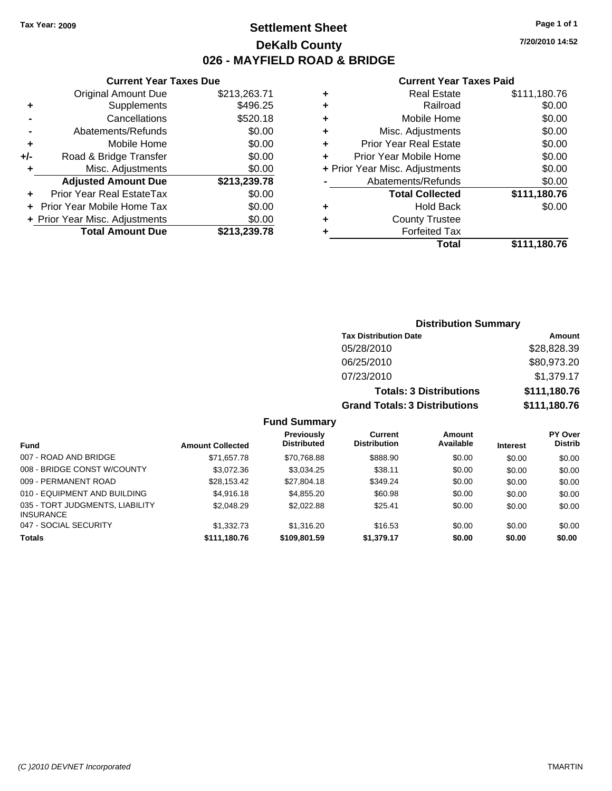### **Settlement Sheet Tax Year: 2009 Page 1 of 1 DeKalb County 026 - MAYFIELD ROAD & BRIDGE**

**7/20/2010 14:52**

### **Current Year Taxes Paid**

|   | Total                          | \$111.180.76 |
|---|--------------------------------|--------------|
| ٠ | <b>Forfeited Tax</b>           |              |
| ٠ | <b>County Trustee</b>          |              |
| ٠ | <b>Hold Back</b>               | \$0.00       |
|   | <b>Total Collected</b>         | \$111,180.76 |
|   | Abatements/Refunds             | \$0.00       |
|   | + Prior Year Misc. Adjustments | \$0.00       |
| ÷ | Prior Year Mobile Home         | \$0.00       |
| ÷ | <b>Prior Year Real Estate</b>  | \$0.00       |
| ٠ | Misc. Adjustments              | \$0.00       |
| ٠ | Mobile Home                    | \$0.00       |
| ٠ | Railroad                       | \$0.00       |
| ٠ | <b>Real Estate</b>             | \$111,180.76 |
|   |                                |              |

|     | <b>Current Year Taxes Due</b>     |              |  |  |
|-----|-----------------------------------|--------------|--|--|
|     | <b>Original Amount Due</b>        | \$213,263.71 |  |  |
| ٠   | Supplements                       | \$496.25     |  |  |
|     | Cancellations                     | \$520.18     |  |  |
|     | Abatements/Refunds                | \$0.00       |  |  |
| ٠   | Mobile Home                       | \$0.00       |  |  |
| +/- | Road & Bridge Transfer            | \$0.00       |  |  |
| ٠   | Misc. Adjustments                 | \$0.00       |  |  |
|     | <b>Adjusted Amount Due</b>        | \$213,239.78 |  |  |
|     | Prior Year Real EstateTax         | \$0.00       |  |  |
|     | <b>Prior Year Mobile Home Tax</b> | \$0.00       |  |  |
|     | + Prior Year Misc. Adjustments    | \$0.00       |  |  |
|     | <b>Total Amount Due</b>           | \$213,239.78 |  |  |

| <b>Distribution Summary</b>                          |              |  |  |  |
|------------------------------------------------------|--------------|--|--|--|
| <b>Tax Distribution Date</b><br>Amount               |              |  |  |  |
| 05/28/2010                                           | \$28,828.39  |  |  |  |
| 06/25/2010                                           | \$80,973.20  |  |  |  |
| 07/23/2010                                           | \$1,379.17   |  |  |  |
| <b>Totals: 3 Distributions</b>                       | \$111,180.76 |  |  |  |
| \$111,180.76<br><b>Grand Totals: 3 Distributions</b> |              |  |  |  |

### **Fund Summary**

|                                                     |                         | <b>Previously</b>  | Current             | Amount    |                 | <b>PY Over</b> |
|-----------------------------------------------------|-------------------------|--------------------|---------------------|-----------|-----------------|----------------|
| <b>Fund</b>                                         | <b>Amount Collected</b> | <b>Distributed</b> | <b>Distribution</b> | Available | <b>Interest</b> | <b>Distrib</b> |
| 007 - ROAD AND BRIDGE                               | \$71.657.78             | \$70,768.88        | \$888.90            | \$0.00    | \$0.00          | \$0.00         |
| 008 - BRIDGE CONST W/COUNTY                         | \$3,072.36              | \$3.034.25         | \$38.11             | \$0.00    | \$0.00          | \$0.00         |
| 009 - PERMANENT ROAD                                | \$28.153.42             | \$27,804.18        | \$349.24            | \$0.00    | \$0.00          | \$0.00         |
| 010 - EQUIPMENT AND BUILDING                        | \$4,916.18              | \$4,855,20         | \$60.98             | \$0.00    | \$0.00          | \$0.00         |
| 035 - TORT JUDGMENTS, LIABILITY<br><b>INSURANCE</b> | \$2,048.29              | \$2,022.88         | \$25.41             | \$0.00    | \$0.00          | \$0.00         |
| 047 - SOCIAL SECURITY                               | \$1,332.73              | \$1,316,20         | \$16.53             | \$0.00    | \$0.00          | \$0.00         |
| <b>Totals</b>                                       | \$111,180.76            | \$109,801.59       | \$1,379.17          | \$0.00    | \$0.00          | \$0.00         |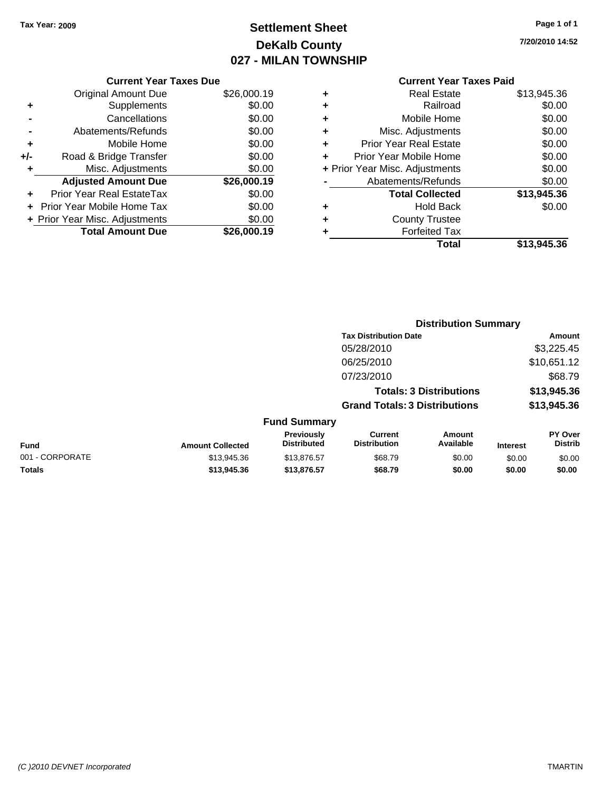### **Settlement Sheet Tax Year: 2009 Page 1 of 1 DeKalb County 027 - MILAN TOWNSHIP**

**7/20/2010 14:52**

|       | <b>Current Year Taxes Due</b>     |             |  |  |  |  |
|-------|-----------------------------------|-------------|--|--|--|--|
|       | <b>Original Amount Due</b>        | \$26,000.19 |  |  |  |  |
| ٠     | Supplements                       | \$0.00      |  |  |  |  |
|       | Cancellations                     | \$0.00      |  |  |  |  |
|       | Abatements/Refunds                | \$0.00      |  |  |  |  |
| ٠     | Mobile Home                       | \$0.00      |  |  |  |  |
| $+/-$ | Road & Bridge Transfer            | \$0.00      |  |  |  |  |
| ٠     | Misc. Adjustments                 | \$0.00      |  |  |  |  |
|       | <b>Adjusted Amount Due</b>        | \$26,000.19 |  |  |  |  |
|       | <b>Prior Year Real EstateTax</b>  | \$0.00      |  |  |  |  |
|       | <b>Prior Year Mobile Home Tax</b> | \$0.00      |  |  |  |  |
|       | + Prior Year Misc. Adjustments    | \$0.00      |  |  |  |  |
|       | <b>Total Amount Due</b>           | \$26.000.19 |  |  |  |  |
|       |                                   |             |  |  |  |  |

|   | <b>Real Estate</b>             | \$13,945.36 |
|---|--------------------------------|-------------|
| ٠ | Railroad                       | \$0.00      |
| ٠ | Mobile Home                    | \$0.00      |
| ٠ | Misc. Adjustments              | \$0.00      |
| ÷ | <b>Prior Year Real Estate</b>  | \$0.00      |
| ٠ | Prior Year Mobile Home         | \$0.00      |
|   | + Prior Year Misc. Adjustments | \$0.00      |
|   | Abatements/Refunds             | \$0.00      |
|   | <b>Total Collected</b>         | \$13,945.36 |
| ٠ | Hold Back                      | \$0.00      |
| ٠ | <b>County Trustee</b>          |             |
| ٠ | <b>Forfeited Tax</b>           |             |
|   | Total                          | \$13,945.36 |
|   |                                |             |

|                 |                         |                                  | <b>Distribution Summary</b>           |                                |                 |                           |
|-----------------|-------------------------|----------------------------------|---------------------------------------|--------------------------------|-----------------|---------------------------|
|                 |                         |                                  | <b>Tax Distribution Date</b>          |                                |                 | Amount                    |
|                 |                         |                                  | 05/28/2010                            |                                |                 | \$3,225.45                |
|                 |                         |                                  | 06/25/2010                            |                                |                 | \$10,651.12               |
|                 |                         |                                  | 07/23/2010                            |                                |                 | \$68.79                   |
|                 |                         |                                  |                                       | <b>Totals: 3 Distributions</b> |                 | \$13,945.36               |
|                 |                         |                                  | <b>Grand Totals: 3 Distributions</b>  |                                |                 | \$13,945.36               |
|                 |                         | <b>Fund Summary</b>              |                                       |                                |                 |                           |
| <b>Fund</b>     | <b>Amount Collected</b> | Previously<br><b>Distributed</b> | <b>Current</b><br><b>Distribution</b> | Amount<br>Available            | <b>Interest</b> | PY Over<br><b>Distrib</b> |
| 001 - CORPORATE | \$13,945.36             | \$13,876.57                      | \$68.79                               | \$0.00                         | \$0.00          | \$0.00                    |
| Totals          | \$13,945.36             | \$13,876.57                      | \$68.79                               | \$0.00                         | \$0.00          | \$0.00                    |
|                 |                         |                                  |                                       |                                |                 |                           |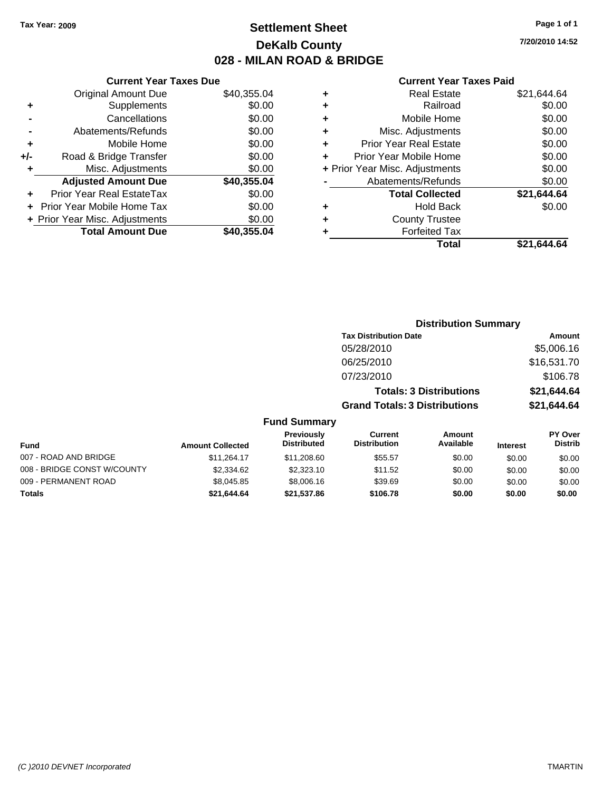### **Settlement Sheet Tax Year: 2009 Page 1 of 1 DeKalb County 028 - MILAN ROAD & BRIDGE**

**7/20/2010 14:52**

|     | <b>Current Year Taxes Due</b>  |             |  |  |  |  |  |
|-----|--------------------------------|-------------|--|--|--|--|--|
|     | <b>Original Amount Due</b>     | \$40,355.04 |  |  |  |  |  |
| ٠   | Supplements                    | \$0.00      |  |  |  |  |  |
|     | Cancellations                  | \$0.00      |  |  |  |  |  |
|     | Abatements/Refunds             | \$0.00      |  |  |  |  |  |
| ٠   | Mobile Home                    | \$0.00      |  |  |  |  |  |
| +/- | Road & Bridge Transfer         | \$0.00      |  |  |  |  |  |
| ٠   | Misc. Adjustments              | \$0.00      |  |  |  |  |  |
|     | <b>Adjusted Amount Due</b>     | \$40,355.04 |  |  |  |  |  |
| ÷   | Prior Year Real EstateTax      | \$0.00      |  |  |  |  |  |
|     | Prior Year Mobile Home Tax     | \$0.00      |  |  |  |  |  |
|     | + Prior Year Misc. Adjustments | \$0.00      |  |  |  |  |  |
|     | <b>Total Amount Due</b>        | \$40,355.04 |  |  |  |  |  |
|     |                                |             |  |  |  |  |  |

| ٠ | <b>Real Estate</b>             | \$21,644.64 |
|---|--------------------------------|-------------|
| ٠ | Railroad                       | \$0.00      |
| ٠ | Mobile Home                    | \$0.00      |
| ٠ | Misc. Adjustments              | \$0.00      |
| ÷ | <b>Prior Year Real Estate</b>  | \$0.00      |
| ٠ | Prior Year Mobile Home         | \$0.00      |
|   | + Prior Year Misc. Adjustments | \$0.00      |
|   | Abatements/Refunds             | \$0.00      |
|   | <b>Total Collected</b>         | \$21,644.64 |
| ٠ | <b>Hold Back</b>               | \$0.00      |
| ٠ | <b>County Trustee</b>          |             |
| ٠ | <b>Forfeited Tax</b>           |             |
|   | Total                          | \$21.644.64 |
|   |                                |             |

|                             |                         | <b>Distribution Summary</b>      |                                       |                                |                 |                           |
|-----------------------------|-------------------------|----------------------------------|---------------------------------------|--------------------------------|-----------------|---------------------------|
|                             |                         |                                  | <b>Tax Distribution Date</b>          |                                |                 | Amount                    |
|                             |                         |                                  | 05/28/2010                            |                                |                 | \$5,006.16                |
|                             |                         |                                  | 06/25/2010                            |                                |                 | \$16,531.70               |
|                             |                         |                                  | 07/23/2010                            |                                |                 | \$106.78                  |
|                             |                         |                                  |                                       | <b>Totals: 3 Distributions</b> |                 | \$21,644.64               |
|                             |                         |                                  | <b>Grand Totals: 3 Distributions</b>  |                                |                 | \$21,644.64               |
|                             |                         | <b>Fund Summary</b>              |                                       |                                |                 |                           |
| Fund                        | <b>Amount Collected</b> | Previously<br><b>Distributed</b> | <b>Current</b><br><b>Distribution</b> | <b>Amount</b><br>Available     | <b>Interest</b> | PY Over<br><b>Distrib</b> |
| 007 - ROAD AND BRIDGE       | \$11,264.17             | \$11,208.60                      | \$55.57                               | \$0.00                         | \$0.00          | \$0.00                    |
| 008 - BRIDGE CONST W/COUNTY | \$2,334.62              | \$2,323.10                       | \$11.52                               | \$0.00                         | \$0.00          | \$0.00                    |
| 009 - PERMANENT ROAD        | \$8,045.85              | \$8,006.16                       | \$39.69                               | \$0.00                         | \$0.00          | \$0.00                    |
| Totals                      | \$21,644.64             | \$21,537.86                      | \$106.78                              | \$0.00                         | \$0.00          | \$0.00                    |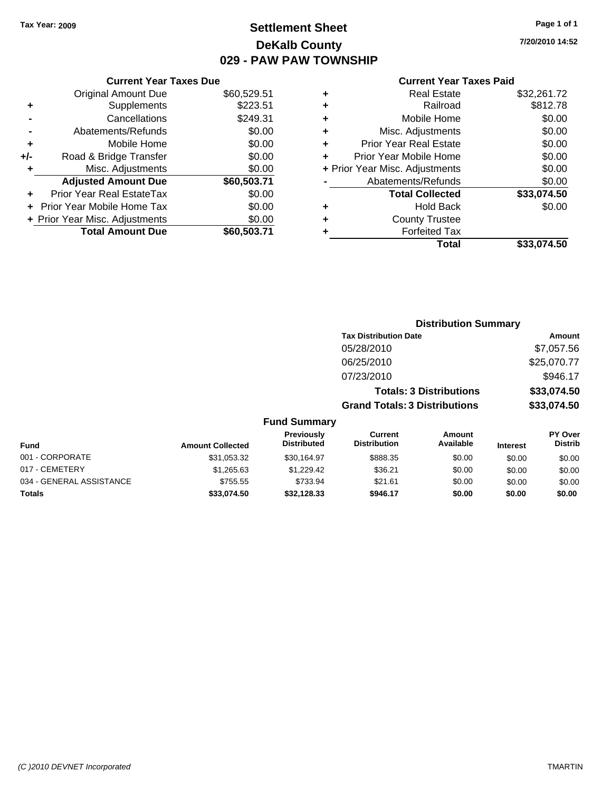### **Settlement Sheet Tax Year: 2009 Page 1 of 1 DeKalb County 029 - PAW PAW TOWNSHIP**

**7/20/2010 14:52**

| <b>Current Year Taxes Due</b> |                                |
|-------------------------------|--------------------------------|
| <b>Original Amount Due</b>    | \$60,529.51                    |
| Supplements                   | \$223.51                       |
| Cancellations                 | \$249.31                       |
| Abatements/Refunds            | \$0.00                         |
| Mobile Home                   | \$0.00                         |
| Road & Bridge Transfer        | \$0.00                         |
| Misc. Adjustments             | \$0.00                         |
| <b>Adjusted Amount Due</b>    | \$60,503.71                    |
| Prior Year Real EstateTax     | \$0.00                         |
| Prior Year Mobile Home Tax    | \$0.00                         |
|                               | \$0.00                         |
| <b>Total Amount Due</b>       | \$60,503.71                    |
|                               | + Prior Year Misc. Adjustments |

| ٠ | <b>Real Estate</b>             | \$32,261.72 |
|---|--------------------------------|-------------|
| ٠ | Railroad                       | \$812.78    |
| ٠ | Mobile Home                    | \$0.00      |
| ٠ | Misc. Adjustments              | \$0.00      |
| ٠ | <b>Prior Year Real Estate</b>  | \$0.00      |
| ÷ | Prior Year Mobile Home         | \$0.00      |
|   | + Prior Year Misc. Adjustments | \$0.00      |
|   | Abatements/Refunds             | \$0.00      |
|   | <b>Total Collected</b>         | \$33,074.50 |
| ٠ | <b>Hold Back</b>               | \$0.00      |
| ٠ | <b>County Trustee</b>          |             |
| ٠ | <b>Forfeited Tax</b>           |             |
|   | Total                          | \$33,074.50 |

|                          |                         |                                  | <b>Distribution Summary</b>           |                                |                 |                                  |
|--------------------------|-------------------------|----------------------------------|---------------------------------------|--------------------------------|-----------------|----------------------------------|
|                          |                         |                                  | <b>Tax Distribution Date</b>          |                                |                 | Amount                           |
|                          |                         |                                  | 05/28/2010                            |                                |                 | \$7,057.56                       |
|                          |                         |                                  | 06/25/2010                            |                                |                 | \$25,070.77                      |
|                          |                         |                                  | 07/23/2010                            |                                |                 | \$946.17                         |
|                          |                         |                                  |                                       | <b>Totals: 3 Distributions</b> |                 | \$33,074.50                      |
|                          |                         |                                  | <b>Grand Totals: 3 Distributions</b>  |                                |                 | \$33,074.50                      |
|                          |                         | <b>Fund Summary</b>              |                                       |                                |                 |                                  |
| <b>Fund</b>              | <b>Amount Collected</b> | Previously<br><b>Distributed</b> | <b>Current</b><br><b>Distribution</b> | Amount<br>Available            | <b>Interest</b> | <b>PY Over</b><br><b>Distrib</b> |
| 001 - CORPORATE          | \$31,053.32             | \$30,164.97                      | \$888.35                              | \$0.00                         | \$0.00          | \$0.00                           |
| 017 - CEMETERY           | \$1,265.63              | \$1,229.42                       | \$36.21                               | \$0.00                         | \$0.00          | \$0.00                           |
| 034 - GENERAL ASSISTANCE | \$755.55                | \$733.94                         | \$21.61                               | \$0.00                         | \$0.00          | \$0.00                           |
| Totals                   | \$33,074.50             | \$32.128.33                      | \$946.17                              | \$0.00                         | \$0.00          | \$0.00                           |
|                          |                         |                                  |                                       |                                |                 |                                  |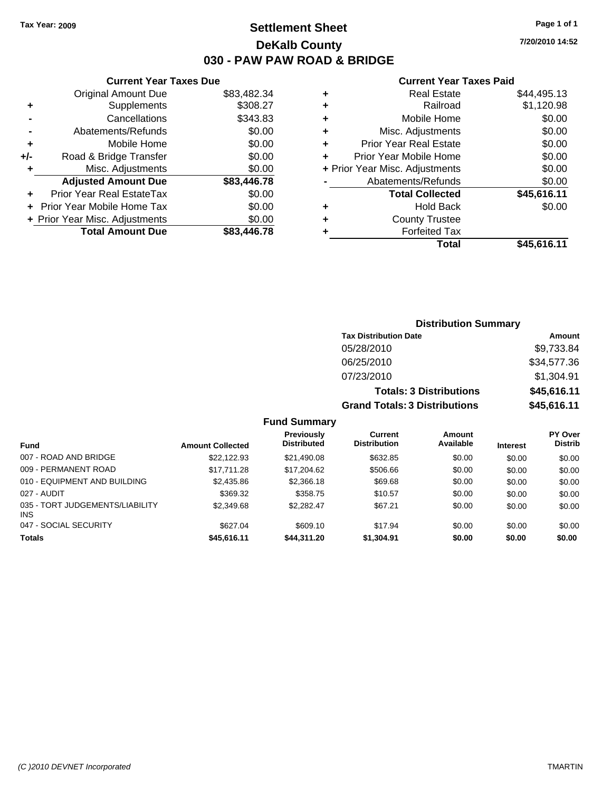### **Settlement Sheet Tax Year: 2009 Page 1 of 1 DeKalb County 030 - PAW PAW ROAD & BRIDGE**

**7/20/2010 14:52**

#### **Current Year Taxes Paid**

|     | <b>Current Year Taxes Due</b>  |             |   |
|-----|--------------------------------|-------------|---|
|     | <b>Original Amount Due</b>     | \$83,482.34 |   |
| ٠   | Supplements                    | \$308.27    |   |
|     | Cancellations                  | \$343.83    |   |
|     | Abatements/Refunds             | \$0.00      | ٠ |
| ٠   | Mobile Home                    | \$0.00      | ٠ |
| +/- | Road & Bridge Transfer         | \$0.00      | ٠ |
|     | Misc. Adjustments              | \$0.00      | 4 |
|     | <b>Adjusted Amount Due</b>     | \$83,446.78 |   |
| ÷   | Prior Year Real EstateTax      | \$0.00      |   |
|     | Prior Year Mobile Home Tax     | \$0.00      |   |
|     | + Prior Year Misc. Adjustments | \$0.00      | ٠ |
|     | <b>Total Amount Due</b>        | \$83,446.78 |   |
|     |                                |             |   |

| ٠ | <b>Real Estate</b>             | \$44,495.13 |
|---|--------------------------------|-------------|
| ٠ | Railroad                       | \$1,120.98  |
| ٠ | Mobile Home                    | \$0.00      |
| ÷ | Misc. Adjustments              | \$0.00      |
| ٠ | <b>Prior Year Real Estate</b>  | \$0.00      |
| ÷ | Prior Year Mobile Home         | \$0.00      |
|   | + Prior Year Misc. Adjustments | \$0.00      |
|   | Abatements/Refunds             | \$0.00      |
|   | <b>Total Collected</b>         | \$45,616.11 |
| ٠ | Hold Back                      | \$0.00      |
| ٠ | <b>County Trustee</b>          |             |
| ٠ | <b>Forfeited Tax</b>           |             |
|   | Total                          | \$45,616.11 |
|   |                                |             |

|                                               |                         |                                         | <b>Distribution Summary</b>           |                                |                 |                                  |
|-----------------------------------------------|-------------------------|-----------------------------------------|---------------------------------------|--------------------------------|-----------------|----------------------------------|
|                                               |                         |                                         | <b>Tax Distribution Date</b>          |                                |                 | Amount                           |
|                                               |                         |                                         | 05/28/2010                            |                                |                 | \$9,733.84                       |
|                                               |                         |                                         | 06/25/2010                            |                                |                 | \$34,577.36                      |
|                                               |                         |                                         | 07/23/2010                            |                                |                 | \$1,304.91                       |
|                                               |                         |                                         |                                       | <b>Totals: 3 Distributions</b> |                 | \$45,616.11                      |
|                                               |                         |                                         | <b>Grand Totals: 3 Distributions</b>  |                                |                 | \$45,616.11                      |
|                                               |                         | <b>Fund Summary</b>                     |                                       |                                |                 |                                  |
| <b>Fund</b>                                   | <b>Amount Collected</b> | <b>Previously</b><br><b>Distributed</b> | <b>Current</b><br><b>Distribution</b> | <b>Amount</b><br>Available     | <b>Interest</b> | <b>PY Over</b><br><b>Distrib</b> |
| 007 - ROAD AND BRIDGE                         | \$22,122.93             | \$21,490.08                             | \$632.85                              | \$0.00                         | \$0.00          | \$0.00                           |
| 009 - PERMANENT ROAD                          | \$17,711.28             | \$17,204.62                             | \$506.66                              | \$0.00                         | \$0.00          | \$0.00                           |
| 010 - EQUIPMENT AND BUILDING                  | \$2,435.86              | \$2,366.18                              | \$69.68                               | \$0.00                         | \$0.00          | \$0.00                           |
| 027 - AUDIT                                   | \$369.32                | \$358.75                                | \$10.57                               | \$0.00                         | \$0.00          | \$0.00                           |
| 035 - TORT JUDGEMENTS/LIABILITY<br><b>INS</b> | \$2,349.68              | \$2,282.47                              | \$67.21                               | \$0.00                         | \$0.00          | \$0.00                           |

047 - SOCIAL SECURITY \$627.04 \$609.10 \$17.94 \$0.00 \$0.00 \$0.00 **Totals \$45,616.11 \$44,311.20 \$1,304.91 \$0.00 \$0.00 \$0.00**

INS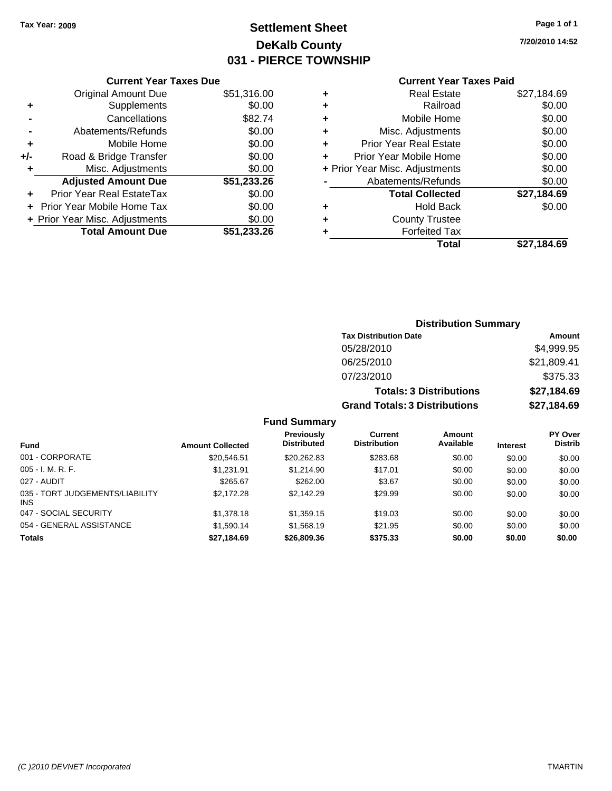### **Settlement Sheet Tax Year: 2009 Page 1 of 1 DeKalb County 031 - PIERCE TOWNSHIP**

**7/20/2010 14:52**

### **Current Year Taxes Paid**

|     | <b>Current Year Taxes Due</b>  |             |
|-----|--------------------------------|-------------|
|     | <b>Original Amount Due</b>     | \$51,316.00 |
| ٠   | Supplements                    | \$0.00      |
|     | Cancellations                  | \$82.74     |
|     | Abatements/Refunds             | \$0.00      |
| ٠   | Mobile Home                    | \$0.00      |
| +/- | Road & Bridge Transfer         | \$0.00      |
| ٠   | Misc. Adjustments              | \$0.00      |
|     | <b>Adjusted Amount Due</b>     | \$51,233.26 |
|     | Prior Year Real EstateTax      | \$0.00      |
|     | Prior Year Mobile Home Tax     | \$0.00      |
|     | + Prior Year Misc. Adjustments | \$0.00      |
|     | <b>Total Amount Due</b>        | \$51.233.26 |

| ٠ | <b>Real Estate</b>             | \$27,184.69 |
|---|--------------------------------|-------------|
| ٠ | Railroad                       | \$0.00      |
| ٠ | Mobile Home                    | \$0.00      |
| ٠ | Misc. Adjustments              | \$0.00      |
| ÷ | <b>Prior Year Real Estate</b>  | \$0.00      |
|   | Prior Year Mobile Home         | \$0.00      |
|   | + Prior Year Misc. Adjustments | \$0.00      |
|   | Abatements/Refunds             | \$0.00      |
|   | <b>Total Collected</b>         | \$27,184.69 |
| ٠ | <b>Hold Back</b>               | \$0.00      |
|   | <b>County Trustee</b>          |             |
| ٠ | <b>Forfeited Tax</b>           |             |
|   | Total                          | \$27,184.69 |
|   |                                |             |

#### **Distribution Summary Tax Distribution Date Amount** 05/28/2010 \$4,999.95 06/25/2010 \$21,809.41 07/23/2010 \$375.33 **Totals: 3 Distributions \$27,184.69 Grand Totals: 3 Distributions \$27,184.69 Fund Summary PY Over Amount Current Previously**

| <b>Fund</b>                             | <b>Amount Collected</b> | <b>Previousiv</b><br><b>Distributed</b> | current<br><b>Distribution</b> | Amount<br>Available | <b>Interest</b> | <b>PT OVER</b><br><b>Distrib</b> |
|-----------------------------------------|-------------------------|-----------------------------------------|--------------------------------|---------------------|-----------------|----------------------------------|
| 001 - CORPORATE                         | \$20.546.51             | \$20.262.83                             | \$283.68                       | \$0.00              | \$0.00          | \$0.00                           |
| $005 - I. M. R. F.$                     | \$1.231.91              | \$1,214.90                              | \$17.01                        | \$0.00              | \$0.00          | \$0.00                           |
| 027 - AUDIT                             | \$265.67                | \$262.00                                | \$3.67                         | \$0.00              | \$0.00          | \$0.00                           |
| 035 - TORT JUDGEMENTS/LIABILITY<br>INS. | \$2,172.28              | \$2.142.29                              | \$29.99                        | \$0.00              | \$0.00          | \$0.00                           |
| 047 - SOCIAL SECURITY                   | \$1,378.18              | \$1,359.15                              | \$19.03                        | \$0.00              | \$0.00          | \$0.00                           |
| 054 - GENERAL ASSISTANCE                | \$1,590.14              | \$1,568.19                              | \$21.95                        | \$0.00              | \$0.00          | \$0.00                           |
| <b>Totals</b>                           | \$27,184.69             | \$26,809.36                             | \$375.33                       | \$0.00              | \$0.00          | \$0.00                           |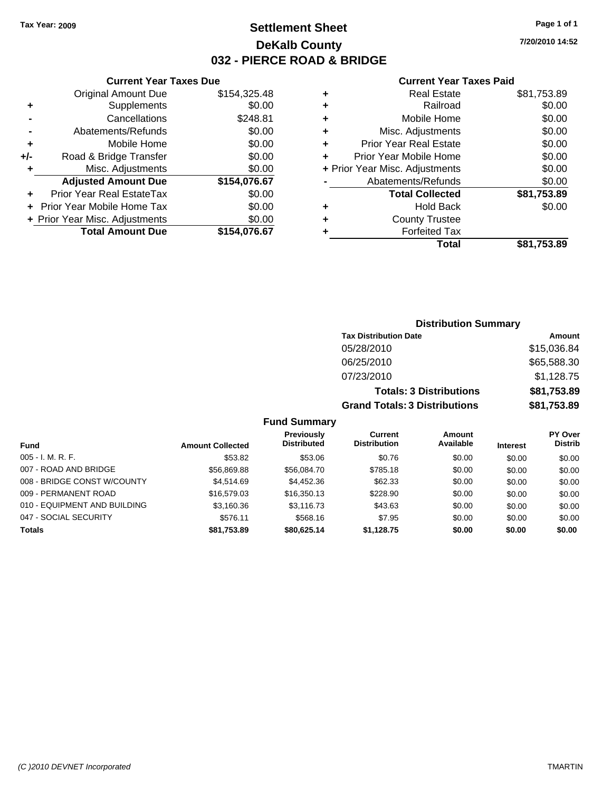### **Settlement Sheet Tax Year: 2009 Page 1 of 1 DeKalb County 032 - PIERCE ROAD & BRIDGE**

**7/20/2010 14:52**

#### **Current Year Taxes Paid**

|     | <b>Current Year Taxes Due</b>  |              |
|-----|--------------------------------|--------------|
|     | <b>Original Amount Due</b>     | \$154,325.48 |
| ٠   | Supplements                    | \$0.00       |
|     | Cancellations                  | \$248.81     |
|     | Abatements/Refunds             | \$0.00       |
| ٠   | Mobile Home                    | \$0.00       |
| +/- | Road & Bridge Transfer         | \$0.00       |
| ٠   | Misc. Adjustments              | \$0.00       |
|     | <b>Adjusted Amount Due</b>     | \$154,076.67 |
|     | Prior Year Real EstateTax      | \$0.00       |
|     | Prior Year Mobile Home Tax     | \$0.00       |
|     | + Prior Year Misc. Adjustments | \$0.00       |
|     | <b>Total Amount Due</b>        | \$154,076.67 |
|     |                                |              |

| ٠ | <b>Real Estate</b>             | \$81,753.89 |
|---|--------------------------------|-------------|
| ٠ | Railroad                       | \$0.00      |
| ٠ | Mobile Home                    | \$0.00      |
| ٠ | Misc. Adjustments              | \$0.00      |
| ٠ | <b>Prior Year Real Estate</b>  | \$0.00      |
| ٠ | Prior Year Mobile Home         | \$0.00      |
|   | + Prior Year Misc. Adjustments | \$0.00      |
|   | Abatements/Refunds             | \$0.00      |
|   | <b>Total Collected</b>         | \$81,753.89 |
| ٠ | <b>Hold Back</b>               | \$0.00      |
| ٠ | <b>County Trustee</b>          |             |
| ٠ | <b>Forfeited Tax</b>           |             |
|   | Total                          | \$81,753.89 |
|   |                                |             |

### **Distribution Summary Tax Distribution Date Amount** 05/28/2010 \$15,036.84 06/25/2010 \$65,588.30 07/23/2010 \$1,128.75 **Totals: 3 Distributions \$81,753.89 Grand Totals: 3 Distributions \$81,753.89 Fund Summary**

| <b>Fund</b>                  | <b>Amount Collected</b> | Previously<br><b>Distributed</b> | Current<br><b>Distribution</b> | Amount<br>Available | <b>Interest</b> | <b>PY Over</b><br><b>Distrib</b> |
|------------------------------|-------------------------|----------------------------------|--------------------------------|---------------------|-----------------|----------------------------------|
| $005 - I. M. R. F.$          | \$53.82                 | \$53.06                          | \$0.76                         | \$0.00              | \$0.00          | \$0.00                           |
| 007 - ROAD AND BRIDGE        | \$56,869.88             | \$56,084.70                      | \$785.18                       | \$0.00              | \$0.00          | \$0.00                           |
| 008 - BRIDGE CONST W/COUNTY  | \$4,514.69              | \$4,452.36                       | \$62.33                        | \$0.00              | \$0.00          | \$0.00                           |
| 009 - PERMANENT ROAD         | \$16,579.03             | \$16,350.13                      | \$228.90                       | \$0.00              | \$0.00          | \$0.00                           |
| 010 - EQUIPMENT AND BUILDING | \$3,160.36              | \$3,116.73                       | \$43.63                        | \$0.00              | \$0.00          | \$0.00                           |
| 047 - SOCIAL SECURITY        | \$576.11                | \$568.16                         | \$7.95                         | \$0.00              | \$0.00          | \$0.00                           |
| <b>Totals</b>                | \$81,753.89             | \$80,625.14                      | \$1,128.75                     | \$0.00              | \$0.00          | \$0.00                           |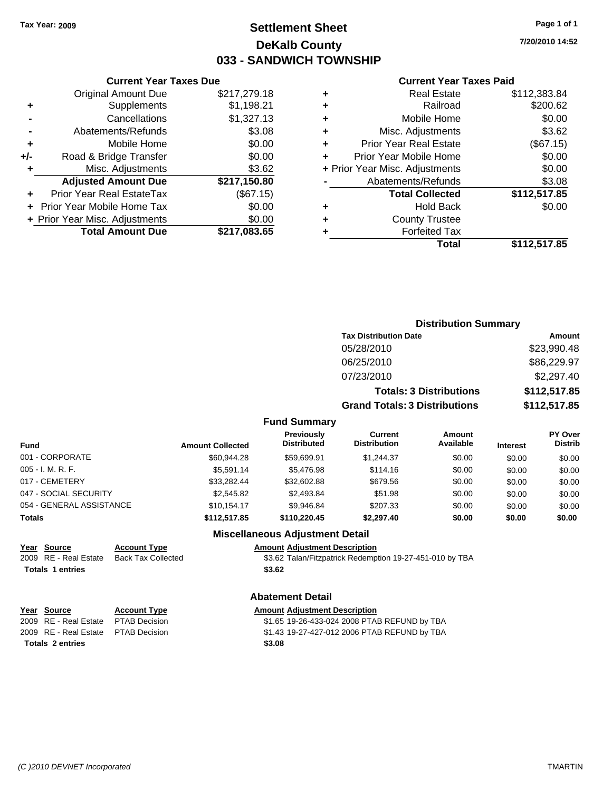### **Settlement Sheet Tax Year: 2009 Page 1 of 1 DeKalb County 033 - SANDWICH TOWNSHIP**

**7/20/2010 14:52**

#### **Current Year Taxes Paid**

| Total                              | \$112,517.85 |
|------------------------------------|--------------|
| <b>Forfeited Tax</b>               |              |
| <b>County Trustee</b>              |              |
| <b>Hold Back</b><br>٠              | \$0.00       |
| <b>Total Collected</b>             | \$112,517.85 |
| Abatements/Refunds                 | \$3.08       |
| + Prior Year Misc. Adjustments     | \$0.00       |
| Prior Year Mobile Home             | \$0.00       |
| <b>Prior Year Real Estate</b><br>٠ | (\$67.15)    |
| Misc. Adjustments<br>٠             | \$3.62       |
| Mobile Home<br>٠                   | \$0.00       |
| Railroad                           | \$200.62     |
| <b>Real Estate</b><br>٠            | \$112,383.84 |
|                                    |              |

|                          |                         |                                         | <b>Distribution Summary</b>           |                                |                 |                                  |
|--------------------------|-------------------------|-----------------------------------------|---------------------------------------|--------------------------------|-----------------|----------------------------------|
|                          |                         |                                         | <b>Tax Distribution Date</b>          |                                |                 | <b>Amount</b>                    |
|                          |                         |                                         | 05/28/2010                            |                                |                 | \$23,990.48                      |
|                          |                         |                                         | 06/25/2010                            |                                |                 | \$86,229.97                      |
|                          |                         |                                         | 07/23/2010                            |                                |                 | \$2,297.40                       |
|                          |                         |                                         |                                       | <b>Totals: 3 Distributions</b> |                 | \$112,517.85                     |
|                          |                         |                                         | <b>Grand Totals: 3 Distributions</b>  |                                |                 | \$112,517.85                     |
|                          |                         | <b>Fund Summary</b>                     |                                       |                                |                 |                                  |
| Fund                     | <b>Amount Collected</b> | <b>Previously</b><br><b>Distributed</b> | <b>Current</b><br><b>Distribution</b> | Amount<br>Available            | <b>Interest</b> | <b>PY Over</b><br><b>Distrib</b> |
| 001 - CORPORATE          | \$60,944.28             | \$59,699.91                             | \$1,244.37                            | \$0.00                         | \$0.00          | \$0.00                           |
| 005 - I. M. R. F.        | \$5,591.14              | \$5,476.98                              | \$114.16                              | \$0.00                         | \$0.00          | \$0.00                           |
| 017 - CEMETERY           | \$33.282.44             | \$32,602.88                             | \$679.56                              | \$0.00                         | \$0.00          | \$0.00                           |
| 047 - SOCIAL SECURITY    | \$2,545.82              | \$2,493.84                              | \$51.98                               | \$0.00                         | \$0.00          | \$0.00                           |
| 054 - GENERAL ASSISTANCE | \$10,154.17             | \$9,946.84                              | \$207.33                              | \$0.00                         | \$0.00          | \$0.00                           |

#### **Totals \$112,517.85 \$110,220.45 \$2,297.40 \$0.00 \$0.00 \$0.00**

# **Totals \$3.62 1 entries**

### **Year Source Account Type Amount Adjustment Description**

2009 RE - Real Estate Back Tax Collected \$3.62 Talan/Fitzpatrick Redemption 19-27-451-010 by TBA

#### **Abatement Detail**

**Miscellaneous Adjustment Detail**

## **Year Source Account Type Amount Adjustment Description**

**Totals \$3.08 2 entries**

**Current Year Taxes Due** Original Amount Due \$217,279.18

**Adjusted Amount Due \$217,150.80**

**Total Amount Due \$217,083.65**

**+** Supplements \$1,198.21 **-** Cancellations \$1,327.13 **-** Abatements/Refunds \$3.08 **+** Mobile Home \$0.00 **+/-** Road & Bridge Transfer \$0.00 **+** Misc. Adjustments \$3.62

**+** Prior Year Real EstateTax (\$67.15) **+** Prior Year Mobile Home Tax \$0.00 **+** Prior Year Misc. Adjustments \$0.00

2009 RE - Real Estate \$1.65 19-26-433-024 2008 PTAB REFUND by TBA PTAB Decision 2009 RE - Real Estate \$1.43 19-27-427-012 2006 PTAB REFUND by TBA PTAB Decision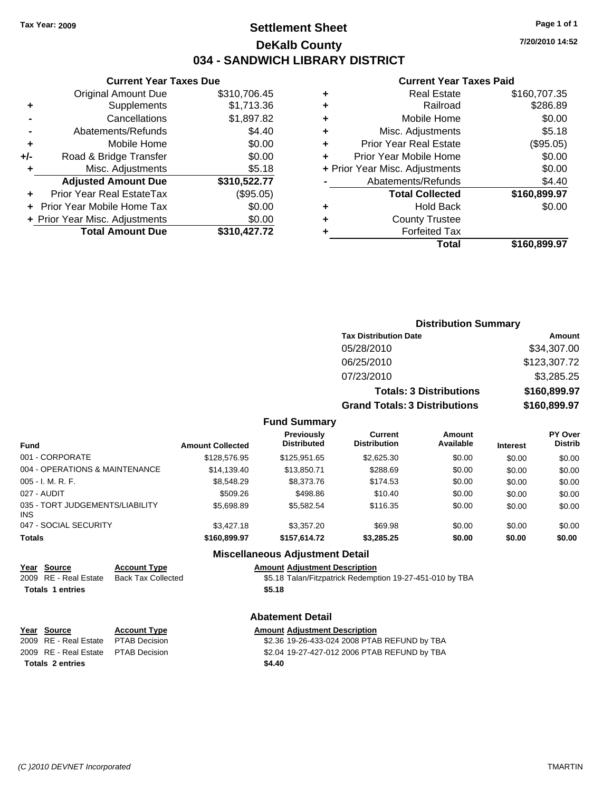### **Settlement Sheet Tax Year: 2009 Page 1 of 1 DeKalb County 034 - SANDWICH LIBRARY DISTRICT**

**7/20/2010 14:52**

#### **Current Year Taxes Paid**

**Distribution Summary**

| <b>Original Amount Due</b> | \$310,706.45                                                   | ٠ | <b>Real Estate</b>            | \$160,707.35                   |
|----------------------------|----------------------------------------------------------------|---|-------------------------------|--------------------------------|
| Supplements                | \$1,713.36                                                     | ٠ | Railroad                      | \$286.89                       |
| Cancellations              | \$1,897.82                                                     | ٠ | Mobile Home                   | \$0.00                         |
| Abatements/Refunds         | \$4.40                                                         | ٠ | Misc. Adjustments             | \$5.18                         |
| Mobile Home                | \$0.00                                                         | ٠ | <b>Prior Year Real Estate</b> | (\$95.05)                      |
| Road & Bridge Transfer     | \$0.00                                                         |   | Prior Year Mobile Home        | \$0.00                         |
| Misc. Adjustments          | \$5.18                                                         |   |                               | \$0.00                         |
| <b>Adjusted Amount Due</b> | \$310,522.77                                                   |   | Abatements/Refunds            | \$4.40                         |
| Prior Year Real EstateTax  | (\$95.05)                                                      |   | <b>Total Collected</b>        | \$160,899.97                   |
|                            | \$0.00                                                         | ٠ | <b>Hold Back</b>              | \$0.00                         |
|                            | \$0.00                                                         | ٠ | <b>County Trustee</b>         |                                |
| <b>Total Amount Due</b>    | \$310,427.72                                                   |   | <b>Forfeited Tax</b>          |                                |
|                            |                                                                |   | <b>Total</b>                  | \$160,899.97                   |
|                            | + Prior Year Mobile Home Tax<br>+ Prior Year Misc. Adjustments |   |                               | + Prior Year Misc. Adjustments |

### **+** Mobile Home \$0.0 **+/-** Road & Bridge Transfer \$0.0 **+** Misc. Adjustments \$5.1 **Adjusted Amount Due \$310,522.77 +** Prior Year Real EstateTax (\$95.05) **+** Prior Year Mobile Home Tax \$0.0 **+ Prior Year Misc. Adjustments**  $$0.0$ **Total Amount Due \$310,427.7**

**Current Year Taxes Due**

|                                 |                         |                                  | <b>Tax Distribution Date</b>         |                                |                 | Amount                    |
|---------------------------------|-------------------------|----------------------------------|--------------------------------------|--------------------------------|-----------------|---------------------------|
|                                 |                         |                                  | 05/28/2010                           |                                |                 | \$34,307.00               |
|                                 |                         |                                  | 06/25/2010                           |                                |                 | \$123,307.72              |
|                                 |                         |                                  | 07/23/2010                           |                                |                 | \$3,285.25                |
|                                 |                         |                                  |                                      | <b>Totals: 3 Distributions</b> |                 | \$160,899.97              |
|                                 |                         |                                  | <b>Grand Totals: 3 Distributions</b> |                                |                 | \$160,899.97              |
|                                 |                         | <b>Fund Summary</b>              |                                      |                                |                 |                           |
| <b>Fund</b>                     | <b>Amount Collected</b> | Previously<br><b>Distributed</b> | Current<br><b>Distribution</b>       | Amount<br>Available            | <b>Interest</b> | PY Over<br><b>Distrib</b> |
| 001 - CORPORATE                 | \$128,576.95            | \$125,951.65                     | \$2,625.30                           | \$0.00                         | \$0.00          | \$0.00                    |
| 004 - OPERATIONS & MAINTENANCE  | \$14,139.40             | \$13,850.71                      | \$288.69                             | \$0.00                         | \$0.00          | \$0.00                    |
| $005 - I. M. R. F.$             | \$8.548.29              | \$8,373.76                       | \$174.53                             | \$0.00                         | \$0.00          | \$0.00                    |
| 027 - AUDIT                     | \$509.26                | \$498.86                         | \$10.40                              | \$0.00                         | \$0.00          | \$0.00                    |
| 035 - TORT JUDGEMENTS/LIABILITY | \$5,698.89              | \$5,582.54                       | \$116.35                             | \$0.00                         | \$0.00          | \$0.00                    |

INS 047 - SOCIAL SECURITY \$3,427.18 \$3,357.20 \$69.98 \$0.00 \$0.00 \$0.00 **Totals \$160,899.97 \$157,614.72 \$3,285.25 \$0.00 \$0.00 \$0.00**

#### **Miscellaneous Adjustment Detail**

#### **Year Source Account Type Amount Adjustment Description**

2009 RE - Real Estate Back Tax Collected \$5.18 Talan/Fitzpatrick Redemption 19-27-451-010 by TBA **Totals \$5.18 1 entries**

#### **Abatement Detail**

| Year Source                         | <b>Account Type</b> | <b>Amount Adiustment Description</b>         |
|-------------------------------------|---------------------|----------------------------------------------|
| 2009 RE - Real Estate PTAB Decision |                     | \$2.36 19-26-433-024 2008 PTAB REFUND by TBA |
| 2009 RE - Real Estate PTAB Decision |                     | \$2.04 19-27-427-012 2006 PTAB REFUND by TBA |
| <b>Totals 2 entries</b>             |                     | \$4.40                                       |

**<u>Year Source</u>**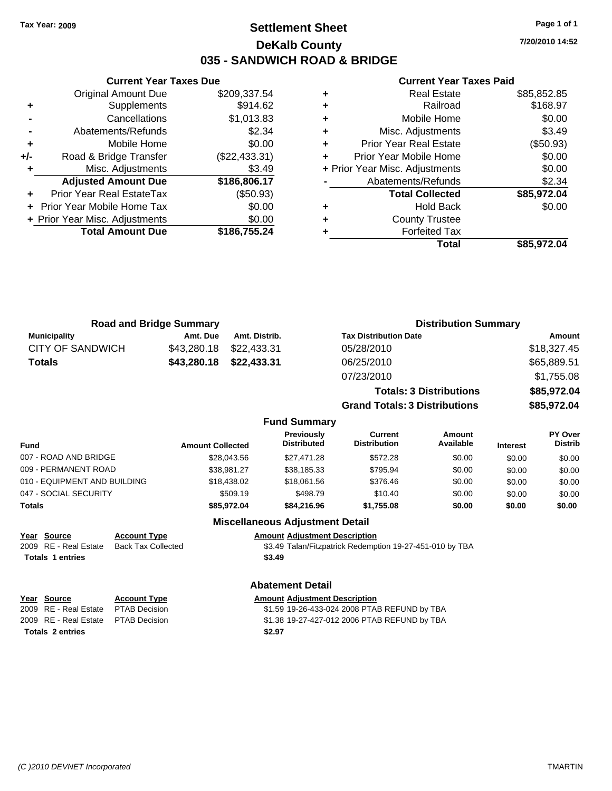## **Settlement Sheet Tax Year: 2009 Page 1 of 1 DeKalb County 035 - SANDWICH ROAD & BRIDGE**

**7/20/2010 14:52**

### **Current Year Taxes Paid**

|     | <b>Original Amount Due</b>       | \$209,337.54  |
|-----|----------------------------------|---------------|
| ٠   | Supplements                      | \$914.62      |
|     | Cancellations                    | \$1,013.83    |
|     | Abatements/Refunds               | \$2.34        |
| ÷   | Mobile Home                      | \$0.00        |
| +/- | Road & Bridge Transfer           | (\$22,433.31) |
| ٠   | Misc. Adjustments                | \$3.49        |
|     | <b>Adjusted Amount Due</b>       | \$186,806.17  |
|     | <b>Prior Year Real EstateTax</b> | (\$50.93)     |
|     | Prior Year Mobile Home Tax       | \$0.00        |
|     | + Prior Year Misc. Adjustments   | \$0.00        |
|     | <b>Total Amount Due</b>          | \$186,755.24  |
|     |                                  |               |

**Current Year Taxes Due**

|   | <b>Real Estate</b>             | \$85,852.85 |
|---|--------------------------------|-------------|
| ٠ | Railroad                       | \$168.97    |
| ٠ | Mobile Home                    | \$0.00      |
| ٠ | Misc. Adjustments              | \$3.49      |
| ٠ | <b>Prior Year Real Estate</b>  | (\$50.93)   |
|   | Prior Year Mobile Home         | \$0.00      |
|   | + Prior Year Misc. Adjustments | \$0.00      |
|   | Abatements/Refunds             | \$2.34      |
|   | <b>Total Collected</b>         | \$85,972.04 |
|   | <b>Hold Back</b>               | \$0.00      |
|   | <b>County Trustee</b>          |             |
|   | <b>Forfeited Tax</b>           |             |
|   | Total                          | \$85.972.04 |

**Grand Totals: 3 Distributions \$85,972.04**

|                     | <b>Road and Bridge Summary</b> |               | <b>Distribution Summary</b>    |             |
|---------------------|--------------------------------|---------------|--------------------------------|-------------|
| <b>Municipality</b> | Amt. Due                       | Amt. Distrib. | <b>Tax Distribution Date</b>   | Amount      |
| CITY OF SANDWICH    | \$43,280.18                    | \$22,433.31   | 05/28/2010                     | \$18,327.45 |
| <b>Totals</b>       | \$43,280.18                    | \$22,433.31   | 06/25/2010                     | \$65,889.51 |
|                     |                                |               | 07/23/2010                     | \$1,755.08  |
|                     |                                |               | <b>Totals: 3 Distributions</b> | \$85,972.04 |

### **Fund Summary Fund Interest Amount Collected Distributed PY Over Distrib Amount Available Current Distribution Previously** 007 - ROAD AND BRIDGE 60.00 \$28,043.56 \$27,471.28 \$572.28 \$0.00 \$0.00 \$0.00 \$0.00 009 - PERMANENT ROAD \$38,981.27 \$38,185.33 \$795.94 \$0.00 \$0.00 \$0.00 010 - EQUIPMENT AND BUILDING \$18,438.02 \$18,061.56 \$376.46 \$0.00 \$0.00 \$0.00 047 - SOCIAL SECURITY \$509.19 \$498.79 \$0.00 \$0.00 \$0.00 \$0.00 **Totals \$85,972.04 \$84,216.96 \$1,755.08 \$0.00 \$0.00 \$0.00 Miscellaneous Adjustment Detail**

# **Year Source Account Type Amount Adjustment Description**

**Totals \$3.49 1 entries**

2009 RE - Real Estate Back Tax Collected \$3.49 Talan/Fitzpatrick Redemption 19-27-451-010 by TBA

### **Abatement Detail**

| Year Source                         | <b>Account Type</b> | <b>Amount Adjustment Description</b>         |
|-------------------------------------|---------------------|----------------------------------------------|
| 2009 RE - Real Estate PTAB Decision |                     | \$1.59 19-26-433-024 2008 PTAB REFUND by TBA |
| 2009 RE - Real Estate PTAB Decision |                     | \$1.38 19-27-427-012 2006 PTAB REFUND by TBA |
| Totals 2 entries                    |                     | \$2.97                                       |
|                                     |                     |                                              |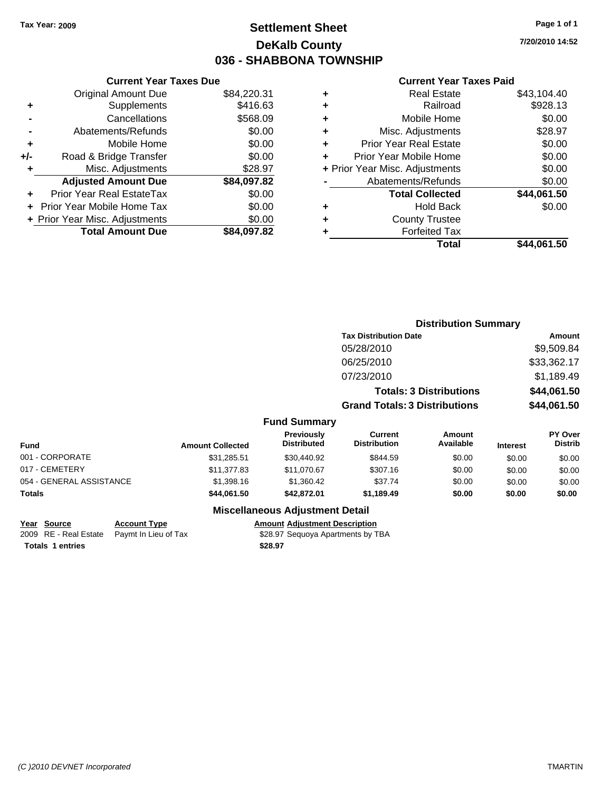## **Settlement Sheet Tax Year: 2009 Page 1 of 1 DeKalb County 036 - SHABBONA TOWNSHIP**

**7/20/2010 14:52**

### **Current Year Taxes Paid**

|     | <b>Current Year Taxes Due</b>     |             |   |             |
|-----|-----------------------------------|-------------|---|-------------|
|     | <b>Original Amount Due</b>        | \$84,220.31 | ٠ |             |
|     | Supplements                       | \$416.63    | ٠ |             |
|     | Cancellations                     | \$568.09    | ٠ |             |
|     | Abatements/Refunds                | \$0.00      | ٠ |             |
|     | Mobile Home                       | \$0.00      | ٠ | Pri         |
| +/- | Road & Bridge Transfer            | \$0.00      |   | Prior       |
|     | Misc. Adjustments                 | \$28.97     |   | + Prior Yea |
|     | <b>Adjusted Amount Due</b>        | \$84,097.82 |   | Α           |
|     | Prior Year Real EstateTax         | \$0.00      |   |             |
|     | <b>Prior Year Mobile Home Tax</b> | \$0.00      | ٠ |             |
|     | + Prior Year Misc. Adjustments    | \$0.00      | ٠ |             |
|     | <b>Total Amount Due</b>           | \$84,097.82 |   |             |
|     |                                   |             |   |             |

| <b>Real Estate</b>             | \$43,104.40 |
|--------------------------------|-------------|
| Railroad                       | \$928.13    |
| Mobile Home                    | \$0.00      |
| Misc. Adjustments              | \$28.97     |
| <b>Prior Year Real Estate</b>  | \$0.00      |
| Prior Year Mobile Home         | \$0.00      |
| + Prior Year Misc. Adjustments | \$0.00      |
| Abatements/Refunds             | \$0.00      |
| <b>Total Collected</b>         | \$44,061.50 |
| <b>Hold Back</b>               | \$0.00      |
|                                |             |
| <b>County Trustee</b>          |             |
| <b>Forfeited Tax</b>           |             |
|                                |             |

|                          | <b>Distribution Summary</b> |                                    |                                       |                                |                 |                           |
|--------------------------|-----------------------------|------------------------------------|---------------------------------------|--------------------------------|-----------------|---------------------------|
|                          |                             |                                    | <b>Tax Distribution Date</b>          |                                |                 | Amount                    |
|                          |                             |                                    | 05/28/2010                            |                                |                 | \$9,509.84                |
|                          |                             |                                    | 06/25/2010                            |                                |                 | \$33,362.17               |
|                          |                             |                                    | 07/23/2010                            |                                |                 | \$1,189.49                |
|                          |                             |                                    |                                       | <b>Totals: 3 Distributions</b> |                 | \$44,061.50               |
|                          |                             |                                    | <b>Grand Totals: 3 Distributions</b>  |                                |                 | \$44,061.50               |
|                          |                             | <b>Fund Summary</b>                |                                       |                                |                 |                           |
| <b>Fund</b>              | <b>Amount Collected</b>     | Previously<br><b>Distributed</b>   | <b>Current</b><br><b>Distribution</b> | <b>Amount</b><br>Available     | <b>Interest</b> | PY Over<br><b>Distrib</b> |
| 001 - CORPORATE          | \$31,285.51                 | \$30,440.92                        | \$844.59                              | \$0.00                         | \$0.00          | \$0.00                    |
| 017 - CEMETERY           | \$11,377.83                 | \$11,070.67                        | \$307.16                              | \$0.00                         | \$0.00          | \$0.00                    |
| 054 - GENERAL ASSISTANCE | \$1,398.16                  | \$1,360.42                         | \$37.74                               | \$0.00                         | \$0.00          | \$0.00                    |
| Totals                   | \$44,061.50                 | \$42,872.01                        | \$1,189.49                            | \$0.00                         | \$0.00          | \$0.00                    |
|                          |                             | Missellanessen, Adhiatorent Batall |                                       |                                |                 |                           |

**Miscellaneous Adjustment Detail**

**Totals 1 entries** \$28.97

**Year Source Account Type Amount Adjustment Description** 2009 RE - Real Estate Paymt In Lieu of Tax \$28.97 Sequoya Apartments by TBA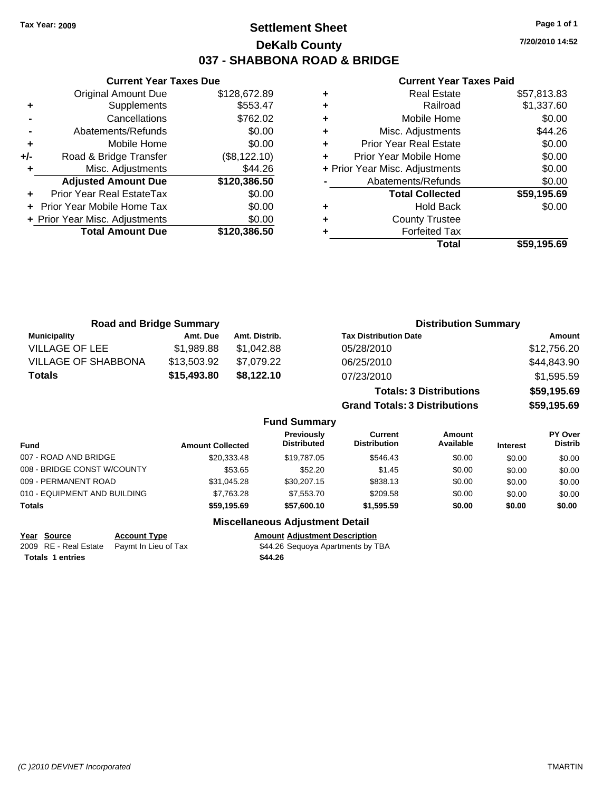## **Settlement Sheet Tax Year: 2009 Page 1 of 1 DeKalb County 037 - SHABBONA ROAD & BRIDGE**

**7/20/2010 14:52**

### **Current Year Taxes Paid**

|       | <b>Current Year Taxes Due</b>  |              |  |  |  |
|-------|--------------------------------|--------------|--|--|--|
|       | Original Amount Due            | \$128,672.89 |  |  |  |
| ٠     | Supplements                    | \$553.47     |  |  |  |
|       | Cancellations                  | \$762.02     |  |  |  |
|       | Abatements/Refunds             | \$0.00       |  |  |  |
| ٠     | Mobile Home                    | \$0.00       |  |  |  |
| $+/-$ | Road & Bridge Transfer         | (\$8,122.10) |  |  |  |
| ٠     | Misc. Adjustments              | \$44.26      |  |  |  |
|       | <b>Adjusted Amount Due</b>     | \$120,386.50 |  |  |  |
|       | Prior Year Real EstateTax      | \$0.00       |  |  |  |
|       | Prior Year Mobile Home Tax     | \$0.00       |  |  |  |
|       | + Prior Year Misc. Adjustments | \$0.00       |  |  |  |
|       | <b>Total Amount Due</b>        | \$120,386.50 |  |  |  |
|       |                                |              |  |  |  |

| ٠ | <b>Real Estate</b>             | \$57,813.83 |
|---|--------------------------------|-------------|
| ÷ | Railroad                       | \$1,337.60  |
| ٠ | Mobile Home                    | \$0.00      |
| ٠ | Misc. Adjustments              | \$44.26     |
| ٠ | <b>Prior Year Real Estate</b>  | \$0.00      |
| ÷ | Prior Year Mobile Home         | \$0.00      |
|   | + Prior Year Misc. Adjustments | \$0.00      |
|   | Abatements/Refunds             | \$0.00      |
|   | <b>Total Collected</b>         | \$59,195.69 |
| ٠ | <b>Hold Back</b>               | \$0.00      |
| ٠ | <b>County Trustee</b>          |             |
|   | <b>Forfeited Tax</b>           |             |
|   | Total                          | \$59,195.69 |
|   |                                |             |

| <b>Road and Bridge Summary</b> |             |               | <b>Distribution Summary</b>    |             |
|--------------------------------|-------------|---------------|--------------------------------|-------------|
| Municipality                   | Amt. Due    | Amt. Distrib. | <b>Tax Distribution Date</b>   | Amount      |
| <b>VILLAGE OF LEE</b>          | \$1.989.88  | \$1.042.88    | 05/28/2010                     | \$12,756.20 |
| <b>VILLAGE OF SHABBONA</b>     | \$13,503.92 | \$7,079.22    | 06/25/2010                     | \$44,843.90 |
| <b>Totals</b>                  | \$15,493.80 | \$8,122.10    | 07/23/2010                     | \$1,595.59  |
|                                |             |               | <b>Totals: 3 Distributions</b> | \$59,195.69 |

**Grand Totals: 3 Distributions \$59,195.69**

### **Fund Summary**

| <b>Fund</b>                  | <b>Amount Collected</b> | <b>Previously</b><br><b>Distributed</b> | Current<br><b>Distribution</b> | Amount<br>Available | <b>Interest</b> | <b>PY Over</b><br><b>Distrib</b> |
|------------------------------|-------------------------|-----------------------------------------|--------------------------------|---------------------|-----------------|----------------------------------|
| 007 - ROAD AND BRIDGE        | \$20,333,48             | \$19,787.05                             | \$546.43                       | \$0.00              | \$0.00          | \$0.00                           |
| 008 - BRIDGE CONST W/COUNTY  | \$53.65                 | \$52.20                                 | \$1.45                         | \$0.00              | \$0.00          | \$0.00                           |
| 009 - PERMANENT ROAD         | \$31.045.28             | \$30,207.15                             | \$838.13                       | \$0.00              | \$0.00          | \$0.00                           |
| 010 - EQUIPMENT AND BUILDING | \$7.763.28              | \$7,553,70                              | \$209.58                       | \$0.00              | \$0.00          | \$0.00                           |
| Totals                       | \$59.195.69             | \$57,600,10                             | \$1.595.59                     | \$0.00              | \$0.00          | \$0.00                           |

### **Miscellaneous Adjustment Detail**

**Year Source Account Type Amount Adjustment Description**<br>
2009 RE - Real Estate Paymt In Lieu of Tax **544.26** Sequoya Apartments by TBA  $\overline{2009}$  RE - Real Estate Paymt In Lieu of Tax **Totals \$44.26 1 entries**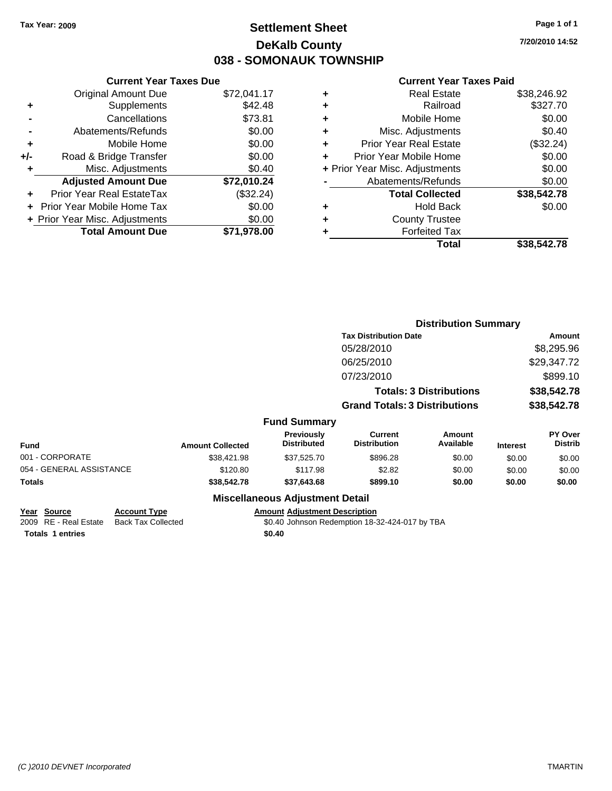## **Settlement Sheet Tax Year: 2009 Page 1 of 1 DeKalb County 038 - SOMONAUK TOWNSHIP**

**7/20/2010 14:52**

### **Current Year Taxes Paid**

|     | <b>Current Year Taxes Due</b>  |             |
|-----|--------------------------------|-------------|
|     | <b>Original Amount Due</b>     | \$72,041.17 |
| ٠   | Supplements                    | \$42.48     |
|     | Cancellations                  | \$73.81     |
|     | Abatements/Refunds             | \$0.00      |
| ٠   | Mobile Home                    | \$0.00      |
| +/- | Road & Bridge Transfer         | \$0.00      |
| ٠   | Misc. Adjustments              | \$0.40      |
|     | <b>Adjusted Amount Due</b>     | \$72,010.24 |
| ٠   | Prior Year Real EstateTax      | (\$32.24)   |
|     | Prior Year Mobile Home Tax     | \$0.00      |
|     | + Prior Year Misc. Adjustments | \$0.00      |
|     | <b>Total Amount Due</b>        | \$71.978.00 |
|     |                                |             |

| ٠ | <b>Real Estate</b>             | \$38,246.92 |
|---|--------------------------------|-------------|
| ٠ | Railroad                       | \$327.70    |
| ٠ | Mobile Home                    | \$0.00      |
| ٠ | Misc. Adjustments              | \$0.40      |
| ÷ | <b>Prior Year Real Estate</b>  | (\$32.24)   |
| ÷ | Prior Year Mobile Home         | \$0.00      |
|   | + Prior Year Misc. Adjustments | \$0.00      |
|   | Abatements/Refunds             | \$0.00      |
|   | <b>Total Collected</b>         | \$38,542.78 |
| ٠ | <b>Hold Back</b>               | \$0.00      |
| ٠ | <b>County Trustee</b>          |             |
| ٠ | <b>Forfeited Tax</b>           |             |
|   | Total                          | \$38.542.78 |
|   |                                |             |

|                          |                         |                                  | <b>Distribution Summary</b>           |                                |                 |                           |
|--------------------------|-------------------------|----------------------------------|---------------------------------------|--------------------------------|-----------------|---------------------------|
|                          |                         |                                  | <b>Tax Distribution Date</b>          |                                |                 | Amount                    |
|                          |                         |                                  | 05/28/2010                            |                                |                 | \$8,295.96                |
|                          |                         |                                  | 06/25/2010                            |                                |                 | \$29,347.72               |
|                          |                         |                                  | 07/23/2010                            |                                |                 | \$899.10                  |
|                          |                         |                                  |                                       | <b>Totals: 3 Distributions</b> |                 | \$38,542.78               |
|                          |                         |                                  | <b>Grand Totals: 3 Distributions</b>  |                                |                 | \$38,542.78               |
|                          |                         | <b>Fund Summary</b>              |                                       |                                |                 |                           |
| <b>Fund</b>              | <b>Amount Collected</b> | Previously<br><b>Distributed</b> | <b>Current</b><br><b>Distribution</b> | Amount<br>Available            | <b>Interest</b> | PY Over<br><b>Distrib</b> |
| 001 - CORPORATE          | \$38,421.98             | \$37.525.70                      | \$896.28                              | \$0.00                         | \$0.00          | \$0.00                    |
| 054 - GENERAL ASSISTANCE | \$120.80                | \$117.98                         | \$2.82                                | \$0.00                         | \$0.00          | \$0.00                    |
| Totals                   | \$38,542.78             | \$37,643.68                      | \$899.10                              | \$0.00                         | \$0.00          | \$0.00                    |
|                          |                         | Missellenssus Adjustment Detail  |                                       |                                |                 |                           |

### **Miscellaneous Adjustment Detail**

**Totals 1 entries** \$0.40

**Year Source Account Type Amount Adjustment Description** \$0.40 Johnson Redemption 18-32-424-017 by TBA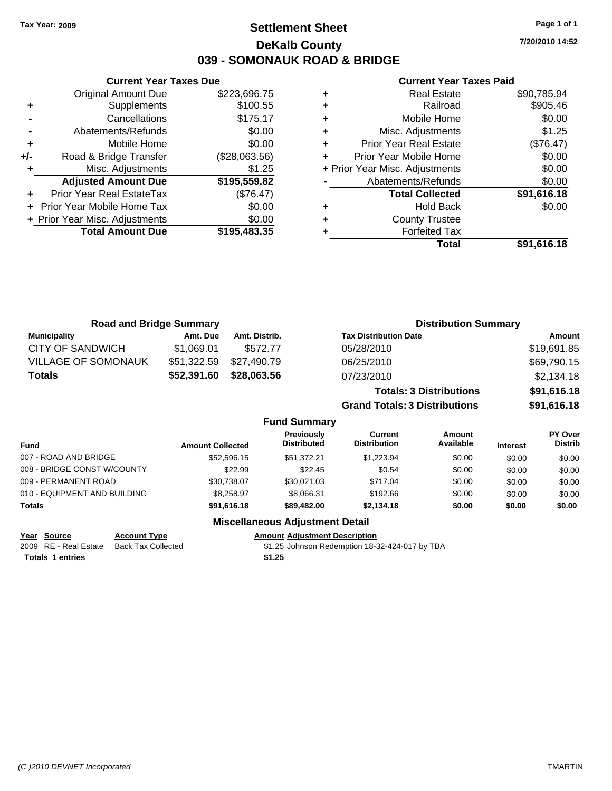## **Settlement Sheet Tax Year: 2009 Page 1 of 1 DeKalb County 039 - SOMONAUK ROAD & BRIDGE**

**7/20/2010 14:52**

### **Current Year Taxes Paid**

| ٠ | <b>Real Estate</b>             | \$90,785.94 |
|---|--------------------------------|-------------|
| ٠ | Railroad                       | \$905.46    |
| ٠ | Mobile Home                    | \$0.00      |
| ٠ | Misc. Adjustments              | \$1.25      |
| ٠ | <b>Prior Year Real Estate</b>  | (\$76.47)   |
| ٠ | Prior Year Mobile Home         | \$0.00      |
|   | + Prior Year Misc. Adjustments | \$0.00      |
|   | Abatements/Refunds             | \$0.00      |
|   | <b>Total Collected</b>         | \$91,616.18 |
| ٠ | <b>Hold Back</b>               | \$0.00      |
| ÷ | <b>County Trustee</b>          |             |
|   | <b>Forfeited Tax</b>           |             |
|   | Total                          | \$91.616.18 |

| <b>Road and Bridge Summary</b> |                         |                                        |                                         |                                       | <b>Distribution Summary</b>    |                 |                                  |
|--------------------------------|-------------------------|----------------------------------------|-----------------------------------------|---------------------------------------|--------------------------------|-----------------|----------------------------------|
| <b>Municipality</b>            | Amt. Due                | Amt. Distrib.                          |                                         | <b>Tax Distribution Date</b>          |                                |                 | Amount                           |
| CITY OF SANDWICH               | \$1,069.01              | \$572.77                               |                                         | 05/28/2010                            |                                |                 | \$19,691.85                      |
| <b>VILLAGE OF SOMONAUK</b>     | \$51,322.59             | \$27,490.79                            |                                         | 06/25/2010                            |                                |                 | \$69,790.15                      |
| Totals                         | \$52,391.60             | \$28,063.56                            |                                         | 07/23/2010                            |                                |                 | \$2,134.18                       |
|                                |                         |                                        |                                         |                                       | <b>Totals: 3 Distributions</b> |                 | \$91,616.18                      |
|                                |                         |                                        |                                         | <b>Grand Totals: 3 Distributions</b>  |                                |                 | \$91,616.18                      |
|                                |                         |                                        | <b>Fund Summary</b>                     |                                       |                                |                 |                                  |
| Fund                           | <b>Amount Collected</b> |                                        | <b>Previously</b><br><b>Distributed</b> | <b>Current</b><br><b>Distribution</b> | Amount<br>Available            | <b>Interest</b> | <b>PY Over</b><br><b>Distrib</b> |
| 007 - ROAD AND BRIDGE          |                         | \$52,596.15                            | \$51,372.21                             | \$1,223.94                            | \$0.00                         | \$0.00          | \$0.00                           |
| 008 - BRIDGE CONST W/COUNTY    |                         | \$22.99                                | \$22.45                                 | \$0.54                                | \$0.00                         | \$0.00          | \$0.00                           |
| 009 - PERMANENT ROAD           |                         | \$30,738.07                            | \$30,021.03                             | \$717.04                              | \$0.00                         | \$0.00          | \$0.00                           |
| 010 - EQUIPMENT AND BUILDING   |                         | \$8,258.97                             | \$8,066.31                              | \$192.66                              | \$0.00                         | \$0.00          | \$0.00                           |
| Totals                         |                         | \$91,616.18                            | \$89,482.00                             | \$2,134.18                            | \$0.00                         | \$0.00          | \$0.00                           |
|                                |                         | <b>Miscellaneous Adjustment Detail</b> |                                         |                                       |                                |                 |                                  |

**Totals \$1.25 1 entries**

**Current Year Taxes Due** Original Amount Due \$223,696.75

**Adjusted Amount Due \$195,559.82**

**Total Amount Due \$195,483.35**

**+** Supplements \$100.55 **-** Cancellations \$175.17 **-** Abatements/Refunds \$0.00 **+** Mobile Home \$0.00 **+/-** Road & Bridge Transfer (\$28,063.56) **+** Misc. Adjustments \$1.25

**+** Prior Year Real EstateTax (\$76.47) **+** Prior Year Mobile Home Tax \$0.00 **+ Prior Year Misc. Adjustments**  $$0.00$ 

**Year Source Account Type Amount Adjustment Description** 2009 RE - Real Estate Back Tax Collected \$1.25 Johnson Redemption 18-32-424-017 by TBA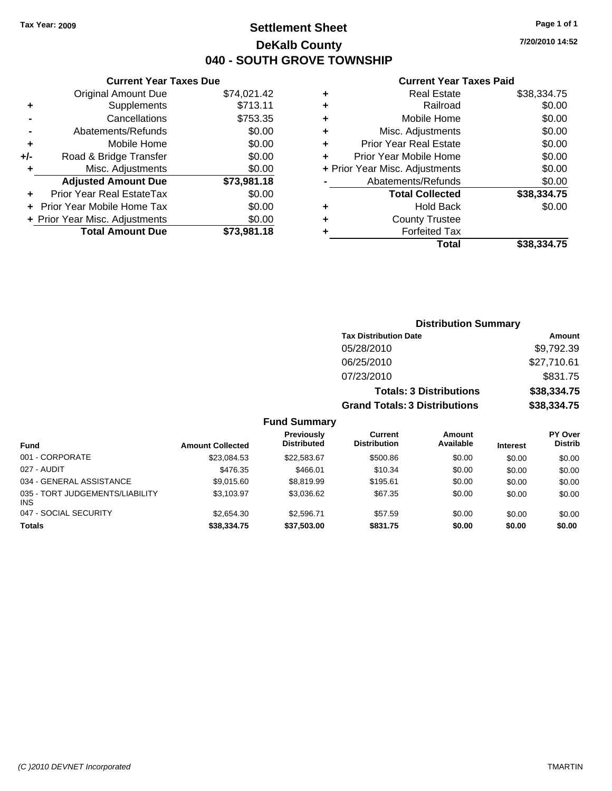**Current Year Taxes Due** Original Amount Due \$74,021.42

**Adjusted Amount Due \$73,981.18**

**Total Amount Due \$73,981.18**

**+** Supplements \$713.11 **-** Cancellations \$753.35 **-** Abatements/Refunds \$0.00 **+** Mobile Home \$0.00 **+/-** Road & Bridge Transfer \$0.00 **+** Misc. Adjustments \$0.00

**+** Prior Year Real EstateTax \$0.00 **+** Prior Year Mobile Home Tax \$0.00 **+ Prior Year Misc. Adjustments**  $$0.00$ 

## **Settlement Sheet Tax Year: 2009 Page 1 of 1 DeKalb County 040 - SOUTH GROVE TOWNSHIP**

**7/20/2010 14:52**

### **Current Year Taxes Paid**

|   | Total                          | \$38,334.75 |
|---|--------------------------------|-------------|
| ٠ | <b>Forfeited Tax</b>           |             |
| ٠ | <b>County Trustee</b>          |             |
| ٠ | <b>Hold Back</b>               | \$0.00      |
|   | <b>Total Collected</b>         | \$38,334.75 |
|   | Abatements/Refunds             | \$0.00      |
|   | + Prior Year Misc. Adjustments | \$0.00      |
| ٠ | Prior Year Mobile Home         | \$0.00      |
| ٠ | <b>Prior Year Real Estate</b>  | \$0.00      |
| ٠ | Misc. Adjustments              | \$0.00      |
| ٠ | Mobile Home                    | \$0.00      |
| ٠ | Railroad                       | \$0.00      |
| ٠ | <b>Real Estate</b>             | \$38,334.75 |
|   |                                |             |

|                                         |                         |                                  | <b>Distribution Summary</b>          |                                |                 |                                  |
|-----------------------------------------|-------------------------|----------------------------------|--------------------------------------|--------------------------------|-----------------|----------------------------------|
|                                         |                         |                                  | <b>Tax Distribution Date</b>         |                                |                 | Amount                           |
|                                         |                         |                                  | 05/28/2010                           |                                |                 | \$9,792.39                       |
|                                         |                         |                                  | 06/25/2010                           |                                |                 | \$27,710.61                      |
|                                         |                         |                                  | 07/23/2010                           |                                |                 | \$831.75                         |
|                                         |                         |                                  |                                      | <b>Totals: 3 Distributions</b> |                 | \$38,334.75                      |
|                                         |                         |                                  | <b>Grand Totals: 3 Distributions</b> |                                |                 | \$38,334.75                      |
|                                         |                         | <b>Fund Summary</b>              |                                      |                                |                 |                                  |
| <b>Fund</b>                             | <b>Amount Collected</b> | Previously<br><b>Distributed</b> | Current<br><b>Distribution</b>       | <b>Amount</b><br>Available     | <b>Interest</b> | <b>PY Over</b><br><b>Distrib</b> |
| 001 - CORPORATE                         | \$23,084.53             | \$22,583.67                      | \$500.86                             | \$0.00                         | \$0.00          | \$0.00                           |
| 027 - AUDIT                             | \$476.35                | \$466.01                         | \$10.34                              | \$0.00                         | \$0.00          | \$0.00                           |
| 034 - GENERAL ASSISTANCE                | \$9,015.60              | \$8,819.99                       | \$195.61                             | \$0.00                         | \$0.00          | \$0.00                           |
| 035 - TORT JUDGEMENTS/LIABILITY<br>INS. | \$3,103.97              | \$3,036.62                       | \$67.35                              | \$0.00                         | \$0.00          | \$0.00                           |

047 - SOCIAL SECURITY \$2,654.30 \$2,596.71 \$57.59 \$0.00 \$0.00 \$0.00 **Totals \$38,334.75 \$37,503.00 \$831.75 \$0.00 \$0.00 \$0.00**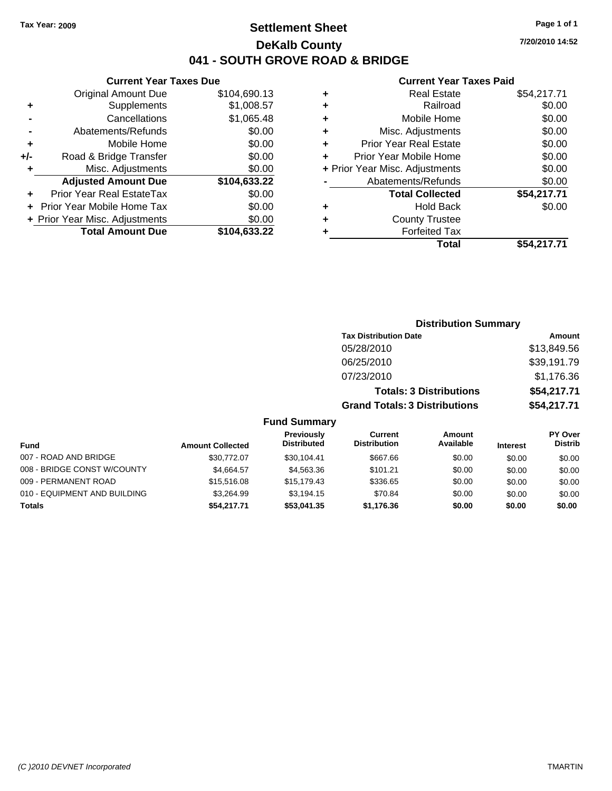## **Settlement Sheet Tax Year: 2009 Page 1 of 1 DeKalb County 041 - SOUTH GROVE ROAD & BRIDGE**

### **Current Year Taxes Due**

|     | <b>Original Amount Due</b>     | \$104,690.13 |
|-----|--------------------------------|--------------|
| ٠   | Supplements                    | \$1,008.57   |
|     | Cancellations                  | \$1,065.48   |
|     | Abatements/Refunds             | \$0.00       |
| ٠   | Mobile Home                    | \$0.00       |
| +/- | Road & Bridge Transfer         | \$0.00       |
| ٠   | Misc. Adjustments              | \$0.00       |
|     | <b>Adjusted Amount Due</b>     | \$104,633.22 |
| ÷   | Prior Year Real EstateTax      | \$0.00       |
|     | Prior Year Mobile Home Tax     | \$0.00       |
|     | + Prior Year Misc. Adjustments | \$0.00       |
|     | <b>Total Amount Due</b>        | \$104,633.22 |
|     |                                |              |

### **Current Year Taxes Paid**

|   | Real Estate                    | \$54,217.71 |
|---|--------------------------------|-------------|
| ٠ | Railroad                       | \$0.00      |
| ٠ | Mobile Home                    | \$0.00      |
| ٠ | Misc. Adjustments              | \$0.00      |
| ٠ | <b>Prior Year Real Estate</b>  | \$0.00      |
|   | Prior Year Mobile Home         | \$0.00      |
|   | + Prior Year Misc. Adjustments | \$0.00      |
|   | Abatements/Refunds             | \$0.00      |
|   | <b>Total Collected</b>         | \$54,217.71 |
| ٠ | Hold Back                      | \$0.00      |
|   | <b>County Trustee</b>          |             |
|   | <b>Forfeited Tax</b>           |             |
|   | <b>Total</b>                   | \$54,217.71 |
|   |                                |             |

### **Distribution Summary Tax Distribution Date Amount** 05/28/2010 \$13,849.56 06/25/2010 \$39,191.79 07/23/2010 \$1,176.36 **Totals: 3 Distributions \$54,217.71 Grand Totals: 3 Distributions \$54,217.71 Fund Summary Fund Interest Amount Collected Distributed PY Over Distrib Amount Available Current Distribution Previously**

| <b>Totals</b>                | \$54.217.71 | \$53.041.35 | \$1.176.36 | \$0.00 | \$0.00 | \$0.00 |
|------------------------------|-------------|-------------|------------|--------|--------|--------|
| 010 - EQUIPMENT AND BUILDING | \$3.264.99  | \$3.194.15  | \$70.84    | \$0.00 | \$0.00 | \$0.00 |
| 009 - PERMANENT ROAD         | \$15,516.08 | \$15.179.43 | \$336.65   | \$0.00 | \$0.00 | \$0.00 |
| 008 - BRIDGE CONST W/COUNTY  | \$4.664.57  | \$4,563,36  | \$101.21   | \$0.00 | \$0.00 | \$0.00 |
| 007 - ROAD AND BRIDGE        | \$30,772,07 | \$30.104.41 | \$667.66   | \$0.00 | \$0.00 | \$0.00 |

**7/20/2010 14:52**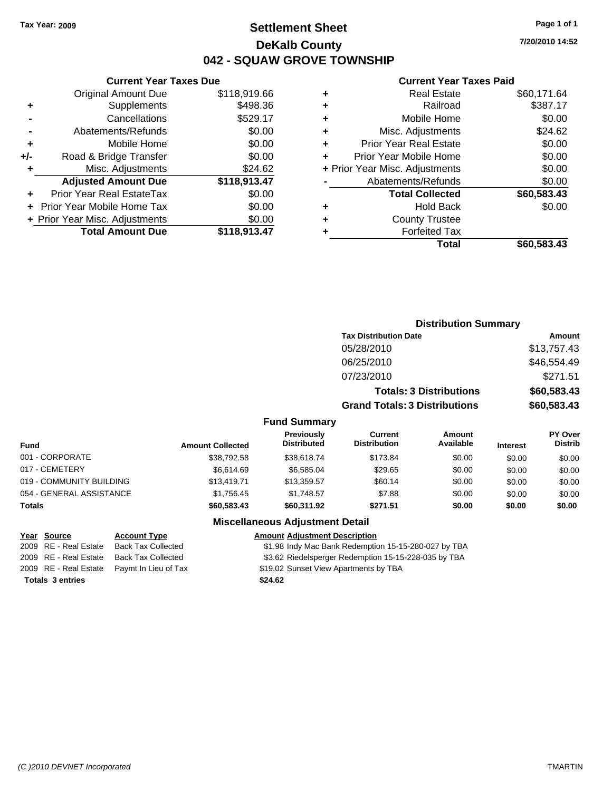## **Settlement Sheet Tax Year: 2009 Page 1 of 1 DeKalb County 042 - SQUAW GROVE TOWNSHIP**

**7/20/2010 14:52**

### **Current Year Taxes Paid**

| ٠ | <b>Real Estate</b>             | \$60,171.64 |
|---|--------------------------------|-------------|
| ٠ | Railroad                       | \$387.17    |
| ÷ | Mobile Home                    | \$0.00      |
| ٠ | Misc. Adjustments              | \$24.62     |
| ٠ | <b>Prior Year Real Estate</b>  | \$0.00      |
| ÷ | Prior Year Mobile Home         | \$0.00      |
|   | + Prior Year Misc. Adjustments | \$0.00      |
|   | Abatements/Refunds             | \$0.00      |
|   | <b>Total Collected</b>         | \$60,583.43 |
| ٠ | <b>Hold Back</b>               | \$0.00      |
| ٠ | <b>County Trustee</b>          |             |
|   | <b>Forfeited Tax</b>           |             |
|   | Total                          | \$60.583.43 |

|                | <b>Original Amount Due</b>        | \$118,919.66 |
|----------------|-----------------------------------|--------------|
| ٠              | Supplements                       | \$498.36     |
| $\blacksquare$ | Cancellations                     | \$529.17     |
|                | Abatements/Refunds                | \$0.00       |
| ÷              | Mobile Home                       | \$0.00       |
| +/-            | Road & Bridge Transfer            | \$0.00       |
| ÷              | Misc. Adjustments                 | \$24.62      |
|                | <b>Adjusted Amount Due</b>        | \$118,913.47 |
| ٠              | Prior Year Real EstateTax         | \$0.00       |
| ÷              | <b>Prior Year Mobile Home Tax</b> | \$0.00       |
|                | + Prior Year Misc. Adjustments    | \$0.00       |
|                | <b>Total Amount Due</b>           | \$118,913.47 |

**Current Year Taxes Due**

|                     |                                      | <b>Distribution Summary</b>    |             |
|---------------------|--------------------------------------|--------------------------------|-------------|
|                     | <b>Tax Distribution Date</b>         |                                | Amount      |
|                     | 05/28/2010                           |                                | \$13,757.43 |
|                     | 06/25/2010                           |                                | \$46,554.49 |
|                     | 07/23/2010                           |                                | \$271.51    |
|                     |                                      | <b>Totals: 3 Distributions</b> | \$60,583.43 |
|                     | <b>Grand Totals: 3 Distributions</b> |                                | \$60,583.43 |
| <b>Fund Summary</b> |                                      |                                |             |
| <b>Previously</b>   | Current                              | Amount                         | PY Over     |
|                     |                                      |                                |             |

| Fund Summary |  |  |
|--------------|--|--|
|              |  |  |

| <b>Fund</b>              | <b>Amount Collected</b> | <b>Previously</b><br><b>Distributed</b> | Current<br><b>Distribution</b> | Amount<br>Available | <b>Interest</b> | <b>PY Over</b><br><b>Distrib</b> |
|--------------------------|-------------------------|-----------------------------------------|--------------------------------|---------------------|-----------------|----------------------------------|
| 001 - CORPORATE          | \$38,792.58             | \$38,618,74                             | \$173.84                       | \$0.00              | \$0.00          | \$0.00                           |
| 017 - CEMETERY           | \$6.614.69              | \$6.585.04                              | \$29.65                        | \$0.00              | \$0.00          | \$0.00                           |
| 019 - COMMUNITY BUILDING | \$13,419.71             | \$13,359.57                             | \$60.14                        | \$0.00              | \$0.00          | \$0.00                           |
| 054 - GENERAL ASSISTANCE | \$1.756.45              | \$1,748.57                              | \$7.88                         | \$0.00              | \$0.00          | \$0.00                           |
| <b>Totals</b>            | \$60,583.43             | \$60,311.92                             | \$271.51                       | \$0.00              | \$0.00          | \$0.00                           |

### **Miscellaneous Adjustment Detail**

### **Year Source Account Type Amount Adjustment Description**

2009 RE - Real Estate Back Tax Collected \$1.98 Indy Mac Bank Redemption 15-15-280-027 by TBA

2009 RE - Real Estate Back Tax Collected \$3.62 Riedelsperger Redemption 15-15-228-035 by TBA

2009 RE - Real Estate Paymt In Lieu of Tax Payments by TBA Payments by TBA

**Totals \$24.62 3 entries**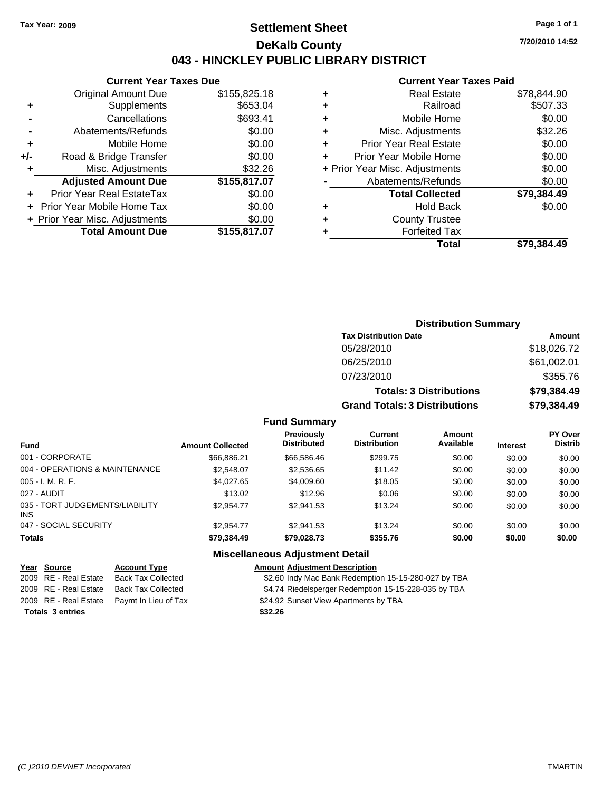## **Settlement Sheet Tax Year: 2009 Page 1 of 1 DeKalb County 043 - HINCKLEY PUBLIC LIBRARY DISTRICT**

**Current Year Taxes Due**

|     | <b>Original Amount Due</b>       | \$155,825.18 |
|-----|----------------------------------|--------------|
| ٠   | Supplements                      | \$653.04     |
|     | Cancellations                    | \$693.41     |
|     | Abatements/Refunds               | \$0.00       |
| ٠   | Mobile Home                      | \$0.00       |
| +/- | Road & Bridge Transfer           | \$0.00       |
| ٠   | Misc. Adjustments                | \$32.26      |
|     | <b>Adjusted Amount Due</b>       | \$155,817.07 |
|     | <b>Prior Year Real EstateTax</b> | \$0.00       |
|     | Prior Year Mobile Home Tax       | \$0.00       |
|     | + Prior Year Misc. Adjustments   | \$0.00       |
|     | <b>Total Amount Due</b>          | \$155,817.07 |
|     |                                  |              |

### **Current Year Taxes Paid**

| ٠ | <b>Real Estate</b>             | \$78,844.90 |
|---|--------------------------------|-------------|
| ٠ | Railroad                       | \$507.33    |
| ٠ | Mobile Home                    | \$0.00      |
| ٠ | Misc. Adjustments              | \$32.26     |
| ٠ | <b>Prior Year Real Estate</b>  | \$0.00      |
| ٠ | Prior Year Mobile Home         | \$0.00      |
|   | + Prior Year Misc. Adjustments | \$0.00      |
|   | Abatements/Refunds             | \$0.00      |
|   | <b>Total Collected</b>         | \$79,384.49 |
| ٠ | <b>Hold Back</b>               | \$0.00      |
| ٠ | <b>County Trustee</b>          |             |
| ٠ | <b>Forfeited Tax</b>           |             |
|   | <b>Total</b>                   | \$79.384.49 |
|   |                                |             |

| <b>Distribution Summary</b>          |             |
|--------------------------------------|-------------|
| <b>Tax Distribution Date</b>         | Amount      |
| 05/28/2010                           | \$18,026.72 |
| 06/25/2010                           | \$61,002.01 |
| 07/23/2010                           | \$355.76    |
| <b>Totals: 3 Distributions</b>       | \$79,384.49 |
| <b>Grand Totals: 3 Distributions</b> | \$79,384.49 |

### **Fund Summary**

| <b>Fund</b>                                   | <b>Amount Collected</b> | Previously<br><b>Distributed</b> | Current<br><b>Distribution</b> | <b>Amount</b><br>Available | <b>Interest</b> | <b>PY Over</b><br><b>Distrib</b> |
|-----------------------------------------------|-------------------------|----------------------------------|--------------------------------|----------------------------|-----------------|----------------------------------|
| 001 - CORPORATE                               | \$66.886.21             | \$66,586.46                      | \$299.75                       | \$0.00                     | \$0.00          | \$0.00                           |
| 004 - OPERATIONS & MAINTENANCE                | \$2,548.07              | \$2,536.65                       | \$11.42                        | \$0.00                     | \$0.00          | \$0.00                           |
| $005 - I. M. R. F.$                           | \$4,027.65              | \$4,009.60                       | \$18.05                        | \$0.00                     | \$0.00          | \$0.00                           |
| 027 - AUDIT                                   | \$13.02                 | \$12.96                          | \$0.06                         | \$0.00                     | \$0.00          | \$0.00                           |
| 035 - TORT JUDGEMENTS/LIABILITY<br><b>INS</b> | \$2.954.77              | \$2,941.53                       | \$13.24                        | \$0.00                     | \$0.00          | \$0.00                           |
| 047 - SOCIAL SECURITY                         | \$2.954.77              | \$2,941.53                       | \$13.24                        | \$0.00                     | \$0.00          | \$0.00                           |
| <b>Totals</b>                                 | \$79.384.49             | \$79,028.73                      | \$355.76                       | \$0.00                     | \$0.00          | \$0.00                           |

### **Miscellaneous Adjustment Detail**

### **Year Source Account Type Amount Adjustment Description**

- 2009 RE Real Estate Back Tax Collected \$2.60 Indy Mac Bank Redemption 15-15-280-027 by TBA
- 2009 RE Real Estate Back Tax Collected \$4.74 Riedelsperger Redemption 15-15-228-035 by TBA
- 2009 RE Real Estate Paymt In Lieu of Tax Payments \$24.92 Sunset View Apartments by TBA

**Totals \$32.26 3 entries**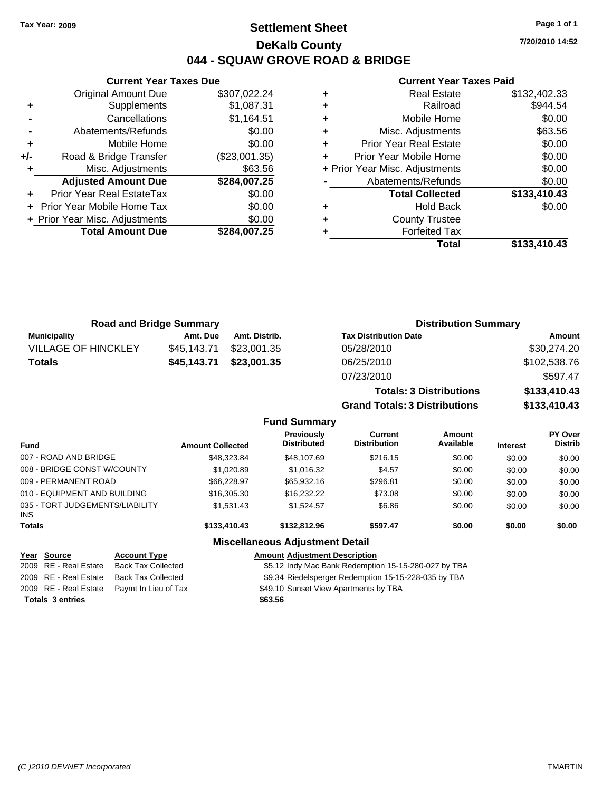## **Settlement Sheet Tax Year: 2009 Page 1 of 1 DeKalb County 044 - SQUAW GROVE ROAD & BRIDGE**

**7/20/2010 14:52**

### **Current Year Taxes Paid**

**Grand Totals: 3 Distributions \$133,410.43**

|     |                                |               |   | Total                          | \$133,410.43 |
|-----|--------------------------------|---------------|---|--------------------------------|--------------|
|     | <b>Total Amount Due</b>        | \$284,007.25  |   | <b>Forfeited Tax</b>           |              |
|     | + Prior Year Misc. Adjustments | \$0.00        | ٠ | <b>County Trustee</b>          |              |
|     | + Prior Year Mobile Home Tax   | \$0.00        | ٠ | <b>Hold Back</b>               | \$0.00       |
| ÷.  | Prior Year Real EstateTax      | \$0.00        |   | <b>Total Collected</b>         | \$133,410.43 |
|     | <b>Adjusted Amount Due</b>     | \$284,007.25  |   | Abatements/Refunds             | \$0.00       |
|     | Misc. Adjustments              | \$63.56       |   | + Prior Year Misc. Adjustments | \$0.00       |
| +/- | Road & Bridge Transfer         | (\$23,001.35) |   | Prior Year Mobile Home         | \$0.00       |
| ٠   | Mobile Home                    | \$0.00        | ٠ | <b>Prior Year Real Estate</b>  | \$0.00       |
|     | Abatements/Refunds             | \$0.00        | ٠ | Misc. Adjustments              | \$63.56      |
|     | Cancellations                  | \$1,164.51    | ٠ | Mobile Home                    | \$0.00       |
| ٠   | Supplements                    | \$1,087.31    | ٠ | Railroad                       | \$944.54     |
|     | <b>Original Amount Due</b>     | \$307,022.24  | ٠ | <b>Real Estate</b>             | \$132,402.33 |
|     |                                |               |   |                                |              |

|                            | <b>Road and Bridge Summary</b><br><b>Distribution Summary</b> |               |                                |              |
|----------------------------|---------------------------------------------------------------|---------------|--------------------------------|--------------|
| <b>Municipality</b>        | Amt. Due                                                      | Amt. Distrib. | <b>Tax Distribution Date</b>   | Amount       |
| <b>VILLAGE OF HINCKLEY</b> | \$45,143.71                                                   | \$23,001.35   | 05/28/2010                     | \$30,274.20  |
| <b>Totals</b>              | \$45,143.71                                                   | \$23,001.35   | 06/25/2010                     | \$102,538.76 |
|                            |                                                               |               | 07/23/2010                     | \$597.47     |
|                            |                                                               |               | <b>Totals: 3 Distributions</b> | \$133,410.43 |

**Fund Summary Fund Interest Amount Collected Distributed PY Over Distrib Amount Available Current Distribution Previously** 007 - ROAD AND BRIDGE 6 .000 \$48,323.84 \$48,323.84 \$48,107.69 \$216.15 \$0.00 \$0.00 \$0.00 008 - BRIDGE CONST W/COUNTY  $$1,020.89$   $$1,016.32$   $$4.57$   $$0.00$   $$0.00$   $$0.00$ 009 - PERMANENT ROAD \$66,228.97 \$65,932.16 \$296.81 \$0.00 \$0.00 \$0.00 010 - EQUIPMENT AND BUILDING \$16,305.30 \$16,232.22 \$73.08 \$0.00 \$0.00 \$0.00 \$0.00 035 - TORT JUDGEMENTS/LIABILITY INS \$1,531.43 \$1,524.57 \$6.86 \$0.00 \$0.00 \$0.00 **Totals \$133,410.43 \$132,812.96 \$597.47 \$0.00 \$0.00 \$0.00 Miscellaneous Adjustment Detail Year Source Account Type Amount Adjustment Description** 2009 RE - Real Estate Back Tax Collected \$5.12 Indy Mac Bank Redemption 15-15-280-027 by TBA 2009 RE - Real Estate Back Tax Collected \$9.34 Riedelsperger Redemption 15-15-228-035 by TBA

**Totals \$63.56 3 entries**

**Current Year Taxes Due**

2009 RE - Real Estate Paymt In Lieu of Tax **19.10 Sunset View Apartments by TBA**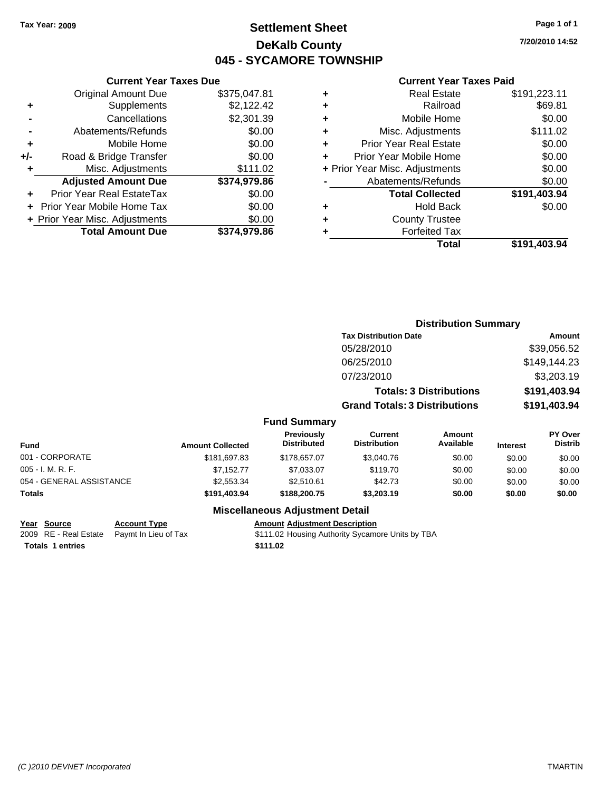## **Settlement Sheet Tax Year: 2009 Page 1 of 1 DeKalb County 045 - SYCAMORE TOWNSHIP**

**Current Year Taxes Paid**

|   | Total                          | \$191,403.94 |
|---|--------------------------------|--------------|
|   | <b>Forfeited Tax</b>           |              |
| ٠ | <b>County Trustee</b>          |              |
| ٠ | <b>Hold Back</b>               | \$0.00       |
|   | <b>Total Collected</b>         | \$191,403.94 |
|   | Abatements/Refunds             | \$0.00       |
|   | + Prior Year Misc. Adjustments | \$0.00       |
| ٠ | Prior Year Mobile Home         | \$0.00       |
| ÷ | <b>Prior Year Real Estate</b>  | \$0.00       |
| ٠ | Misc. Adjustments              | \$111.02     |
| ٠ | Mobile Home                    | \$0.00       |
| ÷ | Railroad                       | \$69.81      |
| ٠ | <b>Real Estate</b>             | \$191,223.11 |
|   |                                |              |

**Distribution Summary**

|     | <b>Current Year Taxes Due</b>  |              |
|-----|--------------------------------|--------------|
|     | <b>Original Amount Due</b>     | \$375,047.81 |
| ٠   | Supplements                    | \$2,122.42   |
|     | Cancellations                  | \$2,301.39   |
|     | Abatements/Refunds             | \$0.00       |
| ٠   | Mobile Home                    | \$0.00       |
| +/- | Road & Bridge Transfer         | \$0.00       |
|     | Misc. Adjustments              | \$111.02     |
|     | <b>Adjusted Amount Due</b>     | \$374,979.86 |
|     | Prior Year Real EstateTax      | \$0.00       |
|     | Prior Year Mobile Home Tax     | \$0.00       |
|     | + Prior Year Misc. Adjustments | \$0.00       |
|     | <b>Total Amount Due</b>        | \$374,979.86 |

|                          |                         |                                         | <b>Tax Distribution Date</b>         |                                |          | <b>Amount</b>             |
|--------------------------|-------------------------|-----------------------------------------|--------------------------------------|--------------------------------|----------|---------------------------|
|                          |                         |                                         | 05/28/2010                           |                                |          | \$39,056.52               |
|                          |                         |                                         | 06/25/2010                           |                                |          | \$149,144.23              |
|                          |                         |                                         | 07/23/2010                           |                                |          | \$3,203.19                |
|                          |                         |                                         |                                      | <b>Totals: 3 Distributions</b> |          | \$191,403.94              |
|                          |                         |                                         | <b>Grand Totals: 3 Distributions</b> |                                |          | \$191,403.94              |
|                          |                         | <b>Fund Summary</b>                     |                                      |                                |          |                           |
| <b>Fund</b>              | <b>Amount Collected</b> | <b>Previously</b><br><b>Distributed</b> | Current<br><b>Distribution</b>       | Amount<br>Available            | Interest | PY Over<br><b>Distrib</b> |
| 001 - CORPORATE          | \$181,697.83            | \$178,657.07                            | \$3,040.76                           | \$0.00                         | \$0.00   | \$0.00                    |
| $005 - I. M. R. F.$      | \$7,152.77              | \$7,033.07                              | \$119.70                             | \$0.00                         | \$0.00   | \$0.00                    |
| 054 - GENERAL ASSISTANCE | \$2,553.34              | \$2.510.61                              | \$42.73                              | \$0.00                         | \$0.00   | \$0.00                    |

**Totals \$191,403.94 \$188,200.75 \$3,203.19 \$0.00 \$0.00 \$0.00**

## **Miscellaneous Adjustment Detail**

**Year Source Account Type Amount Adjustment Description**

2009 RE - Real Estate Paymt In Lieu of Tax \$111.02 Housing Authority Sycamore Units by TBA **Totals 1 entries 111.02**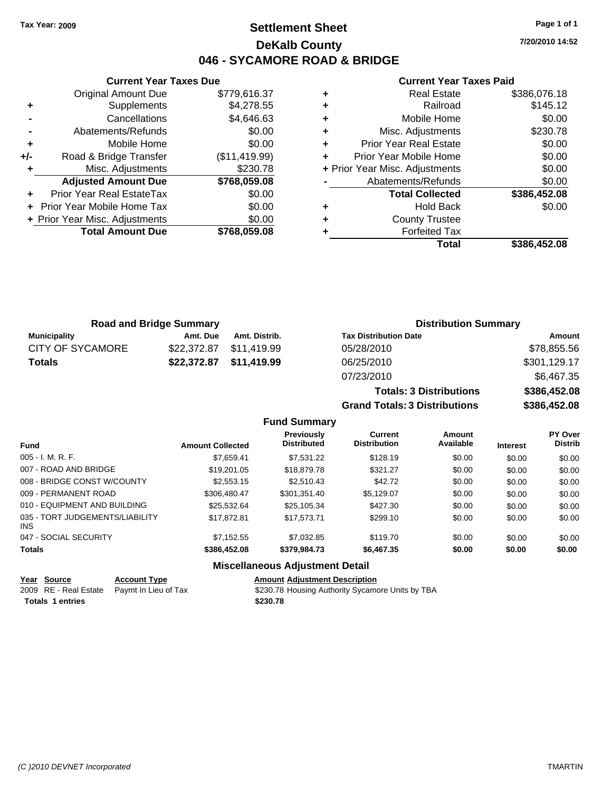## **Settlement Sheet Tax Year: 2009 Page 1 of 1 DeKalb County 046 - SYCAMORE ROAD & BRIDGE**

**7/20/2010 14:52**

### **Current Year Taxes Paid**

|     | OGNOM TOGET GAOS DUC           |               |
|-----|--------------------------------|---------------|
|     | <b>Original Amount Due</b>     | \$779,616.37  |
| ٠   | Supplements                    | \$4,278.55    |
|     | Cancellations                  | \$4,646.63    |
|     | Abatements/Refunds             | \$0.00        |
| ٠   | Mobile Home                    | \$0.00        |
| +/- | Road & Bridge Transfer         | (\$11,419.99) |
| ٠   | Misc. Adjustments              | \$230.78      |
|     | <b>Adjusted Amount Due</b>     | \$768,059.08  |
| ٠   | Prior Year Real EstateTax      | \$0.00        |
|     | Prior Year Mobile Home Tax     | \$0.00        |
|     | + Prior Year Misc. Adjustments | \$0.00        |
|     | <b>Total Amount Due</b>        | \$768,059.08  |
|     |                                |               |

**Current Year Taxes Due**

|   | <b>Real Estate</b>             | \$386,076.18 |
|---|--------------------------------|--------------|
| ٠ | Railroad                       | \$145.12     |
| ٠ | Mobile Home                    | \$0.00       |
| ٠ | Misc. Adjustments              | \$230.78     |
| ٠ | <b>Prior Year Real Estate</b>  | \$0.00       |
| ٠ | Prior Year Mobile Home         | \$0.00       |
|   | + Prior Year Misc. Adjustments | \$0.00       |
|   | Abatements/Refunds             | \$0.00       |
|   | <b>Total Collected</b>         | \$386,452.08 |
| ٠ | <b>Hold Back</b>               | \$0.00       |
| ٠ | <b>County Trustee</b>          |              |
| ٠ | <b>Forfeited Tax</b>           |              |
|   | Total                          | \$386,452.08 |

**Totals: 3 Distributions \$386,452.08**

**Grand Totals: 3 Distributions \$386,452.08**

| <b>Road and Bridge Summary</b> |          |                         | <b>Distribution Summary</b>  |              |
|--------------------------------|----------|-------------------------|------------------------------|--------------|
| Municipality                   | Amt. Due | Amt. Distrib.           | <b>Tax Distribution Date</b> | Amount       |
| <b>CITY OF SYCAMORE</b>        |          | \$22,372.87 \$11,419.99 | 05/28/2010                   | \$78,855.56  |
| <b>Totals</b>                  |          | \$22,372.87 \$11,419.99 | 06/25/2010                   | \$301,129.17 |
|                                |          |                         | 07/23/2010                   | \$6,467.35   |

### **Fund Summary Fund Interest Amount Collected Distributed PY Over Distrib Amount Available Current Distribution Previously** 005 - I. M. R. F. \$7,659.41 \$7,531.22 \$128.19 \$0.00 \$0.00 \$0.00 007 - ROAD AND BRIDGE \$\$19,201.05 \$18,879.78 \$321.27 \$0.00 \$0.00 \$0.00 008 - BRIDGE CONST W/COUNTY  $$2,553.15$   $$2,510.43$   $$42.72$   $$0.00$   $$0.00$   $$0.00$ 009 - PERMANENT ROAD \$306,480.47 \$301,351.40 \$5,129.07 \$0.00 \$0.00 \$0.00 \$0.00 010 - EQUIPMENT AND BUILDING  $$25,532.64$   $$25,105.34$   $$427.30$   $$0.00$   $$0.00$   $$0.00$ 035 - TORT JUDGEMENTS/LIABILITY INS \$17,872.81 \$17,573.71 \$299.10 \$0.00 \$0.00 \$0.00 047 - SOCIAL SECURITY \$7,152.55 \$7,032.85 \$119.70 \$0.00 \$0.00 \$0.00 **Totals \$386,452.08 \$379,984.73 \$6,467.35 \$0.00 \$0.00 \$0.00**

### **Miscellaneous Adjustment Detail**

| <u>Year Source</u>      | <b>Account Type</b>                        | <b>Amount Adjustment Description</b>             |
|-------------------------|--------------------------------------------|--------------------------------------------------|
|                         | 2009 RE - Real Estate Pavmt In Lieu of Tax | \$230.78 Housing Authority Sycamore Units by TBA |
| <b>Totals 1 entries</b> |                                            | \$230.78                                         |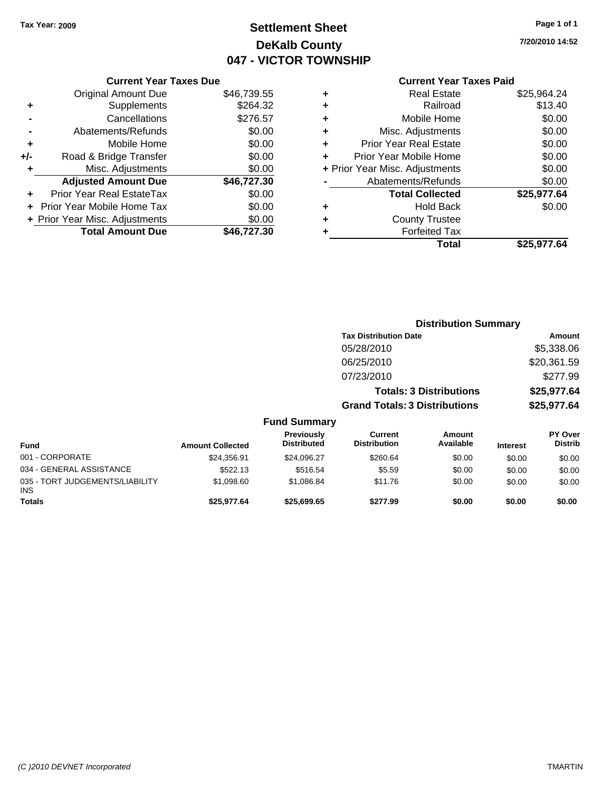## **Settlement Sheet Tax Year: 2009 Page 1 of 1 DeKalb County 047 - VICTOR TOWNSHIP**

**7/20/2010 14:52**

### **Current Year Taxes Paid**

| <b>Current Year Taxes Due</b>     |             |
|-----------------------------------|-------------|
| <b>Original Amount Due</b>        | \$46,739.55 |
| Supplements                       | \$264.32    |
| Cancellations                     | \$276.57    |
| Abatements/Refunds                | \$0.00      |
| Mobile Home                       | \$0.00      |
| Road & Bridge Transfer            | \$0.00      |
| Misc. Adjustments                 | \$0.00      |
| <b>Adjusted Amount Due</b>        | \$46,727.30 |
| Prior Year Real EstateTax         | \$0.00      |
| <b>Prior Year Mobile Home Tax</b> | \$0.00      |
| + Prior Year Misc. Adjustments    | \$0.00      |
| <b>Total Amount Due</b>           | \$46.727.30 |
|                                   |             |

|   | <b>Real Estate</b>             | \$25,964.24 |
|---|--------------------------------|-------------|
| ٠ | Railroad                       | \$13.40     |
| ٠ | Mobile Home                    | \$0.00      |
| ٠ | Misc. Adjustments              | \$0.00      |
| ÷ | <b>Prior Year Real Estate</b>  | \$0.00      |
| ٠ | Prior Year Mobile Home         | \$0.00      |
|   | + Prior Year Misc. Adjustments | \$0.00      |
|   | Abatements/Refunds             | \$0.00      |
|   | <b>Total Collected</b>         | \$25,977.64 |
| ٠ | Hold Back                      | \$0.00      |
| ٠ | <b>County Trustee</b>          |             |
| ٠ | <b>Forfeited Tax</b>           |             |
|   | Total                          | \$25,977.64 |
|   |                                |             |

|                                         |                         |                                  | <b>Distribution Summary</b>           |                                |                 |                                  |
|-----------------------------------------|-------------------------|----------------------------------|---------------------------------------|--------------------------------|-----------------|----------------------------------|
|                                         |                         |                                  | <b>Tax Distribution Date</b>          |                                |                 | Amount                           |
|                                         |                         |                                  | 05/28/2010                            |                                |                 | \$5,338.06                       |
|                                         |                         |                                  | 06/25/2010                            |                                |                 | \$20,361.59                      |
|                                         |                         |                                  | 07/23/2010                            |                                |                 | \$277.99                         |
|                                         |                         |                                  |                                       | <b>Totals: 3 Distributions</b> |                 | \$25,977.64                      |
|                                         |                         |                                  | <b>Grand Totals: 3 Distributions</b>  |                                |                 | \$25,977.64                      |
|                                         |                         | <b>Fund Summary</b>              |                                       |                                |                 |                                  |
| <b>Fund</b>                             | <b>Amount Collected</b> | Previously<br><b>Distributed</b> | <b>Current</b><br><b>Distribution</b> | Amount<br>Available            | <b>Interest</b> | <b>PY Over</b><br><b>Distrib</b> |
| 001 - CORPORATE                         | \$24,356.91             | \$24,096.27                      | \$260.64                              | \$0.00                         | \$0.00          | \$0.00                           |
| 034 - GENERAL ASSISTANCE                | \$522.13                | \$516.54                         | \$5.59                                | \$0.00                         | \$0.00          | \$0.00                           |
| 035 - TORT JUDGEMENTS/LIABILITY<br>INS. | \$1,098.60              | \$1,086.84                       | \$11.76                               | \$0.00                         | \$0.00          | \$0.00                           |
| <b>Totals</b>                           | \$25,977.64             | \$25,699.65                      | \$277.99                              | \$0.00                         | \$0.00          | \$0.00                           |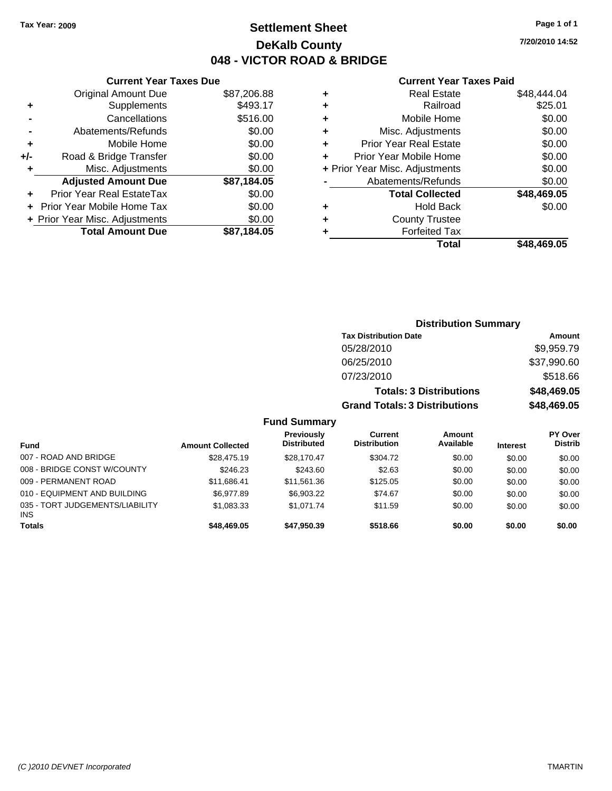## **Settlement Sheet Tax Year: 2009 Page 1 of 1 DeKalb County 048 - VICTOR ROAD & BRIDGE**

## **7/20/2010 14:52**

| <b>Current Year Taxes Paid</b> |  |  |  |
|--------------------------------|--|--|--|
|--------------------------------|--|--|--|

|       | <b>Current Year Taxes Due</b>     |             |
|-------|-----------------------------------|-------------|
|       | <b>Original Amount Due</b>        | \$87,206.88 |
| ٠     | Supplements                       | \$493.17    |
|       | Cancellations                     | \$516.00    |
|       | Abatements/Refunds                | \$0.00      |
| ٠     | Mobile Home                       | \$0.00      |
| $+/-$ | Road & Bridge Transfer            | \$0.00      |
| ٠     | Misc. Adjustments                 | \$0.00      |
|       | <b>Adjusted Amount Due</b>        | \$87,184.05 |
|       | Prior Year Real EstateTax         | \$0.00      |
|       | <b>Prior Year Mobile Home Tax</b> | \$0.00      |
|       | + Prior Year Misc. Adjustments    | \$0.00      |
|       | <b>Total Amount Due</b>           | \$87.184.05 |
|       |                                   |             |

| ٠ | <b>Real Estate</b>             | \$48,444.04 |
|---|--------------------------------|-------------|
| ٠ | Railroad                       | \$25.01     |
| ÷ | Mobile Home                    | \$0.00      |
| ÷ | Misc. Adjustments              | \$0.00      |
| ٠ | <b>Prior Year Real Estate</b>  | \$0.00      |
| ÷ | Prior Year Mobile Home         | \$0.00      |
|   | + Prior Year Misc. Adjustments | \$0.00      |
|   | Abatements/Refunds             | \$0.00      |
|   | <b>Total Collected</b>         | \$48,469.05 |
| ٠ | Hold Back                      | \$0.00      |
| ٠ | <b>County Trustee</b>          |             |
| ٠ | <b>Forfeited Tax</b>           |             |
|   | Total                          | \$48,469.05 |
|   |                                |             |

|                                 |                         |                                         |                                      | <b>Distribution Summary</b>    |                 |                                  |
|---------------------------------|-------------------------|-----------------------------------------|--------------------------------------|--------------------------------|-----------------|----------------------------------|
|                                 |                         |                                         | <b>Tax Distribution Date</b>         |                                |                 | Amount                           |
|                                 |                         |                                         | 05/28/2010                           |                                |                 | \$9,959.79                       |
|                                 |                         |                                         | 06/25/2010                           |                                |                 | \$37,990.60                      |
|                                 |                         |                                         | 07/23/2010                           |                                |                 | \$518.66                         |
|                                 |                         |                                         |                                      | <b>Totals: 3 Distributions</b> |                 | \$48,469.05                      |
|                                 |                         |                                         | <b>Grand Totals: 3 Distributions</b> |                                |                 | \$48,469.05                      |
|                                 |                         | <b>Fund Summary</b>                     |                                      |                                |                 |                                  |
| <b>Fund</b>                     | <b>Amount Collected</b> | <b>Previously</b><br><b>Distributed</b> | Current<br><b>Distribution</b>       | Amount<br>Available            | <b>Interest</b> | <b>PY Over</b><br><b>Distrib</b> |
| 007 - ROAD AND BRIDGE           | \$28.475.19             | \$28,170.47                             | \$304.72                             | \$0.00                         | \$0.00          | \$0.00                           |
| 008 - BRIDGE CONST W/COUNTY     | \$246.23                | \$243.60                                | \$2.63                               | \$0.00                         | \$0.00          | \$0.00                           |
| 009 - PERMANENT ROAD            | \$11,686.41             | \$11,561.36                             | \$125.05                             | \$0.00                         | \$0.00          | \$0.00                           |
| 010 - EQUIPMENT AND BUILDING    | \$6,977.89              | \$6,903.22                              | \$74.67                              | \$0.00                         | \$0.00          | \$0.00                           |
| 035 - TORT JUDGEMENTS/LIABILITY | \$1,083.33              | \$1,071.74                              | \$11.59                              | \$0.00                         | \$0.00          | \$0.00                           |

**Totals \$48,469.05 \$47,950.39 \$518.66 \$0.00 \$0.00 \$0.00**

INS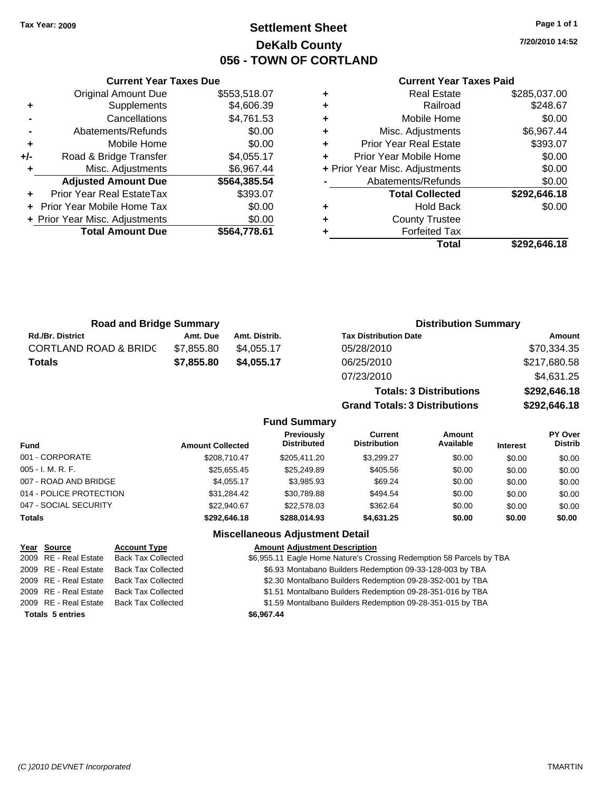**Current Year Taxes Due** Original Amount Due \$553,518.07

**Adjusted Amount Due \$564,385.54**

**Total Amount Due \$564,778.61**

**+** Supplements \$4,606.39 **-** Cancellations \$4,761.53 **-** Abatements/Refunds \$0.00 **+** Mobile Home \$0.00 **+/-** Road & Bridge Transfer \$4,055.17 **+** Misc. Adjustments \$6,967.44

**+** Prior Year Real EstateTax \$393.07 **+** Prior Year Mobile Home Tax \$0.00 **+ Prior Year Misc. Adjustments**  $$0.00$ 

## **Settlement Sheet Tax Year: 2009 Page 1 of 1 DeKalb County 056 - TOWN OF CORTLAND**

**7/20/2010 14:52**

### **Current Year Taxes Paid**

**Grand Totals: 3 Distributions \$292,646.18**

| <b>Road and Bridge Summary</b>   |            |               | <b>Distribution Summary</b>    |              |  |  |
|----------------------------------|------------|---------------|--------------------------------|--------------|--|--|
| <b>Rd./Br. District</b>          | Amt. Due   | Amt. Distrib. | <b>Tax Distribution Date</b>   | Amount       |  |  |
| <b>CORTLAND ROAD &amp; BRIDC</b> | \$7,855.80 | \$4.055.17    | 05/28/2010                     | \$70,334.35  |  |  |
| <b>Totals</b>                    | \$7,855.80 | \$4,055.17    | 06/25/2010                     | \$217,680.58 |  |  |
|                                  |            |               | 07/23/2010                     | \$4,631.25   |  |  |
|                                  |            |               | <b>Totals: 3 Distributions</b> | \$292,646.18 |  |  |

|                         |                         | <b>Fund Summary</b>                     |                                       |                     |                 |                                  |
|-------------------------|-------------------------|-----------------------------------------|---------------------------------------|---------------------|-----------------|----------------------------------|
| <b>Fund</b>             | <b>Amount Collected</b> | <b>Previously</b><br><b>Distributed</b> | <b>Current</b><br><b>Distribution</b> | Amount<br>Available | <b>Interest</b> | <b>PY Over</b><br><b>Distrib</b> |
| 001 - CORPORATE         | \$208,710.47            | \$205.411.20                            | \$3.299.27                            | \$0.00              | \$0.00          | \$0.00                           |
| 005 - I. M. R. F.       | \$25,655.45             | \$25,249.89                             | \$405.56                              | \$0.00              | \$0.00          | \$0.00                           |
| 007 - ROAD AND BRIDGE   | \$4,055.17              | \$3,985.93                              | \$69.24                               | \$0.00              | \$0.00          | \$0.00                           |
| 014 - POLICE PROTECTION | \$31,284.42             | \$30,789.88                             | \$494.54                              | \$0.00              | \$0.00          | \$0.00                           |
| 047 - SOCIAL SECURITY   | \$22,940.67             | \$22,578.03                             | \$362.64                              | \$0.00              | \$0.00          | \$0.00                           |
| Totals                  | \$292.646.18            | \$288.014.93                            | \$4,631.25                            | \$0.00              | \$0.00          | \$0.00                           |
|                         |                         | <b>Miscellaneous Adjustment Detail</b>  |                                       |                     |                 |                                  |

| Year Source             | <b>Account Type</b>       | <b>Amount Adjustment Description</b>                                 |
|-------------------------|---------------------------|----------------------------------------------------------------------|
| 2009 RE - Real Estate   | <b>Back Tax Collected</b> | \$6,955.11 Eagle Home Nature's Crossing Redemption 58 Parcels by TBA |
| 2009 RE - Real Estate   | <b>Back Tax Collected</b> | \$6.93 Montabano Builders Redemption 09-33-128-003 by TBA            |
| 2009 RE - Real Estate   | <b>Back Tax Collected</b> | \$2.30 Montalbano Builders Redemption 09-28-352-001 by TBA           |
| 2009 RE - Real Estate   | <b>Back Tax Collected</b> | \$1.51 Montalbano Builders Redemption 09-28-351-016 by TBA           |
| 2009 RE - Real Estate   | <b>Back Tax Collected</b> | \$1.59 Montalbano Builders Redemption 09-28-351-015 by TBA           |
| <b>Totals 5 entries</b> |                           | \$6,967.44                                                           |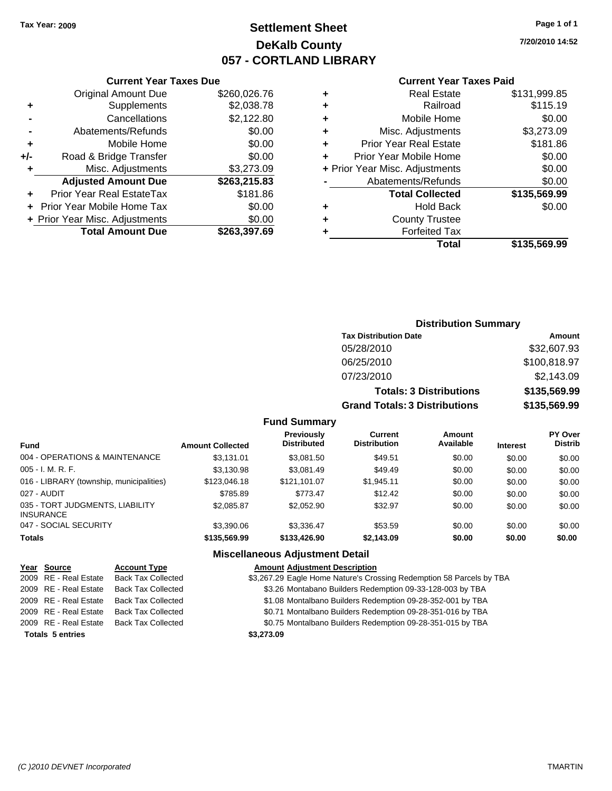## **Settlement Sheet Tax Year: 2009 Page 1 of 1 DeKalb County 057 - CORTLAND LIBRARY**

**7/20/2010 14:52**

### **Current Year Taxes Paid**

|     | <b>Original Amount Due</b>     | \$260,026.76 |
|-----|--------------------------------|--------------|
| ٠   | Supplements                    | \$2,038.78   |
|     | Cancellations                  | \$2,122.80   |
|     | Abatements/Refunds             | \$0.00       |
| ÷   | Mobile Home                    | \$0.00       |
| +/- | Road & Bridge Transfer         | \$0.00       |
| ٠   | Misc. Adjustments              | \$3,273.09   |
|     | <b>Adjusted Amount Due</b>     | \$263,215.83 |
|     | Prior Year Real EstateTax      | \$181.86     |
|     | Prior Year Mobile Home Tax     | \$0.00       |
|     | + Prior Year Misc. Adjustments | \$0.00       |
|     | <b>Total Amount Due</b>        | \$263,397.69 |
|     |                                |              |

**Current Year Taxes Due**

|   | <b>Real Estate</b>             | \$131,999.85 |
|---|--------------------------------|--------------|
| ٠ | Railroad                       | \$115.19     |
| ٠ | Mobile Home                    | \$0.00       |
| ٠ | Misc. Adjustments              | \$3,273.09   |
| ٠ | <b>Prior Year Real Estate</b>  | \$181.86     |
| ÷ | Prior Year Mobile Home         | \$0.00       |
|   | + Prior Year Misc. Adjustments | \$0.00       |
|   | Abatements/Refunds             | \$0.00       |
|   | <b>Total Collected</b>         | \$135,569.99 |
| ٠ | <b>Hold Back</b>               | \$0.00       |
| ٠ | <b>County Trustee</b>          |              |
| ٠ | <b>Forfeited Tax</b>           |              |
|   | Total                          | \$135,569.99 |
|   |                                |              |

## **Distribution Summary Tax Distribution Date Amount** 05/28/2010 \$32,607.93 06/25/2010 \$100,818.97 07/23/2010 \$2,143.09 **Totals: 3 Distributions \$135,569.99 Grand Totals: 3 Distributions \$135,569.99**

### **Fund Summary**

| <b>Fund</b>                                         | <b>Amount Collected</b> | <b>Previously</b><br><b>Distributed</b> | Current<br><b>Distribution</b> | Amount<br>Available | <b>Interest</b> | <b>PY Over</b><br><b>Distrib</b> |
|-----------------------------------------------------|-------------------------|-----------------------------------------|--------------------------------|---------------------|-----------------|----------------------------------|
|                                                     |                         |                                         |                                |                     |                 |                                  |
| 004 - OPERATIONS & MAINTENANCE                      | \$3.131.01              | \$3,081.50                              | \$49.51                        | \$0.00              | \$0.00          | \$0.00                           |
| $005 - I. M. R. F.$                                 | \$3,130.98              | \$3.081.49                              | \$49.49                        | \$0.00              | \$0.00          | \$0.00                           |
| 016 - LIBRARY (township, municipalities)            | \$123,046.18            | \$121.101.07                            | \$1,945.11                     | \$0.00              | \$0.00          | \$0.00                           |
| 027 - AUDIT                                         | \$785.89                | \$773.47                                | \$12.42                        | \$0.00              | \$0.00          | \$0.00                           |
| 035 - TORT JUDGMENTS, LIABILITY<br><b>INSURANCE</b> | \$2.085.87              | \$2,052.90                              | \$32.97                        | \$0.00              | \$0.00          | \$0.00                           |
| 047 - SOCIAL SECURITY                               | \$3,390.06              | \$3.336.47                              | \$53.59                        | \$0.00              | \$0.00          | \$0.00                           |
| <b>Totals</b>                                       | \$135,569.99            | \$133,426.90                            | \$2,143.09                     | \$0.00              | \$0.00          | \$0.00                           |

### **Miscellaneous Adjustment Detail**

| Year Source             | <b>Account Type</b>       | <b>Amount Adjustment Description</b>                                 |
|-------------------------|---------------------------|----------------------------------------------------------------------|
| 2009 RE - Real Estate   | <b>Back Tax Collected</b> | \$3,267.29 Eagle Home Nature's Crossing Redemption 58 Parcels by TBA |
| 2009 RE - Real Estate   | <b>Back Tax Collected</b> | \$3.26 Montabano Builders Redemption 09-33-128-003 by TBA            |
| 2009 RE - Real Estate   | Back Tax Collected        | \$1.08 Montalbano Builders Redemption 09-28-352-001 by TBA           |
| 2009 RE - Real Estate   | <b>Back Tax Collected</b> | \$0.71 Montalbano Builders Redemption 09-28-351-016 by TBA           |
| 2009 RE - Real Estate   | <b>Back Tax Collected</b> | \$0.75 Montalbano Builders Redemption 09-28-351-015 by TBA           |
| <b>Totals 5 entries</b> |                           | \$3,273.09                                                           |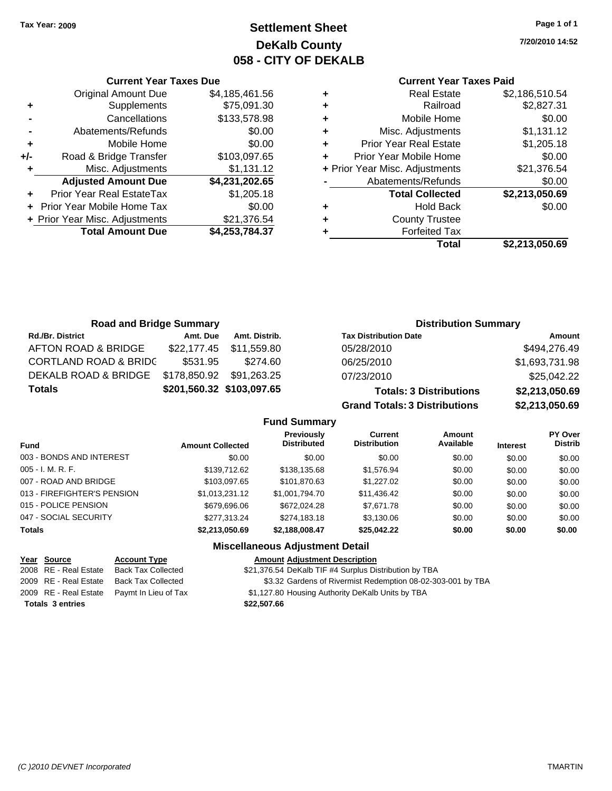**Current Year Taxes Due** Original Amount Due \$4,185,461.56

**Adjusted Amount Due \$4,231,202.65**

**Total Amount Due \$4,253,784.37**

**+** Supplements \$75,091.30 **-** Cancellations \$133,578.98 **-** Abatements/Refunds \$0.00 **+** Mobile Home \$0.00 **+/-** Road & Bridge Transfer \$103,097.65 **+** Misc. Adjustments \$1,131.12

**+** Prior Year Real EstateTax \$1,205.18 **+** Prior Year Mobile Home Tax \$0.00 + Prior Year Misc. Adjustments \$21,376.54

## **Settlement Sheet Tax Year: 2009 Page 1 of 1 DeKalb County 058 - CITY OF DEKALB**

**7/20/2010 14:52**

### **Current Year Taxes Paid**

| ٠ | <b>Real Estate</b>             | \$2,186,510.54 |
|---|--------------------------------|----------------|
| ٠ | Railroad                       | \$2,827.31     |
| ٠ | Mobile Home                    | \$0.00         |
| ٠ | Misc. Adjustments              | \$1,131.12     |
| ٠ | <b>Prior Year Real Estate</b>  | \$1,205.18     |
| ٠ | Prior Year Mobile Home         | \$0.00         |
|   | + Prior Year Misc. Adjustments | \$21,376.54    |
|   | Abatements/Refunds             | \$0.00         |
|   | <b>Total Collected</b>         | \$2,213,050.69 |
| ٠ | Hold Back                      | \$0.00         |
| ٠ | <b>County Trustee</b>          |                |
| ٠ | <b>Forfeited Tax</b>           |                |
|   | Total                          | \$2.213.050.69 |

| <b>Road and Bridge Summary</b>   |                                    |               |                                  |                                      | <b>Distribution Summary</b>    |                |                                  |
|----------------------------------|------------------------------------|---------------|----------------------------------|--------------------------------------|--------------------------------|----------------|----------------------------------|
| <b>Rd./Br. District</b>          | Amt. Due                           | Amt. Distrib. |                                  | <b>Tax Distribution Date</b>         |                                |                | Amount                           |
| AFTON ROAD & BRIDGE              | \$22,177.45                        | \$11,559.80   |                                  | 05/28/2010                           |                                |                | \$494,276.49                     |
| <b>CORTLAND ROAD &amp; BRIDC</b> | \$531.95                           | \$274.60      |                                  | 06/25/2010                           |                                |                | \$1,693,731.98                   |
| DEKALB ROAD & BRIDGE             | \$178,850.92                       | \$91,263.25   |                                  | 07/23/2010                           |                                |                | \$25,042.22                      |
| <b>Totals</b>                    | \$201,560.32 \$103,097.65          |               |                                  |                                      | <b>Totals: 3 Distributions</b> |                | \$2,213,050.69                   |
|                                  |                                    |               |                                  | <b>Grand Totals: 3 Distributions</b> |                                |                | \$2,213,050.69                   |
|                                  |                                    |               | <b>Fund Summary</b>              |                                      |                                |                |                                  |
| . .                              | $\sim$ $\sim$ $\sim$ $\sim$ $\sim$ |               | <b>Previously</b><br>Dietributed | Current<br>Dietribution              | Amount<br>Avoilabla            | $\blacksquare$ | <b>PY Over</b><br><b>Dictrib</b> |

| <b>Fund</b>                 | <b>Amount Collected</b> | <u>LIGVIOUSIV</u><br><b>Distributed</b> | <b>VALIVIII</b><br><b>Distribution</b> | Allivulit<br>Available | <b>Interest</b> | .<br><b>Distrib</b> |
|-----------------------------|-------------------------|-----------------------------------------|----------------------------------------|------------------------|-----------------|---------------------|
| 003 - BONDS AND INTEREST    | \$0.00                  | \$0.00                                  | \$0.00                                 | \$0.00                 | \$0.00          | \$0.00              |
| $005 - I. M. R. F.$         | \$139,712.62            | \$138,135.68                            | \$1,576.94                             | \$0.00                 | \$0.00          | \$0.00              |
| 007 - ROAD AND BRIDGE       | \$103,097.65            | \$101,870.63                            | \$1,227.02                             | \$0.00                 | \$0.00          | \$0.00              |
| 013 - FIREFIGHTER'S PENSION | \$1,013,231.12          | \$1,001,794.70                          | \$11,436.42                            | \$0.00                 | \$0.00          | \$0.00              |
| 015 - POLICE PENSION        | \$679,696,06            | \$672,024.28                            | \$7.671.78                             | \$0.00                 | \$0.00          | \$0.00              |
| 047 - SOCIAL SECURITY       | \$277.313.24            | \$274.183.18                            | \$3,130.06                             | \$0.00                 | \$0.00          | \$0.00              |
| <b>Totals</b>               | \$2,213,050.69          | \$2,188,008.47                          | \$25,042.22                            | \$0.00                 | \$0.00          | \$0.00              |
|                             |                         |                                         |                                        |                        |                 |                     |

### **Miscellaneous Adjustment Detail**

| <u>Year Source</u>      | <b>Account Type</b>                        | <b>Amount Adjustment Description</b>                        |
|-------------------------|--------------------------------------------|-------------------------------------------------------------|
| 2008 RE - Real Estate   | <b>Back Tax Collected</b>                  | \$21,376.54 DeKalb TIF #4 Surplus Distribution by TBA       |
| 2009 RE - Real Estate   | Back Tax Collected                         | \$3.32 Gardens of Rivermist Redemption 08-02-303-001 by TBA |
|                         | 2009 RE - Real Estate Paymt In Lieu of Tax | \$1,127.80 Housing Authority DeKalb Units by TBA            |
| <b>Totals 3 entries</b> |                                            | \$22.507.66                                                 |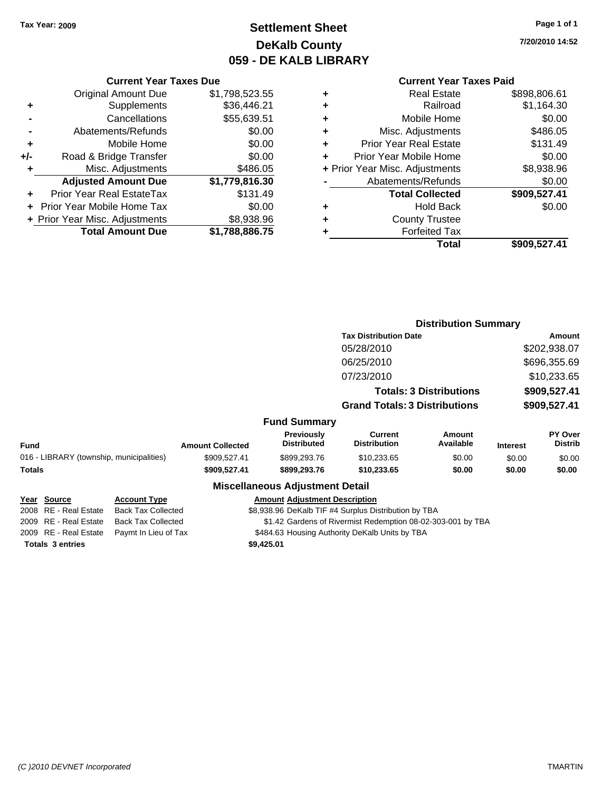## **Settlement Sheet Tax Year: 2009 Page 1 of 1 DeKalb County 059 - DE KALB LIBRARY**

**7/20/2010 14:52**

### **Current Year Taxes Paid**

|               |   | Total                          | \$909,527.41 |
|---------------|---|--------------------------------|--------------|
|               |   | <b>Forfeited Tax</b>           |              |
| $\frac{6}{5}$ | ٠ | <b>County Trustee</b>          |              |
| 0             | ٠ | <b>Hold Back</b>               | \$0.00       |
| 9             |   | <b>Total Collected</b>         | \$909,527.41 |
|               |   | Abatements/Refunds             | \$0.00       |
| $\frac{5}{0}$ |   | + Prior Year Misc. Adjustments | \$8,938.96   |
| 0             |   | Prior Year Mobile Home         | \$0.00       |
| 0             | ٠ | <b>Prior Year Real Estate</b>  | \$131.49     |
| 0             | ٠ | Misc. Adjustments              | \$486.05     |
| 1             | ٠ | Mobile Home                    | \$0.00       |
| :1            | ٠ | Railroad                       | \$1,164.30   |
| 5             | ٠ | <b>Real Estate</b>             | \$898,806.61 |
|               |   |                                |              |

|     | <b>Current Year Taxes Due</b>     |                |
|-----|-----------------------------------|----------------|
|     | <b>Original Amount Due</b>        | \$1,798,523.55 |
| ٠   | Supplements                       | \$36,446.21    |
|     | Cancellations                     | \$55,639.51    |
|     | Abatements/Refunds                | \$0.00         |
| ٠   | Mobile Home                       | \$0.00         |
| +/- | Road & Bridge Transfer            | \$0.00         |
| ٠   | Misc. Adjustments                 | \$486.05       |
|     | <b>Adjusted Amount Due</b>        | \$1,779,816.30 |
|     | Prior Year Real EstateTax         | \$131.49       |
|     | <b>Prior Year Mobile Home Tax</b> | \$0.00         |
|     | + Prior Year Misc. Adjustments    | \$8,938.96     |
|     | <b>Total Amount Due</b>           | \$1,788,886.75 |

|                                          |                           |                         |                                        |                                                             | <b>Distribution Summary</b>    |                 |                                  |
|------------------------------------------|---------------------------|-------------------------|----------------------------------------|-------------------------------------------------------------|--------------------------------|-----------------|----------------------------------|
|                                          |                           |                         |                                        | <b>Tax Distribution Date</b>                                |                                |                 | <b>Amount</b>                    |
|                                          |                           |                         |                                        | 05/28/2010                                                  |                                |                 | \$202,938.07                     |
|                                          |                           |                         |                                        | 06/25/2010                                                  |                                |                 | \$696,355.69                     |
|                                          |                           |                         |                                        | 07/23/2010                                                  |                                |                 | \$10,233.65                      |
|                                          |                           |                         |                                        |                                                             | <b>Totals: 3 Distributions</b> | \$909,527.41    |                                  |
|                                          |                           |                         |                                        | <b>Grand Totals: 3 Distributions</b>                        |                                |                 | \$909,527.41                     |
|                                          |                           |                         | <b>Fund Summary</b>                    |                                                             |                                |                 |                                  |
| <b>Fund</b>                              |                           | <b>Amount Collected</b> | Previously<br><b>Distributed</b>       | <b>Current</b><br><b>Distribution</b>                       | Amount<br>Available            | <b>Interest</b> | <b>PY Over</b><br><b>Distrib</b> |
| 016 - LIBRARY (township, municipalities) |                           | \$909,527.41            | \$899,293.76                           | \$10,233.65                                                 | \$0.00                         | \$0.00          | \$0.00                           |
| Totals                                   |                           | \$909,527.41            | \$899,293.76                           | \$10,233.65                                                 | \$0.00                         | \$0.00          | \$0.00                           |
|                                          |                           |                         | <b>Miscellaneous Adjustment Detail</b> |                                                             |                                |                 |                                  |
| Year Source                              | <b>Account Type</b>       |                         | <b>Amount Adjustment Description</b>   |                                                             |                                |                 |                                  |
| 2008 RE - Real Estate                    | <b>Back Tax Collected</b> |                         |                                        | \$8,938.96 DeKalb TIF #4 Surplus Distribution by TBA        |                                |                 |                                  |
| 2009 RE - Real Estate                    | <b>Back Tax Collected</b> |                         |                                        | \$1.42 Gardens of Rivermist Redemption 08-02-303-001 by TBA |                                |                 |                                  |
| 2009 RE - Real Estate                    | Paymt In Lieu of Tax      |                         |                                        | \$484.63 Housing Authority DeKalb Units by TBA              |                                |                 |                                  |
| <b>Totals 3 entries</b>                  |                           |                         | \$9,425.01                             |                                                             |                                |                 |                                  |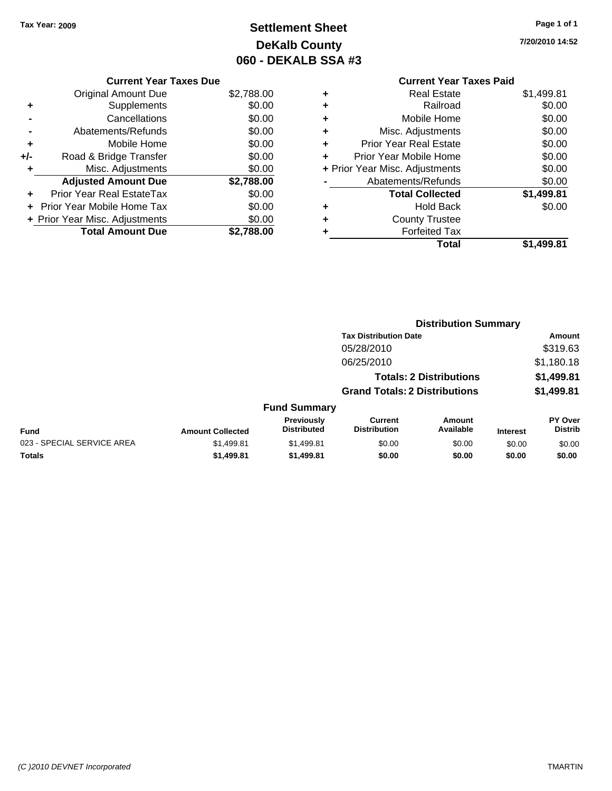**Current Year Taxes Due** Original Amount Due \$2,788.00

**Adjusted Amount Due \$2,788.00**

**Total Amount Due \$2,788.00**

**+** Supplements \$0.00 **-** Cancellations \$0.00 **-** Abatements/Refunds \$0.00 **+** Mobile Home \$0.00 **+/-** Road & Bridge Transfer \$0.00 **+** Misc. Adjustments \$0.00

**+** Prior Year Real EstateTax \$0.00 **+** Prior Year Mobile Home Tax \$0.00 **+ Prior Year Misc. Adjustments**  $$0.00$ 

## **Settlement Sheet Tax Year: 2009 Page 1 of 1 DeKalb County 060 - DEKALB SSA #3**

**7/20/2010 14:52**

## **Current Year Taxes Paid +** Real Estate \$1,499.81 **+** Railroad \$0.00

|   | Total                          | \$1.499.81 |
|---|--------------------------------|------------|
| ٠ | <b>Forfeited Tax</b>           |            |
| ÷ | <b>County Trustee</b>          |            |
| ٠ | <b>Hold Back</b>               | \$0.00     |
|   | <b>Total Collected</b>         | \$1,499.81 |
|   | Abatements/Refunds             | \$0.00     |
|   | + Prior Year Misc. Adjustments | \$0.00     |
| ÷ | Prior Year Mobile Home         | \$0.00     |
| ÷ | <b>Prior Year Real Estate</b>  | \$0.00     |
| ÷ | Misc. Adjustments              | \$0.00     |
| ٠ | Mobile Home                    | \$0.00     |

# **Distribution Summary Tax Distribution Date Amount** 05/28/2010 \$319.63 06/25/2010 \$1,180.18 **Totals: 2 Distributions \$1,499.81 Grand Totals: 2 Distributions \$1,499.81 Fund Summary**

| <b>URIC OUTSTANT</b>                                                                                                                 |                         |            |        |        |                 |        |  |
|--------------------------------------------------------------------------------------------------------------------------------------|-------------------------|------------|--------|--------|-----------------|--------|--|
| <b>PY Over</b><br><b>Previously</b><br>Current<br>Amount<br>Available<br><b>Distrib</b><br><b>Distribution</b><br><b>Distributed</b> |                         |            |        |        |                 |        |  |
| <b>Fund</b>                                                                                                                          | <b>Amount Collected</b> |            |        |        | <b>Interest</b> |        |  |
| 023 - SPECIAL SERVICE AREA                                                                                                           | \$1.499.81              | \$1,499.81 | \$0.00 | \$0.00 | \$0.00          | \$0.00 |  |
| <b>Totals</b>                                                                                                                        | \$1,499.81              | \$1,499.81 | \$0.00 | \$0.00 | \$0.00          | \$0.00 |  |

### *(C )2010 DEVNET Incorporated* TMARTIN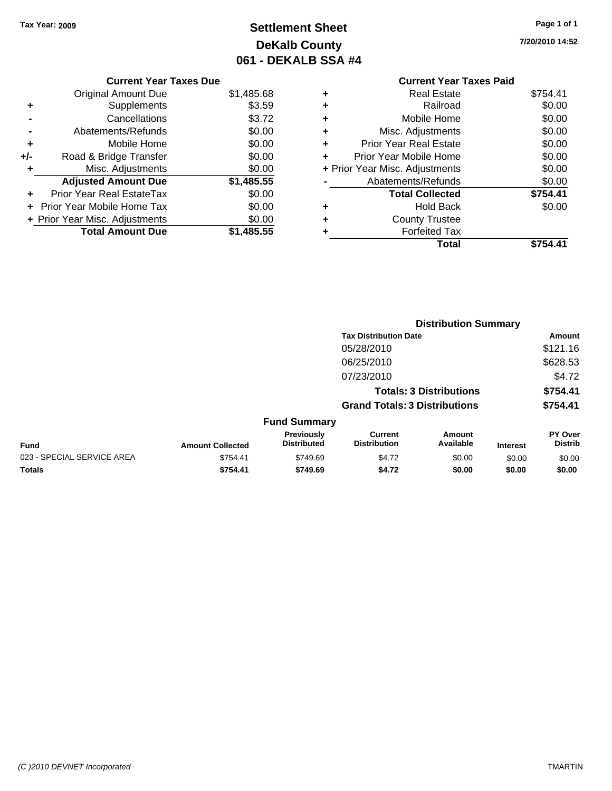## **Settlement Sheet Tax Year: 2009 Page 1 of 1 DeKalb County 061 - DEKALB SSA #4**

**7/20/2010 14:52**

|   | <b>Current Year Taxes Paid</b> |          |
|---|--------------------------------|----------|
| ٠ | <b>Real Estate</b>             | \$754.41 |
| ٠ | Railroad                       | \$0.00   |
| ٠ | Mobile Home                    | \$0.00   |
| ٠ | Misc. Adjustments              | \$0.00   |
| ÷ | <b>Prior Year Real Estate</b>  | \$0.00   |
| ÷ | Prior Year Mobile Home         | \$0.00   |
|   | + Prior Year Misc. Adjustments | \$0.00   |
|   | Abatements/Refunds             | \$0.00   |
|   | <b>Total Collected</b>         | \$754.41 |
| ٠ | <b>Hold Back</b>               | \$0.00   |
|   | <b>County Trustee</b>          |          |
|   | <b>Forfeited Tax</b>           |          |
|   | Total                          |          |
|   |                                |          |

|     | <b>Current Year Taxes Due</b>  |            |
|-----|--------------------------------|------------|
|     | <b>Original Amount Due</b>     | \$1,485.68 |
| ٠   | Supplements                    | \$3.59     |
|     | Cancellations                  | \$3.72     |
|     | Abatements/Refunds             | \$0.00     |
| ٠   | Mobile Home                    | \$0.00     |
| +/- | Road & Bridge Transfer         | \$0.00     |
| ٠   | Misc. Adjustments              | \$0.00     |
|     | <b>Adjusted Amount Due</b>     | \$1,485.55 |
|     | Prior Year Real EstateTax      | \$0.00     |
|     | Prior Year Mobile Home Tax     | \$0.00     |
|     | + Prior Year Misc. Adjustments | \$0.00     |
|     | <b>Total Amount Due</b>        | \$1,485.55 |

|                            |                         |                                  | <b>Distribution Summary</b>           |                                |                 |                                  |
|----------------------------|-------------------------|----------------------------------|---------------------------------------|--------------------------------|-----------------|----------------------------------|
|                            |                         |                                  | <b>Tax Distribution Date</b>          |                                |                 | Amount                           |
|                            |                         |                                  | 05/28/2010                            |                                |                 | \$121.16                         |
|                            |                         |                                  | 06/25/2010                            |                                |                 | \$628.53                         |
|                            |                         |                                  | 07/23/2010                            |                                |                 | \$4.72                           |
|                            |                         |                                  |                                       | <b>Totals: 3 Distributions</b> |                 | \$754.41                         |
|                            |                         |                                  | <b>Grand Totals: 3 Distributions</b>  |                                |                 | \$754.41                         |
|                            |                         | <b>Fund Summary</b>              |                                       |                                |                 |                                  |
| <b>Fund</b>                | <b>Amount Collected</b> | Previously<br><b>Distributed</b> | <b>Current</b><br><b>Distribution</b> | Amount<br>Available            | <b>Interest</b> | <b>PY Over</b><br><b>Distrib</b> |
| 023 - SPECIAL SERVICE AREA | \$754.41                | \$749.69                         | \$4.72                                | \$0.00                         | \$0.00          | \$0.00                           |
| Totals                     | \$754.41                | \$749.69                         | \$4.72                                | \$0.00                         | \$0.00          | \$0.00                           |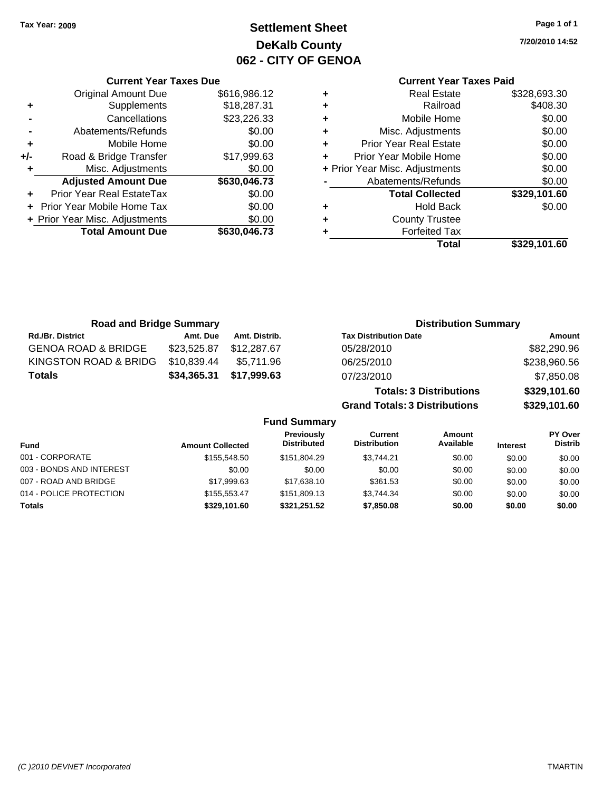**Current Year Taxes Due**

## **Settlement Sheet Tax Year: 2009 Page 1 of 1 DeKalb County 062 - CITY OF GENOA**

**7/20/2010 14:52**

## **Current Year Taxes Paid**

|     |                                |              |   | <b>Total</b>                   | \$329,101.60 |
|-----|--------------------------------|--------------|---|--------------------------------|--------------|
|     | <b>Total Amount Due</b>        | \$630,046.73 |   | <b>Forfeited Tax</b>           |              |
|     | + Prior Year Misc. Adjustments | \$0.00       | ٠ | <b>County Trustee</b>          |              |
|     | + Prior Year Mobile Home Tax   | \$0.00       | ٠ | <b>Hold Back</b>               | \$0.00       |
|     | Prior Year Real EstateTax      | \$0.00       |   | <b>Total Collected</b>         | \$329,101.60 |
|     | <b>Adjusted Amount Due</b>     | \$630,046.73 |   | Abatements/Refunds             | \$0.00       |
|     | Misc. Adjustments              | \$0.00       |   | + Prior Year Misc. Adjustments | \$0.00       |
| +/- | Road & Bridge Transfer         | \$17,999.63  | ÷ | Prior Year Mobile Home         | \$0.00       |
| ÷   | Mobile Home                    | \$0.00       | ٠ | <b>Prior Year Real Estate</b>  | \$0.00       |
|     | Abatements/Refunds             | \$0.00       | ٠ | Misc. Adjustments              | \$0.00       |
|     | Cancellations                  | \$23,226.33  | ٠ | Mobile Home                    | \$0.00       |
| ٠   | <b>Supplements</b>             | \$18,287.31  | ٠ | Railroad                       | \$408.30     |
|     | <b>Original Amount Due</b>     | \$616,986.12 | ٠ | <b>Real Estate</b>             | \$328,693.30 |

| <b>Road and Bridge Summary</b> |             |               | <b>Distribution Summary</b>    |              |  |
|--------------------------------|-------------|---------------|--------------------------------|--------------|--|
| <b>Rd./Br. District</b>        | Amt. Due    | Amt. Distrib. | <b>Tax Distribution Date</b>   | Amount       |  |
| <b>GENOA ROAD &amp; BRIDGE</b> | \$23,525.87 | \$12,287.67   | 05/28/2010                     | \$82,290.96  |  |
| KINGSTON ROAD & BRIDG          | \$10,839.44 | \$5.711.96    | 06/25/2010                     | \$238,960.56 |  |
| <b>Totals</b>                  | \$34,365.31 | \$17,999.63   | 07/23/2010                     | \$7,850.08   |  |
|                                |             |               | <b>Totals: 3 Distributions</b> | \$329,101.60 |  |

**Grand Totals: 3 Distributions \$329,101.60**

|                          |                         | <b>Fund Summary</b>              |                                |                     |                 |                           |
|--------------------------|-------------------------|----------------------------------|--------------------------------|---------------------|-----------------|---------------------------|
| <b>Fund</b>              | <b>Amount Collected</b> | Previously<br><b>Distributed</b> | Current<br><b>Distribution</b> | Amount<br>Available | <b>Interest</b> | PY Over<br><b>Distrib</b> |
| 001 - CORPORATE          | \$155,548,50            | \$151.804.29                     | \$3.744.21                     | \$0.00              | \$0.00          | \$0.00                    |
| 003 - BONDS AND INTEREST | \$0.00                  | \$0.00                           | \$0.00                         | \$0.00              | \$0.00          | \$0.00                    |
| 007 - ROAD AND BRIDGE    | \$17,999.63             | \$17.638.10                      | \$361.53                       | \$0.00              | \$0.00          | \$0.00                    |
| 014 - POLICE PROTECTION  | \$155,553,47            | \$151,809.13                     | \$3.744.34                     | \$0.00              | \$0.00          | \$0.00                    |
| <b>Totals</b>            | \$329,101.60            | \$321,251.52                     | \$7,850.08                     | \$0.00              | \$0.00          | \$0.00                    |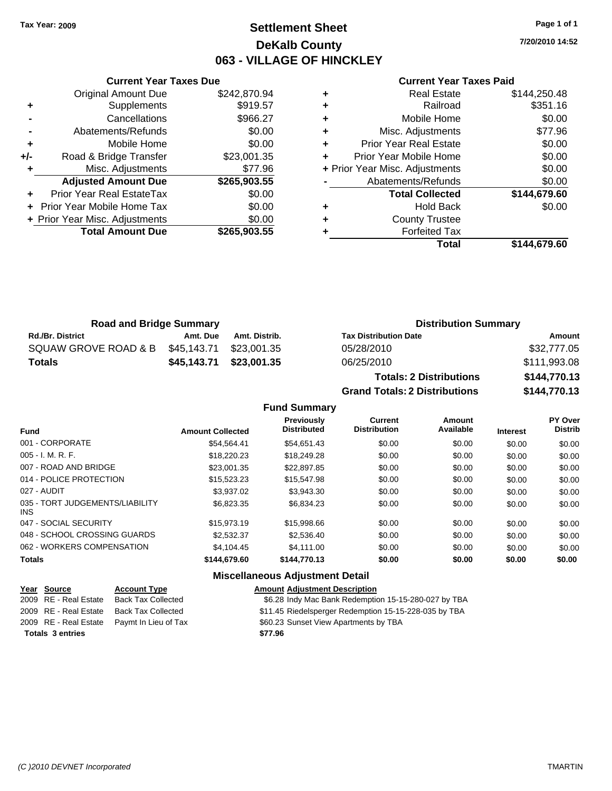## **Settlement Sheet Tax Year: 2009 Page 1 of 1 DeKalb County 063 - VILLAGE OF HINCKLEY**

**7/20/2010 14:52**

### **Current Year Taxes Paid**

|     | <b>Current Year Taxes Due</b>  |              |
|-----|--------------------------------|--------------|
|     | <b>Original Amount Due</b>     | \$242,870.94 |
| ٠   | Supplements                    | \$919.57     |
|     | Cancellations                  | \$966.27     |
|     | Abatements/Refunds             | \$0.00       |
| ٠   | Mobile Home                    | \$0.00       |
| +/- | Road & Bridge Transfer         | \$23,001.35  |
|     | Misc. Adjustments              | \$77.96      |
|     | <b>Adjusted Amount Due</b>     | \$265,903.55 |
|     | Prior Year Real EstateTax      | \$0.00       |
|     | Prior Year Mobile Home Tax     | \$0.00       |
|     | + Prior Year Misc. Adjustments | \$0.00       |
|     | <b>Total Amount Due</b>        | \$265,903.55 |
|     |                                |              |

| <b>Real Estate</b>             | \$144,250.48 |
|--------------------------------|--------------|
| Railroad                       | \$351.16     |
| Mobile Home                    | \$0.00       |
| Misc. Adjustments              | \$77.96      |
| <b>Prior Year Real Estate</b>  | \$0.00       |
| Prior Year Mobile Home         | \$0.00       |
| + Prior Year Misc. Adjustments | \$0.00       |
| Abatements/Refunds             | \$0.00       |
| <b>Total Collected</b>         | \$144,679.60 |
| <b>Hold Back</b>               | \$0.00       |
| <b>County Trustee</b>          |              |
| <b>Forfeited Tax</b>           |              |
| Total                          | \$144,679.60 |
|                                |              |

| <b>Road and Bridge Summary</b> |                         |                         | <b>Distribution Summary</b>  |              |  |
|--------------------------------|-------------------------|-------------------------|------------------------------|--------------|--|
| <b>Rd./Br. District</b>        | Amt. Due                | Amt. Distrib.           | <b>Tax Distribution Date</b> | Amount       |  |
| SQUAW GROVE ROAD & B           | \$45,143.71 \$23,001.35 |                         | 05/28/2010                   | \$32,777.05  |  |
| Totals                         |                         | \$45,143.71 \$23,001.35 | 06/25/2010                   | \$111,993.08 |  |

**Totals: 2 Distributions \$144,770.13 Grand Totals: 2 Distributions \$144,770.13**

**Fund Summary**

| <b>Fund</b>                             | <b>Amount Collected</b> | <b>Previously</b><br><b>Distributed</b> | Current<br><b>Distribution</b> | Amount<br>Available | <b>Interest</b> | PY Over<br><b>Distrib</b> |
|-----------------------------------------|-------------------------|-----------------------------------------|--------------------------------|---------------------|-----------------|---------------------------|
| 001 - CORPORATE                         | \$54,564.41             | \$54,651.43                             | \$0.00                         | \$0.00              | \$0.00          | \$0.00                    |
| 005 - I. M. R. F.                       | \$18,220.23             | \$18,249.28                             | \$0.00                         | \$0.00              | \$0.00          | \$0.00                    |
| 007 - ROAD AND BRIDGE                   | \$23,001.35             | \$22,897.85                             | \$0.00                         | \$0.00              | \$0.00          | \$0.00                    |
| 014 - POLICE PROTECTION                 | \$15,523.23             | \$15,547.98                             | \$0.00                         | \$0.00              | \$0.00          | \$0.00                    |
| 027 - AUDIT                             | \$3.937.02              | \$3,943.30                              | \$0.00                         | \$0.00              | \$0.00          | \$0.00                    |
| 035 - TORT JUDGEMENTS/LIABILITY<br>INS. | \$6,823.35              | \$6,834.23                              | \$0.00                         | \$0.00              | \$0.00          | \$0.00                    |
| 047 - SOCIAL SECURITY                   | \$15,973.19             | \$15,998.66                             | \$0.00                         | \$0.00              | \$0.00          | \$0.00                    |
| 048 - SCHOOL CROSSING GUARDS            | \$2.532.37              | \$2,536.40                              | \$0.00                         | \$0.00              | \$0.00          | \$0.00                    |
| 062 - WORKERS COMPENSATION              | \$4,104.45              | \$4,111,00                              | \$0.00                         | \$0.00              | \$0.00          | \$0.00                    |
| <b>Totals</b>                           | \$144.679.60            | \$144,770.13                            | \$0.00                         | \$0.00              | \$0.00          | \$0.00                    |
|                                         |                         | <b>Miscellaneous Adjustment Detail</b>  |                                |                     |                 |                           |

### **Year Source Account Type Amount Adjustment Description** \$6.28 Indy Mac Bank Redemption 15-15-280-027 by TBA 2009 RE - Real Estate Back Tax Collected \$11.45 Riedelsperger Redemption 15-15-228-035 by TBA 2009 RE - Real Estate Paymt In Lieu of Tax S60.23 Sunset View Apartments by TBA **Totals \$77.96 3 entries**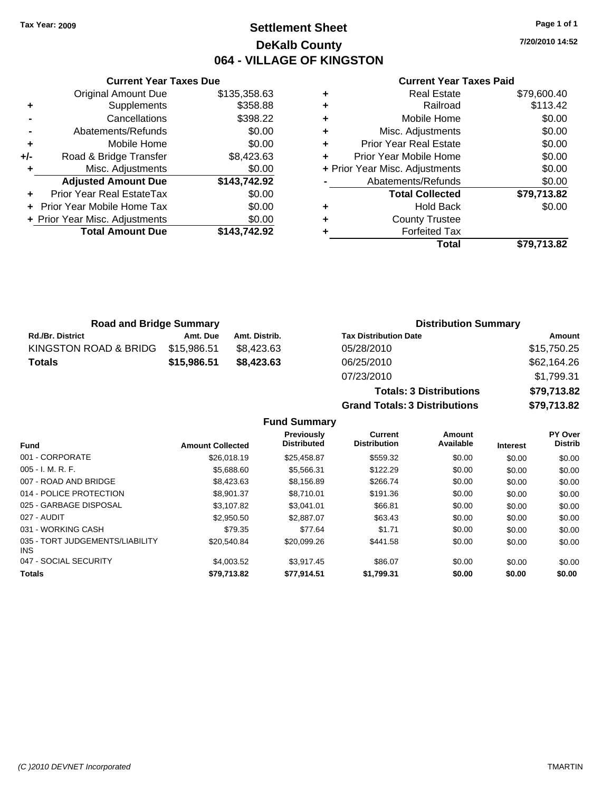## **Settlement Sheet Tax Year: 2009 Page 1 of 1 DeKalb County 064 - VILLAGE OF KINGSTON**

**7/20/2010 14:52**

### **Current Year Taxes Paid**

|     | <b>Current Year Taxes Due</b>  |              |
|-----|--------------------------------|--------------|
|     | <b>Original Amount Due</b>     | \$135,358.63 |
| ٠   | Supplements                    | \$358.88     |
|     | Cancellations                  | \$398.22     |
|     | Abatements/Refunds             | \$0.00       |
| ٠   | Mobile Home                    | \$0.00       |
| +/- | Road & Bridge Transfer         | \$8,423.63   |
|     | Misc. Adjustments              | \$0.00       |
|     | <b>Adjusted Amount Due</b>     | \$143,742.92 |
|     | Prior Year Real EstateTax      | \$0.00       |
|     | Prior Year Mobile Home Tax     | \$0.00       |
|     | + Prior Year Misc. Adjustments | \$0.00       |
|     | <b>Total Amount Due</b>        | \$143.742.92 |
|     |                                |              |

|   | <b>Real Estate</b>             | \$79,600.40 |
|---|--------------------------------|-------------|
| ٠ | Railroad                       | \$113.42    |
| ٠ | Mobile Home                    | \$0.00      |
| ٠ | Misc. Adjustments              | \$0.00      |
| ٠ | <b>Prior Year Real Estate</b>  | \$0.00      |
|   | Prior Year Mobile Home         | \$0.00      |
|   | + Prior Year Misc. Adjustments | \$0.00      |
|   | Abatements/Refunds             | \$0.00      |
|   | <b>Total Collected</b>         | \$79,713.82 |
| ٠ | <b>Hold Back</b>               | \$0.00      |
| ٠ | <b>County Trustee</b>          |             |
| ٠ | <b>Forfeited Tax</b>           |             |
|   | Total                          | \$79.713.82 |

| <b>Road and Bridge Summary</b> |             |               | <b>Distribution Summary</b>  |             |
|--------------------------------|-------------|---------------|------------------------------|-------------|
| <b>Rd./Br. District</b>        | Amt. Due    | Amt. Distrib. | <b>Tax Distribution Date</b> | Amount      |
| KINGSTON ROAD & BRIDG          | \$15.986.51 | \$8.423.63    | 05/28/2010                   | \$15,750.25 |
| <b>Totals</b>                  | \$15,986.51 | \$8,423.63    | 06/25/2010                   | \$62,164.26 |
|                                |             |               | 07/23/2010                   | 4170031     |

| <u>UUIZJIZU IU</u>                   | <b>JUL, IUT.LU</b> |
|--------------------------------------|--------------------|
| 07/23/2010                           | \$1.799.31         |
| <b>Totals: 3 Distributions</b>       | \$79.713.82        |
| <b>Grand Totals: 3 Distributions</b> | \$79.713.82        |
|                                      |                    |

**Fund Summary**

| <b>Fund</b>                                   | <b>Amount Collected</b> | <b>Previously</b><br><b>Distributed</b> | Current<br><b>Distribution</b> | Amount<br>Available | <b>Interest</b> | <b>PY Over</b><br><b>Distrib</b> |
|-----------------------------------------------|-------------------------|-----------------------------------------|--------------------------------|---------------------|-----------------|----------------------------------|
| 001 - CORPORATE                               | \$26,018.19             | \$25,458.87                             | \$559.32                       | \$0.00              | \$0.00          | \$0.00                           |
| $005 - I. M. R. F.$                           | \$5.688.60              | \$5,566.31                              | \$122.29                       | \$0.00              | \$0.00          | \$0.00                           |
| 007 - ROAD AND BRIDGE                         | \$8,423.63              | \$8.156.89                              | \$266.74                       | \$0.00              | \$0.00          | \$0.00                           |
| 014 - POLICE PROTECTION                       | \$8,901.37              | \$8.710.01                              | \$191.36                       | \$0.00              | \$0.00          | \$0.00                           |
| 025 - GARBAGE DISPOSAL                        | \$3,107.82              | \$3.041.01                              | \$66.81                        | \$0.00              | \$0.00          | \$0.00                           |
| 027 - AUDIT                                   | \$2,950.50              | \$2,887.07                              | \$63.43                        | \$0.00              | \$0.00          | \$0.00                           |
| 031 - WORKING CASH                            | \$79.35                 | \$77.64                                 | \$1.71                         | \$0.00              | \$0.00          | \$0.00                           |
| 035 - TORT JUDGEMENTS/LIABILITY<br><b>INS</b> | \$20.540.84             | \$20.099.26                             | \$441.58                       | \$0.00              | \$0.00          | \$0.00                           |
| 047 - SOCIAL SECURITY                         | \$4,003.52              | \$3.917.45                              | \$86.07                        | \$0.00              | \$0.00          | \$0.00                           |
| <b>Totals</b>                                 | \$79,713.82             | \$77,914.51                             | \$1,799.31                     | \$0.00              | \$0.00          | \$0.00                           |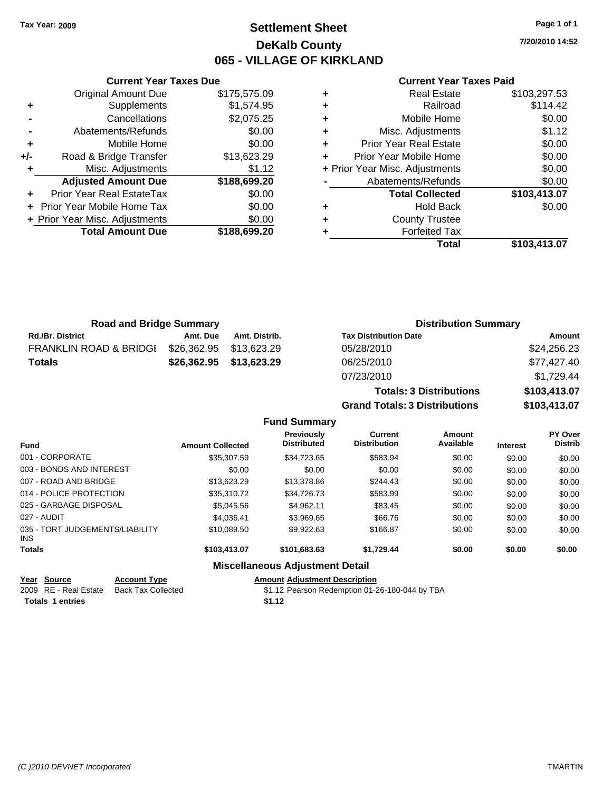## **Settlement Sheet Tax Year: 2009 Page 1 of 1 DeKalb County 065 - VILLAGE OF KIRKLAND**

**7/20/2010 14:52**

### **Current Year Taxes Paid**

|     | <b>Current Year Taxes Due</b>     |              |
|-----|-----------------------------------|--------------|
|     | <b>Original Amount Due</b>        | \$175,575.09 |
| ٠   | Supplements                       | \$1,574.95   |
|     | Cancellations                     | \$2,075.25   |
|     | Abatements/Refunds                | \$0.00       |
| ٠   | Mobile Home                       | \$0.00       |
| +/- | Road & Bridge Transfer            | \$13,623.29  |
| ٠   | Misc. Adjustments                 | \$1.12       |
|     | <b>Adjusted Amount Due</b>        | \$188,699.20 |
|     | <b>Prior Year Real EstateTax</b>  | \$0.00       |
|     | <b>Prior Year Mobile Home Tax</b> | \$0.00       |
|     | + Prior Year Misc. Adjustments    | \$0.00       |
|     | <b>Total Amount Due</b>           | \$188,699.20 |
|     |                                   |              |

|   | <b>Real Estate</b>             | \$103,297.53 |
|---|--------------------------------|--------------|
| ٠ | Railroad                       | \$114.42     |
| ٠ | Mobile Home                    | \$0.00       |
| ٠ | Misc. Adjustments              | \$1.12       |
| ٠ | <b>Prior Year Real Estate</b>  | \$0.00       |
|   | Prior Year Mobile Home         | \$0.00       |
|   | + Prior Year Misc. Adjustments | \$0.00       |
|   | Abatements/Refunds             | \$0.00       |
|   | <b>Total Collected</b>         | \$103,413.07 |
| ٠ | <b>Hold Back</b>               | \$0.00       |
|   | <b>County Trustee</b>          |              |
|   | <b>Forfeited Tax</b>           |              |
|   | Total                          | \$103,413.07 |

**Grand Totals: 3 Distributions \$103,413.07**

| <b>Road and Bridge Summary</b>    |             |               | <b>Distribution Summary</b>    |              |  |
|-----------------------------------|-------------|---------------|--------------------------------|--------------|--|
| <b>Rd./Br. District</b>           | Amt. Due    | Amt. Distrib. | <b>Tax Distribution Date</b>   | Amount       |  |
| <b>FRANKLIN ROAD &amp; BRIDGI</b> | \$26,362.95 | \$13,623.29   | 05/28/2010                     | \$24,256.23  |  |
| Totals                            | \$26,362.95 | \$13,623.29   | 06/25/2010                     | \$77,427.40  |  |
|                                   |             |               | 07/23/2010                     | \$1,729.44   |  |
|                                   |             |               | <b>Totals: 3 Distributions</b> | \$103,413.07 |  |

**Fund Summary Fund Interest Amount Collected Distributed PY Over Distrib Amount Available Current Distribution Previously** 001 - CORPORATE \$35,307.59 \$34,723.65 \$583.94 \$0.00 \$0.00 \$0.00 003 - BONDS AND INTEREST  $$0.00$   $$0.00$   $$0.00$   $$0.00$   $$0.00$   $$0.00$   $$0.00$   $$0.00$ 007 - ROAD AND BRIDGE 60.00 \$13,623.29 \$13,623.29 \$13,378.86 \$244.43 \$0.00 \$0.00 \$0.00 014 - POLICE PROTECTION \$35,310.72 \$34,726.73 \$583.99 \$0.00 \$0.00 \$0.00 \$0.00 025 - GARBAGE DISPOSAL 60.00 \$5,045.56 \$4,962.11 \$83.45 \$0.00 \$0.00 \$0.00 \$0.00 027 - AUDIT \$4,036.41 \$3,969.65 \$66.76 \$0.00 \$0.00 \$0.00 035 - TORT JUDGEMENTS/LIABILITY INS \$10,089.50 \$9,922.63 \$166.87 \$0.00 \$0.00 \$0.00 **Totals \$103,413.07 \$101,683.63 \$1,729.44 \$0.00 \$0.00 \$0.00 Miscellaneous Adjustment Detail**

### **Year Source Account Type Amount Adjustment Description** 2009 RE - Real Estate Back Tax Collected \$1.12 Pearson Redemption 01-26-180-044 by TBA

**Totals 1 entries** \$1.12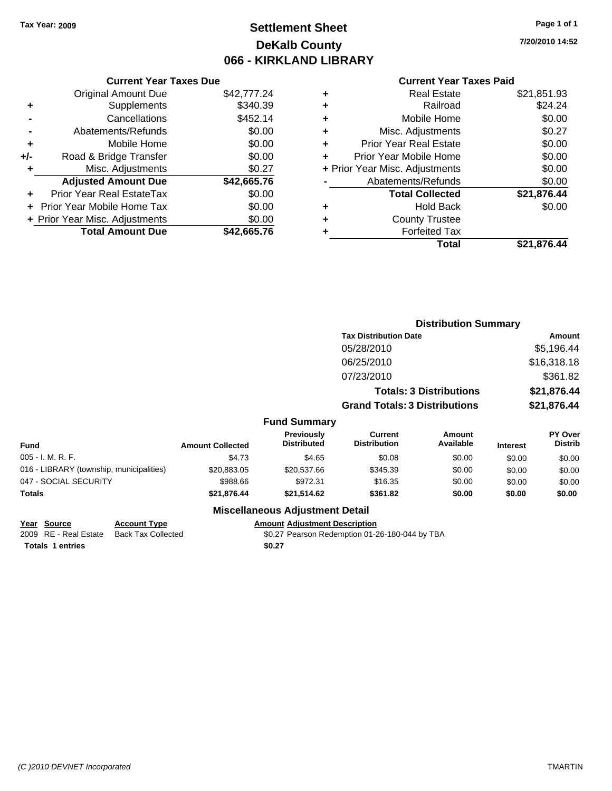## **Settlement Sheet Tax Year: 2009 Page 1 of 1 DeKalb County 066 - KIRKLAND LIBRARY**

**7/20/2010 14:52**

**Paid** 

| <b>Current Year Taxes</b> |  |
|---------------------------|--|

|     | <b>Current Year Taxes Due</b>  |             |
|-----|--------------------------------|-------------|
|     | <b>Original Amount Due</b>     | \$42,777.24 |
| ٠   | Supplements                    | \$340.39    |
|     | Cancellations                  | \$452.14    |
|     | Abatements/Refunds             | \$0.00      |
| ٠   | Mobile Home                    | \$0.00      |
| +/- | Road & Bridge Transfer         | \$0.00      |
|     | Misc. Adjustments              | \$0.27      |
|     | <b>Adjusted Amount Due</b>     | \$42,665.76 |
|     | Prior Year Real EstateTax      | \$0.00      |
|     | Prior Year Mobile Home Tax     | \$0.00      |
|     | + Prior Year Misc. Adjustments | \$0.00      |
|     | <b>Total Amount Due</b>        | \$42.665.76 |
|     |                                |             |

| ٠ | <b>Real Estate</b>             | \$21,851.93 |
|---|--------------------------------|-------------|
| ٠ | Railroad                       | \$24.24     |
| ÷ | Mobile Home                    | \$0.00      |
| ٠ | Misc. Adjustments              | \$0.27      |
| ٠ | Prior Year Real Estate         | \$0.00      |
| ÷ | Prior Year Mobile Home         | \$0.00      |
|   | + Prior Year Misc. Adjustments | \$0.00      |
|   | Abatements/Refunds             | \$0.00      |
|   | <b>Total Collected</b>         | \$21,876.44 |
| ٠ | <b>Hold Back</b>               | \$0.00      |
| ٠ | <b>County Trustee</b>          |             |
| ٠ | <b>Forfeited Tax</b>           |             |
|   | Total                          | \$21,876.44 |

|                                          |                         |                                  | <b>Distribution Summary</b>           |                                |                 |                           |
|------------------------------------------|-------------------------|----------------------------------|---------------------------------------|--------------------------------|-----------------|---------------------------|
|                                          |                         |                                  | <b>Tax Distribution Date</b>          |                                |                 | Amount                    |
|                                          |                         |                                  | 05/28/2010                            |                                |                 | \$5,196.44                |
|                                          |                         |                                  | 06/25/2010                            |                                |                 | \$16,318.18               |
|                                          |                         |                                  | 07/23/2010                            |                                |                 | \$361.82                  |
|                                          |                         |                                  |                                       | <b>Totals: 3 Distributions</b> |                 | \$21,876.44               |
|                                          |                         |                                  | <b>Grand Totals: 3 Distributions</b>  |                                |                 | \$21,876.44               |
|                                          |                         | <b>Fund Summary</b>              |                                       |                                |                 |                           |
| <b>Fund</b>                              | <b>Amount Collected</b> | Previously<br><b>Distributed</b> | <b>Current</b><br><b>Distribution</b> | <b>Amount</b><br>Available     | <b>Interest</b> | PY Over<br><b>Distrib</b> |
| 005 - I. M. R. F.                        | \$4.73                  | \$4.65                           | \$0.08                                | \$0.00                         | \$0.00          | \$0.00                    |
| 016 - LIBRARY (township, municipalities) | \$20,883.05             | \$20,537.66                      | \$345.39                              | \$0.00                         | \$0.00          | \$0.00                    |
| 047 - SOCIAL SECURITY                    | \$988.66                | \$972.31                         | \$16.35                               | \$0.00                         | \$0.00          | \$0.00                    |
| Totals                                   | \$21,876.44             | \$21,514.62                      | \$361.82                              | \$0.00                         | \$0.00          | \$0.00                    |
|                                          |                         |                                  |                                       |                                |                 |                           |

## **Miscellaneous Adjustment Detail**

**Year Source Account Type Amount Adjustment Description** Totals 1 entries **12.27** 

2009 RE - Real Estate Back Tax Collected **19.27 Pearson Redemption 01-26-180-044 by TBA**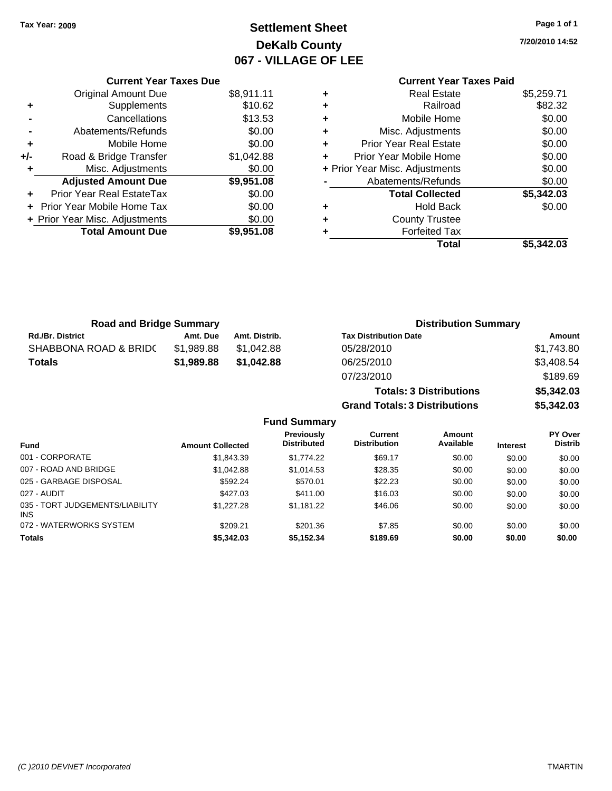## **Settlement Sheet Tax Year: 2009 Page 1 of 1 DeKalb County 067 - VILLAGE OF LEE**

**7/20/2010 14:52**

|     | <b>Current Year Taxes Due</b>  |            |
|-----|--------------------------------|------------|
|     | <b>Original Amount Due</b>     | \$8,911.11 |
| ٠   | Supplements                    | \$10.62    |
|     | Cancellations                  | \$13.53    |
|     | Abatements/Refunds             | \$0.00     |
| ٠   | Mobile Home                    | \$0.00     |
| +/- | Road & Bridge Transfer         | \$1,042.88 |
| ٠   | Misc. Adjustments              | \$0.00     |
|     | <b>Adjusted Amount Due</b>     | \$9,951.08 |
| ÷   | Prior Year Real EstateTax      | \$0.00     |
|     | Prior Year Mobile Home Tax     | \$0.00     |
|     | + Prior Year Misc. Adjustments | \$0.00     |
|     | <b>Total Amount Due</b>        | \$9,951.08 |
|     |                                |            |

## **Current Year Taxes Paid**

|   | <b>Real Estate</b>             | \$5,259.71 |
|---|--------------------------------|------------|
| ٠ | Railroad                       | \$82.32    |
| ٠ | Mobile Home                    | \$0.00     |
| ٠ | Misc. Adjustments              | \$0.00     |
| ٠ | <b>Prior Year Real Estate</b>  | \$0.00     |
| ٠ | Prior Year Mobile Home         | \$0.00     |
|   | + Prior Year Misc. Adjustments | \$0.00     |
|   | Abatements/Refunds             | \$0.00     |
|   | <b>Total Collected</b>         | \$5,342.03 |
| ٠ | <b>Hold Back</b>               | \$0.00     |
| ٠ | <b>County Trustee</b>          |            |
| ٠ | <b>Forfeited Tax</b>           |            |
|   | Total                          | \$5.342.03 |
|   |                                |            |

| <b>Road and Bridge Summary</b> |            |               | <b>Distribution Summary</b>    |            |  |
|--------------------------------|------------|---------------|--------------------------------|------------|--|
| <b>Rd./Br. District</b>        | Amt. Due   | Amt. Distrib. | <b>Tax Distribution Date</b>   | Amount     |  |
| SHABBONA ROAD & BRIDC          | \$1.989.88 | \$1,042.88    | 05/28/2010                     | \$1,743.80 |  |
| <b>Totals</b>                  | \$1,989.88 | \$1.042.88    | 06/25/2010                     | \$3,408.54 |  |
|                                |            |               | 07/23/2010                     | \$189.69   |  |
|                                |            |               | <b>Totals: 3 Distributions</b> | \$5,342.03 |  |

**Grand Totals: 3 Distributions \$5,342.03**

### **Fund Summary**

| <b>Fund</b>                                   | <b>Amount Collected</b> | <b>Previously</b><br><b>Distributed</b> | Current<br><b>Distribution</b> | <b>Amount</b><br>Available | <b>Interest</b> | PY Over<br><b>Distrib</b> |
|-----------------------------------------------|-------------------------|-----------------------------------------|--------------------------------|----------------------------|-----------------|---------------------------|
| 001 - CORPORATE                               | \$1,843.39              | \$1,774.22                              | \$69.17                        | \$0.00                     | \$0.00          | \$0.00                    |
| 007 - ROAD AND BRIDGE                         | \$1,042.88              | \$1,014.53                              | \$28.35                        | \$0.00                     | \$0.00          | \$0.00                    |
| 025 - GARBAGE DISPOSAL                        | \$592.24                | \$570.01                                | \$22.23                        | \$0.00                     | \$0.00          | \$0.00                    |
| 027 - AUDIT                                   | \$427.03                | \$411.00                                | \$16.03                        | \$0.00                     | \$0.00          | \$0.00                    |
| 035 - TORT JUDGEMENTS/LIABILITY<br><b>INS</b> | \$1,227,28              | \$1.181.22                              | \$46.06                        | \$0.00                     | \$0.00          | \$0.00                    |
| 072 - WATERWORKS SYSTEM                       | \$209.21                | \$201.36                                | \$7.85                         | \$0.00                     | \$0.00          | \$0.00                    |
| <b>Totals</b>                                 | \$5,342.03              | \$5,152.34                              | \$189.69                       | \$0.00                     | \$0.00          | \$0.00                    |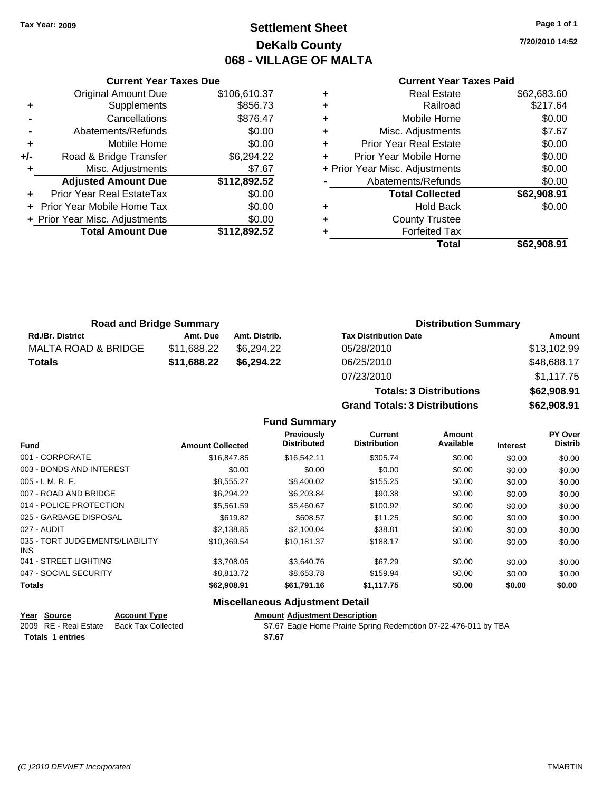**Original Amount Due** 

**Adjusted Amount Due** 

**Total Amount Due** 

**+** Supplements **-** Cancellations **-** Abatements/Refunds **+** Mobile Home **+/-** Road & Bridge Transfer **+** Misc. Adjustments

**+** Prior Year Real EstateTax **+** Prior Year Mobile Home Tax \$0.00 **+ Prior Year Misc. Adjustments** 

## **Settlement Sheet Tax Year: 2009 Page 1 of 1 DeKalb County 068 - VILLAGE OF MALTA**

**7/20/2010 14:52**

**Total \$62,908.91**

### **Current Year Taxes Paid**

**Totals: 3 Distributions \$62,908.91**

| <b>Current Year Taxes Due</b> |              |   | <b>Current Year Taxes Paid</b> |             |  |
|-------------------------------|--------------|---|--------------------------------|-------------|--|
| ıl Amount Due                 | \$106,610.37 | ٠ | <b>Real Estate</b>             | \$62,683.60 |  |
| Supplements                   | \$856.73     | ٠ | Railroad                       | \$217.64    |  |
| Cancellations                 | \$876.47     | ÷ | Mobile Home                    | \$0.00      |  |
| าents/Refunds                 | \$0.00       | ÷ | Misc. Adjustments              | \$7.67      |  |
| Mobile Home                   | \$0.00       | ÷ | <b>Prior Year Real Estate</b>  | \$0.00      |  |
| ridge Transfer                | \$6,294.22   | ÷ | Prior Year Mobile Home         | \$0.00      |  |
| . Adjustments                 | \$7.67       |   | + Prior Year Misc. Adjustments | \$0.00      |  |
| <b>Amount Due</b>             | \$112,892.52 |   | Abatements/Refunds             | \$0.00      |  |
| eal EstateTax                 | \$0.00       |   | <b>Total Collected</b>         | \$62,908.91 |  |
| pile Home Tax                 | \$0.00       | ٠ | <b>Hold Back</b>               | \$0.00      |  |
| . Adjustments                 | \$0.00       | ÷ | <b>County Trustee</b>          |             |  |
| <b>Amount Due</b>             | \$112,892.52 |   | <b>Forfeited Tax</b>           |             |  |
|                               |              |   | Total                          | \$62,908.91 |  |

| <b>Road and Bridge Summary</b> |             |               | <b>Distribution Summary</b>  |             |  |
|--------------------------------|-------------|---------------|------------------------------|-------------|--|
| <b>Rd./Br. District</b>        | Amt. Due    | Amt. Distrib. | <b>Tax Distribution Date</b> | Amount      |  |
| MALTA ROAD & BRIDGE            | \$11.688.22 | \$6.294.22    | 05/28/2010                   | \$13,102.99 |  |
| <b>Totals</b>                  | \$11,688.22 | \$6.294.22    | 06/25/2010                   | \$48,688.17 |  |
|                                |             |               | 07/23/2010                   | \$1,117.75  |  |

|                                         |                         |                                         |                                | \$62,908.91<br><b>Grand Totals: 3 Distributions</b> |                 |                                  |
|-----------------------------------------|-------------------------|-----------------------------------------|--------------------------------|-----------------------------------------------------|-----------------|----------------------------------|
|                                         |                         | <b>Fund Summary</b>                     |                                |                                                     |                 |                                  |
| <b>Fund</b>                             | <b>Amount Collected</b> | <b>Previously</b><br><b>Distributed</b> | Current<br><b>Distribution</b> | Amount<br>Available                                 | <b>Interest</b> | <b>PY Over</b><br><b>Distrib</b> |
| 001 - CORPORATE                         | \$16,847.85             | \$16,542.11                             | \$305.74                       | \$0.00                                              | \$0.00          | \$0.00                           |
| 003 - BONDS AND INTEREST                | \$0.00                  | \$0.00                                  | \$0.00                         | \$0.00                                              | \$0.00          | \$0.00                           |
| $005 - I. M. R. F.$                     | \$8,555.27              | \$8,400.02                              | \$155.25                       | \$0.00                                              | \$0.00          | \$0.00                           |
| 007 - ROAD AND BRIDGE                   | \$6.294.22              | \$6,203,84                              | \$90.38                        | \$0.00                                              | \$0.00          | \$0.00                           |
| 014 - POLICE PROTECTION                 | \$5.561.59              | \$5,460.67                              | \$100.92                       | \$0.00                                              | \$0.00          | \$0.00                           |
| 025 - GARBAGE DISPOSAL                  | \$619.82                | \$608.57                                | \$11.25                        | \$0.00                                              | \$0.00          | \$0.00                           |
| 027 - AUDIT                             | \$2.138.85              | \$2,100.04                              | \$38.81                        | \$0.00                                              | \$0.00          | \$0.00                           |
| 035 - TORT JUDGEMENTS/LIABILITY<br>INS. | \$10.369.54             | \$10,181.37                             | \$188.17                       | \$0.00                                              | \$0.00          | \$0.00                           |

| <b>Miscellaneous Adjustment Detail</b> |             |             |            |        |        |        |  |
|----------------------------------------|-------------|-------------|------------|--------|--------|--------|--|
| Totals                                 | \$62,908.91 | \$61.791.16 | \$1.117.75 | \$0.00 | \$0.00 | \$0.00 |  |
| 047 - SOCIAL SECURITY                  | \$8,813,72  | \$8,653,78  | \$159.94   | \$0.00 | \$0.00 | \$0.00 |  |
| 041 - STREET LIGHTING                  | \$3.708.05  | \$3,640.76  | \$67.29    | \$0.00 | \$0.00 | \$0.00 |  |

### **Year Source Account Type Amount Adjustment Description** 2009 RE - Real Estate Back Tax Collected **\$7.67 Eagle Home Prairie Spring Redemption 07-22-476-011 by TBA Totals \$7.67 1 entries**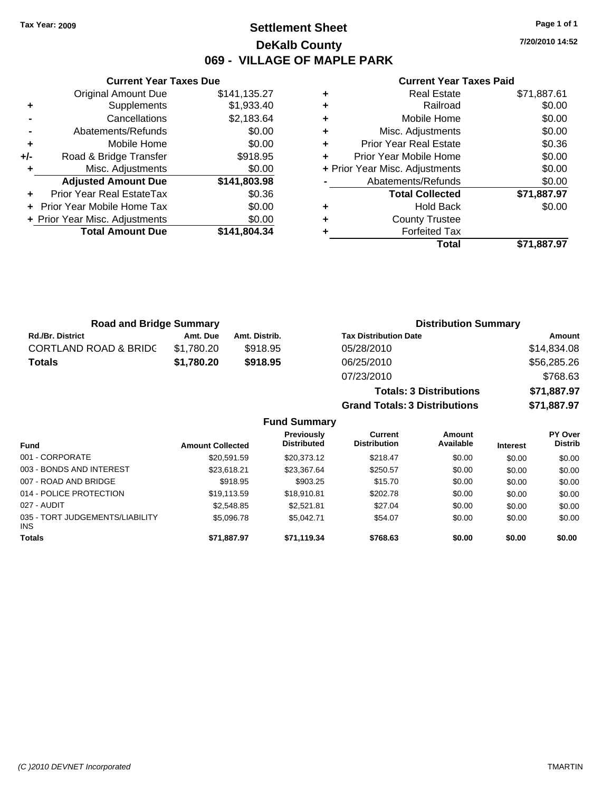## **Settlement Sheet Tax Year: 2009 Page 1 of 1 DeKalb County 069 - VILLAGE OF MAPLE PARK**

**7/20/2010 14:52**

### **Current Year Taxes Paid**

|     | <b>Current Year Taxes Due</b>  |              |  |
|-----|--------------------------------|--------------|--|
|     | <b>Original Amount Due</b>     | \$141,135.27 |  |
| ٠   | Supplements                    | \$1,933.40   |  |
|     | Cancellations                  | \$2,183.64   |  |
|     | Abatements/Refunds             | \$0.00       |  |
| ٠   | Mobile Home                    | \$0.00       |  |
| +/- | Road & Bridge Transfer         | \$918.95     |  |
| ٠   | Misc. Adjustments              | \$0.00       |  |
|     | <b>Adjusted Amount Due</b>     | \$141,803.98 |  |
| ٠   | Prior Year Real EstateTax      | \$0.36       |  |
|     | Prior Year Mobile Home Tax     | \$0.00       |  |
|     | + Prior Year Misc. Adjustments | \$0.00       |  |
|     | <b>Total Amount Due</b>        | \$141.804.34 |  |
|     |                                |              |  |

|   | <b>Real Estate</b>             | \$71,887.61 |
|---|--------------------------------|-------------|
| ٠ | Railroad                       | \$0.00      |
| ٠ | Mobile Home                    | \$0.00      |
| ٠ | Misc. Adjustments              | \$0.00      |
| ٠ | <b>Prior Year Real Estate</b>  | \$0.36      |
| ٠ | Prior Year Mobile Home         | \$0.00      |
|   | + Prior Year Misc. Adjustments | \$0.00      |
|   | Abatements/Refunds             | \$0.00      |
|   | <b>Total Collected</b>         | \$71,887.97 |
| ٠ | <b>Hold Back</b>               | \$0.00      |
| ٠ | <b>County Trustee</b>          |             |
| ٠ | <b>Forfeited Tax</b>           |             |
|   | Total                          | \$71.887.97 |

**Totals: 3 Distributions \$71,887.97**

**Grand Totals: 3 Distributions \$71,887.97**

| <b>Road and Bridge Summary</b>   |            |               | <b>Distribution Summary</b>  |             |  |
|----------------------------------|------------|---------------|------------------------------|-------------|--|
| <b>Rd./Br. District</b>          | Amt. Due   | Amt. Distrib. | <b>Tax Distribution Date</b> | Amount      |  |
| <b>CORTLAND ROAD &amp; BRIDC</b> | \$1.780.20 | \$918.95      | 05/28/2010                   | \$14,834.08 |  |
| <b>Totals</b>                    | \$1.780.20 | \$918.95      | 06/25/2010                   | \$56,285.26 |  |
|                                  |            |               | 07/23/2010                   | \$768.63    |  |

|                                         |                         | <b>Fund Summary</b>              |                                |                     |                 |                           |
|-----------------------------------------|-------------------------|----------------------------------|--------------------------------|---------------------|-----------------|---------------------------|
| <b>Fund</b>                             | <b>Amount Collected</b> | Previously<br><b>Distributed</b> | Current<br><b>Distribution</b> | Amount<br>Available | <b>Interest</b> | PY Over<br><b>Distrib</b> |
| 001 - CORPORATE                         | \$20.591.59             | \$20,373.12                      | \$218.47                       | \$0.00              | \$0.00          | \$0.00                    |
| 003 - BONDS AND INTEREST                | \$23,618.21             | \$23.367.64                      | \$250.57                       | \$0.00              | \$0.00          | \$0.00                    |
| 007 - ROAD AND BRIDGE                   | \$918.95                | \$903.25                         | \$15.70                        | \$0.00              | \$0.00          | \$0.00                    |
| 014 - POLICE PROTECTION                 | \$19,113.59             | \$18,910.81                      | \$202.78                       | \$0.00              | \$0.00          | \$0.00                    |
| 027 - AUDIT                             | \$2,548.85              | \$2.521.81                       | \$27.04                        | \$0.00              | \$0.00          | \$0.00                    |
| 035 - TORT JUDGEMENTS/LIABILITY<br>INS. | \$5,096.78              | \$5.042.71                       | \$54.07                        | \$0.00              | \$0.00          | \$0.00                    |
| <b>Totals</b>                           | \$71,887.97             | \$71,119.34                      | \$768.63                       | \$0.00              | \$0.00          | \$0.00                    |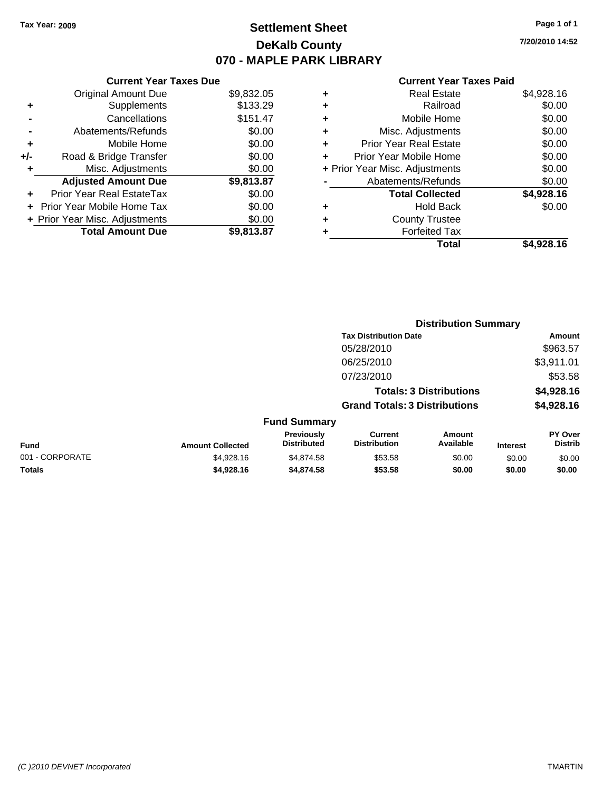## **Settlement Sheet Tax Year: 2009 Page 1 of 1 DeKalb County 070 - MAPLE PARK LIBRARY**

**7/20/2010 14:52**

### **Current Year Taxes Paid**

|     | <b>Current Year Taxes Due</b>    |            |
|-----|----------------------------------|------------|
|     | <b>Original Amount Due</b>       | \$9,832.05 |
| ٠   | Supplements                      | \$133.29   |
|     | Cancellations                    | \$151.47   |
|     | Abatements/Refunds               | \$0.00     |
| ٠   | Mobile Home                      | \$0.00     |
| +/- | Road & Bridge Transfer           | \$0.00     |
| ٠   | Misc. Adjustments                | \$0.00     |
|     | <b>Adjusted Amount Due</b>       | \$9,813.87 |
|     | <b>Prior Year Real EstateTax</b> | \$0.00     |
|     | Prior Year Mobile Home Tax       | \$0.00     |
|     | + Prior Year Misc. Adjustments   | \$0.00     |
|     | <b>Total Amount Due</b>          | \$9,813,87 |

|                 | <b>Distribution Summary</b> |                                  |                                       |                                |                 |                           |
|-----------------|-----------------------------|----------------------------------|---------------------------------------|--------------------------------|-----------------|---------------------------|
|                 |                             |                                  | <b>Tax Distribution Date</b>          |                                |                 | Amount                    |
|                 |                             |                                  | 05/28/2010                            |                                |                 | \$963.57                  |
|                 |                             |                                  | 06/25/2010                            |                                |                 | \$3,911.01                |
|                 |                             |                                  | 07/23/2010                            |                                |                 | \$53.58                   |
|                 |                             |                                  |                                       | <b>Totals: 3 Distributions</b> |                 | \$4,928.16                |
|                 |                             |                                  | <b>Grand Totals: 3 Distributions</b>  |                                |                 | \$4,928.16                |
|                 |                             | <b>Fund Summary</b>              |                                       |                                |                 |                           |
| <b>Fund</b>     | <b>Amount Collected</b>     | Previously<br><b>Distributed</b> | <b>Current</b><br><b>Distribution</b> | Amount<br>Available            | <b>Interest</b> | PY Over<br><b>Distrib</b> |
| 001 - CORPORATE | \$4,928.16                  | \$4.874.58                       | \$53.58                               | \$0.00                         | \$0.00          | \$0.00                    |

**Totals \$4,928.16 \$4,874.58 \$53.58 \$0.00 \$0.00 \$0.00**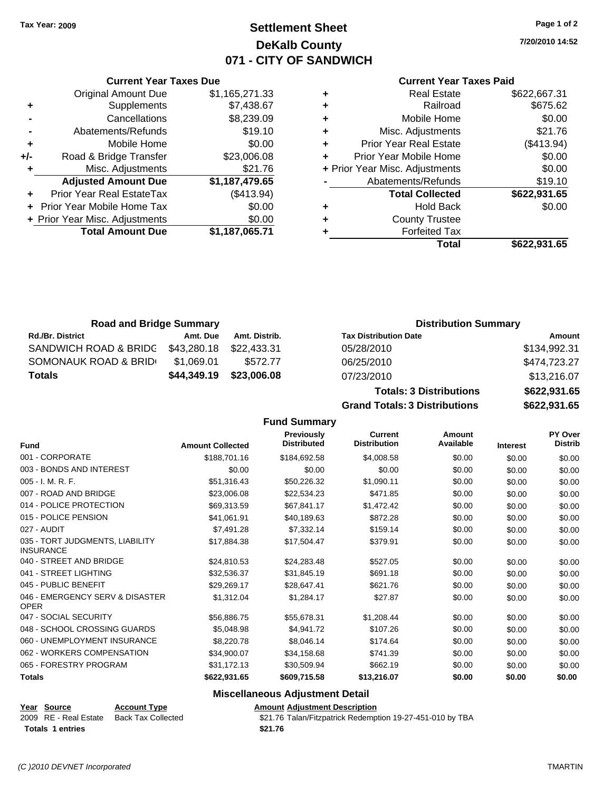**Current Year Taxes Due** Original Amount Due \$1,165,271.33

**Adjusted Amount Due \$1,187,479.65**

**Total Amount Due \$1,187,065.71**

**+** Supplements \$7,438.67 **-** Cancellations \$8,239.09 **-** Abatements/Refunds \$19.10 **+** Mobile Home \$0.00 **+/-** Road & Bridge Transfer \$23,006.08 **+** Misc. Adjustments \$21.76

**+** Prior Year Real EstateTax (\$413.94) **+** Prior Year Mobile Home Tax \$0.00 **+ Prior Year Misc. Adjustments**  $$0.00$ 

## **Settlement Sheet Tax Year: 2009 Page 1 of 2 DeKalb County 071 - CITY OF SANDWICH**

**7/20/2010 14:52**

### **Current Year Taxes Paid**

|   | <b>Real Estate</b>             | \$622,667.31 |
|---|--------------------------------|--------------|
| ٠ | Railroad                       | \$675.62     |
| ٠ | Mobile Home                    | \$0.00       |
| ٠ | Misc. Adjustments              | \$21.76      |
| ٠ | <b>Prior Year Real Estate</b>  | (\$413.94)   |
|   | Prior Year Mobile Home         | \$0.00       |
|   | + Prior Year Misc. Adjustments | \$0.00       |
|   | Abatements/Refunds             | \$19.10      |
|   | <b>Total Collected</b>         | \$622,931.65 |
| ٠ | <b>Hold Back</b>               | \$0.00       |
| ٠ | <b>County Trustee</b>          |              |
|   | <b>Forfeited Tax</b>           |              |
|   | Total                          | \$622.931.65 |

**Totals: 3 Distributions \$622,931.65**

| <b>Road and Bridge Summary</b> |             |               | <b>Distribution Summary</b>  |              |
|--------------------------------|-------------|---------------|------------------------------|--------------|
| <b>Rd./Br. District</b>        | Amt. Due    | Amt. Distrib. | <b>Tax Distribution Date</b> | Amount       |
| SANDWICH ROAD & BRIDG          | \$43,280.18 | \$22,433.31   | 05/28/2010                   | \$134,992.31 |
| SOMONAUK ROAD & BRID           | \$1,069.01  | \$572.77      | 06/25/2010                   | \$474,723.27 |
| <b>Totals</b>                  | \$44,349.19 | \$23,006.08   | 07/23/2010                   | \$13,216.07  |

| <b>Grand Totals: 3 Distributions</b> |  |  |  |
|--------------------------------------|--|--|--|
|                                      |  |  |  |

|                                                     |                         | <b>Fund Summary</b>              |                                       |                     |                 |                                  |
|-----------------------------------------------------|-------------------------|----------------------------------|---------------------------------------|---------------------|-----------------|----------------------------------|
| <b>Fund</b>                                         | <b>Amount Collected</b> | Previously<br><b>Distributed</b> | <b>Current</b><br><b>Distribution</b> | Amount<br>Available | <b>Interest</b> | <b>PY Over</b><br><b>Distrib</b> |
| 001 - CORPORATE                                     | \$188,701.16            | \$184,692.58                     | \$4,008.58                            | \$0.00              | \$0.00          | \$0.00                           |
| 003 - BONDS AND INTEREST                            | \$0.00                  | \$0.00                           | \$0.00                                | \$0.00              | \$0.00          | \$0.00                           |
| $005 - I. M. R. F.$                                 | \$51,316.43             | \$50,226.32                      | \$1,090.11                            | \$0.00              | \$0.00          | \$0.00                           |
| 007 - ROAD AND BRIDGE                               | \$23,006.08             | \$22,534.23                      | \$471.85                              | \$0.00              | \$0.00          | \$0.00                           |
| 014 - POLICE PROTECTION                             | \$69,313.59             | \$67,841.17                      | \$1,472.42                            | \$0.00              | \$0.00          | \$0.00                           |
| 015 - POLICE PENSION                                | \$41,061.91             | \$40,189.63                      | \$872.28                              | \$0.00              | \$0.00          | \$0.00                           |
| 027 - AUDIT                                         | \$7,491.28              | \$7,332.14                       | \$159.14                              | \$0.00              | \$0.00          | \$0.00                           |
| 035 - TORT JUDGMENTS, LIABILITY<br><b>INSURANCE</b> | \$17,884.38             | \$17,504.47                      | \$379.91                              | \$0.00              | \$0.00          | \$0.00                           |
| 040 - STREET AND BRIDGE                             | \$24,810.53             | \$24,283.48                      | \$527.05                              | \$0.00              | \$0.00          | \$0.00                           |
| 041 - STREET LIGHTING                               | \$32,536.37             | \$31,845.19                      | \$691.18                              | \$0.00              | \$0.00          | \$0.00                           |
| 045 - PUBLIC BENEFIT                                | \$29,269.17             | \$28,647.41                      | \$621.76                              | \$0.00              | \$0.00          | \$0.00                           |
| 046 - EMERGENCY SERV & DISASTER<br><b>OPER</b>      | \$1,312.04              | \$1,284.17                       | \$27.87                               | \$0.00              | \$0.00          | \$0.00                           |
| 047 - SOCIAL SECURITY                               | \$56,886.75             | \$55,678.31                      | \$1,208.44                            | \$0.00              | \$0.00          | \$0.00                           |
| 048 - SCHOOL CROSSING GUARDS                        | \$5,048.98              | \$4,941.72                       | \$107.26                              | \$0.00              | \$0.00          | \$0.00                           |
| 060 - UNEMPLOYMENT INSURANCE                        | \$8,220.78              | \$8,046.14                       | \$174.64                              | \$0.00              | \$0.00          | \$0.00                           |
| 062 - WORKERS COMPENSATION                          | \$34,900.07             | \$34,158.68                      | \$741.39                              | \$0.00              | \$0.00          | \$0.00                           |
| 065 - FORESTRY PROGRAM                              | \$31,172.13             | \$30,509.94                      | \$662.19                              | \$0.00              | \$0.00          | \$0.00                           |
| <b>Totals</b>                                       | \$622,931.65            | \$609,715.58                     | \$13,216.07                           | \$0.00              | \$0.00          | \$0.00                           |

### **Miscellaneous Adjustment Detail**

### **Year Source Account Type Amount Adjustment Description**

2009 RE - Real Estate Back Tax Collected \$21.76 Talan/Fitzpatrick Redemption 19-27-451-010 by TBA **Totals \$21.76 1 entries**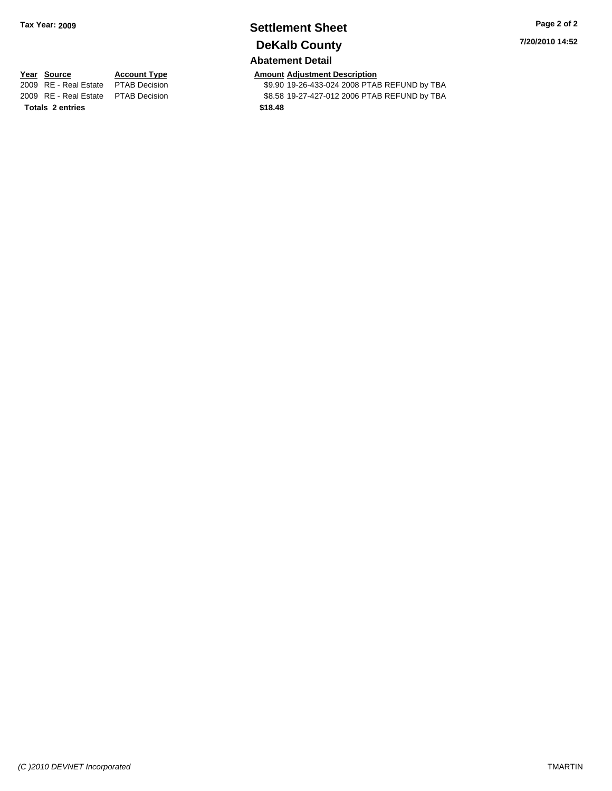## **Settlement Sheet Tax Year: 2009 Page 2 of 2 DeKalb County**

## **Abatement Detail**

**7/20/2010 14:52**

# **Totals \$18.48 2 entries**

**Year Source Account Type Amount Adjustment Description**<br> **2009** RE - Real Estate PTAB Decision **Amount 49.90 19-26-433-024 2008** PTAI \$9.90 19-26-433-024 2008 PTAB REFUND by TBA 2009 RE - Real Estate \$8.58 19-27-427-012 2006 PTAB REFUND by TBA PTAB Decision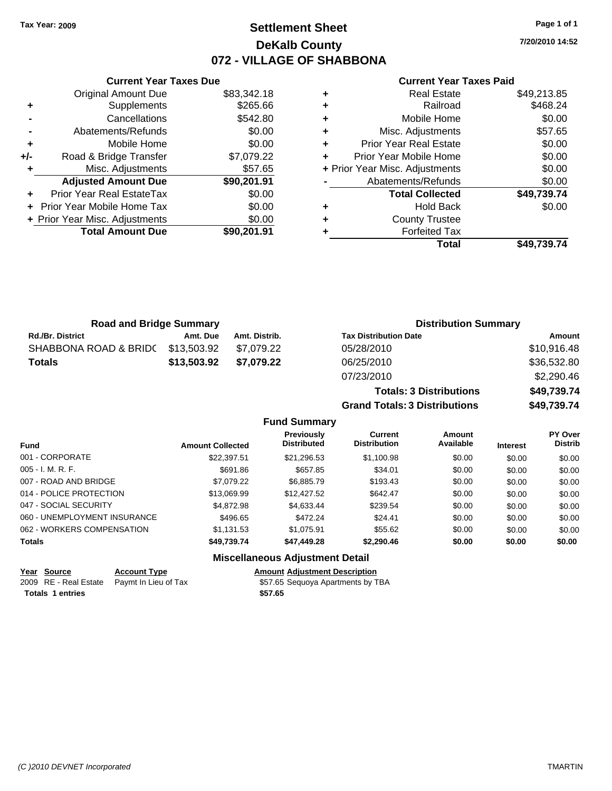## **Settlement Sheet Tax Year: 2009 Page 1 of 1 DeKalb County 072 - VILLAGE OF SHABBONA**

**7/20/2010 14:52**

### **Current Year Taxes Paid**

|     | <b>Total Amount Due</b>        | \$90,201.91 |
|-----|--------------------------------|-------------|
|     | + Prior Year Misc. Adjustments | \$0.00      |
|     | Prior Year Mobile Home Tax     | \$0.00      |
|     | Prior Year Real EstateTax      | \$0.00      |
|     | <b>Adjusted Amount Due</b>     | \$90,201.91 |
|     | Misc. Adjustments              | \$57.65     |
| +/- | Road & Bridge Transfer         | \$7,079.22  |
| ٠   | Mobile Home                    | \$0.00      |
|     | Abatements/Refunds             | \$0.00      |
|     | Cancellations                  | \$542.80    |
| ٠   | Supplements                    | \$265.66    |
|     | <b>Original Amount Due</b>     | \$83,342.18 |
|     |                                |             |

**Current Year Taxes Due**

|   | <b>Real Estate</b>             | \$49,213.85 |
|---|--------------------------------|-------------|
| ٠ | Railroad                       | \$468.24    |
| ٠ | Mobile Home                    | \$0.00      |
| ٠ | Misc. Adjustments              | \$57.65     |
| ÷ | <b>Prior Year Real Estate</b>  | \$0.00      |
| ÷ | Prior Year Mobile Home         | \$0.00      |
|   | + Prior Year Misc. Adjustments | \$0.00      |
|   | Abatements/Refunds             | \$0.00      |
|   | <b>Total Collected</b>         | \$49,739.74 |
| ٠ | <b>Hold Back</b>               | \$0.00      |
| ٠ | <b>County Trustee</b>          |             |
| ٠ | <b>Forfeited Tax</b>           |             |
|   | Total                          | \$49.739.74 |

**Totals: 3 Distributions \$49,739.74**

**Grand Totals: 3 Distributions \$49,739.74**

| <b>Road and Bridge Summary</b> |             |               | <b>Distribution Summary</b>  |             |  |
|--------------------------------|-------------|---------------|------------------------------|-------------|--|
| <b>Rd./Br. District</b>        | Amt. Due    | Amt. Distrib. | <b>Tax Distribution Date</b> | Amount      |  |
| SHABBONA ROAD & BRIDC          | \$13,503.92 | \$7.079.22    | 05/28/2010                   | \$10,916.48 |  |
| <b>Totals</b>                  | \$13,503.92 | \$7.079.22    | 06/25/2010                   | \$36,532.80 |  |
|                                |             |               | 07/23/2010                   | \$2,290.46  |  |

### **Fund Summary Fund Interest Amount Collected Distributed PY Over Distrib Amount Available Current Distribution Previously** 001 - CORPORATE \$22,397.51 \$21,296.53 \$1,100.98 \$0.00 \$0.00 \$0.00 005 - I. M. R. F. Charles Communication (State Step 1.86 \$657.85 \$34.01 \$0.00 \$0.00 \$0.00 \$0.00 007 - ROAD AND BRIDGE \$7,079.22 \$6,885.79 \$193.43 \$0.00 \$0.00 \$0.00 014 - POLICE PROTECTION \$13,069.99 \$12,427.52 \$642.47 \$0.00 \$0.00 \$0.00 \$0.00 047 - SOCIAL SECURITY 60.00 \$4,872.98 \$4,633.44 \$239.54 \$0.00 \$0.00 \$0.00 \$0.00 060 - UNEMPLOYMENT INSURANCE \$496.65 \$472.24 \$24.41 \$0.00 \$0.00 \$0.00 \$0.00 062 - WORKERS COMPENSATION \$1,131.53 \$1,075.91 \$55.62 \$0.00 \$0.00 \$0.00 \$0.00 **Totals \$49,739.74 \$47,449.28 \$2,290.46 \$0.00 \$0.00 \$0.00 Miscellaneous Adjustment Detail**

| <u>Year Source</u>      | <b>Account Type</b>                        | <b>Amount Adiustment Description</b> |
|-------------------------|--------------------------------------------|--------------------------------------|
|                         | 2009 RE - Real Estate Paymt In Lieu of Tax | \$57.65 Sequoya Apartments by TBA    |
| <b>Totals 1 entries</b> |                                            | \$57.65                              |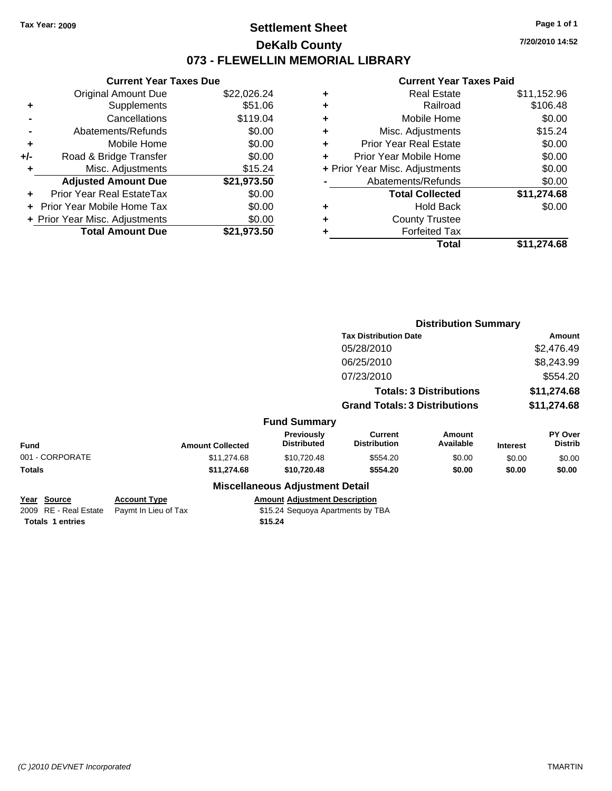## **Settlement Sheet Tax Year: 2009 Page 1 of 1 DeKalb County 073 - FLEWELLIN MEMORIAL LIBRARY**

**7/20/2010 14:52**

### **Current Year Taxes Paid**

| <b>Current Year Taxes Due</b>  |             |
|--------------------------------|-------------|
| <b>Original Amount Due</b>     | \$22,026.24 |
| Supplements                    | \$51.06     |
| Cancellations                  | \$119.04    |
| Abatements/Refunds             | \$0.00      |
| Mobile Home                    | \$0.00      |
| Road & Bridge Transfer         | \$0.00      |
| Misc. Adjustments              | \$15.24     |
| <b>Adjusted Amount Due</b>     | \$21,973.50 |
| Prior Year Real EstateTax      | \$0.00      |
| Prior Year Mobile Home Tax     | \$0.00      |
| + Prior Year Misc. Adjustments | \$0.00      |
| <b>Total Amount Due</b>        | \$21.973.50 |
|                                |             |

| ٠ | <b>Real Estate</b>             | \$11,152.96 |
|---|--------------------------------|-------------|
| ٠ | Railroad                       | \$106.48    |
| ٠ | Mobile Home                    | \$0.00      |
| ٠ | Misc. Adjustments              | \$15.24     |
| ÷ | <b>Prior Year Real Estate</b>  | \$0.00      |
| ٠ | Prior Year Mobile Home         | \$0.00      |
|   | + Prior Year Misc. Adjustments | \$0.00      |
|   | Abatements/Refunds             | \$0.00      |
|   | <b>Total Collected</b>         | \$11,274.68 |
| ٠ | <b>Hold Back</b>               | \$0.00      |
| ٠ | <b>County Trustee</b>          |             |
| ٠ | <b>Forfeited Tax</b>           |             |
|   | Total                          | \$11,274.68 |
|   |                                |             |

|                                                                 |                                             |                                                                                      |                                       | <b>Distribution Summary</b>    |                 |                           |
|-----------------------------------------------------------------|---------------------------------------------|--------------------------------------------------------------------------------------|---------------------------------------|--------------------------------|-----------------|---------------------------|
|                                                                 |                                             |                                                                                      | <b>Tax Distribution Date</b>          |                                |                 | Amount                    |
|                                                                 |                                             |                                                                                      | 05/28/2010                            |                                |                 | \$2,476.49                |
|                                                                 |                                             |                                                                                      | 06/25/2010                            |                                |                 | \$8,243.99                |
|                                                                 |                                             |                                                                                      | 07/23/2010                            |                                |                 | \$554.20                  |
|                                                                 |                                             |                                                                                      |                                       | <b>Totals: 3 Distributions</b> |                 | \$11,274.68               |
|                                                                 |                                             |                                                                                      | <b>Grand Totals: 3 Distributions</b>  |                                |                 | \$11,274.68               |
|                                                                 |                                             | <b>Fund Summary</b>                                                                  |                                       |                                |                 |                           |
| <b>Fund</b>                                                     | <b>Amount Collected</b>                     | <b>Previously</b><br><b>Distributed</b>                                              | <b>Current</b><br><b>Distribution</b> | <b>Amount</b><br>Available     | <b>Interest</b> | PY Over<br><b>Distrib</b> |
| 001 - CORPORATE                                                 | \$11,274.68                                 | \$10,720.48                                                                          | \$554.20                              | \$0.00                         | \$0.00          | \$0.00                    |
| Totals                                                          | \$11,274.68                                 | \$10,720.48                                                                          | \$554.20                              | \$0.00                         | \$0.00          | \$0.00                    |
|                                                                 |                                             | <b>Miscellaneous Adjustment Detail</b>                                               |                                       |                                |                 |                           |
| Year Source<br>2009 RE - Real Estate<br><b>Totals 1 entries</b> | <b>Account Type</b><br>Paymt In Lieu of Tax | <b>Amount Adjustment Description</b><br>\$15.24 Sequoya Apartments by TBA<br>\$15.24 |                                       |                                |                 |                           |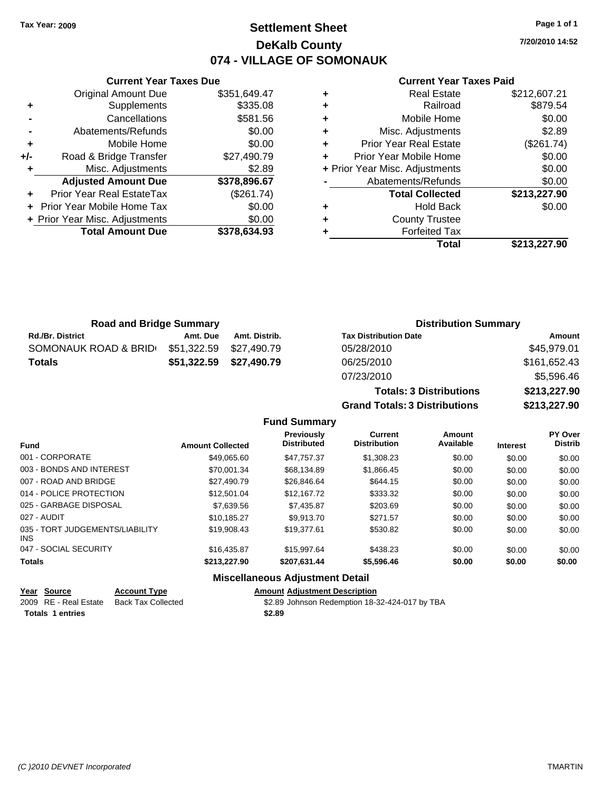## **Settlement Sheet Tax Year: 2009 Page 1 of 1 DeKalb County 074 - VILLAGE OF SOMONAUK**

**7/20/2010 14:52**

### **Current Year Taxes Paid**

|     | <b>Current Year Taxes Due</b>     |              |
|-----|-----------------------------------|--------------|
|     | <b>Original Amount Due</b>        | \$351,649.47 |
| ٠   | Supplements                       | \$335.08     |
|     | Cancellations                     | \$581.56     |
|     | Abatements/Refunds                | \$0.00       |
| ٠   | Mobile Home                       | \$0.00       |
| +/- | Road & Bridge Transfer            | \$27,490.79  |
| ٠   | Misc. Adjustments                 | \$2.89       |
|     | <b>Adjusted Amount Due</b>        | \$378,896.67 |
|     | <b>Prior Year Real EstateTax</b>  | (\$261.74)   |
|     | <b>Prior Year Mobile Home Tax</b> | \$0.00       |
|     | + Prior Year Misc. Adjustments    | \$0.00       |
|     | <b>Total Amount Due</b>           | \$378,634.93 |
|     |                                   |              |

| <b>Real Estate</b> | \$212,607.21                                                                                                                                                                                                                   |
|--------------------|--------------------------------------------------------------------------------------------------------------------------------------------------------------------------------------------------------------------------------|
| Railroad           | \$879.54                                                                                                                                                                                                                       |
|                    | \$0.00                                                                                                                                                                                                                         |
|                    | \$2.89                                                                                                                                                                                                                         |
|                    | (\$261.74)                                                                                                                                                                                                                     |
|                    | \$0.00                                                                                                                                                                                                                         |
|                    | \$0.00                                                                                                                                                                                                                         |
|                    | \$0.00                                                                                                                                                                                                                         |
|                    | \$213,227.90                                                                                                                                                                                                                   |
| <b>Hold Back</b>   | \$0.00                                                                                                                                                                                                                         |
|                    |                                                                                                                                                                                                                                |
|                    |                                                                                                                                                                                                                                |
| Total              | \$213,227.90                                                                                                                                                                                                                   |
|                    | Mobile Home<br>Misc. Adjustments<br><b>Prior Year Real Estate</b><br>Prior Year Mobile Home<br>+ Prior Year Misc. Adjustments<br>Abatements/Refunds<br><b>Total Collected</b><br><b>County Trustee</b><br><b>Forfeited Tax</b> |

**Totals: 3 Distributions \$213,227.90**

**Grand Totals: 3 Distributions \$213,227.90**

| <b>Road and Bridge Summary</b> |                         |               | <b>Distribution Summary</b>  |              |
|--------------------------------|-------------------------|---------------|------------------------------|--------------|
| <b>Rd./Br. District</b>        | Amt. Due                | Amt. Distrib. | <b>Tax Distribution Date</b> | Amount       |
| SOMONAUK ROAD & BRID           | \$51,322.59             | \$27.490.79   | 05/28/2010                   | \$45,979.01  |
| <b>Totals</b>                  | \$51,322.59 \$27,490.79 |               | 06/25/2010                   | \$161,652.43 |
|                                |                         |               | 07/23/2010                   | \$5,596.46   |

**Fund Summary Fund Interest Amount Collected Distributed PY Over Distrib Amount Available Current Distribution Previously** 001 - CORPORATE \$49,065.60 \$47,757.37 \$1,308.23 \$0.00 \$0.00 \$0.00 003 - BONDS AND INTEREST \$70,001.34 \$68,134.89 \$1,866.45 \$0.00 \$0.00 \$0.00 007 - ROAD AND BRIDGE 60.00 \$27,490.79 \$26,846.64 \$644.15 \$0.00 \$0.00 \$0.00 \$0.00 014 - POLICE PROTECTION \$12,501.04 \$12,167.72 \$333.32 \$0.00 \$0.00 \$0.00 025 - GARBAGE DISPOSAL \$7,639.56 \$7,435.87 \$203.69 \$0.00 \$0.00 \$0.00 027 - AUDIT \$10,185.27 \$9,913.70 \$271.57 \$0.00 \$0.00 \$0.00 035 - TORT JUDGEMENTS/LIABILITY INS \$19,908.43 \$19,377.61 \$530.82 \$0.00 \$0.00 \$0.00 047 - SOCIAL SECURITY \$16,435.87 \$15,997.64 \$438.23 \$0.00 \$0.00 \$0.00 **Totals \$213,227.90 \$207,631.44 \$5,596.46 \$0.00 \$0.00 \$0.00 Miscellaneous Adjustment Detail**

| Year Source             | <b>Account Type</b>       | <b>Amount Adjustment Description</b>           |
|-------------------------|---------------------------|------------------------------------------------|
| 2009 RE - Real Estate   | <b>Back Tax Collected</b> | \$2.89 Johnson Redemption 18-32-424-017 by TBA |
| <b>Totals 1 entries</b> |                           | \$2.89                                         |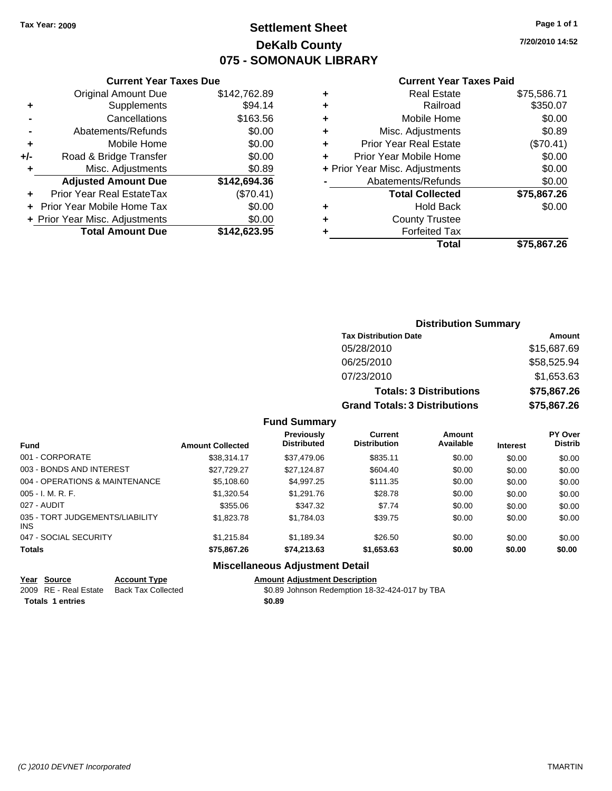## **Settlement Sheet Tax Year: 2009 Page 1 of 1 DeKalb County 075 - SOMONAUK LIBRARY**

**7/20/2010 14:52**

### **Current Year Taxes Paid**

|     | <b>Original Amount Due</b>     | \$142,762.89 |
|-----|--------------------------------|--------------|
| ٠   | Supplements                    | \$94.14      |
|     | Cancellations                  | \$163.56     |
|     | Abatements/Refunds             | \$0.00       |
| ٠   | Mobile Home                    | \$0.00       |
| +/- | Road & Bridge Transfer         | \$0.00       |
| ٠   | Misc. Adjustments              | \$0.89       |
|     | <b>Adjusted Amount Due</b>     | \$142,694.36 |
|     | Prior Year Real EstateTax      | (\$70.41)    |
|     | Prior Year Mobile Home Tax     | \$0.00       |
|     | + Prior Year Misc. Adjustments | \$0.00       |
|     | <b>Total Amount Due</b>        | \$142,623.95 |
|     |                                |              |

**Current Year Taxes Due**

|   | <b>Real Estate</b>             | \$75,586.71 |
|---|--------------------------------|-------------|
| ٠ | Railroad                       | \$350.07    |
| ٠ | Mobile Home                    | \$0.00      |
| ٠ | Misc. Adjustments              | \$0.89      |
| ٠ | <b>Prior Year Real Estate</b>  | (\$70.41)   |
| ٠ | Prior Year Mobile Home         | \$0.00      |
|   | + Prior Year Misc. Adjustments | \$0.00      |
|   | Abatements/Refunds             | \$0.00      |
|   | <b>Total Collected</b>         | \$75,867.26 |
| ٠ | Hold Back                      | \$0.00      |
| ٠ | <b>County Trustee</b>          |             |
| ٠ | <b>Forfeited Tax</b>           |             |
|   | Total                          | \$75,867.26 |
|   |                                |             |

## **Distribution Summary Tax Distribution Date Amount** 05/28/2010 \$15,687.69 06/25/2010 \$58,525.94 07/23/2010 \$1,653.63 **Totals: 3 Distributions \$75,867.26 Grand Totals: 3 Distributions \$75,867.26**

### **Fund Summary**

| <b>Fund</b>                            | <b>Amount Collected</b> | <b>Previously</b><br><b>Distributed</b> | <b>Current</b><br><b>Distribution</b> | Amount<br>Available | <b>Interest</b> | <b>PY Over</b><br><b>Distrib</b> |
|----------------------------------------|-------------------------|-----------------------------------------|---------------------------------------|---------------------|-----------------|----------------------------------|
| 001 - CORPORATE                        | \$38.314.17             | \$37,479.06                             | \$835.11                              | \$0.00              | \$0.00          | \$0.00                           |
| 003 - BONDS AND INTEREST               | \$27.729.27             | \$27,124.87                             | \$604.40                              | \$0.00              | \$0.00          | \$0.00                           |
| 004 - OPERATIONS & MAINTENANCE         | \$5,108.60              | \$4,997.25                              | \$111.35                              | \$0.00              | \$0.00          | \$0.00                           |
| $005 - I. M. R. F.$                    | \$1,320.54              | \$1,291.76                              | \$28.78                               | \$0.00              | \$0.00          | \$0.00                           |
| 027 - AUDIT                            | \$355.06                | \$347.32                                | \$7.74                                | \$0.00              | \$0.00          | \$0.00                           |
| 035 - TORT JUDGEMENTS/LIABILITY<br>INS | \$1,823,78              | \$1,784.03                              | \$39.75                               | \$0.00              | \$0.00          | \$0.00                           |
| 047 - SOCIAL SECURITY                  | \$1,215.84              | \$1,189.34                              | \$26.50                               | \$0.00              | \$0.00          | \$0.00                           |
| <b>Totals</b>                          | \$75,867.26             | \$74,213.63                             | \$1,653.63                            | \$0.00              | \$0.00          | \$0.00                           |
|                                        | --- --                  |                                         |                                       |                     |                 |                                  |

### **Miscellaneous Adjustment Detail**

| Year Source             | <b>Account Type</b>       | <b>Amount Adiustment Description</b>           |
|-------------------------|---------------------------|------------------------------------------------|
| 2009 RE - Real Estate   | <b>Back Tax Collected</b> | \$0.89 Johnson Redemption 18-32-424-017 by TBA |
| <b>Totals 1 entries</b> |                           | \$0.89                                         |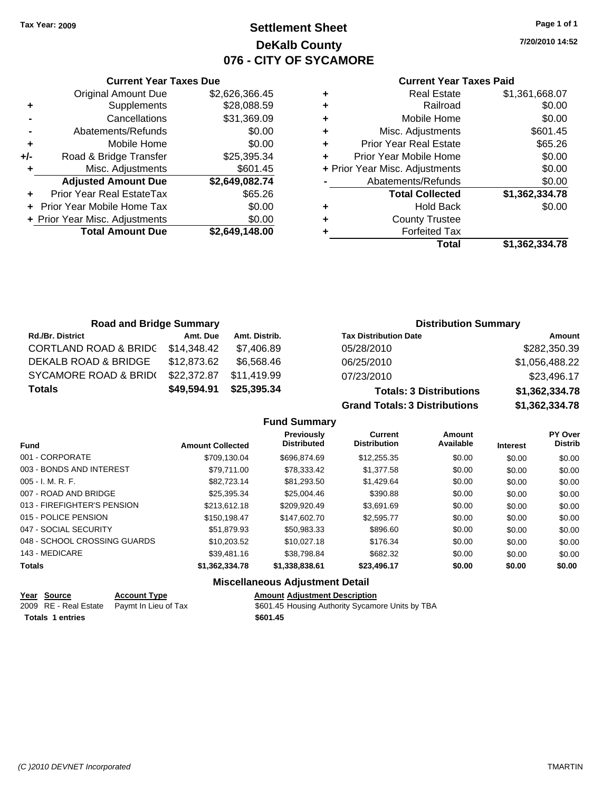**Current Year Taxes Due** Original Amount Due \$2,626,366.45

**Adjusted Amount Due \$2,649,082.74**

**Total Amount Due \$2,649,148.00**

**+** Supplements \$28,088.59 **-** Cancellations \$31,369.09 **-** Abatements/Refunds \$0.00 **+** Mobile Home \$0.00 **+/-** Road & Bridge Transfer \$25,395.34 **+** Misc. Adjustments \$601.45

**+** Prior Year Real EstateTax \$65.26 **+** Prior Year Mobile Home Tax \$0.00 **+ Prior Year Misc. Adjustments**  $$0.00$ 

## **Settlement Sheet Tax Year: 2009 Page 1 of 1 DeKalb County 076 - CITY OF SYCAMORE**

**7/20/2010 14:52**

### **Current Year Taxes Paid**

|   | Total                          | \$1.362.334.78 |
|---|--------------------------------|----------------|
| ٠ | <b>Forfeited Tax</b>           |                |
| ٠ | <b>County Trustee</b>          |                |
| ٠ | <b>Hold Back</b>               | \$0.00         |
|   | <b>Total Collected</b>         | \$1,362,334.78 |
|   | Abatements/Refunds             | \$0.00         |
|   | + Prior Year Misc. Adjustments | \$0.00         |
| ٠ | Prior Year Mobile Home         | \$0.00         |
| ÷ | <b>Prior Year Real Estate</b>  | \$65.26        |
| ٠ | Misc. Adjustments              | \$601.45       |
| ٠ | Mobile Home                    | \$0.00         |
| ٠ | Railroad                       | \$0.00         |
| ٠ | <b>Real Estate</b>             | \$1,361,668.07 |
|   |                                |                |

| <b>Road and Bridge Summary</b>   |             |               | <b>Distribution Summary</b>    |                |  |
|----------------------------------|-------------|---------------|--------------------------------|----------------|--|
| <b>Rd./Br. District</b>          | Amt. Due    | Amt. Distrib. | <b>Tax Distribution Date</b>   | Amount         |  |
| <b>CORTLAND ROAD &amp; BRIDC</b> | \$14.348.42 | \$7.406.89    | 05/28/2010                     | \$282,350.39   |  |
| DEKALB ROAD & BRIDGE             | \$12,873.62 | \$6,568.46    | 06/25/2010                     | \$1,056,488.22 |  |
| SYCAMORE ROAD & BRID(            | \$22,372.87 | \$11.419.99   | 07/23/2010                     | \$23,496.17    |  |
| <b>Totals</b>                    | \$49,594.91 | \$25,395.34   | <b>Totals: 3 Distributions</b> | \$1,362,334.78 |  |

**Grand Totals: 3 Distributions \$1,362,334.78**

| <b>Fund Summary</b> |  |
|---------------------|--|
|---------------------|--|

| <b>Amount Collected</b> | <b>Previously</b><br><b>Distributed</b> | <b>Current</b><br><b>Distribution</b> | Amount<br>Available | <b>Interest</b> | PY Over<br><b>Distrib</b> |
|-------------------------|-----------------------------------------|---------------------------------------|---------------------|-----------------|---------------------------|
| \$709.130.04            | \$696,874.69                            | \$12,255,35                           | \$0.00              | \$0.00          | \$0.00                    |
| \$79,711.00             | \$78,333.42                             | \$1,377.58                            | \$0.00              | \$0.00          | \$0.00                    |
| \$82.723.14             | \$81.293.50                             | \$1,429.64                            | \$0.00              | \$0.00          | \$0.00                    |
| \$25.395.34             | \$25,004.46                             | \$390.88                              | \$0.00              | \$0.00          | \$0.00                    |
| \$213.612.18            | \$209.920.49                            | \$3.691.69                            | \$0.00              | \$0.00          | \$0.00                    |
| \$150.198.47            | \$147,602.70                            | \$2,595.77                            | \$0.00              | \$0.00          | \$0.00                    |
| \$51.879.93             | \$50.983.33                             | \$896.60                              | \$0.00              | \$0.00          | \$0.00                    |
| \$10.203.52             | \$10,027.18                             | \$176.34                              | \$0.00              | \$0.00          | \$0.00                    |
| \$39,481.16             | \$38.798.84                             | \$682.32                              | \$0.00              | \$0.00          | \$0.00                    |
| \$1,362,334.78          | \$1,338,838.61                          | \$23,496.17                           | \$0.00              | \$0.00          | \$0.00                    |
|                         |                                         |                                       |                     |                 |                           |

### **Miscellaneous Adjustment Detail**

| Year Source             | <b>Account Type</b>                        | <b>Amount Adjustment Description</b>             |
|-------------------------|--------------------------------------------|--------------------------------------------------|
|                         | 2009 RE - Real Estate Paymt In Lieu of Tax | \$601.45 Housing Authority Sycamore Units by TBA |
| <b>Totals 1 entries</b> |                                            | \$601.45                                         |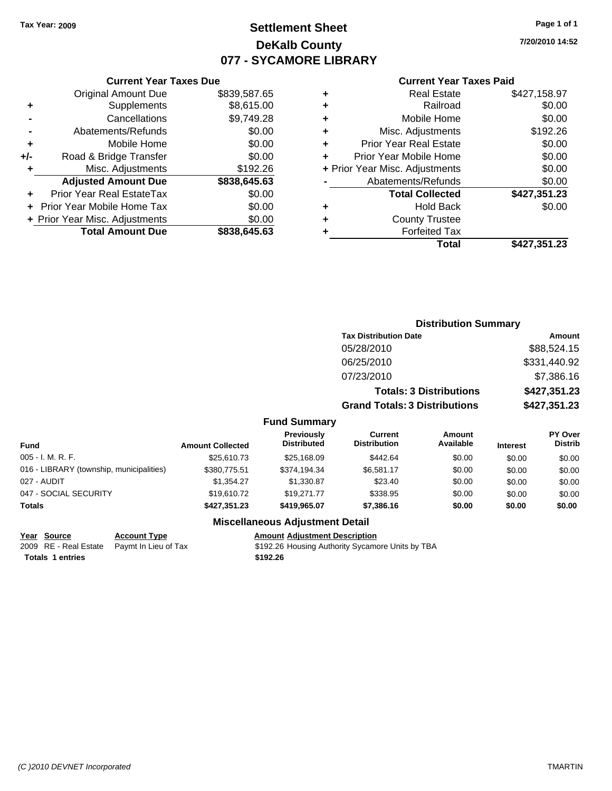# **Settlement Sheet Tax Year: 2009 Page 1 of 1 DeKalb County 077 - SYCAMORE LIBRARY**

**7/20/2010 14:52**

#### **Current Year Taxes Paid**

|     | <b>Current Year Taxes Due</b>  |              |  |  |  |
|-----|--------------------------------|--------------|--|--|--|
|     | <b>Original Amount Due</b>     | \$839,587.65 |  |  |  |
| ٠   | Supplements                    | \$8,615.00   |  |  |  |
|     | Cancellations                  | \$9,749.28   |  |  |  |
|     | Abatements/Refunds             | \$0.00       |  |  |  |
| ٠   | Mobile Home                    | \$0.00       |  |  |  |
| +/- | Road & Bridge Transfer         | \$0.00       |  |  |  |
|     | Misc. Adjustments              | \$192.26     |  |  |  |
|     | <b>Adjusted Amount Due</b>     | \$838,645.63 |  |  |  |
|     | Prior Year Real EstateTax      | \$0.00       |  |  |  |
|     | Prior Year Mobile Home Tax     | \$0.00       |  |  |  |
|     | + Prior Year Misc. Adjustments | \$0.00       |  |  |  |
|     | <b>Total Amount Due</b>        | \$838.645.63 |  |  |  |
|     |                                |              |  |  |  |

| ٠                              | <b>Real Estate</b>            | \$427,158.97 |
|--------------------------------|-------------------------------|--------------|
| ٠                              | Railroad                      | \$0.00       |
| ٠                              | Mobile Home                   | \$0.00       |
| ٠                              | Misc. Adjustments             | \$192.26     |
| ٠                              | <b>Prior Year Real Estate</b> | \$0.00       |
|                                | Prior Year Mobile Home        | \$0.00       |
| + Prior Year Misc. Adjustments |                               | \$0.00       |
|                                | Abatements/Refunds            | \$0.00       |
|                                | <b>Total Collected</b>        | \$427,351.23 |
| ٠                              | Hold Back                     | \$0.00       |
| ٠                              | <b>County Trustee</b>         |              |
| ٠                              | <b>Forfeited Tax</b>          |              |
|                                | Total                         | \$427,351.23 |
|                                |                               |              |

|                                          |                         |                                  | <b>Distribution Summary</b>           |                                |                 |                                  |
|------------------------------------------|-------------------------|----------------------------------|---------------------------------------|--------------------------------|-----------------|----------------------------------|
|                                          |                         |                                  | <b>Tax Distribution Date</b>          |                                |                 | <b>Amount</b>                    |
|                                          |                         |                                  | 05/28/2010                            |                                |                 | \$88,524.15                      |
|                                          |                         |                                  | 06/25/2010                            |                                |                 | \$331,440.92                     |
|                                          |                         |                                  | 07/23/2010                            |                                |                 | \$7,386.16                       |
|                                          |                         |                                  |                                       | <b>Totals: 3 Distributions</b> |                 | \$427,351.23                     |
|                                          |                         |                                  | <b>Grand Totals: 3 Distributions</b>  |                                |                 | \$427,351.23                     |
|                                          |                         | <b>Fund Summary</b>              |                                       |                                |                 |                                  |
| <b>Fund</b>                              | <b>Amount Collected</b> | Previously<br><b>Distributed</b> | <b>Current</b><br><b>Distribution</b> | Amount<br>Available            | <b>Interest</b> | <b>PY Over</b><br><b>Distrib</b> |
| 005 - I. M. R. F.                        | \$25,610.73             | \$25,168.09                      | \$442.64                              | \$0.00                         | \$0.00          | \$0.00                           |
| 016 - LIBRARY (township, municipalities) | \$380,775.51            | \$374,194.34                     | \$6,581.17                            | \$0.00                         | \$0.00          | \$0.00                           |
| 027 - AUDIT                              | \$1,354.27              | \$1,330.87                       | \$23.40                               | \$0.00                         | \$0.00          | \$0.00                           |
| 047 - SOCIAL SECURITY                    | \$19,610.72             | \$19,271.77                      | \$338.95                              | \$0.00                         | \$0.00          | \$0.00                           |
| Totals                                   | \$427,351.23            | \$419,965.07                     | \$7,386.16                            | \$0.00                         | \$0.00          | \$0.00                           |

## **Miscellaneous Adjustment Detail**

**Totals \$192.26 1 entries**

**Year Source Account Type Amount Adjustment Description**<br>
2009 RE - Real Estate Paymt In Lieu of Tax \$192.26 Housing Authority Sycame \$192.26 Housing Authority Sycamore Units by TBA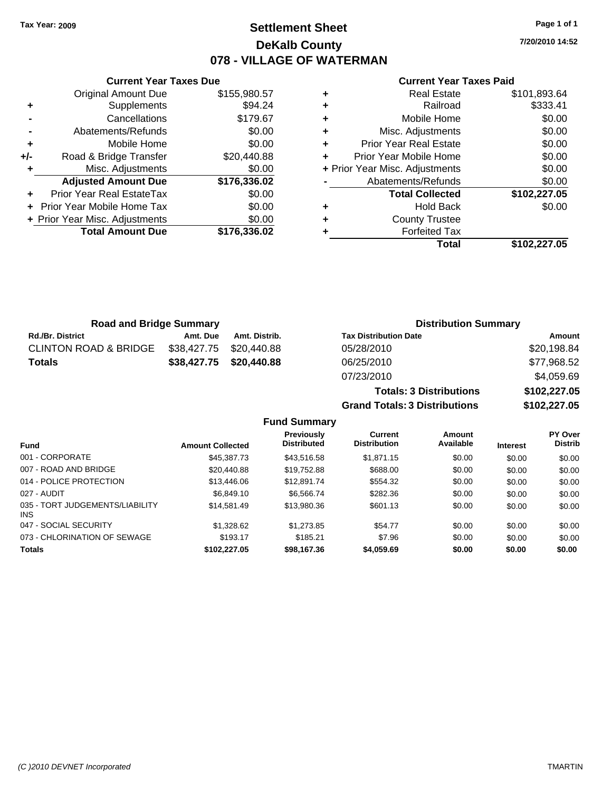# **Settlement Sheet Tax Year: 2009 Page 1 of 1 DeKalb County 078 - VILLAGE OF WATERMAN**

**7/20/2010 14:52**

#### **Current Year Taxes Paid**

|     | <b>Original Amount Due</b>     | \$155,980.57 |
|-----|--------------------------------|--------------|
| ٠   | Supplements                    | \$94.24      |
|     | Cancellations                  | \$179.67     |
|     | Abatements/Refunds             | \$0.00       |
| ٠   | Mobile Home                    | \$0.00       |
| +/- | Road & Bridge Transfer         | \$20,440.88  |
| ٠   | Misc. Adjustments              | \$0.00       |
|     | <b>Adjusted Amount Due</b>     | \$176,336.02 |
|     | Prior Year Real EstateTax      | \$0.00       |
|     | Prior Year Mobile Home Tax     | \$0.00       |
|     | + Prior Year Misc. Adjustments | \$0.00       |
|     | <b>Total Amount Due</b>        | \$176,336.02 |
|     |                                |              |

**Current Year Taxes Due**

|   | <b>Real Estate</b>             | \$101,893.64 |
|---|--------------------------------|--------------|
| ٠ | Railroad                       | \$333.41     |
| ٠ | Mobile Home                    | \$0.00       |
| ٠ | Misc. Adjustments              | \$0.00       |
| ÷ | <b>Prior Year Real Estate</b>  | \$0.00       |
| ٠ | Prior Year Mobile Home         | \$0.00       |
|   | + Prior Year Misc. Adjustments | \$0.00       |
|   | Abatements/Refunds             | \$0.00       |
|   | <b>Total Collected</b>         | \$102,227.05 |
| ٠ | Hold Back                      | \$0.00       |
| ٠ | <b>County Trustee</b>          |              |
|   | <b>Forfeited Tax</b>           |              |
|   | Total                          | \$102,227.05 |

**Totals: 3 Distributions \$102,227.05**

**Grand Totals: 3 Distributions \$102,227.05**

| <b>Road and Bridge Summary</b>   |                         |                         | <b>Distribution Summary</b>  |             |  |
|----------------------------------|-------------------------|-------------------------|------------------------------|-------------|--|
| <b>Rd./Br. District</b>          | Amt. Due                | Amt. Distrib.           | <b>Tax Distribution Date</b> | Amount      |  |
| <b>CLINTON ROAD &amp; BRIDGE</b> | \$38,427.75 \$20,440.88 |                         | 05/28/2010                   | \$20,198.84 |  |
| <b>Totals</b>                    |                         | \$38,427.75 \$20,440.88 | 06/25/2010                   | \$77,968.52 |  |
|                                  |                         |                         | 07/23/2010                   | \$4,059.69  |  |

**Fund Summary Fund Interest Amount Collected Distributed PY Over Distrib Amount Available Current Distribution Previously** 001 - CORPORATE \$45,387.73 \$43,516.58 \$1,871.15 \$0.00 \$0.00 \$0.00 007 - ROAD AND BRIDGE 60.00 \$20,440.88 \$19,752.88 \$688.00 \$0.00 \$0.00 \$0.00 \$0.00 014 - POLICE PROTECTION \$13,446.06 \$12,891.74 \$554.32 \$0.00 \$0.00 \$0.00 \$0.00 027 - AUDIT \$6,849.10 \$6,566.74 \$282.36 \$0.00 \$0.00 \$0.00 035 - TORT JUDGEMENTS/LIABILITY INS \$14,581.49 \$13,980.36 \$601.13 \$0.00 \$0.00 \$0.00 047 - SOCIAL SECURITY \$1,328.62 \$1,273.85 \$54.77 \$0.00 \$0.00 \$0.00 073 - CHLORINATION OF SEWAGE \$193.17 \$185.21 \$193.17 \$185.21 \$7.96 \$0.00 \$0.00 \$0.00 **Totals \$102,227.05 \$98,167.36 \$4,059.69 \$0.00 \$0.00 \$0.00**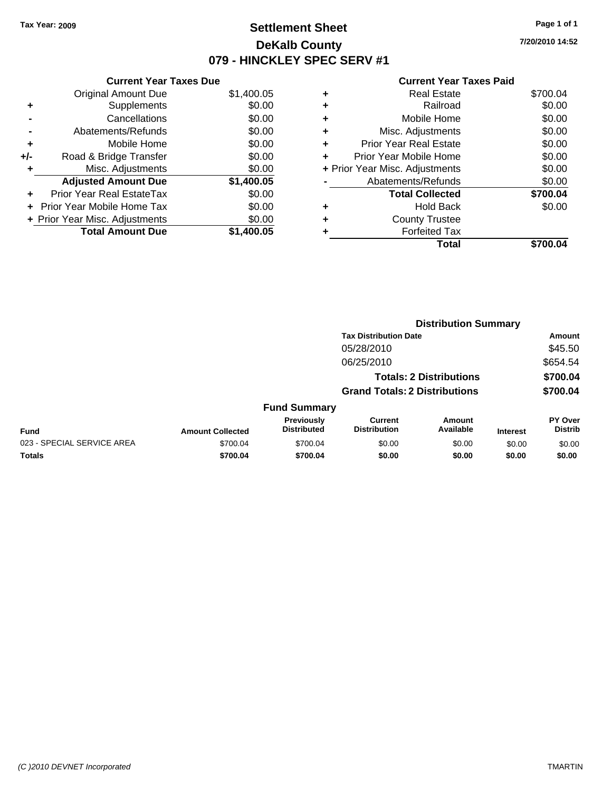# **Settlement Sheet Tax Year: 2009 Page 1 of 1 DeKalb County 079 - HINCKLEY SPEC SERV #1**

**7/20/2010 14:52**

|     | <b>Current Year Taxes Due</b>  |            |  |  |  |
|-----|--------------------------------|------------|--|--|--|
|     | <b>Original Amount Due</b>     | \$1,400.05 |  |  |  |
| ٠   | Supplements                    | \$0.00     |  |  |  |
|     | Cancellations                  | \$0.00     |  |  |  |
|     | Abatements/Refunds             | \$0.00     |  |  |  |
| ÷   | Mobile Home                    | \$0.00     |  |  |  |
| +/- | Road & Bridge Transfer         | \$0.00     |  |  |  |
|     | Misc. Adjustments              | \$0.00     |  |  |  |
|     | <b>Adjusted Amount Due</b>     | \$1,400.05 |  |  |  |
|     | Prior Year Real EstateTax      | \$0.00     |  |  |  |
|     | Prior Year Mobile Home Tax     | \$0.00     |  |  |  |
|     | + Prior Year Misc. Adjustments | \$0.00     |  |  |  |
|     | <b>Total Amount Due</b>        | \$1,400.05 |  |  |  |
|     |                                |            |  |  |  |

| ٠ | <b>Real Estate</b>             | \$700.04 |
|---|--------------------------------|----------|
| ٠ | Railroad                       | \$0.00   |
| ٠ | Mobile Home                    | \$0.00   |
| ٠ | Misc. Adjustments              | \$0.00   |
| ٠ | <b>Prior Year Real Estate</b>  | \$0.00   |
| ٠ | Prior Year Mobile Home         | \$0.00   |
|   | + Prior Year Misc. Adjustments | \$0.00   |
|   | Abatements/Refunds             | \$0.00   |
|   | <b>Total Collected</b>         | \$700.04 |
| ٠ | <b>Hold Back</b>               | \$0.00   |
| ٠ | <b>County Trustee</b>          |          |
| ٠ | <b>Forfeited Tax</b>           |          |
|   | Total                          | \$700.04 |
|   |                                |          |

|                            |                         |                                  | <b>Distribution Summary</b>           |                                |                 |                           |
|----------------------------|-------------------------|----------------------------------|---------------------------------------|--------------------------------|-----------------|---------------------------|
|                            |                         |                                  | <b>Tax Distribution Date</b>          |                                |                 | <b>Amount</b>             |
|                            |                         |                                  | 05/28/2010                            |                                |                 | \$45.50                   |
|                            |                         |                                  | 06/25/2010                            |                                |                 | \$654.54                  |
|                            |                         |                                  |                                       | <b>Totals: 2 Distributions</b> |                 | \$700.04                  |
|                            |                         |                                  | <b>Grand Totals: 2 Distributions</b>  |                                |                 | \$700.04                  |
|                            |                         | <b>Fund Summary</b>              |                                       |                                |                 |                           |
| <b>Fund</b>                | <b>Amount Collected</b> | Previously<br><b>Distributed</b> | <b>Current</b><br><b>Distribution</b> | Amount<br>Available            | <b>Interest</b> | PY Over<br><b>Distrib</b> |
| 023 - SPECIAL SERVICE AREA | \$700.04                | \$700.04                         | \$0.00                                | \$0.00                         | \$0.00          | \$0.00                    |
| Totals                     | \$700.04                | \$700.04                         | \$0.00                                | \$0.00                         | \$0.00          | \$0.00                    |
|                            |                         |                                  |                                       |                                |                 |                           |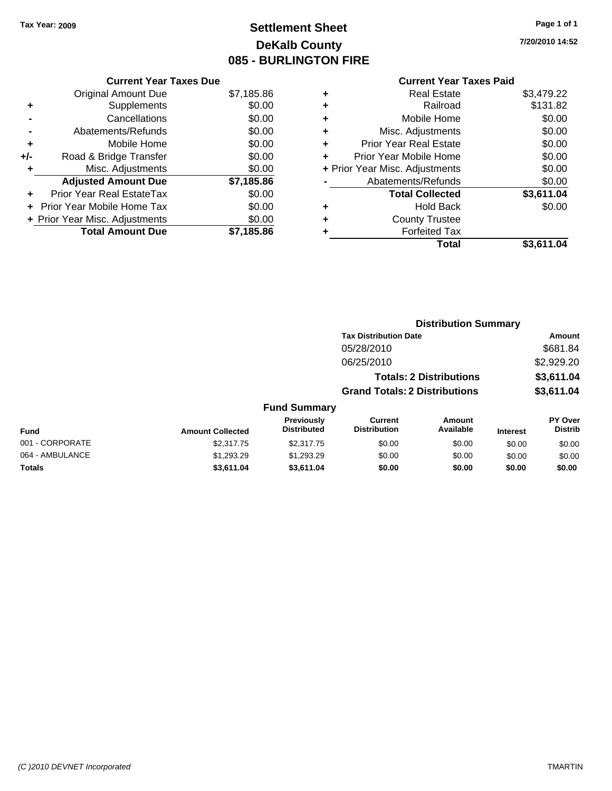# **Settlement Sheet Tax Year: 2009 Page 1 of 1 DeKalb County 085 - BURLINGTON FIRE**

**7/20/2010 14:52**

| <b>Current Year Taxes Due</b>     |                                |
|-----------------------------------|--------------------------------|
| <b>Original Amount Due</b>        | \$7,185.86                     |
| Supplements                       | \$0.00                         |
| Cancellations                     | \$0.00                         |
| Abatements/Refunds                | \$0.00                         |
| Mobile Home                       | \$0.00                         |
| Road & Bridge Transfer            | \$0.00                         |
| Misc. Adjustments                 | \$0.00                         |
| <b>Adjusted Amount Due</b>        | \$7,185.86                     |
| Prior Year Real EstateTax         | \$0.00                         |
| <b>Prior Year Mobile Home Tax</b> | \$0.00                         |
|                                   | \$0.00                         |
| <b>Total Amount Due</b>           | \$7,185.86                     |
|                                   | + Prior Year Misc. Adjustments |

|   | <b>Real Estate</b>             | \$3,479.22 |
|---|--------------------------------|------------|
| ٠ | Railroad                       | \$131.82   |
| ٠ | Mobile Home                    | \$0.00     |
| ٠ | Misc. Adjustments              | \$0.00     |
| ÷ | <b>Prior Year Real Estate</b>  | \$0.00     |
|   | Prior Year Mobile Home         | \$0.00     |
|   | + Prior Year Misc. Adjustments | \$0.00     |
|   | Abatements/Refunds             | \$0.00     |
|   | <b>Total Collected</b>         | \$3,611.04 |
| ٠ | <b>Hold Back</b>               | \$0.00     |
| ٠ | <b>County Trustee</b>          |            |
| ٠ | <b>Forfeited Tax</b>           |            |
|   | Total                          | \$3,611.04 |
|   |                                |            |

|                 | <b>Distribution Summary</b> |                                  |                                       |                                |                 |                                  |  |
|-----------------|-----------------------------|----------------------------------|---------------------------------------|--------------------------------|-----------------|----------------------------------|--|
|                 |                             |                                  | <b>Tax Distribution Date</b>          |                                |                 | Amount                           |  |
|                 |                             |                                  | 05/28/2010                            |                                |                 | \$681.84                         |  |
|                 |                             |                                  | 06/25/2010                            |                                |                 | \$2,929.20                       |  |
|                 |                             |                                  |                                       | <b>Totals: 2 Distributions</b> |                 | \$3,611.04                       |  |
|                 |                             |                                  | <b>Grand Totals: 2 Distributions</b>  |                                |                 | \$3,611.04                       |  |
|                 |                             | <b>Fund Summary</b>              |                                       |                                |                 |                                  |  |
| <b>Fund</b>     | <b>Amount Collected</b>     | Previously<br><b>Distributed</b> | <b>Current</b><br><b>Distribution</b> | <b>Amount</b><br>Available     | <b>Interest</b> | <b>PY Over</b><br><b>Distrib</b> |  |
| 001 - CORPORATE | \$2,317.75                  | \$2,317.75                       | \$0.00                                | \$0.00                         | \$0.00          | \$0.00                           |  |
| 064 - AMBULANCE | \$1,293.29                  | \$1,293.29                       | \$0.00                                | \$0.00                         | \$0.00          | \$0.00                           |  |
| Totals          | \$3,611.04                  | \$3,611.04                       | \$0.00                                | \$0.00                         | \$0.00          | \$0.00                           |  |
|                 |                             |                                  |                                       |                                |                 |                                  |  |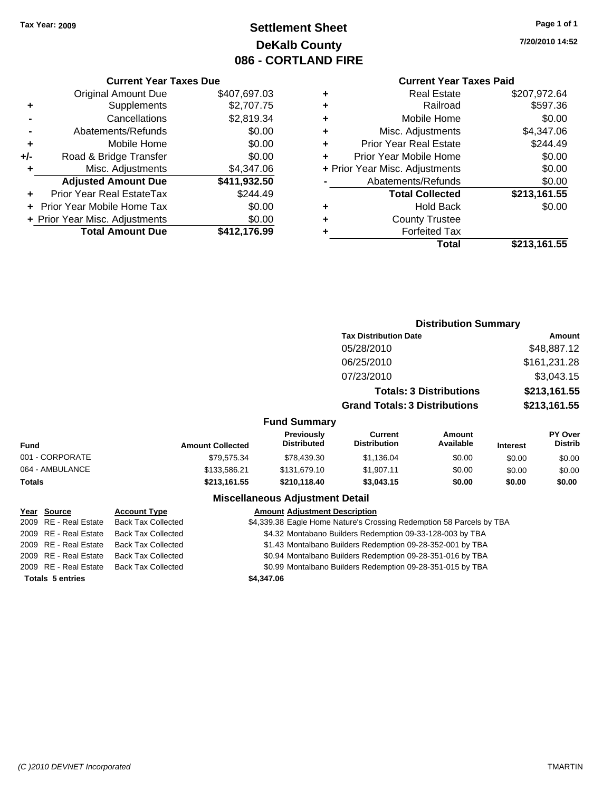# **Settlement Sheet Tax Year: 2009 Page 1 of 1 DeKalb County 086 - CORTLAND FIRE**

# **7/20/2010 14:52**

|   | <b>Current Year Taxes Paid</b> |              |
|---|--------------------------------|--------------|
| ٠ | Real Estate                    | \$207,972.64 |
| ٠ | Railroad                       | \$597.36     |
| ٠ | Mobile Home                    | \$0.00       |
| ÷ | Misc. Adjustments              | \$4,347.06   |
| ÷ | <b>Prior Year Real Estate</b>  | \$244.49     |
| ÷ | Prior Year Mobile Home         | \$0.00       |
|   | + Prior Year Misc. Adjustments | \$0.00       |
|   | Abatements/Refunds             | \$0.00       |
|   | <b>Total Collected</b>         | \$213,161.55 |
| ٠ | <b>Hold Back</b>               | \$0.00       |
| ٠ | <b>County Trustee</b>          |              |
| ٠ | <b>Forfeited Tax</b>           |              |
|   | Total                          | \$213,161.55 |

**Distribution Summary**

|     | <b>Current Year Taxes Due</b>    |              |  |  |  |
|-----|----------------------------------|--------------|--|--|--|
|     | <b>Original Amount Due</b>       | \$407,697.03 |  |  |  |
| ÷   | Supplements                      | \$2,707.75   |  |  |  |
|     | Cancellations                    | \$2,819.34   |  |  |  |
|     | Abatements/Refunds               | \$0.00       |  |  |  |
| ÷   | Mobile Home                      | \$0.00       |  |  |  |
| +/- | Road & Bridge Transfer           | \$0.00       |  |  |  |
| ٠   | Misc. Adjustments                | \$4,347.06   |  |  |  |
|     | <b>Adjusted Amount Due</b>       | \$411,932.50 |  |  |  |
|     | <b>Prior Year Real EstateTax</b> | \$244.49     |  |  |  |
|     | Prior Year Mobile Home Tax       | \$0.00       |  |  |  |
|     | + Prior Year Misc. Adjustments   | \$0.00       |  |  |  |
|     | <b>Total Amount Due</b>          | \$412,176.99 |  |  |  |

|                 |                         |                                        | <b>Tax Distribution Date</b>          |                                |                 | <b>Amount</b>                    |
|-----------------|-------------------------|----------------------------------------|---------------------------------------|--------------------------------|-----------------|----------------------------------|
|                 |                         |                                        | 05/28/2010                            |                                |                 | \$48,887.12                      |
|                 |                         |                                        | 06/25/2010                            |                                |                 | \$161,231.28                     |
|                 |                         |                                        | 07/23/2010                            |                                |                 | \$3,043.15                       |
|                 |                         |                                        |                                       | <b>Totals: 3 Distributions</b> |                 | \$213,161.55                     |
|                 |                         |                                        | <b>Grand Totals: 3 Distributions</b>  |                                |                 | \$213,161.55                     |
|                 |                         | <b>Fund Summary</b>                    |                                       |                                |                 |                                  |
| Fund            | <b>Amount Collected</b> | Previously<br><b>Distributed</b>       | <b>Current</b><br><b>Distribution</b> | Amount<br>Available            | <b>Interest</b> | <b>PY Over</b><br><b>Distrib</b> |
| 001 - CORPORATE | \$79,575.34             | \$78,439.30                            | \$1,136.04                            | \$0.00                         | \$0.00          | \$0.00                           |
| 064 - AMBULANCE | \$133,586.21            | \$131,679.10                           | \$1,907.11                            | \$0.00                         | \$0.00          | \$0.00                           |
| Totals          | \$213,161.55            | \$210,118.40                           | \$3,043.15                            | \$0.00                         | \$0.00          | \$0.00                           |
|                 |                         | <b>Miscellaneous Adjustment Detail</b> |                                       |                                |                 |                                  |

| Year Source             | <b>Account Type</b>       | <b>Amount Adjustment Description</b>                                 |
|-------------------------|---------------------------|----------------------------------------------------------------------|
| 2009 RE - Real Estate   | <b>Back Tax Collected</b> | \$4,339.38 Eagle Home Nature's Crossing Redemption 58 Parcels by TBA |
| 2009 RE - Real Estate   | <b>Back Tax Collected</b> | \$4.32 Montabano Builders Redemption 09-33-128-003 by TBA            |
| 2009 RE - Real Estate   | <b>Back Tax Collected</b> | \$1.43 Montalbano Builders Redemption 09-28-352-001 by TBA           |
| 2009 RE - Real Estate   | <b>Back Tax Collected</b> | \$0.94 Montalbano Builders Redemption 09-28-351-016 by TBA           |
| 2009 RE - Real Estate   | <b>Back Tax Collected</b> | \$0.99 Montalbano Builders Redemption 09-28-351-015 by TBA           |
| <b>Totals 5 entries</b> |                           | \$4,347.06                                                           |
|                         |                           |                                                                      |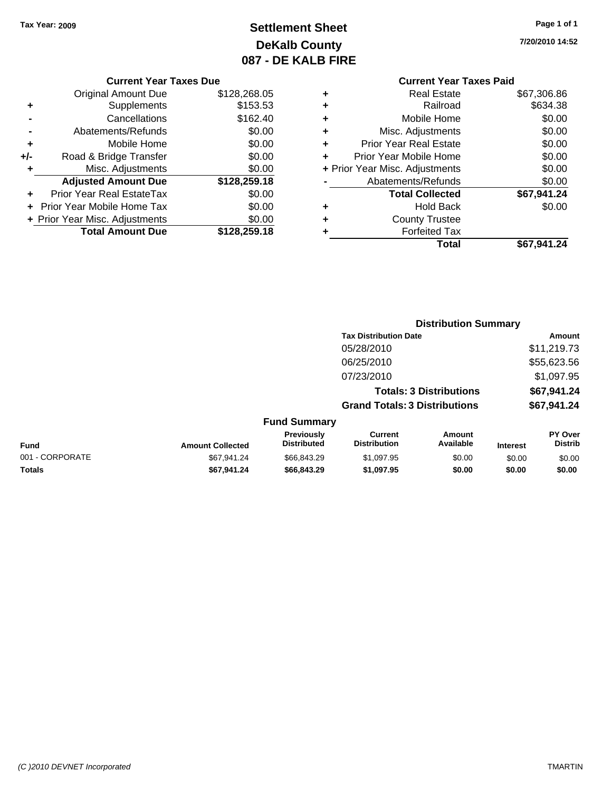# **Settlement Sheet Tax Year: 2009 Page 1 of 1 DeKalb County 087 - DE KALB FIRE**

**7/20/2010 14:52**

|  | <b>Current Year Taxes Due</b> |  |
|--|-------------------------------|--|
|  |                               |  |

|     | <b>Original Amount Due</b>       | \$128,268.05 |
|-----|----------------------------------|--------------|
| ٠   | Supplements                      | \$153.53     |
|     | Cancellations                    | \$162.40     |
|     | Abatements/Refunds               | \$0.00       |
| ٠   | Mobile Home                      | \$0.00       |
| +/- | Road & Bridge Transfer           | \$0.00       |
| ÷   | Misc. Adjustments                | \$0.00       |
|     | <b>Adjusted Amount Due</b>       | \$128,259.18 |
|     | <b>Prior Year Real EstateTax</b> | \$0.00       |
|     | Prior Year Mobile Home Tax       | \$0.00       |
|     | + Prior Year Misc. Adjustments   | \$0.00       |
|     | <b>Total Amount Due</b>          | \$128,259.18 |

|   | Total                          | \$67,941.24 |
|---|--------------------------------|-------------|
| ٠ | <b>Forfeited Tax</b>           |             |
| ٠ | <b>County Trustee</b>          |             |
| ٠ | <b>Hold Back</b>               | \$0.00      |
|   | <b>Total Collected</b>         | \$67,941.24 |
|   | Abatements/Refunds             | \$0.00      |
|   | + Prior Year Misc. Adjustments | \$0.00      |
|   | Prior Year Mobile Home         | \$0.00      |
| ٠ | <b>Prior Year Real Estate</b>  | \$0.00      |
| ٠ | Misc. Adjustments              | \$0.00      |
| ٠ | Mobile Home                    | \$0.00      |
| ÷ | Railroad                       | \$634.38    |
|   | <b>Real Estate</b>             | \$67,306.86 |

|                 |                         |                                  |                                       | <b>Distribution Summary</b>    |                 |                           |
|-----------------|-------------------------|----------------------------------|---------------------------------------|--------------------------------|-----------------|---------------------------|
|                 |                         |                                  | <b>Tax Distribution Date</b>          |                                |                 | Amount                    |
|                 |                         |                                  | 05/28/2010                            |                                |                 | \$11,219.73               |
|                 |                         |                                  | 06/25/2010                            |                                |                 | \$55,623.56               |
|                 |                         |                                  | 07/23/2010                            |                                |                 | \$1,097.95                |
|                 |                         |                                  |                                       | <b>Totals: 3 Distributions</b> |                 | \$67,941.24               |
|                 |                         |                                  | <b>Grand Totals: 3 Distributions</b>  |                                |                 | \$67,941.24               |
|                 |                         | <b>Fund Summary</b>              |                                       |                                |                 |                           |
| Fund            | <b>Amount Collected</b> | Previously<br><b>Distributed</b> | <b>Current</b><br><b>Distribution</b> | <b>Amount</b><br>Available     | <b>Interest</b> | PY Over<br><b>Distrib</b> |
| 001 - CORPORATE | \$67.941.24             | \$66,843,29                      | \$1,097.95                            | \$0.00                         | \$0.00          | \$0.00                    |
| Totals          | \$67,941.24             | \$66,843.29                      | \$1,097.95                            | \$0.00                         | \$0.00          | \$0.00                    |
|                 |                         |                                  |                                       |                                |                 |                           |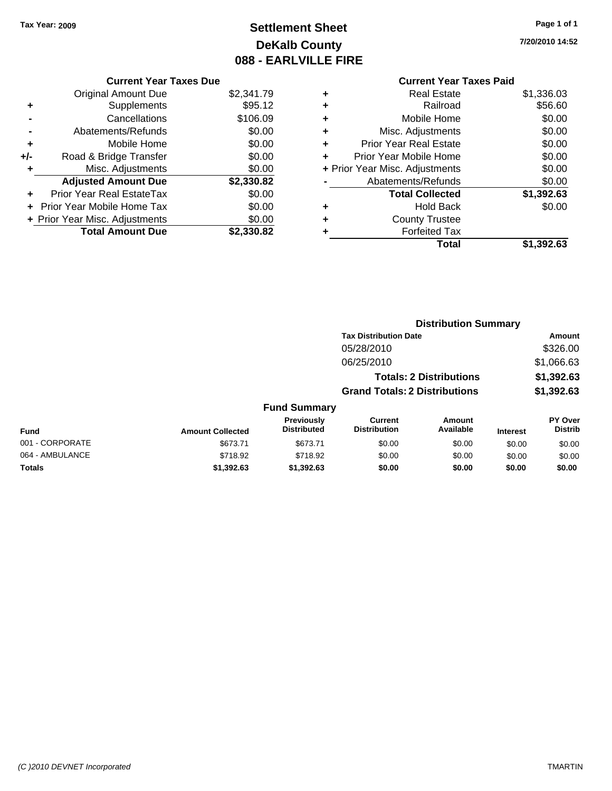# **Settlement Sheet Tax Year: 2009 Page 1 of 1 DeKalb County 088 - EARLVILLE FIRE**

**7/20/2010 14:52**

| <b>Curren</b>            |   |            | <b>Current Year Taxes Due</b>  |       |
|--------------------------|---|------------|--------------------------------|-------|
| Real                     |   | \$2,341.79 | <b>Original Amount Due</b>     |       |
| R                        | ٠ | \$95.12    | Supplements                    | ٠     |
| Mobile                   | ٠ | \$106.09   | Cancellations                  |       |
| Misc. Adjus              | ٠ | \$0.00     | Abatements/Refunds             |       |
| <b>Prior Year Real</b>   | ٠ | \$0.00     | Mobile Home                    | ٠     |
| <b>Prior Year Mobile</b> |   | \$0.00     | Road & Bridge Transfer         | $+/-$ |
| + Prior Year Misc. Adjus |   | \$0.00     | Misc. Adjustments              | ٠     |
| Abatements/R             |   | \$2,330.82 | <b>Adjusted Amount Due</b>     |       |
| <b>Total Col</b>         |   | \$0.00     | Prior Year Real EstateTax      |       |
| Hol                      | ٠ | \$0.00     | + Prior Year Mobile Home Tax   |       |
| County T                 | ٠ | \$0.00     | + Prior Year Misc. Adjustments |       |
| Forfeit                  |   | \$2,330.82 | <b>Total Amount Due</b>        |       |
|                          |   |            |                                |       |

|   | Total                          | \$1.392.63 |
|---|--------------------------------|------------|
| ٠ | <b>Forfeited Tax</b>           |            |
| ÷ | <b>County Trustee</b>          |            |
| ÷ | <b>Hold Back</b>               | \$0.00     |
|   | <b>Total Collected</b>         | \$1,392.63 |
|   | Abatements/Refunds             | \$0.00     |
|   | + Prior Year Misc. Adjustments | \$0.00     |
| ÷ | Prior Year Mobile Home         | \$0.00     |
| ÷ | <b>Prior Year Real Estate</b>  | \$0.00     |
| ÷ | Misc. Adjustments              | \$0.00     |
| ÷ | Mobile Home                    | \$0.00     |
| ÷ | Railroad                       | \$56.60    |
| ÷ | <b>Real Estate</b>             | \$1,336.03 |

|                         |                                         |                                       |                     |                                                                                                        | <b>Amount</b>               |
|-------------------------|-----------------------------------------|---------------------------------------|---------------------|--------------------------------------------------------------------------------------------------------|-----------------------------|
|                         |                                         | 05/28/2010                            |                     |                                                                                                        | \$326.00                    |
|                         |                                         | 06/25/2010                            |                     |                                                                                                        | \$1,066.63                  |
|                         |                                         |                                       |                     |                                                                                                        | \$1,392.63                  |
|                         |                                         |                                       |                     |                                                                                                        | \$1,392.63                  |
|                         |                                         |                                       |                     |                                                                                                        |                             |
| <b>Amount Collected</b> | <b>Previously</b><br><b>Distributed</b> | <b>Current</b><br><b>Distribution</b> | Amount<br>Available | <b>Interest</b>                                                                                        | PY Over<br><b>Distrib</b>   |
| \$673.71                | \$673.71                                | \$0.00                                | \$0.00              | \$0.00                                                                                                 | \$0.00                      |
| \$718.92                | \$718.92                                | \$0.00                                | \$0.00              | \$0.00                                                                                                 | \$0.00                      |
| \$1,392.63              | \$1,392.63                              | \$0.00                                | \$0.00              | \$0.00                                                                                                 | \$0.00                      |
|                         |                                         |                                       | <b>Fund Summary</b> | <b>Tax Distribution Date</b><br><b>Totals: 2 Distributions</b><br><b>Grand Totals: 2 Distributions</b> | <b>Distribution Summary</b> |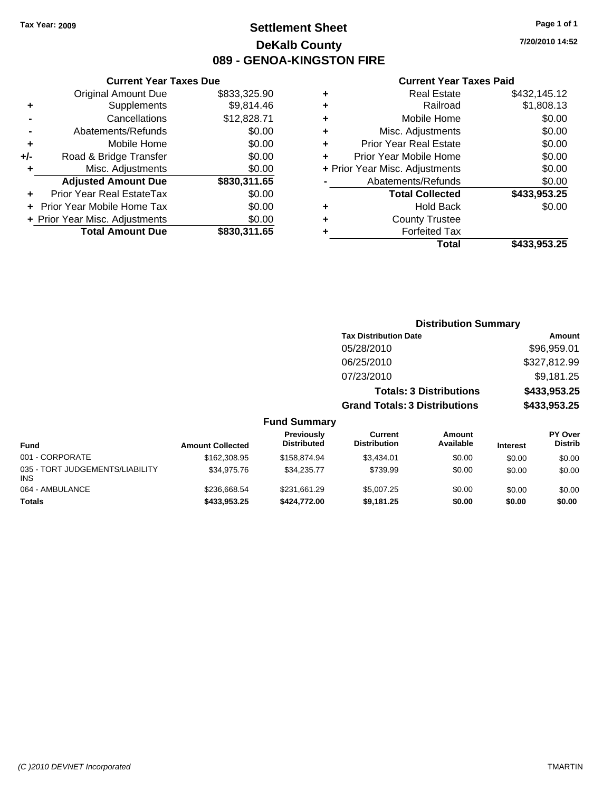# **Settlement Sheet Tax Year: 2009 Page 1 of 1 DeKalb County 089 - GENOA-KINGSTON FIRE**

## **Current Year Taxes Due**

|     | <b>Original Amount Due</b>        | \$833,325.90 |
|-----|-----------------------------------|--------------|
| ٠   | Supplements                       | \$9,814.46   |
|     | Cancellations                     | \$12,828.71  |
|     | Abatements/Refunds                | \$0.00       |
| ÷   | Mobile Home                       | \$0.00       |
| +/- | Road & Bridge Transfer            | \$0.00       |
| ٠   | Misc. Adjustments                 | \$0.00       |
|     | <b>Adjusted Amount Due</b>        | \$830,311.65 |
|     | <b>Prior Year Real EstateTax</b>  | \$0.00       |
|     | <b>Prior Year Mobile Home Tax</b> | \$0.00       |
|     | + Prior Year Misc. Adjustments    | \$0.00       |
|     | <b>Total Amount Due</b>           | \$830,311.65 |

## **Current Year Taxes Paid**

|   | <b>Real Estate</b>             | \$432,145.12 |
|---|--------------------------------|--------------|
| ٠ | Railroad                       | \$1,808.13   |
| ٠ | Mobile Home                    | \$0.00       |
| ٠ | Misc. Adjustments              | \$0.00       |
| ٠ | <b>Prior Year Real Estate</b>  | \$0.00       |
|   | Prior Year Mobile Home         | \$0.00       |
|   | + Prior Year Misc. Adjustments | \$0.00       |
|   | Abatements/Refunds             | \$0.00       |
|   | <b>Total Collected</b>         | \$433,953.25 |
| ٠ | <b>Hold Back</b>               | \$0.00       |
| ٠ | <b>County Trustee</b>          |              |
| ٠ | <b>Forfeited Tax</b>           |              |
|   | Total                          | \$433,953.25 |
|   |                                |              |

| <b>Distribution Summary</b>          |              |
|--------------------------------------|--------------|
| <b>Tax Distribution Date</b>         | Amount       |
| 05/28/2010                           | \$96,959.01  |
| 06/25/2010                           | \$327,812.99 |
| 07/23/2010                           | \$9,181.25   |
| <b>Totals: 3 Distributions</b>       | \$433,953.25 |
| <b>Grand Totals: 3 Distributions</b> | \$433,953.25 |

| <b>Fund</b>                                   | <b>Amount Collected</b> | Previously<br><b>Distributed</b> | <b>Current</b><br><b>Distribution</b> | Amount<br>Available | <b>Interest</b> | <b>PY Over</b><br><b>Distrib</b> |
|-----------------------------------------------|-------------------------|----------------------------------|---------------------------------------|---------------------|-----------------|----------------------------------|
| 001 - CORPORATE                               | \$162,308.95            | \$158.874.94                     | \$3.434.01                            | \$0.00              | \$0.00          | \$0.00                           |
| 035 - TORT JUDGEMENTS/LIABILITY<br><b>INS</b> | \$34,975.76             | \$34.235.77                      | \$739.99                              | \$0.00              | \$0.00          | \$0.00                           |
| 064 - AMBULANCE                               | \$236,668.54            | \$231,661.29                     | \$5,007.25                            | \$0.00              | \$0.00          | \$0.00                           |
| <b>Totals</b>                                 | \$433,953.25            | \$424,772,00                     | \$9,181.25                            | \$0.00              | \$0.00          | \$0.00                           |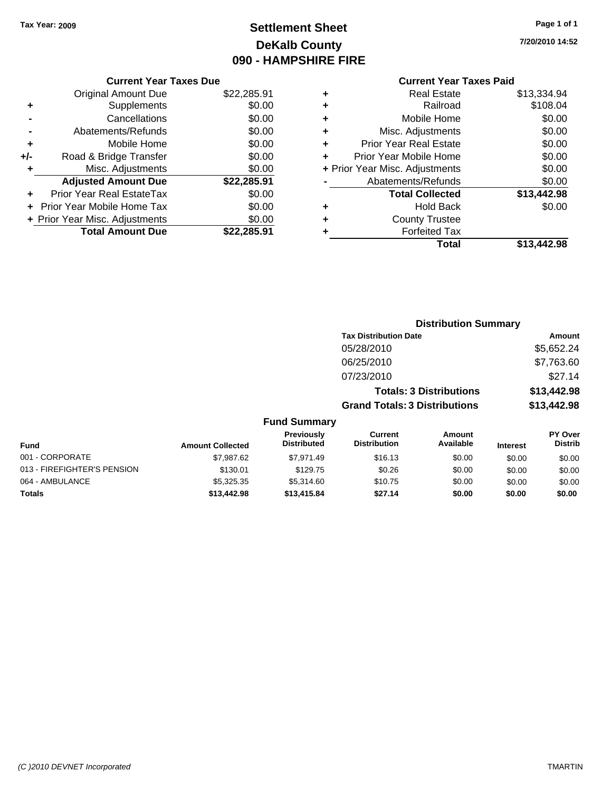# **Settlement Sheet Tax Year: 2009 Page 1 of 1 DeKalb County 090 - HAMPSHIRE FIRE**

**7/20/2010 14:52**

|       | <b>Current Year Taxes Due</b>  |             |  |  |
|-------|--------------------------------|-------------|--|--|
|       | <b>Original Amount Due</b>     | \$22,285.91 |  |  |
| ٠     | Supplements                    | \$0.00      |  |  |
|       | Cancellations                  | \$0.00      |  |  |
|       | Abatements/Refunds             | \$0.00      |  |  |
| ٠     | Mobile Home                    | \$0.00      |  |  |
| $+/-$ | Road & Bridge Transfer         | \$0.00      |  |  |
| ÷     | \$0.00<br>Misc. Adjustments    |             |  |  |
|       | <b>Adjusted Amount Due</b>     | \$22,285.91 |  |  |
|       | Prior Year Real EstateTax      | \$0.00      |  |  |
|       | Prior Year Mobile Home Tax     | \$0.00      |  |  |
|       | + Prior Year Misc. Adjustments | \$0.00      |  |  |
|       | <b>Total Amount Due</b>        | \$22.285.91 |  |  |
|       |                                |             |  |  |

| ٠ | <b>Real Estate</b>             | \$13,334.94 |
|---|--------------------------------|-------------|
| ٠ | Railroad                       | \$108.04    |
| ٠ | Mobile Home                    | \$0.00      |
| ٠ | Misc. Adjustments              | \$0.00      |
| ÷ | <b>Prior Year Real Estate</b>  | \$0.00      |
| ٠ | Prior Year Mobile Home         | \$0.00      |
|   | + Prior Year Misc. Adjustments | \$0.00      |
|   | Abatements/Refunds             | \$0.00      |
|   | <b>Total Collected</b>         | \$13,442.98 |
| ٠ | Hold Back                      | \$0.00      |
| ٠ | <b>County Trustee</b>          |             |
| ٠ | <b>Forfeited Tax</b>           |             |
|   | Total                          | \$13,442.98 |
|   |                                |             |

|                             | <b>Distribution Summary</b> |                                  |                                       |                                |                 |                                  |  |
|-----------------------------|-----------------------------|----------------------------------|---------------------------------------|--------------------------------|-----------------|----------------------------------|--|
|                             |                             |                                  | <b>Tax Distribution Date</b>          |                                |                 | Amount                           |  |
|                             |                             |                                  | 05/28/2010                            |                                |                 | \$5,652.24                       |  |
|                             |                             |                                  | 06/25/2010                            |                                |                 | \$7,763.60                       |  |
|                             |                             |                                  | 07/23/2010                            |                                |                 | \$27.14                          |  |
|                             |                             |                                  |                                       | <b>Totals: 3 Distributions</b> |                 | \$13,442.98                      |  |
|                             |                             |                                  | <b>Grand Totals: 3 Distributions</b>  |                                |                 | \$13,442.98                      |  |
|                             |                             | <b>Fund Summary</b>              |                                       |                                |                 |                                  |  |
| <b>Fund</b>                 | <b>Amount Collected</b>     | Previously<br><b>Distributed</b> | <b>Current</b><br><b>Distribution</b> | Amount<br>Available            | <b>Interest</b> | <b>PY Over</b><br><b>Distrib</b> |  |
| 001 - CORPORATE             | \$7,987.62                  | \$7,971.49                       | \$16.13                               | \$0.00                         | \$0.00          | \$0.00                           |  |
| 013 - FIREFIGHTER'S PENSION | \$130.01                    | \$129.75                         | \$0.26                                | \$0.00                         | \$0.00          | \$0.00                           |  |
| 064 - AMBULANCE             | \$5,325.35                  | \$5,314.60                       | \$10.75                               | \$0.00                         | \$0.00          | \$0.00                           |  |
| Totals                      | \$13,442.98                 | \$13,415.84                      | \$27.14                               | \$0.00                         | \$0.00          | \$0.00                           |  |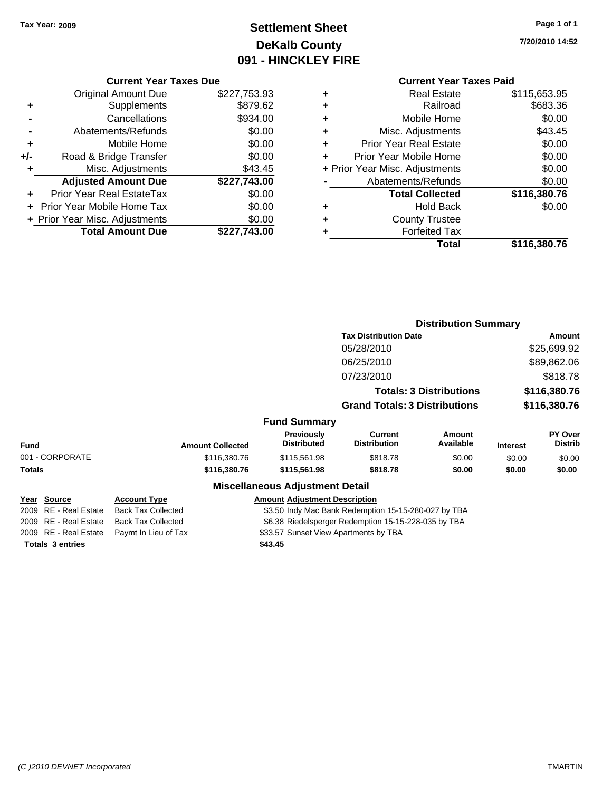# **Settlement Sheet Tax Year: 2009 Page 1 of 1 DeKalb County 091 - HINCKLEY FIRE**

**7/20/2010 14:52**

## **Current Year Taxes Due**

|       | <b>Original Amount Due</b>       | \$227,753.93 |
|-------|----------------------------------|--------------|
| ٠     | Supplements                      | \$879.62     |
|       | Cancellations                    | \$934.00     |
|       | Abatements/Refunds               | \$0.00       |
| ٠     | Mobile Home                      | \$0.00       |
| $+/-$ | Road & Bridge Transfer           | \$0.00       |
| ٠     | Misc. Adjustments                | \$43.45      |
|       | <b>Adjusted Amount Due</b>       | \$227,743.00 |
|       | <b>Prior Year Real EstateTax</b> | \$0.00       |
|       | Prior Year Mobile Home Tax       | \$0.00       |
|       | + Prior Year Misc. Adjustments   | \$0.00       |
|       | <b>Total Amount Due</b>          | \$227,743.00 |

|   | <b>Real Estate</b>             | \$115,653.95 |
|---|--------------------------------|--------------|
| ÷ | Railroad                       | \$683.36     |
| ٠ | Mobile Home                    | \$0.00       |
| ٠ | Misc. Adjustments              | \$43.45      |
| ٠ | <b>Prior Year Real Estate</b>  | \$0.00       |
|   | Prior Year Mobile Home         | \$0.00       |
|   | + Prior Year Misc. Adjustments | \$0.00       |
|   | Abatements/Refunds             | \$0.00       |
|   | <b>Total Collected</b>         | \$116,380.76 |
| ٠ | <b>Hold Back</b>               | \$0.00       |
| ٠ | <b>County Trustee</b>          |              |
| ٠ | <b>Forfeited Tax</b>           |              |
|   | Total                          | \$116,380.76 |

|                         |                                                                                   |                                         |                                                      | <b>Distribution Summary</b>    |                 |                           |  |
|-------------------------|-----------------------------------------------------------------------------------|-----------------------------------------|------------------------------------------------------|--------------------------------|-----------------|---------------------------|--|
|                         |                                                                                   |                                         | <b>Tax Distribution Date</b>                         | Amount                         |                 |                           |  |
|                         |                                                                                   |                                         | 05/28/2010                                           |                                |                 | \$25,699.92               |  |
|                         |                                                                                   |                                         | 06/25/2010                                           |                                |                 | \$89,862.06               |  |
|                         |                                                                                   |                                         | 07/23/2010                                           |                                |                 | \$818.78                  |  |
|                         |                                                                                   |                                         |                                                      | <b>Totals: 3 Distributions</b> |                 | \$116,380.76              |  |
|                         |                                                                                   |                                         | <b>Grand Totals: 3 Distributions</b>                 |                                | \$116,380.76    |                           |  |
|                         |                                                                                   | <b>Fund Summary</b>                     |                                                      |                                |                 |                           |  |
| Fund                    | <b>Amount Collected</b>                                                           | <b>Previously</b><br><b>Distributed</b> | Current<br><b>Distribution</b>                       | Amount<br>Available            | <b>Interest</b> | PY Over<br><b>Distrib</b> |  |
| 001 - CORPORATE         | \$116,380.76                                                                      | \$115,561.98                            | \$818.78                                             | \$0.00                         | \$0.00          | \$0.00                    |  |
| Totals                  | \$116,380.76                                                                      | \$115,561.98                            | \$818.78                                             | \$0.00                         | \$0.00          | \$0.00                    |  |
|                         |                                                                                   | <b>Miscellaneous Adjustment Detail</b>  |                                                      |                                |                 |                           |  |
| <u> Year Source</u>     | <b>Account Type</b>                                                               | <b>Amount Adjustment Description</b>    |                                                      |                                |                 |                           |  |
| 2009 RE - Real Estate   | <b>Back Tax Collected</b>                                                         |                                         | \$3.50 Indy Mac Bank Redemption 15-15-280-027 by TBA |                                |                 |                           |  |
| 2009 RE - Real Estate   | <b>Back Tax Collected</b><br>\$6.38 Riedelsperger Redemption 15-15-228-035 by TBA |                                         |                                                      |                                |                 |                           |  |
| 2009 RE - Real Estate   | Paymt In Lieu of Tax                                                              | \$33.57 Sunset View Apartments by TBA   |                                                      |                                |                 |                           |  |
| <b>Totals 3 entries</b> |                                                                                   | \$43.45                                 |                                                      |                                |                 |                           |  |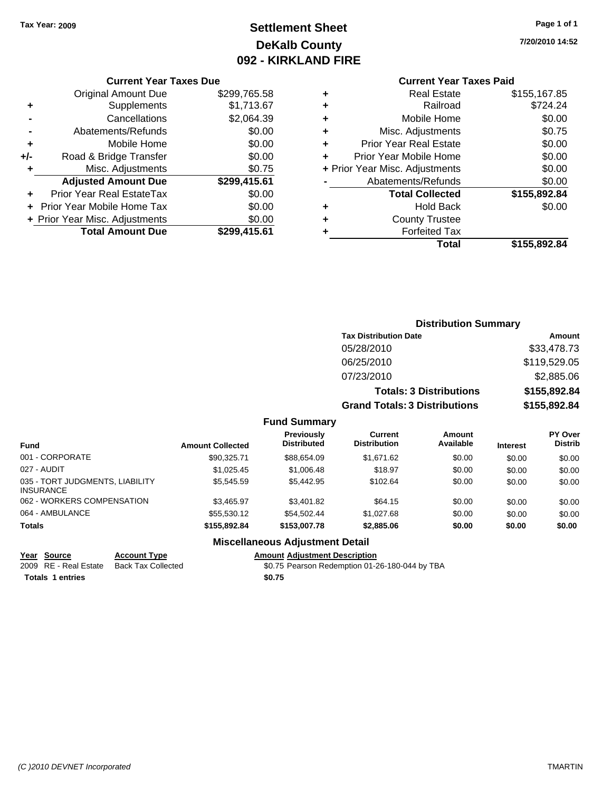# **Settlement Sheet Tax Year: 2009 Page 1 of 1 DeKalb County 092 - KIRKLAND FIRE**

**7/20/2010 14:52**

#### **Current Year Taxes Due**

|       | <b>Original Amount Due</b>        | \$299,765.58 |
|-------|-----------------------------------|--------------|
| ٠     | Supplements                       | \$1,713.67   |
|       | Cancellations                     | \$2,064.39   |
|       | Abatements/Refunds                | \$0.00       |
| ÷     | Mobile Home                       | \$0.00       |
| $+/-$ | Road & Bridge Transfer            | \$0.00       |
| ٠     | Misc. Adjustments                 | \$0.75       |
|       | <b>Adjusted Amount Due</b>        | \$299,415.61 |
|       | <b>Prior Year Real EstateTax</b>  | \$0.00       |
|       | <b>Prior Year Mobile Home Tax</b> | \$0.00       |
|       | + Prior Year Misc. Adjustments    | \$0.00       |
|       | <b>Total Amount Due</b>           | \$299.415.61 |

## **Current Year Taxes Paid**

| ٠ | <b>Real Estate</b>             | \$155,167.85 |
|---|--------------------------------|--------------|
| ٠ | Railroad                       | \$724.24     |
| ٠ | Mobile Home                    | \$0.00       |
| ٠ | Misc. Adjustments              | \$0.75       |
| ٠ | <b>Prior Year Real Estate</b>  | \$0.00       |
| ÷ | Prior Year Mobile Home         | \$0.00       |
|   | + Prior Year Misc. Adjustments | \$0.00       |
|   | Abatements/Refunds             | \$0.00       |
|   | <b>Total Collected</b>         | \$155,892.84 |
| ٠ | <b>Hold Back</b>               | \$0.00       |
| ٠ | <b>County Trustee</b>          |              |
| ٠ | <b>Forfeited Tax</b>           |              |
|   | Total                          | \$155,892.84 |
|   |                                |              |

## **Distribution Summary Tax Distribution Date Amount** 05/28/2010 \$33,478.73 06/25/2010 \$119,529.05 07/23/2010 \$2,885.06 **Totals: 3 Distributions \$155,892.84 Grand Totals: 3 Distributions \$155,892.84 Fund Summary**

| <b>Fund</b>                                         | <b>Amount Collected</b> | <b>Previously</b><br><b>Distributed</b> | Current<br><b>Distribution</b> | <b>Amount</b><br>Available | <b>Interest</b> | <b>PY Over</b><br><b>Distrib</b> |
|-----------------------------------------------------|-------------------------|-----------------------------------------|--------------------------------|----------------------------|-----------------|----------------------------------|
| 001 - CORPORATE                                     | \$90.325.71             | \$88.654.09                             | \$1.671.62                     | \$0.00                     | \$0.00          | \$0.00                           |
| 027 - AUDIT                                         | \$1.025.45              | \$1,006.48                              | \$18.97                        | \$0.00                     | \$0.00          | \$0.00                           |
| 035 - TORT JUDGMENTS, LIABILITY<br><b>INSURANCE</b> | \$5.545.59              | \$5,442.95                              | \$102.64                       | \$0.00                     | \$0.00          | \$0.00                           |
| 062 - WORKERS COMPENSATION                          | \$3.465.97              | \$3,401.82                              | \$64.15                        | \$0.00                     | \$0.00          | \$0.00                           |
| 064 - AMBULANCE                                     | \$55.530.12             | \$54.502.44                             | \$1,027.68                     | \$0.00                     | \$0.00          | \$0.00                           |
| <b>Totals</b>                                       | \$155,892,84            | \$153,007.78                            | \$2,885.06                     | \$0.00                     | \$0.00          | \$0.00                           |
|                                                     |                         | Miccollangeus Adiustment Detail         |                                |                            |                 |                                  |

## **Miscellaneous Adjustment Detail**

**Year Source Account Type Amount Adjustment Description**

Totals 1 entries **12.12 and 12.12 and 12.13 and 12.13 and 12.13 and 12.13 and 12.13 and 12.13 and 12.13 and 12.13 and 12.13 and 12.13 and 12.13 and 12.13 and 12.13 and 12.13 and 12.13 and 12.13 and 12.13 and 12.13 and 12.1** 

2009 RE - Real Estate Back Tax Collected \$0.75 Pearson Redemption 01-26-180-044 by TBA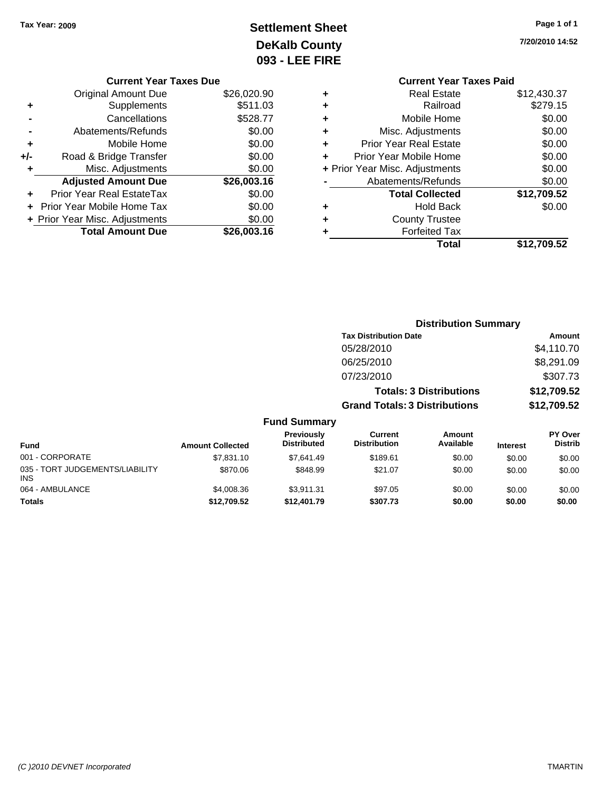# **Settlement Sheet Tax Year: 2009 Page 1 of 1 DeKalb County 093 - LEE FIRE**

**7/20/2010 14:52**

## **Current Year Taxes Paid +** Real Estate \$12,430.37 **+** Railroad \$279.15 **+** Mobile Home \$0.00 **+** Misc. Adjustments \$0.00 **+** Prior Year Real Estate \$0.00 **+** Prior Year Mobile Home \$0.00<br> **+ Prior Year Misc, Adjustments** \$0.00 **+** Prior Year Misc. Adjustments \$0.00

| Total                  | \$12,709.52 |
|------------------------|-------------|
| <b>Forfeited Tax</b>   |             |
| <b>County Trustee</b>  |             |
| <b>Hold Back</b>       | \$0.00      |
| <b>Total Collected</b> | \$12,709.52 |
| Abatements/Refunds     | \$0.00      |
|                        | vv.vv       |

|     | <b>Current Year Taxes Due</b>  |             |
|-----|--------------------------------|-------------|
|     | <b>Original Amount Due</b>     | \$26,020.90 |
| ٠   | Supplements                    | \$511.03    |
|     | Cancellations                  | \$528.77    |
|     | Abatements/Refunds             | \$0.00      |
| ٠   | Mobile Home                    | \$0.00      |
| +/- | Road & Bridge Transfer         | \$0.00      |
| ٠   | Misc. Adjustments              | \$0.00      |
|     | <b>Adjusted Amount Due</b>     | \$26,003.16 |
|     | Prior Year Real EstateTax      | \$0.00      |
|     | Prior Year Mobile Home Tax     | \$0.00      |
|     | + Prior Year Misc. Adjustments | \$0.00      |
|     | <b>Total Amount Due</b>        | \$26,003.16 |

|                                               |                         |                                  |                                       | <b>Distribution Summary</b>    |                 |                                  |
|-----------------------------------------------|-------------------------|----------------------------------|---------------------------------------|--------------------------------|-----------------|----------------------------------|
|                                               |                         |                                  | <b>Tax Distribution Date</b>          |                                |                 | Amount                           |
|                                               |                         |                                  | 05/28/2010                            |                                |                 | \$4,110.70                       |
|                                               |                         |                                  | 06/25/2010                            |                                |                 | \$8,291.09                       |
|                                               |                         |                                  | 07/23/2010                            |                                |                 | \$307.73                         |
|                                               |                         |                                  |                                       | <b>Totals: 3 Distributions</b> |                 | \$12,709.52                      |
|                                               |                         |                                  | <b>Grand Totals: 3 Distributions</b>  |                                |                 | \$12,709.52                      |
|                                               |                         | <b>Fund Summary</b>              |                                       |                                |                 |                                  |
| <b>Fund</b>                                   | <b>Amount Collected</b> | Previously<br><b>Distributed</b> | <b>Current</b><br><b>Distribution</b> | <b>Amount</b><br>Available     | <b>Interest</b> | <b>PY Over</b><br><b>Distrib</b> |
| 001 - CORPORATE                               | \$7,831.10              | \$7,641.49                       | \$189.61                              | \$0.00                         | \$0.00          | \$0.00                           |
| 035 - TORT JUDGEMENTS/LIABILITY<br><b>INS</b> | \$870.06                | \$848.99                         | \$21.07                               | \$0.00                         | \$0.00          | \$0.00                           |
| 064 - AMBULANCE                               | \$4,008.36              | \$3,911.31                       | \$97.05                               | \$0.00                         | \$0.00          | \$0.00                           |

**Totals \$12,709.52 \$12,401.79 \$307.73 \$0.00 \$0.00 \$0.00**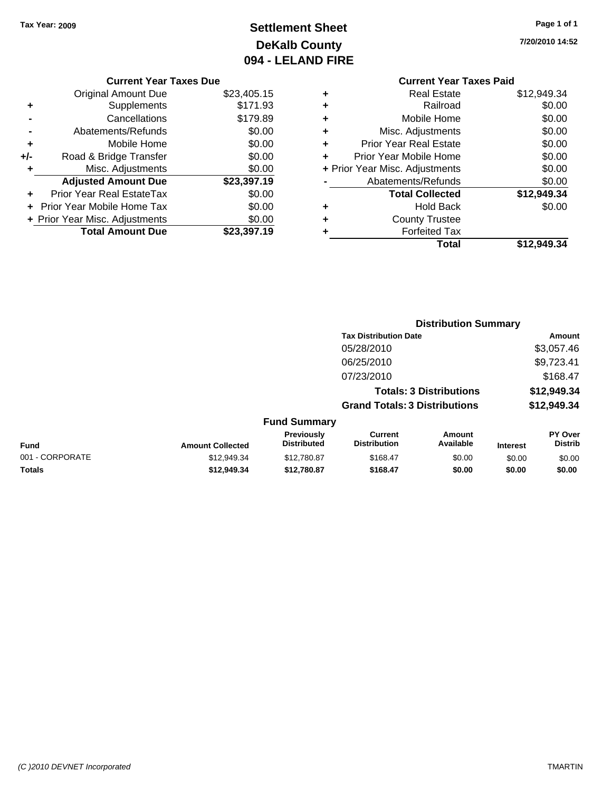# **Settlement Sheet Tax Year: 2009 Page 1 of 1 DeKalb County 094 - LELAND FIRE**

**7/20/2010 14:52**

#### **Current Year Taxes Due**

|       | <b>Original Amount Due</b>       | \$23,405.15 |
|-------|----------------------------------|-------------|
|       | Supplements                      | \$171.93    |
|       | Cancellations                    | \$179.89    |
|       | Abatements/Refunds               | \$0.00      |
| ٠     | Mobile Home                      | \$0.00      |
| $+/-$ | Road & Bridge Transfer           | \$0.00      |
| ÷     | Misc. Adjustments                | \$0.00      |
|       | <b>Adjusted Amount Due</b>       | \$23,397.19 |
|       | <b>Prior Year Real EstateTax</b> | \$0.00      |
|       | Prior Year Mobile Home Tax       | \$0.00      |
|       | + Prior Year Misc. Adjustments   | \$0.00      |
|       | <b>Total Amount Due</b>          | \$23,397.19 |

## **Current Year Taxes Paid +** Real Estate \$12,949.34 **+** Railroad \$0.00<br> **+** Mobile Home \$0.00 **+** Mobile Home **+** Misc. Adjustments \$0.00

|   | Total                          | \$12,949.34 |
|---|--------------------------------|-------------|
| ÷ | <b>Forfeited Tax</b>           |             |
| ÷ | <b>County Trustee</b>          |             |
| ٠ | <b>Hold Back</b>               | \$0.00      |
|   | <b>Total Collected</b>         | \$12,949.34 |
|   | Abatements/Refunds             | \$0.00      |
|   | + Prior Year Misc. Adjustments | \$0.00      |
| ÷ | Prior Year Mobile Home         | \$0.00      |
|   | <b>Prior Year Real Estate</b>  | \$0.00      |

|                 |                         |                                  |                                       | <b>Distribution Summary</b>    |                 |                                  |
|-----------------|-------------------------|----------------------------------|---------------------------------------|--------------------------------|-----------------|----------------------------------|
|                 |                         |                                  | <b>Tax Distribution Date</b>          |                                |                 | Amount                           |
|                 |                         |                                  | 05/28/2010                            |                                |                 | \$3,057.46                       |
|                 |                         |                                  | 06/25/2010                            |                                |                 | \$9,723.41                       |
|                 |                         |                                  | 07/23/2010                            |                                |                 | \$168.47                         |
|                 |                         |                                  |                                       | <b>Totals: 3 Distributions</b> |                 | \$12,949.34                      |
|                 |                         |                                  | <b>Grand Totals: 3 Distributions</b>  |                                |                 | \$12,949.34                      |
|                 |                         | <b>Fund Summary</b>              |                                       |                                |                 |                                  |
| <b>Fund</b>     | <b>Amount Collected</b> | Previously<br><b>Distributed</b> | <b>Current</b><br><b>Distribution</b> | Amount<br>Available            | <b>Interest</b> | <b>PY Over</b><br><b>Distrib</b> |
| 001 - CORPORATE | \$12,949.34             | \$12,780.87                      | \$168.47                              | \$0.00                         | \$0.00          | \$0.00                           |
| Totals          | \$12.949.34             | \$12,780.87                      | \$168.47                              | \$0.00                         | \$0.00          | \$0.00                           |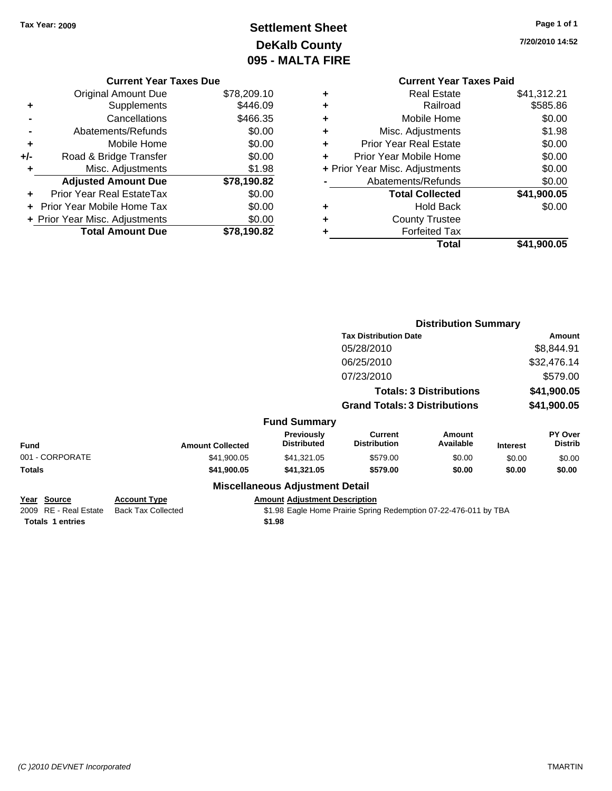# **Settlement Sheet Tax Year: 2009 Page 1 of 1 DeKalb County 095 - MALTA FIRE**

**7/20/2010 14:52**

| <b>Current Year Taxes Due</b> |  |  |  |
|-------------------------------|--|--|--|
|                               |  |  |  |

|     | <b>Original Amount Due</b>        | \$78,209.10 |
|-----|-----------------------------------|-------------|
| ٠   | Supplements                       | \$446.09    |
|     | Cancellations                     | \$466.35    |
|     | Abatements/Refunds                | \$0.00      |
| ٠   | Mobile Home                       | \$0.00      |
| +/- | Road & Bridge Transfer            | \$0.00      |
| ٠   | Misc. Adjustments                 | \$1.98      |
|     | <b>Adjusted Amount Due</b>        | \$78,190.82 |
|     | Prior Year Real EstateTax         | \$0.00      |
|     | <b>Prior Year Mobile Home Tax</b> | \$0.00      |
|     | + Prior Year Misc. Adjustments    | \$0.00      |
|     | <b>Total Amount Due</b>           | \$78,190.82 |

|   | <b>Current Year Taxes Paid</b> |             |
|---|--------------------------------|-------------|
| ٠ | <b>Real Estate</b>             | \$41,312.21 |
|   | Railroad                       | \$585.86    |
| ٠ | Mobile Home                    | \$0.00      |
| ٠ | Misc. Adjustments              | \$1.98      |
| ٠ | <b>Prior Year Real Estate</b>  | \$0.00      |
| ٠ | Prior Year Mobile Home         | \$0.00      |
|   | + Prior Year Misc. Adjustments | \$0.00      |
|   | Abatements/Refunds             | \$0.00      |
|   | <b>Total Collected</b>         | \$41,900.05 |
| ٠ | Hold Back                      | \$0.00      |
|   | <b>County Trustee</b>          |             |
|   | <b>Forfeited Tax</b>           |             |
|   | Total                          | \$41,900.05 |
|   |                                |             |

|                                                                 |                                                  |                                                |                                                                  | <b>Distribution Summary</b>    |                 |                           |
|-----------------------------------------------------------------|--------------------------------------------------|------------------------------------------------|------------------------------------------------------------------|--------------------------------|-----------------|---------------------------|
|                                                                 |                                                  |                                                | <b>Tax Distribution Date</b>                                     |                                |                 | Amount                    |
|                                                                 |                                                  |                                                | 05/28/2010                                                       |                                |                 | \$8,844.91                |
|                                                                 |                                                  |                                                | 06/25/2010                                                       |                                |                 | \$32,476.14               |
|                                                                 |                                                  |                                                | 07/23/2010                                                       |                                |                 | \$579.00                  |
|                                                                 |                                                  |                                                |                                                                  | <b>Totals: 3 Distributions</b> |                 | \$41,900.05               |
|                                                                 |                                                  |                                                | <b>Grand Totals: 3 Distributions</b>                             |                                |                 | \$41,900.05               |
|                                                                 |                                                  | <b>Fund Summary</b>                            |                                                                  |                                |                 |                           |
| Fund                                                            | <b>Amount Collected</b>                          | <b>Previously</b><br><b>Distributed</b>        | <b>Current</b><br><b>Distribution</b>                            | Amount<br>Available            | <b>Interest</b> | PY Over<br><b>Distrib</b> |
| 001 - CORPORATE                                                 | \$41,900.05                                      | \$41,321.05                                    | \$579.00                                                         | \$0.00                         | \$0.00          | \$0.00                    |
| Totals                                                          | \$41,900.05                                      | \$41,321.05                                    | \$579.00                                                         | \$0.00                         | \$0.00          | \$0.00                    |
|                                                                 |                                                  | <b>Miscellaneous Adjustment Detail</b>         |                                                                  |                                |                 |                           |
| Year Source<br>2009 RE - Real Estate<br><b>Totals 1 entries</b> | <b>Account Type</b><br><b>Back Tax Collected</b> | <b>Amount Adjustment Description</b><br>\$1.98 | \$1.98 Eagle Home Prairie Spring Redemption 07-22-476-011 by TBA |                                |                 |                           |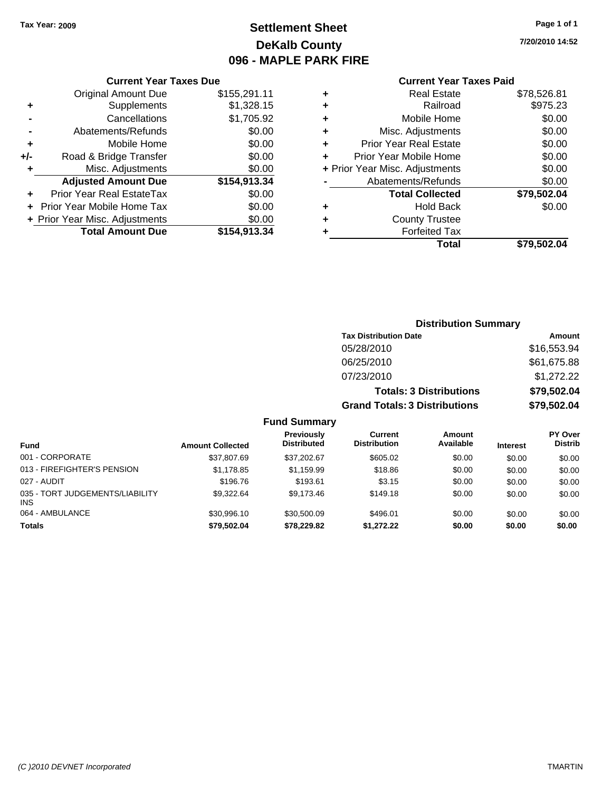# **Settlement Sheet Tax Year: 2009 Page 1 of 1 DeKalb County 096 - MAPLE PARK FIRE**

**7/20/2010 14:52**

#### **Current Year Taxes Paid**

| <b>Real Estate</b>             | \$78,526.81 |
|--------------------------------|-------------|
| Railroad                       | \$975.23    |
| Mobile Home                    | \$0.00      |
| Misc. Adjustments              | \$0.00      |
| <b>Prior Year Real Estate</b>  | \$0.00      |
| Prior Year Mobile Home         | \$0.00      |
| + Prior Year Misc. Adjustments | \$0.00      |
| Abatements/Refunds             | \$0.00      |
| <b>Total Collected</b>         | \$79,502.04 |
| <b>Hold Back</b>               | \$0.00      |
| <b>County Trustee</b>          |             |
| <b>Forfeited Tax</b>           |             |
|                                | \$79.502.04 |
|                                | Total       |

|     | <b>Current Year Taxes Due</b>     |              |  |  |
|-----|-----------------------------------|--------------|--|--|
|     | <b>Original Amount Due</b>        | \$155,291.11 |  |  |
| ٠   | Supplements                       | \$1,328.15   |  |  |
|     | Cancellations                     | \$1,705.92   |  |  |
|     | Abatements/Refunds                | \$0.00       |  |  |
| ٠   | Mobile Home                       | \$0.00       |  |  |
| +/- | Road & Bridge Transfer            | \$0.00       |  |  |
| ٠   | Misc. Adjustments                 | \$0.00       |  |  |
|     | <b>Adjusted Amount Due</b>        | \$154,913.34 |  |  |
|     | <b>Prior Year Real EstateTax</b>  | \$0.00       |  |  |
|     | <b>Prior Year Mobile Home Tax</b> | \$0.00       |  |  |
|     | + Prior Year Misc. Adjustments    | \$0.00       |  |  |
|     | <b>Total Amount Due</b>           | \$154,913.34 |  |  |

# **Distribution Summary**

| <b>Tax Distribution Date</b>         | Amount      |
|--------------------------------------|-------------|
| 05/28/2010                           | \$16,553.94 |
| 06/25/2010                           | \$61,675.88 |
| 07/23/2010                           | \$1,272.22  |
| <b>Totals: 3 Distributions</b>       | \$79,502.04 |
| <b>Grand Totals: 3 Distributions</b> | \$79,502.04 |

| <b>Fund</b>                                   | <b>Amount Collected</b> | Previously<br><b>Distributed</b> | Current<br><b>Distribution</b> | Amount<br>Available | <b>Interest</b> | <b>PY Over</b><br><b>Distrib</b> |
|-----------------------------------------------|-------------------------|----------------------------------|--------------------------------|---------------------|-----------------|----------------------------------|
| 001 - CORPORATE                               | \$37,807.69             | \$37,202.67                      | \$605.02                       | \$0.00              | \$0.00          | \$0.00                           |
| 013 - FIREFIGHTER'S PENSION                   | \$1.178.85              | \$1.159.99                       | \$18.86                        | \$0.00              | \$0.00          | \$0.00                           |
| 027 - AUDIT                                   | \$196.76                | \$193.61                         | \$3.15                         | \$0.00              | \$0.00          | \$0.00                           |
| 035 - TORT JUDGEMENTS/LIABILITY<br><b>INS</b> | \$9.322.64              | \$9,173,46                       | \$149.18                       | \$0.00              | \$0.00          | \$0.00                           |
| 064 - AMBULANCE                               | \$30.996.10             | \$30,500.09                      | \$496.01                       | \$0.00              | \$0.00          | \$0.00                           |
| <b>Totals</b>                                 | \$79,502.04             | \$78,229.82                      | \$1,272,22                     | \$0.00              | \$0.00          | \$0.00                           |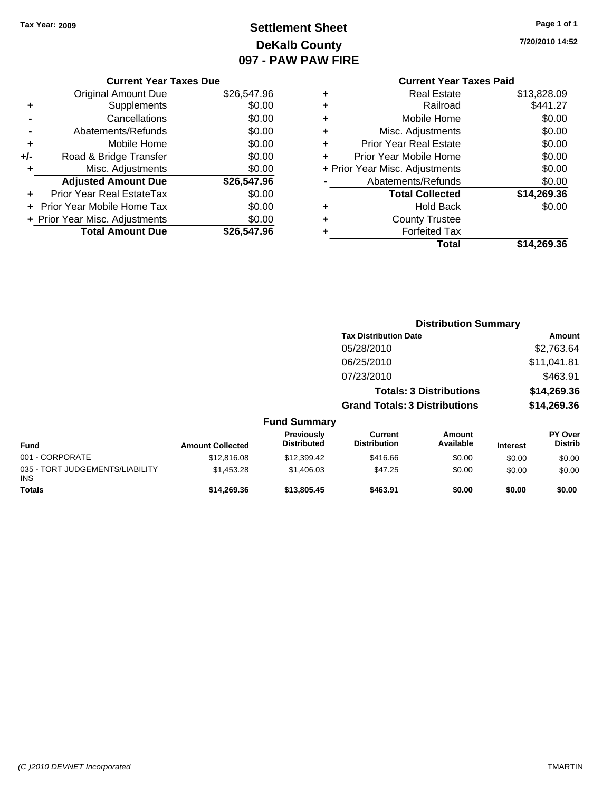# **Settlement Sheet Tax Year: 2009 Page 1 of 1 DeKalb County 097 - PAW PAW FIRE**

**7/20/2010 14:52**

|   | <b>Current Year Taxes Paid</b> |             |
|---|--------------------------------|-------------|
| ٠ | <b>Real Estate</b>             | \$13,828.09 |
| ٠ | Railroad                       | \$441.27    |
| ٠ | Mobile Home                    | \$0.00      |
| ٠ | Misc. Adjustments              | \$0.00      |
| ٠ | <b>Prior Year Real Estate</b>  | \$0.00      |
| ÷ | Prior Year Mobile Home         | \$0.00      |
|   | + Prior Year Misc. Adjustments | \$0.00      |
|   | Abatements/Refunds             | \$0.00      |
|   | <b>Total Collected</b>         | \$14,269.36 |
| ٠ | <b>Hold Back</b>               | \$0.00      |
|   | <b>County Trustee</b>          |             |
|   | <b>Forfeited Tax</b>           |             |
|   | Total                          | \$14,269.36 |

**Distribution Summary**

## **Current Year Taxes Due** Original Amount Due \$26,547.96 **+** Supplements \$0.00 **-** Cancellations \$0.00 **-** Abatements/Refunds \$0.00 **+** Mobile Home \$0.00 **+/-** Road & Bridge Transfer \$0.00 **+** Misc. Adjustments \$0.00 **Adjusted Amount Due \$26,547.96 +** Prior Year Real EstateTax \$0.00 **+** Prior Year Mobile Home Tax \$0.00 **+ Prior Year Misc. Adjustments**  $$0.00$ Total Amount Due \$26,547.96

|                                               |                         |                                         | <b>Tax Distribution Date</b>         |                                |                 | Amount                           |
|-----------------------------------------------|-------------------------|-----------------------------------------|--------------------------------------|--------------------------------|-----------------|----------------------------------|
|                                               |                         |                                         | 05/28/2010                           |                                |                 | \$2,763.64                       |
|                                               |                         |                                         | 06/25/2010                           |                                |                 | \$11,041.81                      |
|                                               |                         |                                         | 07/23/2010                           |                                |                 | \$463.91                         |
|                                               |                         |                                         |                                      | <b>Totals: 3 Distributions</b> |                 | \$14,269.36                      |
|                                               |                         |                                         | <b>Grand Totals: 3 Distributions</b> |                                |                 | \$14,269.36                      |
|                                               |                         | <b>Fund Summary</b>                     |                                      |                                |                 |                                  |
| <b>Fund</b>                                   | <b>Amount Collected</b> | <b>Previously</b><br><b>Distributed</b> | Current<br><b>Distribution</b>       | Amount<br>Available            | <b>Interest</b> | <b>PY Over</b><br><b>Distrib</b> |
| 001 - CORPORATE                               | \$12,816.08             | \$12,399.42                             | \$416.66                             | \$0.00                         | \$0.00          | \$0.00                           |
| 035 - TORT JUDGEMENTS/LIABILITY<br><b>INS</b> | \$1,453.28              | \$1,406.03                              | \$47.25                              | \$0.00                         | \$0.00          | \$0.00                           |
| <b>Totals</b>                                 | \$14,269.36             | \$13,805.45                             | \$463.91                             | \$0.00                         | \$0.00          | \$0.00                           |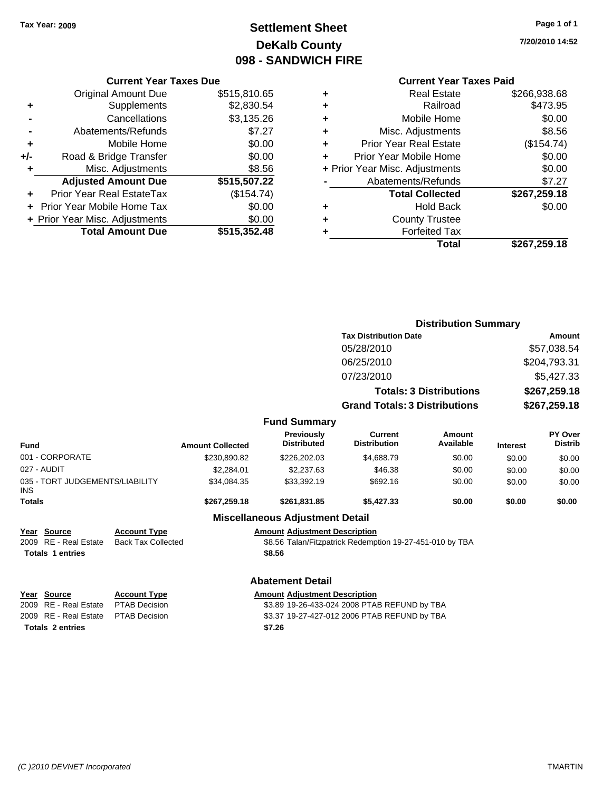# **Settlement Sheet Tax Year: 2009 Page 1 of 1 DeKalb County 098 - SANDWICH FIRE**

**7/20/2010 14:52**

|     | <b>Current Year Taxes Due</b>  |              |  |  |  |
|-----|--------------------------------|--------------|--|--|--|
|     | <b>Original Amount Due</b>     | \$515,810.65 |  |  |  |
| ÷   | Supplements                    | \$2,830.54   |  |  |  |
|     | Cancellations<br>\$3,135.26    |              |  |  |  |
|     | Abatements/Refunds             | \$7.27       |  |  |  |
| ٠   | Mobile Home                    | \$0.00       |  |  |  |
| +/- | Road & Bridge Transfer         | \$0.00       |  |  |  |
| ٠   | Misc. Adjustments              | \$8.56       |  |  |  |
|     | <b>Adjusted Amount Due</b>     | \$515,507.22 |  |  |  |
| ÷   | Prior Year Real EstateTax      | (\$154.74)   |  |  |  |
|     | Prior Year Mobile Home Tax     | \$0.00       |  |  |  |
|     | + Prior Year Misc. Adjustments | \$0.00       |  |  |  |
|     | <b>Total Amount Due</b>        | \$515,352.48 |  |  |  |
|     |                                |              |  |  |  |

|   | <b>Current Year Taxes Paid</b> |              |  |  |  |  |  |
|---|--------------------------------|--------------|--|--|--|--|--|
| ٠ | <b>Real Estate</b>             | \$266,938.68 |  |  |  |  |  |
| ٠ | Railroad                       | \$473.95     |  |  |  |  |  |
| ٠ | Mobile Home                    | \$0.00       |  |  |  |  |  |
| ٠ | Misc. Adjustments              | \$8.56       |  |  |  |  |  |
| ٠ | <b>Prior Year Real Estate</b>  | (\$154.74)   |  |  |  |  |  |
| ٠ | Prior Year Mobile Home         | \$0.00       |  |  |  |  |  |
|   | + Prior Year Misc. Adjustments | \$0.00       |  |  |  |  |  |
|   | Abatements/Refunds             | \$7.27       |  |  |  |  |  |
|   | <b>Total Collected</b>         | \$267,259.18 |  |  |  |  |  |
| ٠ | <b>Hold Back</b>               | \$0.00       |  |  |  |  |  |
|   | <b>County Trustee</b>          |              |  |  |  |  |  |
|   | <b>Forfeited Tax</b>           |              |  |  |  |  |  |
|   | Total                          | \$267,259.18 |  |  |  |  |  |

|                                               |                           |                         |                                         | <b>Distribution Summary</b>                              |                                |                 |                           |
|-----------------------------------------------|---------------------------|-------------------------|-----------------------------------------|----------------------------------------------------------|--------------------------------|-----------------|---------------------------|
|                                               |                           |                         |                                         | <b>Tax Distribution Date</b>                             |                                | <b>Amount</b>   |                           |
|                                               |                           |                         |                                         | 05/28/2010                                               |                                | \$57,038.54     |                           |
|                                               |                           |                         |                                         | 06/25/2010                                               |                                |                 | \$204,793.31              |
|                                               |                           |                         |                                         | 07/23/2010                                               |                                |                 | \$5,427.33                |
|                                               |                           |                         |                                         |                                                          | <b>Totals: 3 Distributions</b> |                 | \$267,259.18              |
|                                               |                           |                         |                                         | <b>Grand Totals: 3 Distributions</b>                     |                                |                 | \$267,259.18              |
|                                               |                           |                         | <b>Fund Summary</b>                     |                                                          |                                |                 |                           |
| <b>Fund</b>                                   |                           | <b>Amount Collected</b> | <b>Previously</b><br><b>Distributed</b> | <b>Current</b><br><b>Distribution</b>                    | Amount<br>Available            | <b>Interest</b> | PY Over<br><b>Distrib</b> |
| 001 - CORPORATE                               |                           | \$230,890.82            | \$226,202.03                            | \$4,688.79                                               | \$0.00                         | \$0.00          | \$0.00                    |
| 027 - AUDIT                                   |                           | \$2,284.01              | \$2,237.63                              | \$46.38                                                  | \$0.00                         | \$0.00          | \$0.00                    |
| 035 - TORT JUDGEMENTS/LIABILITY<br><b>INS</b> |                           | \$34,084.35             | \$33,392.19                             | \$692.16                                                 | \$0.00                         | \$0.00          | \$0.00                    |
| <b>Totals</b>                                 |                           | \$267,259.18            | \$261,831.85                            | \$5,427.33                                               | \$0.00                         | \$0.00          | \$0.00                    |
|                                               |                           |                         | <b>Miscellaneous Adjustment Detail</b>  |                                                          |                                |                 |                           |
| Year Source                                   | <b>Account Type</b>       |                         | <b>Amount Adjustment Description</b>    |                                                          |                                |                 |                           |
| RE - Real Estate<br>2009                      | <b>Back Tax Collected</b> |                         |                                         | \$8.56 Talan/Fitzpatrick Redemption 19-27-451-010 by TBA |                                |                 |                           |
| <b>Totals 1 entries</b>                       |                           |                         | \$8.56                                  |                                                          |                                |                 |                           |
|                                               |                           |                         | <b>Abatement Detail</b>                 |                                                          |                                |                 |                           |
| Year Source                                   | <b>Account Type</b>       |                         | <b>Amount Adjustment Description</b>    |                                                          |                                |                 |                           |
| <b>RE</b> - Real Estate<br>2009               | <b>PTAB Decision</b>      |                         |                                         | \$3.89 19-26-433-024 2008 PTAB REFUND by TBA             |                                |                 |                           |
| <b>RE</b> - Real Estate<br>2009               | <b>PTAB Decision</b>      |                         |                                         | \$3.37 19-27-427-012 2006 PTAB REFUND by TBA             |                                |                 |                           |
| <b>Totals 2 entries</b>                       |                           |                         | \$7.26                                  |                                                          |                                |                 |                           |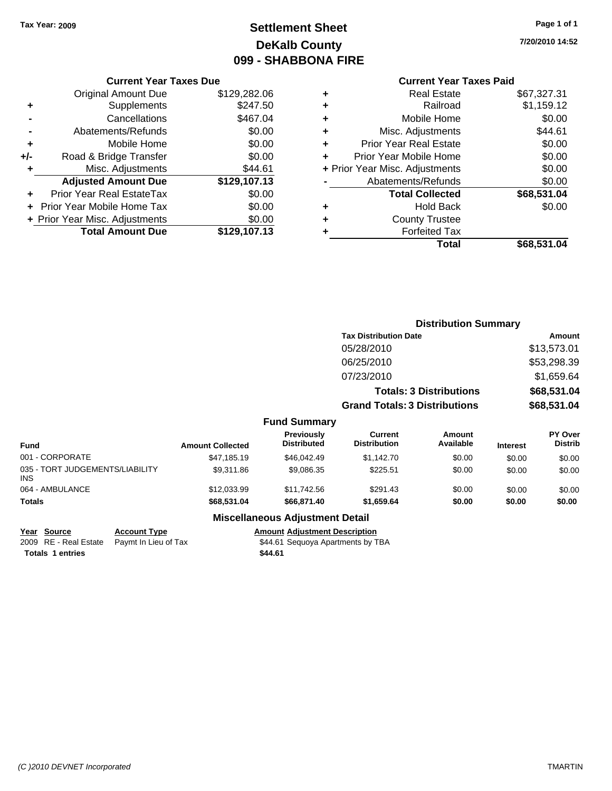# **Settlement Sheet Tax Year: 2009 Page 1 of 1 DeKalb County 099 - SHABBONA FIRE**

# **7/20/2010 14:52**

|     | <b>Current Year Taxes Due</b>     |              |  |  |  |  |
|-----|-----------------------------------|--------------|--|--|--|--|
|     | <b>Original Amount Due</b>        | \$129,282.06 |  |  |  |  |
| ٠   | Supplements                       | \$247.50     |  |  |  |  |
|     | Cancellations                     | \$467.04     |  |  |  |  |
|     | Abatements/Refunds                | \$0.00       |  |  |  |  |
| ٠   | Mobile Home                       | \$0.00       |  |  |  |  |
| +/- | Road & Bridge Transfer            | \$0.00       |  |  |  |  |
| ٠   | Misc. Adjustments                 | \$44.61      |  |  |  |  |
|     | <b>Adjusted Amount Due</b>        | \$129,107.13 |  |  |  |  |
|     | Prior Year Real EstateTax         | \$0.00       |  |  |  |  |
|     | <b>Prior Year Mobile Home Tax</b> | \$0.00       |  |  |  |  |
|     | + Prior Year Misc. Adjustments    | \$0.00       |  |  |  |  |
|     | <b>Total Amount Due</b>           | \$129,107.13 |  |  |  |  |

## **Current Year Taxes Paid**

|   | Total                          | \$68,531.04 |
|---|--------------------------------|-------------|
|   | <b>Forfeited Tax</b>           |             |
| ٠ | <b>County Trustee</b>          |             |
|   | <b>Hold Back</b>               | \$0.00      |
|   | <b>Total Collected</b>         | \$68,531.04 |
|   | Abatements/Refunds             | \$0.00      |
|   | + Prior Year Misc. Adjustments | \$0.00      |
| ÷ | Prior Year Mobile Home         | \$0.00      |
| ٠ | <b>Prior Year Real Estate</b>  | \$0.00      |
| ٠ | Misc. Adjustments              | \$44.61     |
| ٠ | Mobile Home                    | \$0.00      |
|   | Railroad                       | \$1,159.12  |
|   | <b>Real Estate</b>             | \$67,327.31 |

|                                               |                         |                                         |                                       | <b>Distribution Summary</b>    |                 |                           |
|-----------------------------------------------|-------------------------|-----------------------------------------|---------------------------------------|--------------------------------|-----------------|---------------------------|
|                                               |                         |                                         | <b>Tax Distribution Date</b>          |                                |                 | Amount                    |
|                                               |                         |                                         | 05/28/2010                            |                                |                 | \$13,573.01               |
|                                               |                         |                                         | 06/25/2010                            |                                |                 | \$53,298.39               |
|                                               |                         |                                         | 07/23/2010                            |                                |                 | \$1,659.64                |
|                                               |                         |                                         |                                       | <b>Totals: 3 Distributions</b> |                 | \$68,531.04               |
|                                               |                         |                                         | <b>Grand Totals: 3 Distributions</b>  |                                |                 | \$68,531.04               |
|                                               |                         | <b>Fund Summary</b>                     |                                       |                                |                 |                           |
| <b>Fund</b>                                   | <b>Amount Collected</b> | <b>Previously</b><br><b>Distributed</b> | <b>Current</b><br><b>Distribution</b> | <b>Amount</b><br>Available     | <b>Interest</b> | PY Over<br><b>Distrib</b> |
| 001 - CORPORATE                               | \$47,185.19             | \$46,042.49                             | \$1,142.70                            | \$0.00                         | \$0.00          | \$0.00                    |
| 035 - TORT JUDGEMENTS/LIABILITY<br><b>INS</b> | \$9,311.86              | \$9,086.35                              | \$225.51                              | \$0.00                         | \$0.00          | \$0.00                    |
| 064 - AMBULANCE                               | \$12,033.99             | \$11,742.56                             | \$291.43                              | \$0.00                         | \$0.00          | \$0.00                    |
| <b>Totals</b>                                 | \$68,531.04             | \$66,871.40                             | \$1,659.64                            | \$0.00                         | \$0.00          | \$0.00                    |

## **Miscellaneous Adjustment Detail**

**Year Source Account Type Amount Adjustment Description** 2009 RE - Real Estate Paymt In Lieu of Tax Payments S44.61 Sequoya Apartments by TBA **Totals \$44.61 1 entries**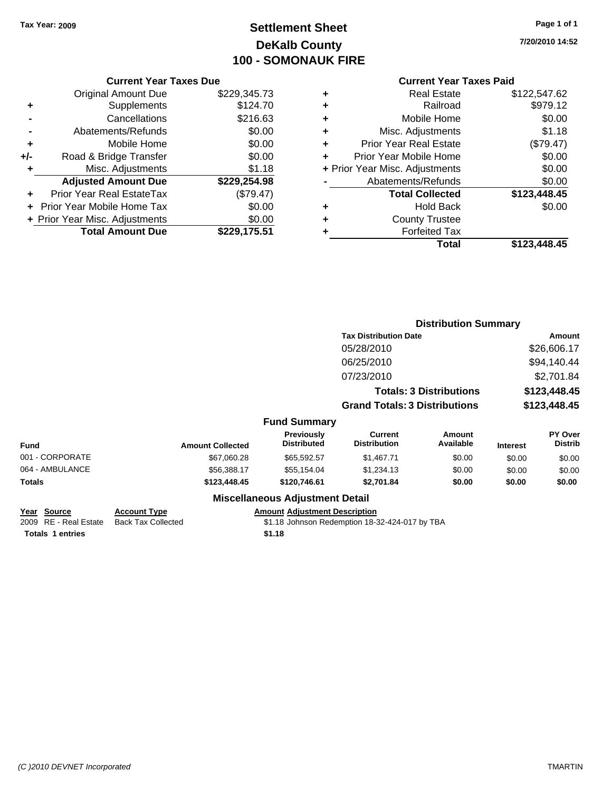**Current Year Taxes Due** Original Amount Due \$229,345.73

**Adjusted Amount Due \$229,254.98**

**+** Supplements \$124.70 **-** Cancellations \$216.63 **-** Abatements/Refunds \$0.00 **+** Mobile Home \$0.00 **+/-** Road & Bridge Transfer \$0.00 **+** Misc. Adjustments \$1.18

**+** Prior Year Real EstateTax (\$79.47) **+** Prior Year Mobile Home Tax \$0.00 **+ Prior Year Misc. Adjustments \$0.00<br>Total Amount Due \$229,175.51** 

**Total Amount Due** 

# **Settlement Sheet Tax Year: 2009 Page 1 of 1 DeKalb County 100 - SOMONAUK FIRE**

**7/20/2010 14:52**

## **Current Year Taxes Paid**

| <b>Forfeited Tax</b>          |                                |
|-------------------------------|--------------------------------|
| <b>County Trustee</b>         |                                |
| <b>Hold Back</b>              | \$0.00                         |
| <b>Total Collected</b>        | \$123,448.45                   |
| Abatements/Refunds            | \$0.00                         |
|                               | \$0.00                         |
| Prior Year Mobile Home        | \$0.00                         |
| <b>Prior Year Real Estate</b> | (\$79.47)                      |
| Misc. Adjustments             | \$1.18                         |
| Mobile Home                   | \$0.00                         |
| Railroad                      | \$979.12                       |
| <b>Real Estate</b>            | \$122,547.62                   |
|                               | + Prior Year Misc. Adjustments |

|                       |                     |                         |                                        |                                       | <b>Distribution Summary</b>    |                 |                                  |
|-----------------------|---------------------|-------------------------|----------------------------------------|---------------------------------------|--------------------------------|-----------------|----------------------------------|
|                       |                     |                         |                                        | <b>Tax Distribution Date</b>          |                                | <b>Amount</b>   |                                  |
|                       |                     |                         |                                        | 05/28/2010                            |                                |                 | \$26,606.17                      |
|                       |                     |                         |                                        | 06/25/2010                            |                                |                 | \$94,140.44                      |
|                       |                     |                         |                                        | 07/23/2010                            |                                |                 | \$2,701.84                       |
|                       |                     |                         |                                        |                                       | <b>Totals: 3 Distributions</b> |                 | \$123,448.45                     |
|                       |                     |                         |                                        | <b>Grand Totals: 3 Distributions</b>  |                                |                 | \$123,448.45                     |
|                       |                     |                         | <b>Fund Summary</b>                    |                                       |                                |                 |                                  |
| <b>Fund</b>           |                     | <b>Amount Collected</b> | Previously<br><b>Distributed</b>       | <b>Current</b><br><b>Distribution</b> | Amount<br>Available            | <b>Interest</b> | <b>PY Over</b><br><b>Distrib</b> |
| 001 - CORPORATE       |                     | \$67,060.28             | \$65,592.57                            | \$1,467.71                            | \$0.00                         | \$0.00          | \$0.00                           |
| 064 - AMBULANCE       |                     | \$56,388.17             | \$55,154.04                            | \$1,234.13                            | \$0.00                         | \$0.00          | \$0.00                           |
| <b>Totals</b>         |                     | \$123,448.45            | \$120,746.61                           | \$2,701.84                            | \$0.00                         | \$0.00          | \$0.00                           |
|                       |                     |                         | <b>Miscellaneous Adjustment Detail</b> |                                       |                                |                 |                                  |
| Year<br><b>Source</b> | <b>Account Type</b> |                         | <b>Amount Adjustment Description</b>   |                                       |                                |                 |                                  |

2009 RE - Real Estate Back Tax Collected \$1.18 Johnson Redemption 18-32-424-017 by TBA **Totals \$1.18 1 entries**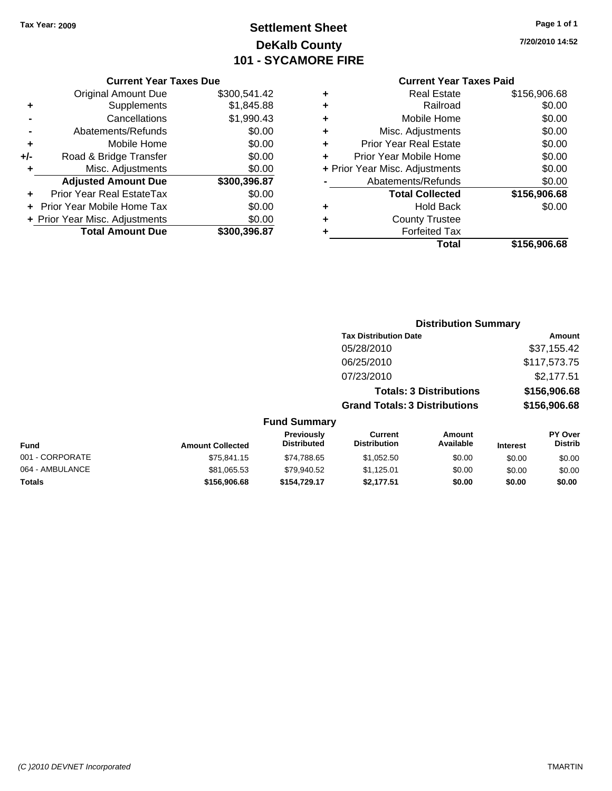# **Settlement Sheet Tax Year: 2009 Page 1 of 1 DeKalb County 101 - SYCAMORE FIRE**

**7/20/2010 14:52**

#### **Current Year Taxes Due**

|       | <b>Original Amount Due</b>       | \$300,541.42 |
|-------|----------------------------------|--------------|
| ٠     | Supplements                      | \$1,845.88   |
|       | Cancellations                    | \$1,990.43   |
|       | Abatements/Refunds               | \$0.00       |
| ٠     | Mobile Home                      | \$0.00       |
| $+/-$ | Road & Bridge Transfer           | \$0.00       |
| ٠     | Misc. Adjustments                | \$0.00       |
|       | <b>Adjusted Amount Due</b>       | \$300,396.87 |
|       | <b>Prior Year Real EstateTax</b> | \$0.00       |
|       | Prior Year Mobile Home Tax       | \$0.00       |
|       | + Prior Year Misc. Adjustments   | \$0.00       |
|       | <b>Total Amount Due</b>          | \$300,396.87 |

## **Current Year Taxes Paid**

| ٠ | <b>Real Estate</b>             | \$156,906.68 |
|---|--------------------------------|--------------|
| ÷ | Railroad                       | \$0.00       |
| ÷ | Mobile Home                    | \$0.00       |
| ٠ | Misc. Adjustments              | \$0.00       |
| ٠ | <b>Prior Year Real Estate</b>  | \$0.00       |
| ÷ | Prior Year Mobile Home         | \$0.00       |
|   | + Prior Year Misc. Adjustments | \$0.00       |
|   | Abatements/Refunds             | \$0.00       |
|   | <b>Total Collected</b>         | \$156,906.68 |
| ٠ | Hold Back                      | \$0.00       |
| ٠ | <b>County Trustee</b>          |              |
| ٠ | <b>Forfeited Tax</b>           |              |
|   | Total                          | \$156,906.68 |
|   |                                |              |

#### **Distribution Summary Tax Distribution Date Amount** 05/28/2010 \$37,155.42 06/25/2010 \$117,573.75 07/23/2010 \$2,177.51 **Totals: 3 Distributions \$156,906.68 Grand Totals: 3 Distributions \$156,906.68 Fund Summary Fund Interest Amount Collected Distributed PY Over Distrib Amount Available Current Distribution Previously** 001 - CORPORATE \$75,841.15 \$74,788.65 \$1,052.50 \$0.00 \$0.00 \$0.00 064 - AMBULANCE \$81,065.53 \$79,940.52 \$1,125.01 \$0.00 \$0.00 \$0.00

**Totals \$156,906.68 \$154,729.17 \$2,177.51 \$0.00 \$0.00 \$0.00**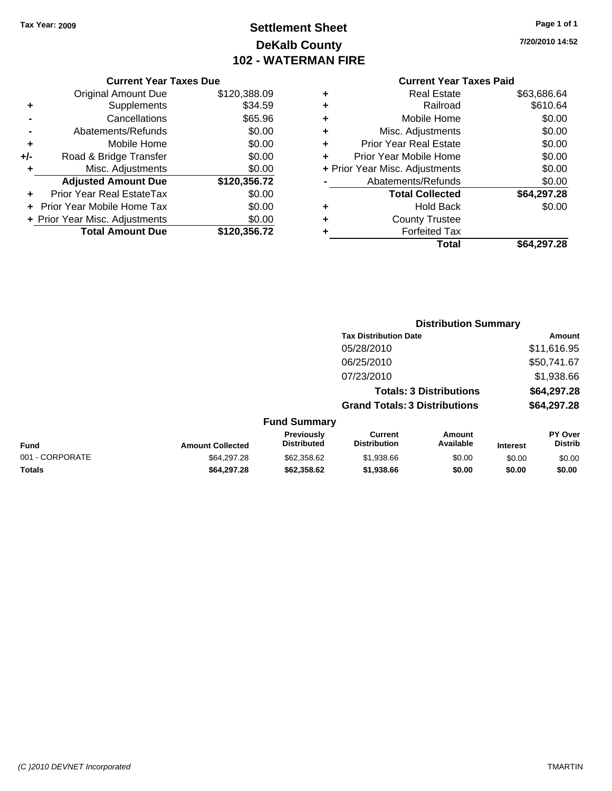# **Settlement Sheet Tax Year: 2009 Page 1 of 1 DeKalb County 102 - WATERMAN FIRE**

**7/20/2010 14:52**

#### **Current Year Taxes Due**

|       | <b>Original Amount Due</b>       | \$120,388.09 |
|-------|----------------------------------|--------------|
| ٠     | Supplements                      | \$34.59      |
|       | Cancellations                    | \$65.96      |
|       | Abatements/Refunds               | \$0.00       |
| ٠     | Mobile Home                      | \$0.00       |
| $+/-$ | Road & Bridge Transfer           | \$0.00       |
| ٠     | Misc. Adjustments                | \$0.00       |
|       | <b>Adjusted Amount Due</b>       | \$120,356.72 |
|       | <b>Prior Year Real EstateTax</b> | \$0.00       |
|       | Prior Year Mobile Home Tax       | \$0.00       |
|       | + Prior Year Misc. Adjustments   | \$0.00       |
|       | <b>Total Amount Due</b>          | \$120,356.72 |

## **Current Year Taxes Paid**

| <b>Real Estate</b>             | \$63,686.64 |
|--------------------------------|-------------|
| Railroad                       | \$610.64    |
| Mobile Home                    | \$0.00      |
| Misc. Adjustments              | \$0.00      |
| <b>Prior Year Real Estate</b>  | \$0.00      |
| Prior Year Mobile Home         | \$0.00      |
| + Prior Year Misc. Adjustments | \$0.00      |
| Abatements/Refunds             | \$0.00      |
| <b>Total Collected</b>         | \$64,297.28 |
| <b>Hold Back</b>               | \$0.00      |
| <b>County Trustee</b>          |             |
| <b>Forfeited Tax</b>           |             |
| Total                          | \$64,297.28 |
|                                |             |

#### **Distribution Summary Tax Distribution Date Amount** 05/28/2010 \$11,616.95 06/25/2010 \$50,741.67 07/23/2010 \$1,938.66 **Totals: 3 Distributions \$64,297.28 Grand Totals: 3 Distributions \$64,297.28 Fund Summary Fund Interest Amount Collected Distributed PY Over Distrib Amount Available Current Distribution Previously** 001 - CORPORATE \$64,297.28 \$62,358.62 \$1,938.66 \$0.00 \$0.00 \$0.00 **Totals \$64,297.28 \$62,358.62 \$1,938.66 \$0.00 \$0.00 \$0.00**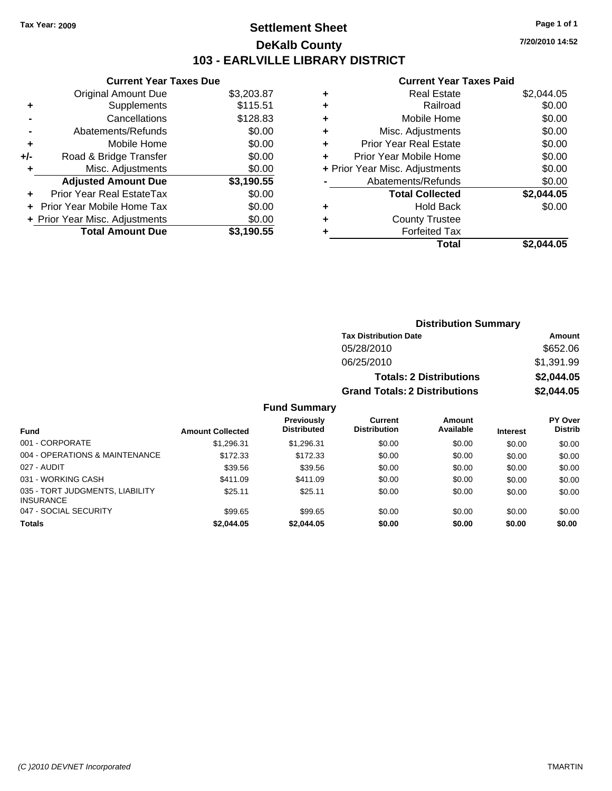# **Settlement Sheet Tax Year: 2009 Page 1 of 1 DeKalb County 103 - EARLVILLE LIBRARY DISTRICT**

**Current Year Taxes Due**

|       | <b>Original Amount Due</b>     | \$3,203.87 |
|-------|--------------------------------|------------|
| ٠     | Supplements                    | \$115.51   |
|       | Cancellations                  | \$128.83   |
|       | Abatements/Refunds             | \$0.00     |
| ÷     | Mobile Home                    | \$0.00     |
| $+/-$ | Road & Bridge Transfer         | \$0.00     |
| ٠     | Misc. Adjustments              | \$0.00     |
|       |                                |            |
|       | <b>Adjusted Amount Due</b>     | \$3,190.55 |
|       | Prior Year Real EstateTax      | \$0.00     |
|       | Prior Year Mobile Home Tax     | \$0.00     |
|       | + Prior Year Misc. Adjustments | \$0.00     |

|   | <b>Real Estate</b>             | \$2,044.05 |
|---|--------------------------------|------------|
| ٠ | Railroad                       | \$0.00     |
| ٠ | Mobile Home                    | \$0.00     |
| ٠ | Misc. Adjustments              | \$0.00     |
| ٠ | <b>Prior Year Real Estate</b>  | \$0.00     |
| ÷ | Prior Year Mobile Home         | \$0.00     |
|   | + Prior Year Misc. Adjustments | \$0.00     |
|   | Abatements/Refunds             | \$0.00     |
|   | <b>Total Collected</b>         | \$2,044.05 |
| ٠ | Hold Back                      | \$0.00     |
| ٠ | <b>County Trustee</b>          |            |
| ٠ | <b>Forfeited Tax</b>           |            |
|   | Total                          | \$2.044.05 |
|   |                                |            |

|                     | <b>Distribution Summary</b>          |            |
|---------------------|--------------------------------------|------------|
|                     | <b>Tax Distribution Date</b>         | Amount     |
|                     | 05/28/2010                           | \$652.06   |
|                     | 06/25/2010                           | \$1,391.99 |
|                     | <b>Totals: 2 Distributions</b>       | \$2,044.05 |
|                     | <b>Grand Totals: 2 Distributions</b> | \$2,044.05 |
| <b>Fund Summary</b> |                                      |            |

|                                                     |                         | .                                       |                                |                     |                 |                           |
|-----------------------------------------------------|-------------------------|-----------------------------------------|--------------------------------|---------------------|-----------------|---------------------------|
| <b>Fund</b>                                         | <b>Amount Collected</b> | <b>Previously</b><br><b>Distributed</b> | Current<br><b>Distribution</b> | Amount<br>Available | <b>Interest</b> | PY Over<br><b>Distrib</b> |
| 001 - CORPORATE                                     | \$1.296.31              | \$1,296.31                              | \$0.00                         | \$0.00              | \$0.00          | \$0.00                    |
| 004 - OPERATIONS & MAINTENANCE                      | \$172.33                | \$172.33                                | \$0.00                         | \$0.00              | \$0.00          | \$0.00                    |
| 027 - AUDIT                                         | \$39.56                 | \$39.56                                 | \$0.00                         | \$0.00              | \$0.00          | \$0.00                    |
| 031 - WORKING CASH                                  | \$411.09                | \$411.09                                | \$0.00                         | \$0.00              | \$0.00          | \$0.00                    |
| 035 - TORT JUDGMENTS, LIABILITY<br><b>INSURANCE</b> | \$25.11                 | \$25.11                                 | \$0.00                         | \$0.00              | \$0.00          | \$0.00                    |
| 047 - SOCIAL SECURITY                               | \$99.65                 | \$99.65                                 | \$0.00                         | \$0.00              | \$0.00          | \$0.00                    |
| <b>Totals</b>                                       | \$2,044.05              | \$2,044.05                              | \$0.00                         | \$0.00              | \$0.00          | \$0.00                    |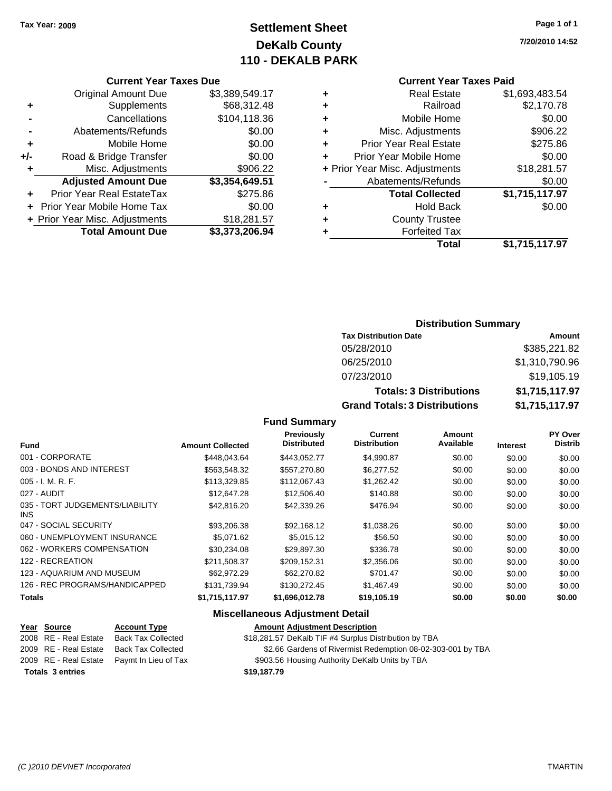# **Settlement Sheet Tax Year: 2009 Page 1 of 1 DeKalb County 110 - DEKALB PARK**

# **7/20/2010 14:52**

| Current Year Taxes Paid |  |  |
|-------------------------|--|--|
|                         |  |  |

|   | Total                          | \$1,715,117.97 |
|---|--------------------------------|----------------|
|   | <b>Forfeited Tax</b>           |                |
| ٠ | <b>County Trustee</b>          |                |
| ٠ | <b>Hold Back</b>               | \$0.00         |
|   | <b>Total Collected</b>         | \$1,715,117.97 |
|   | Abatements/Refunds             | \$0.00         |
|   | + Prior Year Misc. Adjustments | \$18,281.57    |
| ÷ | Prior Year Mobile Home         | \$0.00         |
| ٠ | <b>Prior Year Real Estate</b>  | \$275.86       |
| ٠ | Misc. Adjustments              | \$906.22       |
| ٠ | Mobile Home                    | \$0.00         |
| ٠ | Railroad                       | \$2,170.78     |
| ٠ | <b>Real Estate</b>             | \$1,693,483.54 |
|   |                                |                |

## **Current Year Taxes Due**

|     | GUITENT TEAL TAXES DUE         |                |
|-----|--------------------------------|----------------|
|     | <b>Original Amount Due</b>     | \$3,389,549.17 |
| ٠   | Supplements                    | \$68,312.48    |
|     | Cancellations                  | \$104,118.36   |
|     | Abatements/Refunds             | \$0.00         |
| ٠   | Mobile Home                    | \$0.00         |
| +/- | Road & Bridge Transfer         | \$0.00         |
| ٠   | Misc. Adjustments              | \$906.22       |
|     | <b>Adjusted Amount Due</b>     | \$3,354,649.51 |
| ٠   | Prior Year Real EstateTax      | \$275.86       |
|     | Prior Year Mobile Home Tax     | \$0.00         |
|     | + Prior Year Misc. Adjustments | \$18,281.57    |
|     | <b>Total Amount Due</b>        | \$3,373,206.94 |
|     |                                |                |

## **Distribution Summary**

| <b>Tax Distribution Date</b>         | Amount         |
|--------------------------------------|----------------|
| 05/28/2010                           | \$385,221.82   |
| 06/25/2010                           | \$1,310,790.96 |
| 07/23/2010                           | \$19,105.19    |
| <b>Totals: 3 Distributions</b>       | \$1,715,117.97 |
| <b>Grand Totals: 3 Distributions</b> | \$1,715,117.97 |

#### **Fund Summary**

| <b>Fund</b>                             | <b>Amount Collected</b> | <b>Previously</b><br><b>Distributed</b> | Current<br><b>Distribution</b> | <b>Amount</b><br>Available | <b>Interest</b> | PY Over<br><b>Distrib</b> |
|-----------------------------------------|-------------------------|-----------------------------------------|--------------------------------|----------------------------|-----------------|---------------------------|
| 001 - CORPORATE                         | \$448.043.64            | \$443,052.77                            | \$4,990.87                     | \$0.00                     | \$0.00          | \$0.00                    |
| 003 - BONDS AND INTEREST                | \$563.548.32            | \$557,270.80                            | \$6,277.52                     | \$0.00                     | \$0.00          | \$0.00                    |
| $005 - I. M. R. F.$                     | \$113,329.85            | \$112,067.43                            | \$1,262.42                     | \$0.00                     | \$0.00          | \$0.00                    |
| 027 - AUDIT                             | \$12,647.28             | \$12,506.40                             | \$140.88                       | \$0.00                     | \$0.00          | \$0.00                    |
| 035 - TORT JUDGEMENTS/LIABILITY<br>INS. | \$42,816.20             | \$42,339.26                             | \$476.94                       | \$0.00                     | \$0.00          | \$0.00                    |
| 047 - SOCIAL SECURITY                   | \$93,206.38             | \$92.168.12                             | \$1,038.26                     | \$0.00                     | \$0.00          | \$0.00                    |
| 060 - UNEMPLOYMENT INSURANCE            | \$5.071.62              | \$5,015.12                              | \$56.50                        | \$0.00                     | \$0.00          | \$0.00                    |
| 062 - WORKERS COMPENSATION              | \$30.234.08             | \$29,897.30                             | \$336.78                       | \$0.00                     | \$0.00          | \$0.00                    |
| 122 - RECREATION                        | \$211.508.37            | \$209.152.31                            | \$2,356.06                     | \$0.00                     | \$0.00          | \$0.00                    |
| 123 - AQUARIUM AND MUSEUM               | \$62,972.29             | \$62,270.82                             | \$701.47                       | \$0.00                     | \$0.00          | \$0.00                    |
| 126 - REC PROGRAMS/HANDICAPPED          | \$131.739.94            | \$130,272.45                            | \$1,467.49                     | \$0.00                     | \$0.00          | \$0.00                    |
| <b>Totals</b>                           | \$1,715,117.97          | \$1,696,012.78                          | \$19,105.19                    | \$0.00                     | \$0.00          | \$0.00                    |

## **Miscellaneous Adjustment Detail**

#### **Year Source Account Type Amount Adjustment Description**

|  | 2008 RE - Real Estate Back Tax Collected | \$18,281.57 DeKalb TIF #4 Surplus Distribution by TBA |  |
|--|------------------------------------------|-------------------------------------------------------|--|
|  |                                          |                                                       |  |

- 2009 RE Real Estate Back Tax Collected \$2.66 Gardens of Rivermist Redemption 08-02-303-001 by TBA
- 2009 RE Real Estate Paymt In Lieu of Tax **\$903.56 Housing Authority DeKalb Units by TBA**

**Totals \$19,187.79 3 entries**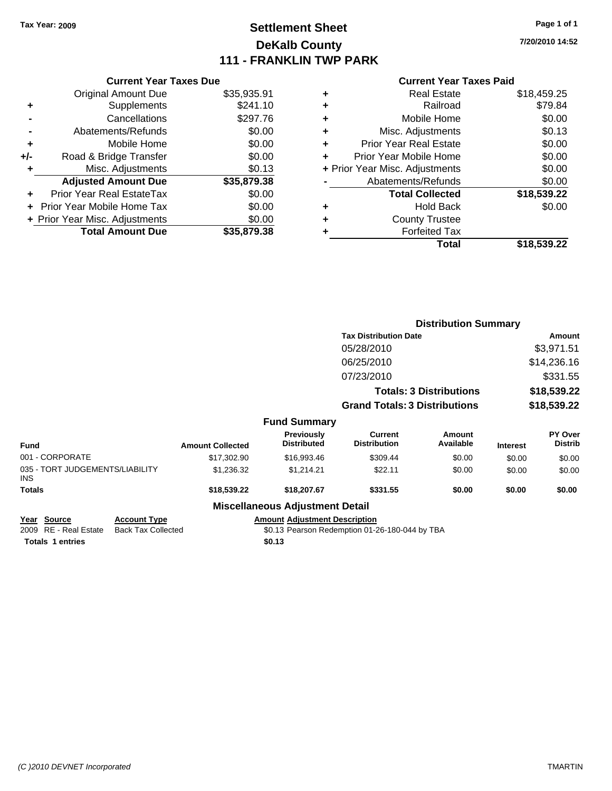# **Settlement Sheet Tax Year: 2009 Page 1 of 1 DeKalb County 111 - FRANKLIN TWP PARK**

**7/20/2010 14:52**

#### **Current Year Taxes Paid**

|     | <b>Current Year Taxes Due</b>     |             |
|-----|-----------------------------------|-------------|
|     | <b>Original Amount Due</b>        | \$35,935.91 |
| ٠   | Supplements                       | \$241.10    |
|     | Cancellations                     | \$297.76    |
|     | Abatements/Refunds                | \$0.00      |
| ٠   | Mobile Home                       | \$0.00      |
| +/- | Road & Bridge Transfer            | \$0.00      |
|     | Misc. Adjustments                 | \$0.13      |
|     | <b>Adjusted Amount Due</b>        | \$35,879.38 |
| ٠   | Prior Year Real EstateTax         | \$0.00      |
|     | <b>Prior Year Mobile Home Tax</b> | \$0.00      |
|     | + Prior Year Misc. Adjustments    | \$0.00      |
|     | <b>Total Amount Due</b>           | \$35.879.38 |

|   | <b>Real Estate</b>             | \$18,459.25 |
|---|--------------------------------|-------------|
| ٠ | Railroad                       | \$79.84     |
| ٠ | Mobile Home                    | \$0.00      |
| ٠ | Misc. Adjustments              | \$0.13      |
| ٠ | Prior Year Real Estate         | \$0.00      |
| ٠ | Prior Year Mobile Home         | \$0.00      |
|   | + Prior Year Misc. Adjustments | \$0.00      |
|   | Abatements/Refunds             | \$0.00      |
|   | <b>Total Collected</b>         | \$18,539.22 |
| ٠ | <b>Hold Back</b>               | \$0.00      |
| ٠ | <b>County Trustee</b>          |             |
|   | <b>Forfeited Tax</b>           |             |
|   | Total                          | \$18,539.22 |
|   |                                |             |

|                                               |                         |                                         | <b>Distribution Summary</b>           |                                |                 |                                  |
|-----------------------------------------------|-------------------------|-----------------------------------------|---------------------------------------|--------------------------------|-----------------|----------------------------------|
|                                               |                         |                                         | <b>Tax Distribution Date</b>          |                                | Amount          |                                  |
|                                               |                         |                                         | 05/28/2010                            |                                |                 | \$3,971.51                       |
|                                               |                         |                                         | 06/25/2010                            |                                |                 | \$14,236.16                      |
|                                               |                         |                                         | 07/23/2010                            |                                |                 | \$331.55                         |
|                                               |                         |                                         |                                       | <b>Totals: 3 Distributions</b> |                 | \$18,539.22                      |
|                                               |                         |                                         | <b>Grand Totals: 3 Distributions</b>  |                                | \$18,539.22     |                                  |
|                                               |                         | <b>Fund Summary</b>                     |                                       |                                |                 |                                  |
| <b>Fund</b>                                   | <b>Amount Collected</b> | <b>Previously</b><br><b>Distributed</b> | <b>Current</b><br><b>Distribution</b> | <b>Amount</b><br>Available     | <b>Interest</b> | <b>PY Over</b><br><b>Distrib</b> |
| 001 - CORPORATE                               | \$17,302.90             | \$16,993.46                             | \$309.44                              | \$0.00                         | \$0.00          | \$0.00                           |
| 035 - TORT JUDGEMENTS/LIABILITY<br><b>INS</b> | \$1,236.32              | \$1,214.21                              | \$22.11                               | \$0.00                         | \$0.00          | \$0.00                           |
| <b>Totals</b>                                 | \$18,539.22             | \$18,207.67                             | \$331.55                              | \$0.00                         | \$0.00          | \$0.00                           |
|                                               |                         | <b>Miscellaneous Adjustment Detail</b>  |                                       |                                |                 |                                  |

**Year Source Account Type Amount Adjustment Description**

2009 RE - Real Estate Back Tax Collected \$0.13 Pearson Redemption 01-26-180-044 by TBA Totals 1 entries \$0.13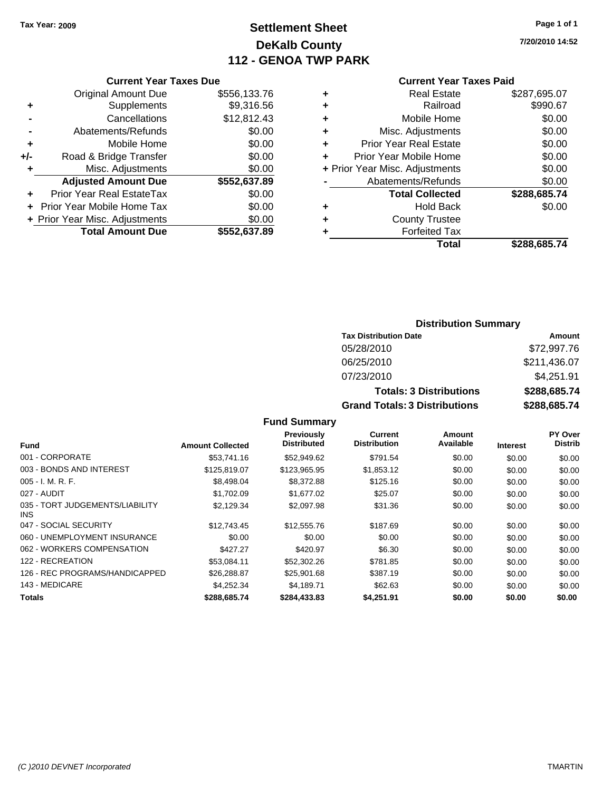# **Settlement Sheet Tax Year: 2009 Page 1 of 1 DeKalb County 112 - GENOA TWP PARK**

**7/20/2010 14:52**

## **Current Year Taxes Due**

|     | <b>Original Amount Due</b>       | \$556,133.76 |
|-----|----------------------------------|--------------|
| ٠   | Supplements                      | \$9,316.56   |
|     | Cancellations                    | \$12,812.43  |
|     | Abatements/Refunds               | \$0.00       |
| ÷   | Mobile Home                      | \$0.00       |
| +/- | Road & Bridge Transfer           | \$0.00       |
| ٠   | Misc. Adjustments                | \$0.00       |
|     | <b>Adjusted Amount Due</b>       | \$552,637.89 |
|     | <b>Prior Year Real EstateTax</b> | \$0.00       |
|     | Prior Year Mobile Home Tax       | \$0.00       |
|     | + Prior Year Misc. Adjustments   | \$0.00       |
|     | <b>Total Amount Due</b>          | \$552,637.89 |

#### **Current Year Taxes Paid**

|   | Total                          | \$288,685.74 |
|---|--------------------------------|--------------|
| ٠ | <b>Forfeited Tax</b>           |              |
| ٠ | <b>County Trustee</b>          |              |
| ٠ | <b>Hold Back</b>               | \$0.00       |
|   | <b>Total Collected</b>         | \$288,685.74 |
|   | Abatements/Refunds             | \$0.00       |
|   | + Prior Year Misc. Adjustments | \$0.00       |
| ÷ | Prior Year Mobile Home         | \$0.00       |
| ٠ | Prior Year Real Estate         | \$0.00       |
| ٠ | Misc. Adjustments              | \$0.00       |
| ٠ | Mobile Home                    | \$0.00       |
| ٠ | Railroad                       | \$990.67     |
| ٠ | <b>Real Estate</b>             | \$287,695.07 |

## **Distribution Summary**

| <b>Tax Distribution Date</b>         | Amount       |
|--------------------------------------|--------------|
| 05/28/2010                           | \$72,997.76  |
| 06/25/2010                           | \$211,436.07 |
| 07/23/2010                           | \$4,251.91   |
| <b>Totals: 3 Distributions</b>       | \$288,685.74 |
| <b>Grand Totals: 3 Distributions</b> | \$288,685.74 |

| <b>Fund</b>                             | <b>Amount Collected</b> | Previously<br><b>Distributed</b> | Current<br><b>Distribution</b> | Amount<br>Available | <b>Interest</b> | PY Over<br><b>Distrib</b> |
|-----------------------------------------|-------------------------|----------------------------------|--------------------------------|---------------------|-----------------|---------------------------|
|                                         |                         |                                  |                                |                     |                 |                           |
| 001 - CORPORATE                         | \$53,741.16             | \$52,949.62                      | \$791.54                       | \$0.00              | \$0.00          | \$0.00                    |
| 003 - BONDS AND INTEREST                | \$125,819.07            | \$123,965.95                     | \$1,853.12                     | \$0.00              | \$0.00          | \$0.00                    |
| $005 - I. M. R. F.$                     | \$8,498,04              | \$8,372.88                       | \$125.16                       | \$0.00              | \$0.00          | \$0.00                    |
| 027 - AUDIT                             | \$1,702.09              | \$1,677.02                       | \$25.07                        | \$0.00              | \$0.00          | \$0.00                    |
| 035 - TORT JUDGEMENTS/LIABILITY<br>INS. | \$2.129.34              | \$2,097.98                       | \$31.36                        | \$0.00              | \$0.00          | \$0.00                    |
| 047 - SOCIAL SECURITY                   | \$12,743.45             | \$12,555.76                      | \$187.69                       | \$0.00              | \$0.00          | \$0.00                    |
| 060 - UNEMPLOYMENT INSURANCE            | \$0.00                  | \$0.00                           | \$0.00                         | \$0.00              | \$0.00          | \$0.00                    |
| 062 - WORKERS COMPENSATION              | \$427.27                | \$420.97                         | \$6.30                         | \$0.00              | \$0.00          | \$0.00                    |
| 122 - RECREATION                        | \$53.084.11             | \$52,302.26                      | \$781.85                       | \$0.00              | \$0.00          | \$0.00                    |
| 126 - REC PROGRAMS/HANDICAPPED          | \$26,288.87             | \$25,901.68                      | \$387.19                       | \$0.00              | \$0.00          | \$0.00                    |
| 143 - MEDICARE                          | \$4.252.34              | \$4.189.71                       | \$62.63                        | \$0.00              | \$0.00          | \$0.00                    |
| <b>Totals</b>                           | \$288,685.74            | \$284,433.83                     | \$4.251.91                     | \$0.00              | \$0.00          | \$0.00                    |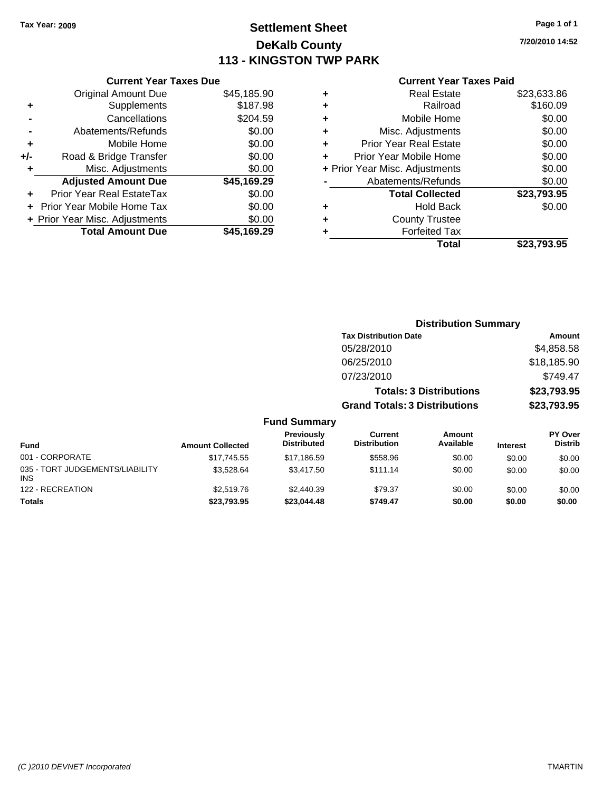# **Settlement Sheet Tax Year: 2009 Page 1 of 1 DeKalb County 113 - KINGSTON TWP PARK**

**7/20/2010 14:52**

#### **Current Year Taxes Paid**

|     | <b>Current Year Taxes Due</b>  |             |  |  |  |  |
|-----|--------------------------------|-------------|--|--|--|--|
|     | <b>Original Amount Due</b>     | \$45,185.90 |  |  |  |  |
| ÷   | Supplements                    | \$187.98    |  |  |  |  |
|     | Cancellations                  | \$204.59    |  |  |  |  |
|     | Abatements/Refunds             | \$0.00      |  |  |  |  |
| ٠   | Mobile Home                    | \$0.00      |  |  |  |  |
| +/- | Road & Bridge Transfer         | \$0.00      |  |  |  |  |
|     | Misc. Adjustments              | \$0.00      |  |  |  |  |
|     | <b>Adjusted Amount Due</b>     | \$45,169.29 |  |  |  |  |
| ÷   | Prior Year Real EstateTax      | \$0.00      |  |  |  |  |
|     | Prior Year Mobile Home Tax     | \$0.00      |  |  |  |  |
|     | + Prior Year Misc. Adjustments | \$0.00      |  |  |  |  |
|     | <b>Total Amount Due</b>        | \$45,169.29 |  |  |  |  |
|     |                                |             |  |  |  |  |

| ٠ | <b>Real Estate</b>             | \$23,633.86 |
|---|--------------------------------|-------------|
| ٠ | Railroad                       | \$160.09    |
| ٠ | Mobile Home                    | \$0.00      |
| ٠ | Misc. Adjustments              | \$0.00      |
| ÷ | <b>Prior Year Real Estate</b>  | \$0.00      |
| ٠ | Prior Year Mobile Home         | \$0.00      |
|   | + Prior Year Misc. Adjustments | \$0.00      |
|   | Abatements/Refunds             | \$0.00      |
|   | <b>Total Collected</b>         | \$23.793.95 |
| ٠ | Hold Back                      | \$0.00      |
| ٠ | <b>County Trustee</b>          |             |
| ٠ | <b>Forfeited Tax</b>           |             |
|   | Total                          | \$23,793.95 |
|   |                                |             |

|                                         |                         |                                  |                                       |                                | <b>Distribution Summary</b> |                                  |
|-----------------------------------------|-------------------------|----------------------------------|---------------------------------------|--------------------------------|-----------------------------|----------------------------------|
|                                         |                         |                                  | <b>Tax Distribution Date</b>          |                                |                             | Amount                           |
|                                         |                         |                                  | 05/28/2010                            |                                |                             | \$4,858.58                       |
|                                         |                         |                                  | 06/25/2010                            |                                |                             | \$18,185.90                      |
|                                         |                         |                                  | 07/23/2010                            |                                |                             | \$749.47                         |
|                                         |                         |                                  |                                       | <b>Totals: 3 Distributions</b> |                             | \$23,793.95                      |
|                                         |                         |                                  | <b>Grand Totals: 3 Distributions</b>  |                                |                             | \$23,793.95                      |
|                                         |                         | <b>Fund Summary</b>              |                                       |                                |                             |                                  |
| <b>Fund</b>                             | <b>Amount Collected</b> | Previously<br><b>Distributed</b> | <b>Current</b><br><b>Distribution</b> | <b>Amount</b><br>Available     | <b>Interest</b>             | <b>PY Over</b><br><b>Distrib</b> |
| 001 - CORPORATE                         | \$17,745.55             | \$17,186.59                      | \$558.96                              | \$0.00                         | \$0.00                      | \$0.00                           |
| 035 - TORT JUDGEMENTS/LIABILITY<br>INS. | \$3,528.64              | \$3,417.50                       | \$111.14                              | \$0.00                         | \$0.00                      | \$0.00                           |
| 122 - RECREATION                        | \$2,519.76              | \$2,440.39                       | \$79.37                               | \$0.00                         | \$0.00                      | \$0.00                           |

**Totals \$23,793.95 \$23,044.48 \$749.47 \$0.00 \$0.00 \$0.00**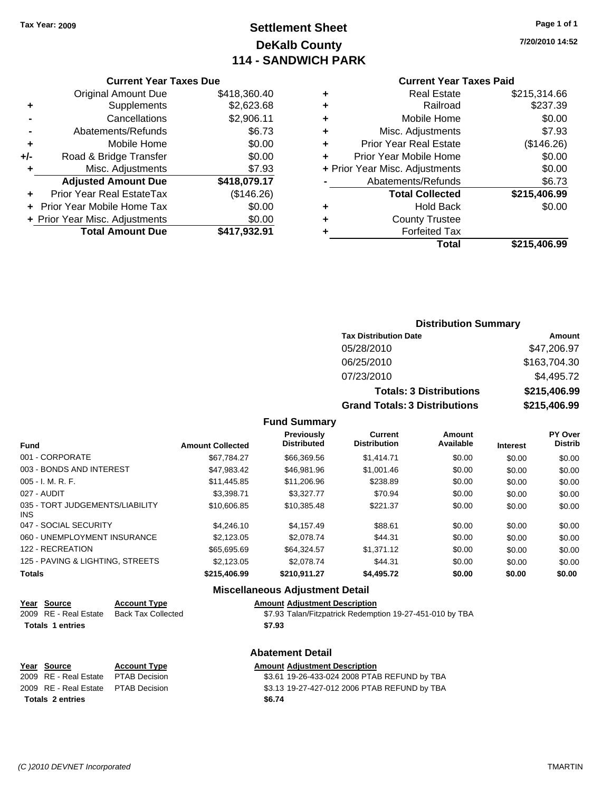# **Settlement Sheet Tax Year: 2009 Page 1 of 1 DeKalb County 114 - SANDWICH PARK**

**7/20/2010 14:52**

## **Current Year Taxes Paid**

|     | <b>Current Year Taxes Due</b>     |              |
|-----|-----------------------------------|--------------|
|     | <b>Original Amount Due</b>        | \$418,360.40 |
| ٠   | Supplements                       | \$2,623.68   |
|     | Cancellations                     | \$2,906.11   |
|     | Abatements/Refunds                | \$6.73       |
| ٠   | Mobile Home                       | \$0.00       |
| +/- | Road & Bridge Transfer            | \$0.00       |
| ٠   | Misc. Adjustments                 | \$7.93       |
|     | <b>Adjusted Amount Due</b>        | \$418,079.17 |
| ٠   | Prior Year Real EstateTax         | (\$146.26)   |
|     | <b>Prior Year Mobile Home Tax</b> | \$0.00       |
|     | + Prior Year Misc. Adjustments    | \$0.00       |
|     | <b>Total Amount Due</b>           | \$417,932.91 |

| ٠ | <b>Real Estate</b>             | \$215,314.66 |
|---|--------------------------------|--------------|
| ٠ | Railroad                       | \$237.39     |
| ٠ | Mobile Home                    | \$0.00       |
| ٠ | Misc. Adjustments              | \$7.93       |
| ÷ | <b>Prior Year Real Estate</b>  | (\$146.26)   |
|   | Prior Year Mobile Home         | \$0.00       |
|   | + Prior Year Misc. Adjustments | \$0.00       |
|   | Abatements/Refunds             | \$6.73       |
|   | <b>Total Collected</b>         | \$215,406.99 |
| ٠ | <b>Hold Back</b>               | \$0.00       |
| ٠ | <b>County Trustee</b>          |              |
| ٠ | <b>Forfeited Tax</b>           |              |
|   | Total                          | \$215,406.99 |
|   |                                |              |

## **Distribution Summary Tax Distribution Date Amount** 05/28/2010 \$47,206.97 06/25/2010 \$163,704.30 07/23/2010 \$4,495.72 **Totals: 3 Distributions \$215,406.99 Grand Totals: 3 Distributions \$215,406.99**

### **Fund Summary**

| <b>Fund</b>                             | <b>Amount Collected</b> | Previously<br><b>Distributed</b> | Current<br><b>Distribution</b> | Amount<br>Available | <b>Interest</b> | PY Over<br><b>Distrib</b> |
|-----------------------------------------|-------------------------|----------------------------------|--------------------------------|---------------------|-----------------|---------------------------|
| 001 - CORPORATE                         | \$67.784.27             | \$66,369.56                      | \$1,414.71                     | \$0.00              | \$0.00          | \$0.00                    |
| 003 - BONDS AND INTEREST                | \$47,983.42             | \$46,981.96                      | \$1,001.46                     | \$0.00              | \$0.00          | \$0.00                    |
| $005 - I. M. R. F.$                     | \$11,445.85             | \$11,206.96                      | \$238.89                       | \$0.00              | \$0.00          | \$0.00                    |
| 027 - AUDIT                             | \$3.398.71              | \$3,327,77                       | \$70.94                        | \$0.00              | \$0.00          | \$0.00                    |
| 035 - TORT JUDGEMENTS/LIABILITY<br>INS. | \$10,606.85             | \$10.385.48                      | \$221.37                       | \$0.00              | \$0.00          | \$0.00                    |
| 047 - SOCIAL SECURITY                   | \$4,246.10              | \$4.157.49                       | \$88.61                        | \$0.00              | \$0.00          | \$0.00                    |
| 060 - UNEMPLOYMENT INSURANCE            | \$2,123,05              | \$2,078.74                       | \$44.31                        | \$0.00              | \$0.00          | \$0.00                    |
| 122 - RECREATION                        | \$65,695,69             | \$64.324.57                      | \$1,371.12                     | \$0.00              | \$0.00          | \$0.00                    |
| 125 - PAVING & LIGHTING, STREETS        | \$2,123,05              | \$2,078.74                       | \$44.31                        | \$0.00              | \$0.00          | \$0.00                    |
| <b>Totals</b>                           | \$215,406.99            | \$210,911.27                     | \$4,495.72                     | \$0.00              | \$0.00          | \$0.00                    |

#### **Miscellaneous Adjustment Detail**

#### **Year Source Account Type Amount Adjustment Description**

2009 RE - Real Estate Back Tax Collected \$7.93 Talan/Fitzpatrick Redemption 19-27-451-010 by TBA **Totals \$7.93 1 entries**

## **Abatement Detail**

| Year Source                         | <b>Account Type</b> | <b>Amount Adiustment Description</b>         |
|-------------------------------------|---------------------|----------------------------------------------|
| 2009 RE - Real Estate PTAB Decision |                     | \$3.61 19-26-433-024 2008 PTAB REFUND by TBA |
| 2009 RE - Real Estate PTAB Decision |                     | \$3.13 19-27-427-012 2006 PTAB REFUND by TBA |
| <b>Totals 2 entries</b>             |                     | \$6.74                                       |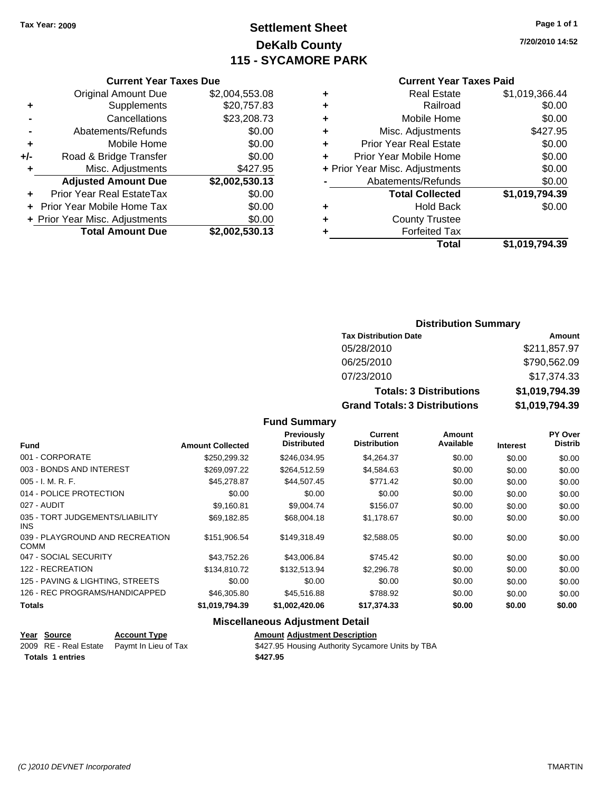# **Settlement Sheet Tax Year: 2009 Page 1 of 1 DeKalb County 115 - SYCAMORE PARK**

**7/20/2010 14:52**

|     | <b>Current Year Taxes Due</b>  |                |  |
|-----|--------------------------------|----------------|--|
|     | <b>Original Amount Due</b>     | \$2,004,553.08 |  |
| ٠   | Supplements                    | \$20,757.83    |  |
|     | Cancellations                  | \$23,208.73    |  |
|     | Abatements/Refunds             | \$0.00         |  |
| ٠   | Mobile Home                    | \$0.00         |  |
| +/- | Road & Bridge Transfer         | \$0.00         |  |
|     | Misc. Adjustments              | \$427.95       |  |
|     | <b>Adjusted Amount Due</b>     | \$2,002,530.13 |  |
|     | Prior Year Real EstateTax      | \$0.00         |  |
|     | Prior Year Mobile Home Tax     | \$0.00         |  |
|     | + Prior Year Misc. Adjustments | \$0.00         |  |
|     | <b>Total Amount Due</b>        | \$2,002,530.13 |  |

## **Current Year Taxes Paid**

|   | <b>Real Estate</b>             | \$1,019,366.44 |
|---|--------------------------------|----------------|
| ٠ | Railroad                       | \$0.00         |
| ٠ | Mobile Home                    | \$0.00         |
| ٠ | Misc. Adjustments              | \$427.95       |
| ٠ | <b>Prior Year Real Estate</b>  | \$0.00         |
|   | Prior Year Mobile Home         | \$0.00         |
|   | + Prior Year Misc. Adjustments | \$0.00         |
|   | Abatements/Refunds             | \$0.00         |
|   | <b>Total Collected</b>         | \$1,019,794.39 |
| ٠ | <b>Hold Back</b>               | \$0.00         |
| ٠ | <b>County Trustee</b>          |                |
| ٠ | <b>Forfeited Tax</b>           |                |
|   | Total                          | \$1,019,794.39 |
|   |                                |                |

## **Distribution Summary**

| <b>Tax Distribution Date</b>         | Amount         |
|--------------------------------------|----------------|
| 05/28/2010                           | \$211,857.97   |
| 06/25/2010                           | \$790,562.09   |
| 07/23/2010                           | \$17,374.33    |
| <b>Totals: 3 Distributions</b>       | \$1,019,794.39 |
| <b>Grand Totals: 3 Distributions</b> | \$1,019,794.39 |

## **Fund Summary**

| <b>Fund</b>                                    | <b>Amount Collected</b> | Previously<br><b>Distributed</b> | Current<br><b>Distribution</b> | Amount<br>Available | <b>Interest</b> | <b>PY Over</b><br><b>Distrib</b> |
|------------------------------------------------|-------------------------|----------------------------------|--------------------------------|---------------------|-----------------|----------------------------------|
| 001 - CORPORATE                                | \$250,299.32            | \$246,034.95                     | \$4,264.37                     | \$0.00              | \$0.00          | \$0.00                           |
| 003 - BONDS AND INTEREST                       | \$269.097.22            | \$264.512.59                     | \$4,584.63                     | \$0.00              | \$0.00          | \$0.00                           |
| $005 - I. M. R. F.$                            | \$45,278.87             | \$44,507.45                      | \$771.42                       | \$0.00              | \$0.00          | \$0.00                           |
| 014 - POLICE PROTECTION                        | \$0.00                  | \$0.00                           | \$0.00                         | \$0.00              | \$0.00          | \$0.00                           |
| 027 - AUDIT                                    | \$9,160.81              | \$9,004.74                       | \$156.07                       | \$0.00              | \$0.00          | \$0.00                           |
| 035 - TORT JUDGEMENTS/LIABILITY<br>INS.        | \$69,182.85             | \$68,004.18                      | \$1,178.67                     | \$0.00              | \$0.00          | \$0.00                           |
| 039 - PLAYGROUND AND RECREATION<br><b>COMM</b> | \$151,906.54            | \$149,318.49                     | \$2,588.05                     | \$0.00              | \$0.00          | \$0.00                           |
| 047 - SOCIAL SECURITY                          | \$43.752.26             | \$43,006.84                      | \$745.42                       | \$0.00              | \$0.00          | \$0.00                           |
| 122 - RECREATION                               | \$134,810.72            | \$132,513.94                     | \$2,296.78                     | \$0.00              | \$0.00          | \$0.00                           |
| 125 - PAVING & LIGHTING, STREETS               | \$0.00                  | \$0.00                           | \$0.00                         | \$0.00              | \$0.00          | \$0.00                           |
| 126 - REC PROGRAMS/HANDICAPPED                 | \$46,305.80             | \$45,516.88                      | \$788.92                       | \$0.00              | \$0.00          | \$0.00                           |
| <b>Totals</b>                                  | \$1,019,794.39          | \$1,002,420.06                   | \$17,374.33                    | \$0.00              | \$0.00          | \$0.00                           |

## **Miscellaneous Adjustment Detail**

| <u>Year Source</u>      | <b>Account Type</b>                        | <b>Amount Adjustment Description</b>             |
|-------------------------|--------------------------------------------|--------------------------------------------------|
|                         | 2009 RE - Real Estate Pavmt In Lieu of Tax | \$427.95 Housing Authority Sycamore Units by TBA |
| <b>Totals 1 entries</b> |                                            | \$427.95                                         |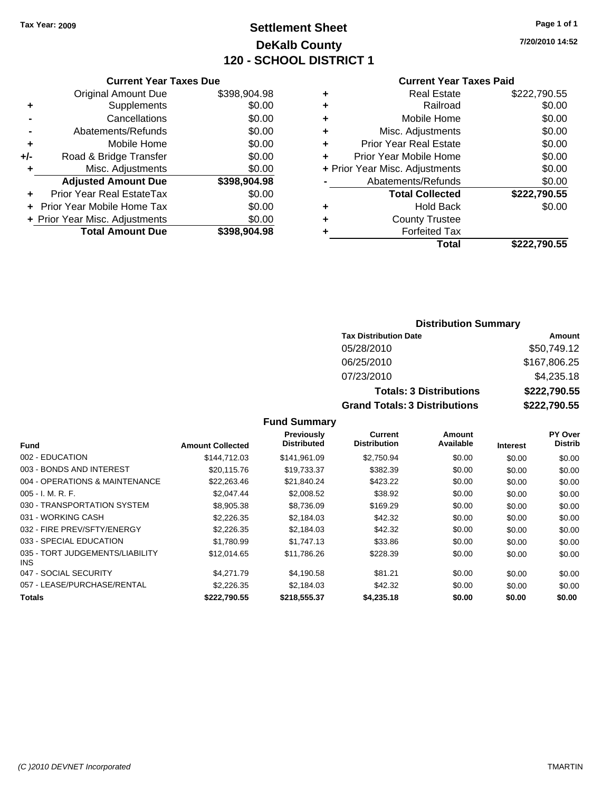# **Settlement Sheet Tax Year: 2009 Page 1 of 1 DeKalb County 120 - SCHOOL DISTRICT 1**

**7/20/2010 14:52**

## **Current Year Taxes Due**

|     | <b>Original Amount Due</b>     | \$398,904.98 |
|-----|--------------------------------|--------------|
| ٠   | Supplements                    | \$0.00       |
|     | Cancellations                  | \$0.00       |
|     | Abatements/Refunds             | \$0.00       |
| ٠   | Mobile Home                    | \$0.00       |
| +/- | Road & Bridge Transfer         | \$0.00       |
| ٠   | Misc. Adjustments              | \$0.00       |
|     | <b>Adjusted Amount Due</b>     | \$398,904.98 |
|     | Prior Year Real EstateTax      | \$0.00       |
|     | Prior Year Mobile Home Tax     | \$0.00       |
|     | + Prior Year Misc. Adjustments | \$0.00       |
|     | <b>Total Amount Due</b>        | \$398,904.98 |

## **Current Year Taxes Paid**

| ٠ | <b>Real Estate</b>             | \$222,790.55 |
|---|--------------------------------|--------------|
| ٠ | Railroad                       | \$0.00       |
| ٠ | Mobile Home                    | \$0.00       |
| ٠ | Misc. Adjustments              | \$0.00       |
| ٠ | <b>Prior Year Real Estate</b>  | \$0.00       |
|   | Prior Year Mobile Home         | \$0.00       |
|   | + Prior Year Misc. Adjustments | \$0.00       |
|   | Abatements/Refunds             | \$0.00       |
|   | <b>Total Collected</b>         | \$222,790.55 |
| ٠ | Hold Back                      | \$0.00       |
| ٠ | <b>County Trustee</b>          |              |
| ٠ | <b>Forfeited Tax</b>           |              |
|   | Total                          | \$222,790.55 |
|   |                                |              |

## **Distribution Summary**

| <b>Tax Distribution Date</b>         | Amount       |
|--------------------------------------|--------------|
| 05/28/2010                           | \$50,749.12  |
| 06/25/2010                           | \$167,806.25 |
| 07/23/2010                           | \$4,235.18   |
| <b>Totals: 3 Distributions</b>       | \$222,790.55 |
| <b>Grand Totals: 3 Distributions</b> | \$222,790.55 |

| Fund                                    | <b>Amount Collected</b> | Previously<br><b>Distributed</b> | Current<br><b>Distribution</b> | Amount<br>Available | <b>Interest</b> | <b>PY Over</b><br><b>Distrib</b> |
|-----------------------------------------|-------------------------|----------------------------------|--------------------------------|---------------------|-----------------|----------------------------------|
|                                         |                         |                                  |                                |                     |                 |                                  |
| 002 - EDUCATION                         | \$144.712.03            | \$141.961.09                     | \$2.750.94                     | \$0.00              | \$0.00          | \$0.00                           |
| 003 - BONDS AND INTEREST                | \$20,115.76             | \$19,733.37                      | \$382.39                       | \$0.00              | \$0.00          | \$0.00                           |
| 004 - OPERATIONS & MAINTENANCE          | \$22,263,46             | \$21.840.24                      | \$423.22                       | \$0.00              | \$0.00          | \$0.00                           |
| $005 - I. M. R. F.$                     | \$2,047.44              | \$2,008.52                       | \$38.92                        | \$0.00              | \$0.00          | \$0.00                           |
| 030 - TRANSPORTATION SYSTEM             | \$8,905.38              | \$8.736.09                       | \$169.29                       | \$0.00              | \$0.00          | \$0.00                           |
| 031 - WORKING CASH                      | \$2,226.35              | \$2,184.03                       | \$42.32                        | \$0.00              | \$0.00          | \$0.00                           |
| 032 - FIRE PREV/SFTY/ENERGY             | \$2,226.35              | \$2,184.03                       | \$42.32                        | \$0.00              | \$0.00          | \$0.00                           |
| 033 - SPECIAL EDUCATION                 | \$1.780.99              | \$1,747.13                       | \$33.86                        | \$0.00              | \$0.00          | \$0.00                           |
| 035 - TORT JUDGEMENTS/LIABILITY<br>INS. | \$12,014.65             | \$11,786.26                      | \$228.39                       | \$0.00              | \$0.00          | \$0.00                           |
| 047 - SOCIAL SECURITY                   | \$4.271.79              | \$4.190.58                       | \$81.21                        | \$0.00              | \$0.00          | \$0.00                           |
| 057 - LEASE/PURCHASE/RENTAL             | \$2,226,35              | \$2.184.03                       | \$42.32                        | \$0.00              | \$0.00          | \$0.00                           |
| <b>Totals</b>                           | \$222,790.55            | \$218,555.37                     | \$4,235.18                     | \$0.00              | \$0.00          | \$0.00                           |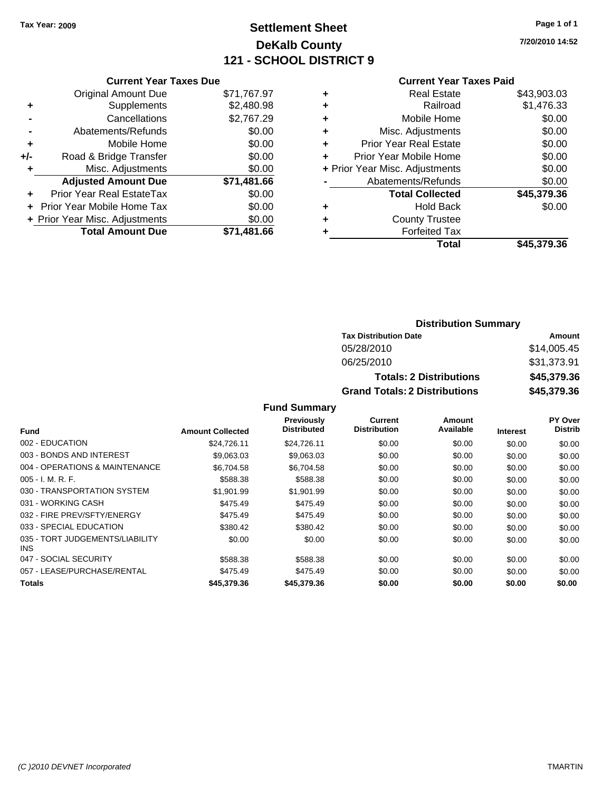# **Settlement Sheet Tax Year: 2009 Page 1 of 1 DeKalb County 121 - SCHOOL DISTRICT 9**

**7/20/2010 14:52**

#### **Current Year Taxes Paid**

| <b>Original Amount Due</b> | \$71,767.97                                                     |
|----------------------------|-----------------------------------------------------------------|
| Supplements                | \$2,480.98                                                      |
| Cancellations              | \$2,767.29                                                      |
| Abatements/Refunds         | \$0.00                                                          |
| Mobile Home                | \$0.00                                                          |
| Road & Bridge Transfer     | \$0.00                                                          |
| Misc. Adjustments          | \$0.00                                                          |
| <b>Adjusted Amount Due</b> | \$71,481.66                                                     |
| Prior Year Real EstateTax  | \$0.00                                                          |
| Prior Year Mobile Home Tax | \$0.00                                                          |
|                            | \$0.00                                                          |
| <b>Total Amount Due</b>    | \$71.481.66                                                     |
|                            | <b>Current Year Taxes Due</b><br>+ Prior Year Misc. Adjustments |

| ٠ | <b>Real Estate</b>             | \$43,903.03 |
|---|--------------------------------|-------------|
| ٠ | Railroad                       | \$1,476.33  |
| ٠ | Mobile Home                    | \$0.00      |
| ٠ | Misc. Adjustments              | \$0.00      |
| ٠ | <b>Prior Year Real Estate</b>  | \$0.00      |
| ٠ | Prior Year Mobile Home         | \$0.00      |
|   | + Prior Year Misc. Adjustments | \$0.00      |
|   | Abatements/Refunds             | \$0.00      |
|   | <b>Total Collected</b>         | \$45,379.36 |
| ٠ | <b>Hold Back</b>               | \$0.00      |
| ٠ | <b>County Trustee</b>          |             |
| ٠ | <b>Forfeited Tax</b>           |             |
|   | Total                          | \$45,379.36 |
|   |                                |             |

## **Distribution Summary**

| <b>Tax Distribution Date</b>         | Amount      |
|--------------------------------------|-------------|
| 05/28/2010                           | \$14,005.45 |
| 06/25/2010                           | \$31,373.91 |
| <b>Totals: 2 Distributions</b>       | \$45,379.36 |
| <b>Grand Totals: 2 Distributions</b> | \$45,379.36 |

|                                         |                         | <b>Previously</b>  | Current             | Amount    |                 | PY Over        |
|-----------------------------------------|-------------------------|--------------------|---------------------|-----------|-----------------|----------------|
| <b>Fund</b>                             | <b>Amount Collected</b> | <b>Distributed</b> | <b>Distribution</b> | Available | <b>Interest</b> | <b>Distrib</b> |
| 002 - EDUCATION                         | \$24,726.11             | \$24,726.11        | \$0.00              | \$0.00    | \$0.00          | \$0.00         |
| 003 - BONDS AND INTEREST                | \$9,063.03              | \$9,063.03         | \$0.00              | \$0.00    | \$0.00          | \$0.00         |
| 004 - OPERATIONS & MAINTENANCE          | \$6.704.58              | \$6.704.58         | \$0.00              | \$0.00    | \$0.00          | \$0.00         |
| $005 - I. M. R. F.$                     | \$588.38                | \$588.38           | \$0.00              | \$0.00    | \$0.00          | \$0.00         |
| 030 - TRANSPORTATION SYSTEM             | \$1,901.99              | \$1,901.99         | \$0.00              | \$0.00    | \$0.00          | \$0.00         |
| 031 - WORKING CASH                      | \$475.49                | \$475.49           | \$0.00              | \$0.00    | \$0.00          | \$0.00         |
| 032 - FIRE PREV/SFTY/ENERGY             | \$475.49                | \$475.49           | \$0.00              | \$0.00    | \$0.00          | \$0.00         |
| 033 - SPECIAL EDUCATION                 | \$380.42                | \$380.42           | \$0.00              | \$0.00    | \$0.00          | \$0.00         |
| 035 - TORT JUDGEMENTS/LIABILITY<br>INS. | \$0.00                  | \$0.00             | \$0.00              | \$0.00    | \$0.00          | \$0.00         |
| 047 - SOCIAL SECURITY                   | \$588.38                | \$588.38           | \$0.00              | \$0.00    | \$0.00          | \$0.00         |
| 057 - LEASE/PURCHASE/RENTAL             | \$475.49                | \$475.49           | \$0.00              | \$0.00    | \$0.00          | \$0.00         |
| <b>Totals</b>                           | \$45,379.36             | \$45,379.36        | \$0.00              | \$0.00    | \$0.00          | \$0.00         |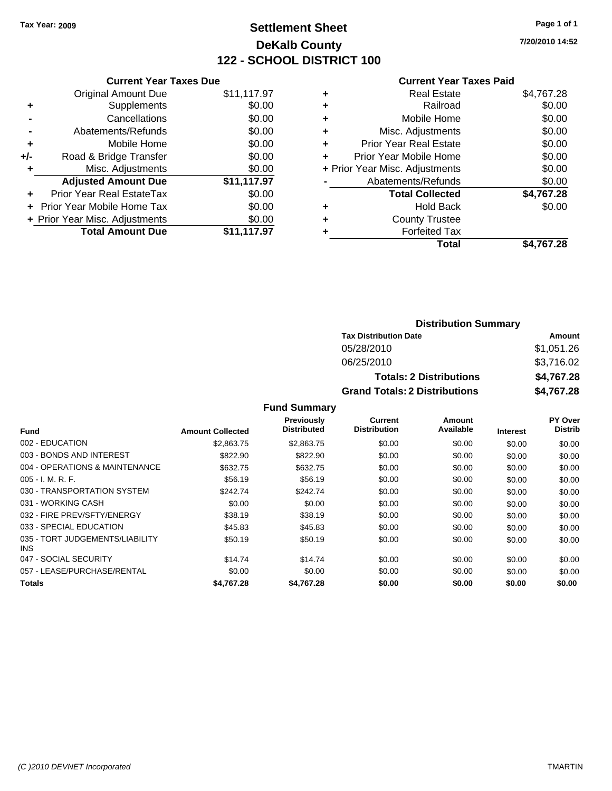# **Settlement Sheet Tax Year: 2009 Page 1 of 1 DeKalb County 122 - SCHOOL DISTRICT 100**

**7/20/2010 14:52**

#### **Current Year Taxes Paid**

|       | <b>Current Year Taxes Due</b>  |             |
|-------|--------------------------------|-------------|
|       | <b>Original Amount Due</b>     | \$11,117.97 |
| ٠     | Supplements                    | \$0.00      |
|       | Cancellations                  | \$0.00      |
|       | Abatements/Refunds             | \$0.00      |
| ٠     | Mobile Home                    | \$0.00      |
| $+/-$ | Road & Bridge Transfer         | \$0.00      |
|       | Misc. Adjustments              | \$0.00      |
|       | <b>Adjusted Amount Due</b>     | \$11,117.97 |
|       | Prior Year Real EstateTax      | \$0.00      |
|       | Prior Year Mobile Home Tax     | \$0.00      |
|       | + Prior Year Misc. Adjustments | \$0.00      |
|       | <b>Total Amount Due</b>        | \$11,117.97 |
|       |                                |             |

| <b>Real Estate</b>             | \$4,767.28 |
|--------------------------------|------------|
| Railroad                       | \$0.00     |
| Mobile Home                    | \$0.00     |
| Misc. Adjustments              | \$0.00     |
| <b>Prior Year Real Estate</b>  | \$0.00     |
| Prior Year Mobile Home         | \$0.00     |
| + Prior Year Misc. Adjustments | \$0.00     |
| Abatements/Refunds             | \$0.00     |
| <b>Total Collected</b>         | \$4,767.28 |
| <b>Hold Back</b>               | \$0.00     |
| <b>County Trustee</b>          |            |
| <b>Forfeited Tax</b>           |            |
| Total                          | \$4.767.28 |
|                                |            |

# **Distribution Summary Tax Distribution Date Amount**<br>05/28/2010 **Amount** 05/28/2010 **Amount**

| <b>Grand Totals: 2 Distributions</b> | \$4,767.28 |
|--------------------------------------|------------|
| <b>Totals: 2 Distributions</b>       | \$4,767.28 |
| 06/25/2010                           | \$3.716.02 |
| 05/28/2010                           | \$1,051.26 |
|                                      |            |

| Fund                                    | <b>Amount Collected</b> | <b>Previously</b><br><b>Distributed</b> | <b>Current</b><br><b>Distribution</b> | Amount<br>Available | <b>Interest</b> | <b>PY Over</b><br><b>Distrib</b> |
|-----------------------------------------|-------------------------|-----------------------------------------|---------------------------------------|---------------------|-----------------|----------------------------------|
| 002 - EDUCATION                         | \$2,863.75              | \$2,863.75                              | \$0.00                                | \$0.00              | \$0.00          | \$0.00                           |
| 003 - BONDS AND INTEREST                | \$822.90                | \$822.90                                | \$0.00                                | \$0.00              | \$0.00          | \$0.00                           |
| 004 - OPERATIONS & MAINTENANCE          | \$632.75                | \$632.75                                | \$0.00                                | \$0.00              | \$0.00          | \$0.00                           |
| $005 - I. M. R. F.$                     | \$56.19                 | \$56.19                                 | \$0.00                                | \$0.00              | \$0.00          | \$0.00                           |
| 030 - TRANSPORTATION SYSTEM             | \$242.74                | \$242.74                                | \$0.00                                | \$0.00              | \$0.00          | \$0.00                           |
| 031 - WORKING CASH                      | \$0.00                  | \$0.00                                  | \$0.00                                | \$0.00              | \$0.00          | \$0.00                           |
| 032 - FIRE PREV/SFTY/ENERGY             | \$38.19                 | \$38.19                                 | \$0.00                                | \$0.00              | \$0.00          | \$0.00                           |
| 033 - SPECIAL EDUCATION                 | \$45.83                 | \$45.83                                 | \$0.00                                | \$0.00              | \$0.00          | \$0.00                           |
| 035 - TORT JUDGEMENTS/LIABILITY<br>INS. | \$50.19                 | \$50.19                                 | \$0.00                                | \$0.00              | \$0.00          | \$0.00                           |
| 047 - SOCIAL SECURITY                   | \$14.74                 | \$14.74                                 | \$0.00                                | \$0.00              | \$0.00          | \$0.00                           |
| 057 - LEASE/PURCHASE/RENTAL             | \$0.00                  | \$0.00                                  | \$0.00                                | \$0.00              | \$0.00          | \$0.00                           |
| <b>Totals</b>                           | \$4.767.28              | \$4,767,28                              | \$0.00                                | \$0.00              | \$0.00          | \$0.00                           |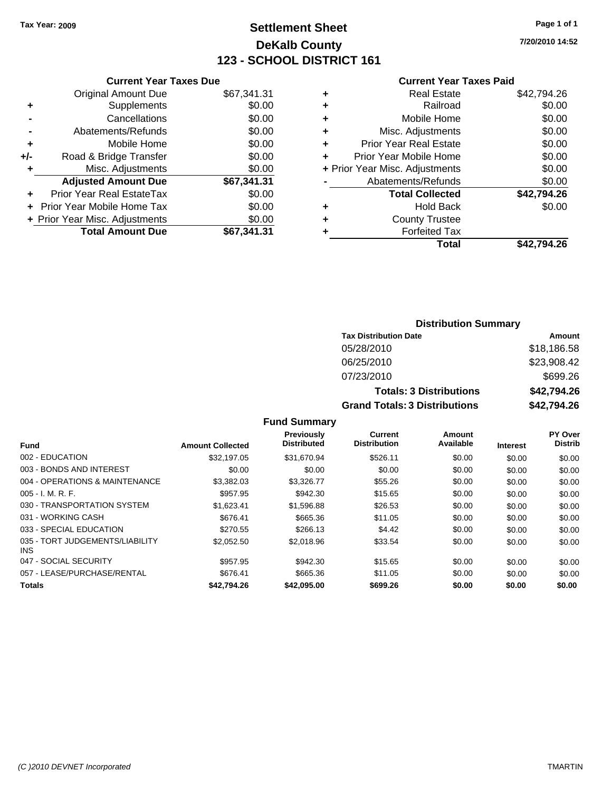# **Settlement Sheet Tax Year: 2009 Page 1 of 1 DeKalb County 123 - SCHOOL DISTRICT 161**

**7/20/2010 14:52**

#### **Current Year Taxes Paid**

|     | <b>Current Year Taxes Due</b>  |             |
|-----|--------------------------------|-------------|
|     | <b>Original Amount Due</b>     | \$67,341.31 |
| ٠   | Supplements                    | \$0.00      |
|     | Cancellations                  | \$0.00      |
|     | Abatements/Refunds             | \$0.00      |
| ٠   | Mobile Home                    | \$0.00      |
| +/- | Road & Bridge Transfer         | \$0.00      |
| ٠   | Misc. Adjustments              | \$0.00      |
|     | <b>Adjusted Amount Due</b>     | \$67,341.31 |
|     | Prior Year Real EstateTax      | \$0.00      |
|     | Prior Year Mobile Home Tax     | \$0.00      |
|     | + Prior Year Misc. Adjustments | \$0.00      |
|     | <b>Total Amount Due</b>        | \$67,341.31 |
|     |                                |             |

| \$42,794.26<br><b>Real Estate</b>        |
|------------------------------------------|
| \$0.00<br>Railroad                       |
| \$0.00<br>Mobile Home                    |
| \$0.00<br>Misc. Adjustments              |
| \$0.00<br><b>Prior Year Real Estate</b>  |
| \$0.00<br>Prior Year Mobile Home         |
| \$0.00<br>+ Prior Year Misc. Adjustments |
| \$0.00<br>Abatements/Refunds             |
| \$42,794.26<br><b>Total Collected</b>    |
| \$0.00<br><b>Hold Back</b>               |
| <b>County Trustee</b>                    |
| <b>Forfeited Tax</b>                     |
| Total<br>\$42.794.26                     |
|                                          |

## **Distribution Summary Tax Distribution Date Amount** 05/28/2010 \$18,186.58 06/25/2010 \$23,908.42 07/23/2010 \$699.26 **Totals: 3 Distributions \$42,794.26 Grand Totals: 3 Distributions \$42,794.26**

|                                         |                         | <b>Previously</b>  | Current<br><b>Distribution</b> | Amount<br>Available |                 | <b>PY Over</b> |
|-----------------------------------------|-------------------------|--------------------|--------------------------------|---------------------|-----------------|----------------|
| <b>Fund</b>                             | <b>Amount Collected</b> | <b>Distributed</b> |                                |                     | <b>Interest</b> | <b>Distrib</b> |
| 002 - EDUCATION                         | \$32,197.05             | \$31,670.94        | \$526.11                       | \$0.00              | \$0.00          | \$0.00         |
| 003 - BONDS AND INTEREST                | \$0.00                  | \$0.00             | \$0.00                         | \$0.00              | \$0.00          | \$0.00         |
| 004 - OPERATIONS & MAINTENANCE          | \$3,382.03              | \$3.326.77         | \$55.26                        | \$0.00              | \$0.00          | \$0.00         |
| $005 - I. M. R. F.$                     | \$957.95                | \$942.30           | \$15.65                        | \$0.00              | \$0.00          | \$0.00         |
| 030 - TRANSPORTATION SYSTEM             | \$1,623.41              | \$1,596.88         | \$26.53                        | \$0.00              | \$0.00          | \$0.00         |
| 031 - WORKING CASH                      | \$676.41                | \$665.36           | \$11.05                        | \$0.00              | \$0.00          | \$0.00         |
| 033 - SPECIAL EDUCATION                 | \$270.55                | \$266.13           | \$4.42                         | \$0.00              | \$0.00          | \$0.00         |
| 035 - TORT JUDGEMENTS/LIABILITY<br>INS. | \$2.052.50              | \$2,018.96         | \$33.54                        | \$0.00              | \$0.00          | \$0.00         |
| 047 - SOCIAL SECURITY                   | \$957.95                | \$942.30           | \$15.65                        | \$0.00              | \$0.00          | \$0.00         |
| 057 - LEASE/PURCHASE/RENTAL             | \$676.41                | \$665.36           | \$11.05                        | \$0.00              | \$0.00          | \$0.00         |
| <b>Totals</b>                           | \$42.794.26             | \$42,095.00        | \$699.26                       | \$0.00              | \$0.00          | \$0.00         |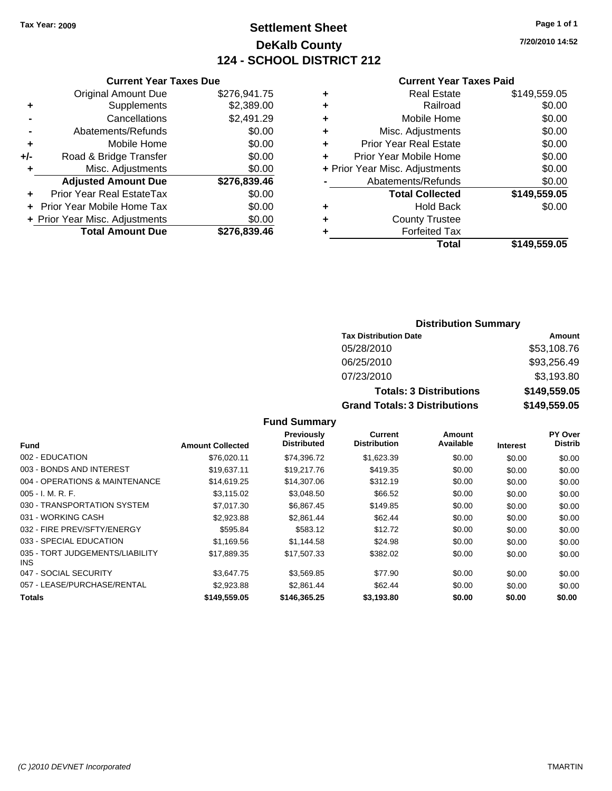# **Settlement Sheet Tax Year: 2009 Page 1 of 1 DeKalb County 124 - SCHOOL DISTRICT 212**

**7/20/2010 14:52**

#### **Current Year Taxes Paid**

|     | <b>Current Year Taxes Due</b>    |              |  |
|-----|----------------------------------|--------------|--|
|     | <b>Original Amount Due</b>       | \$276,941.75 |  |
| ٠   | Supplements                      | \$2,389.00   |  |
|     | Cancellations                    | \$2,491.29   |  |
|     | Abatements/Refunds               | \$0.00       |  |
| ٠   | Mobile Home                      | \$0.00       |  |
| +/- | Road & Bridge Transfer           | \$0.00       |  |
| ٠   | Misc. Adjustments                | \$0.00       |  |
|     | <b>Adjusted Amount Due</b>       | \$276,839.46 |  |
| ٠   | <b>Prior Year Real EstateTax</b> | \$0.00       |  |
|     | Prior Year Mobile Home Tax       | \$0.00       |  |
|     | + Prior Year Misc. Adjustments   | \$0.00       |  |
|     | <b>Total Amount Due</b>          | \$276.839.46 |  |
|     |                                  |              |  |

|   | <b>Real Estate</b>             | \$149,559.05 |
|---|--------------------------------|--------------|
| ٠ | Railroad                       | \$0.00       |
| ٠ | Mobile Home                    | \$0.00       |
| ٠ | Misc. Adjustments              | \$0.00       |
| ÷ | Prior Year Real Estate         | \$0.00       |
| ÷ | Prior Year Mobile Home         | \$0.00       |
|   | + Prior Year Misc. Adjustments | \$0.00       |
|   | Abatements/Refunds             | \$0.00       |
|   | <b>Total Collected</b>         | \$149,559.05 |
| ٠ | <b>Hold Back</b>               | \$0.00       |
| ٠ | <b>County Trustee</b>          |              |
| ٠ | <b>Forfeited Tax</b>           |              |
|   | Total                          | \$149,559.05 |
|   |                                |              |

## **Distribution Summary Tax Distribution Date Amount** 05/28/2010 \$53,108.76 06/25/2010 \$93,256.49 07/23/2010 \$3,193.80 **Totals: 3 Distributions \$149,559.05 Grand Totals: 3 Distributions \$149,559.05**

|                                         |                         | Previously         | Current             | Amount    |                 | <b>PY Over</b> |
|-----------------------------------------|-------------------------|--------------------|---------------------|-----------|-----------------|----------------|
| Fund                                    | <b>Amount Collected</b> | <b>Distributed</b> | <b>Distribution</b> | Available | <b>Interest</b> | <b>Distrib</b> |
| 002 - EDUCATION                         | \$76,020.11             | \$74.396.72        | \$1,623.39          | \$0.00    | \$0.00          | \$0.00         |
| 003 - BONDS AND INTEREST                | \$19.637.11             | \$19,217.76        | \$419.35            | \$0.00    | \$0.00          | \$0.00         |
| 004 - OPERATIONS & MAINTENANCE          | \$14,619.25             | \$14,307.06        | \$312.19            | \$0.00    | \$0.00          | \$0.00         |
| $005 - I. M. R. F.$                     | \$3.115.02              | \$3,048.50         | \$66.52             | \$0.00    | \$0.00          | \$0.00         |
| 030 - TRANSPORTATION SYSTEM             | \$7,017.30              | \$6,867.45         | \$149.85            | \$0.00    | \$0.00          | \$0.00         |
| 031 - WORKING CASH                      | \$2,923.88              | \$2,861.44         | \$62.44             | \$0.00    | \$0.00          | \$0.00         |
| 032 - FIRE PREV/SFTY/ENERGY             | \$595.84                | \$583.12           | \$12.72             | \$0.00    | \$0.00          | \$0.00         |
| 033 - SPECIAL EDUCATION                 | \$1,169.56              | \$1.144.58         | \$24.98             | \$0.00    | \$0.00          | \$0.00         |
| 035 - TORT JUDGEMENTS/LIABILITY<br>INS. | \$17,889.35             | \$17.507.33        | \$382.02            | \$0.00    | \$0.00          | \$0.00         |
| 047 - SOCIAL SECURITY                   | \$3.647.75              | \$3,569.85         | \$77.90             | \$0.00    | \$0.00          | \$0.00         |
| 057 - LEASE/PURCHASE/RENTAL             | \$2,923.88              | \$2,861.44         | \$62.44             | \$0.00    | \$0.00          | \$0.00         |
| Totals                                  | \$149,559.05            | \$146,365,25       | \$3,193,80          | \$0.00    | \$0.00          | \$0.00         |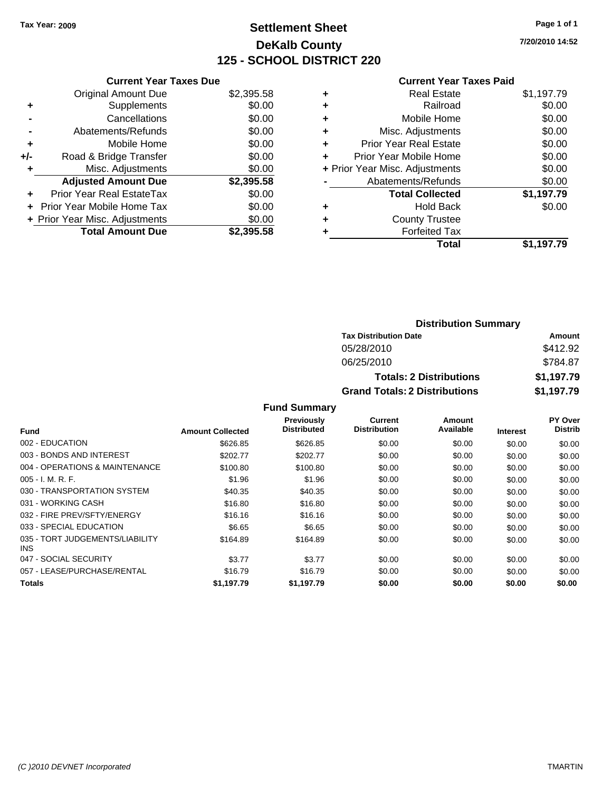# **Settlement Sheet Tax Year: 2009 Page 1 of 1 DeKalb County 125 - SCHOOL DISTRICT 220**

**7/20/2010 14:52**

|     | <b>Current Year Taxes Due</b>     |            |
|-----|-----------------------------------|------------|
|     | <b>Original Amount Due</b>        | \$2,395.58 |
| ÷   | Supplements                       | \$0.00     |
|     | Cancellations                     | \$0.00     |
|     | Abatements/Refunds                | \$0.00     |
| ٠   | Mobile Home                       | \$0.00     |
| +/- | Road & Bridge Transfer            | \$0.00     |
|     | Misc. Adjustments                 | \$0.00     |
|     | <b>Adjusted Amount Due</b>        | \$2,395.58 |
| ÷   | Prior Year Real EstateTax         | \$0.00     |
|     | <b>Prior Year Mobile Home Tax</b> | \$0.00     |
|     | + Prior Year Misc. Adjustments    | \$0.00     |
|     | <b>Total Amount Due</b>           | \$2.395.58 |

|   | <b>Real Estate</b>             | \$1,197.79 |
|---|--------------------------------|------------|
| ٠ | Railroad                       | \$0.00     |
| ٠ | Mobile Home                    | \$0.00     |
| ٠ | Misc. Adjustments              | \$0.00     |
| ÷ | Prior Year Real Estate         | \$0.00     |
| ÷ | Prior Year Mobile Home         | \$0.00     |
|   | + Prior Year Misc. Adjustments | \$0.00     |
|   | Abatements/Refunds             | \$0.00     |
|   | <b>Total Collected</b>         | \$1,197.79 |
| ٠ | <b>Hold Back</b>               | \$0.00     |
| ٠ | <b>County Trustee</b>          |            |
|   | <b>Forfeited Tax</b>           |            |
|   | Total                          | \$1,197.79 |

| <b>Distribution Summary</b>          |            |  |  |  |
|--------------------------------------|------------|--|--|--|
| <b>Tax Distribution Date</b>         | Amount     |  |  |  |
| 05/28/2010                           | \$412.92   |  |  |  |
| 06/25/2010                           | \$784.87   |  |  |  |
| <b>Totals: 2 Distributions</b>       | \$1,197.79 |  |  |  |
| <b>Grand Totals: 2 Distributions</b> | \$1,197.79 |  |  |  |

|                                         |                         | <b>Fund Summary</b>                     |                                       |                     |                 |                                  |
|-----------------------------------------|-------------------------|-----------------------------------------|---------------------------------------|---------------------|-----------------|----------------------------------|
| Fund                                    | <b>Amount Collected</b> | <b>Previously</b><br><b>Distributed</b> | <b>Current</b><br><b>Distribution</b> | Amount<br>Available | <b>Interest</b> | <b>PY Over</b><br><b>Distrib</b> |
| 002 - EDUCATION                         | \$626.85                | \$626.85                                | \$0.00                                | \$0.00              | \$0.00          | \$0.00                           |
| 003 - BONDS AND INTEREST                | \$202.77                | \$202.77                                | \$0.00                                | \$0.00              | \$0.00          | \$0.00                           |
| 004 - OPERATIONS & MAINTENANCE          | \$100.80                | \$100.80                                | \$0.00                                | \$0.00              | \$0.00          | \$0.00                           |
| $005 - I. M. R. F.$                     | \$1.96                  | \$1.96                                  | \$0.00                                | \$0.00              | \$0.00          | \$0.00                           |
| 030 - TRANSPORTATION SYSTEM             | \$40.35                 | \$40.35                                 | \$0.00                                | \$0.00              | \$0.00          | \$0.00                           |
| 031 - WORKING CASH                      | \$16.80                 | \$16.80                                 | \$0.00                                | \$0.00              | \$0.00          | \$0.00                           |
| 032 - FIRE PREV/SFTY/ENERGY             | \$16.16                 | \$16.16                                 | \$0.00                                | \$0.00              | \$0.00          | \$0.00                           |
| 033 - SPECIAL EDUCATION                 | \$6.65                  | \$6.65                                  | \$0.00                                | \$0.00              | \$0.00          | \$0.00                           |
| 035 - TORT JUDGEMENTS/LIABILITY<br>INS. | \$164.89                | \$164.89                                | \$0.00                                | \$0.00              | \$0.00          | \$0.00                           |
| 047 - SOCIAL SECURITY                   | \$3.77                  | \$3.77                                  | \$0.00                                | \$0.00              | \$0.00          | \$0.00                           |
| 057 - LEASE/PURCHASE/RENTAL             | \$16.79                 | \$16.79                                 | \$0.00                                | \$0.00              | \$0.00          | \$0.00                           |
| <b>Totals</b>                           | \$1.197.79              | \$1.197.79                              | \$0.00                                | \$0.00              | \$0.00          | \$0.00                           |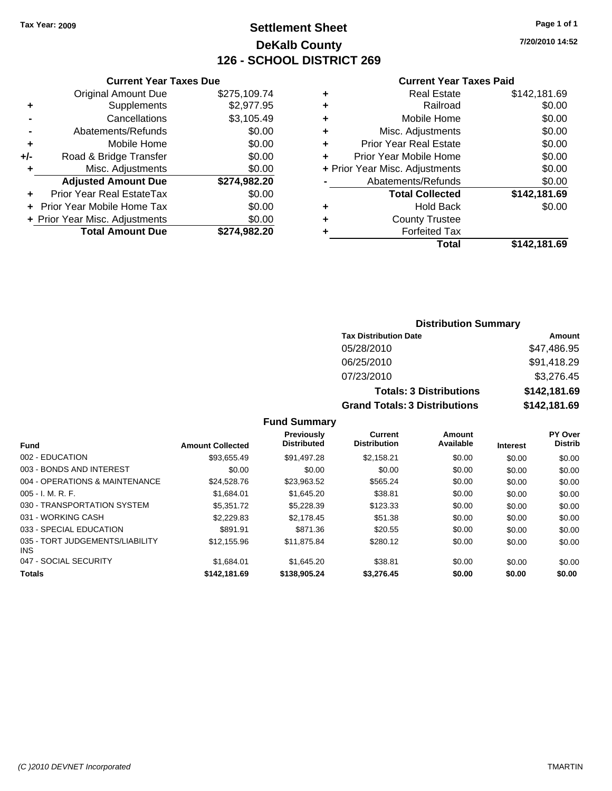# **Settlement Sheet Tax Year: 2009 Page 1 of 1 DeKalb County 126 - SCHOOL DISTRICT 269**

**7/20/2010 14:52**

#### **Current Year Taxes Paid**

|     | <b>Current Year Taxes Due</b>  |              |   |                  |
|-----|--------------------------------|--------------|---|------------------|
|     | <b>Original Amount Due</b>     | \$275,109.74 |   |                  |
|     | <b>Supplements</b>             | \$2,977.95   | ٠ |                  |
|     | Cancellations                  | \$3,105.49   | ٠ |                  |
|     | Abatements/Refunds             | \$0.00       | ٠ | Mis              |
|     | Mobile Home                    | \$0.00       |   | Prior Ye         |
| +/- | Road & Bridge Transfer         | \$0.00       |   | Prior Yea        |
|     | Misc. Adjustments              | \$0.00       |   | + Prior Year Mis |
|     | <b>Adjusted Amount Due</b>     | \$274,982.20 |   | Abate            |
|     | Prior Year Real EstateTax      | \$0.00       |   |                  |
|     | + Prior Year Mobile Home Tax   | \$0.00       |   |                  |
|     | + Prior Year Misc. Adjustments | \$0.00       |   |                  |
|     | <b>Total Amount Due</b>        | \$274,982.20 |   |                  |
|     |                                |              |   |                  |

|   | <b>Real Estate</b>             | \$142,181.69 |
|---|--------------------------------|--------------|
| ٠ | Railroad                       | \$0.00       |
| ٠ | Mobile Home                    | \$0.00       |
| ٠ | Misc. Adjustments              | \$0.00       |
|   | <b>Prior Year Real Estate</b>  | \$0.00       |
|   | Prior Year Mobile Home         | \$0.00       |
|   | + Prior Year Misc. Adjustments | \$0.00       |
|   | Abatements/Refunds             | \$0.00       |
|   | <b>Total Collected</b>         | \$142,181.69 |
| ٠ | <b>Hold Back</b>               | \$0.00       |
| ٠ | <b>County Trustee</b>          |              |
|   | <b>Forfeited Tax</b>           |              |
|   | Total                          | \$142,181.69 |
|   |                                |              |

## **Distribution Summary Tax Distribution Date Amount** 05/28/2010 \$47,486.95 06/25/2010 \$91,418.29 07/23/2010 \$3,276.45 **Totals: 3 Distributions \$142,181.69 Grand Totals: 3 Distributions \$142,181.69**

|                                         |                         | <b>Previously</b><br><b>Distributed</b> | Current<br><b>Distribution</b> | Amount<br>Available |                 | <b>PY Over</b><br><b>Distrib</b> |
|-----------------------------------------|-------------------------|-----------------------------------------|--------------------------------|---------------------|-----------------|----------------------------------|
| <b>Fund</b>                             | <b>Amount Collected</b> |                                         |                                |                     | <b>Interest</b> |                                  |
| 002 - EDUCATION                         | \$93.655.49             | \$91.497.28                             | \$2.158.21                     | \$0.00              | \$0.00          | \$0.00                           |
| 003 - BONDS AND INTEREST                | \$0.00                  | \$0.00                                  | \$0.00                         | \$0.00              | \$0.00          | \$0.00                           |
| 004 - OPERATIONS & MAINTENANCE          | \$24,528.76             | \$23,963.52                             | \$565.24                       | \$0.00              | \$0.00          | \$0.00                           |
| $005 - I. M. R. F.$                     | \$1.684.01              | \$1,645.20                              | \$38.81                        | \$0.00              | \$0.00          | \$0.00                           |
| 030 - TRANSPORTATION SYSTEM             | \$5,351,72              | \$5,228.39                              | \$123.33                       | \$0.00              | \$0.00          | \$0.00                           |
| 031 - WORKING CASH                      | \$2,229.83              | \$2.178.45                              | \$51.38                        | \$0.00              | \$0.00          | \$0.00                           |
| 033 - SPECIAL EDUCATION                 | \$891.91                | \$871.36                                | \$20.55                        | \$0.00              | \$0.00          | \$0.00                           |
| 035 - TORT JUDGEMENTS/LIABILITY<br>INS. | \$12,155.96             | \$11.875.84                             | \$280.12                       | \$0.00              | \$0.00          | \$0.00                           |
| 047 - SOCIAL SECURITY                   | \$1,684.01              | \$1.645.20                              | \$38.81                        | \$0.00              | \$0.00          | \$0.00                           |
| <b>Totals</b>                           | \$142,181.69            | \$138,905.24                            | \$3,276.45                     | \$0.00              | \$0.00          | \$0.00                           |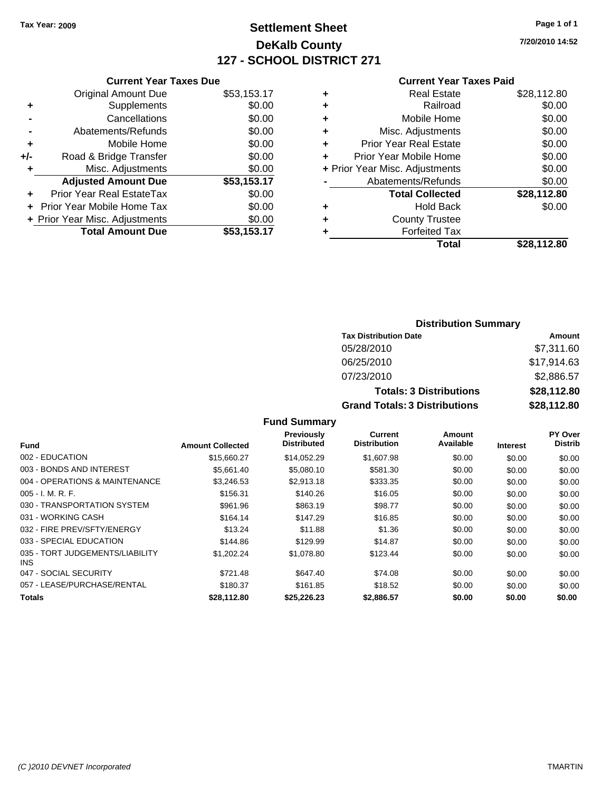# **Settlement Sheet Tax Year: 2009 Page 1 of 1 DeKalb County 127 - SCHOOL DISTRICT 271**

**7/20/2010 14:52**

#### **Current Year Taxes Paid**

|     | <b>Current Year Taxes Due</b>  |             |  |  |  |  |
|-----|--------------------------------|-------------|--|--|--|--|
|     | <b>Original Amount Due</b>     | \$53,153.17 |  |  |  |  |
| ÷   | Supplements                    | \$0.00      |  |  |  |  |
|     | Cancellations                  | \$0.00      |  |  |  |  |
|     | Abatements/Refunds             | \$0.00      |  |  |  |  |
| ٠   | Mobile Home                    | \$0.00      |  |  |  |  |
| +/- | Road & Bridge Transfer         | \$0.00      |  |  |  |  |
|     | Misc. Adjustments              | \$0.00      |  |  |  |  |
|     | <b>Adjusted Amount Due</b>     | \$53,153.17 |  |  |  |  |
|     | Prior Year Real EstateTax      | \$0.00      |  |  |  |  |
|     | Prior Year Mobile Home Tax     | \$0.00      |  |  |  |  |
|     | + Prior Year Misc. Adjustments | \$0.00      |  |  |  |  |
|     | <b>Total Amount Due</b>        | \$53,153.17 |  |  |  |  |
|     |                                |             |  |  |  |  |

| \$28,112.80 |
|-------------|
| \$0.00      |
| \$0.00      |
| \$0.00      |
| \$0.00      |
| \$0.00      |
| \$0.00      |
| \$0.00      |
| \$28,112.80 |
| \$0.00      |
|             |
|             |
| \$28.112.80 |
|             |

## **Distribution Summary Tax Distribution Date Amount** 05/28/2010 \$7,311.60 06/25/2010 \$17,914.63 07/23/2010 \$2,886.57 **Totals: 3 Distributions \$28,112.80 Grand Totals: 3 Distributions \$28,112.80**

| Fund                                    | <b>Amount Collected</b> | Previously<br><b>Distributed</b> | Current<br><b>Distribution</b> | Amount<br>Available | <b>Interest</b> | <b>PY Over</b><br><b>Distrib</b> |
|-----------------------------------------|-------------------------|----------------------------------|--------------------------------|---------------------|-----------------|----------------------------------|
|                                         |                         |                                  |                                |                     |                 |                                  |
| 003 - BONDS AND INTEREST                | \$5.661.40              | \$5,080.10                       | \$581.30                       | \$0.00              | \$0.00          | \$0.00                           |
| 004 - OPERATIONS & MAINTENANCE          | \$3,246.53              | \$2.913.18                       | \$333.35                       | \$0.00              | \$0.00          | \$0.00                           |
| $005 - I. M. R. F.$                     | \$156.31                | \$140.26                         | \$16.05                        | \$0.00              | \$0.00          | \$0.00                           |
| 030 - TRANSPORTATION SYSTEM             | \$961.96                | \$863.19                         | \$98.77                        | \$0.00              | \$0.00          | \$0.00                           |
| 031 - WORKING CASH                      | \$164.14                | \$147.29                         | \$16.85                        | \$0.00              | \$0.00          | \$0.00                           |
| 032 - FIRE PREV/SFTY/ENERGY             | \$13.24                 | \$11.88                          | \$1.36                         | \$0.00              | \$0.00          | \$0.00                           |
| 033 - SPECIAL EDUCATION                 | \$144.86                | \$129.99                         | \$14.87                        | \$0.00              | \$0.00          | \$0.00                           |
| 035 - TORT JUDGEMENTS/LIABILITY<br>INS. | \$1,202.24              | \$1,078.80                       | \$123.44                       | \$0.00              | \$0.00          | \$0.00                           |
| 047 - SOCIAL SECURITY                   | \$721.48                | \$647.40                         | \$74.08                        | \$0.00              | \$0.00          | \$0.00                           |
| 057 - LEASE/PURCHASE/RENTAL             | \$180.37                | \$161.85                         | \$18.52                        | \$0.00              | \$0.00          | \$0.00                           |
| Totals                                  | \$28.112.80             | \$25.226.23                      | \$2.886.57                     | \$0.00              | \$0.00          | \$0.00                           |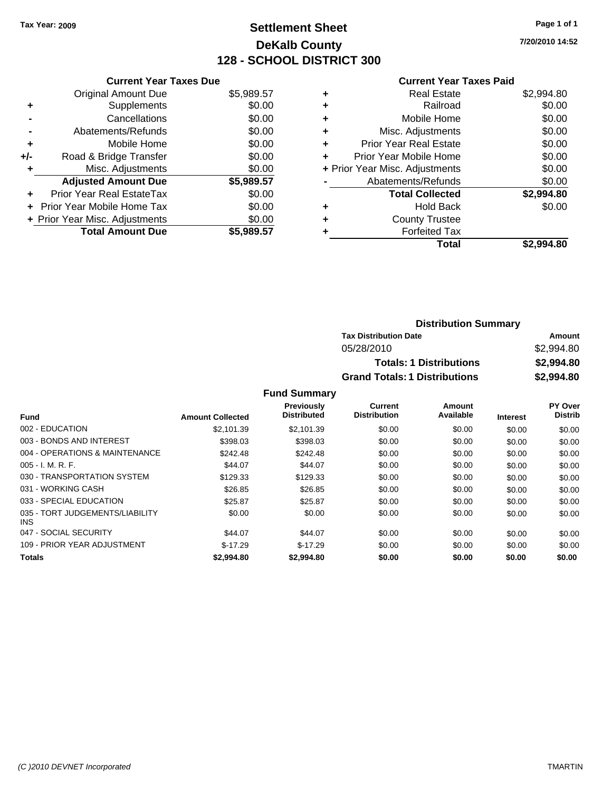### **Settlement Sheet Tax Year: 2009 Page 1 of 1 DeKalb County 128 - SCHOOL DISTRICT 300**

**7/20/2010 14:52**

#### **Current Year Taxes Paid**

|     | <b>Current Year Taxes Due</b>  |            |
|-----|--------------------------------|------------|
|     | <b>Original Amount Due</b>     | \$5,989.57 |
| ÷   | Supplements                    | \$0.00     |
|     | Cancellations                  | \$0.00     |
|     | Abatements/Refunds             | \$0.00     |
| ٠   | Mobile Home                    | \$0.00     |
| +/- | Road & Bridge Transfer         | \$0.00     |
|     | Misc. Adjustments              | \$0.00     |
|     | <b>Adjusted Amount Due</b>     | \$5,989.57 |
| ÷   | Prior Year Real EstateTax      | \$0.00     |
|     | Prior Year Mobile Home Tax     | \$0.00     |
|     | + Prior Year Misc. Adjustments | \$0.00     |
|     | <b>Total Amount Due</b>        | \$5,989.57 |

|   | <b>Real Estate</b>             | \$2,994.80 |
|---|--------------------------------|------------|
| ٠ | Railroad                       | \$0.00     |
| ٠ | Mobile Home                    | \$0.00     |
| ٠ | Misc. Adjustments              | \$0.00     |
| ÷ | Prior Year Real Estate         | \$0.00     |
| ٠ | Prior Year Mobile Home         | \$0.00     |
|   | + Prior Year Misc. Adjustments | \$0.00     |
|   | Abatements/Refunds             | \$0.00     |
|   | <b>Total Collected</b>         | \$2,994.80 |
| ٠ | <b>Hold Back</b>               | \$0.00     |
| ٠ | <b>County Trustee</b>          |            |
|   | <b>Forfeited Tax</b>           |            |
|   | Total                          | \$2.994.80 |

| <b>Distribution Summary</b>          |            |
|--------------------------------------|------------|
| <b>Tax Distribution Date</b>         | Amount     |
| 05/28/2010                           | \$2,994.80 |
| <b>Totals: 1 Distributions</b>       | \$2,994.80 |
| <b>Grand Totals: 1 Distributions</b> | \$2,994.80 |

|                                               |                         | <b>Previously</b>  | Current             | Amount    |                 | PY Over        |
|-----------------------------------------------|-------------------------|--------------------|---------------------|-----------|-----------------|----------------|
| Fund                                          | <b>Amount Collected</b> | <b>Distributed</b> | <b>Distribution</b> | Available | <b>Interest</b> | <b>Distrib</b> |
| 002 - EDUCATION                               | \$2.101.39              | \$2,101.39         | \$0.00              | \$0.00    | \$0.00          | \$0.00         |
| 003 - BONDS AND INTEREST                      | \$398.03                | \$398.03           | \$0.00              | \$0.00    | \$0.00          | \$0.00         |
| 004 - OPERATIONS & MAINTENANCE                | \$242.48                | \$242.48           | \$0.00              | \$0.00    | \$0.00          | \$0.00         |
| $005 - I. M. R. F.$                           | \$44.07                 | \$44.07            | \$0.00              | \$0.00    | \$0.00          | \$0.00         |
| 030 - TRANSPORTATION SYSTEM                   | \$129.33                | \$129.33           | \$0.00              | \$0.00    | \$0.00          | \$0.00         |
| 031 - WORKING CASH                            | \$26.85                 | \$26.85            | \$0.00              | \$0.00    | \$0.00          | \$0.00         |
| 033 - SPECIAL EDUCATION                       | \$25.87                 | \$25.87            | \$0.00              | \$0.00    | \$0.00          | \$0.00         |
| 035 - TORT JUDGEMENTS/LIABILITY<br><b>INS</b> | \$0.00                  | \$0.00             | \$0.00              | \$0.00    | \$0.00          | \$0.00         |
| 047 - SOCIAL SECURITY                         | \$44.07                 | \$44.07            | \$0.00              | \$0.00    | \$0.00          | \$0.00         |
| 109 - PRIOR YEAR ADJUSTMENT                   | $$-17.29$               | $$-17.29$          | \$0.00              | \$0.00    | \$0.00          | \$0.00         |
| <b>Totals</b>                                 | \$2,994.80              | \$2,994.80         | \$0.00              | \$0.00    | \$0.00          | \$0.00         |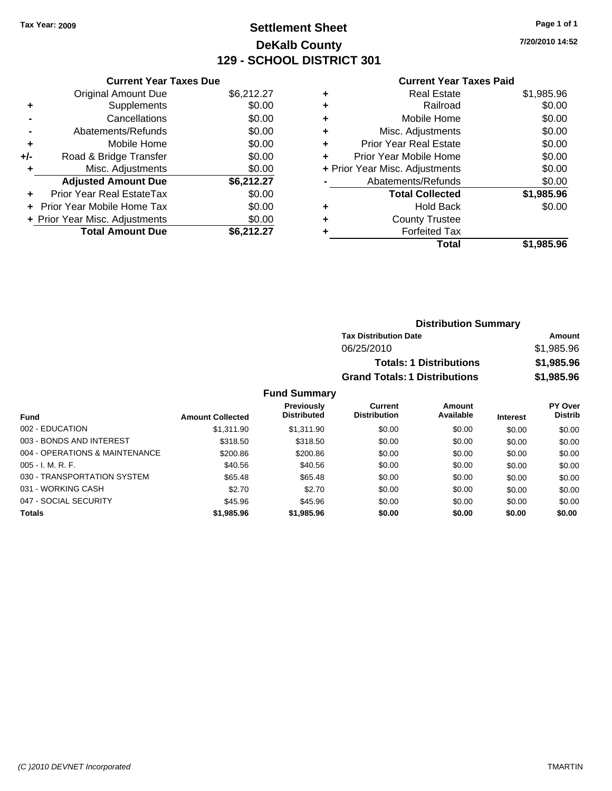### **Settlement Sheet Tax Year: 2009 Page 1 of 1 DeKalb County 129 - SCHOOL DISTRICT 301**

**7/20/2010 14:52**

#### **Current Year Taxes Paid**

|     | <b>Current Year Taxes Due</b>  |            |
|-----|--------------------------------|------------|
|     | <b>Original Amount Due</b>     | \$6,212.27 |
| ÷   | Supplements                    | \$0.00     |
|     | Cancellations                  | \$0.00     |
|     | Abatements/Refunds             | \$0.00     |
| ٠   | Mobile Home                    | \$0.00     |
| +/- | Road & Bridge Transfer         | \$0.00     |
|     | Misc. Adjustments              | \$0.00     |
|     | <b>Adjusted Amount Due</b>     | \$6,212.27 |
| ÷   | Prior Year Real EstateTax      | \$0.00     |
|     | Prior Year Mobile Home Tax     | \$0.00     |
|     | + Prior Year Misc. Adjustments | \$0.00     |
|     | <b>Total Amount Due</b>        | \$6,212,27 |

| ٠ | <b>Real Estate</b>             | \$1,985.96 |
|---|--------------------------------|------------|
| ٠ | Railroad                       | \$0.00     |
| ٠ | Mobile Home                    | \$0.00     |
| ٠ | Misc. Adjustments              | \$0.00     |
| ÷ | <b>Prior Year Real Estate</b>  | \$0.00     |
| ٠ | Prior Year Mobile Home         | \$0.00     |
|   | + Prior Year Misc. Adjustments | \$0.00     |
|   | Abatements/Refunds             | \$0.00     |
|   | <b>Total Collected</b>         | \$1,985.96 |
| ٠ | <b>Hold Back</b>               | \$0.00     |
| ٠ | <b>County Trustee</b>          |            |
|   | <b>Forfeited Tax</b>           |            |
|   | Total                          | \$1.985.96 |

| <b>Distribution Summary</b>          |            |
|--------------------------------------|------------|
| <b>Tax Distribution Date</b>         | Amount     |
| 06/25/2010                           | \$1,985.96 |
| <b>Totals: 1 Distributions</b>       | \$1,985.96 |
| <b>Grand Totals: 1 Distributions</b> | \$1,985,96 |

|                                |                         | <b>Previously</b>  | Current             | <b>Amount</b> |                 | <b>PY Over</b> |
|--------------------------------|-------------------------|--------------------|---------------------|---------------|-----------------|----------------|
| Fund                           | <b>Amount Collected</b> | <b>Distributed</b> | <b>Distribution</b> | Available     | <b>Interest</b> | <b>Distrib</b> |
| 002 - EDUCATION                | \$1,311.90              | \$1.311.90         | \$0.00              | \$0.00        | \$0.00          | \$0.00         |
| 003 - BONDS AND INTEREST       | \$318.50                | \$318.50           | \$0.00              | \$0.00        | \$0.00          | \$0.00         |
| 004 - OPERATIONS & MAINTENANCE | \$200.86                | \$200.86           | \$0.00              | \$0.00        | \$0.00          | \$0.00         |
| $005 - I. M. R. F.$            | \$40.56                 | \$40.56            | \$0.00              | \$0.00        | \$0.00          | \$0.00         |
| 030 - TRANSPORTATION SYSTEM    | \$65.48                 | \$65.48            | \$0.00              | \$0.00        | \$0.00          | \$0.00         |
| 031 - WORKING CASH             | \$2.70                  | \$2.70             | \$0.00              | \$0.00        | \$0.00          | \$0.00         |
| 047 - SOCIAL SECURITY          | \$45.96                 | \$45.96            | \$0.00              | \$0.00        | \$0.00          | \$0.00         |
| <b>Totals</b>                  | \$1,985.96              | \$1,985.96         | \$0.00              | \$0.00        | \$0.00          | \$0.00         |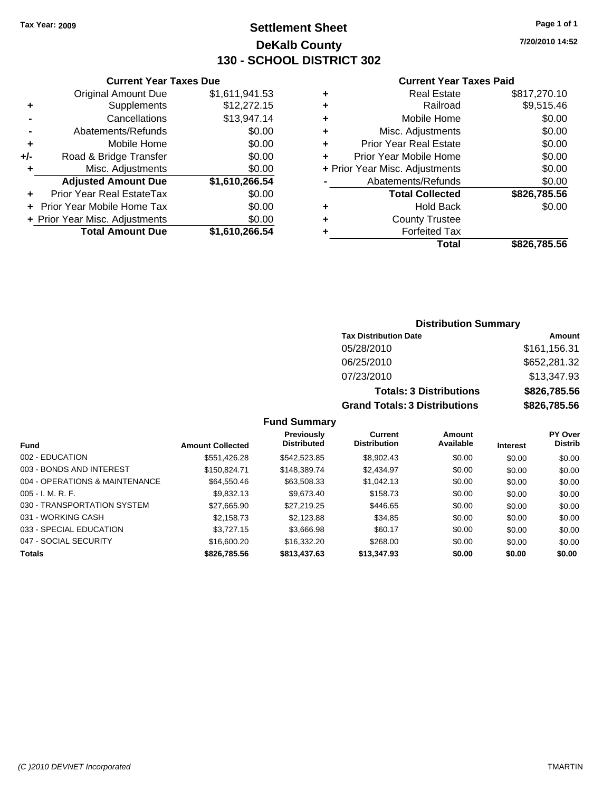### **Settlement Sheet Tax Year: 2009 Page 1 of 1 DeKalb County 130 - SCHOOL DISTRICT 302**

**7/20/2010 14:52**

#### **Current Year Taxes Paid**

|     | <b>Current Year Taxes Due</b>     |                |
|-----|-----------------------------------|----------------|
|     | <b>Original Amount Due</b>        | \$1,611,941.53 |
| ٠   | Supplements                       | \$12,272.15    |
|     | Cancellations                     | \$13,947.14    |
|     | Abatements/Refunds                | \$0.00         |
| ٠   | Mobile Home                       | \$0.00         |
| +/- | Road & Bridge Transfer            | \$0.00         |
| ٠   | Misc. Adjustments                 | \$0.00         |
|     | <b>Adjusted Amount Due</b>        | \$1,610,266.54 |
|     | Prior Year Real EstateTax         | \$0.00         |
|     | <b>Prior Year Mobile Home Tax</b> | \$0.00         |
|     | + Prior Year Misc. Adjustments    | \$0.00         |
|     | <b>Total Amount Due</b>           | \$1,610,266.54 |

### **Distribution Summary**

| <b>Tax Distribution Date</b>         | Amount       |
|--------------------------------------|--------------|
| 05/28/2010                           | \$161,156.31 |
| 06/25/2010                           | \$652,281.32 |
| 07/23/2010                           | \$13,347.93  |
| <b>Totals: 3 Distributions</b>       | \$826,785,56 |
| <b>Grand Totals: 3 Distributions</b> | \$826,785.56 |

| <b>Fund</b>                    | <b>Amount Collected</b> | Previously<br><b>Distributed</b> | Current<br><b>Distribution</b> | <b>Amount</b><br>Available | <b>Interest</b> | <b>PY Over</b><br><b>Distrib</b> |
|--------------------------------|-------------------------|----------------------------------|--------------------------------|----------------------------|-----------------|----------------------------------|
| 002 - EDUCATION                | \$551,426.28            | \$542,523.85                     | \$8,902.43                     | \$0.00                     | \$0.00          | \$0.00                           |
| 003 - BONDS AND INTEREST       | \$150.824.71            | \$148,389,74                     | \$2,434.97                     | \$0.00                     | \$0.00          | \$0.00                           |
| 004 - OPERATIONS & MAINTENANCE | \$64,550,46             | \$63,508.33                      | \$1,042.13                     | \$0.00                     | \$0.00          | \$0.00                           |
| $005 - I. M. R. F.$            | \$9,832.13              | \$9,673.40                       | \$158.73                       | \$0.00                     | \$0.00          | \$0.00                           |
| 030 - TRANSPORTATION SYSTEM    | \$27,665.90             | \$27,219.25                      | \$446.65                       | \$0.00                     | \$0.00          | \$0.00                           |
| 031 - WORKING CASH             | \$2,158.73              | \$2,123.88                       | \$34.85                        | \$0.00                     | \$0.00          | \$0.00                           |
| 033 - SPECIAL EDUCATION        | \$3,727.15              | \$3,666.98                       | \$60.17                        | \$0.00                     | \$0.00          | \$0.00                           |
| 047 - SOCIAL SECURITY          | \$16,600.20             | \$16,332.20                      | \$268.00                       | \$0.00                     | \$0.00          | \$0.00                           |
| <b>Totals</b>                  | \$826,785.56            | \$813,437.63                     | \$13,347.93                    | \$0.00                     | \$0.00          | \$0.00                           |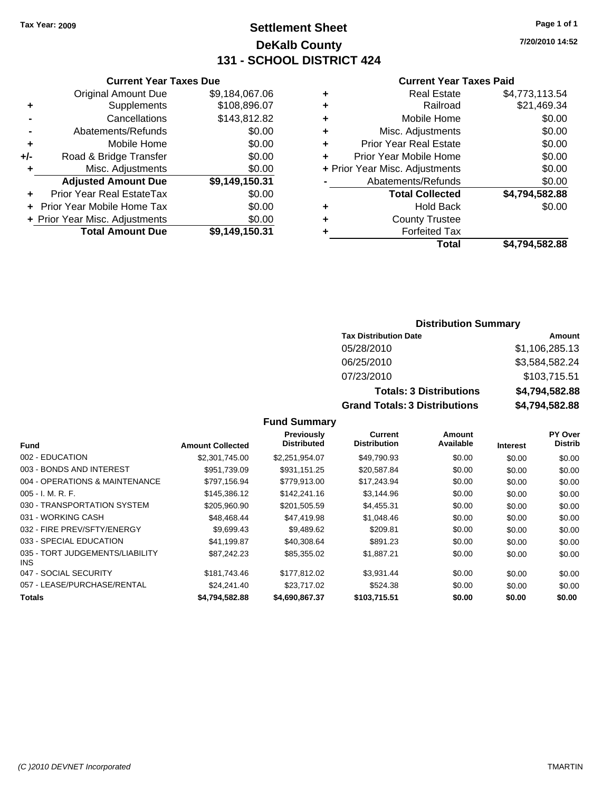### **Settlement Sheet Tax Year: 2009 Page 1 of 1 DeKalb County 131 - SCHOOL DISTRICT 424**

**7/20/2010 14:52**

#### **Current Year Taxes Paid**

|   | Total                          | \$4,794,582.88 |
|---|--------------------------------|----------------|
| ٠ | <b>Forfeited Tax</b>           |                |
| ٠ | <b>County Trustee</b>          |                |
| ٠ | <b>Hold Back</b>               | \$0.00         |
|   | <b>Total Collected</b>         | \$4,794,582.88 |
|   | Abatements/Refunds             | \$0.00         |
|   | + Prior Year Misc. Adjustments | \$0.00         |
|   | Prior Year Mobile Home         | \$0.00         |
| ٠ | <b>Prior Year Real Estate</b>  | \$0.00         |
| ٠ | Misc. Adjustments              | \$0.00         |
| ٠ | Mobile Home                    | \$0.00         |
| ٠ | Railroad                       | \$21,469.34    |
| ٠ | <b>Real Estate</b>             | \$4,773,113.54 |
|   |                                |                |

|     | <b>Current Year Taxes Due</b>  |                |  |  |
|-----|--------------------------------|----------------|--|--|
|     | <b>Original Amount Due</b>     | \$9,184,067.06 |  |  |
| ٠   | Supplements                    | \$108,896.07   |  |  |
|     | Cancellations                  | \$143,812.82   |  |  |
|     | Abatements/Refunds             | \$0.00         |  |  |
| ٠   | Mobile Home                    | \$0.00         |  |  |
| +/- | Road & Bridge Transfer         | \$0.00         |  |  |
| ٠   | Misc. Adjustments              | \$0.00         |  |  |
|     | <b>Adjusted Amount Due</b>     | \$9,149,150.31 |  |  |
|     | Prior Year Real EstateTax      | \$0.00         |  |  |
|     | Prior Year Mobile Home Tax     | \$0.00         |  |  |
|     | + Prior Year Misc. Adjustments | \$0.00         |  |  |
|     | <b>Total Amount Due</b>        | \$9,149,150.31 |  |  |

### **Distribution Summary**

| <b>Tax Distribution Date</b>         | Amount         |
|--------------------------------------|----------------|
| 05/28/2010                           | \$1,106,285.13 |
| 06/25/2010                           | \$3,584,582.24 |
| 07/23/2010                           | \$103,715.51   |
| <b>Totals: 3 Distributions</b>       | \$4,794,582.88 |
| <b>Grand Totals: 3 Distributions</b> | \$4,794,582.88 |

|                                         |                         | Previously         | Current             | Amount    |                 | PY Over        |
|-----------------------------------------|-------------------------|--------------------|---------------------|-----------|-----------------|----------------|
| <b>Fund</b>                             | <b>Amount Collected</b> | <b>Distributed</b> | <b>Distribution</b> | Available | <b>Interest</b> | <b>Distrib</b> |
| 002 - EDUCATION                         | \$2,301,745,00          | \$2.251.954.07     | \$49,790.93         | \$0.00    | \$0.00          | \$0.00         |
| 003 - BONDS AND INTEREST                | \$951,739.09            | \$931,151.25       | \$20,587.84         | \$0.00    | \$0.00          | \$0.00         |
| 004 - OPERATIONS & MAINTENANCE          | \$797.156.94            | \$779.913.00       | \$17,243.94         | \$0.00    | \$0.00          | \$0.00         |
| $005 - I. M. R. F.$                     | \$145,386.12            | \$142,241.16       | \$3,144.96          | \$0.00    | \$0.00          | \$0.00         |
| 030 - TRANSPORTATION SYSTEM             | \$205,960.90            | \$201.505.59       | \$4,455.31          | \$0.00    | \$0.00          | \$0.00         |
| 031 - WORKING CASH                      | \$48,468,44             | \$47.419.98        | \$1,048.46          | \$0.00    | \$0.00          | \$0.00         |
| 032 - FIRE PREV/SFTY/ENERGY             | \$9.699.43              | \$9,489.62         | \$209.81            | \$0.00    | \$0.00          | \$0.00         |
| 033 - SPECIAL EDUCATION                 | \$41.199.87             | \$40,308.64        | \$891.23            | \$0.00    | \$0.00          | \$0.00         |
| 035 - TORT JUDGEMENTS/LIABILITY<br>INS. | \$87.242.23             | \$85,355.02        | \$1,887.21          | \$0.00    | \$0.00          | \$0.00         |
| 047 - SOCIAL SECURITY                   | \$181.743.46            | \$177.812.02       | \$3.931.44          | \$0.00    | \$0.00          | \$0.00         |
| 057 - LEASE/PURCHASE/RENTAL             | \$24,241.40             | \$23,717.02        | \$524.38            | \$0.00    | \$0.00          | \$0.00         |
| Totals                                  | \$4.794.582.88          | \$4,690,867.37     | \$103,715.51        | \$0.00    | \$0.00          | \$0.00         |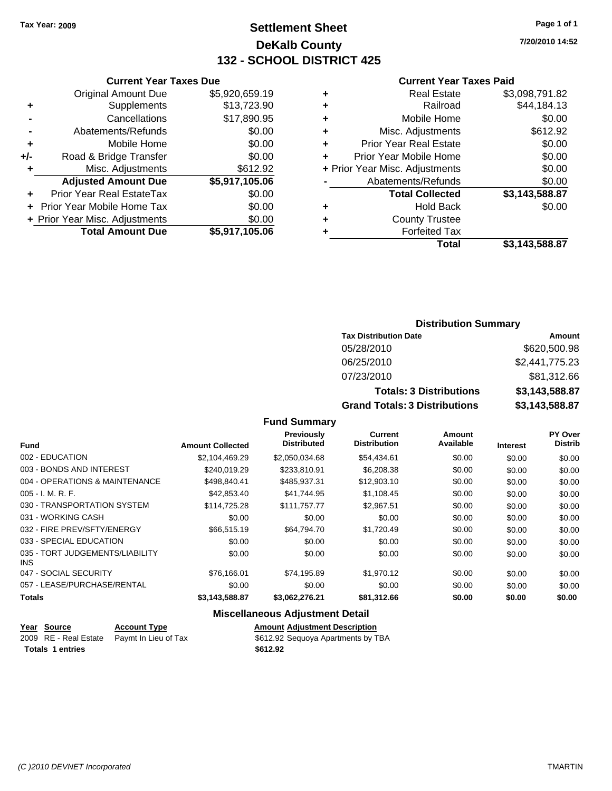### **Settlement Sheet Tax Year: 2009 Page 1 of 1 DeKalb County 132 - SCHOOL DISTRICT 425**

**7/20/2010 14:52**

### **Current Year Taxes Paid**

| Total                          | \$3,143,588.87 |
|--------------------------------|----------------|
| <b>Forfeited Tax</b>           |                |
| <b>County Trustee</b>          |                |
| <b>Hold Back</b>               | \$0.00         |
| <b>Total Collected</b>         | \$3,143,588.87 |
| Abatements/Refunds             | \$0.00         |
| + Prior Year Misc. Adjustments | \$0.00         |
| Prior Year Mobile Home         | \$0.00         |
| <b>Prior Year Real Estate</b>  | \$0.00         |
| Misc. Adjustments              | \$612.92       |
| Mobile Home                    | \$0.00         |
| Railroad                       | \$44,184.13    |
| <b>Real Estate</b>             | \$3,098,791.82 |
|                                |                |

|     | <b>Current Year Taxes Due</b>  |                |  |  |  |
|-----|--------------------------------|----------------|--|--|--|
|     | <b>Original Amount Due</b>     | \$5,920,659.19 |  |  |  |
| ٠   | Supplements                    | \$13,723.90    |  |  |  |
|     | Cancellations                  | \$17,890.95    |  |  |  |
|     | Abatements/Refunds             | \$0.00         |  |  |  |
| ٠   | Mobile Home                    | \$0.00         |  |  |  |
| +/- | Road & Bridge Transfer         | \$0.00         |  |  |  |
| ٠   | Misc. Adjustments              | \$612.92       |  |  |  |
|     | <b>Adjusted Amount Due</b>     | \$5,917,105.06 |  |  |  |
|     | Prior Year Real EstateTax      | \$0.00         |  |  |  |
|     | Prior Year Mobile Home Tax     | \$0.00         |  |  |  |
|     | + Prior Year Misc. Adjustments | \$0.00         |  |  |  |
|     | <b>Total Amount Due</b>        | \$5,917,105.06 |  |  |  |
|     |                                |                |  |  |  |

### **Distribution Summary**

| <b>Tax Distribution Date</b>         | Amount         |
|--------------------------------------|----------------|
| 05/28/2010                           | \$620,500.98   |
| 06/25/2010                           | \$2,441,775.23 |
| 07/23/2010                           | \$81,312.66    |
| <b>Totals: 3 Distributions</b>       | \$3,143,588.87 |
| <b>Grand Totals: 3 Distributions</b> | \$3,143,588.87 |

### **Fund Summary**

| <b>Fund</b>                                   | <b>Amount Collected</b> | Previously<br><b>Distributed</b> | Current<br><b>Distribution</b> | Amount<br>Available | <b>Interest</b> | PY Over<br><b>Distrib</b> |
|-----------------------------------------------|-------------------------|----------------------------------|--------------------------------|---------------------|-----------------|---------------------------|
|                                               |                         |                                  |                                |                     |                 |                           |
| 002 - EDUCATION                               | \$2,104,469.29          | \$2,050,034.68                   | \$54,434.61                    | \$0.00              | \$0.00          | \$0.00                    |
| 003 - BONDS AND INTEREST                      | \$240.019.29            | \$233,810.91                     | \$6,208.38                     | \$0.00              | \$0.00          | \$0.00                    |
| 004 - OPERATIONS & MAINTENANCE                | \$498,840.41            | \$485.937.31                     | \$12,903.10                    | \$0.00              | \$0.00          | \$0.00                    |
| $005 - I. M. R. F.$                           | \$42,853.40             | \$41,744.95                      | \$1,108.45                     | \$0.00              | \$0.00          | \$0.00                    |
| 030 - TRANSPORTATION SYSTEM                   | \$114,725,28            | \$111.757.77                     | \$2.967.51                     | \$0.00              | \$0.00          | \$0.00                    |
| 031 - WORKING CASH                            | \$0.00                  | \$0.00                           | \$0.00                         | \$0.00              | \$0.00          | \$0.00                    |
| 032 - FIRE PREV/SFTY/ENERGY                   | \$66,515.19             | \$64.794.70                      | \$1,720.49                     | \$0.00              | \$0.00          | \$0.00                    |
| 033 - SPECIAL EDUCATION                       | \$0.00                  | \$0.00                           | \$0.00                         | \$0.00              | \$0.00          | \$0.00                    |
| 035 - TORT JUDGEMENTS/LIABILITY<br><b>INS</b> | \$0.00                  | \$0.00                           | \$0.00                         | \$0.00              | \$0.00          | \$0.00                    |
| 047 - SOCIAL SECURITY                         | \$76.166.01             | \$74,195.89                      | \$1,970.12                     | \$0.00              | \$0.00          | \$0.00                    |
| 057 - LEASE/PURCHASE/RENTAL                   | \$0.00                  | \$0.00                           | \$0.00                         | \$0.00              | \$0.00          | \$0.00                    |
| <b>Totals</b>                                 | \$3,143,588.87          | \$3,062,276.21                   | \$81,312.66                    | \$0.00              | \$0.00          | \$0.00                    |

| Year Source             | <b>Account Type</b>                        | <b>Amount Adjustment Description</b> |
|-------------------------|--------------------------------------------|--------------------------------------|
|                         | 2009 RE - Real Estate Paymt In Lieu of Tax | \$612.92 Sequoya Apartments by TBA   |
| <b>Totals 1 entries</b> |                                            | \$612.92                             |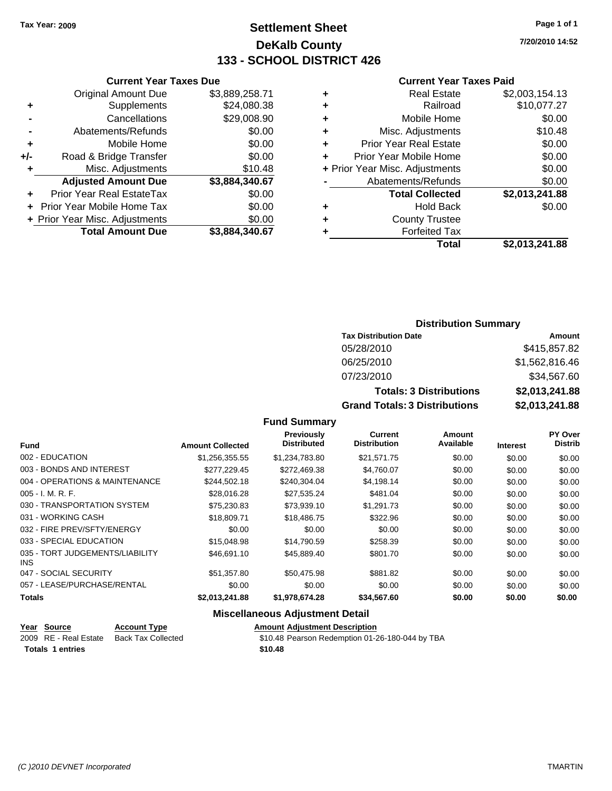### **Settlement Sheet Tax Year: 2009 Page 1 of 1 DeKalb County 133 - SCHOOL DISTRICT 426**

**7/20/2010 14:52**

#### **Current Year Taxes Paid**

| \$2,003,154.13 |
|----------------|
| \$10,077.27    |
| \$0.00         |
| \$10.48        |
| \$0.00         |
| \$0.00         |
| \$0.00         |
| \$0.00         |
| \$2,013,241.88 |
| \$0.00         |
|                |
|                |
| \$2.013.241.88 |
|                |

|     | <b>Current Year Taxes Due</b>  |                |
|-----|--------------------------------|----------------|
|     | <b>Original Amount Due</b>     | \$3,889,258.71 |
| ٠   | Supplements                    | \$24,080.38    |
|     | Cancellations                  | \$29,008.90    |
|     | Abatements/Refunds             | \$0.00         |
| ٠   | Mobile Home                    | \$0.00         |
| +/- | Road & Bridge Transfer         | \$0.00         |
| ٠   | Misc. Adjustments              | \$10.48        |
|     | <b>Adjusted Amount Due</b>     | \$3,884,340.67 |
|     | Prior Year Real EstateTax      | \$0.00         |
|     | Prior Year Mobile Home Tax     | \$0.00         |
|     | + Prior Year Misc. Adjustments | \$0.00         |
|     | <b>Total Amount Due</b>        | \$3,884,340.67 |

### **Distribution Summary**

| <b>Tax Distribution Date</b>         | Amount         |
|--------------------------------------|----------------|
| 05/28/2010                           | \$415,857.82   |
| 06/25/2010                           | \$1,562,816.46 |
| 07/23/2010                           | \$34,567.60    |
| <b>Totals: 3 Distributions</b>       | \$2,013,241.88 |
| <b>Grand Totals: 3 Distributions</b> | \$2,013,241.88 |

### **Fund Summary**

| <b>Fund</b>                                   | <b>Amount Collected</b> | Previously<br><b>Distributed</b> | Current<br><b>Distribution</b> | Amount<br>Available | <b>Interest</b> | PY Over<br><b>Distrib</b> |
|-----------------------------------------------|-------------------------|----------------------------------|--------------------------------|---------------------|-----------------|---------------------------|
|                                               |                         |                                  |                                |                     |                 |                           |
| 002 - EDUCATION                               | \$1,256,355.55          | \$1,234,783.80                   | \$21,571.75                    | \$0.00              | \$0.00          | \$0.00                    |
| 003 - BONDS AND INTEREST                      | \$277.229.45            | \$272,469.38                     | \$4,760.07                     | \$0.00              | \$0.00          | \$0.00                    |
| 004 - OPERATIONS & MAINTENANCE                | \$244.502.18            | \$240.304.04                     | \$4,198.14                     | \$0.00              | \$0.00          | \$0.00                    |
| $005 - I. M. R. F.$                           | \$28,016.28             | \$27,535.24                      | \$481.04                       | \$0.00              | \$0.00          | \$0.00                    |
| 030 - TRANSPORTATION SYSTEM                   | \$75,230.83             | \$73,939.10                      | \$1.291.73                     | \$0.00              | \$0.00          | \$0.00                    |
| 031 - WORKING CASH                            | \$18,809.71             | \$18,486.75                      | \$322.96                       | \$0.00              | \$0.00          | \$0.00                    |
| 032 - FIRE PREV/SFTY/ENERGY                   | \$0.00                  | \$0.00                           | \$0.00                         | \$0.00              | \$0.00          | \$0.00                    |
| 033 - SPECIAL EDUCATION                       | \$15,048.98             | \$14.790.59                      | \$258.39                       | \$0.00              | \$0.00          | \$0.00                    |
| 035 - TORT JUDGEMENTS/LIABILITY<br><b>INS</b> | \$46.691.10             | \$45,889,40                      | \$801.70                       | \$0.00              | \$0.00          | \$0.00                    |
| 047 - SOCIAL SECURITY                         | \$51,357.80             | \$50,475.98                      | \$881.82                       | \$0.00              | \$0.00          | \$0.00                    |
| 057 - LEASE/PURCHASE/RENTAL                   | \$0.00                  | \$0.00                           | \$0.00                         | \$0.00              | \$0.00          | \$0.00                    |
| <b>Totals</b>                                 | \$2,013,241.88          | \$1,978,674.28                   | \$34,567.60                    | \$0.00              | \$0.00          | \$0.00                    |

| <u> Year Source </u>    | <b>Account Type</b> | <b>Amount Adjustment Description</b>            |
|-------------------------|---------------------|-------------------------------------------------|
| 2009 RE - Real Estate   | Back Tax Collected  | \$10.48 Pearson Redemption 01-26-180-044 by TBA |
| <b>Totals 1 entries</b> |                     | \$10.48                                         |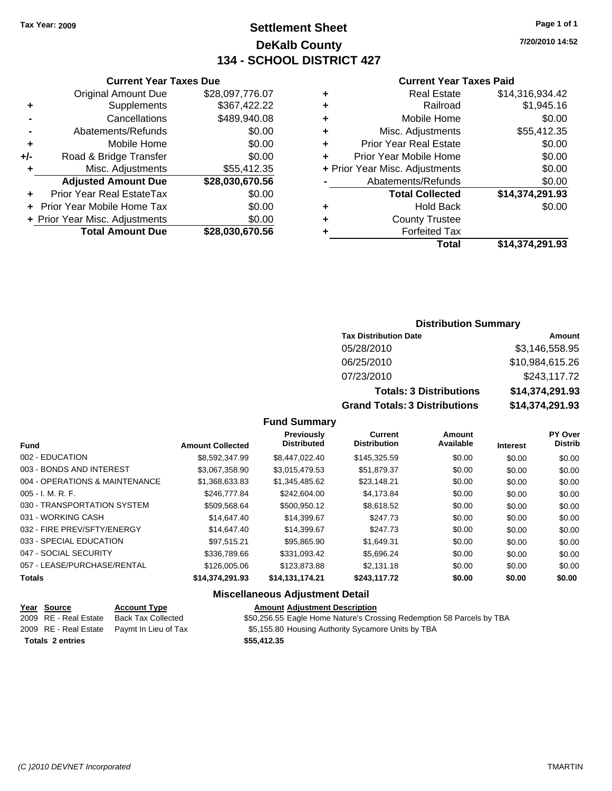### **Settlement Sheet Tax Year: 2009 Page 1 of 1 DeKalb County 134 - SCHOOL DISTRICT 427**

**7/20/2010 14:52**

### **Current Year Taxes Paid**

| ٠ | <b>Real Estate</b>             | \$14,316,934.42 |
|---|--------------------------------|-----------------|
| ٠ | Railroad                       | \$1,945.16      |
| ٠ | Mobile Home                    | \$0.00          |
| ٠ | Misc. Adjustments              | \$55,412.35     |
| ٠ | <b>Prior Year Real Estate</b>  | \$0.00          |
| ÷ | Prior Year Mobile Home         | \$0.00          |
|   | + Prior Year Misc. Adjustments | \$0.00          |
|   | Abatements/Refunds             | \$0.00          |
|   | <b>Total Collected</b>         | \$14,374,291.93 |
| ٠ | Hold Back                      | \$0.00          |
| ٠ | <b>County Trustee</b>          |                 |
|   | <b>Forfeited Tax</b>           |                 |
|   | Total                          | \$14,374,291.93 |

|     | <b>Current Year Taxes Due</b>     |                 |  |  |  |
|-----|-----------------------------------|-----------------|--|--|--|
|     | <b>Original Amount Due</b>        | \$28,097,776.07 |  |  |  |
| ٠   | Supplements                       | \$367,422.22    |  |  |  |
|     | Cancellations                     | \$489,940.08    |  |  |  |
|     | Abatements/Refunds                | \$0.00          |  |  |  |
| ٠   | Mobile Home                       | \$0.00          |  |  |  |
| +/- | Road & Bridge Transfer            | \$0.00          |  |  |  |
| ٠   | Misc. Adjustments                 | \$55,412.35     |  |  |  |
|     | <b>Adjusted Amount Due</b>        | \$28,030,670.56 |  |  |  |
|     | <b>Prior Year Real EstateTax</b>  | \$0.00          |  |  |  |
|     | <b>Prior Year Mobile Home Tax</b> | \$0.00          |  |  |  |
|     | + Prior Year Misc. Adjustments    | \$0.00          |  |  |  |
|     | <b>Total Amount Due</b>           | \$28.030.670.56 |  |  |  |

### **Distribution Summary**

| <b>Tax Distribution Date</b>         | Amount          |
|--------------------------------------|-----------------|
| 05/28/2010                           | \$3,146,558.95  |
| 06/25/2010                           | \$10,984,615.26 |
| 07/23/2010                           | \$243,117.72    |
| <b>Totals: 3 Distributions</b>       | \$14,374,291.93 |
| <b>Grand Totals: 3 Distributions</b> | \$14,374,291.93 |

### **Fund Summary**

| <b>Fund</b>                    | <b>Amount Collected</b> | Previously<br><b>Distributed</b> | Current<br><b>Distribution</b> | Amount<br>Available | <b>Interest</b> | PY Over<br><b>Distrib</b> |
|--------------------------------|-------------------------|----------------------------------|--------------------------------|---------------------|-----------------|---------------------------|
| 002 - EDUCATION                | \$8.592.347.99          | \$8,447,022,40                   | \$145,325.59                   | \$0.00              | \$0.00          | \$0.00                    |
| 003 - BONDS AND INTEREST       | \$3,067,358.90          | \$3,015,479.53                   | \$51,879.37                    | \$0.00              | \$0.00          | \$0.00                    |
| 004 - OPERATIONS & MAINTENANCE | \$1,368,633.83          | \$1,345,485.62                   | \$23,148.21                    | \$0.00              | \$0.00          | \$0.00                    |
| 005 - I. M. R. F.              | \$246,777,84            | \$242,604.00                     | \$4.173.84                     | \$0.00              | \$0.00          | \$0.00                    |
| 030 - TRANSPORTATION SYSTEM    | \$509,568.64            | \$500,950.12                     | \$8,618.52                     | \$0.00              | \$0.00          | \$0.00                    |
| 031 - WORKING CASH             | \$14,647.40             | \$14,399.67                      | \$247.73                       | \$0.00              | \$0.00          | \$0.00                    |
| 032 - FIRE PREV/SFTY/ENERGY    | \$14,647.40             | \$14.399.67                      | \$247.73                       | \$0.00              | \$0.00          | \$0.00                    |
| 033 - SPECIAL EDUCATION        | \$97.515.21             | \$95.865.90                      | \$1.649.31                     | \$0.00              | \$0.00          | \$0.00                    |
| 047 - SOCIAL SECURITY          | \$336,789.66            | \$331.093.42                     | \$5.696.24                     | \$0.00              | \$0.00          | \$0.00                    |
| 057 - LEASE/PURCHASE/RENTAL    | \$126,005.06            | \$123,873,88                     | \$2.131.18                     | \$0.00              | \$0.00          | \$0.00                    |
| <b>Totals</b>                  | \$14.374.291.93         | \$14,131,174.21                  | \$243.117.72                   | \$0.00              | \$0.00          | \$0.00                    |

| <u>Year Source</u>      | <b>Account Type</b>                        | <b>Amount Adiustment Description</b>                                  |
|-------------------------|--------------------------------------------|-----------------------------------------------------------------------|
| 2009 RE - Real Estate   | Back Tax Collected                         | \$50,256.55 Eagle Home Nature's Crossing Redemption 58 Parcels by TBA |
|                         | 2009 RE - Real Estate Pavmt In Lieu of Tax | \$5,155.80 Housing Authority Sycamore Units by TBA                    |
| <b>Totals 2 entries</b> |                                            | \$55,412.35                                                           |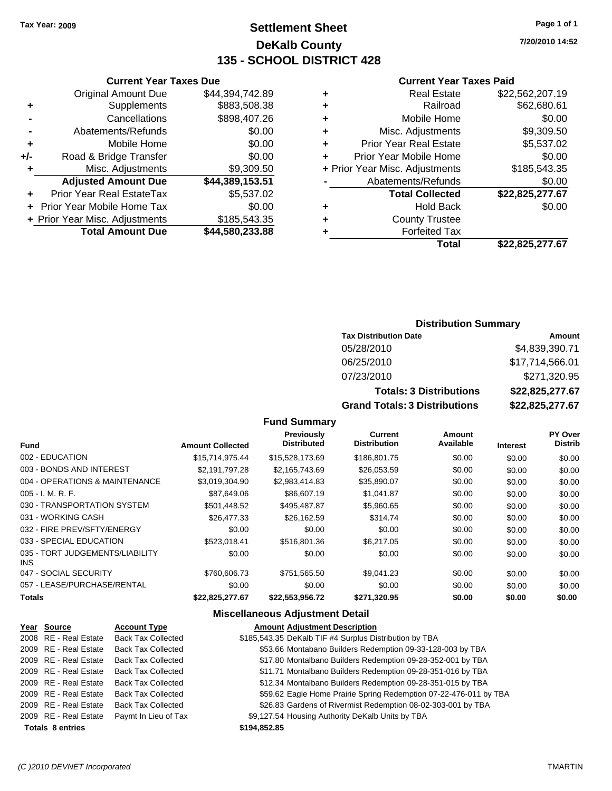### **Settlement Sheet Tax Year: 2009 Page 1 of 1 DeKalb County 135 - SCHOOL DISTRICT 428**

**7/20/2010 14:52**

#### **Current Year Taxes Paid**

|   | Total                          | \$22,825,277.67 |
|---|--------------------------------|-----------------|
|   | <b>Forfeited Tax</b>           |                 |
| ٠ | <b>County Trustee</b>          |                 |
| ٠ | <b>Hold Back</b>               | \$0.00          |
|   | <b>Total Collected</b>         | \$22,825,277.67 |
|   | Abatements/Refunds             | \$0.00          |
|   | + Prior Year Misc. Adjustments | \$185,543.35    |
|   | Prior Year Mobile Home         | \$0.00          |
| ٠ | <b>Prior Year Real Estate</b>  | \$5,537.02      |
| ٠ | Misc. Adjustments              | \$9,309.50      |
| ٠ | Mobile Home                    | \$0.00          |
|   | Railroad                       | \$62,680.61     |
| ٠ | <b>Real Estate</b>             | \$22,562,207.19 |
|   |                                |                 |

|     | <b>Current Year Taxes Due</b>     |                 |  |  |  |
|-----|-----------------------------------|-----------------|--|--|--|
|     | <b>Original Amount Due</b>        | \$44,394,742.89 |  |  |  |
| ٠   | Supplements                       | \$883,508.38    |  |  |  |
|     | Cancellations                     | \$898,407.26    |  |  |  |
|     | Abatements/Refunds                | \$0.00          |  |  |  |
| ٠   | Mobile Home                       | \$0.00          |  |  |  |
| +/- | Road & Bridge Transfer            | \$0.00          |  |  |  |
| ٠   | Misc. Adjustments                 | \$9,309.50      |  |  |  |
|     | <b>Adjusted Amount Due</b>        | \$44,389,153.51 |  |  |  |
|     | Prior Year Real EstateTax         | \$5,537.02      |  |  |  |
|     | <b>Prior Year Mobile Home Tax</b> | \$0.00          |  |  |  |
|     | + Prior Year Misc. Adjustments    | \$185,543.35    |  |  |  |
|     | <b>Total Amount Due</b>           | \$44,580,233.88 |  |  |  |

#### **Distribution Summary**

| <b>Tax Distribution Date</b>         | Amount          |
|--------------------------------------|-----------------|
| 05/28/2010                           | \$4,839,390.71  |
| 06/25/2010                           | \$17,714,566.01 |
| 07/23/2010                           | \$271,320.95    |
| <b>Totals: 3 Distributions</b>       | \$22,825,277.67 |
| <b>Grand Totals: 3 Distributions</b> | \$22,825,277.67 |

#### **Fund Summary**

| <b>Fund</b>                             | <b>Amount Collected</b> | <b>Previously</b><br><b>Distributed</b> | Current<br><b>Distribution</b> | Amount<br>Available | <b>Interest</b> | <b>PY Over</b><br><b>Distrib</b> |
|-----------------------------------------|-------------------------|-----------------------------------------|--------------------------------|---------------------|-----------------|----------------------------------|
| 002 - EDUCATION                         | \$15,714,975.44         | \$15.528.173.69                         | \$186,801.75                   | \$0.00              | \$0.00          | \$0.00                           |
| 003 - BONDS AND INTEREST                | \$2.191.797.28          | \$2,165,743.69                          | \$26,053.59                    | \$0.00              | \$0.00          | \$0.00                           |
| 004 - OPERATIONS & MAINTENANCE          | \$3.019.304.90          | \$2,983,414.83                          | \$35,890.07                    | \$0.00              | \$0.00          | \$0.00                           |
| $005 - I. M. R. F.$                     | \$87,649.06             | \$86,607.19                             | \$1,041.87                     | \$0.00              | \$0.00          | \$0.00                           |
| 030 - TRANSPORTATION SYSTEM             | \$501.448.52            | \$495.487.87                            | \$5,960.65                     | \$0.00              | \$0.00          | \$0.00                           |
| 031 - WORKING CASH                      | \$26,477.33             | \$26.162.59                             | \$314.74                       | \$0.00              | \$0.00          | \$0.00                           |
| 032 - FIRE PREV/SFTY/ENERGY             | \$0.00                  | \$0.00                                  | \$0.00                         | \$0.00              | \$0.00          | \$0.00                           |
| 033 - SPECIAL EDUCATION                 | \$523.018.41            | \$516,801.36                            | \$6.217.05                     | \$0.00              | \$0.00          | \$0.00                           |
| 035 - TORT JUDGEMENTS/LIABILITY<br>INS. | \$0.00                  | \$0.00                                  | \$0.00                         | \$0.00              | \$0.00          | \$0.00                           |
| 047 - SOCIAL SECURITY                   | \$760,606.73            | \$751,565.50                            | \$9.041.23                     | \$0.00              | \$0.00          | \$0.00                           |
| 057 - LEASE/PURCHASE/RENTAL             | \$0.00                  | \$0.00                                  | \$0.00                         | \$0.00              | \$0.00          | \$0.00                           |
| <b>Totals</b>                           | \$22,825,277.67         | \$22,553,956.72                         | \$271,320.95                   | \$0.00              | \$0.00          | \$0.00                           |

#### **Miscellaneous Adjustment Detail**

#### **Year Source Account Type Amount Adjustment Description** 2008 RE - Real Estate Back Tax Collected \$185,543.35 DeKalb TIF #4 Surplus Distribution by TBA 2009 RE - Real Estate Back Tax Collected \$53.66 Montabano Builders Redemption 09-33-128-003 by TBA 2009 RE - Real Estate Back Tax Collected \$17.80 Montalbano Builders Redemption 09-28-352-001 by TBA 2009 RE - Real Estate Back Tax Collected \$11.71 Montalbano Builders Redemption 09-28-351-016 by TBA 2009 RE - Real Estate Back Tax Collected \$12.34 Montalbano Builders Redemption 09-28-351-015 by TBA 2009 RE - Real Estate Back Tax Collected **\$59.62 Eagle Home Prairie Spring Redemption 07-22-476-011 by TBA** 2009 RE - Real Estate Back Tax Collected \$26.83 Gardens of Rivermist Redemption 08-02-303-001 by TBA 2009 RE - Real Estate Paymt In Lieu of Tax S9,127.54 Housing Authority DeKalb Units by TBA **Totals \$194,852.85 8 entries**

#### *(C )2010 DEVNET Incorporated* TMARTIN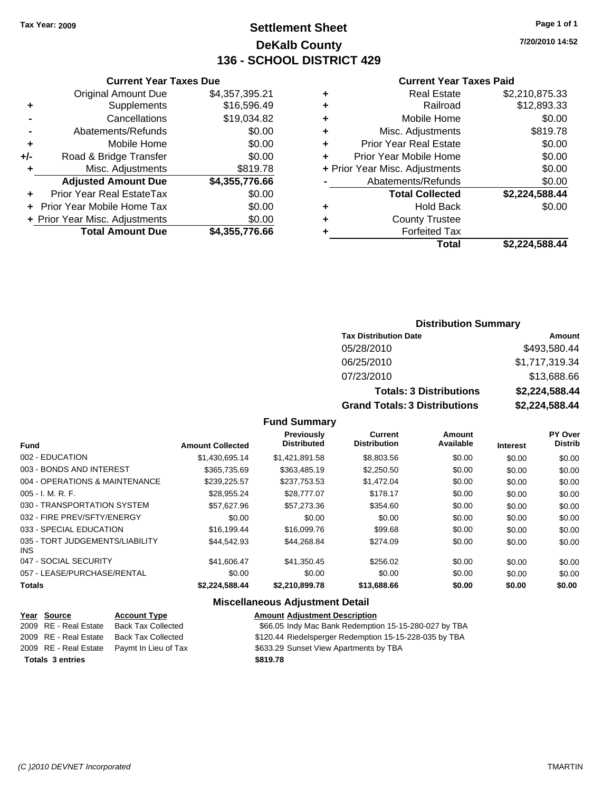### **Settlement Sheet Tax Year: 2009 Page 1 of 1 DeKalb County 136 - SCHOOL DISTRICT 429**

**7/20/2010 14:52**

#### **Current Year Taxes Paid**

|     | <b>Current Year Taxes Due</b>     |                |       |
|-----|-----------------------------------|----------------|-------|
|     | <b>Original Amount Due</b>        | \$4,357,395.21 | ÷     |
|     | Supplements                       | \$16,596.49    | ٠     |
|     | Cancellations                     | \$19,034.82    | ٠     |
|     | Abatements/Refunds                | \$0.00         | ٠     |
|     | Mobile Home                       | \$0.00         | ٠     |
| +/- | Road & Bridge Transfer            | \$0.00         |       |
|     | Misc. Adjustments                 | \$819.78       | + Pri |
|     | <b>Adjusted Amount Due</b>        | \$4,355,776.66 |       |
|     | Prior Year Real EstateTax         | \$0.00         |       |
|     | <b>Prior Year Mobile Home Tax</b> | \$0.00         | ٠     |
|     | + Prior Year Misc. Adjustments    | \$0.00         |       |
|     | <b>Total Amount Due</b>           | \$4,355,776.66 |       |
|     |                                   |                |       |

| ٠ | <b>Real Estate</b>             | \$2,210,875.33 |
|---|--------------------------------|----------------|
| ٠ | Railroad                       | \$12,893.33    |
| ٠ | Mobile Home                    | \$0.00         |
| ٠ | Misc. Adjustments              | \$819.78       |
| ٠ | <b>Prior Year Real Estate</b>  | \$0.00         |
| ÷ | Prior Year Mobile Home         | \$0.00         |
|   | + Prior Year Misc. Adjustments | \$0.00         |
|   | Abatements/Refunds             | \$0.00         |
|   | <b>Total Collected</b>         | \$2,224,588.44 |
| ٠ | Hold Back                      | \$0.00         |
| ٠ | <b>County Trustee</b>          |                |
| ٠ | <b>Forfeited Tax</b>           |                |
|   | Total                          | \$2,224,588.44 |
|   |                                |                |

### **Distribution Summary**

| <b>Tax Distribution Date</b>         | Amount         |
|--------------------------------------|----------------|
| 05/28/2010                           | \$493,580.44   |
| 06/25/2010                           | \$1,717,319.34 |
| 07/23/2010                           | \$13,688.66    |
| <b>Totals: 3 Distributions</b>       | \$2,224,588.44 |
| <b>Grand Totals: 3 Distributions</b> | \$2,224,588.44 |

### **Fund Summary**

|                                         |                         | Previously         | <b>Current</b>      | Amount    |                 | <b>PY Over</b> |
|-----------------------------------------|-------------------------|--------------------|---------------------|-----------|-----------------|----------------|
| <b>Fund</b>                             | <b>Amount Collected</b> | <b>Distributed</b> | <b>Distribution</b> | Available | <b>Interest</b> | <b>Distrib</b> |
| 002 - EDUCATION                         | \$1.430.695.14          | \$1,421,891.58     | \$8,803.56          | \$0.00    | \$0.00          | \$0.00         |
| 003 - BONDS AND INTEREST                | \$365,735.69            | \$363.485.19       | \$2,250.50          | \$0.00    | \$0.00          | \$0.00         |
| 004 - OPERATIONS & MAINTENANCE          | \$239.225.57            | \$237.753.53       | \$1.472.04          | \$0.00    | \$0.00          | \$0.00         |
| $005 - I. M. R. F.$                     | \$28,955.24             | \$28,777.07        | \$178.17            | \$0.00    | \$0.00          | \$0.00         |
| 030 - TRANSPORTATION SYSTEM             | \$57.627.96             | \$57,273.36        | \$354.60            | \$0.00    | \$0.00          | \$0.00         |
| 032 - FIRE PREV/SFTY/ENERGY             | \$0.00                  | \$0.00             | \$0.00              | \$0.00    | \$0.00          | \$0.00         |
| 033 - SPECIAL EDUCATION                 | \$16,199.44             | \$16,099.76        | \$99.68             | \$0.00    | \$0.00          | \$0.00         |
| 035 - TORT JUDGEMENTS/LIABILITY<br>INS. | \$44.542.93             | \$44,268.84        | \$274.09            | \$0.00    | \$0.00          | \$0.00         |
| 047 - SOCIAL SECURITY                   | \$41,606.47             | \$41,350.45        | \$256.02            | \$0.00    | \$0.00          | \$0.00         |
| 057 - LEASE/PURCHASE/RENTAL             | \$0.00                  | \$0.00             | \$0.00              | \$0.00    | \$0.00          | \$0.00         |
| <b>Totals</b>                           | \$2.224.588.44          | \$2.210.899.78     | \$13,688.66         | \$0.00    | \$0.00          | \$0.00         |

| Year Source             | <b>Account Type</b>                        | <b>Amount Adjustment Description</b>                   |
|-------------------------|--------------------------------------------|--------------------------------------------------------|
| 2009 RE - Real Estate   | Back Tax Collected                         | \$66.05 Indy Mac Bank Redemption 15-15-280-027 by TBA  |
| 2009 RE - Real Estate   | Back Tax Collected                         | \$120.44 Riedelsperger Redemption 15-15-228-035 by TBA |
|                         | 2009 RE - Real Estate Pavmt In Lieu of Tax | \$633.29 Sunset View Apartments by TBA                 |
| <b>Totals 3 entries</b> |                                            | \$819.78                                               |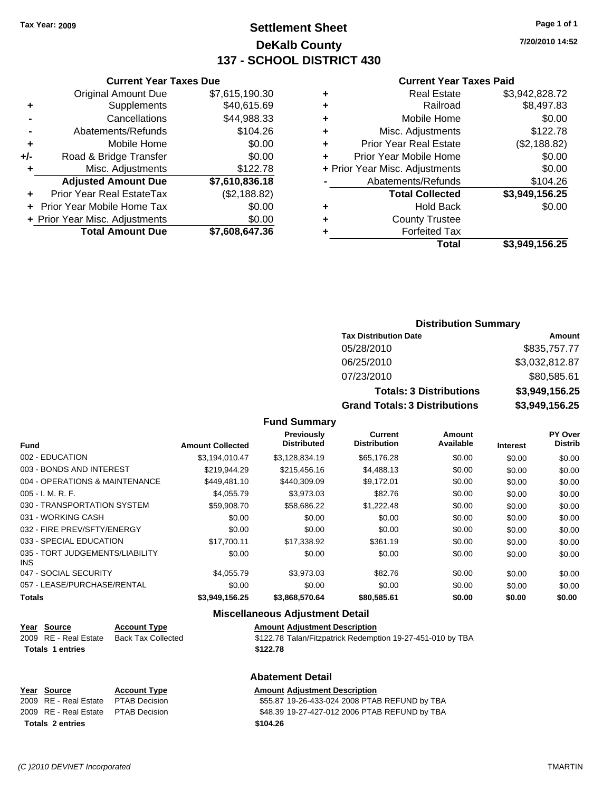### **Settlement Sheet Tax Year: 2009 Page 1 of 1 DeKalb County 137 - SCHOOL DISTRICT 430**

**7/20/2010 14:52**

#### **Current Year Taxes Paid**

| ٠ | <b>Real Estate</b>             | \$3,942,828.72 |
|---|--------------------------------|----------------|
| ٠ | Railroad                       | \$8,497.83     |
| ٠ | Mobile Home                    | \$0.00         |
| ÷ | Misc. Adjustments              | \$122.78       |
| ÷ | <b>Prior Year Real Estate</b>  | (\$2,188.82)   |
| ÷ | Prior Year Mobile Home         | \$0.00         |
|   | + Prior Year Misc. Adjustments | \$0.00         |
|   | Abatements/Refunds             | \$104.26       |
|   | <b>Total Collected</b>         | \$3,949,156.25 |
| ٠ | <b>Hold Back</b>               | \$0.00         |
| ٠ | <b>County Trustee</b>          |                |
|   | <b>Forfeited Tax</b>           |                |
|   | Total                          | \$3,949,156.25 |
|   |                                |                |

|     | <b>Current Year Taxes Due</b>    |                |  |  |
|-----|----------------------------------|----------------|--|--|
|     | <b>Original Amount Due</b>       | \$7,615,190.30 |  |  |
| ٠   | Supplements                      | \$40,615.69    |  |  |
|     | Cancellations                    | \$44,988.33    |  |  |
|     | Abatements/Refunds               | \$104.26       |  |  |
| ٠   | Mobile Home                      | \$0.00         |  |  |
| +/- | Road & Bridge Transfer           | \$0.00         |  |  |
| ٠   | Misc. Adjustments                | \$122.78       |  |  |
|     | <b>Adjusted Amount Due</b>       | \$7,610,836.18 |  |  |
|     | <b>Prior Year Real EstateTax</b> | (\$2,188.82)   |  |  |
|     | Prior Year Mobile Home Tax       | \$0.00         |  |  |
|     | + Prior Year Misc. Adjustments   | \$0.00         |  |  |
|     | <b>Total Amount Due</b>          | \$7.608.647.36 |  |  |

### **Distribution Summary**

| <b>Tax Distribution Date</b>         | Amount         |
|--------------------------------------|----------------|
| 05/28/2010                           | \$835,757.77   |
| 06/25/2010                           | \$3,032,812.87 |
| 07/23/2010                           | \$80,585.61    |
| <b>Totals: 3 Distributions</b>       | \$3,949,156.25 |
| <b>Grand Totals: 3 Distributions</b> | \$3,949,156.25 |

#### **Fund Summary**

| <b>Fund</b>                             | <b>Amount Collected</b> | <b>Previously</b><br><b>Distributed</b> | Current<br><b>Distribution</b> | Amount<br>Available | <b>Interest</b> | PY Over<br><b>Distrib</b> |
|-----------------------------------------|-------------------------|-----------------------------------------|--------------------------------|---------------------|-----------------|---------------------------|
| 002 - EDUCATION                         | \$3.194.010.47          | \$3.128.834.19                          | \$65,176.28                    | \$0.00              | \$0.00          | \$0.00                    |
| 003 - BONDS AND INTEREST                | \$219,944.29            | \$215,456.16                            | \$4,488.13                     | \$0.00              | \$0.00          | \$0.00                    |
| 004 - OPERATIONS & MAINTENANCE          | \$449.481.10            | \$440,309.09                            | \$9.172.01                     | \$0.00              | \$0.00          | \$0.00                    |
| $005 - I. M. R. F.$                     | \$4.055.79              | \$3.973.03                              | \$82.76                        | \$0.00              | \$0.00          | \$0.00                    |
| 030 - TRANSPORTATION SYSTEM             | \$59,908.70             | \$58,686.22                             | \$1,222.48                     | \$0.00              | \$0.00          | \$0.00                    |
| 031 - WORKING CASH                      | \$0.00                  | \$0.00                                  | \$0.00                         | \$0.00              | \$0.00          | \$0.00                    |
| 032 - FIRE PREV/SFTY/ENERGY             | \$0.00                  | \$0.00                                  | \$0.00                         | \$0.00              | \$0.00          | \$0.00                    |
| 033 - SPECIAL EDUCATION                 | \$17,700.11             | \$17,338.92                             | \$361.19                       | \$0.00              | \$0.00          | \$0.00                    |
| 035 - TORT JUDGEMENTS/LIABILITY<br>INS. | \$0.00                  | \$0.00                                  | \$0.00                         | \$0.00              | \$0.00          | \$0.00                    |
| 047 - SOCIAL SECURITY                   | \$4,055.79              | \$3,973.03                              | \$82.76                        | \$0.00              | \$0.00          | \$0.00                    |
| 057 - LEASE/PURCHASE/RENTAL             | \$0.00                  | \$0.00                                  | \$0.00                         | \$0.00              | \$0.00          | \$0.00                    |
| <b>Totals</b>                           | \$3,949,156.25          | \$3.868.570.64                          | \$80,585.61                    | \$0.00              | \$0.00          | \$0.00                    |

#### **Miscellaneous Adjustment Detail**

| Year Source             | <b>Account Type</b> | <b>Amount Adjustment Description</b>                       |
|-------------------------|---------------------|------------------------------------------------------------|
| 2009 RE - Real Estate   | Back Tax Collected  | \$122.78 Talan/Fitzpatrick Redemption 19-27-451-010 by TBA |
| <b>Totals 1 entries</b> |                     | \$122.78                                                   |

#### **Abatement Detail**

#### **Year Source Account Type Amount Adjustment Description**<br>
2009 RE - Real Estate PTAB Decision **Amount** \$55.87 19-26-433-024 2008 PTA \$55.87 19-26-433-024 2008 PTAB REFUND by TBA 2009 RE - Real Estate \$48.39 19-27-427-012 2006 PTAB REFUND by TBA PTAB Decision **Totals \$104.26 2 entries**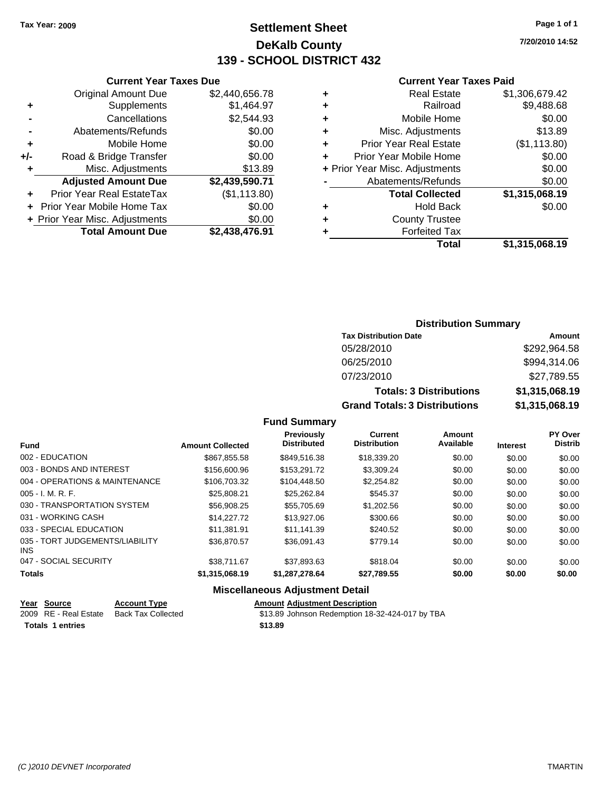### **Settlement Sheet Tax Year: 2009 Page 1 of 1 DeKalb County 139 - SCHOOL DISTRICT 432**

**7/20/2010 14:52**

#### **Current Year Taxes Paid**

|   | + Prior Year Misc. Adjustments | \$0.00         |
|---|--------------------------------|----------------|
|   | Abatements/Refunds             | \$0.00         |
|   |                                |                |
|   |                                |                |
|   | <b>Total Collected</b>         | \$1,315,068.19 |
| ٠ | <b>Hold Back</b>               | \$0.00         |
| ٠ | <b>County Trustee</b>          |                |
|   | <b>Forfeited Tax</b>           |                |

|     | <b>Current Year Taxes Due</b>  |                |
|-----|--------------------------------|----------------|
|     | <b>Original Amount Due</b>     | \$2,440,656.78 |
| ٠   | Supplements                    | \$1,464.97     |
|     | Cancellations                  | \$2,544.93     |
|     | Abatements/Refunds             | \$0.00         |
| ٠   | Mobile Home                    | \$0.00         |
| +/- | Road & Bridge Transfer         | \$0.00         |
| ٠   | Misc. Adjustments              | \$13.89        |
|     | <b>Adjusted Amount Due</b>     | \$2,439,590.71 |
|     | Prior Year Real EstateTax      | (\$1,113.80)   |
|     | Prior Year Mobile Home Tax     | \$0.00         |
|     | + Prior Year Misc. Adjustments | \$0.00         |
|     | <b>Total Amount Due</b>        | \$2,438,476.91 |
|     |                                |                |

### **Distribution Summary**

| <b>Tax Distribution Date</b>         | Amount         |
|--------------------------------------|----------------|
| 05/28/2010                           | \$292,964.58   |
| 06/25/2010                           | \$994,314.06   |
| 07/23/2010                           | \$27,789.55    |
| <b>Totals: 3 Distributions</b>       | \$1,315,068.19 |
| <b>Grand Totals: 3 Distributions</b> | \$1,315,068.19 |

### **Fund Summary**

| <b>Fund</b>                             | <b>Amount Collected</b> | <b>Previously</b><br><b>Distributed</b> | Current<br><b>Distribution</b> | Amount<br>Available | <b>Interest</b> | <b>PY Over</b><br><b>Distrib</b> |
|-----------------------------------------|-------------------------|-----------------------------------------|--------------------------------|---------------------|-----------------|----------------------------------|
| 002 - EDUCATION                         | \$867,855.58            | \$849,516.38                            | \$18,339.20                    | \$0.00              | \$0.00          | \$0.00                           |
| 003 - BONDS AND INTEREST                | \$156,600.96            | \$153,291.72                            | \$3,309.24                     | \$0.00              | \$0.00          | \$0.00                           |
| 004 - OPERATIONS & MAINTENANCE          | \$106,703.32            | \$104,448.50                            | \$2,254.82                     | \$0.00              | \$0.00          | \$0.00                           |
| $005 - I. M. R. F.$                     | \$25,808.21             | \$25,262,84                             | \$545.37                       | \$0.00              | \$0.00          | \$0.00                           |
| 030 - TRANSPORTATION SYSTEM             | \$56,908.25             | \$55,705.69                             | \$1,202.56                     | \$0.00              | \$0.00          | \$0.00                           |
| 031 - WORKING CASH                      | \$14,227.72             | \$13,927.06                             | \$300.66                       | \$0.00              | \$0.00          | \$0.00                           |
| 033 - SPECIAL EDUCATION                 | \$11.381.91             | \$11.141.39                             | \$240.52                       | \$0.00              | \$0.00          | \$0.00                           |
| 035 - TORT JUDGEMENTS/LIABILITY<br>INS. | \$36,870.57             | \$36,091.43                             | \$779.14                       | \$0.00              | \$0.00          | \$0.00                           |
| 047 - SOCIAL SECURITY                   | \$38.711.67             | \$37.893.63                             | \$818.04                       | \$0.00              | \$0.00          | \$0.00                           |
| <b>Totals</b>                           | \$1,315,068.19          | \$1,287,278.64                          | \$27,789.55                    | \$0.00              | \$0.00          | \$0.00                           |

### **Miscellaneous Adjustment Detail**

#### **Year Source Account Type Amount Adjustment Description**

| 2009 RE - Real Estate Back Tax Collected | \$13.89 Johnson Redemption 18-32-424-017 by TBA |
|------------------------------------------|-------------------------------------------------|
| <b>Totals 1 entries</b>                  | \$13.89                                         |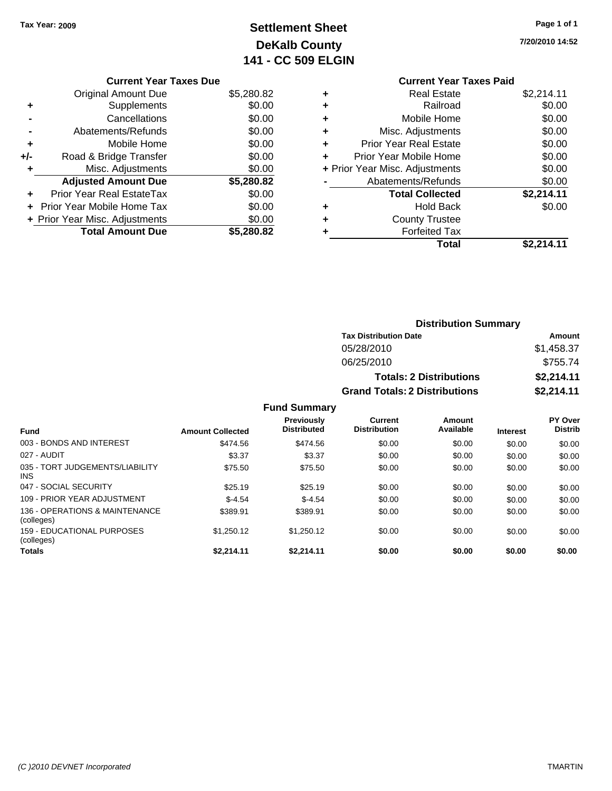### **Settlement Sheet Tax Year: 2009 Page 1 of 1 DeKalb County 141 - CC 509 ELGIN**

**7/20/2010 14:52**

### **Current Year Taxes Due**

|       | <b>Original Amount Due</b>       | \$5,280.82 |
|-------|----------------------------------|------------|
|       | Supplements                      | \$0.00     |
|       | Cancellations                    | \$0.00     |
|       | Abatements/Refunds               | \$0.00     |
| ٠     | Mobile Home                      | \$0.00     |
| $+/-$ | Road & Bridge Transfer           | \$0.00     |
| ÷     | Misc. Adjustments                | \$0.00     |
|       | <b>Adjusted Amount Due</b>       | \$5,280.82 |
|       | <b>Prior Year Real EstateTax</b> | \$0.00     |
|       | Prior Year Mobile Home Tax       | \$0.00     |
|       | + Prior Year Misc. Adjustments   | \$0.00     |
|       | <b>Total Amount Due</b>          | \$5,280.82 |

## **Current Year Taxes Paid**

|   | <b>Real Estate</b>             | \$2,214.11 |
|---|--------------------------------|------------|
|   | Railroad                       | \$0.00     |
| ٠ | Mobile Home                    | \$0.00     |
| ٠ | Misc. Adjustments              | \$0.00     |
|   | <b>Prior Year Real Estate</b>  | \$0.00     |
|   | Prior Year Mobile Home         | \$0.00     |
|   | + Prior Year Misc. Adjustments | \$0.00     |
|   | Abatements/Refunds             | \$0.00     |
|   | <b>Total Collected</b>         | \$2,214.11 |
| ٠ | <b>Hold Back</b>               | \$0.00     |
|   | <b>County Trustee</b>          |            |
|   | <b>Forfeited Tax</b>           |            |
|   | Total                          | \$2,214.11 |
|   |                                |            |

### **Distribution Summary Tax Distribution Date Amount** 05/28/2010 \$1,458.37 06/25/2010 \$755.74 **Totals: 2 Distributions \$2,214.11 Grand Totals: 2 Distributions \$2,214.11**

|                                              |                         | <b>Fund Summary</b>                     |                                       |                     |                 |                                  |
|----------------------------------------------|-------------------------|-----------------------------------------|---------------------------------------|---------------------|-----------------|----------------------------------|
| Fund                                         | <b>Amount Collected</b> | <b>Previously</b><br><b>Distributed</b> | <b>Current</b><br><b>Distribution</b> | Amount<br>Available | <b>Interest</b> | <b>PY Over</b><br><b>Distrib</b> |
| 003 - BONDS AND INTEREST                     | \$474.56                | \$474.56                                | \$0.00                                | \$0.00              | \$0.00          | \$0.00                           |
| 027 - AUDIT                                  | \$3.37                  | \$3.37                                  | \$0.00                                | \$0.00              | \$0.00          | \$0.00                           |
| 035 - TORT JUDGEMENTS/LIABILITY<br>INS.      | \$75.50                 | \$75.50                                 | \$0.00                                | \$0.00              | \$0.00          | \$0.00                           |
| 047 - SOCIAL SECURITY                        | \$25.19                 | \$25.19                                 | \$0.00                                | \$0.00              | \$0.00          | \$0.00                           |
| 109 - PRIOR YEAR ADJUSTMENT                  | $$-4.54$                | $$-4.54$                                | \$0.00                                | \$0.00              | \$0.00          | \$0.00                           |
| 136 - OPERATIONS & MAINTENANCE<br>(colleges) | \$389.91                | \$389.91                                | \$0.00                                | \$0.00              | \$0.00          | \$0.00                           |
| 159 - EDUCATIONAL PURPOSES<br>(colleges)     | \$1,250.12              | \$1,250.12                              | \$0.00                                | \$0.00              | \$0.00          | \$0.00                           |
| <b>Totals</b>                                | \$2.214.11              | \$2.214.11                              | \$0.00                                | \$0.00              | \$0.00          | \$0.00                           |

### *(C )2010 DEVNET Incorporated* TMARTIN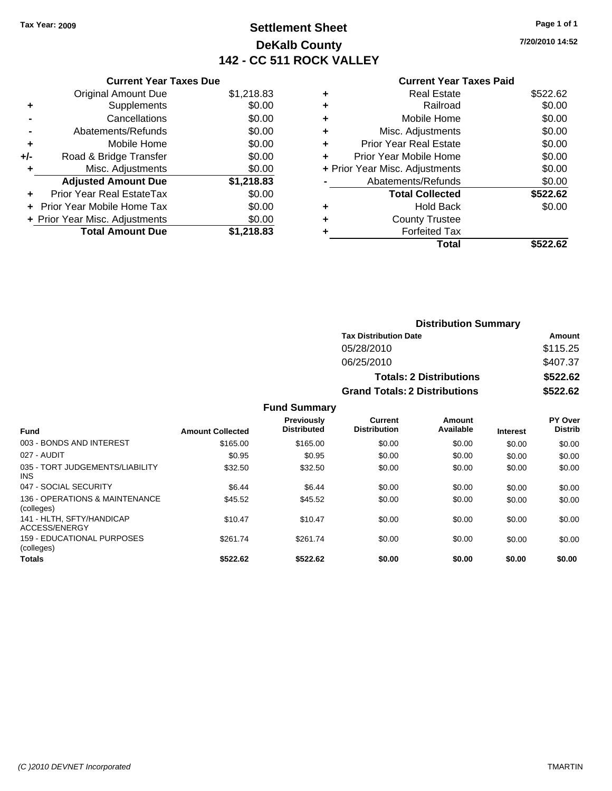### **Settlement Sheet Tax Year: 2009 Page 1 of 1 DeKalb County 142 - CC 511 ROCK VALLEY**

**7/20/2010 14:52**

|     | <b>Current Year Taxes Due</b>  |            |
|-----|--------------------------------|------------|
|     | <b>Original Amount Due</b>     | \$1,218.83 |
| ÷   | Supplements                    | \$0.00     |
|     | Cancellations                  | \$0.00     |
|     | Abatements/Refunds             | \$0.00     |
| ٠   | Mobile Home                    | \$0.00     |
| +/- | Road & Bridge Transfer         | \$0.00     |
|     | Misc. Adjustments              | \$0.00     |
|     | <b>Adjusted Amount Due</b>     | \$1,218.83 |
| ÷   | Prior Year Real EstateTax      | \$0.00     |
|     | Prior Year Mobile Home Tax     | \$0.00     |
|     | + Prior Year Misc. Adjustments | \$0.00     |
|     | <b>Total Amount Due</b>        | \$1.218.83 |
|     |                                |            |

| ٠ | <b>Real Estate</b>             | \$522.62 |
|---|--------------------------------|----------|
| ٠ | Railroad                       | \$0.00   |
| ٠ | Mobile Home                    | \$0.00   |
| ٠ | Misc. Adjustments              | \$0.00   |
| ÷ | Prior Year Real Estate         | \$0.00   |
|   | Prior Year Mobile Home         | \$0.00   |
|   | + Prior Year Misc. Adjustments | \$0.00   |
|   | Abatements/Refunds             | \$0.00   |
|   | <b>Total Collected</b>         | \$522.62 |
| ٠ | Hold Back                      | \$0.00   |
|   | <b>County Trustee</b>          |          |
| ٠ | <b>Forfeited Tax</b>           |          |
|   | Total                          | \$522.62 |

|                     |                                      | <b>Distribution Summary</b>    |                |
|---------------------|--------------------------------------|--------------------------------|----------------|
|                     | <b>Tax Distribution Date</b>         |                                | Amount         |
|                     | 05/28/2010                           |                                | \$115.25       |
|                     | 06/25/2010                           |                                | \$407.37       |
|                     |                                      | <b>Totals: 2 Distributions</b> | \$522.62       |
|                     | <b>Grand Totals: 2 Distributions</b> |                                | \$522.62       |
| <b>Fund Summary</b> |                                      |                                |                |
| <b>Previously</b>   | Current                              | Amount                         | <b>PY Over</b> |

|                                               |                         | <b>Previously</b><br><b>Distributed</b> | Current<br><b>Distribution</b> | Amount<br>Available |                 | PY Over<br><b>Distrib</b> |
|-----------------------------------------------|-------------------------|-----------------------------------------|--------------------------------|---------------------|-----------------|---------------------------|
| <b>Fund</b>                                   | <b>Amount Collected</b> |                                         |                                |                     | <b>Interest</b> |                           |
| 003 - BONDS AND INTEREST                      | \$165.00                | \$165.00                                | \$0.00                         | \$0.00              | \$0.00          | \$0.00                    |
| 027 - AUDIT                                   | \$0.95                  | \$0.95                                  | \$0.00                         | \$0.00              | \$0.00          | \$0.00                    |
| 035 - TORT JUDGEMENTS/LIABILITY<br><b>INS</b> | \$32.50                 | \$32.50                                 | \$0.00                         | \$0.00              | \$0.00          | \$0.00                    |
| 047 - SOCIAL SECURITY                         | \$6.44                  | \$6.44                                  | \$0.00                         | \$0.00              | \$0.00          | \$0.00                    |
| 136 - OPERATIONS & MAINTENANCE<br>(colleges)  | \$45.52                 | \$45.52                                 | \$0.00                         | \$0.00              | \$0.00          | \$0.00                    |
| 141 - HLTH, SFTY/HANDICAP<br>ACCESS/ENERGY    | \$10.47                 | \$10.47                                 | \$0.00                         | \$0.00              | \$0.00          | \$0.00                    |
| 159 - EDUCATIONAL PURPOSES<br>(colleges)      | \$261.74                | \$261.74                                | \$0.00                         | \$0.00              | \$0.00          | \$0.00                    |
| <b>Totals</b>                                 | \$522.62                | \$522.62                                | \$0.00                         | \$0.00              | \$0.00          | \$0.00                    |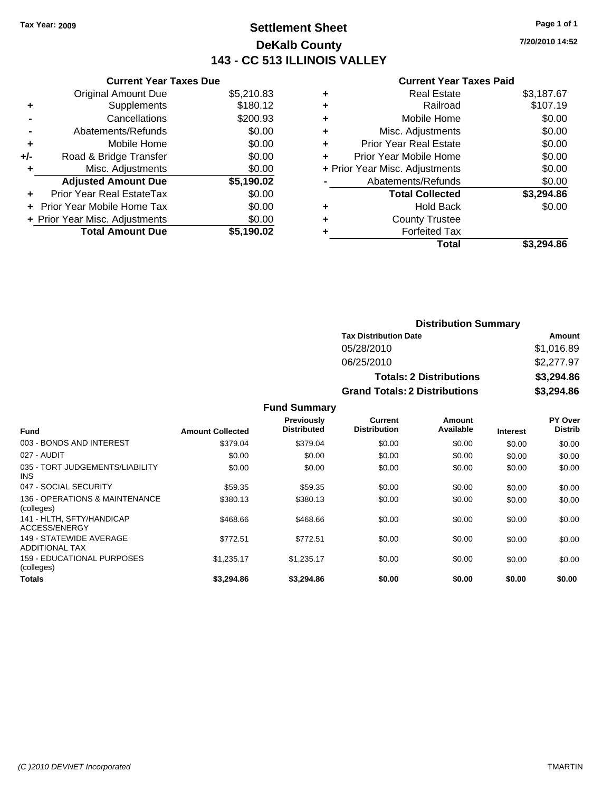### **Settlement Sheet Tax Year: 2009 Page 1 of 1 DeKalb County 143 - CC 513 ILLINOIS VALLEY**

**Current Year Taxes Due**

|     | <b>Total Amount Due</b>           | \$5.190.02 |
|-----|-----------------------------------|------------|
|     | + Prior Year Misc. Adjustments    | \$0.00     |
|     | <b>Prior Year Mobile Home Tax</b> | \$0.00     |
|     | Prior Year Real EstateTax         | \$0.00     |
|     | <b>Adjusted Amount Due</b>        | \$5,190.02 |
| ÷   | Misc. Adjustments                 | \$0.00     |
| +/- | Road & Bridge Transfer            | \$0.00     |
| ٠   | Mobile Home                       | \$0.00     |
|     | Abatements/Refunds                | \$0.00     |
|     | Cancellations                     | \$200.93   |
| ٠   | Supplements                       | \$180.12   |
|     | <b>Original Amount Due</b>        | \$5,210.83 |

| <b>Real Estate</b>             | \$3,187.67 |
|--------------------------------|------------|
| Railroad                       | \$107.19   |
| Mobile Home                    | \$0.00     |
| Misc. Adjustments              | \$0.00     |
| <b>Prior Year Real Estate</b>  | \$0.00     |
| Prior Year Mobile Home         | \$0.00     |
| + Prior Year Misc. Adjustments | \$0.00     |
| Abatements/Refunds             | \$0.00     |
| <b>Total Collected</b>         | \$3,294.86 |
| <b>Hold Back</b>               | \$0.00     |
| <b>County Trustee</b>          |            |
| <b>Forfeited Tax</b>           |            |
| Total                          | \$3.294.86 |
|                                |            |

| <b>Distribution Summary</b>          |            |
|--------------------------------------|------------|
| <b>Tax Distribution Date</b>         | Amount     |
| 05/28/2010                           | \$1,016.89 |
| 06/25/2010                           | \$2,277.97 |
| <b>Totals: 2 Distributions</b>       | \$3,294.86 |
| <b>Grand Totals: 2 Distributions</b> | \$3,294.86 |

|                                                  |                         | <b>Fund Summary</b>                     |                                |                     |                 |                                  |
|--------------------------------------------------|-------------------------|-----------------------------------------|--------------------------------|---------------------|-----------------|----------------------------------|
| <b>Fund</b>                                      | <b>Amount Collected</b> | <b>Previously</b><br><b>Distributed</b> | Current<br><b>Distribution</b> | Amount<br>Available | <b>Interest</b> | <b>PY Over</b><br><b>Distrib</b> |
| 003 - BONDS AND INTEREST                         | \$379.04                | \$379.04                                | \$0.00                         | \$0.00              | \$0.00          | \$0.00                           |
| 027 - AUDIT                                      | \$0.00                  | \$0.00                                  | \$0.00                         | \$0.00              | \$0.00          | \$0.00                           |
| 035 - TORT JUDGEMENTS/LIABILITY<br>INS.          | \$0.00                  | \$0.00                                  | \$0.00                         | \$0.00              | \$0.00          | \$0.00                           |
| 047 - SOCIAL SECURITY                            | \$59.35                 | \$59.35                                 | \$0.00                         | \$0.00              | \$0.00          | \$0.00                           |
| 136 - OPERATIONS & MAINTENANCE<br>(colleges)     | \$380.13                | \$380.13                                | \$0.00                         | \$0.00              | \$0.00          | \$0.00                           |
| 141 - HLTH. SFTY/HANDICAP<br>ACCESS/ENERGY       | \$468.66                | \$468.66                                | \$0.00                         | \$0.00              | \$0.00          | \$0.00                           |
| 149 - STATFWIDF AVFRAGF<br><b>ADDITIONAL TAX</b> | \$772.51                | \$772.51                                | \$0.00                         | \$0.00              | \$0.00          | \$0.00                           |
| 159 - EDUCATIONAL PURPOSES<br>(colleges)         | \$1,235.17              | \$1,235.17                              | \$0.00                         | \$0.00              | \$0.00          | \$0.00                           |
| <b>Totals</b>                                    | \$3.294.86              | \$3.294.86                              | \$0.00                         | \$0.00              | \$0.00          | \$0.00                           |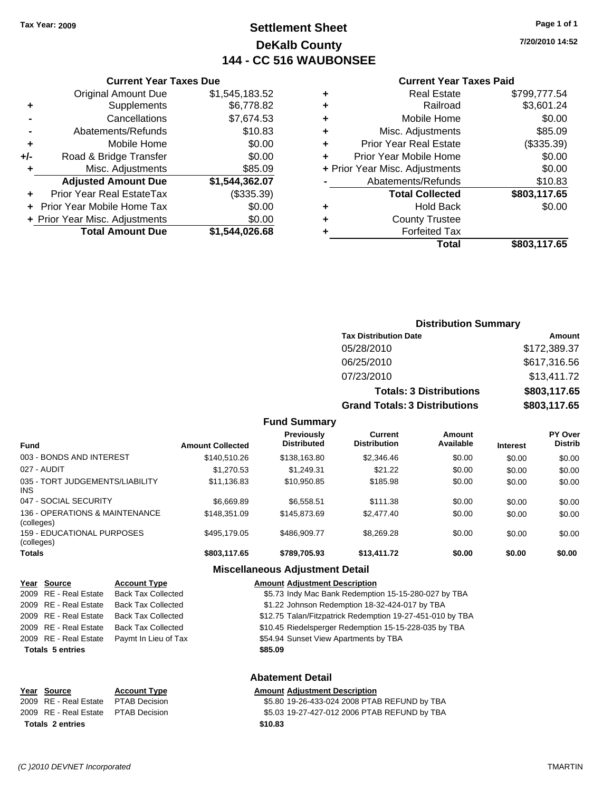**Original Amount Due** 

**Total Amount Due** 

**+** Supplements **-** Cancellations **-** Abatements/Refunds **+** Mobile Home **+/-** Road & Bridge Transfer **+** Misc. Adjustments **Adjusted Amount Due** 

**+** Prior Year Real EstateTax **+** Prior Year Mobile Home Tax \$0.00 **+ Prior Year Misc. Adjustments** 

### **Settlement Sheet Tax Year: 2009 Page 1 of 1 DeKalb County 144 - CC 516 WAUBONSEE**

**7/20/2010 14:52**

### **Current Year Taxes Paid**

| <b>Current Year Taxes Due</b> |                |   | <b>Current Year Taxes Paid</b> |              |
|-------------------------------|----------------|---|--------------------------------|--------------|
| ıl Amount Due                 | \$1,545,183.52 | ٠ | <b>Real Estate</b>             | \$799,777.54 |
| Supplements                   | \$6,778.82     | ٠ | Railroad                       | \$3,601.24   |
| Cancellations                 | \$7,674.53     | ÷ | Mobile Home                    | \$0.00       |
| าents/Refunds                 | \$10.83        | ÷ | Misc. Adjustments              | \$85.09      |
| Mobile Home                   | \$0.00         | ÷ | <b>Prior Year Real Estate</b>  | (\$335.39)   |
| ridge Transfer                | \$0.00         | ٠ | Prior Year Mobile Home         | \$0.00       |
| . Adjustments                 | \$85.09        |   | + Prior Year Misc. Adjustments | \$0.00       |
| <b>Amount Due</b>             | \$1,544,362.07 |   | Abatements/Refunds             | \$10.83      |
| eal EstateTax                 | (\$335.39)     |   | <b>Total Collected</b>         | \$803,117.65 |
| pile Home Tax                 | \$0.00         | ÷ | <b>Hold Back</b>               | \$0.00       |
| . Adjustments                 | \$0.00         | ٠ | <b>County Trustee</b>          |              |
| <b>Amount Due</b>             | \$1,544,026.68 |   | <b>Forfeited Tax</b>           |              |
|                               |                |   | Total                          | \$803 117 65 |

# **Total \$803,117.65**

### **Distribution Summary Tax Distribution Date Amount** 05/28/2010 \$172,389.37 06/25/2010 \$617,316.56 07/23/2010 \$13,411.72 **Totals: 3 Distributions \$803,117.65 Grand Totals: 3 Distributions \$803,117.65**

### **Fund Summary**

| <b>Fund</b>                                     | <b>Amount Collected</b> | <b>Previously</b><br><b>Distributed</b> | Current<br><b>Distribution</b> | Amount<br>Available | <b>Interest</b> | <b>PY Over</b><br><b>Distrib</b> |
|-------------------------------------------------|-------------------------|-----------------------------------------|--------------------------------|---------------------|-----------------|----------------------------------|
| 003 - BONDS AND INTEREST                        | \$140,510.26            | \$138,163.80                            | \$2,346.46                     | \$0.00              | \$0.00          | \$0.00                           |
| 027 - AUDIT                                     | \$1,270.53              | \$1.249.31                              | \$21.22                        | \$0.00              | \$0.00          | \$0.00                           |
| 035 - TORT JUDGEMENTS/LIABILITY<br>INS          | \$11,136.83             | \$10.950.85                             | \$185.98                       | \$0.00              | \$0.00          | \$0.00                           |
| 047 - SOCIAL SECURITY                           | \$6.669.89              | \$6.558.51                              | \$111.38                       | \$0.00              | \$0.00          | \$0.00                           |
| 136 - OPERATIONS & MAINTENANCE<br>(colleges)    | \$148,351.09            | \$145,873,69                            | \$2,477.40                     | \$0.00              | \$0.00          | \$0.00                           |
| <b>159 - EDUCATIONAL PURPOSES</b><br>(colleges) | \$495.179.05            | \$486,909.77                            | \$8.269.28                     | \$0.00              | \$0.00          | \$0.00                           |
| <b>Totals</b>                                   | \$803,117.65            | \$789,705.93                            | \$13,411.72                    | \$0.00              | \$0.00          | \$0.00                           |

#### **Miscellaneous Adjustment Detail**

| Year Source             | <b>Account Type</b>       | <b>Amount Adjustment Description</b>                      |
|-------------------------|---------------------------|-----------------------------------------------------------|
| 2009 RE - Real Estate   | <b>Back Tax Collected</b> | \$5.73 Indy Mac Bank Redemption 15-15-280-027 by TBA      |
| 2009 RE - Real Estate   | <b>Back Tax Collected</b> | \$1.22 Johnson Redemption 18-32-424-017 by TBA            |
| 2009 RE - Real Estate   | <b>Back Tax Collected</b> | \$12.75 Talan/Fitzpatrick Redemption 19-27-451-010 by TBA |
| 2009 RE - Real Estate   | <b>Back Tax Collected</b> | \$10.45 Riedelsperger Redemption 15-15-228-035 by TBA     |
| 2009 RE - Real Estate   | Paymt In Lieu of Tax      | \$54.94 Sunset View Apartments by TBA                     |
| <b>Totals 5 entries</b> |                           | \$85.09                                                   |
|                         |                           | <b>Abatement Detail</b>                                   |
| Year Source             | <b>Account Type</b>       | <b>Amount Adjustment Description</b>                      |

**Totals \$10.83 2 entries**

2009 RE - Real Estate \$5.80 19-26-433-024 2008 PTAB REFUND by TBA PTAB Decision 2009 RE - Real Estate \$5.03 19-27-427-012 2006 PTAB REFUND by TBA PTAB Decision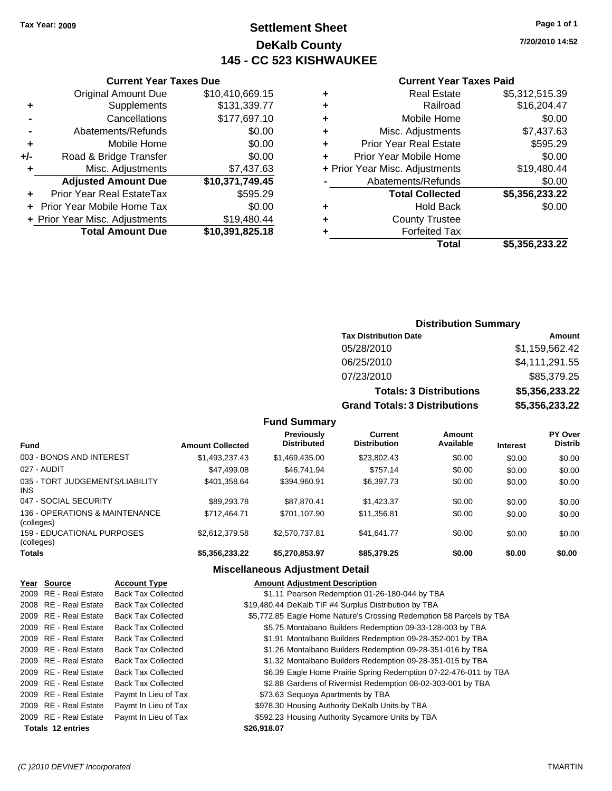### **Settlement Sheet Tax Year: 2009 Page 1 of 1 DeKalb County 145 - CC 523 KISHWAUKEE**

**7/20/2010 14:52**

### **Current Year Taxes Paid**

|   | Total                          | \$5.356.233.22 |
|---|--------------------------------|----------------|
| ٠ | <b>Forfeited Tax</b>           |                |
| ٠ | <b>County Trustee</b>          |                |
| ٠ | <b>Hold Back</b>               | \$0.00         |
|   | <b>Total Collected</b>         | \$5,356,233.22 |
|   | Abatements/Refunds             | \$0.00         |
|   | + Prior Year Misc. Adjustments | \$19,480.44    |
| ÷ | Prior Year Mobile Home         | \$0.00         |
| ÷ | <b>Prior Year Real Estate</b>  | \$595.29       |
| ٠ | Misc. Adjustments              | \$7,437.63     |
| ٠ | Mobile Home                    | \$0.00         |
| ٠ | Railroad                       | \$16,204.47    |
| ٠ | <b>Real Estate</b>             | \$5,312,515.39 |
|   |                                |                |

|     | <b>Current Year Taxes Due</b>     |                 |
|-----|-----------------------------------|-----------------|
|     | <b>Original Amount Due</b>        | \$10,410,669.15 |
| ٠   | Supplements                       | \$131,339.77    |
|     | Cancellations                     | \$177,697.10    |
|     | Abatements/Refunds                | \$0.00          |
| ٠   | Mobile Home                       | \$0.00          |
| +/- | Road & Bridge Transfer            | \$0.00          |
| ٠   | Misc. Adjustments                 | \$7,437.63      |
|     | <b>Adjusted Amount Due</b>        | \$10,371,749.45 |
|     | <b>Prior Year Real EstateTax</b>  | \$595.29        |
|     | <b>Prior Year Mobile Home Tax</b> | \$0.00          |
|     | + Prior Year Misc. Adjustments    | \$19,480.44     |
|     | <b>Total Amount Due</b>           | \$10,391,825.18 |

### **Distribution Summary**

| <b>Tax Distribution Date</b>         | Amount         |
|--------------------------------------|----------------|
| 05/28/2010                           | \$1,159,562.42 |
| 06/25/2010                           | \$4,111,291.55 |
| 07/23/2010                           | \$85,379.25    |
| <b>Totals: 3 Distributions</b>       | \$5,356,233.22 |
| <b>Grand Totals: 3 Distributions</b> | \$5,356,233.22 |

### **Fund Summary**

| <b>Fund</b>                                  | <b>Amount Collected</b> | <b>Previously</b><br><b>Distributed</b> | Current<br><b>Distribution</b> | Amount<br>Available | <b>Interest</b> | <b>PY Over</b><br><b>Distrib</b> |
|----------------------------------------------|-------------------------|-----------------------------------------|--------------------------------|---------------------|-----------------|----------------------------------|
| 003 - BONDS AND INTEREST                     | \$1,493,237.43          | \$1,469,435.00                          | \$23,802.43                    | \$0.00              | \$0.00          | \$0.00                           |
| 027 - AUDIT                                  | \$47,499.08             | \$46,741.94                             | \$757.14                       | \$0.00              | \$0.00          | \$0.00                           |
| 035 - TORT JUDGEMENTS/LIABILITY<br>INS       | \$401,358.64            | \$394.960.91                            | \$6,397.73                     | \$0.00              | \$0.00          | \$0.00                           |
| 047 - SOCIAL SECURITY                        | \$89,293.78             | \$87.870.41                             | \$1.423.37                     | \$0.00              | \$0.00          | \$0.00                           |
| 136 - OPERATIONS & MAINTENANCE<br>(colleges) | \$712,464.71            | \$701,107.90                            | \$11,356.81                    | \$0.00              | \$0.00          | \$0.00                           |
| 159 - EDUCATIONAL PURPOSES<br>(colleges)     | \$2.612.379.58          | \$2,570,737.81                          | \$41,641.77                    | \$0.00              | \$0.00          | \$0.00                           |
| <b>Totals</b>                                | \$5,356,233.22          | \$5,270,853.97                          | \$85,379.25                    | \$0.00              | \$0.00          | \$0.00                           |

| Year Source              | <b>Account Type</b>       | <b>Amount Adjustment Description</b>                                 |
|--------------------------|---------------------------|----------------------------------------------------------------------|
| 2009 RE - Real Estate    | <b>Back Tax Collected</b> | \$1.11 Pearson Redemption 01-26-180-044 by TBA                       |
| 2008 RE - Real Estate    | <b>Back Tax Collected</b> | \$19,480.44 DeKalb TIF #4 Surplus Distribution by TBA                |
| 2009 RE - Real Estate    | <b>Back Tax Collected</b> | \$5,772.85 Eagle Home Nature's Crossing Redemption 58 Parcels by TBA |
| 2009 RE - Real Estate    | <b>Back Tax Collected</b> | \$5.75 Montabano Builders Redemption 09-33-128-003 by TBA            |
| 2009 RE - Real Estate    | <b>Back Tax Collected</b> | \$1.91 Montalbano Builders Redemption 09-28-352-001 by TBA           |
| 2009 RE - Real Estate    | <b>Back Tax Collected</b> | \$1.26 Montalbano Builders Redemption 09-28-351-016 by TBA           |
| 2009 RE - Real Estate    | <b>Back Tax Collected</b> | \$1.32 Montalbano Builders Redemption 09-28-351-015 by TBA           |
| 2009 RE - Real Estate    | <b>Back Tax Collected</b> | \$6.39 Eagle Home Prairie Spring Redemption 07-22-476-011 by TBA     |
| 2009 RE - Real Estate    | <b>Back Tax Collected</b> | \$2.88 Gardens of Rivermist Redemption 08-02-303-001 by TBA          |
| 2009 RE - Real Estate    | Paymt In Lieu of Tax      | \$73.63 Sequoya Apartments by TBA                                    |
| 2009 RE - Real Estate    | Paymt In Lieu of Tax      | \$978.30 Housing Authority DeKalb Units by TBA                       |
| 2009 RE - Real Estate    | Paymt In Lieu of Tax      | \$592.23 Housing Authority Sycamore Units by TBA                     |
| <b>Totals 12 entries</b> |                           | \$26,918.07                                                          |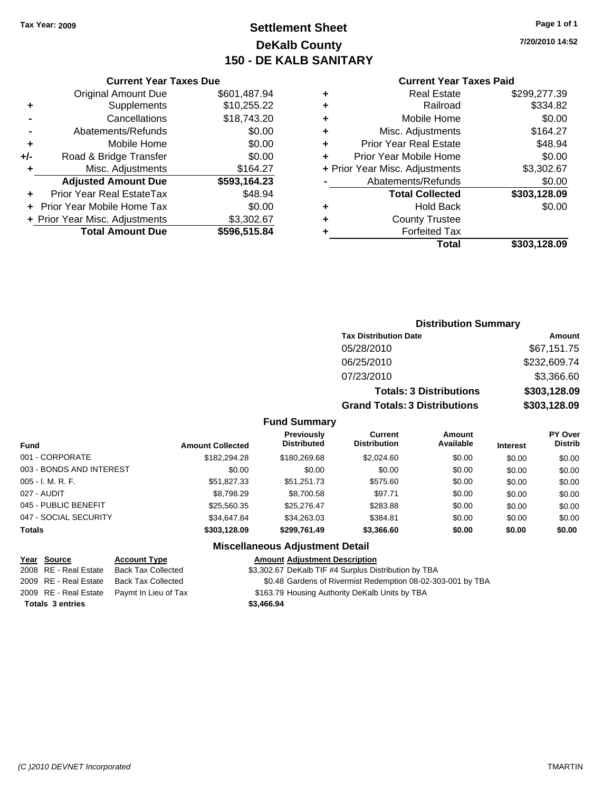### **Settlement Sheet Tax Year: 2009 Page 1 of 1 DeKalb County 150 - DE KALB SANITARY**

**7/20/2010 14:52**

| <b>Current Year Taxes Due</b> |
|-------------------------------|
|-------------------------------|

|     | <b>Original Amount Due</b>        | \$601,487.94 |
|-----|-----------------------------------|--------------|
| ٠   | Supplements                       | \$10,255.22  |
|     | Cancellations                     | \$18,743.20  |
|     | Abatements/Refunds                | \$0.00       |
| ٠   | Mobile Home                       | \$0.00       |
| +/- | Road & Bridge Transfer            | \$0.00       |
| ٠   | Misc. Adjustments                 | \$164.27     |
|     | <b>Adjusted Amount Due</b>        | \$593,164.23 |
|     | Prior Year Real EstateTax         | \$48.94      |
|     | <b>Prior Year Mobile Home Tax</b> | \$0.00       |
|     | + Prior Year Misc. Adjustments    | \$3,302.67   |
|     | <b>Total Amount Due</b>           | \$596,515.84 |
|     |                                   |              |

#### **Current Year Taxes Paid**

| <b>Real Estate</b>             | \$299,277.39 |
|--------------------------------|--------------|
| Railroad                       | \$334.82     |
| Mobile Home                    | \$0.00       |
| Misc. Adjustments              | \$164.27     |
| <b>Prior Year Real Estate</b>  | \$48.94      |
| Prior Year Mobile Home         | \$0.00       |
| + Prior Year Misc. Adjustments | \$3,302.67   |
| Abatements/Refunds             | \$0.00       |
| <b>Total Collected</b>         | \$303,128.09 |
| <b>Hold Back</b>               | \$0.00       |
| <b>County Trustee</b>          |              |
| <b>Forfeited Tax</b>           |              |
| Total                          | \$303,128.09 |
|                                |              |

### **Distribution Summary Tax Distribution Date Amount** 05/28/2010 \$67,151.75 06/25/2010 \$232,609.74 07/23/2010 \$3,366.60 **Totals: 3 Distributions \$303,128.09**

**Grand Totals: 3 Distributions \$303,128.09**

#### **Fund Summary**

| <b>Fund</b>              | <b>Amount Collected</b> | Previously<br><b>Distributed</b> | Current<br><b>Distribution</b> | Amount<br>Available | <b>Interest</b> | <b>PY Over</b><br><b>Distrib</b> |
|--------------------------|-------------------------|----------------------------------|--------------------------------|---------------------|-----------------|----------------------------------|
| 001 - CORPORATE          | \$182,294.28            | \$180,269.68                     | \$2,024.60                     | \$0.00              | \$0.00          | \$0.00                           |
| 003 - BONDS AND INTEREST | \$0.00                  | \$0.00                           | \$0.00                         | \$0.00              | \$0.00          | \$0.00                           |
| $005 - I. M. R. F.$      | \$51.827.33             | \$51.251.73                      | \$575.60                       | \$0.00              | \$0.00          | \$0.00                           |
| 027 - AUDIT              | \$8,798.29              | \$8,700.58                       | \$97.71                        | \$0.00              | \$0.00          | \$0.00                           |
| 045 - PUBLIC BENEFIT     | \$25,560.35             | \$25.276.47                      | \$283.88                       | \$0.00              | \$0.00          | \$0.00                           |
| 047 - SOCIAL SECURITY    | \$34,647.84             | \$34.263.03                      | \$384.81                       | \$0.00              | \$0.00          | \$0.00                           |
| <b>Totals</b>            | \$303,128.09            | \$299,761.49                     | \$3,366.60                     | \$0.00              | \$0.00          | \$0.00                           |

### **Miscellaneous Adjustment Detail**

#### **Year Source Account Type Amount Adjustment Description**

2008 RE - Real Estate Back Tax Collected \$3,302.67 DeKalb TIF #4 Surplus Distribution by TBA

- 2009 RE Real Estate Back Tax Collected \$0.48 Gardens of Rivermist Redemption 08-02-303-001 by TBA
- 2009 RE Real Estate Paymt In Lieu of Tax \$163.79 Housing Authority DeKalb Units by TBA

**Totals \$3,466.94 3 entries**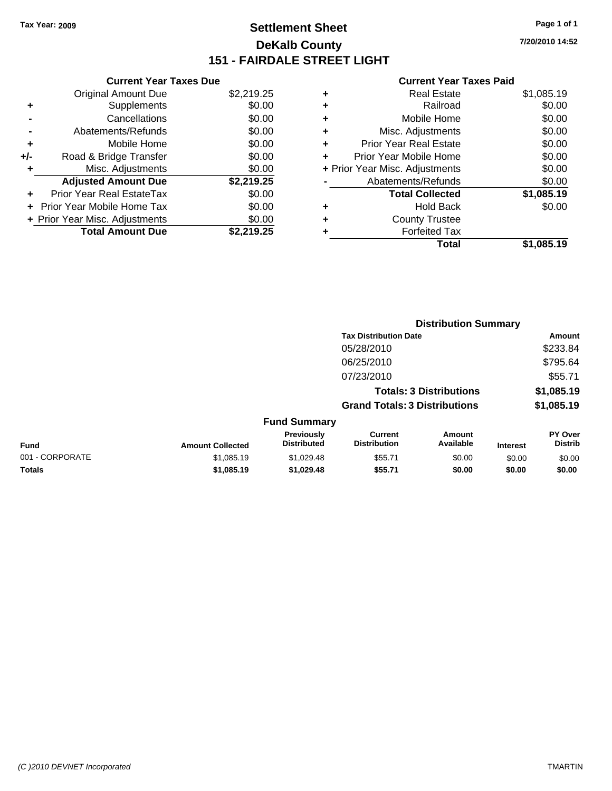### **Settlement Sheet Tax Year: 2009 Page 1 of 1 DeKalb County 151 - FAIRDALE STREET LIGHT**

**7/20/2010 14:52**

|       | <b>Current Year Taxes Due</b>  |            |
|-------|--------------------------------|------------|
|       | <b>Original Amount Due</b>     | \$2,219.25 |
| ٠     | Supplements                    | \$0.00     |
|       | Cancellations                  | \$0.00     |
|       | Abatements/Refunds             | \$0.00     |
| ٠     | Mobile Home                    | \$0.00     |
| $+/-$ | Road & Bridge Transfer         | \$0.00     |
| ٠     | Misc. Adjustments              | \$0.00     |
|       | <b>Adjusted Amount Due</b>     | \$2,219.25 |
| ÷     | Prior Year Real EstateTax      | \$0.00     |
|       | Prior Year Mobile Home Tax     | \$0.00     |
|       | + Prior Year Misc. Adjustments | \$0.00     |
|       | <b>Total Amount Due</b>        | \$2,219.25 |
|       |                                |            |

| ٠ | <b>Real Estate</b>             | \$1,085.19 |
|---|--------------------------------|------------|
| ٠ | Railroad                       | \$0.00     |
| ÷ | Mobile Home                    | \$0.00     |
| ٠ | Misc. Adjustments              | \$0.00     |
| ٠ | <b>Prior Year Real Estate</b>  | \$0.00     |
| ٠ | Prior Year Mobile Home         | \$0.00     |
|   | + Prior Year Misc. Adjustments | \$0.00     |
|   | Abatements/Refunds             | \$0.00     |
|   | <b>Total Collected</b>         | \$1,085.19 |
| ٠ | <b>Hold Back</b>               | \$0.00     |
| ٠ | <b>County Trustee</b>          |            |
| ٠ | <b>Forfeited Tax</b>           |            |
|   | Total                          | \$1.085.19 |
|   |                                |            |

|                 |                         |                                  | <b>Distribution Summary</b>           |                                |                 |                                  |
|-----------------|-------------------------|----------------------------------|---------------------------------------|--------------------------------|-----------------|----------------------------------|
|                 |                         |                                  | <b>Tax Distribution Date</b>          |                                |                 | Amount                           |
|                 |                         |                                  | 05/28/2010                            |                                |                 | \$233.84                         |
|                 |                         |                                  | 06/25/2010                            |                                |                 | \$795.64                         |
|                 |                         |                                  | 07/23/2010                            |                                |                 | \$55.71                          |
|                 |                         |                                  |                                       | <b>Totals: 3 Distributions</b> |                 | \$1,085.19                       |
|                 |                         |                                  | <b>Grand Totals: 3 Distributions</b>  |                                |                 | \$1,085.19                       |
|                 |                         | <b>Fund Summary</b>              |                                       |                                |                 |                                  |
| <b>Fund</b>     | <b>Amount Collected</b> | Previously<br><b>Distributed</b> | <b>Current</b><br><b>Distribution</b> | Amount<br>Available            | <b>Interest</b> | <b>PY Over</b><br><b>Distrib</b> |
| 001 - CORPORATE | \$1,085.19              | \$1,029.48                       | \$55.71                               | \$0.00                         | \$0.00          | \$0.00                           |
| Totals          | \$1,085.19              | \$1,029.48                       | \$55.71                               | \$0.00                         | \$0.00          | \$0.00                           |
|                 |                         |                                  |                                       |                                |                 |                                  |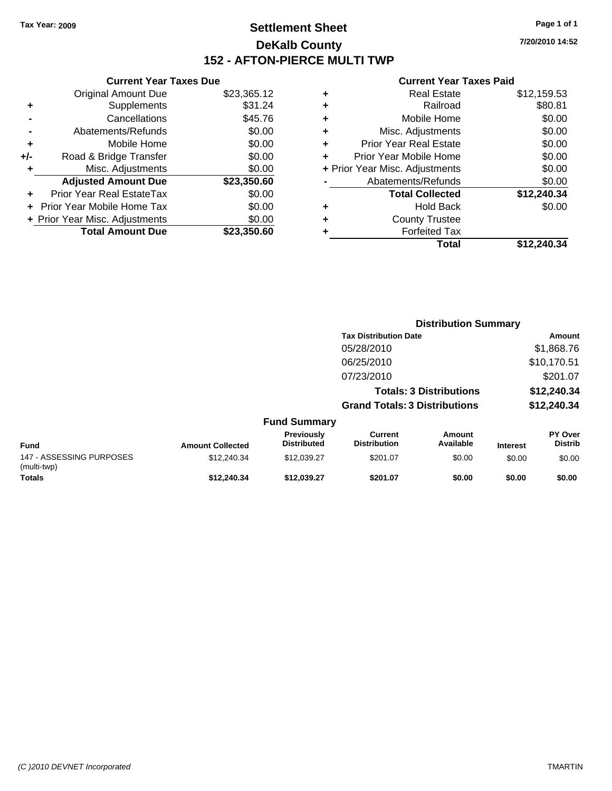### **Settlement Sheet Tax Year: 2009 Page 1 of 1 DeKalb County 152 - AFTON-PIERCE MULTI TWP**

**7/20/2010 14:52**

**Amount** 05/28/2010 \$1,868.76

#### **Current Year Taxes Paid**

| ٠ | Real Estate                    | \$12,159.53 |
|---|--------------------------------|-------------|
| ٠ | Railroad                       | \$80.81     |
| ÷ | Mobile Home                    | \$0.00      |
| ٠ | Misc. Adjustments              | \$0.00      |
| ٠ | <b>Prior Year Real Estate</b>  | \$0.00      |
| ÷ | Prior Year Mobile Home         | \$0.00      |
|   | + Prior Year Misc. Adjustments | \$0.00      |
|   | Abatements/Refunds             | \$0.00      |
|   | <b>Total Collected</b>         | \$12,240.34 |
| ٠ | <b>Hold Back</b>               | \$0.00      |
| ٠ | <b>County Trustee</b>          |             |
|   | <b>Forfeited Tax</b>           |             |
|   | Total                          | \$12.240.34 |

|                              | + Prior Year Misc. Adjustments |             | Misc. Adjustments<br>+         |
|------------------------------|--------------------------------|-------------|--------------------------------|
| Abatements/Refunds           |                                | \$23,350.60 | <b>Adjusted Amount Due</b>     |
| \$<br><b>Total Collected</b> |                                | \$0.00      | Prior Year Real EstateTax<br>٠ |
| <b>Hold Back</b>             | ÷                              | \$0.00      | Prior Year Mobile Home Tax     |
| <b>County Trustee</b>        | ٠                              | \$0.00      | + Prior Year Misc. Adjustments |
| <b>Forfeited Tax</b>         |                                | \$23,350.60 | <b>Total Amount Due</b>        |
| \$<br><b>Total</b>           |                                |             |                                |
| <b>Distribution Summary</b>  |                                |             |                                |
| <b>Tax Distribution Date</b> |                                |             |                                |
| 05/28/2010                   |                                |             |                                |
| 06/25/2010                   |                                |             |                                |
|                              |                                |             |                                |

**Current Year Taxes Due** Original Amount Due \$23,365.12

**+** Supplements \$31.24 **-** Cancellations \$45.76 **-** Abatements/Refunds \$0.00 **+** Mobile Home \$0.00 **+/-** Road & Bridge Transfer \$0.00

|                                         |                         |                                  | 06/25/2010                           |                                |                 | \$10,170.51               |
|-----------------------------------------|-------------------------|----------------------------------|--------------------------------------|--------------------------------|-----------------|---------------------------|
|                                         |                         |                                  | 07/23/2010                           |                                |                 | \$201.07                  |
|                                         |                         |                                  |                                      | <b>Totals: 3 Distributions</b> |                 | \$12,240.34               |
|                                         |                         |                                  | <b>Grand Totals: 3 Distributions</b> |                                |                 | \$12,240.34               |
|                                         |                         | <b>Fund Summary</b>              |                                      |                                |                 |                           |
| <b>Fund</b>                             | <b>Amount Collected</b> | Previously<br><b>Distributed</b> | Current<br><b>Distribution</b>       | <b>Amount</b><br>Available     | <b>Interest</b> | PY Over<br><b>Distrib</b> |
| 147 - ASSESSING PURPOSES<br>(multi-twp) | \$12,240.34             | \$12,039.27                      | \$201.07                             | \$0.00                         | \$0.00          | \$0.00                    |
| <b>Totals</b>                           | \$12,240,34             | \$12.039.27                      | \$201.07                             | \$0.00                         | \$0.00          | \$0.00                    |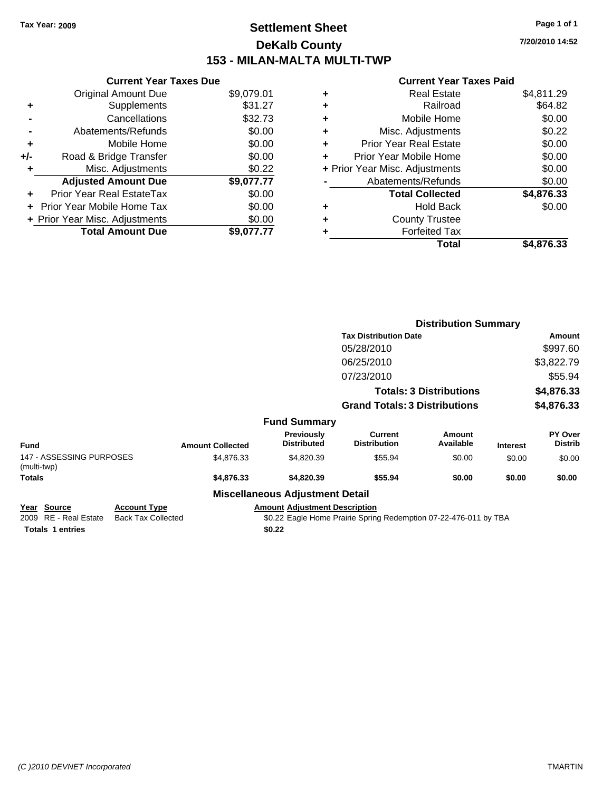### **Settlement Sheet Tax Year: 2009 Page 1 of 1 DeKalb County 153 - MILAN-MALTA MULTI-TWP**

**7/20/2010 14:52**

|     | <b>Current Year Taxes Due</b>  |            |
|-----|--------------------------------|------------|
|     | <b>Original Amount Due</b>     | \$9,079.01 |
| ٠   | Supplements                    | \$31.27    |
|     | Cancellations                  | \$32.73    |
|     | Abatements/Refunds             | \$0.00     |
| ٠   | Mobile Home                    | \$0.00     |
| +/- | Road & Bridge Transfer         | \$0.00     |
| ٠   | Misc. Adjustments              | \$0.22     |
|     | <b>Adjusted Amount Due</b>     | \$9,077.77 |
|     | Prior Year Real EstateTax      | \$0.00     |
|     | Prior Year Mobile Home Tax     | \$0.00     |
|     | + Prior Year Misc. Adjustments | \$0.00     |
|     | <b>Total Amount Due</b>        | \$9,077.77 |
|     |                                |            |

|                                                                        |                                                  |                         |                                                | <b>Distribution Summary</b>                                      |                                |                 |                           |
|------------------------------------------------------------------------|--------------------------------------------------|-------------------------|------------------------------------------------|------------------------------------------------------------------|--------------------------------|-----------------|---------------------------|
|                                                                        |                                                  |                         |                                                | <b>Tax Distribution Date</b>                                     |                                |                 | Amount                    |
|                                                                        |                                                  |                         |                                                | 05/28/2010                                                       |                                |                 | \$997.60                  |
|                                                                        |                                                  |                         |                                                | 06/25/2010                                                       |                                |                 | \$3,822.79                |
|                                                                        |                                                  |                         |                                                | 07/23/2010                                                       |                                |                 | \$55.94                   |
|                                                                        |                                                  |                         |                                                |                                                                  | <b>Totals: 3 Distributions</b> |                 | \$4,876.33                |
|                                                                        |                                                  |                         |                                                | <b>Grand Totals: 3 Distributions</b>                             |                                |                 | \$4,876.33                |
|                                                                        |                                                  |                         | <b>Fund Summary</b>                            |                                                                  |                                |                 |                           |
| <b>Fund</b>                                                            |                                                  | <b>Amount Collected</b> | <b>Previously</b><br><b>Distributed</b>        | <b>Current</b><br><b>Distribution</b>                            | Amount<br>Available            | <b>Interest</b> | PY Over<br><b>Distrib</b> |
| 147 - ASSESSING PURPOSES<br>(multi-twp)                                |                                                  | \$4,876.33              | \$4,820.39                                     | \$55.94                                                          | \$0.00                         | \$0.00          | \$0.00                    |
| Totals                                                                 |                                                  | \$4,876.33              | \$4,820.39                                     | \$55.94                                                          | \$0.00                         | \$0.00          | \$0.00                    |
|                                                                        |                                                  |                         | <b>Miscellaneous Adjustment Detail</b>         |                                                                  |                                |                 |                           |
| <u>Year Source</u><br>2009 RE - Real Estate<br><b>Totals 1 entries</b> | <b>Account Type</b><br><b>Back Tax Collected</b> |                         | <b>Amount Adjustment Description</b><br>\$0.22 | \$0.22 Eagle Home Prairie Spring Redemption 07-22-476-011 by TBA |                                |                 |                           |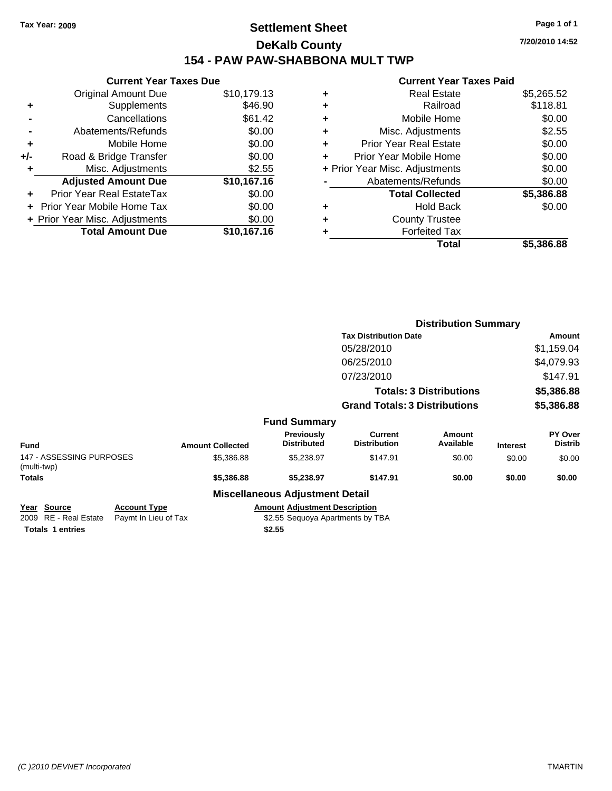### **Settlement Sheet Tax Year: 2009 Page 1 of 1 DeKalb County 154 - PAW PAW-SHABBONA MULT TWP**

**7/20/2010 14:52**

| <b>Current Year Taxes Due</b> |                                |
|-------------------------------|--------------------------------|
| <b>Original Amount Due</b>    | \$10,179.13                    |
| Supplements                   | \$46.90                        |
| Cancellations                 | \$61.42                        |
| Abatements/Refunds            | \$0.00                         |
| Mobile Home                   | \$0.00                         |
| Road & Bridge Transfer        | \$0.00                         |
| Misc. Adjustments             | \$2.55                         |
| <b>Adjusted Amount Due</b>    | \$10,167.16                    |
| Prior Year Real EstateTax     | \$0.00                         |
| Prior Year Mobile Home Tax    | \$0.00                         |
|                               | \$0.00                         |
| <b>Total Amount Due</b>       | \$10,167.16                    |
|                               | + Prior Year Misc. Adjustments |

| ٠ | <b>Real Estate</b>             | \$5,265.52 |
|---|--------------------------------|------------|
| ٠ | Railroad                       | \$118.81   |
| ٠ | Mobile Home                    | \$0.00     |
| ٠ | Misc. Adjustments              | \$2.55     |
| ÷ | Prior Year Real Estate         | \$0.00     |
|   | Prior Year Mobile Home         | \$0.00     |
|   | + Prior Year Misc. Adjustments | \$0.00     |
|   | Abatements/Refunds             | \$0.00     |
|   | <b>Total Collected</b>         | \$5,386.88 |
| ٠ | <b>Hold Back</b>               | \$0.00     |
| ٠ | <b>County Trustee</b>          |            |
| ٠ | <b>Forfeited Tax</b>           |            |
|   | Total                          | \$5,386.88 |
|   |                                |            |

|                                                                         |                                             |                         |                                                                                    |                                       | <b>Distribution Summary</b>    |                 |                           |
|-------------------------------------------------------------------------|---------------------------------------------|-------------------------|------------------------------------------------------------------------------------|---------------------------------------|--------------------------------|-----------------|---------------------------|
|                                                                         |                                             |                         |                                                                                    | <b>Tax Distribution Date</b>          |                                |                 | Amount                    |
|                                                                         |                                             |                         |                                                                                    | 05/28/2010                            |                                |                 | \$1,159.04                |
|                                                                         |                                             |                         |                                                                                    | 06/25/2010                            |                                |                 | \$4,079.93                |
|                                                                         |                                             |                         |                                                                                    | 07/23/2010                            |                                |                 | \$147.91                  |
|                                                                         |                                             |                         |                                                                                    |                                       | <b>Totals: 3 Distributions</b> |                 | \$5,386.88                |
|                                                                         |                                             |                         |                                                                                    | <b>Grand Totals: 3 Distributions</b>  |                                |                 | \$5,386.88                |
|                                                                         |                                             |                         | <b>Fund Summary</b>                                                                |                                       |                                |                 |                           |
| <b>Fund</b>                                                             |                                             | <b>Amount Collected</b> | Previously<br><b>Distributed</b>                                                   | <b>Current</b><br><b>Distribution</b> | Amount<br>Available            | <b>Interest</b> | PY Over<br><b>Distrib</b> |
| 147 - ASSESSING PURPOSES<br>(multi-twp)                                 |                                             | \$5,386.88              | \$5,238.97                                                                         | \$147.91                              | \$0.00                         | \$0.00          | \$0.00                    |
| Totals                                                                  |                                             | \$5,386.88              | \$5,238.97                                                                         | \$147.91                              | \$0.00                         | \$0.00          | \$0.00                    |
|                                                                         |                                             |                         | <b>Miscellaneous Adjustment Detail</b>                                             |                                       |                                |                 |                           |
| <u> Year Source</u><br>2009 RE - Real Estate<br><b>Totals 1 entries</b> | <b>Account Type</b><br>Paymt In Lieu of Tax |                         | <b>Amount Adjustment Description</b><br>\$2.55 Sequoya Apartments by TBA<br>\$2.55 |                                       |                                |                 |                           |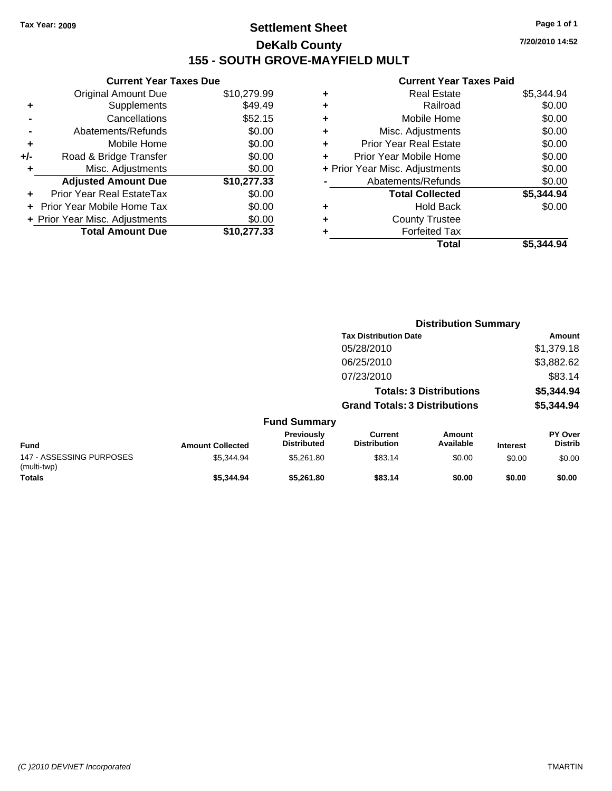### **Settlement Sheet Tax Year: 2009 Page 1 of 1 DeKalb County 155 - SOUTH GROVE-MAYFIELD MULT**

**7/20/2010 14:52**

| <b>Original Amount Due</b> | \$10,279.99                                                     |
|----------------------------|-----------------------------------------------------------------|
| Supplements                | \$49.49                                                         |
| Cancellations              | \$52.15                                                         |
| Abatements/Refunds         | \$0.00                                                          |
| Mobile Home                | \$0.00                                                          |
| Road & Bridge Transfer     | \$0.00                                                          |
| Misc. Adjustments          | \$0.00                                                          |
| <b>Adjusted Amount Due</b> | \$10,277.33                                                     |
| Prior Year Real EstateTax  | \$0.00                                                          |
| Prior Year Mobile Home Tax | \$0.00                                                          |
|                            | \$0.00                                                          |
| <b>Total Amount Due</b>    | \$10,277,33                                                     |
|                            | <b>Current Year Taxes Due</b><br>+ Prior Year Misc. Adjustments |

| ٠ | <b>Real Estate</b>             | \$5,344.94 |
|---|--------------------------------|------------|
| ٠ | Railroad                       | \$0.00     |
| ٠ | Mobile Home                    | \$0.00     |
| ٠ | Misc. Adjustments              | \$0.00     |
| ٠ | <b>Prior Year Real Estate</b>  | \$0.00     |
| ٠ | Prior Year Mobile Home         | \$0.00     |
|   | + Prior Year Misc. Adjustments | \$0.00     |
|   | Abatements/Refunds             | \$0.00     |
|   | <b>Total Collected</b>         | \$5,344.94 |
| ٠ | Hold Back                      | \$0.00     |
| ٠ | <b>County Trustee</b>          |            |
| ٠ | <b>Forfeited Tax</b>           |            |
|   | Total                          | \$5.344.94 |
|   |                                |            |

|                                         |                         |                                  |                                       | <b>Distribution Summary</b>    |                 |                           |
|-----------------------------------------|-------------------------|----------------------------------|---------------------------------------|--------------------------------|-----------------|---------------------------|
|                                         |                         |                                  | <b>Tax Distribution Date</b>          |                                |                 | Amount                    |
|                                         |                         |                                  | 05/28/2010                            |                                |                 | \$1,379.18                |
|                                         |                         |                                  | 06/25/2010                            |                                |                 | \$3,882.62                |
|                                         |                         |                                  | 07/23/2010                            |                                |                 | \$83.14                   |
|                                         |                         |                                  |                                       | <b>Totals: 3 Distributions</b> |                 | \$5,344.94                |
|                                         |                         |                                  | <b>Grand Totals: 3 Distributions</b>  |                                |                 | \$5,344.94                |
|                                         |                         | <b>Fund Summary</b>              |                                       |                                |                 |                           |
| <b>Fund</b>                             | <b>Amount Collected</b> | Previously<br><b>Distributed</b> | <b>Current</b><br><b>Distribution</b> | <b>Amount</b><br>Available     | <b>Interest</b> | PY Over<br><b>Distrib</b> |
| 147 - ASSESSING PURPOSES<br>(multi-twp) | \$5,344.94              | \$5,261.80                       | \$83.14                               | \$0.00                         | \$0.00          | \$0.00                    |
| Totals                                  | \$5,344.94              | \$5.261.80                       | \$83.14                               | \$0.00                         | \$0.00          | \$0.00                    |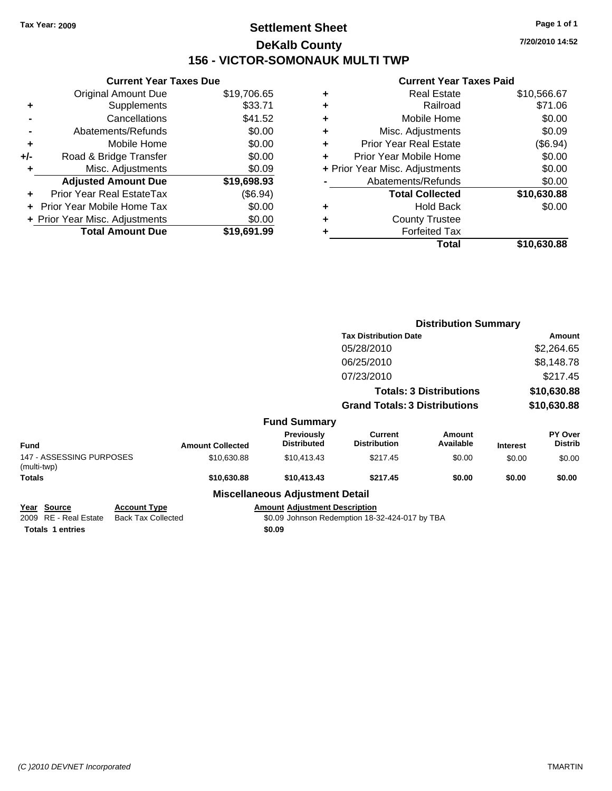### **Settlement Sheet Tax Year: 2009 Page 1 of 1 DeKalb County 156 - VICTOR-SOMONAUK MULTI TWP**

**7/20/2010 14:52**

|       | <b>Current Year Taxes Due</b>     |             |
|-------|-----------------------------------|-------------|
|       | <b>Original Amount Due</b>        | \$19,706.65 |
| ٠     | Supplements                       | \$33.71     |
|       | Cancellations                     | \$41.52     |
|       | Abatements/Refunds                | \$0.00      |
| ٠     | Mobile Home                       | \$0.00      |
| $+/-$ | Road & Bridge Transfer            | \$0.00      |
|       | Misc. Adjustments                 | \$0.09      |
|       | <b>Adjusted Amount Due</b>        | \$19,698.93 |
|       | Prior Year Real EstateTax         | (\$6.94)    |
|       | <b>Prior Year Mobile Home Tax</b> | \$0.00      |
|       | + Prior Year Misc. Adjustments    | \$0.00      |
|       | <b>Total Amount Due</b>           | \$19,691.99 |
|       |                                   |             |

| ٠ | <b>Real Estate</b>             | \$10,566.67 |
|---|--------------------------------|-------------|
| ٠ | Railroad                       | \$71.06     |
| ٠ | Mobile Home                    | \$0.00      |
| ٠ | Misc. Adjustments              | \$0.09      |
| ٠ | <b>Prior Year Real Estate</b>  | (\$6.94)    |
| ÷ | Prior Year Mobile Home         | \$0.00      |
|   | + Prior Year Misc. Adjustments | \$0.00      |
|   | Abatements/Refunds             | \$0.00      |
|   | <b>Total Collected</b>         | \$10,630.88 |
| ٠ | <b>Hold Back</b>               | \$0.00      |
| ٠ | <b>County Trustee</b>          |             |
| ٠ | <b>Forfeited Tax</b>           |             |
|   | Total                          | \$10,630.88 |
|   |                                |             |

|                                                                         |                                                  |                         |                                                |                                                | <b>Distribution Summary</b>    |                 |                           |
|-------------------------------------------------------------------------|--------------------------------------------------|-------------------------|------------------------------------------------|------------------------------------------------|--------------------------------|-----------------|---------------------------|
|                                                                         |                                                  |                         |                                                | <b>Tax Distribution Date</b>                   |                                |                 | Amount                    |
|                                                                         |                                                  |                         |                                                | 05/28/2010                                     |                                |                 | \$2,264.65                |
|                                                                         |                                                  |                         |                                                | 06/25/2010                                     |                                |                 | \$8,148.78                |
|                                                                         |                                                  |                         |                                                | 07/23/2010                                     |                                |                 | \$217.45                  |
|                                                                         |                                                  |                         |                                                |                                                | <b>Totals: 3 Distributions</b> |                 | \$10,630.88               |
|                                                                         |                                                  |                         |                                                | <b>Grand Totals: 3 Distributions</b>           |                                |                 | \$10,630.88               |
|                                                                         |                                                  |                         | <b>Fund Summary</b>                            |                                                |                                |                 |                           |
| Fund                                                                    |                                                  | <b>Amount Collected</b> | <b>Previously</b><br><b>Distributed</b>        | Current<br><b>Distribution</b>                 | Amount<br>Available            | <b>Interest</b> | PY Over<br><b>Distrib</b> |
| 147 - ASSESSING PURPOSES<br>(multi-twp)                                 |                                                  | \$10,630.88             | \$10,413.43                                    | \$217.45                                       | \$0.00                         | \$0.00          | \$0.00                    |
| Totals                                                                  |                                                  | \$10,630.88             | \$10,413.43                                    | \$217.45                                       | \$0.00                         | \$0.00          | \$0.00                    |
|                                                                         |                                                  |                         | <b>Miscellaneous Adjustment Detail</b>         |                                                |                                |                 |                           |
| <u> Year Source</u><br>2009 RE - Real Estate<br><b>Totals 1 entries</b> | <b>Account Type</b><br><b>Back Tax Collected</b> |                         | <b>Amount Adjustment Description</b><br>\$0.09 | \$0.09 Johnson Redemption 18-32-424-017 by TBA |                                |                 |                           |
|                                                                         |                                                  |                         |                                                |                                                |                                |                 |                           |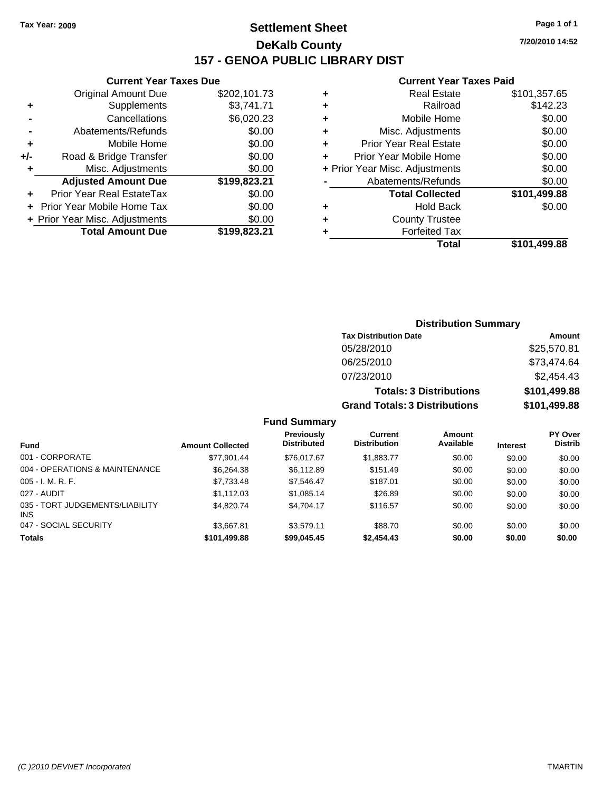### **Settlement Sheet Tax Year: 2009 Page 1 of 1 DeKalb County 157 - GENOA PUBLIC LIBRARY DIST**

### **Current Year Taxes Due**

| <b>Original Amount Due</b>        | \$202,101.73                   |
|-----------------------------------|--------------------------------|
| Supplements                       | \$3,741.71                     |
| Cancellations                     | \$6,020.23                     |
| Abatements/Refunds                | \$0.00                         |
| Mobile Home                       | \$0.00                         |
| Road & Bridge Transfer            | \$0.00                         |
| Misc. Adjustments                 | \$0.00                         |
| <b>Adjusted Amount Due</b>        | \$199,823.21                   |
| <b>Prior Year Real EstateTax</b>  | \$0.00                         |
| <b>Prior Year Mobile Home Tax</b> | \$0.00                         |
|                                   | \$0.00                         |
| <b>Total Amount Due</b>           | \$199,823.21                   |
|                                   | + Prior Year Misc. Adjustments |

#### **Current Year Taxes Paid**

| ٠ | <b>Real Estate</b>             | \$101,357.65 |
|---|--------------------------------|--------------|
| ٠ | Railroad                       | \$142.23     |
| ٠ | Mobile Home                    | \$0.00       |
| ٠ | Misc. Adjustments              | \$0.00       |
| ÷ | <b>Prior Year Real Estate</b>  | \$0.00       |
|   | Prior Year Mobile Home         | \$0.00       |
|   | + Prior Year Misc. Adjustments | \$0.00       |
|   | Abatements/Refunds             | \$0.00       |
|   | <b>Total Collected</b>         | \$101,499.88 |
| ٠ | Hold Back                      | \$0.00       |
| ٠ | <b>County Trustee</b>          |              |
| ٠ | <b>Forfeited Tax</b>           |              |
|   | Total                          | \$101,499.88 |
|   |                                |              |

| <b>Distribution Summary</b>          |              |
|--------------------------------------|--------------|
| <b>Tax Distribution Date</b>         | Amount       |
| 05/28/2010                           | \$25,570.81  |
| 06/25/2010                           | \$73,474.64  |
| 07/23/2010                           | \$2,454.43   |
| <b>Totals: 3 Distributions</b>       | \$101,499.88 |
| <b>Grand Totals: 3 Distributions</b> | \$101,499.88 |

| <b>Fund</b>                                   | <b>Amount Collected</b> | Previously<br><b>Distributed</b> | Current<br><b>Distribution</b> | Amount<br>Available | <b>Interest</b> | PY Over<br><b>Distrib</b> |
|-----------------------------------------------|-------------------------|----------------------------------|--------------------------------|---------------------|-----------------|---------------------------|
| 001 - CORPORATE                               | \$77,901.44             | \$76,017.67                      | \$1,883.77                     | \$0.00              | \$0.00          | \$0.00                    |
| 004 - OPERATIONS & MAINTENANCE                | \$6.264.38              | \$6.112.89                       | \$151.49                       | \$0.00              | \$0.00          | \$0.00                    |
| $005 - I. M. R. F.$                           | \$7,733.48              | \$7,546.47                       | \$187.01                       | \$0.00              | \$0.00          | \$0.00                    |
| 027 - AUDIT                                   | \$1,112.03              | \$1.085.14                       | \$26.89                        | \$0.00              | \$0.00          | \$0.00                    |
| 035 - TORT JUDGEMENTS/LIABILITY<br><b>INS</b> | \$4.820.74              | \$4.704.17                       | \$116.57                       | \$0.00              | \$0.00          | \$0.00                    |
| 047 - SOCIAL SECURITY                         | \$3.667.81              | \$3.579.11                       | \$88.70                        | \$0.00              | \$0.00          | \$0.00                    |
| <b>Totals</b>                                 | \$101,499.88            | \$99,045.45                      | \$2,454.43                     | \$0.00              | \$0.00          | \$0.00                    |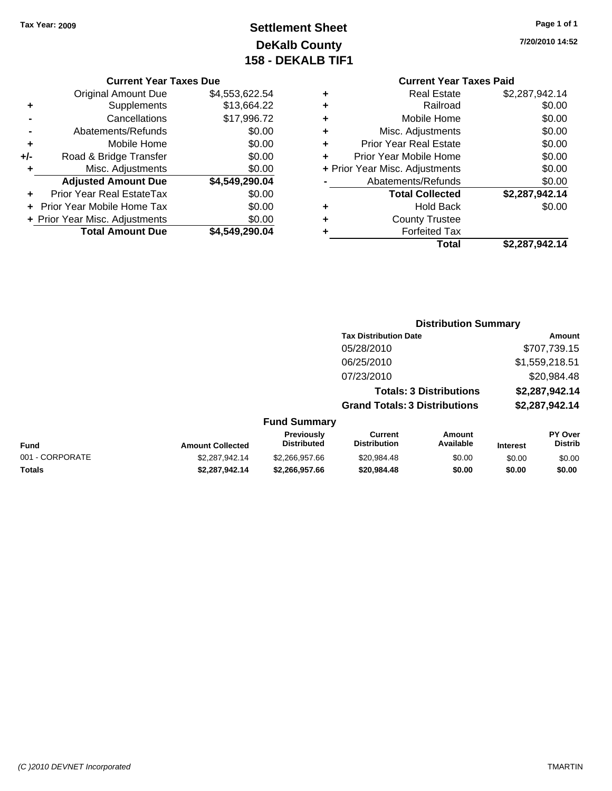### **Settlement Sheet Tax Year: 2009 Page 1 of 1 DeKalb County 158 - DEKALB TIF1**

**7/20/2010 14:52**

### **Current Year Taxes Due**

|     | <b>Original Amount Due</b>     | \$4,553,622.54 |
|-----|--------------------------------|----------------|
| ٠   | Supplements                    | \$13,664.22    |
|     | Cancellations                  | \$17,996.72    |
|     | Abatements/Refunds             | \$0.00         |
| ٠   | Mobile Home                    | \$0.00         |
| +/- | Road & Bridge Transfer         | \$0.00         |
| ٠   | Misc. Adjustments              | \$0.00         |
|     | <b>Adjusted Amount Due</b>     | \$4,549,290.04 |
|     | Prior Year Real EstateTax      | \$0.00         |
|     | Prior Year Mobile Home Tax     | \$0.00         |
|     | + Prior Year Misc. Adjustments | \$0.00         |
|     | <b>Total Amount Due</b>        | \$4,549,290.04 |

## **Current Year Taxes Paid**

|   | Total                          | \$2,287,942.14 |
|---|--------------------------------|----------------|
| ٠ | <b>Forfeited Tax</b>           |                |
| ٠ | <b>County Trustee</b>          |                |
| ٠ | <b>Hold Back</b>               | \$0.00         |
|   | <b>Total Collected</b>         | \$2,287,942.14 |
|   | Abatements/Refunds             | \$0.00         |
|   | + Prior Year Misc. Adjustments | \$0.00         |
| ÷ | Prior Year Mobile Home         | \$0.00         |
| ٠ | <b>Prior Year Real Estate</b>  | \$0.00         |
| ٠ | Misc. Adjustments              | \$0.00         |
| ٠ | Mobile Home                    | \$0.00         |
| ٠ | Railroad                       | \$0.00         |
|   | <b>Real Estate</b>             | \$2,287,942.14 |

#### **Distribution Summary Tax Distribution Date Amount** 05/28/2010 \$707,739.15 06/25/2010 \$1,559,218.51 07/23/2010 \$20,984.48 **Totals: 3 Distributions \$2,287,942.14 Grand Totals: 3 Distributions \$2,287,942.14 Fund Summary Fund Interest Amount Collected Distributed PY Over Distrib Amount Available Current Distribution Previously** 001 - CORPORATE \$2,287,942.14 \$2,266,957.66 \$20,984.48 \$0.00 \$0.00 \$0.00 **Totals \$2,287,942.14 \$2,266,957.66 \$20,984.48 \$0.00 \$0.00 \$0.00**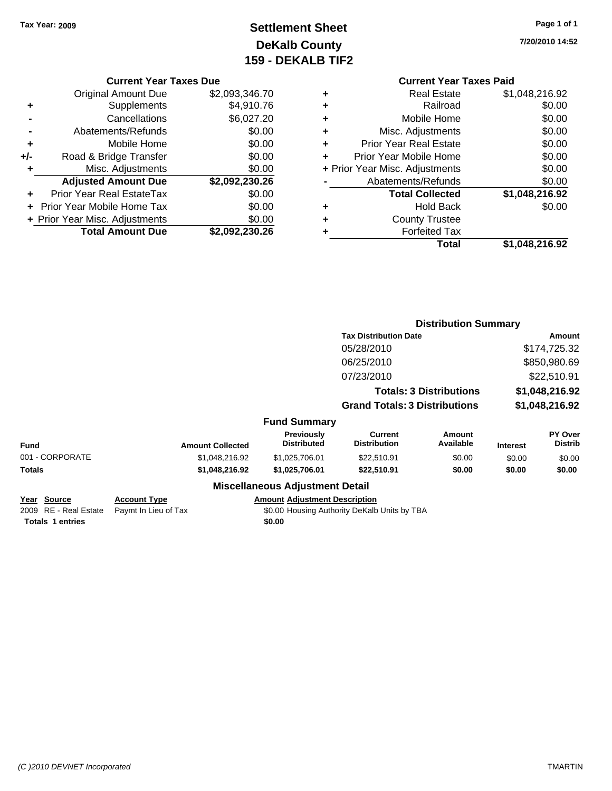### **Settlement Sheet Tax Year: 2009 Page 1 of 1 DeKalb County 159 - DEKALB TIF2**

**7/20/2010 14:52**

#### **Current Year Taxes Due**

|     | <b>Original Amount Due</b>        | \$2,093,346.70 |
|-----|-----------------------------------|----------------|
| ٠   | Supplements                       | \$4,910.76     |
|     | Cancellations                     | \$6,027.20     |
|     | Abatements/Refunds                | \$0.00         |
| ٠   | Mobile Home                       | \$0.00         |
| +/- | Road & Bridge Transfer            | \$0.00         |
| ٠   | Misc. Adjustments                 | \$0.00         |
|     | <b>Adjusted Amount Due</b>        | \$2,092,230.26 |
|     | <b>Prior Year Real EstateTax</b>  | \$0.00         |
|     | <b>Prior Year Mobile Home Tax</b> | \$0.00         |
|     | + Prior Year Misc. Adjustments    | \$0.00         |
|     | <b>Total Amount Due</b>           | \$2,092,230.26 |

| ٠ | Real Estate                    | \$1,048,216.92 |
|---|--------------------------------|----------------|
| ٠ | Railroad                       | \$0.00         |
| ٠ | Mobile Home                    | \$0.00         |
| ٠ | Misc. Adjustments              | \$0.00         |
| ٠ | <b>Prior Year Real Estate</b>  | \$0.00         |
| ٠ | Prior Year Mobile Home         | \$0.00         |
|   | + Prior Year Misc. Adjustments | \$0.00         |
|   | Abatements/Refunds             | \$0.00         |
|   | <b>Total Collected</b>         | \$1,048,216.92 |
| ٠ | <b>Hold Back</b>               | \$0.00         |
| ٠ | <b>County Trustee</b>          |                |
| ٠ | <b>Forfeited Tax</b>           |                |
|   | Total                          | \$1,048,216.92 |
|   |                                |                |

|                                                                        |                                             |                                                                                                | <b>Distribution Summary</b>           |                                |                 |                           |
|------------------------------------------------------------------------|---------------------------------------------|------------------------------------------------------------------------------------------------|---------------------------------------|--------------------------------|-----------------|---------------------------|
|                                                                        |                                             |                                                                                                | <b>Tax Distribution Date</b>          |                                | Amount          |                           |
|                                                                        |                                             |                                                                                                | 05/28/2010                            |                                |                 | \$174,725.32              |
|                                                                        |                                             |                                                                                                | 06/25/2010                            |                                |                 | \$850,980.69              |
|                                                                        |                                             |                                                                                                | 07/23/2010                            |                                |                 | \$22,510.91               |
|                                                                        |                                             |                                                                                                |                                       | <b>Totals: 3 Distributions</b> |                 | \$1,048,216.92            |
|                                                                        |                                             |                                                                                                | <b>Grand Totals: 3 Distributions</b>  |                                |                 | \$1,048,216.92            |
|                                                                        |                                             | <b>Fund Summary</b>                                                                            |                                       |                                |                 |                           |
| Fund                                                                   | <b>Amount Collected</b>                     | <b>Previously</b><br><b>Distributed</b>                                                        | <b>Current</b><br><b>Distribution</b> | Amount<br>Available            | <b>Interest</b> | PY Over<br><b>Distrib</b> |
| 001 - CORPORATE                                                        | \$1,048,216.92                              | \$1,025,706.01                                                                                 | \$22,510.91                           | \$0.00                         | \$0.00          | \$0.00                    |
| Totals                                                                 | \$1,048,216.92                              | \$1,025,706.01                                                                                 | \$22,510.91                           | \$0.00                         | \$0.00          | \$0.00                    |
|                                                                        |                                             | <b>Miscellaneous Adjustment Detail</b>                                                         |                                       |                                |                 |                           |
| <u>Year Source</u><br>2009 RE - Real Estate<br><b>Totals 1 entries</b> | <b>Account Type</b><br>Paymt In Lieu of Tax | <b>Amount Adjustment Description</b><br>\$0.00 Housing Authority DeKalb Units by TBA<br>\$0.00 |                                       |                                |                 |                           |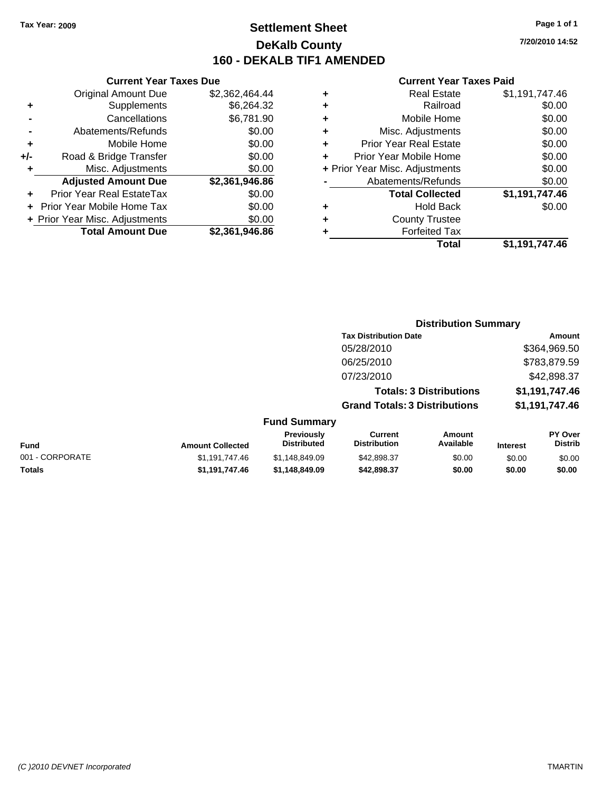### **Settlement Sheet Tax Year: 2009 Page 1 of 1 DeKalb County 160 - DEKALB TIF1 AMENDED**

|     | <b>Current Year Taxes Due</b>  |                |  |  |  |
|-----|--------------------------------|----------------|--|--|--|
|     | <b>Original Amount Due</b>     | \$2,362,464.44 |  |  |  |
| ÷   | Supplements                    | \$6,264.32     |  |  |  |
|     | Cancellations                  | \$6,781.90     |  |  |  |
|     | Abatements/Refunds             | \$0.00         |  |  |  |
| ٠   | Mobile Home                    | \$0.00         |  |  |  |
| +/- | Road & Bridge Transfer         | \$0.00         |  |  |  |
| ٠   | Misc. Adjustments              | \$0.00         |  |  |  |
|     | <b>Adjusted Amount Due</b>     | \$2,361,946.86 |  |  |  |
|     | Prior Year Real EstateTax      | \$0.00         |  |  |  |
|     | Prior Year Mobile Home Tax     | \$0.00         |  |  |  |
|     | + Prior Year Misc. Adjustments | \$0.00         |  |  |  |
|     | <b>Total Amount Due</b>        | \$2,361,946.86 |  |  |  |
|     |                                |                |  |  |  |

### **Current Year Taxes Paid**

|   | Real Estate                    | \$1,191,747.46 |
|---|--------------------------------|----------------|
| ÷ | Railroad                       | \$0.00         |
| ٠ | Mobile Home                    | \$0.00         |
| ٠ | Misc. Adjustments              | \$0.00         |
| ٠ | <b>Prior Year Real Estate</b>  | \$0.00         |
| ÷ | Prior Year Mobile Home         | \$0.00         |
|   | + Prior Year Misc. Adjustments | \$0.00         |
|   | Abatements/Refunds             | \$0.00         |
|   | <b>Total Collected</b>         | \$1,191,747.46 |
| ٠ | Hold Back                      | \$0.00         |
| ٠ | <b>County Trustee</b>          |                |
| ٠ | <b>Forfeited Tax</b>           |                |
|   | Total                          | \$1,191,747.46 |
|   |                                |                |

|                 |                         |                                  | <b>Distribution Summary</b>           |                                |                 |                                  |
|-----------------|-------------------------|----------------------------------|---------------------------------------|--------------------------------|-----------------|----------------------------------|
|                 |                         |                                  | <b>Tax Distribution Date</b>          |                                |                 | Amount                           |
|                 |                         |                                  | 05/28/2010                            |                                |                 | \$364,969.50                     |
|                 |                         |                                  | 06/25/2010                            |                                |                 | \$783,879.59                     |
|                 |                         |                                  | 07/23/2010                            |                                |                 | \$42,898.37                      |
|                 |                         |                                  |                                       | <b>Totals: 3 Distributions</b> |                 | \$1,191,747.46                   |
|                 |                         |                                  | <b>Grand Totals: 3 Distributions</b>  |                                |                 | \$1,191,747.46                   |
|                 |                         | <b>Fund Summary</b>              |                                       |                                |                 |                                  |
| Fund            | <b>Amount Collected</b> | Previously<br><b>Distributed</b> | <b>Current</b><br><b>Distribution</b> | Amount<br>Available            | <b>Interest</b> | <b>PY Over</b><br><b>Distrib</b> |
| 001 - CORPORATE | \$1,191,747.46          | \$1,148,849.09                   | \$42,898.37                           | \$0.00                         | \$0.00          | \$0.00                           |
| Totals          | \$1,191,747.46          | \$1,148,849.09                   | \$42,898.37                           | \$0.00                         | \$0.00          | \$0.00                           |
|                 |                         |                                  |                                       |                                |                 |                                  |

**7/20/2010 14:52**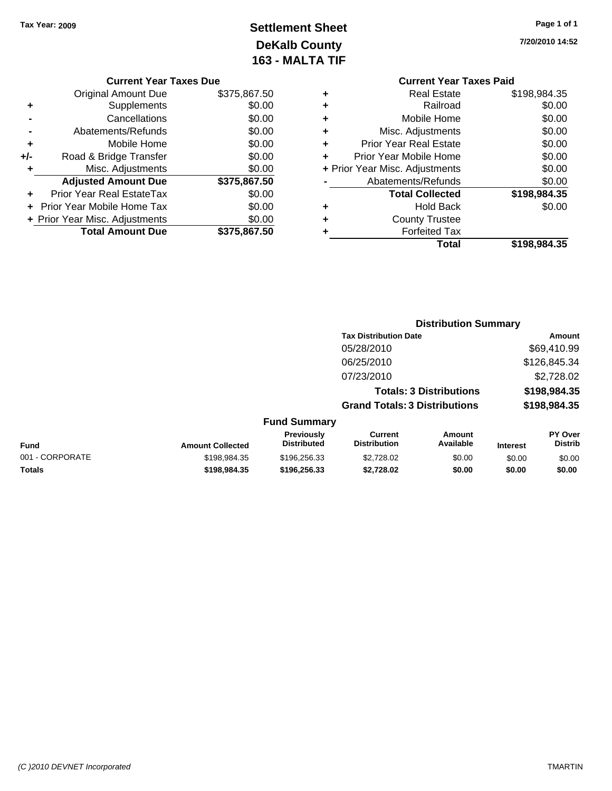### **Settlement Sheet Tax Year: 2009 Page 1 of 1 DeKalb County 163 - MALTA TIF**

**7/20/2010 14:52**

### **Current Year Taxes Due**

|     | <b>Original Amount Due</b>       | \$375,867.50 |
|-----|----------------------------------|--------------|
|     | Supplements                      | \$0.00       |
|     | Cancellations                    | \$0.00       |
|     | Abatements/Refunds               | \$0.00       |
| ٠   | Mobile Home                      | \$0.00       |
| +/- | Road & Bridge Transfer           | \$0.00       |
| ٠   | Misc. Adjustments                | \$0.00       |
|     | <b>Adjusted Amount Due</b>       | \$375,867.50 |
|     | <b>Prior Year Real EstateTax</b> | \$0.00       |
|     | Prior Year Mobile Home Tax       | \$0.00       |
|     | + Prior Year Misc. Adjustments   | \$0.00       |
|     | <b>Total Amount Due</b>          | \$375.867.50 |

|   | <b>Current Year Taxes Paid</b> |              |  |  |
|---|--------------------------------|--------------|--|--|
| ٠ | Real Estate                    | \$198,984.35 |  |  |
|   | Railroad                       | \$0.00       |  |  |
|   | Mobile Home                    | \$0.00       |  |  |
|   | Misc. Adjustments              | \$0.00       |  |  |
|   | <b>Prior Year Real Estate</b>  | \$0.00       |  |  |
|   | Prior Year Mobile Home         | \$0.00       |  |  |
|   | + Prior Year Misc. Adjustments | \$0.00       |  |  |
|   | Abatements/Refunds             | \$0.00       |  |  |
|   | <b>Total Collected</b>         | \$198,984.35 |  |  |
|   | <b>Hold Back</b>               | \$0.00       |  |  |
|   | <b>County Trustee</b>          |              |  |  |
|   | <b>Forfeited Tax</b>           |              |  |  |
|   | Total                          | \$198,984,35 |  |  |

#### **Distribution Summary Tax Distribution Date Amount** 05/28/2010 \$69,410.99 06/25/2010 \$126,845.34 07/23/2010 \$2,728.02 **Totals: 3 Distributions \$198,984.35 Grand Totals: 3 Distributions \$198,984.35 Fund Summary Fund Interest Amount Collected Distributed PY Over Distrib Amount Available Current Distribution Previously** 001 - CORPORATE 6 \$198,984.35 \$198,984.35 \$196,256.33 \$2,728.02 \$0.00 \$0.00 \$0.00 \$0.00 **Totals \$198,984.35 \$196,256.33 \$2,728.02 \$0.00 \$0.00 \$0.00**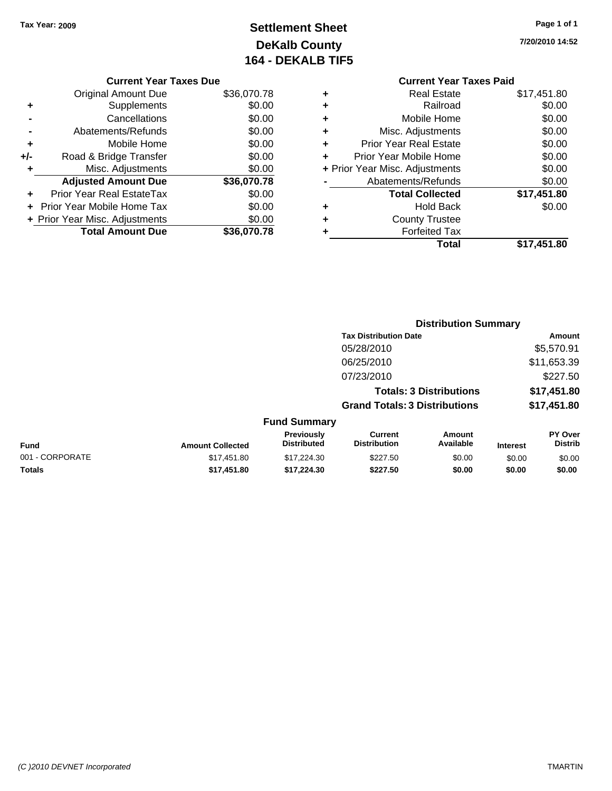### **Settlement Sheet Tax Year: 2009 Page 1 of 1 DeKalb County 164 - DEKALB TIF5**

#### **7/20/2010 14:52**

#### **Current Year Taxes Due**

|     | <b>Original Amount Due</b>        | \$36,070.78 |
|-----|-----------------------------------|-------------|
| ٠   | Supplements                       | \$0.00      |
|     | Cancellations                     | \$0.00      |
|     | Abatements/Refunds                | \$0.00      |
| ٠   | Mobile Home                       | \$0.00      |
| +/- | Road & Bridge Transfer            | \$0.00      |
| ٠   | Misc. Adjustments                 | \$0.00      |
|     | <b>Adjusted Amount Due</b>        | \$36,070.78 |
|     | <b>Prior Year Real EstateTax</b>  | \$0.00      |
|     | <b>Prior Year Mobile Home Tax</b> | \$0.00      |
|     | + Prior Year Misc. Adjustments    | \$0.00      |
|     | <b>Total Amount Due</b>           | \$36,070.78 |

### **Current Year Taxes Paid +** Real Estate \$17,451.80 **+** Railroad \$0.00 **+** Mobile Home \$0.00 **+** Misc. Adjustments \$0.00 **+** Prior Year Real Estate \$0.00 **+** Prior Year Mobile Home \$0.00 **+** Prior Year Misc. Adjustments  $$0.00$ **-** Abatements/Refunds \$0.00 **Total Collected \$17,451.80 +** Hold Back \$0.00 **+** County Trustee **+** Forfeited Tax

**Total \$17,451.80**

|                 |                         |                                  | <b>Distribution Summary</b>           |                                |                 |                                  |
|-----------------|-------------------------|----------------------------------|---------------------------------------|--------------------------------|-----------------|----------------------------------|
|                 |                         |                                  | <b>Tax Distribution Date</b>          |                                |                 | Amount                           |
|                 |                         |                                  | 05/28/2010                            |                                |                 | \$5,570.91                       |
|                 |                         |                                  | 06/25/2010                            |                                |                 | \$11,653.39                      |
|                 |                         |                                  | 07/23/2010                            |                                |                 | \$227.50                         |
|                 |                         |                                  |                                       | <b>Totals: 3 Distributions</b> |                 | \$17,451.80                      |
|                 |                         |                                  | <b>Grand Totals: 3 Distributions</b>  |                                |                 | \$17,451.80                      |
|                 |                         | <b>Fund Summary</b>              |                                       |                                |                 |                                  |
| Fund            | <b>Amount Collected</b> | Previously<br><b>Distributed</b> | <b>Current</b><br><b>Distribution</b> | <b>Amount</b><br>Available     | <b>Interest</b> | <b>PY Over</b><br><b>Distrib</b> |
| 001 - CORPORATE | \$17.451.80             | \$17.224.30                      | \$227.50                              | \$0.00                         | \$0.00          | \$0.00                           |
| Totals          | \$17,451.80             | \$17,224.30                      | \$227.50                              | \$0.00                         | \$0.00          | \$0.00                           |
|                 |                         |                                  |                                       |                                |                 |                                  |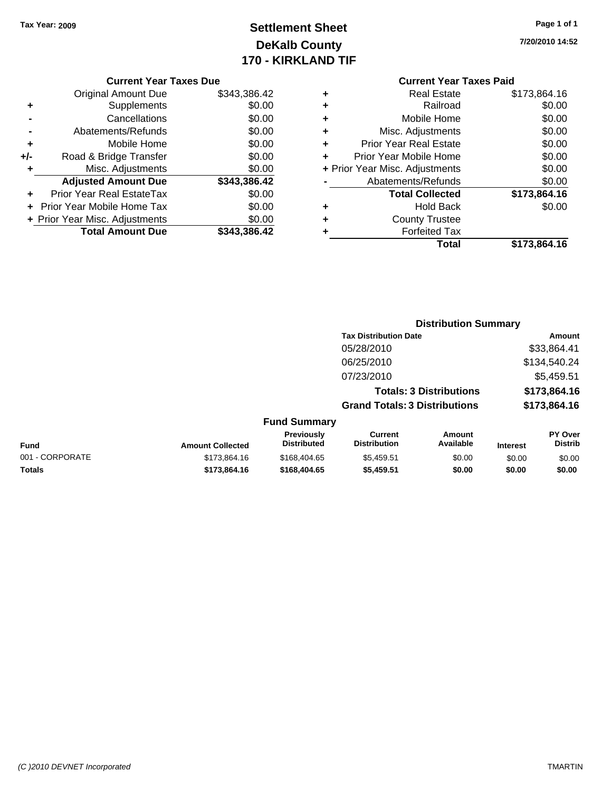### **Settlement Sheet Tax Year: 2009 Page 1 of 1 DeKalb County 170 - KIRKLAND TIF**

**7/20/2010 14:52**

#### **Current Year Taxes Due**

|     | <b>Original Amount Due</b>       | \$343,386.42 |
|-----|----------------------------------|--------------|
| ٠   | Supplements                      | \$0.00       |
|     | Cancellations                    | \$0.00       |
|     | Abatements/Refunds               | \$0.00       |
| ٠   | Mobile Home                      | \$0.00       |
| +/- | Road & Bridge Transfer           | \$0.00       |
| ٠   | Misc. Adjustments                | \$0.00       |
|     | <b>Adjusted Amount Due</b>       | \$343,386.42 |
|     | <b>Prior Year Real EstateTax</b> | \$0.00       |
|     | Prior Year Mobile Home Tax       | \$0.00       |
|     | + Prior Year Misc. Adjustments   | \$0.00       |
|     | <b>Total Amount Due</b>          | \$343.386.42 |

### **Current Year Taxes Paid**

| ٠ | <b>Real Estate</b>             | \$173,864.16 |
|---|--------------------------------|--------------|
| ÷ | Railroad                       | \$0.00       |
| ÷ | Mobile Home                    | \$0.00       |
| ٠ | Misc. Adjustments              | \$0.00       |
| ٠ | <b>Prior Year Real Estate</b>  | \$0.00       |
| ÷ | Prior Year Mobile Home         | \$0.00       |
|   | + Prior Year Misc. Adjustments | \$0.00       |
|   | Abatements/Refunds             | \$0.00       |
|   | <b>Total Collected</b>         | \$173,864.16 |
| ٠ | <b>Hold Back</b>               | \$0.00       |
| ٠ | <b>County Trustee</b>          |              |
| ٠ | <b>Forfeited Tax</b>           |              |
|   | Total                          | \$173,864.16 |
|   |                                |              |

#### **Distribution Summary Tax Distribution Date Amount** 05/28/2010 \$33,864.41 06/25/2010 \$134,540.24 07/23/2010 \$5,459.51 **Totals: 3 Distributions \$173,864.16 Grand Totals: 3 Distributions \$173,864.16 Fund Summary Fund Interest Amount Collected Distributed PY Over Distrib Amount Available Current Distribution Previously** 001 - CORPORATE \$173,864.16 \$168,404.65 \$5,459.51 \$0.00 \$0.00 \$0.00 **Totals \$173,864.16 \$168,404.65 \$5,459.51 \$0.00 \$0.00 \$0.00**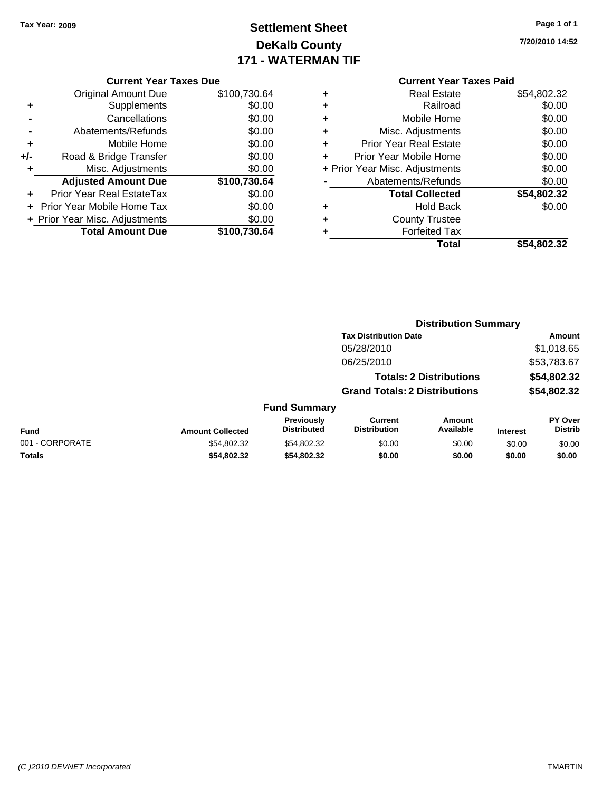### **Settlement Sheet Tax Year: 2009 Page 1 of 1 DeKalb County 171 - WATERMAN TIF**

**7/20/2010 14:52**

|  | <b>Current Year Taxes Due</b> |  |
|--|-------------------------------|--|
|  |                               |  |

|     | <b>Original Amount Due</b>     | \$100,730.64 |
|-----|--------------------------------|--------------|
| ٠   | Supplements                    | \$0.00       |
|     | Cancellations                  | \$0.00       |
|     | Abatements/Refunds             | \$0.00       |
| ٠   | Mobile Home                    | \$0.00       |
| +/- | Road & Bridge Transfer         | \$0.00       |
| ٠   | Misc. Adjustments              | \$0.00       |
|     | <b>Adjusted Amount Due</b>     | \$100,730.64 |
|     | Prior Year Real EstateTax      | \$0.00       |
|     | Prior Year Mobile Home Tax     | \$0.00       |
|     | + Prior Year Misc. Adjustments | \$0.00       |
|     |                                |              |
|     | <b>Total Amount Due</b>        | \$100,730.64 |

|   | <b>Real Estate</b>             | \$54,802.32 |
|---|--------------------------------|-------------|
| ٠ | Railroad                       | \$0.00      |
| ٠ | Mobile Home                    | \$0.00      |
| ٠ | Misc. Adjustments              | \$0.00      |
| ٠ | Prior Year Real Estate         | \$0.00      |
| ÷ | Prior Year Mobile Home         | \$0.00      |
|   | + Prior Year Misc. Adjustments | \$0.00      |
|   | Abatements/Refunds             | \$0.00      |
|   | <b>Total Collected</b>         | \$54,802.32 |
| ٠ | <b>Hold Back</b>               | \$0.00      |
| ٠ | <b>County Trustee</b>          |             |
| ٠ | <b>Forfeited Tax</b>           |             |
|   | Total                          | \$54,802.32 |
|   |                                |             |

|                 |                         |                                  |                                       | <b>Distribution Summary</b>    |                 |                           |
|-----------------|-------------------------|----------------------------------|---------------------------------------|--------------------------------|-----------------|---------------------------|
|                 |                         |                                  | <b>Tax Distribution Date</b>          |                                |                 | Amount                    |
|                 |                         |                                  | 05/28/2010                            |                                |                 | \$1,018.65                |
|                 |                         |                                  | 06/25/2010                            |                                |                 | \$53,783.67               |
|                 |                         |                                  |                                       | <b>Totals: 2 Distributions</b> |                 | \$54,802.32               |
|                 |                         |                                  | <b>Grand Totals: 2 Distributions</b>  |                                |                 | \$54,802.32               |
|                 |                         | <b>Fund Summary</b>              |                                       |                                |                 |                           |
| <b>Fund</b>     | <b>Amount Collected</b> | Previously<br><b>Distributed</b> | <b>Current</b><br><b>Distribution</b> | Amount<br>Available            | <b>Interest</b> | PY Over<br><b>Distrib</b> |
| 001 - CORPORATE | \$54,802.32             | \$54,802.32                      | \$0.00                                | \$0.00                         | \$0.00          | \$0.00                    |
| Totals          | \$54,802.32             | \$54,802.32                      | \$0.00                                | \$0.00                         | \$0.00          | \$0.00                    |
|                 |                         |                                  |                                       |                                |                 |                           |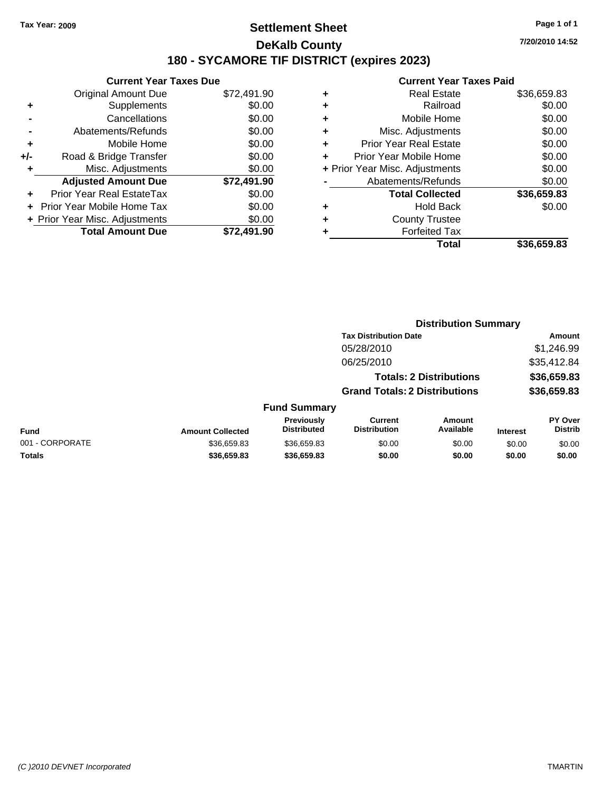### **Settlement Sheet Tax Year: 2009 Page 1 of 1 DeKalb County 180 - SYCAMORE TIF DISTRICT (expires 2023)**

**7/20/2010 14:52**

|       | <b>Current Year Taxes Due</b>  |             |  |  |  |  |
|-------|--------------------------------|-------------|--|--|--|--|
|       | <b>Original Amount Due</b>     | \$72,491.90 |  |  |  |  |
|       | Supplements                    | \$0.00      |  |  |  |  |
|       | Cancellations                  | \$0.00      |  |  |  |  |
|       | Abatements/Refunds             | \$0.00      |  |  |  |  |
| ٠     | Mobile Home                    | \$0.00      |  |  |  |  |
| $+/-$ | Road & Bridge Transfer         | \$0.00      |  |  |  |  |
| ٠     | Misc. Adjustments              | \$0.00      |  |  |  |  |
|       | <b>Adjusted Amount Due</b>     | \$72,491.90 |  |  |  |  |
|       | Prior Year Real EstateTax      | \$0.00      |  |  |  |  |
|       | Prior Year Mobile Home Tax     | \$0.00      |  |  |  |  |
|       | + Prior Year Misc. Adjustments | \$0.00      |  |  |  |  |
|       | <b>Total Amount Due</b>        | \$72.491.90 |  |  |  |  |
|       |                                |             |  |  |  |  |

|   | <b>Current Year Taxes Paid</b> |             |
|---|--------------------------------|-------------|
| ٠ | <b>Real Estate</b>             | \$36,659.83 |
| ٠ | Railroad                       | \$0.00      |
| ٠ | Mobile Home                    | \$0.00      |
| ٠ | Misc. Adjustments              | \$0.00      |
| ٠ | <b>Prior Year Real Estate</b>  | \$0.00      |
| ٠ | Prior Year Mobile Home         | \$0.00      |
|   | + Prior Year Misc. Adjustments | \$0.00      |
|   | Abatements/Refunds             | \$0.00      |
|   | <b>Total Collected</b>         | \$36,659.83 |
| ٠ | <b>Hold Back</b>               | \$0.00      |
| ٠ | <b>County Trustee</b>          |             |
|   | <b>Forfeited Tax</b>           |             |
|   | Total                          | \$36,659.83 |

|                         |                                  |                                       |                     |                                                                                                        | Amount                           |  |
|-------------------------|----------------------------------|---------------------------------------|---------------------|--------------------------------------------------------------------------------------------------------|----------------------------------|--|
|                         |                                  | 05/28/2010                            |                     |                                                                                                        | \$1,246.99                       |  |
|                         |                                  | 06/25/2010                            |                     |                                                                                                        | \$35,412.84                      |  |
|                         |                                  |                                       |                     |                                                                                                        | \$36,659.83                      |  |
|                         |                                  |                                       |                     |                                                                                                        | \$36,659.83                      |  |
|                         |                                  |                                       |                     |                                                                                                        |                                  |  |
| <b>Amount Collected</b> | Previously<br><b>Distributed</b> | <b>Current</b><br><b>Distribution</b> | Amount<br>Available | <b>Interest</b>                                                                                        | <b>PY Over</b><br><b>Distrib</b> |  |
| \$36,659.83             | \$36,659.83                      | \$0.00                                | \$0.00              | \$0.00                                                                                                 | \$0.00                           |  |
| \$36,659.83             | \$36,659.83                      | \$0.00                                | \$0.00              | \$0.00                                                                                                 | \$0.00                           |  |
|                         |                                  |                                       | <b>Fund Summary</b> | <b>Tax Distribution Date</b><br><b>Totals: 2 Distributions</b><br><b>Grand Totals: 2 Distributions</b> | <b>Distribution Summary</b>      |  |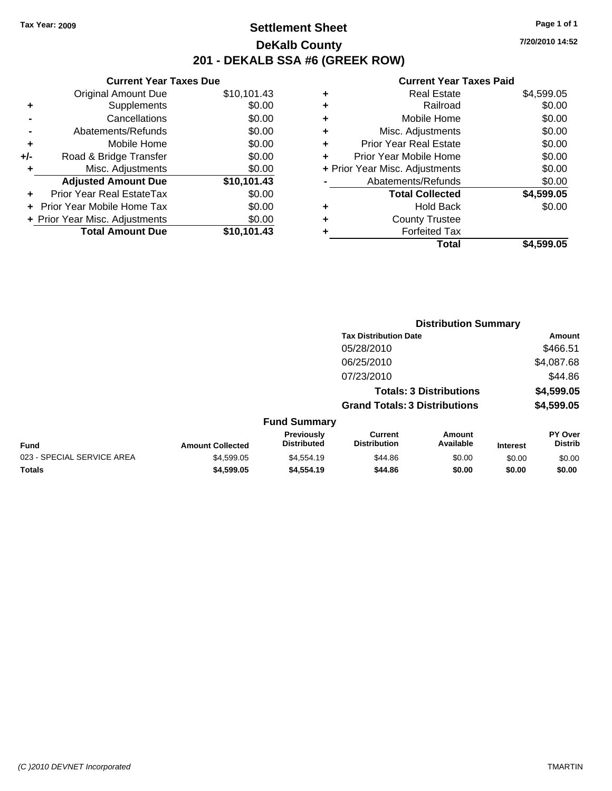### **Settlement Sheet Tax Year: 2009 Page 1 of 1 DeKalb County 201 - DEKALB SSA #6 (GREEK ROW)**

**7/20/2010 14:52**

| <b>Current Year Taxes Due</b> |                                |             |  |  |  |
|-------------------------------|--------------------------------|-------------|--|--|--|
|                               | <b>Original Amount Due</b>     | \$10,101.43 |  |  |  |
| ٠                             | Supplements                    | \$0.00      |  |  |  |
|                               | Cancellations                  | \$0.00      |  |  |  |
|                               | Abatements/Refunds             | \$0.00      |  |  |  |
| ٠                             | Mobile Home                    | \$0.00      |  |  |  |
| +/-                           | Road & Bridge Transfer         | \$0.00      |  |  |  |
| ٠                             | Misc. Adjustments              | \$0.00      |  |  |  |
|                               | <b>Adjusted Amount Due</b>     | \$10,101.43 |  |  |  |
| ٠                             | Prior Year Real EstateTax      | \$0.00      |  |  |  |
|                               | Prior Year Mobile Home Tax     | \$0.00      |  |  |  |
|                               | + Prior Year Misc. Adjustments | \$0.00      |  |  |  |
|                               | <b>Total Amount Due</b>        | \$10.101.43 |  |  |  |
|                               |                                |             |  |  |  |

|                                | <b>Real Estate</b>            | \$4,599.05 |
|--------------------------------|-------------------------------|------------|
| ٠                              | Railroad                      | \$0.00     |
| ٠                              | Mobile Home                   | \$0.00     |
| ٠                              | Misc. Adjustments             | \$0.00     |
| ÷                              | <b>Prior Year Real Estate</b> | \$0.00     |
|                                | Prior Year Mobile Home        | \$0.00     |
| + Prior Year Misc. Adjustments |                               | \$0.00     |
|                                | Abatements/Refunds            | \$0.00     |
|                                | <b>Total Collected</b>        | \$4,599.05 |
| ٠                              | Hold Back                     | \$0.00     |
| ٠                              | <b>County Trustee</b>         |            |
| ٠                              | <b>Forfeited Tax</b>          |            |
|                                | Total                         | \$4.599.05 |

|                            |                         |                                  |                                       | <b>Distribution Summary</b>    |                 |                           |
|----------------------------|-------------------------|----------------------------------|---------------------------------------|--------------------------------|-----------------|---------------------------|
|                            |                         |                                  | <b>Tax Distribution Date</b>          |                                |                 | Amount                    |
|                            |                         |                                  | 05/28/2010                            |                                |                 | \$466.51                  |
|                            |                         |                                  | 06/25/2010                            |                                |                 | \$4,087.68                |
|                            |                         |                                  | 07/23/2010                            |                                |                 | \$44.86                   |
|                            |                         |                                  |                                       | <b>Totals: 3 Distributions</b> |                 | \$4,599.05                |
|                            |                         |                                  | <b>Grand Totals: 3 Distributions</b>  |                                |                 | \$4,599.05                |
|                            |                         | <b>Fund Summary</b>              |                                       |                                |                 |                           |
| Fund                       | <b>Amount Collected</b> | Previously<br><b>Distributed</b> | <b>Current</b><br><b>Distribution</b> | Amount<br>Available            | <b>Interest</b> | PY Over<br><b>Distrib</b> |
| 023 - SPECIAL SERVICE AREA | \$4,599.05              | \$4,554.19                       | \$44.86                               | \$0.00                         | \$0.00          | \$0.00                    |
| Totals                     | \$4,599.05              | \$4,554.19                       | \$44.86                               | \$0.00                         | \$0.00          | \$0.00                    |
|                            |                         |                                  |                                       |                                |                 |                           |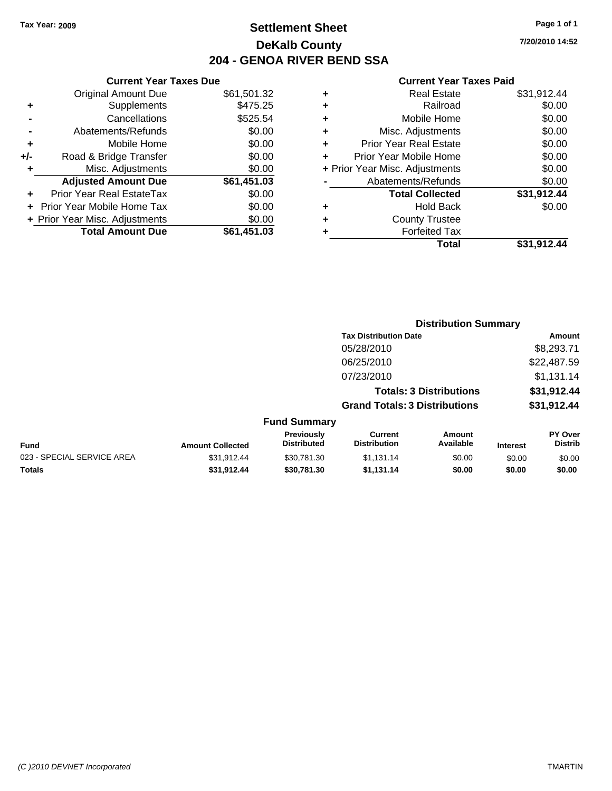### **Settlement Sheet Tax Year: 2009 Page 1 of 1 DeKalb County 204 - GENOA RIVER BEND SSA**

### **Current Year Taxes Paid**

|   | Total                          | \$31,912.44 |
|---|--------------------------------|-------------|
|   | <b>Forfeited Tax</b>           |             |
| ٠ | <b>County Trustee</b>          |             |
| ٠ | <b>Hold Back</b>               | \$0.00      |
|   | <b>Total Collected</b>         | \$31,912.44 |
|   | Abatements/Refunds             | \$0.00      |
|   | + Prior Year Misc. Adjustments | \$0.00      |
| ÷ | Prior Year Mobile Home         | \$0.00      |
| ٠ | <b>Prior Year Real Estate</b>  | \$0.00      |
| ÷ | Misc. Adjustments              | \$0.00      |
| ٠ | Mobile Home                    | \$0.00      |
| ٠ | Railroad                       | \$0.00      |
| ٠ | <b>Real Estate</b>             | \$31,912.44 |
|   |                                |             |

### **+** Mobile Home \$0.00 **+/-** Road & Bridge Transfer \$0.00 **+** Misc. Adjustments \$0.00 **Adjusted Amount Due \$61,451.03 +** Prior Year Real EstateTax \$0.00 **+** Prior Year Mobile Home Tax \$0.00 **+ Prior Year Misc. Adjustments**  $$0.00$ **Total Amount Due \$61,451.03**

**Current Year Taxes Due** Original Amount Due \$61,501.32

**+** Supplements \$475.25 **-** Cancellations \$525.54 **-** Abatements/Refunds \$0.00

|                            |                         |                                         | <b>Distribution Summary</b>           |                                |                 |                                  |
|----------------------------|-------------------------|-----------------------------------------|---------------------------------------|--------------------------------|-----------------|----------------------------------|
|                            |                         |                                         | <b>Tax Distribution Date</b>          |                                |                 | Amount                           |
|                            |                         |                                         | 05/28/2010                            |                                |                 | \$8,293.71                       |
|                            |                         |                                         | 06/25/2010                            |                                |                 | \$22,487.59                      |
|                            |                         |                                         | 07/23/2010                            |                                |                 | \$1,131.14                       |
|                            |                         |                                         |                                       | <b>Totals: 3 Distributions</b> |                 | \$31,912.44                      |
|                            |                         |                                         | <b>Grand Totals: 3 Distributions</b>  |                                |                 | \$31,912.44                      |
|                            |                         | <b>Fund Summary</b>                     |                                       |                                |                 |                                  |
| <b>Fund</b>                | <b>Amount Collected</b> | <b>Previously</b><br><b>Distributed</b> | <b>Current</b><br><b>Distribution</b> | Amount<br>Available            | <b>Interest</b> | <b>PY Over</b><br><b>Distrib</b> |
| 023 - SPECIAL SERVICE AREA | \$31,912.44             | \$30,781.30                             | \$1,131.14                            | \$0.00                         | \$0.00          | \$0.00                           |
| Totals                     | \$31,912.44             | \$30.781.30                             | \$1,131.14                            | \$0.00                         | \$0.00          | \$0.00                           |

**7/20/2010 14:52**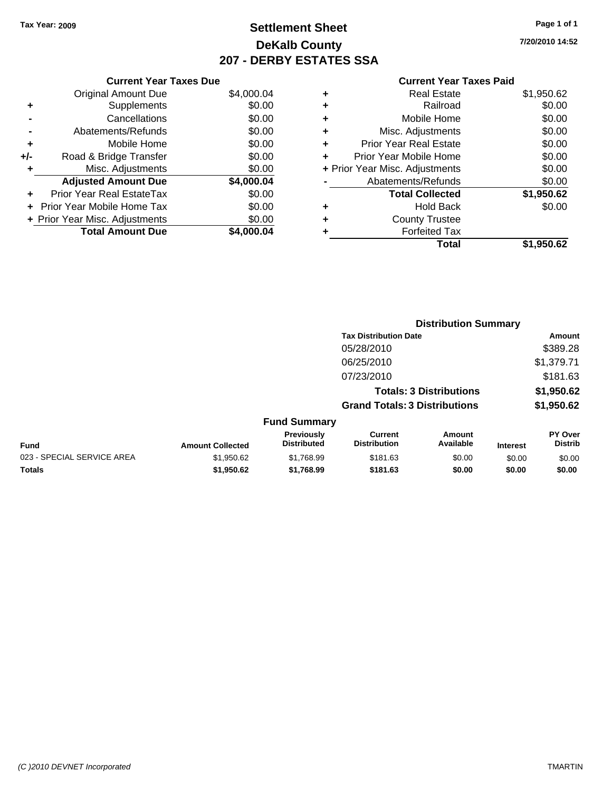### **Settlement Sheet Tax Year: 2009 Page 1 of 1 DeKalb County 207 - DERBY ESTATES SSA**

**7/20/2010 14:52**

|     | <b>Current Year Taxes Due</b>  |            |
|-----|--------------------------------|------------|
|     | <b>Original Amount Due</b>     | \$4,000.04 |
| ٠   | Supplements                    | \$0.00     |
|     | Cancellations                  | \$0.00     |
|     | Abatements/Refunds             | \$0.00     |
| ٠   | Mobile Home                    | \$0.00     |
| +/- | Road & Bridge Transfer         | \$0.00     |
| ٠   | Misc. Adjustments              | \$0.00     |
|     | <b>Adjusted Amount Due</b>     | \$4,000.04 |
|     | Prior Year Real EstateTax      | \$0.00     |
|     | Prior Year Mobile Home Tax     | \$0.00     |
|     | + Prior Year Misc. Adjustments | \$0.00     |
|     | <b>Total Amount Due</b>        | \$4.000.04 |
|     |                                |            |

| ٠                              | <b>Real Estate</b>            | \$1,950.62 |
|--------------------------------|-------------------------------|------------|
| ٠                              | Railroad                      | \$0.00     |
| ٠                              | Mobile Home                   | \$0.00     |
| ٠                              | Misc. Adjustments             | \$0.00     |
| ÷                              | <b>Prior Year Real Estate</b> | \$0.00     |
| ÷                              | Prior Year Mobile Home        | \$0.00     |
| + Prior Year Misc. Adjustments |                               | \$0.00     |
|                                | Abatements/Refunds            | \$0.00     |
|                                | <b>Total Collected</b>        | \$1,950.62 |
| ٠                              | Hold Back                     | \$0.00     |
| ٠                              | <b>County Trustee</b>         |            |
| ٠                              | <b>Forfeited Tax</b>          |            |
|                                | Total                         | \$1,950.62 |

|                            |                         |                                  | <b>Distribution Summary</b>                                            |                            |                 |                           |  |
|----------------------------|-------------------------|----------------------------------|------------------------------------------------------------------------|----------------------------|-----------------|---------------------------|--|
|                            |                         |                                  | <b>Tax Distribution Date</b>                                           |                            |                 | Amount                    |  |
|                            |                         |                                  | 05/28/2010                                                             |                            |                 | \$389.28                  |  |
|                            |                         |                                  | 06/25/2010                                                             |                            |                 | \$1,379.71                |  |
|                            |                         |                                  | 07/23/2010                                                             |                            |                 | \$181.63                  |  |
|                            |                         |                                  | <b>Totals: 3 Distributions</b><br><b>Grand Totals: 3 Distributions</b> |                            |                 | \$1,950.62<br>\$1,950.62  |  |
|                            |                         |                                  |                                                                        |                            |                 |                           |  |
|                            |                         | <b>Fund Summary</b>              |                                                                        |                            |                 |                           |  |
| Fund                       | <b>Amount Collected</b> | Previously<br><b>Distributed</b> | <b>Current</b><br><b>Distribution</b>                                  | <b>Amount</b><br>Available | <b>Interest</b> | PY Over<br><b>Distrib</b> |  |
| 023 - SPECIAL SERVICE AREA | \$1,950.62              | \$1,768.99                       | \$181.63                                                               | \$0.00                     | \$0.00          | \$0.00                    |  |
| Totals                     | \$1,950.62              | \$1,768.99                       | \$181.63                                                               | \$0.00                     | \$0.00          | \$0.00                    |  |
|                            |                         |                                  |                                                                        |                            |                 |                           |  |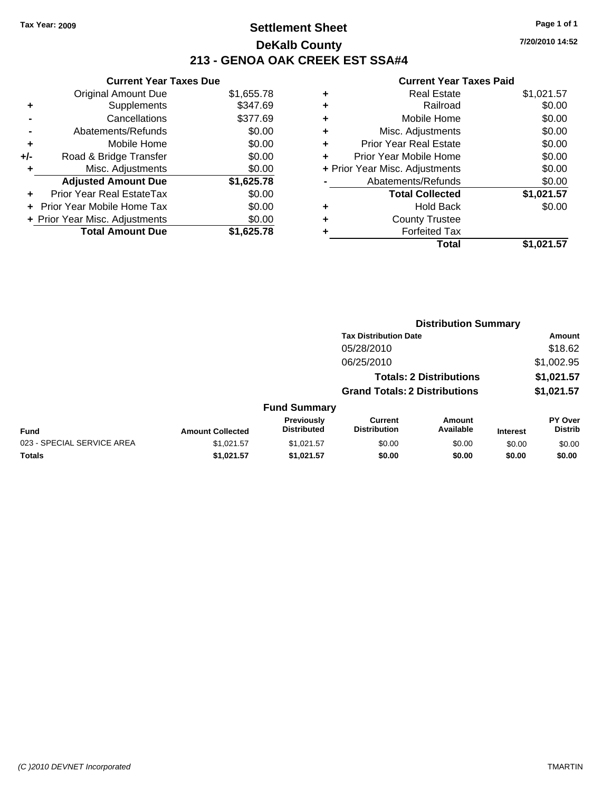### **Settlement Sheet Tax Year: 2009 Page 1 of 1 DeKalb County 213 - GENOA OAK CREEK EST SSA#4**

**7/20/2010 14:52**

|     | <b>Current Year Taxes Due</b>     |            |
|-----|-----------------------------------|------------|
|     | <b>Original Amount Due</b>        | \$1,655.78 |
| ٠   | Supplements                       | \$347.69   |
|     | Cancellations                     | \$377.69   |
|     | Abatements/Refunds                | \$0.00     |
| ٠   | Mobile Home                       | \$0.00     |
| +/- | Road & Bridge Transfer            | \$0.00     |
| ٠   | Misc. Adjustments                 | \$0.00     |
|     | <b>Adjusted Amount Due</b>        | \$1,625.78 |
|     | Prior Year Real EstateTax         | \$0.00     |
|     | <b>Prior Year Mobile Home Tax</b> | \$0.00     |
|     | + Prior Year Misc. Adjustments    | \$0.00     |
|     | <b>Total Amount Due</b>           | \$1.625.78 |

|   | <b>Real Estate</b>             | \$1,021.57 |
|---|--------------------------------|------------|
| ٠ | Railroad                       | \$0.00     |
| ٠ | Mobile Home                    | \$0.00     |
| ٠ | Misc. Adjustments              | \$0.00     |
| ÷ | Prior Year Real Estate         | \$0.00     |
| ٠ | Prior Year Mobile Home         | \$0.00     |
|   | + Prior Year Misc. Adjustments | \$0.00     |
|   | Abatements/Refunds             | \$0.00     |
|   | <b>Total Collected</b>         | \$1,021.57 |
| ٠ | <b>Hold Back</b>               | \$0.00     |
| ٠ | <b>County Trustee</b>          |            |
|   | <b>Forfeited Tax</b>           |            |
|   | Total                          | \$1.021.57 |

|                            | <b>Distribution Summary</b> |                                  |                                       |                                |                 |                                  |  |  |
|----------------------------|-----------------------------|----------------------------------|---------------------------------------|--------------------------------|-----------------|----------------------------------|--|--|
|                            |                             |                                  | <b>Tax Distribution Date</b>          |                                |                 | Amount                           |  |  |
|                            |                             |                                  | 05/28/2010                            |                                |                 | \$18.62                          |  |  |
|                            |                             |                                  | 06/25/2010                            |                                |                 | \$1,002.95                       |  |  |
|                            |                             |                                  |                                       | <b>Totals: 2 Distributions</b> |                 | \$1,021.57                       |  |  |
|                            |                             |                                  | <b>Grand Totals: 2 Distributions</b>  |                                |                 | \$1,021.57                       |  |  |
|                            |                             | <b>Fund Summary</b>              |                                       |                                |                 |                                  |  |  |
| <b>Fund</b>                | <b>Amount Collected</b>     | Previously<br><b>Distributed</b> | <b>Current</b><br><b>Distribution</b> | Amount<br>Available            | <b>Interest</b> | <b>PY Over</b><br><b>Distrib</b> |  |  |
| 023 - SPECIAL SERVICE AREA | \$1,021.57                  | \$1,021.57                       | \$0.00                                | \$0.00                         | \$0.00          | \$0.00                           |  |  |
| Totals                     | \$1,021.57                  | \$1,021.57                       | \$0.00                                | \$0.00                         | \$0.00          | \$0.00                           |  |  |
|                            |                             |                                  |                                       |                                |                 |                                  |  |  |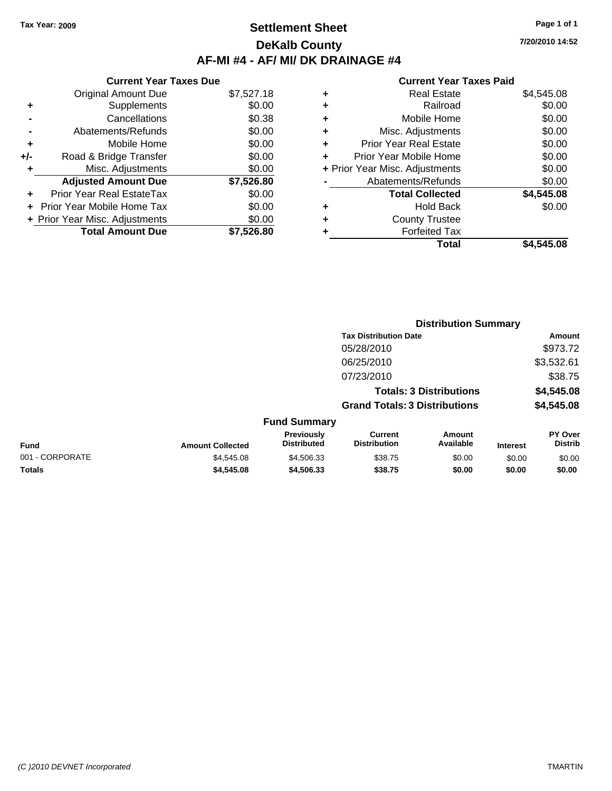# **Settlement Sheet Tax Year: 2009 Page 1 of 1 DeKalb County AF-MI #4 - AF/ MI/ DK DRAINAGE #4**

**Current Year Taxes Due** Original Amount Due \$7,527.18 **+** Supplements \$0.00 **-** Cancellations \$0.38 **-** Abatements/Refunds \$0.00 **+** Mobile Home \$0.00 **+/-** Road & Bridge Transfer \$0.00 **+** Misc. Adjustments \$0.00 **Adjusted Amount Due \$7,526.80 +** Prior Year Real EstateTax \$0.00 **+** Prior Year Mobile Home Tax \$0.00 **+ Prior Year Misc. Adjustments**  $$0.00$ **Total Amount Due \$7,526.80**

#### **Current Year Taxes Paid**

| ٠ | <b>Real Estate</b>             | \$4,545.08 |
|---|--------------------------------|------------|
| ٠ | Railroad                       | \$0.00     |
| ٠ | Mobile Home                    | \$0.00     |
| ÷ | Misc. Adjustments              | \$0.00     |
| ٠ | <b>Prior Year Real Estate</b>  | \$0.00     |
| ÷ | Prior Year Mobile Home         | \$0.00     |
|   | + Prior Year Misc. Adjustments | \$0.00     |
|   | Abatements/Refunds             | \$0.00     |
|   | <b>Total Collected</b>         | \$4,545.08 |
| ٠ | Hold Back                      | \$0.00     |
| ٠ | <b>County Trustee</b>          |            |
| ٠ | <b>Forfeited Tax</b>           |            |
|   | <b>Total</b>                   | \$4,545.08 |
|   |                                |            |

|                 |                         |                                  |                                       | <b>Distribution Summary</b>    |                 |                           |
|-----------------|-------------------------|----------------------------------|---------------------------------------|--------------------------------|-----------------|---------------------------|
|                 |                         |                                  | <b>Tax Distribution Date</b>          |                                |                 | Amount                    |
|                 |                         |                                  | 05/28/2010                            |                                |                 | \$973.72                  |
|                 |                         |                                  | 06/25/2010                            |                                |                 | \$3,532.61                |
|                 |                         |                                  | 07/23/2010                            |                                |                 | \$38.75                   |
|                 |                         |                                  |                                       | <b>Totals: 3 Distributions</b> |                 | \$4,545.08                |
|                 |                         |                                  | <b>Grand Totals: 3 Distributions</b>  |                                |                 | \$4,545.08                |
|                 |                         | <b>Fund Summary</b>              |                                       |                                |                 |                           |
| <b>Fund</b>     | <b>Amount Collected</b> | Previously<br><b>Distributed</b> | <b>Current</b><br><b>Distribution</b> | <b>Amount</b><br>Available     | <b>Interest</b> | PY Over<br><b>Distrib</b> |
| 001 - CORPORATE | \$4,545.08              | \$4,506.33                       | \$38.75                               | \$0.00                         | \$0.00          | \$0.00                    |
| Totals          | \$4,545.08              | \$4,506.33                       | \$38.75                               | \$0.00                         | \$0.00          | \$0.00                    |

**7/20/2010 14:52**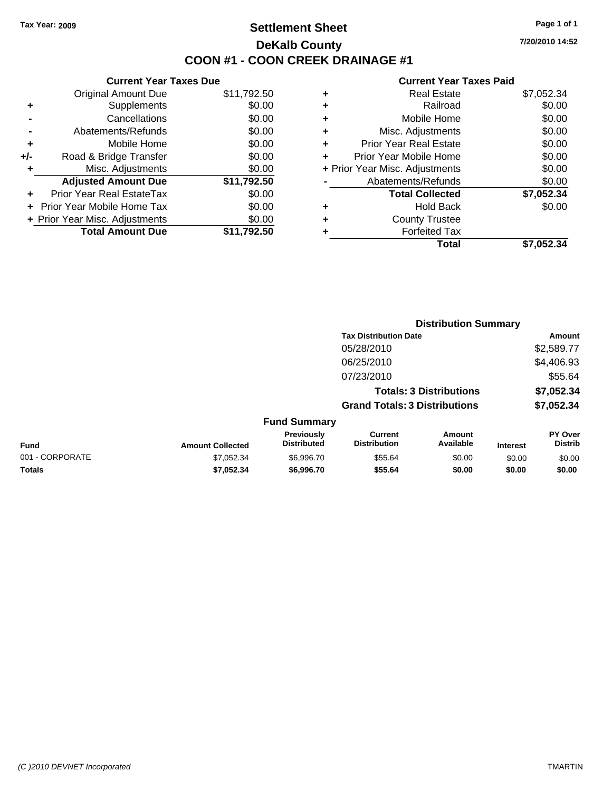# **Settlement Sheet Tax Year: 2009 Page 1 of 1 DeKalb County COON #1 - COON CREEK DRAINAGE #1**

**7/20/2010 14:52**

|     | <b>Current Year Taxes Due</b>  |             |  |  |  |
|-----|--------------------------------|-------------|--|--|--|
|     | <b>Original Amount Due</b>     | \$11,792.50 |  |  |  |
| ٠   | Supplements                    | \$0.00      |  |  |  |
|     | Cancellations                  | \$0.00      |  |  |  |
|     | Abatements/Refunds             | \$0.00      |  |  |  |
| ٠   | Mobile Home                    | \$0.00      |  |  |  |
| +/- | Road & Bridge Transfer         | \$0.00      |  |  |  |
|     | Misc. Adjustments              | \$0.00      |  |  |  |
|     | <b>Adjusted Amount Due</b>     | \$11,792.50 |  |  |  |
| ÷   | Prior Year Real EstateTax      | \$0.00      |  |  |  |
|     | Prior Year Mobile Home Tax     | \$0.00      |  |  |  |
|     | + Prior Year Misc. Adjustments | \$0.00      |  |  |  |
|     | <b>Total Amount Due</b>        | \$11,792.50 |  |  |  |
|     |                                |             |  |  |  |

| ٠ | <b>Real Estate</b>             | \$7,052.34 |
|---|--------------------------------|------------|
| ٠ | Railroad                       | \$0.00     |
| ٠ | Mobile Home                    | \$0.00     |
| ٠ | Misc. Adjustments              | \$0.00     |
| ٠ | <b>Prior Year Real Estate</b>  | \$0.00     |
| ٠ | Prior Year Mobile Home         | \$0.00     |
|   | + Prior Year Misc. Adjustments | \$0.00     |
|   | Abatements/Refunds             | \$0.00     |
|   | <b>Total Collected</b>         | \$7,052.34 |
| ٠ | <b>Hold Back</b>               | \$0.00     |
| ٠ | <b>County Trustee</b>          |            |
| ٠ | <b>Forfeited Tax</b>           |            |
|   | Total                          | \$7,052.34 |
|   |                                |            |

|                 |                         |                                  |                                       | <b>Distribution Summary</b>    |                 |                           |
|-----------------|-------------------------|----------------------------------|---------------------------------------|--------------------------------|-----------------|---------------------------|
|                 |                         |                                  | <b>Tax Distribution Date</b>          |                                |                 | Amount                    |
|                 |                         |                                  | 05/28/2010                            |                                |                 | \$2,589.77                |
|                 |                         |                                  | 06/25/2010                            |                                |                 | \$4,406.93                |
|                 |                         |                                  | 07/23/2010                            |                                |                 | \$55.64                   |
|                 |                         |                                  |                                       | <b>Totals: 3 Distributions</b> |                 | \$7,052.34                |
|                 |                         |                                  | <b>Grand Totals: 3 Distributions</b>  |                                |                 | \$7,052.34                |
|                 |                         | <b>Fund Summary</b>              |                                       |                                |                 |                           |
| Fund            | <b>Amount Collected</b> | Previously<br><b>Distributed</b> | <b>Current</b><br><b>Distribution</b> | <b>Amount</b><br>Available     | <b>Interest</b> | PY Over<br><b>Distrib</b> |
| 001 - CORPORATE | \$7,052.34              | \$6,996.70                       | \$55.64                               | \$0.00                         | \$0.00          | \$0.00                    |
| Totals          | \$7,052.34              | \$6,996.70                       | \$55.64                               | \$0.00                         | \$0.00          | \$0.00                    |
|                 |                         |                                  |                                       |                                |                 |                           |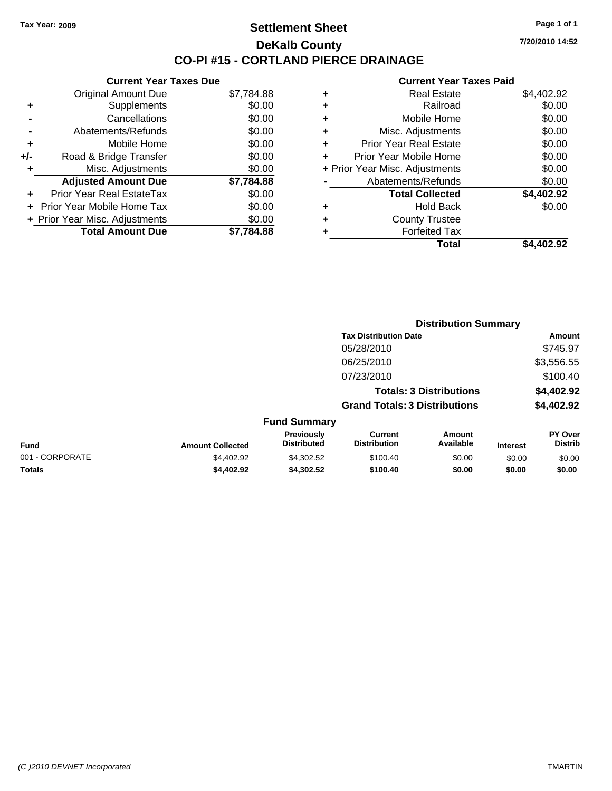**Current Year Taxes Due** Original Amount Due \$7,784.88

**Adjusted Amount Due \$7,784.88**

**Total Amount Due \$7,784.88**

**+** Supplements \$0.00 **-** Cancellations \$0.00 **-** Abatements/Refunds \$0.00 **+** Mobile Home \$0.00 **+/-** Road & Bridge Transfer \$0.00 **+** Misc. Adjustments \$0.00

**+** Prior Year Real EstateTax \$0.00 **+** Prior Year Mobile Home Tax \$0.00 **+ Prior Year Misc. Adjustments**  $$0.00$ 

### **Settlement Sheet Tax Year: 2009 Page 1 of 1 DeKalb County CO-PI #15 - CORTLAND PIERCE DRAINAGE**

**7/20/2010 14:52**

|   | Total                          | \$4.402.92 |
|---|--------------------------------|------------|
|   | <b>Forfeited Tax</b>           |            |
| ÷ | <b>County Trustee</b>          |            |
| ÷ | <b>Hold Back</b>               | \$0.00     |
|   | <b>Total Collected</b>         | \$4,402.92 |
|   | Abatements/Refunds             | \$0.00     |
|   | + Prior Year Misc. Adjustments | \$0.00     |
| ÷ | Prior Year Mobile Home         | \$0.00     |
| ٠ | <b>Prior Year Real Estate</b>  | \$0.00     |
| ٠ | Misc. Adjustments              | \$0.00     |
| ٠ | Mobile Home                    | \$0.00     |
| ٠ | Railroad                       | \$0.00     |
| ٠ | <b>Real Estate</b>             | \$4,402.92 |

|                 |                         |                                  |                                       | <b>Distribution Summary</b>    |                 |                                  |
|-----------------|-------------------------|----------------------------------|---------------------------------------|--------------------------------|-----------------|----------------------------------|
|                 |                         |                                  | <b>Tax Distribution Date</b>          |                                |                 | Amount                           |
|                 |                         |                                  | 05/28/2010                            |                                |                 | \$745.97                         |
|                 |                         |                                  | 06/25/2010                            |                                |                 | \$3,556.55                       |
|                 |                         |                                  | 07/23/2010                            |                                |                 | \$100.40                         |
|                 |                         |                                  |                                       | <b>Totals: 3 Distributions</b> |                 | \$4,402.92                       |
|                 |                         |                                  | <b>Grand Totals: 3 Distributions</b>  |                                |                 | \$4,402.92                       |
|                 |                         | <b>Fund Summary</b>              |                                       |                                |                 |                                  |
| <b>Fund</b>     | <b>Amount Collected</b> | Previously<br><b>Distributed</b> | <b>Current</b><br><b>Distribution</b> | <b>Amount</b><br>Available     | <b>Interest</b> | <b>PY Over</b><br><b>Distrib</b> |
| 001 - CORPORATE | \$4,402.92              | \$4,302.52                       | \$100.40                              | \$0.00                         | \$0.00          | \$0.00                           |
| Totals          | \$4,402.92              | \$4,302.52                       | \$100.40                              | \$0.00                         | \$0.00          | \$0.00                           |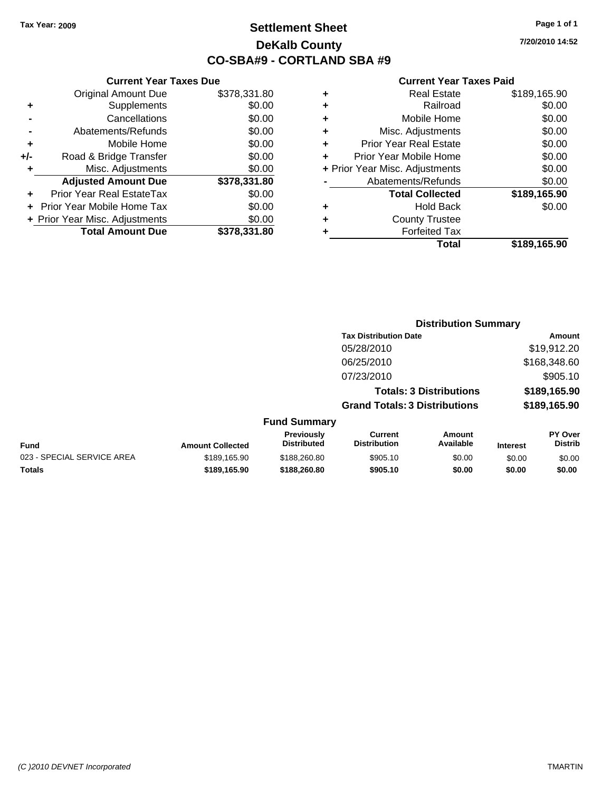**Current Year Taxes Due** Original Amount Due \$378,331.80

**Adjusted Amount Due \$378,331.80**

**Total Amount Due \$378,331.80**

**+** Supplements \$0.00 **-** Cancellations \$0.00 **-** Abatements/Refunds \$0.00 **+** Mobile Home \$0.00 **+/-** Road & Bridge Transfer \$0.00 **+** Misc. Adjustments \$0.00

**+** Prior Year Real EstateTax \$0.00 **+** Prior Year Mobile Home Tax \$0.00 **+ Prior Year Misc. Adjustments**  $$0.00$ 

# **Settlement Sheet Tax Year: 2009 Page 1 of 1 DeKalb County CO-SBA#9 - CORTLAND SBA #9**

**7/20/2010 14:52**

| ٠ | <b>Real Estate</b>             | \$189,165.90 |
|---|--------------------------------|--------------|
| ÷ | Railroad                       | \$0.00       |
| ÷ | Mobile Home                    | \$0.00       |
| ٠ | Misc. Adjustments              | \$0.00       |
| ٠ | <b>Prior Year Real Estate</b>  | \$0.00       |
| ÷ | Prior Year Mobile Home         | \$0.00       |
|   | + Prior Year Misc. Adjustments | \$0.00       |
|   | Abatements/Refunds             | \$0.00       |
|   | <b>Total Collected</b>         | \$189,165.90 |
| ٠ | <b>Hold Back</b>               | \$0.00       |
| ٠ | <b>County Trustee</b>          |              |
|   | <b>Forfeited Tax</b>           |              |
|   | Total                          | \$189.165.90 |

|                            |                         |                                  | <b>Distribution Summary</b>           |                                |                 |                                  |
|----------------------------|-------------------------|----------------------------------|---------------------------------------|--------------------------------|-----------------|----------------------------------|
|                            |                         |                                  | <b>Tax Distribution Date</b>          |                                |                 | Amount                           |
|                            |                         |                                  | 05/28/2010                            |                                |                 | \$19,912.20                      |
|                            |                         |                                  | 06/25/2010                            |                                |                 | \$168,348.60                     |
|                            |                         |                                  | 07/23/2010                            |                                |                 | \$905.10                         |
|                            |                         |                                  |                                       | <b>Totals: 3 Distributions</b> |                 | \$189,165.90                     |
|                            |                         |                                  | <b>Grand Totals: 3 Distributions</b>  |                                |                 | \$189,165.90                     |
|                            |                         | <b>Fund Summary</b>              |                                       |                                |                 |                                  |
| <b>Fund</b>                | <b>Amount Collected</b> | Previously<br><b>Distributed</b> | <b>Current</b><br><b>Distribution</b> | Amount<br>Available            | <b>Interest</b> | <b>PY Over</b><br><b>Distrib</b> |
| 023 - SPECIAL SERVICE AREA | \$189,165.90            | \$188,260.80                     | \$905.10                              | \$0.00                         | \$0.00          | \$0.00                           |
| Totals                     | \$189,165.90            | \$188,260.80                     | \$905.10                              | \$0.00                         | \$0.00          | \$0.00                           |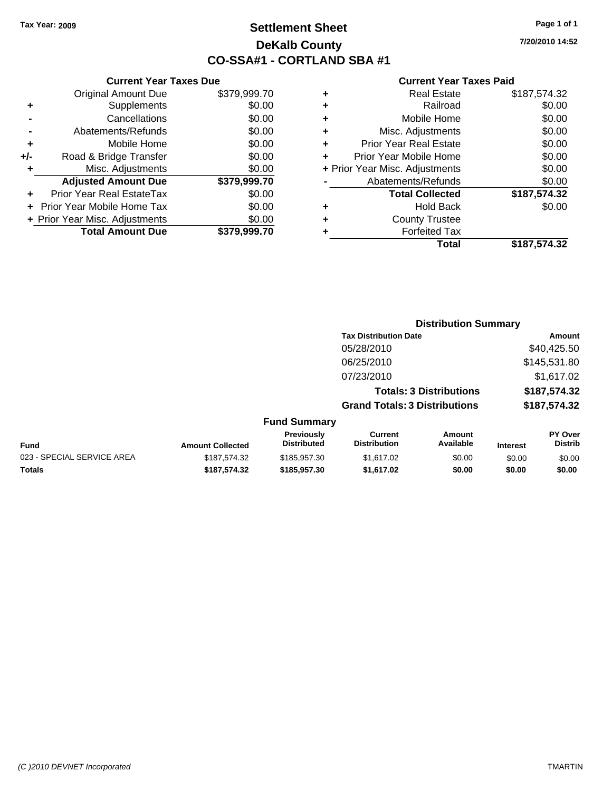**+/-** Road

# **Settlement Sheet Tax Year: 2009 Page 1 of 1 DeKalb County CO-SSA#1 - CORTLAND SBA #1**

**7/20/2010 14:52**

|                   |   |              | <b>Current Year Taxes Due</b>  |           |
|-------------------|---|--------------|--------------------------------|-----------|
|                   | ٠ | \$379,999.70 | <b>Original Amount Due</b>     |           |
|                   | ٠ | \$0.00       | Supplements                    | ÷         |
|                   | ٠ | \$0.00       | Cancellations                  |           |
| Misc              | ٠ | \$0.00       | Abatements/Refunds             |           |
| Prior Yea         |   | \$0.00       | Mobile Home                    | $\ddot{}$ |
| <b>Prior Year</b> |   | \$0.00       | Road & Bridge Transfer         | ∙/-       |
| + Prior Year Misc |   | \$0.00       | Misc. Adjustments              | ÷         |
| Abatem            |   | \$379,999.70 | <b>Adjusted Amount Due</b>     |           |
| To                |   | \$0.00       | Prior Year Real EstateTax      |           |
|                   | ٠ | \$0.00       | + Prior Year Mobile Home Tax   |           |
| C                 | ٠ | \$0.00       | + Prior Year Misc. Adjustments |           |
|                   |   | \$379,999.70 | <b>Total Amount Due</b>        |           |
|                   |   |              |                                |           |

|   | <b>Real Estate</b>             | \$187,574.32 |
|---|--------------------------------|--------------|
| ٠ | Railroad                       | \$0.00       |
| ٠ | Mobile Home                    | \$0.00       |
| ٠ | Misc. Adjustments              | \$0.00       |
| ٠ | <b>Prior Year Real Estate</b>  | \$0.00       |
|   | Prior Year Mobile Home         | \$0.00       |
|   | + Prior Year Misc. Adjustments | \$0.00       |
|   | Abatements/Refunds             | \$0.00       |
|   | <b>Total Collected</b>         | \$187,574.32 |
| ٠ | <b>Hold Back</b>               | \$0.00       |
| ٠ | <b>County Trustee</b>          |              |
|   | <b>Forfeited Tax</b>           |              |
|   | Total                          | \$187,574.32 |
|   |                                |              |

|                            |                         |                                  | <b>Distribution Summary</b>           |                                |                 |                                  |
|----------------------------|-------------------------|----------------------------------|---------------------------------------|--------------------------------|-----------------|----------------------------------|
|                            |                         |                                  | <b>Tax Distribution Date</b>          |                                |                 | Amount                           |
|                            |                         |                                  | 05/28/2010                            |                                |                 | \$40,425.50                      |
|                            |                         |                                  | 06/25/2010                            |                                |                 | \$145,531.80                     |
|                            |                         |                                  | 07/23/2010                            |                                |                 | \$1,617.02                       |
|                            |                         |                                  |                                       | <b>Totals: 3 Distributions</b> |                 | \$187,574.32                     |
|                            |                         |                                  | <b>Grand Totals: 3 Distributions</b>  |                                |                 | \$187,574.32                     |
|                            |                         | <b>Fund Summary</b>              |                                       |                                |                 |                                  |
| Fund                       | <b>Amount Collected</b> | Previously<br><b>Distributed</b> | <b>Current</b><br><b>Distribution</b> | Amount<br>Available            | <b>Interest</b> | <b>PY Over</b><br><b>Distrib</b> |
| 023 - SPECIAL SERVICE AREA | \$187.574.32            | \$185,957,30                     | \$1,617.02                            | \$0.00                         | \$0.00          | \$0.00                           |
| Totals                     | \$187,574.32            | \$185,957.30                     | \$1,617.02                            | \$0.00                         | \$0.00          | \$0.00                           |
|                            |                         |                                  |                                       |                                |                 |                                  |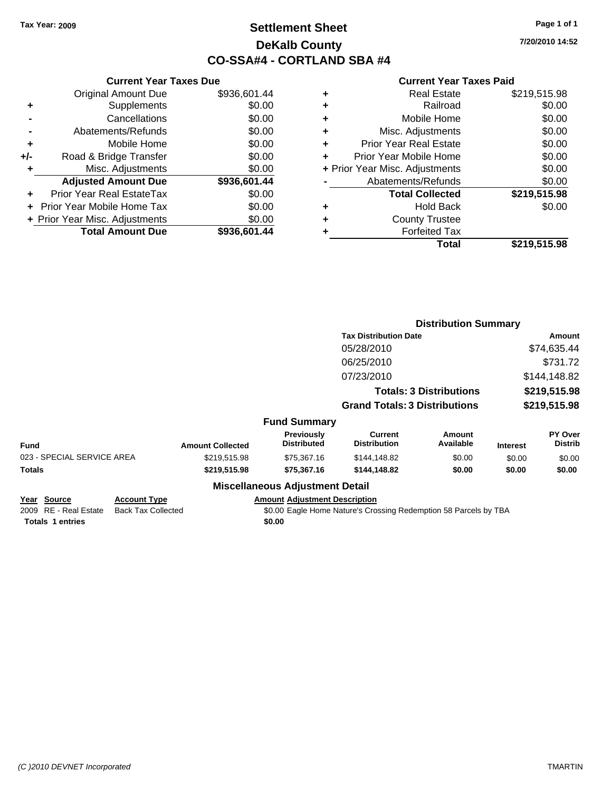# **Settlement Sheet Tax Year: 2009 Page 1 of 1 DeKalb County CO-SSA#4 - CORTLAND SBA #4**

**7/20/2010 14:52**

### **Current Year Taxes Paid**

|     | <b>Current Year Taxes Due</b>    |              |
|-----|----------------------------------|--------------|
|     | <b>Original Amount Due</b>       | \$936,601.44 |
| ٠   | Supplements                      | \$0.00       |
|     | Cancellations                    | \$0.00       |
|     | Abatements/Refunds               | \$0.00       |
| ٠   | Mobile Home                      | \$0.00       |
| +/- | Road & Bridge Transfer           | \$0.00       |
| ٠   | Misc. Adjustments                | \$0.00       |
|     | <b>Adjusted Amount Due</b>       | \$936,601.44 |
|     | <b>Prior Year Real EstateTax</b> | \$0.00       |
|     | Prior Year Mobile Home Tax       | \$0.00       |
|     | + Prior Year Misc. Adjustments   | \$0.00       |
|     | <b>Total Amount Due</b>          | \$936,601.44 |
|     |                                  |              |

|   | <b>Real Estate</b>             | \$219,515.98 |
|---|--------------------------------|--------------|
| ٠ | Railroad                       | \$0.00       |
| ٠ | Mobile Home                    | \$0.00       |
| ٠ | Misc. Adjustments              | \$0.00       |
| ÷ | <b>Prior Year Real Estate</b>  | \$0.00       |
| ٠ | Prior Year Mobile Home         | \$0.00       |
|   | + Prior Year Misc. Adjustments | \$0.00       |
|   | Abatements/Refunds             | \$0.00       |
|   | <b>Total Collected</b>         | \$219,515.98 |
| ٠ | <b>Hold Back</b>               | \$0.00       |
| ٠ | <b>County Trustee</b>          |              |
| ٠ | <b>Forfeited Tax</b>           |              |
|   | Total                          | \$219,515.98 |

|                            |                           |                         |                                         | <b>Distribution Summary</b>                                      |                                |                 |                           |
|----------------------------|---------------------------|-------------------------|-----------------------------------------|------------------------------------------------------------------|--------------------------------|-----------------|---------------------------|
|                            |                           |                         |                                         | <b>Tax Distribution Date</b>                                     |                                |                 | Amount                    |
|                            |                           |                         |                                         | 05/28/2010                                                       |                                |                 | \$74,635.44               |
|                            |                           |                         |                                         | 06/25/2010                                                       |                                |                 | \$731.72                  |
|                            |                           |                         |                                         | 07/23/2010                                                       |                                |                 | \$144,148.82              |
|                            |                           |                         |                                         |                                                                  | <b>Totals: 3 Distributions</b> |                 | \$219,515.98              |
|                            |                           |                         |                                         | <b>Grand Totals: 3 Distributions</b>                             |                                |                 | \$219,515.98              |
|                            |                           |                         | <b>Fund Summary</b>                     |                                                                  |                                |                 |                           |
| Fund                       |                           | <b>Amount Collected</b> | <b>Previously</b><br><b>Distributed</b> | Current<br><b>Distribution</b>                                   | Amount<br>Available            | <b>Interest</b> | PY Over<br><b>Distrib</b> |
| 023 - SPECIAL SERVICE AREA |                           | \$219,515.98            | \$75,367.16                             | \$144,148.82                                                     | \$0.00                         | \$0.00          | \$0.00                    |
| Totals                     |                           | \$219,515.98            | \$75,367.16                             | \$144,148.82                                                     | \$0.00                         | \$0.00          | \$0.00                    |
|                            |                           |                         | <b>Miscellaneous Adjustment Detail</b>  |                                                                  |                                |                 |                           |
| Year Source                | <b>Account Type</b>       |                         | <b>Amount Adjustment Description</b>    |                                                                  |                                |                 |                           |
| 2009 RE - Real Estate      | <b>Back Tax Collected</b> |                         |                                         | \$0.00 Eagle Home Nature's Crossing Redemption 58 Parcels by TBA |                                |                 |                           |

**Totals 1 entries** \$0.00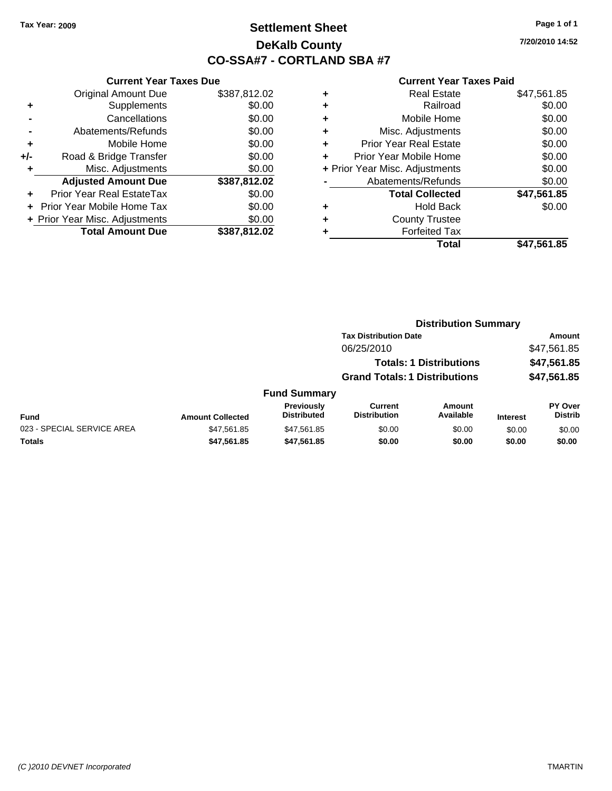# **Settlement Sheet Tax Year: 2009 Page 1 of 1 DeKalb County CO-SSA#7 - CORTLAND SBA #7**

**7/20/2010 14:52**

|       | <b>Current Year Taxes Due</b>  |              |
|-------|--------------------------------|--------------|
|       | <b>Original Amount Due</b>     | \$387,812.02 |
| ٠     | Supplements                    | \$0.00       |
|       | Cancellations                  | \$0.00       |
|       | Abatements/Refunds             | \$0.00       |
| ٠     | Mobile Home                    | \$0.00       |
| $+/-$ | Road & Bridge Transfer         | \$0.00       |
|       | Misc. Adjustments              | \$0.00       |
|       | <b>Adjusted Amount Due</b>     | \$387,812.02 |
|       | Prior Year Real EstateTax      | \$0.00       |
|       | Prior Year Mobile Home Tax     | \$0.00       |
|       | + Prior Year Misc. Adjustments | \$0.00       |
|       | <b>Total Amount Due</b>        | \$387,812.02 |
|       |                                |              |

| <b>Real Estate</b>             | \$47,561.85 |
|--------------------------------|-------------|
| Railroad                       | \$0.00      |
| Mobile Home                    | \$0.00      |
| Misc. Adjustments              | \$0.00      |
| <b>Prior Year Real Estate</b>  | \$0.00      |
| Prior Year Mobile Home         | \$0.00      |
| + Prior Year Misc. Adjustments | \$0.00      |
| Abatements/Refunds             | \$0.00      |
| <b>Total Collected</b>         | \$47,561.85 |
| <b>Hold Back</b>               | \$0.00      |
| <b>County Trustee</b>          |             |
| <b>Forfeited Tax</b>           |             |
| Total                          | \$47,561.85 |
|                                |             |

|                            |                         |                                         | <b>Distribution Summary</b>           |                                |                 |                                  |
|----------------------------|-------------------------|-----------------------------------------|---------------------------------------|--------------------------------|-----------------|----------------------------------|
|                            |                         |                                         | <b>Tax Distribution Date</b>          |                                |                 | Amount                           |
|                            |                         |                                         | 06/25/2010                            |                                |                 | \$47,561.85                      |
|                            |                         |                                         |                                       | <b>Totals: 1 Distributions</b> |                 | \$47,561.85                      |
|                            |                         |                                         | <b>Grand Totals: 1 Distributions</b>  |                                |                 | \$47,561.85                      |
|                            |                         | <b>Fund Summary</b>                     |                                       |                                |                 |                                  |
| <b>Fund</b>                | <b>Amount Collected</b> | <b>Previously</b><br><b>Distributed</b> | <b>Current</b><br><b>Distribution</b> | <b>Amount</b><br>Available     | <b>Interest</b> | <b>PY Over</b><br><b>Distrib</b> |
| 023 - SPECIAL SERVICE AREA | \$47,561.85             | \$47,561.85                             | \$0.00                                | \$0.00                         | \$0.00          | \$0.00                           |
| Totals                     | \$47,561.85             | \$47,561.85                             | \$0.00                                | \$0.00                         | \$0.00          | \$0.00                           |
|                            |                         |                                         |                                       |                                |                 |                                  |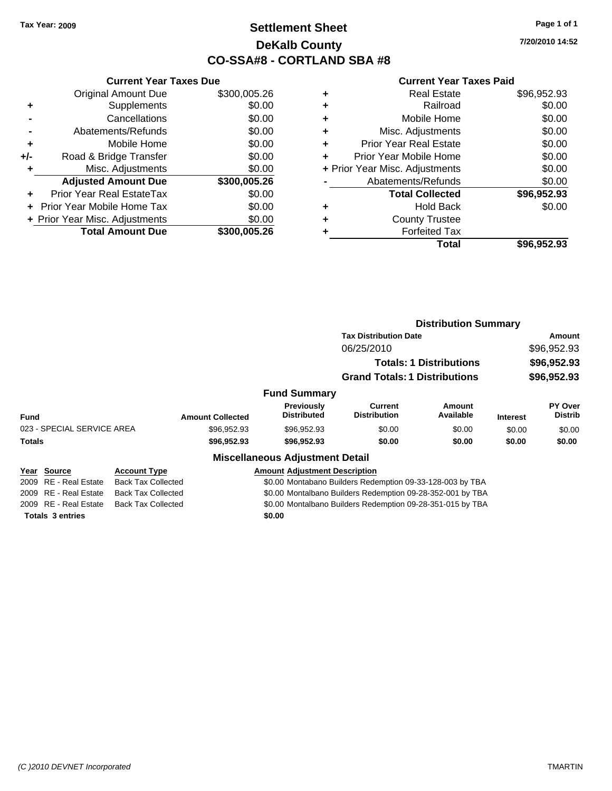# **Settlement Sheet Tax Year: 2009 Page 1 of 1 DeKalb County CO-SSA#8 - CORTLAND SBA #8**

**7/20/2010 14:52**

### **Current Year Taxes Paid**

|       | <b>Current Year Taxes Due</b>  |              |
|-------|--------------------------------|--------------|
|       | <b>Original Amount Due</b>     | \$300,005.26 |
| ٠     | Supplements                    | \$0.00       |
|       | Cancellations                  | \$0.00       |
|       | Abatements/Refunds             | \$0.00       |
| ٠     | Mobile Home                    | \$0.00       |
| $+/-$ | Road & Bridge Transfer         | \$0.00       |
|       | Misc. Adjustments              | \$0.00       |
|       | <b>Adjusted Amount Due</b>     | \$300,005.26 |
|       | Prior Year Real EstateTax      | \$0.00       |
|       | Prior Year Mobile Home Tax     | \$0.00       |
|       | + Prior Year Misc. Adjustments | \$0.00       |
|       | <b>Total Amount Due</b>        | \$300,005.26 |
|       |                                |              |

|   | <b>Real Estate</b>             | \$96,952.93 |
|---|--------------------------------|-------------|
| ÷ | Railroad                       | \$0.00      |
| ٠ | Mobile Home                    | \$0.00      |
| ٠ | Misc. Adjustments              | \$0.00      |
|   | <b>Prior Year Real Estate</b>  | \$0.00      |
|   | Prior Year Mobile Home         | \$0.00      |
|   | + Prior Year Misc. Adjustments | \$0.00      |
|   | Abatements/Refunds             | \$0.00      |
|   | <b>Total Collected</b>         | \$96,952.93 |
| ٠ | <b>Hold Back</b>               | \$0.00      |
|   | <b>County Trustee</b>          |             |
|   | <b>Forfeited Tax</b>           |             |
|   | Total                          | \$96,952.93 |
|   |                                |             |

|                                 |                           |                         |                                        | <b>Distribution Summary</b>                                |                                |                 |                           |
|---------------------------------|---------------------------|-------------------------|----------------------------------------|------------------------------------------------------------|--------------------------------|-----------------|---------------------------|
|                                 |                           |                         |                                        | <b>Tax Distribution Date</b>                               |                                |                 | Amount                    |
|                                 |                           |                         |                                        | 06/25/2010                                                 |                                |                 | \$96,952.93               |
|                                 |                           |                         |                                        |                                                            | <b>Totals: 1 Distributions</b> |                 | \$96,952.93               |
|                                 |                           |                         |                                        | <b>Grand Totals: 1 Distributions</b>                       |                                |                 | \$96,952.93               |
|                                 |                           |                         | <b>Fund Summary</b>                    |                                                            |                                |                 |                           |
| <b>Fund</b>                     |                           | <b>Amount Collected</b> | Previously<br><b>Distributed</b>       | Current<br><b>Distribution</b>                             | <b>Amount</b><br>Available     | <b>Interest</b> | PY Over<br><b>Distrib</b> |
| 023 - SPECIAL SERVICE AREA      |                           | \$96,952.93             | \$96,952.93                            | \$0.00                                                     | \$0.00                         | \$0.00          | \$0.00                    |
| <b>Totals</b>                   |                           | \$96,952.93             | \$96,952.93                            | \$0.00                                                     | \$0.00                         | \$0.00          | \$0.00                    |
|                                 |                           |                         | <b>Miscellaneous Adjustment Detail</b> |                                                            |                                |                 |                           |
| Year Source                     | <b>Account Type</b>       |                         | <b>Amount Adjustment Description</b>   |                                                            |                                |                 |                           |
| <b>RE</b> - Real Estate<br>2009 | <b>Back Tax Collected</b> |                         |                                        | \$0.00 Montabano Builders Redemption 09-33-128-003 by TBA  |                                |                 |                           |
| 2009 RE - Real Estate           | <b>Back Tax Collected</b> |                         |                                        | \$0.00 Montalbano Builders Redemption 09-28-352-001 by TBA |                                |                 |                           |

2009 RE - Real Estate Back Tax Collected \$0.00 Montalbano Builders Redemption 09-28-351-015 by TBA

**Totals \$0.00 3 entries**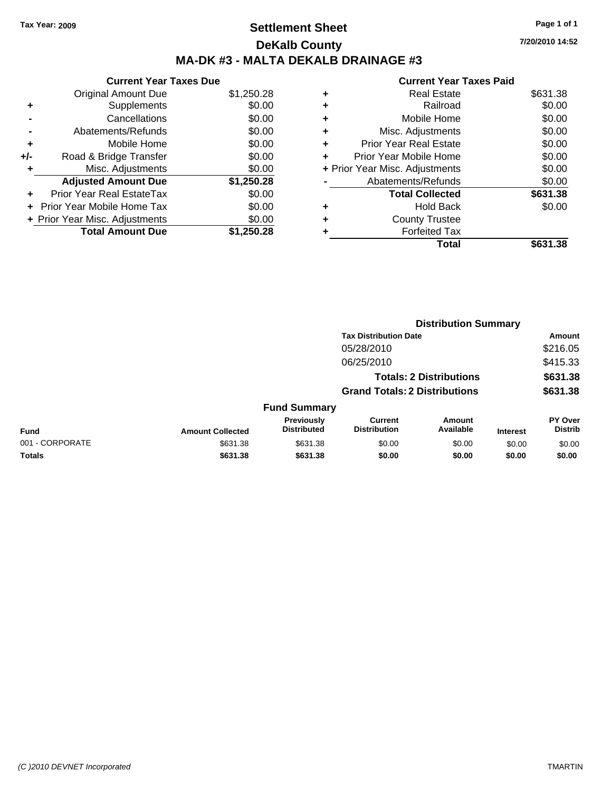# **Settlement Sheet Tax Year: 2009 Page 1 of 1 DeKalb County MA-DK #3 - MALTA DEKALB DRAINAGE #3**

**7/20/2010 14:52**

| <b>Current Year Taxes Due</b> |
|-------------------------------|
| \$1,250.28                    |
| \$0.00                        |
| \$0.00                        |
| \$0.00                        |
| \$0.00                        |
| \$0.00                        |
|                               |
| \$0.00                        |
| \$1,250.28                    |
| \$0.00                        |
| \$0.00                        |
| \$0.00                        |
|                               |

|   | Total                          | \$631.38 |
|---|--------------------------------|----------|
| ٠ | <b>Forfeited Tax</b>           |          |
| ٠ | <b>County Trustee</b>          |          |
| ٠ | <b>Hold Back</b>               | \$0.00   |
|   | <b>Total Collected</b>         | \$631.38 |
|   | Abatements/Refunds             | \$0.00   |
|   | + Prior Year Misc. Adjustments | \$0.00   |
| ٠ | Prior Year Mobile Home         | \$0.00   |
| ٠ | <b>Prior Year Real Estate</b>  | \$0.00   |
| ٠ | Misc. Adjustments              | \$0.00   |
| ٠ | Mobile Home                    | \$0.00   |
| ٠ | Railroad                       | \$0.00   |
| ٠ | Real Estate                    | \$631.38 |
|   |                                |          |

|                 |                         |                                  |                                       | <b>Distribution Summary</b>    |                 |                           |
|-----------------|-------------------------|----------------------------------|---------------------------------------|--------------------------------|-----------------|---------------------------|
|                 |                         |                                  | <b>Tax Distribution Date</b>          |                                |                 | Amount                    |
|                 |                         |                                  | 05/28/2010                            |                                |                 | \$216.05                  |
|                 |                         |                                  | 06/25/2010                            |                                |                 | \$415.33                  |
|                 |                         |                                  |                                       | <b>Totals: 2 Distributions</b> |                 | \$631.38                  |
|                 |                         |                                  | <b>Grand Totals: 2 Distributions</b>  |                                |                 | \$631.38                  |
|                 |                         | <b>Fund Summary</b>              |                                       |                                |                 |                           |
| <b>Fund</b>     | <b>Amount Collected</b> | Previously<br><b>Distributed</b> | <b>Current</b><br><b>Distribution</b> | Amount<br>Available            | <b>Interest</b> | PY Over<br><b>Distrib</b> |
| 001 - CORPORATE | \$631.38                | \$631.38                         | \$0.00                                | \$0.00                         | \$0.00          | \$0.00                    |
| Totals          | \$631.38                | \$631.38                         | \$0.00                                | \$0.00                         | \$0.00          | \$0.00                    |
|                 |                         |                                  |                                       |                                |                 |                           |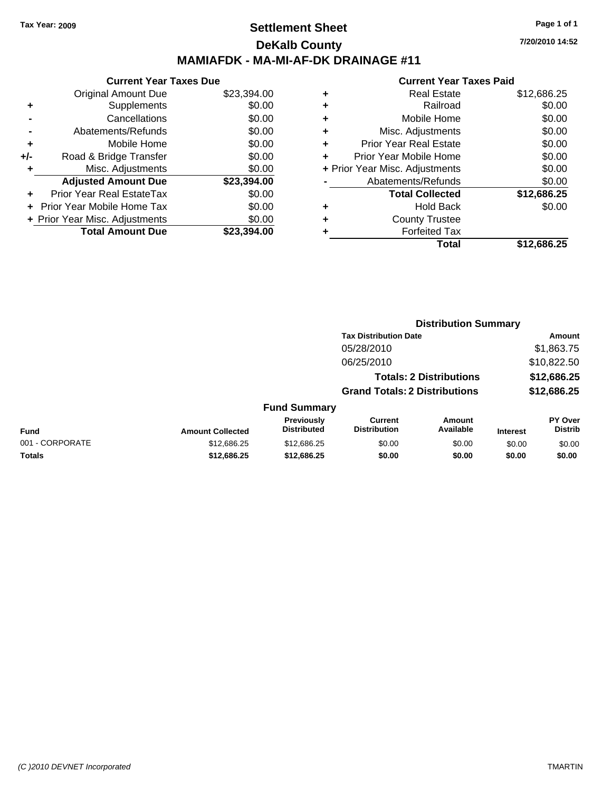## **Settlement Sheet Tax Year: 2009 Page 1 of 1 DeKalb County MAMIAFDK - MA-MI-AF-DK DRAINAGE #11**

### **Current Year Taxes Due**

|       | <b>Original Amount Due</b>     | \$23,394.00 |
|-------|--------------------------------|-------------|
| ٠     | Supplements                    | \$0.00      |
|       | Cancellations                  | \$0.00      |
|       | Abatements/Refunds             | \$0.00      |
| ٠     | Mobile Home                    | \$0.00      |
| $+/-$ | Road & Bridge Transfer         | \$0.00      |
| ٠     | Misc. Adjustments              | \$0.00      |
|       | <b>Adjusted Amount Due</b>     | \$23,394.00 |
|       | Prior Year Real EstateTax      | \$0.00      |
|       | Prior Year Mobile Home Tax     | \$0.00      |
|       | + Prior Year Misc. Adjustments | \$0.00      |
|       | <b>Total Amount Due</b>        | \$23,394.00 |

| ٠ | Real Estate                    | \$12,686.25 |
|---|--------------------------------|-------------|
| ٠ | Railroad                       | \$0.00      |
| ٠ | Mobile Home                    | \$0.00      |
| ٠ | Misc. Adjustments              | \$0.00      |
| ÷ | <b>Prior Year Real Estate</b>  | \$0.00      |
| ÷ | Prior Year Mobile Home         | \$0.00      |
|   | + Prior Year Misc. Adjustments | \$0.00      |
|   | Abatements/Refunds             | \$0.00      |
|   | <b>Total Collected</b>         | \$12,686.25 |
| ٠ | Hold Back                      | \$0.00      |
| ٠ | <b>County Trustee</b>          |             |
| ٠ | <b>Forfeited Tax</b>           |             |
|   | Total                          | \$12,686.25 |
|   |                                |             |

|                     |                                      | <b>Distribution Summary</b>    |                |
|---------------------|--------------------------------------|--------------------------------|----------------|
|                     | <b>Tax Distribution Date</b>         |                                | Amount         |
|                     | 05/28/2010                           |                                | \$1,863.75     |
|                     | 06/25/2010                           |                                | \$10,822.50    |
|                     |                                      | <b>Totals: 2 Distributions</b> | \$12,686.25    |
|                     | <b>Grand Totals: 2 Distributions</b> |                                | \$12,686.25    |
| <b>Fund Summary</b> |                                      |                                |                |
| <b>Previously</b>   | Current                              | Amount                         | <b>PY Over</b> |
| .                   | .                                    |                                |                |

| Fund            | <b>Amount Collected</b> | <b>Previously</b><br><b>Distributed</b> | Current<br><b>Distribution</b> | Amount<br>Available | <b>Interest</b> | PY Over<br>Distrib |
|-----------------|-------------------------|-----------------------------------------|--------------------------------|---------------------|-----------------|--------------------|
| 001 - CORPORATE | \$12.686.25             | \$12,686,25                             | \$0.00                         | \$0.00              | \$0.00          | \$0.00             |
| Totals          | \$12,686,25             | \$12,686,25                             | \$0.00                         | \$0.00              | \$0.00          | \$0.00             |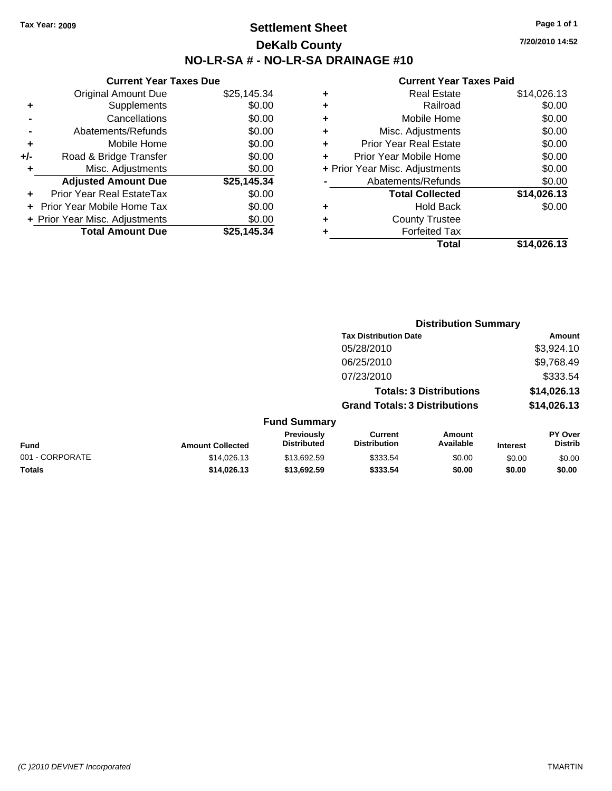# **Settlement Sheet Tax Year: 2009 Page 1 of 1 DeKalb County NO-LR-SA # - NO-LR-SA DRAINAGE #10**

**7/20/2010 14:52**

### **Current Year Taxes Paid**

| <b>Real Estate</b>            | \$14,026.13                    |
|-------------------------------|--------------------------------|
| Railroad                      | \$0.00                         |
| Mobile Home                   | \$0.00                         |
| Misc. Adjustments             | \$0.00                         |
| <b>Prior Year Real Estate</b> | \$0.00                         |
| Prior Year Mobile Home        | \$0.00                         |
|                               | \$0.00                         |
| Abatements/Refunds            | \$0.00                         |
| <b>Total Collected</b>        | \$14,026.13                    |
| <b>Hold Back</b>              | \$0.00                         |
| <b>County Trustee</b>         |                                |
| <b>Forfeited Tax</b>          |                                |
| Total                         | \$14,026.13                    |
|                               | + Prior Year Misc. Adjustments |

|     | <b>Current Year Taxes Due</b>  |             |
|-----|--------------------------------|-------------|
|     | <b>Original Amount Due</b>     | \$25,145.34 |
| ٠   | Supplements                    | \$0.00      |
|     | Cancellations                  | \$0.00      |
|     | Abatements/Refunds             | \$0.00      |
| ٠   | Mobile Home                    | \$0.00      |
| +/- | Road & Bridge Transfer         | \$0.00      |
| ٠   | Misc. Adjustments              | \$0.00      |
|     | <b>Adjusted Amount Due</b>     | \$25,145.34 |
|     | Prior Year Real EstateTax      | \$0.00      |
|     | Prior Year Mobile Home Tax     | \$0.00      |
|     | + Prior Year Misc. Adjustments | \$0.00      |
|     | <b>Total Amount Due</b>        | \$25,145.34 |

|                 |                         |                                  | <b>Distribution Summary</b>           |                                |                 |                           |
|-----------------|-------------------------|----------------------------------|---------------------------------------|--------------------------------|-----------------|---------------------------|
|                 |                         |                                  | <b>Tax Distribution Date</b>          |                                |                 | Amount                    |
|                 |                         |                                  | 05/28/2010                            |                                | \$3,924.10      |                           |
|                 |                         |                                  | 06/25/2010                            |                                | \$9,768.49      |                           |
|                 |                         |                                  | 07/23/2010                            |                                | \$333.54        |                           |
|                 |                         |                                  |                                       | <b>Totals: 3 Distributions</b> |                 | \$14,026.13               |
|                 |                         |                                  | <b>Grand Totals: 3 Distributions</b>  |                                | \$14,026.13     |                           |
|                 |                         | <b>Fund Summary</b>              |                                       |                                |                 |                           |
| <b>Fund</b>     | <b>Amount Collected</b> | Previously<br><b>Distributed</b> | <b>Current</b><br><b>Distribution</b> | <b>Amount</b><br>Available     | <b>Interest</b> | PY Over<br><b>Distrib</b> |
| 001 - CORPORATE | \$14,026.13             | \$13,692.59                      | \$333.54                              | \$0.00                         | \$0.00          | \$0.00                    |

**Totals \$14,026.13 \$13,692.59 \$333.54 \$0.00 \$0.00 \$0.00**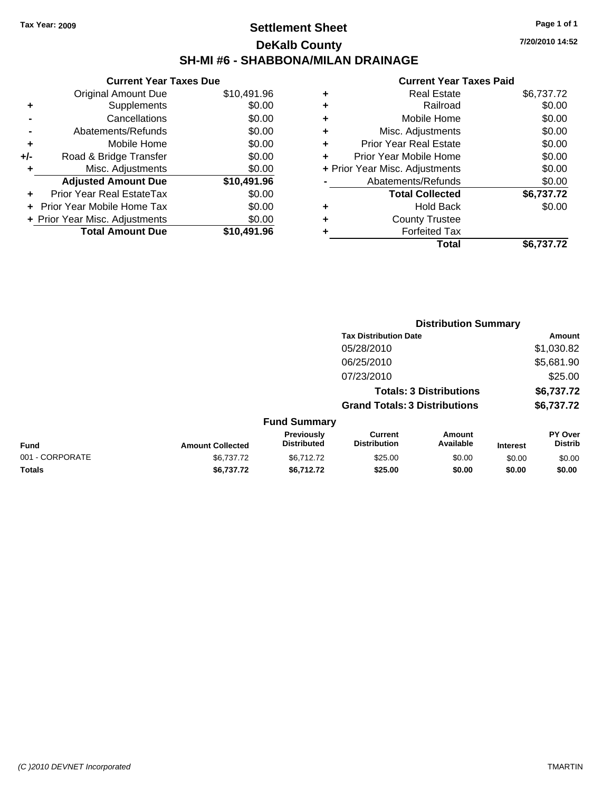# **Settlement Sheet Tax Year: 2009 Page 1 of 1 DeKalb County SH-MI #6 - SHABBONA/MILAN DRAINAGE**

**7/20/2010 14:52**

| <b>Current Year Taxes Due</b>     |             |
|-----------------------------------|-------------|
| <b>Original Amount Due</b>        | \$10,491.96 |
| Supplements                       | \$0.00      |
| Cancellations                     | \$0.00      |
| Abatements/Refunds                | \$0.00      |
| Mobile Home                       | \$0.00      |
| Road & Bridge Transfer            | \$0.00      |
| Misc. Adjustments                 | \$0.00      |
| <b>Adjusted Amount Due</b>        | \$10,491.96 |
| Prior Year Real EstateTax         | \$0.00      |
| <b>Prior Year Mobile Home Tax</b> | \$0.00      |
| + Prior Year Misc. Adjustments    | \$0.00      |
| <b>Total Amount Due</b>           | \$10,491.96 |
|                                   |             |

| ٠ | <b>Real Estate</b>             | \$6,737.72 |
|---|--------------------------------|------------|
| ٠ | Railroad                       | \$0.00     |
| ٠ | Mobile Home                    | \$0.00     |
| ٠ | Misc. Adjustments              | \$0.00     |
| ÷ | <b>Prior Year Real Estate</b>  | \$0.00     |
|   | Prior Year Mobile Home         | \$0.00     |
|   | + Prior Year Misc. Adjustments | \$0.00     |
|   | Abatements/Refunds             | \$0.00     |
|   | <b>Total Collected</b>         | \$6,737.72 |
| ٠ | <b>Hold Back</b>               | \$0.00     |
| ٠ | <b>County Trustee</b>          |            |
|   | <b>Forfeited Tax</b>           |            |
|   | Total                          | \$6,737.72 |
|   |                                |            |

|                 |                         |                                  | <b>Distribution Summary</b>           |                                |                 |                           |
|-----------------|-------------------------|----------------------------------|---------------------------------------|--------------------------------|-----------------|---------------------------|
|                 |                         |                                  | <b>Tax Distribution Date</b>          |                                |                 | Amount                    |
|                 |                         |                                  | 05/28/2010                            |                                |                 | \$1,030.82                |
|                 |                         |                                  | 06/25/2010                            |                                |                 | \$5,681.90                |
|                 |                         |                                  | 07/23/2010                            |                                |                 | \$25.00                   |
|                 |                         |                                  |                                       | <b>Totals: 3 Distributions</b> |                 | \$6,737.72                |
|                 |                         |                                  | <b>Grand Totals: 3 Distributions</b>  |                                |                 | \$6,737.72                |
|                 |                         | <b>Fund Summary</b>              |                                       |                                |                 |                           |
| <b>Fund</b>     | <b>Amount Collected</b> | Previously<br><b>Distributed</b> | <b>Current</b><br><b>Distribution</b> | Amount<br>Available            | <b>Interest</b> | PY Over<br><b>Distrib</b> |
| 001 - CORPORATE | \$6.737.72              | \$6.712.72                       | \$25.00                               | \$0.00                         | \$0.00          | \$0.00                    |
| Totals          | \$6,737.72              | \$6,712.72                       | \$25.00                               | \$0.00                         | \$0.00          | \$0.00                    |
|                 |                         |                                  |                                       |                                |                 |                           |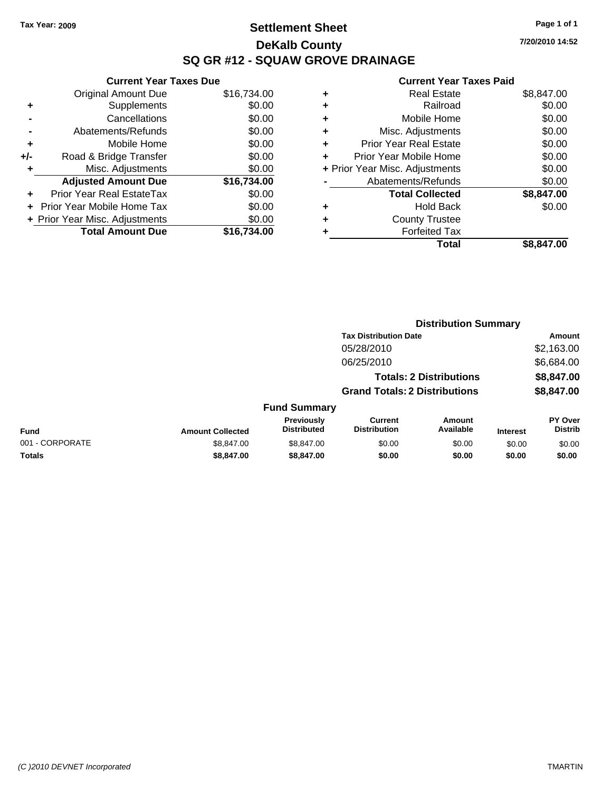**Current Year Taxes Due** Original Amount Due \$16,734.00

**Adjusted Amount Due \$16,734.00**

**Total Amount Due \$16,734.00**

**+** Supplements \$0.00 **-** Cancellations \$0.00 **-** Abatements/Refunds \$0.00 **+** Mobile Home \$0.00 **+/-** Road & Bridge Transfer \$0.00 **+** Misc. Adjustments \$0.00

**+** Prior Year Real EstateTax \$0.00 **+** Prior Year Mobile Home Tax \$0.00 **+ Prior Year Misc. Adjustments**  $$0.00$ 

# **Settlement Sheet Tax Year: 2009 Page 1 of 1 DeKalb County SQ GR #12 - SQUAW GROVE DRAINAGE**

**7/20/2010 14:52**

|   | Total                          | \$8,847.00 |
|---|--------------------------------|------------|
| ٠ | <b>Forfeited Tax</b>           |            |
| ٠ | <b>County Trustee</b>          |            |
| ٠ | <b>Hold Back</b>               | \$0.00     |
|   | <b>Total Collected</b>         | \$8,847.00 |
|   | Abatements/Refunds             | \$0.00     |
|   | + Prior Year Misc. Adjustments | \$0.00     |
|   | Prior Year Mobile Home         | \$0.00     |
| ٠ | <b>Prior Year Real Estate</b>  | \$0.00     |
| ٠ | Misc. Adjustments              | \$0.00     |
| ٠ | Mobile Home                    | \$0.00     |
| ٠ | Railroad                       | \$0.00     |
| ٠ | <b>Real Estate</b>             | \$8,847.00 |
|   |                                |            |

|                 |                         |                                  | <b>Distribution Summary</b>           |                                |                 |                           |
|-----------------|-------------------------|----------------------------------|---------------------------------------|--------------------------------|-----------------|---------------------------|
|                 |                         |                                  | <b>Tax Distribution Date</b>          |                                |                 | Amount                    |
|                 |                         |                                  | 05/28/2010                            |                                |                 | \$2,163.00                |
|                 |                         |                                  | 06/25/2010                            |                                |                 | \$6,684.00                |
|                 |                         |                                  |                                       | <b>Totals: 2 Distributions</b> |                 | \$8,847.00                |
|                 |                         |                                  | <b>Grand Totals: 2 Distributions</b>  |                                |                 | \$8,847.00                |
|                 |                         | <b>Fund Summary</b>              |                                       |                                |                 |                           |
| <b>Fund</b>     | <b>Amount Collected</b> | Previously<br><b>Distributed</b> | <b>Current</b><br><b>Distribution</b> | Amount<br>Available            | <b>Interest</b> | PY Over<br><b>Distrib</b> |
| 001 - CORPORATE | \$8,847.00              | \$8,847.00                       | \$0.00                                | \$0.00                         | \$0.00          | \$0.00                    |
| <b>Totals</b>   | \$8,847.00              | \$8,847,00                       | \$0.00                                | \$0.00                         | \$0.00          | \$0.00                    |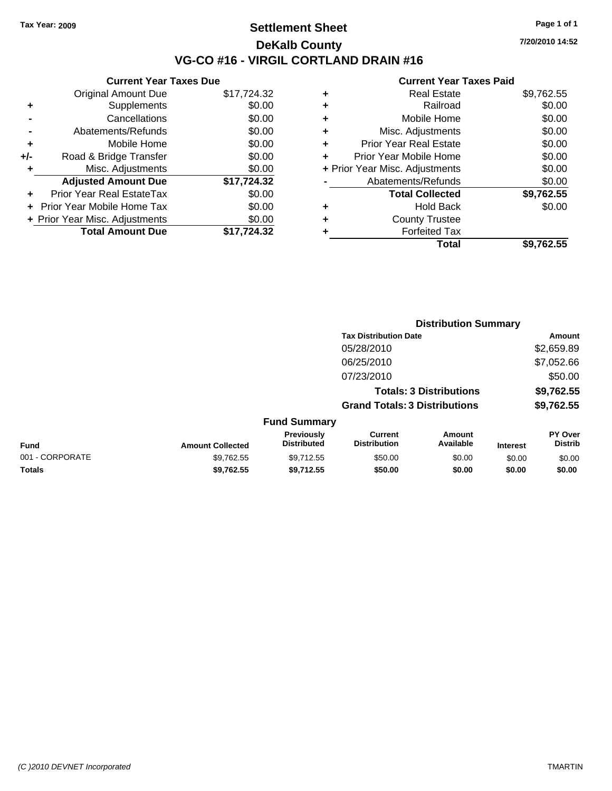## **Settlement Sheet Tax Year: 2009 Page 1 of 1 DeKalb County VG-CO #16 - VIRGIL CORTLAND DRAIN #16**

**7/20/2010 14:52**

|     | <b>Current Year Taxes Due</b>     |             |
|-----|-----------------------------------|-------------|
|     | <b>Original Amount Due</b>        | \$17,724.32 |
| ٠   | Supplements                       | \$0.00      |
|     | Cancellations                     | \$0.00      |
|     | Abatements/Refunds                | \$0.00      |
| ٠   | Mobile Home                       | \$0.00      |
| +/- | Road & Bridge Transfer            | \$0.00      |
|     | Misc. Adjustments                 | \$0.00      |
|     | <b>Adjusted Amount Due</b>        | \$17,724.32 |
|     | Prior Year Real EstateTax         | \$0.00      |
|     | <b>Prior Year Mobile Home Tax</b> | \$0.00      |
|     | + Prior Year Misc. Adjustments    | \$0.00      |
|     | <b>Total Amount Due</b>           | \$17,724.32 |
|     |                                   |             |

| ٠ | <b>Real Estate</b>             | \$9,762.55 |
|---|--------------------------------|------------|
| ٠ | Railroad                       | \$0.00     |
| ٠ | Mobile Home                    | \$0.00     |
| ٠ | Misc. Adjustments              | \$0.00     |
| ÷ | Prior Year Real Estate         | \$0.00     |
| ÷ | Prior Year Mobile Home         | \$0.00     |
|   | + Prior Year Misc. Adjustments | \$0.00     |
|   | Abatements/Refunds             | \$0.00     |
|   | <b>Total Collected</b>         | \$9,762.55 |
| ٠ | Hold Back                      | \$0.00     |
| ٠ | <b>County Trustee</b>          |            |
| ٠ | <b>Forfeited Tax</b>           |            |
|   | Total                          | \$9.762.55 |
|   |                                |            |

|                 |                         |                                  |                                       | <b>Distribution Summary</b>    |                 |                           |
|-----------------|-------------------------|----------------------------------|---------------------------------------|--------------------------------|-----------------|---------------------------|
|                 |                         |                                  | <b>Tax Distribution Date</b>          |                                |                 | Amount                    |
|                 |                         |                                  | 05/28/2010                            |                                |                 | \$2,659.89                |
|                 |                         |                                  | 06/25/2010                            |                                |                 | \$7,052.66                |
|                 |                         |                                  | 07/23/2010                            |                                |                 | \$50.00                   |
|                 |                         |                                  |                                       | <b>Totals: 3 Distributions</b> |                 | \$9,762.55                |
|                 |                         |                                  | <b>Grand Totals: 3 Distributions</b>  |                                |                 | \$9,762.55                |
|                 |                         | <b>Fund Summary</b>              |                                       |                                |                 |                           |
| Fund            | <b>Amount Collected</b> | Previously<br><b>Distributed</b> | <b>Current</b><br><b>Distribution</b> | Amount<br>Available            | <b>Interest</b> | PY Over<br><b>Distrib</b> |
| 001 - CORPORATE | \$9,762.55              | \$9,712.55                       | \$50.00                               | \$0.00                         | \$0.00          | \$0.00                    |
| Totals          | \$9,762.55              | \$9,712.55                       | \$50.00                               | \$0.00                         | \$0.00          | \$0.00                    |
|                 |                         |                                  |                                       |                                |                 |                           |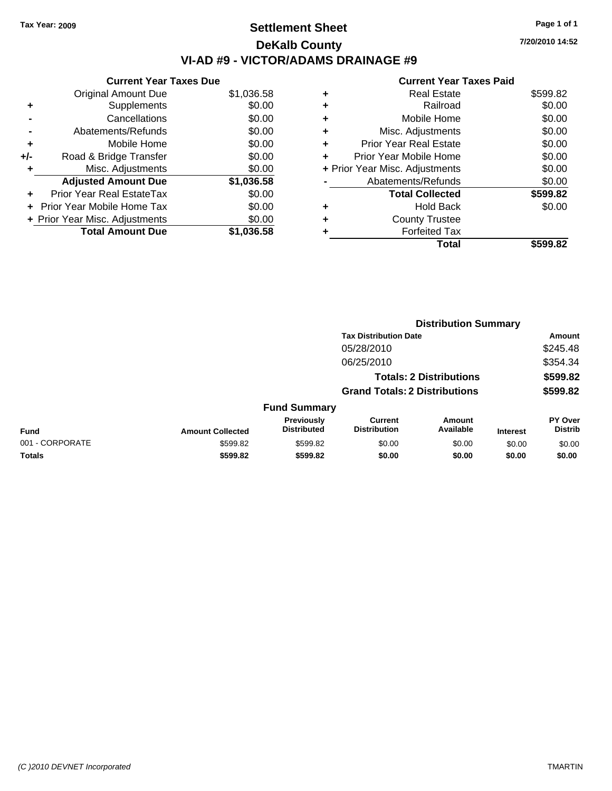# **Settlement Sheet Tax Year: 2009 Page 1 of 1 DeKalb County VI-AD #9 - VICTOR/ADAMS DRAINAGE #9**

**7/20/2010 14:52**

|     | <b>Current Year Taxes Due</b>  |            |
|-----|--------------------------------|------------|
|     | <b>Original Amount Due</b>     | \$1,036.58 |
| ٠   | Supplements                    | \$0.00     |
|     | Cancellations                  | \$0.00     |
|     | Abatements/Refunds             | \$0.00     |
| ٠   | Mobile Home                    | \$0.00     |
| +/- | Road & Bridge Transfer         | \$0.00     |
| ÷   | Misc. Adjustments              | \$0.00     |
|     | <b>Adjusted Amount Due</b>     | \$1,036.58 |
|     | Prior Year Real EstateTax      | \$0.00     |
|     | Prior Year Mobile Home Tax     | \$0.00     |
|     | + Prior Year Misc. Adjustments | \$0.00     |
|     | <b>Total Amount Due</b>        | \$1,036.58 |
|     |                                |            |

| <b>Real Estate</b>             | \$599.82 |
|--------------------------------|----------|
| Railroad                       | \$0.00   |
| Mobile Home                    | \$0.00   |
| Misc. Adjustments              | \$0.00   |
| Prior Year Real Estate         | \$0.00   |
| Prior Year Mobile Home         | \$0.00   |
| + Prior Year Misc. Adjustments | \$0.00   |
| Abatements/Refunds             | \$0.00   |
| <b>Total Collected</b>         | \$599.82 |
| <b>Hold Back</b>               | \$0.00   |
| <b>County Trustee</b>          |          |
| <b>Forfeited Tax</b>           |          |
| Total                          | \$599.82 |
|                                |          |

|                 |                         |                                  | <b>Distribution Summary</b>           |                                |                 |                           |
|-----------------|-------------------------|----------------------------------|---------------------------------------|--------------------------------|-----------------|---------------------------|
|                 |                         |                                  | <b>Tax Distribution Date</b>          |                                |                 | <b>Amount</b>             |
|                 |                         |                                  | 05/28/2010                            |                                |                 | \$245.48                  |
|                 |                         |                                  | 06/25/2010                            |                                |                 | \$354.34                  |
|                 |                         |                                  |                                       | <b>Totals: 2 Distributions</b> |                 | \$599.82                  |
|                 |                         |                                  | <b>Grand Totals: 2 Distributions</b>  |                                |                 | \$599.82                  |
|                 |                         | <b>Fund Summary</b>              |                                       |                                |                 |                           |
| <b>Fund</b>     | <b>Amount Collected</b> | Previously<br><b>Distributed</b> | <b>Current</b><br><b>Distribution</b> | Amount<br>Available            | <b>Interest</b> | PY Over<br><b>Distrib</b> |
| 001 - CORPORATE | \$599.82                | \$599.82                         | \$0.00                                | \$0.00                         | \$0.00          | \$0.00                    |
| Totals          | \$599.82                | \$599.82                         | \$0.00                                | \$0.00                         | \$0.00          | \$0.00                    |
|                 |                         |                                  |                                       |                                |                 |                           |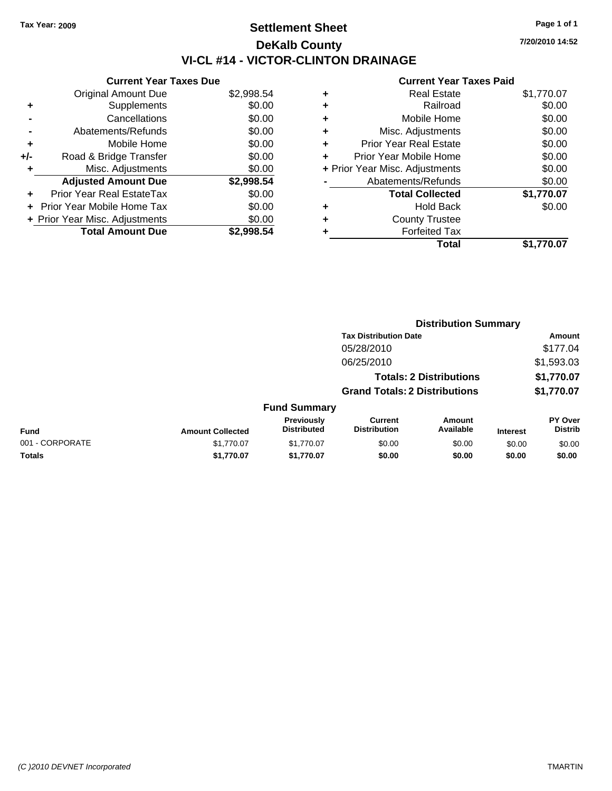# **Settlement Sheet Tax Year: 2009 Page 1 of 1 DeKalb County VI-CL #14 - VICTOR-CLINTON DRAINAGE**

**7/20/2010 14:52**

|     | <b>Current Year Taxes Due</b>  |            |
|-----|--------------------------------|------------|
|     | <b>Original Amount Due</b>     | \$2,998.54 |
| ٠   | Supplements                    | \$0.00     |
|     | Cancellations                  | \$0.00     |
|     | Abatements/Refunds             | \$0.00     |
| ٠   | Mobile Home                    | \$0.00     |
| +/- | Road & Bridge Transfer         | \$0.00     |
|     | Misc. Adjustments              | \$0.00     |
|     | <b>Adjusted Amount Due</b>     | \$2,998.54 |
|     | Prior Year Real EstateTax      | \$0.00     |
|     | Prior Year Mobile Home Tax     | \$0.00     |
|     | + Prior Year Misc. Adjustments | \$0.00     |
|     | <b>Total Amount Due</b>        | \$2,998.54 |

| ٠ | <b>Real Estate</b>             | \$1,770.07 |
|---|--------------------------------|------------|
| ٠ | Railroad                       | \$0.00     |
| ٠ | Mobile Home                    | \$0.00     |
| ٠ | Misc. Adjustments              | \$0.00     |
| ÷ | <b>Prior Year Real Estate</b>  | \$0.00     |
| ٠ | Prior Year Mobile Home         | \$0.00     |
|   | + Prior Year Misc. Adjustments | \$0.00     |
|   | Abatements/Refunds             | \$0.00     |
|   | <b>Total Collected</b>         | \$1,770.07 |
| ٠ | <b>Hold Back</b>               | \$0.00     |
| ٠ | <b>County Trustee</b>          |            |
| ٠ | <b>Forfeited Tax</b>           |            |
|   | Total                          | \$1,770.07 |
|   |                                |            |

|                 |                         |                                  | <b>Distribution Summary</b>           |                                |                 |                                  |  |
|-----------------|-------------------------|----------------------------------|---------------------------------------|--------------------------------|-----------------|----------------------------------|--|
|                 |                         |                                  | <b>Tax Distribution Date</b>          |                                |                 | Amount                           |  |
|                 |                         |                                  | 05/28/2010                            |                                |                 | \$177.04                         |  |
|                 |                         |                                  | 06/25/2010                            |                                |                 | \$1,593.03                       |  |
|                 |                         |                                  |                                       | <b>Totals: 2 Distributions</b> |                 | \$1,770.07                       |  |
|                 |                         |                                  | <b>Grand Totals: 2 Distributions</b>  |                                |                 | \$1,770.07                       |  |
|                 |                         | <b>Fund Summary</b>              |                                       |                                |                 |                                  |  |
| <b>Fund</b>     | <b>Amount Collected</b> | Previously<br><b>Distributed</b> | <b>Current</b><br><b>Distribution</b> | Amount<br>Available            | <b>Interest</b> | <b>PY Over</b><br><b>Distrib</b> |  |
| 001 - CORPORATE | \$1,770.07              | \$1.770.07                       | \$0.00                                | \$0.00                         | \$0.00          | \$0.00                           |  |
| Totals          | \$1,770.07              | \$1,770.07                       | \$0.00                                | \$0.00                         | \$0.00          | \$0.00                           |  |
|                 |                         |                                  |                                       |                                |                 |                                  |  |